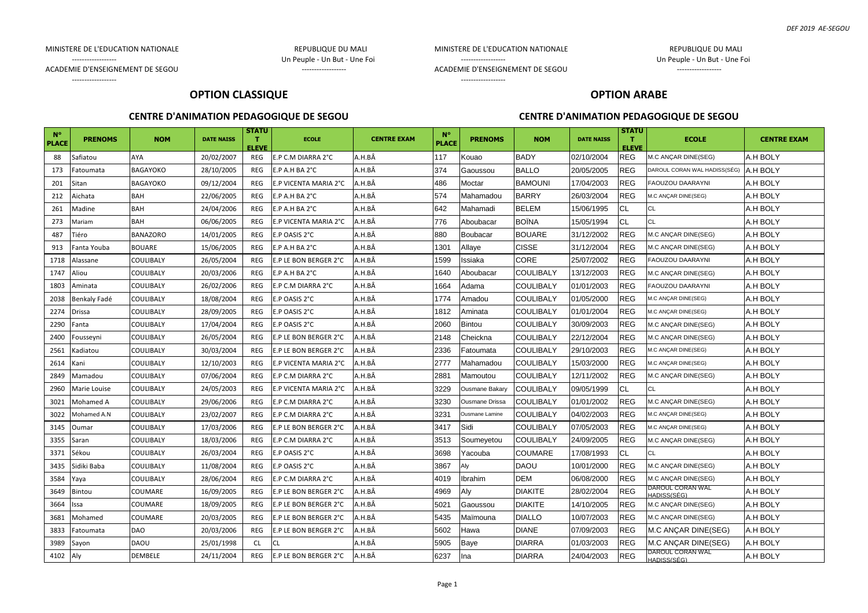#### MINISTERE DE L'EDUCATION NATIONALE **ELLE ENCOLOGIE EN CONTRACTE L'EDUCATION NATIONALE**

------------------ Un Peuple - Un But - Une Foi

------------------

MINISTERE DE L'EDUCATION NATIONALE REPUBLIQUE DU MALI

------------------ Un Peuple - Un But - Une Foi

ACADEMIE D'ENSEIGNEMENT DE SEGOU FRANCIS EN EN ENSEIGNEMENT DE SEGOU

------------------

## **OPTION CLASSIQUE**

## **CENTRE D'ANIMATION PEDAGOGIQUE DE SEGOU**

# **OPTION ARABE**

ACADEMIE D'ENSEIGNEMENT DE SEGOU FRANCIS EN ENSEMBLEMENT DE SEGOU

#### **CENTRE D'ANIMATION PEDAGOGIQUE DE SEGOU**

| $N^{\circ}$<br><b>PLACE</b> | <b>PRENOMS</b> | <b>NOM</b>      | <b>DATE NAISS</b> | STATU<br>т<br><b>ELEVE</b> | <b>ECOLE</b>          | <b>CENTRE EXAM</b> | $N^{\circ}$<br><b>PLACE</b> | <b>PRENOMS</b>        | <b>NOM</b>       | <b>DATE NAISS</b> | <b>STATU</b><br>т<br><b>ELEVE</b> | <b>ECOLE</b>                    | <b>CENTRE EXAM</b> |
|-----------------------------|----------------|-----------------|-------------------|----------------------------|-----------------------|--------------------|-----------------------------|-----------------------|------------------|-------------------|-----------------------------------|---------------------------------|--------------------|
| 88                          | Safiatou       | <b>AYA</b>      | 20/02/2007        | REG                        | E.P C.M DIARRA 2°C    | A.H.BÂ             | 117                         | Kouao                 | <b>BADY</b>      | 02/10/2004        | <b>REG</b>                        | M.C ANÇAR DINE(SEG)             | A.H BOLY           |
| 173                         | Fatoumata      | <b>BAGAYOKO</b> | 28/10/2005        | REG                        | E.P A.H BA 2°C        | A.H.BÂ             | 374                         | Gaoussou              | <b>BALLO</b>     | 20/05/2005        | <b>REG</b>                        | DAROUL CORAN WAL HADISS(SÉG)    | A.H BOLY           |
| 201                         | Sitan          | <b>BAGAYOKO</b> | 09/12/2004        | <b>REG</b>                 | E.P VICENTA MARIA 2°C | A.H.BÂ             | 486                         | Moctar                | <b>BAMOUNI</b>   | 17/04/2003        | <b>REG</b>                        | FAOUZOU DAARAYNI                | A.H BOLY           |
| 212                         | Aichata        | BAH             | 22/06/2005        | REG                        | E.P A.H BA 2°C        | A.H.BÂ             | 574                         | Mahamadou             | <b>BARRY</b>     | 26/03/2004        | <b>REG</b>                        | M.C ANÇAR DINE(SEG)             | A.H BOLY           |
| 261                         | Madine         | BAH             | 24/04/2006        | REG                        | E.P A.H BA 2°C        | A.H.BÂ             | 642                         | Mahamadi              | <b>BELEM</b>     | 15/06/1995        | CL                                | <b>CL</b>                       | A.H BOLY           |
| 273                         | Mariam         | BAH             | 06/06/2005        | REG                        | E.P VICENTA MARIA 2°C | A.H.BÂ             | 776                         | Aboubacar             | <b>BOÏNA</b>     | 15/05/1994        | CL                                | CL                              | A.H BOLY           |
| 487                         | Tiéro          | <b>BANAZORO</b> | 14/01/2005        | REG                        | E.P OASIS 2°C         | A.H.BÂ             | 880                         | Boubacar              | <b>BOUARE</b>    | 31/12/2002        | <b>REG</b>                        | M.C ANÇAR DINE(SEG)             | A.H BOLY           |
| 913                         | Fanta Youba    | <b>BOUARE</b>   | 15/06/2005        | REG                        | E.P A.H BA 2°C        | A.H.BÂ             | 1301                        | Allaye                | <b>CISSE</b>     | 31/12/2004        | <b>REG</b>                        | M.C ANÇAR DINE(SEG)             | A.H BOLY           |
| 1718                        | Alassane       | COULIBALY       | 26/05/2004        | <b>REG</b>                 | E.P LE BON BERGER 2°C | A.H.BÂ             | 1599                        | Issiaka               | CORE             | 25/07/2002        | <b>REG</b>                        | FAOUZOU DAARAYNI                | A.H BOLY           |
| 1747                        | Aliou          | COULIBALY       | 20/03/2006        | <b>REG</b>                 | E.P A.H BA 2°C        | A.H.BÂ             | 1640                        | Aboubacar             | <b>COULIBALY</b> | 13/12/2003        | <b>REG</b>                        | M.C ANÇAR DINE(SEG)             | A.H BOLY           |
| 1803                        | Aminata        | COULIBALY       | 26/02/2006        | REG                        | E.P C.M DIARRA 2°C    | A.H.BÂ             | 1664                        | Adama                 | <b>COULIBALY</b> | 01/01/2003        | <b>REG</b>                        | FAOUZOU DAARAYNI                | A.H BOLY           |
| 2038                        | Benkaly Fadé   | COULIBALY       | 18/08/2004        | REG                        | E.P OASIS 2°C         | A.H.BÂ             | 1774                        | Amadou                | <b>COULIBALY</b> | 01/05/2000        | <b>REG</b>                        | M.C ANÇAR DINE(SEG)             | A.H BOLY           |
| 2274                        | Drissa         | COULIBALY       | 28/09/2005        | REG                        | E.P OASIS 2°C         | A.H.BÂ             | 1812                        | Aminata               | <b>COULIBALY</b> | 01/01/2004        | <b>REG</b>                        | M.C ANÇAR DINE(SEG)             | A.H BOLY           |
| 2290                        | Fanta          | COULIBALY       | 17/04/2004        | REG                        | E.P OASIS 2°C         | A.H.BÂ             | 2060                        | <b>Bintou</b>         | <b>COULIBALY</b> | 30/09/2003        | <b>REG</b>                        | M.C ANÇAR DINE(SEG)             | A.H BOLY           |
| 2400                        | Fousseyni      | COULIBALY       | 26/05/2004        | REG                        | E.P LE BON BERGER 2°C | A.H.BÂ             | 2148                        | Cheickna              | <b>COULIBALY</b> | 22/12/2004        | <b>REG</b>                        | M.C ANÇAR DINE(SEG)             | A.H BOLY           |
| 2561                        | Kadiatou       | COULIBALY       | 30/03/2004        | REG                        | E.P LE BON BERGER 2°C | A.H.BÂ             | 2336                        | Fatoumata             | <b>COULIBALY</b> | 29/10/2003        | <b>REG</b>                        | M.C ANÇAR DINE(SEG)             | A.H BOLY           |
| 2614                        | Kani           | COULIBALY       | 12/10/2003        | REG                        | E.P VICENTA MARIA 2°C | A.H.BÂ             | 2777                        | Mahamadou             | <b>COULIBALY</b> | 15/03/2000        | REG                               | M.C ANÇAR DINE(SEG)             | A.H BOLY           |
| 2849                        | Mamadou        | COULIBALY       | 07/06/2004        | REG                        | E.P C.M DIARRA 2°C    | A.H.BÂ             | 2881                        | Mamoutou              | <b>COULIBALY</b> | 12/11/2002        | <b>REG</b>                        | M.C ANÇAR DINE(SEG)             | A.H BOLY           |
| 2960                        | Marie Louise   | COULIBALY       | 24/05/2003        | REG                        | E.P VICENTA MARIA 2°C | A.H.BÂ             | 3229                        | Ousmane Bakary        | <b>COULIBALY</b> | 09/05/1999        | СL                                | CL                              | A.H BOLY           |
| 3021                        | Mohamed A      | COULIBALY       | 29/06/2006        | REG                        | E.P C.M DIARRA 2°C    | A.H.BÂ             | 3230                        | <b>Ousmane Drissa</b> | <b>COULIBALY</b> | 01/01/2002        | <b>REG</b>                        | M.C ANÇAR DINE(SEG)             | A.H BOLY           |
| 3022                        | Mohamed A.N    | COULIBALY       | 23/02/2007        | REG                        | E.P C.M DIARRA 2°C    | A.H.BÂ             | 3231                        | Ousmane Lamine        | <b>COULIBALY</b> | 04/02/2003        | <b>REG</b>                        | M.C ANÇAR DINE(SEG)             | A.H BOLY           |
| 3145                        | Oumar          | COULIBALY       | 17/03/2006        | <b>REG</b>                 | E.P LE BON BERGER 2°C | A.H.BÂ             | 3417                        | Sidi                  | <b>COULIBALY</b> | 07/05/2003        | <b>REG</b>                        | M.C ANÇAR DINE(SEG)             | A.H BOLY           |
| 3355                        | Saran          | COULIBALY       | 18/03/2006        | REG                        | E.P C.M DIARRA 2°C    | A.H.BÂ             | 3513                        | Soumeyetou            | <b>COULIBALY</b> | 24/09/2005        | <b>REG</b>                        | M.C ANCAR DINE(SEG)             | A.H BOLY           |
| 3371                        | Sékou          | COULIBALY       | 26/03/2004        | REG                        | E.P OASIS 2°C         | A.H.BÂ             | 3698                        | Yacouba               | <b>COUMARE</b>   | 17/08/1993        | CL                                | CL                              | A.H BOLY           |
| 3435                        | Sidiki Baba    | COULIBALY       | 11/08/2004        | REG                        | E.P OASIS 2°C         | A.H.BÂ             | 3867                        | Aly                   | <b>DAOU</b>      | 10/01/2000        | <b>REG</b>                        | M.C ANÇAR DINE(SEG)             | A.H BOLY           |
| 3584                        | Yaya           | COULIBALY       | 28/06/2004        | REG                        | E.P C.M DIARRA 2°C    | A.H.BÂ             | 4019                        | lbrahim               | <b>DEM</b>       | 06/08/2000        | <b>REG</b>                        | M.C ANÇAR DINE(SEG)             | A.H BOLY           |
| 3649                        | Bintou         | COUMARE         | 16/09/2005        | <b>REG</b>                 | E.P LE BON BERGER 2°C | A.H.BÂ             | 4969                        | Aly                   | <b>DIAKITE</b>   | 28/02/2004        | <b>REG</b>                        | DAROUL CORAN WAL<br>HADISS(SÉG) | A.H BOLY           |
| 3664                        | ssa            | COUMARE         | 18/09/2005        | REG                        | E.P LE BON BERGER 2°C | A.H.BÂ             | 5021                        | Gaoussou              | <b>DIAKITE</b>   | 14/10/2005        | <b>REG</b>                        | M.C ANÇAR DINE(SEG)             | A.H BOLY           |
| 3681                        | Mohamed        | COUMARE         | 20/03/2005        | REG                        | E.P LE BON BERGER 2°C | A.H.BÂ             | 5435                        | Maïmouna              | <b>DIALLO</b>    | 10/07/2003        | <b>REG</b>                        | M.C ANÇAR DINE(SEG)             | A.H BOLY           |
| 3833                        | Fatoumata      | DAO             | 20/03/2006        | REG                        | E.P LE BON BERGER 2°C | A.H.BÂ             | 5602                        | Hawa                  | <b>DIANE</b>     | 07/09/2003        | <b>REG</b>                        | M.C ANÇAR DINE(SEG)             | A.H BOLY           |
| 3989                        | Sayon          | DAOU            | 25/01/1998        | <b>CL</b>                  | <b>CL</b>             | A.H.BÂ             | 5905                        | Baye                  | <b>DIARRA</b>    | 01/03/2003        | REG                               | M.C ANÇAR DINE(SEG)             | A.H BOLY           |
| 4102                        | Aly            | DEMBELE         | 24/11/2004        | REG                        | E.P LE BON BERGER 2°C | A.H.BÂ             | 6237                        | Ina                   | <b>DIARRA</b>    | 24/04/2003        | <b>REG</b>                        | DAROUL CORAN WAL<br>HADISS(SÉG) | A.H BOLY           |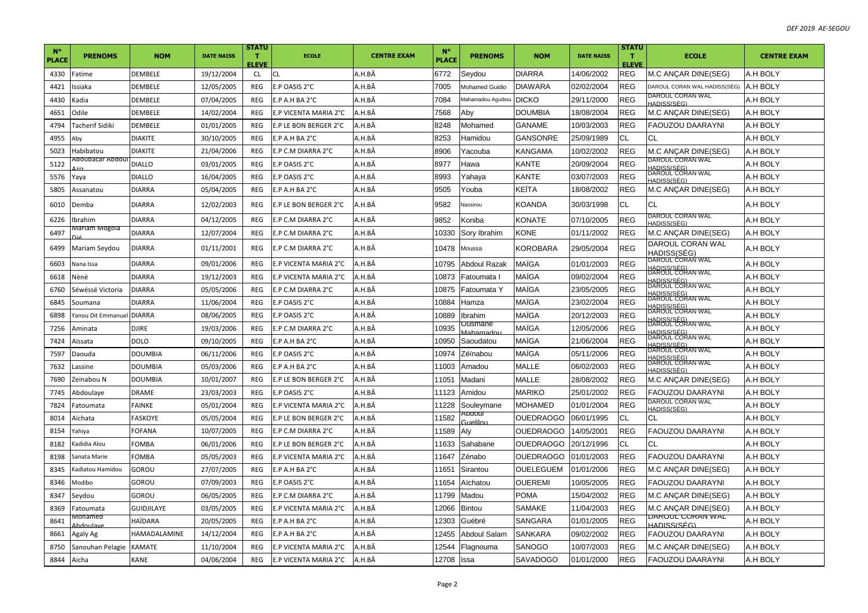| $N^{\circ}$<br>PLACE | <b>PRENOMS</b>                                                                                                                                                                                                                                                          | <b>NOM</b>        | <b>DATE NAISS</b> | <b>STATU</b><br>T.<br><b>ELEVE</b> | <b>ECOLE</b>          | <b>CENTRE EXAM</b> | $N^{\circ}$<br><b>PLACE</b> | <b>PRENOMS</b>          | <b>NOM</b>       | <b>DATE NAISS</b> | <b>STATU</b><br>$\mathbf{T}$<br><b>ELEVE</b> | <b>ECOLE</b>                                               | <b>CENTRE EXAM</b> |
|----------------------|-------------------------------------------------------------------------------------------------------------------------------------------------------------------------------------------------------------------------------------------------------------------------|-------------------|-------------------|------------------------------------|-----------------------|--------------------|-----------------------------|-------------------------|------------------|-------------------|----------------------------------------------|------------------------------------------------------------|--------------------|
| 4330                 | Fatime                                                                                                                                                                                                                                                                  | DEMBELE           | 19/12/2004        | <b>CL</b>                          | CL.                   | A.H.BÂ             | 6772                        | Seydou                  | <b>DIARRA</b>    | 14/06/2002        | <b>REG</b>                                   | M.C ANÇAR DINE(SEG)                                        | A.H BOLY           |
| 4421                 | ssiaka                                                                                                                                                                                                                                                                  | DEMBELE           | 12/05/2005        | <b>REG</b>                         | E.P OASIS 2°C         | A.H.BÂ             | 7005                        | <b>Mohamed Guidio</b>   | <b>DIAWARA</b>   | 02/02/2004        | <b>REG</b>                                   | DAROUL CORAN WAL HADISS(SÉG)                               | A.H BOLY           |
| 4430                 | <adia< td=""><td>DEMBELE</td><td>07/04/2005</td><td><b>REG</b></td><td>E.P A.H BA 2°C</td><td>A.H.BÂ</td><td>7084</td><td>Mahamadou Aguibou DICKO</td><td></td><td>29/11/2000</td><td><b>REG</b></td><td>DAROUL CORAN WAL<br/>HADISS(SÉG)</td><td>A.H BOLY</td></adia<> | DEMBELE           | 07/04/2005        | <b>REG</b>                         | E.P A.H BA 2°C        | A.H.BÂ             | 7084                        | Mahamadou Aguibou DICKO |                  | 29/11/2000        | <b>REG</b>                                   | DAROUL CORAN WAL<br>HADISS(SÉG)                            | A.H BOLY           |
| 4651                 | <b>Odile</b>                                                                                                                                                                                                                                                            | DEMBELE           | 14/02/2004        | REG                                | E.P VICENTA MARIA 2°C | A.H.BÂ             | 7568                        | Aby                     | <b>DOUMBIA</b>   | 18/08/2004        | <b>REG</b>                                   | M.C ANÇAR DINE(SEG)                                        | A.H BOLY           |
| 4794                 | <b>Tacherif Sidiki</b>                                                                                                                                                                                                                                                  | DEMBELE           | 01/01/2005        | REG                                | E.P LE BON BERGER 2°C | A.H.BÂ             | 8248                        | Mohamed                 | <b>GANAME</b>    | 10/03/2003        | <b>REG</b>                                   | <b>FAOUZOU DAARAYNI</b>                                    | A.H BOLY           |
| 4955                 | ۱by                                                                                                                                                                                                                                                                     | DIAKITE           | 30/10/2005        | REG                                | E.P A.H BA 2°C        | A.H.BÂ             | 8253                        | Hamidou                 | <b>GANSONRE</b>  | 25/09/1989        | <b>CL</b>                                    | СL                                                         | A.H BOLY           |
| 5023                 | labibatou                                                                                                                                                                                                                                                               | DIAKITE           | 21/04/2006        | <b>REG</b>                         | E.P C.M DIARRA 2°C    | A.H.BÂ             | 8906                        | Yacouba                 | <b>KANGAMA</b>   | 10/02/2002        | <b>REG</b>                                   | M.C ANÇAR DINE(SEG)                                        | A.H BOLY           |
| 5122                 | Aboubacar Abdou                                                                                                                                                                                                                                                         | <b>DIALLO</b>     | 03/01/2005        | REG                                | E.P OASIS 2°C         | A.H.BÂ             | 8977                        | Hawa                    | <b>KANTE</b>     | 20/09/2004        | <b>REG</b>                                   | DAROUL CORAN WAL<br><u>HADISS(SÉG)</u><br>DAROUL CORAN WAL | A.H BOLY           |
| 5576                 | 'aya                                                                                                                                                                                                                                                                    | DIALLO            | 16/04/2005        | REG                                | E.P OASIS 2°C         | A.H.BÄ             | 8993                        | Yahaya                  | KANTE            | 03/07/2003        | <b>REG</b>                                   | HADISS(SÉG)                                                | A.H BOLY           |
| 5805                 | Assanatou                                                                                                                                                                                                                                                               | <b>DIARRA</b>     | 05/04/2005        | REG                                | E.P A.H BA 2°C        | A.H.BÂ             | 9505                        | Youba                   | KEÏTA            | 18/08/2002        | <b>REG</b>                                   | M.C ANÇAR DINE(SEG)                                        | A.H BOLY           |
| 6010                 | Demba                                                                                                                                                                                                                                                                   | DIARRA            | 12/02/2003        | REG                                | E.P LE BON BERGER 2°C | A.H.BÂ             | 9582                        | Nassirou                | KOANDA           | 30/03/1998        | <b>CL</b>                                    | СL                                                         | A.H BOLY           |
| 6226                 | brahim                                                                                                                                                                                                                                                                  | <b>DIARRA</b>     | 04/12/2005        | REG                                | E.P C.M DIARRA 2°C    | A.H.BÂ             | 9852                        | Koniba                  | KONATE           | 07/10/2005        | <b>REG</b>                                   | DAROUL CORAN WAL<br>HADISS(SÉG)                            | A.H BOLY           |
| 6497                 | Aariam Mogola                                                                                                                                                                                                                                                           | <b>DIARRA</b>     | 12/07/2004        | REG                                | E.P C.M DIARRA 2°C    | A.H.BÂ             | 0330                        | Sory Ibrahim            | KONE             | 01/11/2002        | <b>REG</b>                                   | M.C ANÇAR DINE(SEG)                                        | A.H BOLY           |
| 6499                 | Mariam Seydou                                                                                                                                                                                                                                                           | DIARRA            | 01/11/2001        | REG                                | E.P C.M DIARRA 2°C    | A.H.BÂ             | 0478                        | Moussa                  | KOROBARA         | 29/05/2004        | <b>REG</b>                                   | DAROUL CORAN WAL<br>HADISS(SÉG)                            | A.H BOLY           |
| 6603                 | Nana Issa                                                                                                                                                                                                                                                               | <b>DIARRA</b>     | 09/01/2006        | <b>REG</b>                         | E.P VICENTA MARIA 2°C | A.H.BÂ             | 0795                        | <b>Abdoul Razak</b>     | MAÏGA            | 01/01/2003        | <b>REG</b>                                   | DAROUL CORAN WAL<br>HADISS/SÉG                             | A.H BOLY           |
| 6618                 | √ènè                                                                                                                                                                                                                                                                    | <b>DIARRA</b>     | 19/12/2003        | REG                                | E.P VICENTA MARIA 2°C | A.H.BÂ             | 10873                       | Fatoumata I             | MAÎGA            | 09/02/2004        | <b>REG</b>                                   | DAROUL CORAN WAL<br>HADISS(SÉG)                            | A.H BOLY           |
| 6760                 | Séwéssé Victoria                                                                                                                                                                                                                                                        | <b>DIARRA</b>     | 05/05/2006        | REG                                | E.P C.M DIARRA 2°C    | A.H.BÂ             | 0875                        | Fatoumata Y             | MAÏGA            | 23/05/2005        | <b>REG</b>                                   | DAROUL CORAN WAL<br><u>HADISS(SÉG)</u><br>DAROUL CORAN WAL | A.H BOLY           |
| 6845                 | Soumana                                                                                                                                                                                                                                                                 | <b>DIARRA</b>     | 11/06/2004        | REG                                | E.P OASIS 2°C         | A.H.BÂ             | 10884                       | Hamza                   | MAÏGA            | 23/02/2004        | <b>REG</b>                                   | <u>HADISS(SÉG)</u><br>DAROUL CORAN WAL                     | A.H BOLY           |
| 6898                 | anou Dit Emmanuel                                                                                                                                                                                                                                                       | <b>DIARRA</b>     | 08/06/2005        | REG                                | E.P OASIS 2°C         | A.H.BÂ             | 10889                       | Ibrahim                 | MAÏGA            | 20/12/2003        | <b>REG</b>                                   | HADISS(SÉG)                                                | A.H BOLY           |
| 7256                 | Aminata                                                                                                                                                                                                                                                                 | <b>DJIRE</b>      | 19/03/2006        | <b>REG</b>                         | E.P C.M DIARRA 2°C    | A.H.BÂ             | 0935                        | Ousmane<br>Mahamadou    | MAÏGA            | 12/05/2006        | <b>REG</b>                                   | DAROUL CORAN WAL<br><u>HADISS(SÉG)</u><br>DAROUL CORAN WAL | A.H BOLY           |
| 7424                 | Aïssata                                                                                                                                                                                                                                                                 | DOLO              | 09/10/2005        | <b>REG</b>                         | E.P A.H BA 2°C        | A.H.BÂ             | 10950                       | Saoudatou               | MAÏGA            | 21/06/2004        | <b>REG</b>                                   | <u>HADISS(SÉG)</u><br>DAROUL CORAN WAL                     | A.H BOLY           |
| 7597                 | Daouda                                                                                                                                                                                                                                                                  | DOUMBIA           | 06/11/2006        | <b>REG</b>                         | E.P OASIS 2°C         | A.H.BÂ             | 0974                        | Zéïnabou                | MAÏGA            | 05/11/2006        | <b>REG</b>                                   | HADISS(SÉG                                                 | A.H BOLY           |
| 7632                 | assine                                                                                                                                                                                                                                                                  | <b>DOUMBIA</b>    | 05/03/2006        | REG                                | E.P A.H BA 2°C        | A.H.BÂ             | 11003                       | Amadou                  | <b>MALLE</b>     | 06/02/2003        | <b>REG</b>                                   | <u>BAROUL CORAN WAL</u><br>HADISS(SÉG)                     | A.H BOLY           |
| 7690                 | Zeinabou N                                                                                                                                                                                                                                                              | DOUMBIA           | 10/01/2007        | REG                                | E.P LE BON BERGER 2°C | A.H.BÄ             | 1051                        | Madani                  | MALLE            | 28/08/2002        | <b>REG</b>                                   | M.C ANÇAR DINE(SEG)                                        | A.H BOLY           |
| 7745                 | Abdoulaye                                                                                                                                                                                                                                                               | DRAME             | 23/03/2003        | REG                                | E.P OASIS 2°C         | A.H.BÂ             | 11123                       | Amidou                  | <b>MARIKO</b>    | 25/01/2002        | <b>REG</b>                                   | FAOUZOU DAARAYNI                                           | A.H BOLY           |
| 7824                 | <sup>-</sup> atoumata                                                                                                                                                                                                                                                   | <b>FAINKE</b>     | 05/01/2004        | <b>REG</b>                         | E.P VICENTA MARIA 2°C | A.H.BÂ             | 1228                        | Souleymane              | <b>MOHAMED</b>   | 01/01/2004        | <b>REG</b>                                   | DAROUL CORAN WAL<br>HADISS(SÉG)                            | A.H BOLY           |
| 8014                 | Aïchata                                                                                                                                                                                                                                                                 | FASKOYE           | 05/05/2004        | <b>REG</b>                         | E.P LE BON BERGER 2°C | A.H.BÂ             | 1582                        | IluobdA<br>Guelilou     | <b>OUEDRAOGO</b> | 06/01/1995        | <b>CL</b>                                    | СL                                                         | A.H BOLY           |
| 8154                 | 'ahiya                                                                                                                                                                                                                                                                  | FOFANA            | 10/07/2005        | REG                                | E.P C.M DIARRA 2°C    | A.H.BÂ             | 11589                       | Aly                     | <b>OUEDRAOGO</b> | 14/05/2001        | <b>REG</b>                                   | <b>FAOUZOU DAARAYNI</b>                                    | A.H BOLY           |
| 8182                 | Gadidia Alou                                                                                                                                                                                                                                                            | FOMBA             | 06/01/2006        | REG                                | E.P LE BON BERGER 2°C | A.H.BÂ             | 11633                       | Sahabane                | <b>OUEDRAOGO</b> | 20/12/1996        | <b>CL</b>                                    | СL                                                         | A.H BOLY           |
| 8198                 | Sanata Marie                                                                                                                                                                                                                                                            | FOMBA             | 05/05/2003        | REG                                | E.P VICENTA MARIA 2°C | A.H.BÂ             | 11647                       | Zénabo                  | <b>OUEDRAOGO</b> | 01/01/2003        | <b>REG</b>                                   | <b>FAOUZOU DAARAYNI</b>                                    | A.H BOLY           |
| 8345                 | Gadiatou Hamidou                                                                                                                                                                                                                                                        | GOROU             | 27/07/2005        | REG                                | E.P A.H BA 2°C        | A.H.BÂ             | 11651                       | Sirantou                | <b>OUELEGUEM</b> | 01/01/2006        | <b>REG</b>                                   | M.C ANÇAR DINE(SEG)                                        | A.H BOLY           |
| 8346                 | Modibo                                                                                                                                                                                                                                                                  | GOROU             | 07/09/2003        | <b>REG</b>                         | E.P OASIS 2°C         | A.H.BÂ             | 11654                       | Aïchatou                | <b>OUEREMI</b>   | 10/05/2005        | <b>REG</b>                                   | FAOUZOU DAARAYNI                                           | A.H BOLY           |
| 8347                 | sevdou                                                                                                                                                                                                                                                                  | GOROU             | 06/05/2005        | REG                                | E.P C.M DIARRA 2°C    | A.H.BÂ             | 11799                       | Madou                   | <b>POMA</b>      | 15/04/2002        | <b>REG</b>                                   | M.C ANÇAR DINE(SEG)                                        | A.H BOLY           |
| 8369                 | atoumata                                                                                                                                                                                                                                                                | <b>GUIDJILAYE</b> | 03/05/2005        | <b>REG</b>                         | E.P VICENTA MARIA 2°C | A.H.BÂ             | 12066                       | <b>Bintou</b>           | <b>SAMAKE</b>    | 11/04/2003        | <b>REG</b>                                   | M.C ANÇAR DINE(SEG)                                        | A.H BOLY           |
| 8641                 | vionamed                                                                                                                                                                                                                                                                | HAÏDARA           | 20/05/2005        | REG                                | E.P A.H BA 2°C        | A.H.BÂ             | 2303                        | Guébré                  | SANGARA          | 01/01/2005        | <b>REG</b>                                   | <b>DAROUL CORAN WAL</b><br>HADISS/SÉG                      | A.H BOLY           |
| 8661                 | Agaly Ag                                                                                                                                                                                                                                                                | HAMADALAMINE      | 14/12/2004        | REG                                | E.P A.H BA 2°C        | A.H.BÂ             | 12455                       | Abdoul Salam            | SANKARA          | 09/02/2002        | <b>REG</b>                                   | FAOUZOU DAARAYNI                                           | A.H BOLY           |
| 8750                 | Sanouhan Pelagie                                                                                                                                                                                                                                                        | KAMATE            | 11/10/2004        | REG                                | E.P VICENTA MARIA 2°C | A.H.BÂ             | 2544                        | Flagnouma               | SANOGO           | 10/07/2003        | <b>REG</b>                                   | M.C ANÇAR DINE(SEG)                                        | A.H BOLY           |
| 8844                 | Aicha                                                                                                                                                                                                                                                                   | KANE              | 04/06/2004        | <b>REG</b>                         | E.P VICENTA MARIA 2°C | A.H.BÂ             | 12708                       | <b>Issa</b>             | <b>SAVADOGO</b>  | 01/01/2000        | <b>REG</b>                                   | <b>FAOUZOU DAARAYNI</b>                                    | A.H BOLY           |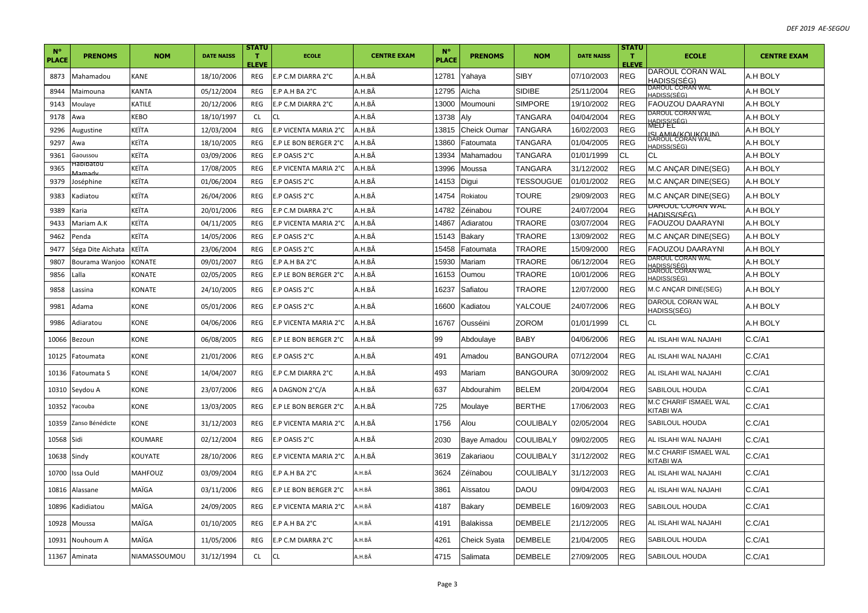| $N^{\circ}$<br>PLACE | <b>PRENOMS</b>             | <b>NOM</b>                                                                                                                                                                                                                       | <b>DATE NAISS</b> | <b>STATU</b><br>T.<br><b>ELEVE</b> | <b>ECOLE</b>              | <b>CENTRE EXAM</b> | $N^{\circ}$<br><b>PLACE</b> | <b>PRENOMS</b>      | <b>NOM</b>       | <b>DATE NAISS</b> | <b>STATU</b><br>T.<br><b>ELEVE</b> | <b>ECOLE</b>                           | <b>CENTRE EXAM</b> |
|----------------------|----------------------------|----------------------------------------------------------------------------------------------------------------------------------------------------------------------------------------------------------------------------------|-------------------|------------------------------------|---------------------------|--------------------|-----------------------------|---------------------|------------------|-------------------|------------------------------------|----------------------------------------|--------------------|
| 8873                 | Mahamadou                  | <b>KANE</b>                                                                                                                                                                                                                      | 18/10/2006        | REG                                | E.P C.M DIARRA 2°C        | A.H.BÂ             | 12781                       | Yahaya              | <b>SIBY</b>      | 07/10/2003        | <b>REG</b>                         | DAROUL CORAN WAL<br>HADISS(SEG)        | A.H BOLY           |
| 8944                 | Maimouna                   | KANTA                                                                                                                                                                                                                            | 05/12/2004        | <b>REG</b>                         | $E.P$ A.H BA $2^{\circ}C$ | A.H.BÄ             | 12795                       | Aïcha               | <b>SIDIBE</b>    | 25/11/2004        | <b>REG</b>                         | DAROUL CORAN WAL<br>HADISS(SÉG)        | A.H BOLY           |
| 9143                 | Moulaye                    | KATILE                                                                                                                                                                                                                           | 20/12/2006        | REG                                | E.P C.M DIARRA 2°C        | A.H.BÂ             | 13000                       | Moumouni            | <b>SIMPORE</b>   | 19/10/2002        | <b>REG</b>                         | <b>FAOUZOU DAARAYNI</b>                | A.H BOLY           |
| 9178                 | Awa                        | KEBO                                                                                                                                                                                                                             | 18/10/1997        | <b>CL</b>                          | CL                        | A.H.BÂ             | 3738                        | Aly                 | TANGARA          | 04/04/2004        | REG                                | DAROUL CORAN WAL<br>HADISS(SÉG)        | A.H BOLY           |
| 9296                 | Augustine                  | KEÏTA                                                                                                                                                                                                                            | 12/03/2004        | <b>REG</b>                         | E.P VICENTA MARIA 2°C     | A.H.BÂ             | 3815                        | <b>Cheick Oumar</b> | <b>TANGARA</b>   | 16/02/2003        | REG                                | MED EL<br><u>ZI VWIVROHKUHNJ</u>       | A.H BOLY           |
| 9297                 | Awa                        | KEÏTA                                                                                                                                                                                                                            | 18/10/2005        | REG                                | E.P LE BON BERGER 2°C     | A.H.BÂ             | 3860                        | Fatoumata           | TANGARA          | 01/04/2005        | REG                                | DAROUL CORAN WAL<br>HADISS(SÉG)        | A.H BOLY           |
| 9361                 | Gaoussou                   | <eïta< td=""><td>03/09/2006</td><td>REG</td><td>E.P OASIS 2°C</td><td>A.H.BÄ</td><td>3934</td><td>Mahamadou</td><td>TANGARA</td><td>01/01/1999</td><td>CL</td><td>СL</td><td>A.H BOLY</td></eïta<>                               | 03/09/2006        | REG                                | E.P OASIS 2°C             | A.H.BÄ             | 3934                        | Mahamadou           | TANGARA          | 01/01/1999        | CL                                 | СL                                     | A.H BOLY           |
| 9365                 | iabibatou<br><u>Aamadi</u> | <eïta< td=""><td>17/08/2005</td><td>REG</td><td>E.P VICENTA MARIA 2°C</td><td>A.H.BÂ</td><td>3996</td><td>Moussa</td><td>TANGARA</td><td>31/12/2002</td><td><b>REG</b></td><td>M.C ANÇAR DINE(SEG)</td><td>A.H BOLY</td></eïta<> | 17/08/2005        | REG                                | E.P VICENTA MARIA 2°C     | A.H.BÂ             | 3996                        | Moussa              | TANGARA          | 31/12/2002        | <b>REG</b>                         | M.C ANÇAR DINE(SEG)                    | A.H BOLY           |
| 9379                 | Joséphine                  | <eïta< td=""><td>01/06/2004</td><td>REG</td><td>E.P OASIS 2°C</td><td>A.H.BÂ</td><td>14153</td><td>Digui</td><td>TESSOUGUE</td><td>01/01/2002</td><td><b>REG</b></td><td>M.C ANÇAR DINE(SEG)</td><td>A.H BOLY</td></eïta<>       | 01/06/2004        | REG                                | E.P OASIS 2°C             | A.H.BÂ             | 14153                       | Digui               | TESSOUGUE        | 01/01/2002        | <b>REG</b>                         | M.C ANÇAR DINE(SEG)                    | A.H BOLY           |
| 9383                 | Kadiatou                   | KEÏTA                                                                                                                                                                                                                            | 26/04/2006        | REG                                | E.P OASIS 2°C             | A.H.BÂ             | 14754                       | Rokiatou            | <b>TOURE</b>     | 29/09/2003        | <b>REG</b>                         | M.C ANÇAR DINE(SEG)                    | A.H BOLY           |
| 9389                 | Karia                      | KEÏTA                                                                                                                                                                                                                            | 20/01/2006        | <b>REG</b>                         | E.P C.M DIARRA 2°C        | A.H.BÄ             | 14782                       | Zéinabou            | <b>TOURE</b>     | 24/07/2004        | <b>REG</b>                         | DAROUL CORAN WAL<br><u>HADISS(SÉG)</u> | A.H BOLY           |
| 9433                 | Mariam A.K                 | (EÏTA                                                                                                                                                                                                                            | 04/11/2005        | REG                                | E.P VICENTA MARIA 2°C     | A.H.BÂ             | 14867                       | Adiaratou           | TRAORE           | 03/07/2004        | <b>REG</b>                         | FAOUZOU DAARAYNI                       | A.H BOLY           |
| 9462                 | Penda                      | <eïta< td=""><td>14/05/2006</td><td>REG</td><td>E.P OASIS 2°C</td><td>A.H.BÂ</td><td>15143</td><td><b>Bakary</b></td><td>TRAORE</td><td>13/09/2002</td><td>REG</td><td>M.C ANÇAR DINE(SEG)</td><td>A.H BOLY</td></eïta<>         | 14/05/2006        | REG                                | E.P OASIS 2°C             | A.H.BÂ             | 15143                       | <b>Bakary</b>       | TRAORE           | 13/09/2002        | REG                                | M.C ANÇAR DINE(SEG)                    | A.H BOLY           |
| 9477                 | Séga Dite Aïchata          | KEÏTA                                                                                                                                                                                                                            | 23/06/2004        | REG                                | E.P OASIS 2°C             | A.H.BÂ             | 15458                       | Fatoumata           | TRAORE           | 15/09/2000        | REG                                | FAOUZOU DAARAYNI                       | A.H BOLY           |
| 9807                 | Bourama Wanjoo             | <b>CONATE</b>                                                                                                                                                                                                                    | 09/01/2007        | <b>REG</b>                         | E.P A.H BA 2°C            | A.H.BÂ             | 15930                       | Mariam              | <b>TRAORE</b>    | 06/12/2004        | <b>REG</b>                         | DAROUL CORAN WAL<br>HADISS/SÉG         | A.H BOLY           |
| 9856                 | Lalla                      | <b>CONATE</b>                                                                                                                                                                                                                    | 02/05/2005        | REG                                | E.P LE BON BERGER 2°C     | A.H.BÂ             | 16153                       | Oumou               | TRAORE           | 10/01/2006        | REG                                | DAROUL CORAN WAL<br>HADISS(SÉG)        | A.H BOLY           |
| 9858                 | Lassina                    | <b>CONATE</b>                                                                                                                                                                                                                    | 24/10/2005        | REG                                | E.P OASIS 2°C             | A.H.BÄ             | 6237                        | Safiatou            | <b>TRAORE</b>    | 12/07/2000        | <b>REG</b>                         | M.C ANÇAR DINE(SEG)                    | A.H BOLY           |
| 9981                 | Adama                      | <b>CONE</b>                                                                                                                                                                                                                      | 05/01/2006        | REG                                | E.P OASIS 2°C             | A.H.BÂ             | 16600                       | Kadiatou            | YALCOUE          | 24/07/2006        | REG                                | DAROUL CORAN WAL<br>HADISS(SÉG)        | A.H BOLY           |
| 9986                 | Adiaratou                  | <b>ONE</b>                                                                                                                                                                                                                       | 04/06/2006        | REG                                | E.P VICENTA MARIA 2°C     | A.H.BÂ             | 16767                       | Ousséini            | ZOROM            | 01/01/1999        | <b>CL</b>                          | СL                                     | A.H BOLY           |
| 10066                | Bezoun                     | <b>CONE</b>                                                                                                                                                                                                                      | 06/08/2005        | REG                                | E.P LE BON BERGER 2°C     | A.H.BÂ             | 99                          | Abdoulaye           | <b>BABY</b>      | 04/06/2006        | REG                                | AL ISLAHI WAL NAJAHI                   | C.C/A1             |
| 10125                | Fatoumata                  | <b>CONE</b>                                                                                                                                                                                                                      | 21/01/2006        | REG                                | E.P OASIS 2°C             | A.H.BÂ             | 491                         | Amadou              | <b>BANGOURA</b>  | 07/12/2004        | <b>REG</b>                         | AL ISLAHI WAL NAJAHI                   | C.C/A1             |
| 10136                | Fatoumata S                | <b>ONE</b>                                                                                                                                                                                                                       | 14/04/2007        | REG                                | E.P C.M DIARRA 2°C        | A.H.BÄ             | 493                         | Mariam              | <b>BANGOURA</b>  | 30/09/2002        | REG                                | AL ISLAHI WAL NAJAHI                   | C.C/A1             |
| 10310                | Seydou A                   | <b>CONE</b>                                                                                                                                                                                                                      | 23/07/2006        | REG                                | A DAGNON 2°C/A            | A.H.BÂ             | 637                         | Abdourahim          | <b>BELEM</b>     | 20/04/2004        | REG                                | SABILOUL HOUDA                         | C.C/A1             |
| 10352                | Yacouba                    | <b>ONE</b>                                                                                                                                                                                                                       | 13/03/2005        | <b>REG</b>                         | E.P LE BON BERGER 2°C     | A.H.BÄ             | 725                         | Moulaye             | <b>BERTHE</b>    | 17/06/2003        | <b>REG</b>                         | M.C CHARIF ISMAEL WAL<br>KITABI WA     | C.C/A1             |
| 10359                | Zanso Bénédicte            | <b>ONE</b>                                                                                                                                                                                                                       | 31/12/2003        | REG                                | E.P VICENTA MARIA 2°C     | A.H.BÂ             | 1756                        | Alou                | COULIBALY        | 02/05/2004        | REG                                | SABILOUL HOUDA                         | C.C/A1             |
| 10568                | Sidi                       | KOUMARE                                                                                                                                                                                                                          | 02/12/2004        | REG                                | E.P OASIS 2°C             | A.H.BÂ             | 2030                        | Baye Amadou         | <b>COULIBALY</b> | 09/02/2005        | <b>REG</b>                         | AL ISLAHI WAL NAJAHI                   | C.C/A1             |
| 10638 Sindy          |                            | <b>COUYATE</b>                                                                                                                                                                                                                   | 28/10/2006        | REG                                | E.P VICENTA MARIA 2°C     | A.H.BÂ             | 3619                        | Zakariaou           | COULIBALY        | 31/12/2002        | <b>REG</b>                         | M.C CHARIF ISMAEL WAL<br>KITABI WA     | C.C/A1             |
| 10700                | Issa Ould                  | MAHFOUZ                                                                                                                                                                                                                          | 03/09/2004        | REG                                | E.P A.H BA 2°C            | A.H.BÂ             | 3624                        | Zéïnabou            | COULIBALY        | 31/12/2003        | REG                                | AL ISLAHI WAL NAJAHI                   | C.C/A1             |
| 10816                | Alassane                   | MAÏGA                                                                                                                                                                                                                            | 03/11/2006        | <b>REG</b>                         | E.P LE BON BERGER 2°C     | A.H.BÂ             | 3861                        | Aïssatou            | <b>DAOU</b>      | 09/04/2003        | <b>REG</b>                         | AL ISLAHI WAL NAJAHI                   | C.C/A1             |
| 10896                | Kadidiatou                 | MAÏGA                                                                                                                                                                                                                            | 24/09/2005        | REG                                | E.P VICENTA MARIA 2°C     | A.H.BÂ             | 4187                        | Bakary              | <b>DEMBELE</b>   | 16/09/2003        | REG                                | SABILOUL HOUDA                         | C.C/A1             |
| 10928                | Moussa                     | MAÏGA                                                                                                                                                                                                                            | 01/10/2005        | REG                                | E.P A.H BA 2°C            | A.H.BÂ             | 4191                        | Balakissa           | <b>DEMBELE</b>   | 21/12/2005        | <b>REG</b>                         | AL ISLAHI WAL NAJAHI                   | C.C/A1             |
| 10931                | Nouhoum A                  | MAÏGA                                                                                                                                                                                                                            | 11/05/2006        | REG                                | E.P C.M DIARRA 2°C        | A.H.BÂ             | 4261                        | Cheick Syata        | <b>DEMBELE</b>   | 21/04/2005        | REG                                | SABILOUL HOUDA                         | C.C/A1             |
|                      | 11367 Aminata              | NIAMASSOUMOU                                                                                                                                                                                                                     | 31/12/1994        | <b>CL</b>                          | <b>CL</b>                 | A.H.BÂ             | 4715                        | Salimata            | <b>DEMBELE</b>   | 27/09/2005        | <b>REG</b>                         | SABILOUL HOUDA                         | C.C/A1             |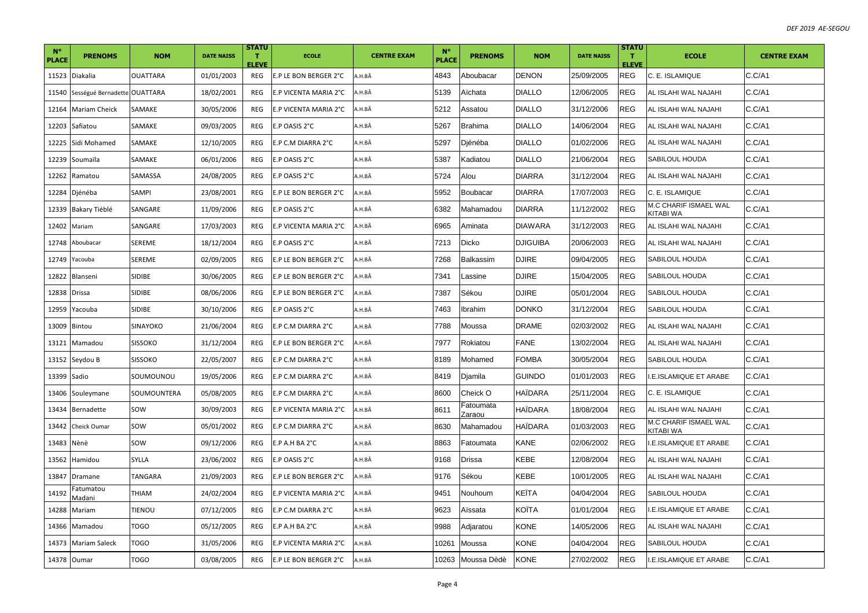| $N^{\circ}$<br><b>PLACE</b> | <b>PRENOMS</b>               | <b>NOM</b>      | <b>DATE NAISS</b> | <b>STATU</b><br>т<br><b>ELEVE</b> | <b>ECOLE</b>          | <b>CENTRE EXAM</b> | $N^{\circ}$<br>PLACE | <b>PRENOMS</b>      | <b>NOM</b>      | <b>DATE NAISS</b> | <b>STATU</b><br>т<br><b>ELEVE</b> | <b>ECOLE</b>                              | <b>CENTRE EXAM</b> |
|-----------------------------|------------------------------|-----------------|-------------------|-----------------------------------|-----------------------|--------------------|----------------------|---------------------|-----------------|-------------------|-----------------------------------|-------------------------------------------|--------------------|
| 11523                       | Diakalia                     | <b>OUATTARA</b> | 01/01/2003        | REG                               | E.P LE BON BERGER 2°C | A.H.BÂ             | 4843                 | Aboubacar           | <b>DENON</b>    | 25/09/2005        | REG                               | C. E. ISLAMIQUE                           | C.C/A1             |
| 11540                       | Sességué Bernadette OUATTARA |                 | 18/02/2001        | REG                               | E.P VICENTA MARIA 2°C | A.H.BÂ             | 5139                 | Aïchata             | <b>DIALLO</b>   | 12/06/2005        | <b>REG</b>                        | AL ISLAHI WAL NAJAHI                      | C.C/A1             |
| 12164                       | <b>Mariam Cheick</b>         | SAMAKE          | 30/05/2006        | REG                               | E.P VICENTA MARIA 2°C | A.H.BÂ             | 5212                 | Assatou             | <b>DIALLO</b>   | 31/12/2006        | <b>REG</b>                        | AL ISLAHI WAL NAJAHI                      | C.C/A1             |
| 12203                       | Safiatou                     | SAMAKE          | 09/03/2005        | REG                               | E.P OASIS 2°C         | A.H.BÂ             | 5267                 | <b>Brahima</b>      | <b>DIALLO</b>   | 14/06/2004        | <b>REG</b>                        | AL ISLAHI WAL NAJAHI                      | C.C/A1             |
| 12225                       | Sidi Mohamed                 | SAMAKE          | 12/10/2005        | REG                               | E.P C.M DIARRA 2°C    | A.H.BÂ             | 5297                 | Djénéba             | <b>DIALLO</b>   | 01/02/2006        | <b>REG</b>                        | AL ISLAHI WAL NAJAHI                      | C.C/A1             |
| 12239                       | Soumaïla                     | SAMAKE          | 06/01/2006        | REG                               | E.P OASIS 2°C         | A.H.BÂ             | 5387                 | Kadiatou            | <b>DIALLO</b>   | 21/06/2004        | <b>REG</b>                        | <b>SABILOUL HOUDA</b>                     | C.C/A1             |
|                             | 12262 Ramatou                | SAMASSA         | 24/08/2005        | REG                               | E.P OASIS 2°C         | A.H.BÂ             | 5724                 | Alou                | <b>DIARRA</b>   | 31/12/2004        | <b>REG</b>                        | AL ISLAHI WAL NAJAHI                      | C.C/A1             |
| 12284                       | Djénéba                      | SAMPI           | 23/08/2001        | REG                               | E.P LE BON BERGER 2°C | A.H.BÂ             | 5952                 | Boubacar            | <b>DIARRA</b>   | 17/07/2003        | <b>REG</b>                        | C. E. ISLAMIQUE                           | C.C/A1             |
| 12339                       | Bakary Tiéblé                | SANGARE         | 11/09/2006        | REG                               | E.P OASIS 2°C         | A.H.BÂ             | 6382                 | Mahamadou           | <b>DIARRA</b>   | 11/12/2002        | <b>REG</b>                        | M.C CHARIF ISMAEL WAL<br><b>KITABI WA</b> | C.C/A1             |
| 12402 Mariam                |                              | SANGARE         | 17/03/2003        | REG                               | E.P VICENTA MARIA 2°C | A.H.BÂ             | 6965                 | Aminata             | <b>DIAWARA</b>  | 31/12/2003        | <b>REG</b>                        | AL ISLAHI WAL NAJAHI                      | C.C/A1             |
| 12748                       | Aboubacar                    | SEREME          | 18/12/2004        | REG                               | E.P OASIS 2°C         | A.H.BÂ             | 7213                 | Dicko               | <b>DJIGUIBA</b> | 20/06/2003        | <b>REG</b>                        | AL ISLAHI WAL NAJAHI                      | C.C/A1             |
| 12749                       | Yacouba                      | SEREME          | 02/09/2005        | REG                               | E.P LE BON BERGER 2°C | A.H.BÂ             | 7268                 | Balkassim           | <b>DJIRE</b>    | 09/04/2005        | <b>REG</b>                        | SABILOUL HOUDA                            | C.C/A1             |
| 12822                       | Blanseni                     | <b>SIDIBE</b>   | 30/06/2005        | REG                               | E.P LE BON BERGER 2°C | A.H.BÂ             | 7341                 | Lassine             | <b>DJIRE</b>    | 15/04/2005        | <b>REG</b>                        | SABILOUL HOUDA                            | C.C/A1             |
| 12838                       | <b>Drissa</b>                | SIDIBE          | 08/06/2006        | REG                               | E.P LE BON BERGER 2°C | A.H.BÂ             | 7387                 | Sékou               | <b>DJIRE</b>    | 05/01/2004        | REG                               | SABILOUL HOUDA                            | C.C/A1             |
| 12959                       | Yacouba                      | SIDIBE          | 30/10/2006        | REG                               | E.P OASIS 2°C         | A.H.BÂ             | 7463                 | Ibrahim             | <b>DONKO</b>    | 31/12/2004        | <b>REG</b>                        | <b>SABILOUL HOUDA</b>                     | C.C/A1             |
| 13009                       | Bintou                       | SINAYOKO        | 21/06/2004        | REG                               | E.P C.M DIARRA 2°C    | A.H.BÂ             | 7788                 | Moussa              | <b>DRAME</b>    | 02/03/2002        | <b>REG</b>                        | AL ISLAHI WAL NAJAHI                      | C.C/A1             |
| 13121                       | Mamadou                      | <b>SISSOKO</b>  | 31/12/2004        | REG                               | E.P LE BON BERGER 2°C | A.H.BÂ             | 7977                 | Rokiatou            | <b>FANE</b>     | 13/02/2004        | <b>REG</b>                        | AL ISLAHI WAL NAJAHI                      | C.C/A1             |
|                             | 13152 Seydou B               | SISSOKO         | 22/05/2007        | REG                               | E.P C.M DIARRA 2°C    | A.H.BÂ             | 8189                 | Mohamed             | FOMBA           | 30/05/2004        | <b>REG</b>                        | <b>SABILOUL HOUDA</b>                     | C.C/A1             |
| 13399 Sadio                 |                              | SOUMOUNOU       | 19/05/2006        | REG                               | E.P C.M DIARRA 2°C    | A.H.BÂ             | 8419                 | Djamila             | <b>GUINDO</b>   | 01/01/2003        | <b>REG</b>                        | .E.ISLAMIQUE ET ARABE                     | C.C/A1             |
| 13406                       | Souleymane                   | SOUMOUNTERA     | 05/08/2005        | REG                               | E.P C.M DIARRA 2°C    | A.H.BÂ             | 8600                 | Cheick O            | HAÏDARA         | 25/11/2004        | <b>REG</b>                        | C. E. ISLAMIQUE                           | C.C/A1             |
| 13434                       | Bernadette                   | SOW             | 30/09/2003        | REG                               | E.P VICENTA MARIA 2°C | A.H.BÂ             | 8611                 | Fatoumata<br>Zaraou | HAÏDARA         | 18/08/2004        | REG                               | AL ISLAHI WAL NAJAHI                      | C.C/A1             |
| 13442                       | Cheick Oumar                 | sow             | 05/01/2002        | REG                               | E.P C.M DIARRA 2°C    | A.H.BÂ             | 8630                 | Mahamadou           | HAÏDARA         | 01/03/2003        | <b>REG</b>                        | M.C CHARIF ISMAEL WAL<br>KITABI WA        | C.C/A1             |
| 13483                       | Nènè                         | SOW             | 09/12/2006        | REG                               | E.P A.H BA 2°C        | A.H.BÂ             | 8863                 | Fatoumata           | <b>KANE</b>     | 02/06/2002        | <b>REG</b>                        | .E.ISLAMIQUE ET ARABE                     | C.C/A1             |
| 13562                       | Hamidou                      | SYLLA           | 23/06/2002        | REG                               | E.P OASIS 2°C         | A.H.BÂ             | 9168                 | Drissa              | KEBE            | 12/08/2004        | <b>REG</b>                        | AL ISLAHI WAL NAJAHI                      | C.C/A1             |
| 13847                       | Dramane                      | TANGARA         | 21/09/2003        | REG                               | E.P LE BON BERGER 2°C | A.H.BÂ             | 9176                 | Sékou               | KEBE            | 10/01/2005        | <b>REG</b>                        | AL ISLAHI WAL NAJAHI                      | C.C/A1             |
| 14192                       | Fatumatou<br>Madani          | THIAM           | 24/02/2004        | REG                               | E.P VICENTA MARIA 2°C | A.H.BÂ             | 9451                 | Nouhoum             | KEÏTA           | 04/04/2004        | <b>REG</b>                        | SABILOUL HOUDA                            | C.C/A1             |
| 14288                       | Mariam                       | TIENOU          | 07/12/2005        | REG                               | E.P C.M DIARRA 2°C    | A.H.BÂ             | 9623                 | Aïssata             | KOÎTA           | 01/01/2004        | <b>REG</b>                        | <b>I.E.ISLAMIQUE ET ARABE</b>             | C.C/A1             |
| 14366                       | Mamadou                      | <b>TOGO</b>     | 05/12/2005        | REG                               | E.P A.H BA 2°C        | A.H.BÂ             | 9988                 | Adjaratou           | <b>KONE</b>     | 14/05/2006        | <b>REG</b>                        | AL ISLAHI WAL NAJAHI                      | C.C/A1             |
| 14373                       | <b>Mariam Saleck</b>         | TOGO            | 31/05/2006        | REG                               | E.P VICENTA MARIA 2°C | A.H.BÂ             | 10261                | Moussa              | KONE            | 04/04/2004        | REG                               | SABILOUL HOUDA                            | C.C/A1             |
| 14378 Oumar                 |                              | TOGO            | 03/08/2005        | REG                               | E.P LE BON BERGER 2°C | A.H.BÂ             | 10263                | Moussa Dèdè         | KONE            | 27/02/2002        | <b>REG</b>                        | .E.ISLAMIQUE ET ARABE                     | C.C/A1             |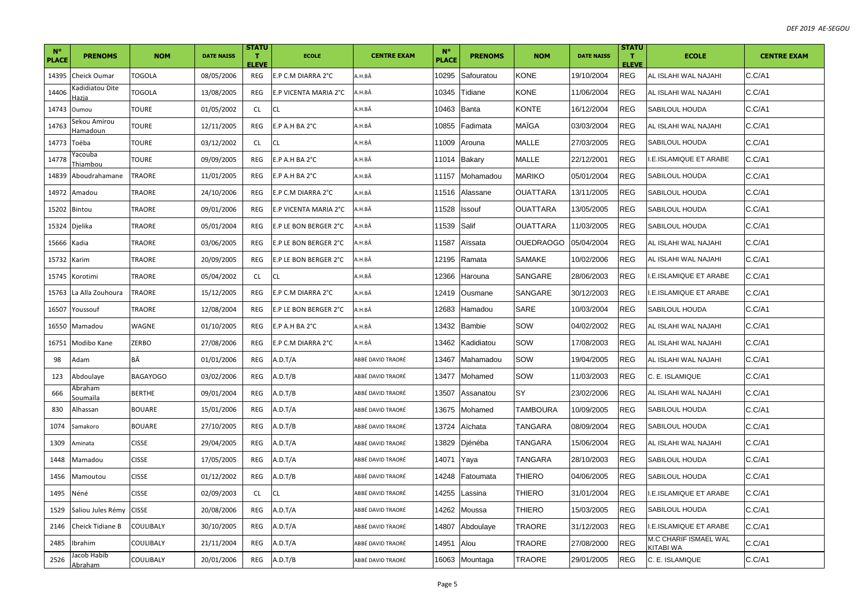| $N^{\circ}$<br>PLACE | <b>PRENOMS</b>                  | <b>NOM</b>      | <b>DATE NAISS</b> | <b>STATU</b><br>$\mathbf{T}$<br><b>ELEVE</b> | <b>ECOLE</b>          | <b>CENTRE EXAM</b> | $N^{\circ}$<br><b>PLACE</b> | <b>PRENOMS</b> | <b>NOM</b>       | <b>DATE NAISS</b> | <b>STATU</b><br>$\mathbf{T}$<br><b>ELEVE</b> | <b>ECOLE</b>                       | <b>CENTRE EXAM</b> |
|----------------------|---------------------------------|-----------------|-------------------|----------------------------------------------|-----------------------|--------------------|-----------------------------|----------------|------------------|-------------------|----------------------------------------------|------------------------------------|--------------------|
| 14395                | Cheick Oumar                    | TOGOLA          | 08/05/2006        | REG                                          | E.P C.M DIARRA 2°C    | A.H.BÂ             | 10295                       | Safouratou     | <b>KONE</b>      | 19/10/2004        | REG                                          | AL ISLAHI WAL NAJAHI               | C.C/A1             |
| 14406                | Gadidiatou Dite<br>lazia        | TOGOLA          | 13/08/2005        | REG                                          | E.P VICENTA MARIA 2°C | A.H.BÂ             | 0345                        | Tidiane        | <b>KONE</b>      | 11/06/2004        | <b>REG</b>                                   | AL ISLAHI WAL NAJAHI               | C.C/A1             |
| 14743                | Oumou                           | TOURE           | 01/05/2002        | <b>CL</b>                                    | CL                    | A.H.BÂ             | 10463                       | Banta          | <b>KONTE</b>     | 16/12/2004        | <b>REG</b>                                   | SABILOUL HOUDA                     | C.C/A1             |
| 14763                | Sekou Amirou<br><u>Iamadoun</u> | TOURE           | 12/11/2005        | REG                                          | E.P A.H BA 2°C        | A.H.BÂ             | 10855                       | Fadimata       | MAÏGA            | 03/03/2004        | <b>REG</b>                                   | AL ISLAHI WAL NAJAHI               | C.C/A1             |
| 14773                | Toëba                           | TOURE           | 03/12/2002        | CL.                                          | CL                    | A.H.BÂ             | 11009                       | Arouna         | <b>MALLE</b>     | 27/03/2005        | <b>REG</b>                                   | SABILOUL HOUDA                     | C.C/A1             |
| 14778                | 'acouba<br>Thiambou             | TOURE           | 09/09/2005        | REG                                          | E.P A.H BA 2°C        | A.H.BÂ             | 11014                       | Bakary         | <b>MALLE</b>     | 22/12/2001        | <b>REG</b>                                   | <b>I.E.ISLAMIQUE ET ARABE</b>      | C.C/A1             |
| 14839                | Aboudrahamane                   | <b>TRAORE</b>   | 11/01/2005        | REG                                          | E.P A.H BA 2°C        | A.H.BÂ             | 11157                       | Mohamadou      | <b>MARIKO</b>    | 05/01/2004        | <b>REG</b>                                   | SABILOUL HOUDA                     | C.C/A1             |
|                      | 14972 Amadou                    | TRAORE          | 24/10/2006        | REG                                          | E.P C.M DIARRA 2°C    | A.H.BÂ             | 1516                        | Alassane       | <b>OUATTARA</b>  | 13/11/2005        | <b>REG</b>                                   | SABILOUL HOUDA                     | C.C/A1             |
| 15202                | Bintou                          | TRAORE          | 09/01/2006        | REG                                          | E.P VICENTA MARIA 2°C | A.H.BÂ             | 11528                       | Issouf         | <b>OUATTARA</b>  | 13/05/2005        | REG                                          | SABILOUL HOUDA                     | C.C/A1             |
| 15324                | Djelika                         | TRAORE          | 05/01/2004        | REG                                          | E.P LE BON BERGER 2°C | A.H.BÂ             | 11539                       | Salif          | <b>OUATTARA</b>  | 11/03/2005        | <b>REG</b>                                   | SABILOUL HOUDA                     | C.C/A1             |
| 15666 Kadia          |                                 | TRAORE          | 03/06/2005        | REG                                          | E.P LE BON BERGER 2°C | A.H.BÂ             | 1587                        | Aïssata        | <b>OUEDRAOGO</b> | 05/04/2004        | <b>REG</b>                                   | AL ISLAHI WAL NAJAHI               | C.C/A1             |
| 15732                | Karim                           | TRAORE          | 20/09/2005        | REG                                          | E.P LE BON BERGER 2°C | A.H.BÂ             | 2195                        | Ramata         | <b>SAMAKE</b>    | 10/02/2006        | <b>REG</b>                                   | AL ISLAHI WAL NAJAHI               | C.C/A1             |
| 15745                | Korotimi                        | TRAORE          | 05/04/2002        | <b>CL</b>                                    | CL                    | A.H.BÂ             | 2366                        | Harouna        | SANGARE          | 28/06/2003        | <b>REG</b>                                   | I.E.ISLAMIQUE ET ARABE             | C.C/A1             |
| 15763                | La Alla Zouhoura                | TRAORE          | 15/12/2005        | REG                                          | E.P C.M DIARRA 2°C    | A.H.BÂ             | 2419                        | Ousmane        | SANGARE          | 30/12/2003        | <b>REG</b>                                   | I.E.ISLAMIQUE ET ARABE             | C.C/A1             |
| 16507                | Youssouf                        | TRAORE          | 12/08/2004        | REG                                          | E.P LE BON BERGER 2°C | A.H.BÂ             | 12683                       | Hamadou        | <b>SARE</b>      | 10/03/2004        | <b>REG</b>                                   | <b>SABILOUL HOUDA</b>              | C.C/A1             |
| 16550                | Mamadou                         | WAGNE           | 01/10/2005        | <b>REG</b>                                   | E.P A.H BA 2°C        | A.H.BÂ             | 13432                       | <b>Bambie</b>  | SOW              | 04/02/2002        | <b>REG</b>                                   | AL ISLAHI WAL NAJAHI               | C.C/A1             |
| 16751                | Modibo Kane                     | ZERBO           | 27/08/2006        | REG                                          | E.P C.M DIARRA 2°C    | A.H.BÂ             | 13462                       | Kadidiatou     | SOW              | 17/08/2003        | <b>REG</b>                                   | AL ISLAHI WAL NAJAHI               | C.C/A1             |
| 98                   | Adam                            | BÂ              | 01/01/2006        | REG                                          | A.D.T/A               | ABBÉ DAVID TRAORÉ  | 13467                       | Mahamadou      | SOW              | 19/04/2005        | <b>REG</b>                                   | AL ISLAHI WAL NAJAHI               | C.C/A1             |
| 123                  | Abdoulaye                       | <b>BAGAYOGO</b> | 03/02/2006        | REG                                          | A.D.T/B               | ABBÉ DAVID TRAORÉ  | 3477                        | Mohamed        | SOW              | 11/03/2003        | <b>REG</b>                                   | C. E. ISLAMIQUE                    | C.C/A1             |
| 666                  | <b>\braham</b><br>ioumaïla      | BERTHE          | 09/01/2004        | <b>REG</b>                                   | A.D.T/B               | ABBÉ DAVID TRAORÉ  | 13507                       | Assanatou      | SY               | 23/02/2006        | <b>REG</b>                                   | AL ISLAHI WAL NAJAHI               | C.C/A1             |
| 830                  | Alhassan                        | <b>BOUARE</b>   | 15/01/2006        | REG                                          | A.D.T/A               | ABBÉ DAVID TRAORÉ  | 13675                       | Mohamed        | <b>TAMBOURA</b>  | 10/09/2005        | <b>REG</b>                                   | SABILOUL HOUDA                     | C.C/A1             |
| 1074                 | Samakoro                        | BOUARE          | 27/10/2005        | <b>REG</b>                                   | A.D.T/B               | ABBÉ DAVID TRAORÉ  | 13724                       | Aïchata        | TANGARA          | 08/09/2004        | <b>REG</b>                                   | SABILOUL HOUDA                     | C.C/A1             |
| 1309                 | Aminata                         | <b>CISSE</b>    | 29/04/2005        | REG                                          | A.D.T/A               | ABBÉ DAVID TRAORÉ  | 3829                        | Djénéba        | TANGARA          | 15/06/2004        | <b>REG</b>                                   | AL ISLAHI WAL NAJAHI               | C.C/A1             |
| 1448                 | Mamadou                         | <b>CISSE</b>    | 17/05/2005        | REG                                          | A.D.T/A               | ABBÉ DAVID TRAORÉ  | 14071                       | Yaya           | <b>TANGARA</b>   | 28/10/2003        | <b>REG</b>                                   | SABILOUL HOUDA                     | C.C/A1             |
| 1456                 | Mamoutou                        | <b>CISSE</b>    | 01/12/2002        | REG                                          | A.D.T/B               | ABBÉ DAVID TRAORÉ  | 4248                        | Fatoumata      | THIERO           | 04/06/2005        | <b>REG</b>                                   | SABILOUL HOUDA                     | C.C/A1             |
| 1495                 | Néné                            | <b>CISSE</b>    | 02/09/2003        | <b>CL</b>                                    | CL                    | ABBÉ DAVID TRAORÉ  | 4255                        | Lassina        | THIERO           | 31/01/2004        | <b>REG</b>                                   | <b>.E.ISLAMIQUE ET ARABE</b>       | C.C/A1             |
| 1529                 | Saliou Jules Rémy               | <b>CISSE</b>    | 20/08/2006        | REG                                          | A.D.T/A               | ABBÉ DAVID TRAORÉ  | 14262                       | Moussa         | THIERO           | 15/03/2005        | <b>REG</b>                                   | SABILOUL HOUDA                     | C.C/A1             |
| 2146                 | Cheick Tidiane B                | COULIBALY       | 30/10/2005        | REG                                          | A.D.T/A               | ABBÉ DAVID TRAORÉ  | 14807                       | Abdoulaye      | TRAORE           | 31/12/2003        | <b>REG</b>                                   | <b>.E.ISLAMIQUE ET ARABE</b>       | C.C/A1             |
| 2485                 | Ibrahim                         | COULIBALY       | 21/11/2004        | REG                                          | A.D.T/A               | ABBÉ DAVID TRAORÉ  | 14951                       | Alou           | TRAORE           | 27/08/2000        | <b>REG</b>                                   | M.C CHARIF ISMAEL WAL<br>KITABI WA | C.C/A1             |
| 2526                 | acob Habib<br>Abraham           | COULIBALY       | 20/01/2006        | REG                                          | A.D.T/B               | ABBÉ DAVID TRAORÉ  |                             | 16063 Mountaga | TRAORE           | 29/01/2005        | <b>REG</b>                                   | C. E. ISLAMIQUE                    | C.C/A1             |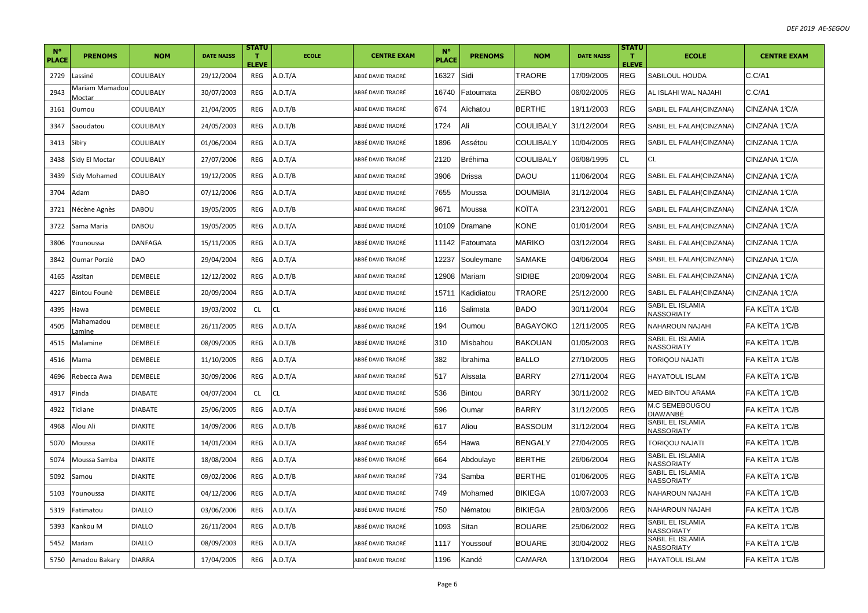| $N^{\circ}$<br><b>PLACE</b> | <b>PRENOMS</b>            | <b>NOM</b>     | <b>DATE NAISS</b> | <b>STATU</b><br>т<br><b>ELEVE</b> | <b>ECOLE</b> | <b>CENTRE EXAM</b> | $N^{\circ}$<br><b>PLACE</b> | <b>PRENOMS</b> | <b>NOM</b>      | <b>DATE NAISS</b> | <b>STATU</b><br>т<br><b>ELEVE</b> | <b>ECOLE</b>                          | <b>CENTRE EXAM</b> |
|-----------------------------|---------------------------|----------------|-------------------|-----------------------------------|--------------|--------------------|-----------------------------|----------------|-----------------|-------------------|-----------------------------------|---------------------------------------|--------------------|
| 2729                        | Lassiné                   | COULIBALY      | 29/12/2004        | REG                               | A.D.T/A      | ABBÉ DAVID TRAORÉ  | 16327                       | Sidi           | TRAORE          | 17/09/2005        | <b>REG</b>                        | SABILOUL HOUDA                        | C.C/A1             |
| 2943                        | Vlariam Mamadou<br>Moctar | COULIBALY      | 30/07/2003        | REG                               | A.D.T/A      | ABBÉ DAVID TRAORÉ  | 16740                       | Fatoumata      | ZERBO           | 06/02/2005        | <b>REG</b>                        | AL ISLAHI WAL NAJAHI                  | C.C/A1             |
| 3161                        | Oumou                     | COULIBALY      | 21/04/2005        | REG                               | A.D.T/B      | ABBÉ DAVID TRAORÉ  | 674                         | Aïchatou       | <b>BERTHE</b>   | 19/11/2003        | <b>REG</b>                        | SABIL EL FALAH(CINZANA)               | CINZANA 1°C/A      |
| 3347                        | Saoudatou                 | COULIBALY      | 24/05/2003        | REG                               | A.D.T/B      | ABBÉ DAVID TRAORÉ  | 1724                        | Ali            | COULIBALY       | 31/12/2004        | <b>REG</b>                        | SABIL EL FALAH(CINZANA)               | CINZANA 1°C/A      |
| 3413                        | Sibiry                    | COULIBALY      | 01/06/2004        | REG                               | A.D.T/A      | ABBÉ DAVID TRAORÉ  | 1896                        | Assétou        | COULIBALY       | 10/04/2005        | <b>REG</b>                        | SABIL EL FALAH(CINZANA)               | CINZANA 1°C/A      |
| 3438                        | Sidy El Moctar            | COULIBALY      | 27/07/2006        | REG                               | A.D.T/A      | ABBÉ DAVID TRAORÉ  | 2120                        | Bréhima        | COULIBALY       | 06/08/1995        | <b>CL</b>                         | СL                                    | CINZANA 1°C/A      |
| 3439                        | Sidy Mohamed              | COULIBALY      | 19/12/2005        | REG                               | A.D.T/B      | ABBÉ DAVID TRAORÉ  | 3906                        | Drissa         | <b>DAOU</b>     | 11/06/2004        | <b>REG</b>                        | SABIL EL FALAH(CINZANA)               | CINZANA 1°C/A      |
| 3704                        | Adam                      | DABO           | 07/12/2006        | REG                               | A.D.T/A      | ABBÉ DAVID TRAORÉ  | 7655                        | Moussa         | <b>DOUMBIA</b>  | 31/12/2004        | <b>REG</b>                        | SABIL EL FALAH(CINZANA)               | CINZANA 1°C/A      |
| 3721                        | Nécène Agnès              | DABOU          | 19/05/2005        | REG                               | A.D.T/B      | ABBÉ DAVID TRAORÉ  | 9671                        | Moussa         | KOITA           | 23/12/2001        | <b>REG</b>                        | SABIL EL FALAH(CINZANA)               | CINZANA 1°C/A      |
| 3722                        | Sama Maria                | DABOU          | 19/05/2005        | REG                               | A.D.T/A      | ABBÉ DAVID TRAORÉ  | 10109                       | Dramane        | KONE            | 01/01/2004        | <b>REG</b>                        | SABIL EL FALAH(CINZANA)               | CINZANA 1°C/A      |
| 3806                        | Younoussa                 | DANFAGA        | 15/11/2005        | REG                               | A.D.T/A      | ABBÉ DAVID TRAORÉ  | 11142                       | Fatoumata      | MARIKO          | 03/12/2004        | <b>REG</b>                        | SABIL EL FALAH(CINZANA)               | CINZANA 1°C/A      |
| 3842                        | Oumar Porzié              | <b>DAO</b>     | 29/04/2004        | REG                               | A.D.T/A      | ABBÉ DAVID TRAORÉ  | 12237                       | Souleymane     | <b>SAMAKE</b>   | 04/06/2004        | <b>REG</b>                        | SABIL EL FALAH(CINZANA)               | CINZANA 1°C/A      |
| 4165                        | Assitan                   | DEMBELE        | 12/12/2002        | REG                               | A.D.T/B      | ABBÉ DAVID TRAORÉ  | 12908                       | Mariam         | SIDIBE          | 20/09/2004        | <b>REG</b>                        | SABIL EL FALAH(CINZANA)               | CINZANA 1°C/A      |
| 4227                        | Bintou Founè              | DEMBELE        | 20/09/2004        | REG                               | A.D.T/A      | ABBÉ DAVID TRAORÉ  | 15711                       | Kadidiatou     | TRAORE          | 25/12/2000        | <b>REG</b>                        | SABIL EL FALAH(CINZANA)               | CINZANA 1°C/A      |
| 4395                        | Hawa                      | DEMBELE        | 19/03/2002        | <b>CL</b>                         | CL.          | ABBÉ DAVID TRAORÉ  | 116                         | Salimata       | <b>BADO</b>     | 30/11/2004        | <b>REG</b>                        | SABIL EL ISLAMIA<br>NASSORIATY        | FA KEÏTA 1℃/B      |
| 4505                        | Mahamadou<br>.amine       | DEMBELE        | 26/11/2005        | <b>REG</b>                        | A.D.T/A      | ABBÉ DAVID TRAORÉ  | 194                         | Oumou          | <b>BAGAYOKO</b> | 12/11/2005        | <b>REG</b>                        | NAHAROUN NAJAHI                       | FA KEÏTA 1°C/B     |
| 4515                        | Malamine                  | DEMBELE        | 08/09/2005        | REG                               | A.D.T/B      | ABBÉ DAVID TRAORÉ  | 310                         | Misbahou       | <b>BAKOUAN</b>  | 01/05/2003        | <b>REG</b>                        | SABIL EL ISLAMIA<br>NASSORIATY        | FA KEÏTA 1°C/B     |
| 4516                        | Mama                      | DEMBELE        | 11/10/2005        | <b>REG</b>                        | A.D.T/A      | ABBÉ DAVID TRAORÉ  | 382                         | Ibrahima       | BALLO           | 27/10/2005        | <b>REG</b>                        | TORIQOU NAJATI                        | FA KEÏTA 1℃/B      |
| 4696                        | Rebecca Awa               | DEMBELE        | 30/09/2006        | REG                               | A.D.T/A      | ABBÉ DAVID TRAORÉ  | 517                         | Aïssata        | BARRY           | 27/11/2004        | <b>REG</b>                        | HAYATOUL ISLAM                        | FA KEITA 1°C/B     |
| 4917                        | Pinda                     | DIABATE        | 04/07/2004        | <b>CL</b>                         | CL           | ABBÉ DAVID TRAORÉ  | 536                         | Bintou         | <b>BARRY</b>    | 30/11/2002        | <b>REG</b>                        | MED BINTOU ARAMA                      | FA KEITA 1°C/B     |
| 4922                        | Tidiane                   | DIABATE        | 25/06/2005        | REG                               | A.D.T/A      | ABBÉ DAVID TRAORÉ  | 596                         | Oumar          | <b>BARRY</b>    | 31/12/2005        | <b>REG</b>                        | M.C SEMEBOUGOU<br>DIAWANBÉ            | FA KEITA 1°C/B     |
| 4968                        | Alou Ali                  | <b>DIAKITE</b> | 14/09/2006        | REG                               | A.D.T/B      | ABBÉ DAVID TRAORÉ  | 617                         | Aliou          | <b>BASSOUM</b>  | 31/12/2004        | <b>REG</b>                        | SABIL EL ISLAMIA<br>NASSORIATY        | FA KEÏTA 1℃/B      |
| 5070                        | Moussa                    | DIAKITE        | 14/01/2004        | REG                               | A.D.T/A      | ABBÉ DAVID TRAORÉ  | 654                         | Hawa           | BENGALY         | 27/04/2005        | <b>REG</b>                        | TORIQOU NAJATI                        | FA KEÏTA 1℃/B      |
| 5074                        | Moussa Samba              | <b>DIAKITE</b> | 18/08/2004        | REG                               | A.D.T/A      | ABBÉ DAVID TRAORÉ  | 664                         | Abdoulaye      | <b>BERTHE</b>   | 26/06/2004        | <b>REG</b>                        | SABIL EL ISLAMIA<br>NASSORIATY        | FA KEÏTA 1°C/B     |
| 5092                        | Samou                     | <b>DIAKITE</b> | 09/02/2006        | <b>REG</b>                        | A.D.T/B      | ABBÉ DAVID TRAORÉ  | 734                         | Samba          | <b>BERTHE</b>   | 01/06/2005        | <b>REG</b>                        | SABIL EL ISLAMIA<br>NASSORIATY        | FA KEÏTA 1°C/B     |
| 5103                        | Younoussa                 | DIAKITE        | 04/12/2006        | <b>REG</b>                        | A.D.T/A      | ABBÉ DAVID TRAORÉ  | 749                         | Mohamed        | BIKIEGA         | 10/07/2003        | <b>REG</b>                        | NAHAROUN NAJAHI                       | FA KEÏTA 1℃/B      |
| 5319                        | atimatou                  | DIALLO         | 03/06/2006        | <b>REG</b>                        | A.D.T/A      | ABBÉ DAVID TRAORÉ  | 750                         | Nématou        | BIKIEGA         | 28/03/2006        | <b>REG</b>                        | NAHAROUN NAJAHI                       | FA KEITA 1°C/B     |
| 5393                        | Kankou M                  | DIALLO         | 26/11/2004        | REG                               | A.D.T/B      | ABBÉ DAVID TRAORÉ  | 1093                        | Sitan          | BOUARE          | 25/06/2002        | <b>REG</b>                        | SABIL EL ISLAMIA<br>NASSORIATY        | FA KEÏTA 1℃/B      |
| 5452                        | Mariam                    | DIALLO         | 08/09/2003        | REG                               | A.D.T/A      | ABBÉ DAVID TRAORÉ  | 1117                        | Youssouf       | BOUARE          | 30/04/2002        | <b>REG</b>                        | SABIL EL ISLAMIA<br><b>VASSORIATY</b> | FA KEITA 1°C/B     |
| 5750                        | Amadou Bakary             | <b>DIARRA</b>  | 17/04/2005        | REG                               | A.D.T/A      | ABBÉ DAVID TRAORÉ  | 1196                        | Kandé          | CAMARA          | 13/10/2004        | <b>REG</b>                        | HAYATOUL ISLAM                        | lFA KEÏTA 1℃/B     |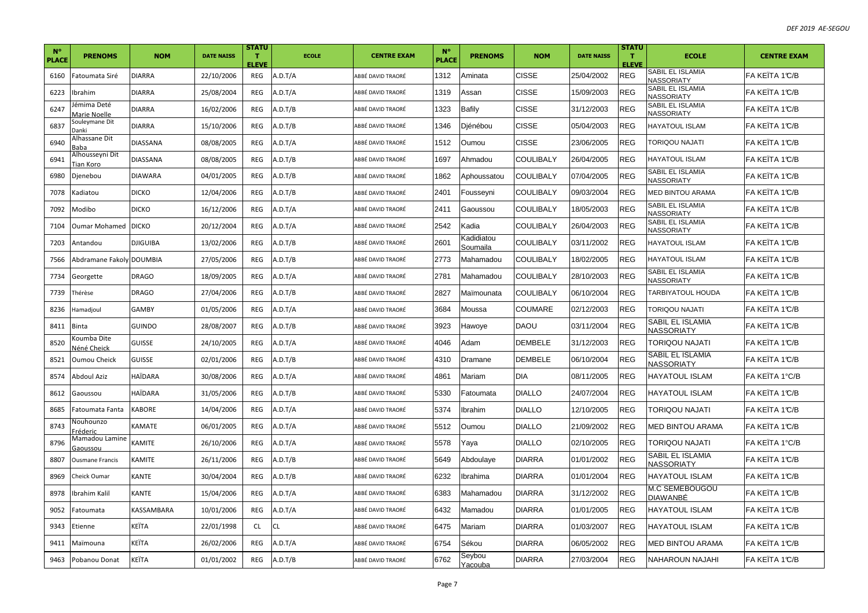| $N^{\circ}$<br>PLACE | <b>PRENOMS</b>                    | <b>NOM</b>      | <b>DATE NAISS</b> | <b>STATU</b><br>$\mathbf{T}$<br><b>ELEVE</b> | <b>ECOLE</b> | <b>CENTRE EXAM</b> | $N^{\circ}$<br><b>PLACE</b> | <b>PRENOMS</b>         | <b>NOM</b>       | <b>DATE NAISS</b> | <b>STATU</b><br>т<br><b>ELEVE</b> | <b>ECOLE</b>                          | <b>CENTRE EXAM</b> |
|----------------------|-----------------------------------|-----------------|-------------------|----------------------------------------------|--------------|--------------------|-----------------------------|------------------------|------------------|-------------------|-----------------------------------|---------------------------------------|--------------------|
| 6160                 | atoumata Siré                     | <b>DIARRA</b>   | 22/10/2006        | REG                                          | A.D.T/A      | ABBÉ DAVID TRAORÉ  | 1312                        | Aminata                | <b>CISSE</b>     | 25/04/2002        | <b>REG</b>                        | SABIL EL ISLAMIA<br><b>NASSORIATY</b> | FA KEÏTA 1℃/B      |
| 6223                 | brahim                            | <b>DIARRA</b>   | 25/08/2004        | REG                                          | A.D.T/A      | ABBÉ DAVID TRAORÉ  | 1319                        | Assan                  | <b>CISSE</b>     | 15/09/2003        | <b>REG</b>                        | SABIL EL ISLAMIA<br>NASSORIATY        | FA KEÏTA 1℃/B      |
| 6247                 | émima Deté<br>Aarie Noelle        | <b>DIARRA</b>   | 16/02/2006        | REG                                          | A.D.T/B      | ABBÉ DAVID TRAORÉ  | 1323                        | Bafily                 | <b>CISSE</b>     | 31/12/2003        | <b>REG</b>                        | SABIL EL ISLAMIA<br>NASSORIATY        | FA KEÏTA 1°C/B     |
| 6837                 | Souleymane Dit<br>)anki           | <b>DIARRA</b>   | 15/10/2006        | REG                                          | A.D.T/B      | ABBÉ DAVID TRAORÉ  | 1346                        | Djénébou               | <b>CISSE</b>     | 05/04/2003        | <b>REG</b>                        | <b>HAYATOUL ISLAM</b>                 | FA KEITA 1°C/B     |
| 6940                 | Alhassane Dit                     | <b>DIASSANA</b> | 08/08/2005        | <b>REG</b>                                   | A.D.T/A      | ABBÉ DAVID TRAORÉ  | 1512                        | Oumou                  | <b>CISSE</b>     | 23/06/2005        | <b>REG</b>                        | <b>TORIQOU NAJATI</b>                 | FA KEÏTA 1℃/B      |
| 6941                 | Alhousseyni Dit<br>ian Koro       | <b>DIASSANA</b> | 08/08/2005        | <b>REG</b>                                   | A.D.T/B      | ABBÉ DAVID TRAORÉ  | 1697                        | Ahmadou                | <b>COULIBALY</b> | 26/04/2005        | <b>REG</b>                        | HAYATOUL ISLAM                        | FA KEÏTA 1℃/B      |
| 6980                 | Djenebou                          | <b>DIAWARA</b>  | 04/01/2005        | REG                                          | A.D.T/B      | ABBÉ DAVID TRAORÉ  | 1862                        | Aphoussatou            | <b>COULIBALY</b> | 07/04/2005        | <b>REG</b>                        | SABIL EL ISLAMIA<br><b>NASSORIATY</b> | FA KEÏTA 1°C/B     |
| 7078                 | adiatou                           | <b>DICKO</b>    | 12/04/2006        | REG                                          | A.D.T/B      | ABBÉ DAVID TRAORÉ  | 2401                        | Fousseyni              | <b>COULIBALY</b> | 09/03/2004        | <b>REG</b>                        | <b>MED BINTOU ARAMA</b>               | FA KEÏTA 1℃/B      |
| 7092                 | Modibo                            | <b>DICKO</b>    | 16/12/2006        | <b>REG</b>                                   | A.D.T/A      | ABBÉ DAVID TRAORÉ  | 2411                        | Gaoussou               | <b>COULIBALY</b> | 18/05/2003        | <b>REG</b>                        | SABIL EL ISLAMIA<br><b>NASSORIATY</b> | FA KEÏTA 1°C/B     |
| 7104                 | Jumar Mohamed                     | <b>DICKO</b>    | 20/12/2004        | REG                                          | A.D.T/A      | ABBÉ DAVID TRAORÉ  | 2542                        | Kadia                  | <b>COULIBALY</b> | 26/04/2003        | <b>REG</b>                        | SABIL EL ISLAMIA<br>NASSORIATY        | FA KEÏTA 1°C/B     |
| 7203                 | Antandou                          | <b>DJIGUIBA</b> | 13/02/2006        | REG                                          | A.D.T/B      | ABBÉ DAVID TRAORÉ  | 2601                        | Kadidiatou<br>Soumaila | <b>COULIBALY</b> | 03/11/2002        | <b>REG</b>                        | <b>HAYATOUL ISLAM</b>                 | FA KEÏTA 1°C/B     |
| 7566                 | Abdramane Fakoly DOUMBIA          |                 | 27/05/2006        | <b>REG</b>                                   | A.D.T/B      | ABBÉ DAVID TRAORÉ  | 2773                        | Mahamadou              | <b>COULIBALY</b> | 18/02/2005        | <b>REG</b>                        | HAYATOUL ISLAM                        | FA KEÏTA 1℃/B      |
| 7734                 | Georgette                         | <b>DRAGO</b>    | 18/09/2005        | REG                                          | A.D.T/A      | ABBÉ DAVID TRAORÉ  | 2781                        | Mahamadou              | <b>COULIBALY</b> | 28/10/2003        | <b>REG</b>                        | SABIL EL ISLAMIA<br>NASSORIATY        | FA KEÏTA 1℃/B      |
| 7739                 | Thérèse                           | <b>DRAGO</b>    | 27/04/2006        | REG                                          | A.D.T/B      | ABBÉ DAVID TRAORÉ  | 2827                        | Maïmounata             | <b>COULIBALY</b> | 06/10/2004        | <b>REG</b>                        | <b>TARBIYATOUL HOUDA</b>              | FA KEÏTA 1°C/B     |
| 8236                 | lamadjoul                         | <b>GAMBY</b>    | 01/05/2006        | REG                                          | A.D.T/A      | ABBÉ DAVID TRAORÉ  | 3684                        | Moussa                 | <b>COUMARE</b>   | 02/12/2003        | <b>REG</b>                        | TORIQOU NAJATI                        | FA KEÏTA 1°C/B     |
| 8411                 | 3inta                             | GUINDO          | 28/08/2007        | <b>REG</b>                                   | A.D.T/B      | ABBÉ DAVID TRAORÉ  | 3923                        | Hawoye                 | DAOU             | 03/11/2004        | <b>REG</b>                        | SABIL EL ISLAMIA<br><b>NASSORIATY</b> | FA KEÏTA 1℃/B      |
| 8520                 | (oumba Dite<br>Jéné Cheick        | <b>GUISSE</b>   | 24/10/2005        | REG                                          | A.D.T/A      | ABBÉ DAVID TRAORÉ  | 4046                        | Adam                   | <b>DEMBELE</b>   | 31/12/2003        | <b>REG</b>                        | <b>TORIQOU NAJATI</b>                 | FA KEÏTA 1℃/B      |
| 8521                 | <b>Dumou Cheick</b>               | <b>GUISSE</b>   | 02/01/2006        | REG                                          | A.D.T/B      | ABBÉ DAVID TRAORÉ  | 4310                        | Dramane                | <b>DEMBELE</b>   | 06/10/2004        | <b>REG</b>                        | SABIL EL ISLAMIA<br>NASSORIATY        | FA KEÏTA 1°C/B     |
| 8574                 | Abdoul Aziz                       | HAÏDARA         | 30/08/2006        | REG                                          | A.D.T/A      | ABBÉ DAVID TRAORÉ  | 4861                        | Mariam                 | <b>DIA</b>       | 08/11/2005        | <b>REG</b>                        | HAYATOUL ISLAM                        | FA KEÏTA 1°C/B     |
| 8612                 | Gaoussou                          | <b>HAÏDARA</b>  | 31/05/2006        | REG                                          | A.D.T/B      | ABBÉ DAVID TRAORÉ  | 5330                        | Fatoumata              | <b>DIALLO</b>    | 24/07/2004        | <b>REG</b>                        | HAYATOUL ISLAM                        | FA KEITA 1°C/B     |
| 8685                 | atoumata Fanta                    | <b>KABORE</b>   | 14/04/2006        | <b>REG</b>                                   | A.D.T/A      | ABBÉ DAVID TRAORÉ  | 5374                        | Ibrahim                | <b>DIALLO</b>    | 12/10/2005        | <b>REG</b>                        | <b>TORIQOU NAJATI</b>                 | FA KEÏTA 1°C/B     |
| 8743                 | Jouhounzo<br>réderic <sup>.</sup> | KAMATE          | 06/01/2005        | <b>REG</b>                                   | A.D.T/A      | ABBÉ DAVID TRAORÉ  | 5512                        | Oumou                  | <b>DIALLO</b>    | 21/09/2002        | <b>REG</b>                        | <b>MED BINTOU ARAMA</b>               | FA KEÏTA 1°C/B     |
| 8796                 | Vlamadou Lamine<br>Gaoussou       | KAMITE          | 26/10/2006        | REG                                          | A.D.T/A      | ABBÉ DAVID TRAORÉ  | 5578                        | Yaya                   | <b>DIALLO</b>    | 02/10/2005        | <b>REG</b>                        | TORIQOU NAJATI                        | FA KEÏTA 1°C/B     |
| 8807                 | <b>Dusmane Francis</b>            | <b>KAMITE</b>   | 26/11/2006        | REG                                          | A.D.T/B      | ABBÉ DAVID TRAORÉ  | 5649                        | Abdoulaye              | <b>DIARRA</b>    | 01/01/2002        | <b>REG</b>                        | SABIL EL ISLAMIA<br>NASSORIATY        | FA KEÏTA 1℃/B      |
| 8969                 | Cheick Oumar                      | <b>KANTE</b>    | 30/04/2004        | <b>REG</b>                                   | A.D.T/B      | ABBÉ DAVID TRAORÉ  | 6232                        | Ibrahima               | <b>DIARRA</b>    | 01/01/2004        | <b>REG</b>                        | <b>HAYATOUL ISLAM</b>                 | FA KEÏTA 1°C/B     |
| 8978                 | brahim Kalil                      | KANTE           | 15/04/2006        | REG                                          | A.D.T/A      | ABBÉ DAVID TRAORÉ  | 6383                        | Mahamadou              | <b>DIARRA</b>    | 31/12/2002        | <b>REG</b>                        | <b>M.C SEMEBOUGOU</b><br>DIAWANBÉ     | FA KEITA 1°C/B     |
| 9052                 | atoumata                          | KASSAMBARA      | 10/01/2006        | REG                                          | A.D.T/A      | ABBÉ DAVID TRAORÉ  | 6432                        | Mamadou                | <b>DIARRA</b>    | 01/01/2005        | <b>REG</b>                        | HAYATOUL ISLAM                        | FA KEÏTA 1℃/B      |
| 9343                 | Etienne                           | KEÏTA           | 22/01/1998        | CL                                           | CL           | ABBÉ DAVID TRAORÉ  | 6475                        | Mariam                 | <b>DIARRA</b>    | 01/03/2007        | <b>REG</b>                        | HAYATOUL ISLAM                        | FA KEÏTA 1℃/B      |
| 9411                 | Maïmouna                          | KEÏTA           | 26/02/2006        | REG                                          | A.D.T/A      | ABBÉ DAVID TRAORÉ  | 6754                        | Sékou                  | <b>DIARRA</b>    | 06/05/2002        | <b>REG</b>                        | MED BINTOU ARAMA                      | FA KEÏTA 1℃/B      |
| 9463                 | Pobanou Donat                     | KEÏTA           | 01/01/2002        | REG                                          | A.D.T/B      | ABBÉ DAVID TRAORÉ  | 6762                        | Seybou<br>Yacouba      | <b>DIARRA</b>    | 27/03/2004        | <b>REG</b>                        | NAHAROUN NAJAHI                       | FA KEÏTA 1°C/B     |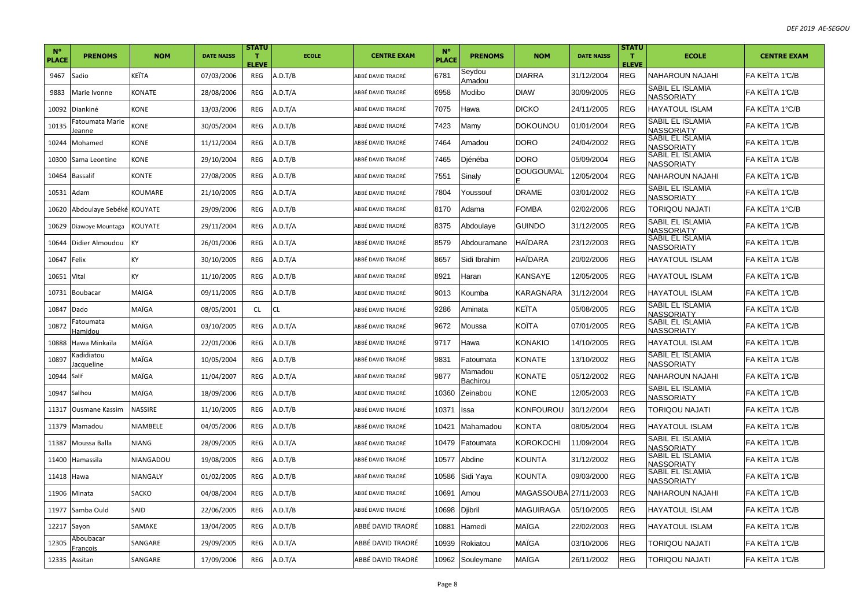| $N^{\circ}$<br><b>PLACE</b> | <b>PRENOMS</b>                         | <b>NOM</b>   | <b>DATE NAISS</b> | <b>STATU</b><br>T.<br><b>ELEVE</b> | <b>ECOLE</b> | <b>CENTRE EXAM</b> | $N^{\circ}$<br><b>PLACE</b> | <b>PRENOMS</b>      | <b>NOM</b>            | <b>DATE NAISS</b> | <b>STATU</b><br>т<br><b>ELEVE</b> | <b>ECOLE</b>                          | <b>CENTRE EXAM</b> |
|-----------------------------|----------------------------------------|--------------|-------------------|------------------------------------|--------------|--------------------|-----------------------------|---------------------|-----------------------|-------------------|-----------------------------------|---------------------------------------|--------------------|
| 9467                        | Sadio                                  | KEÏTA        | 07/03/2006        | REG                                | A.D.T/B      | ABBÉ DAVID TRAORÉ  | 6781                        | Seydou<br>Amadou    | <b>DIARRA</b>         | 31/12/2004        | <b>REG</b>                        | NAHAROUN NAJAHI                       | FA KEÏTA 1℃/B      |
| 9883                        | Marie Ivonne                           | KONATE       | 28/08/2006        | REG                                | A.D.T/A      | ABBÉ DAVID TRAORÉ  | 6958                        | Modibo              | <b>DIAW</b>           | 30/09/2005        | <b>REG</b>                        | SABIL EL ISLAMIA<br>NASSORIATY        | FA KEÏTA 1℃/B      |
| 10092                       | Diankiné                               | KONE         | 13/03/2006        | REG                                | A.D.T/A      | ABBÉ DAVID TRAORÉ  | 7075                        | Hawa                | <b>DICKO</b>          | 24/11/2005        | <b>REG</b>                        | HAYATOUL ISLAM                        | FA KEÏTA 1°C/B     |
| 10135                       | Fatoumata Marie<br>eanne               | <b>KONE</b>  | 30/05/2004        | REG                                | A.D.T/B      | ABBÉ DAVID TRAORÉ  | 7423                        | Mamy                | <b>DOKOUNOU</b>       | 01/01/2004        | <b>REG</b>                        | SABIL EL ISLAMIA<br>NASSORIATY        | FA KEÏTA 1℃/B      |
| 10244                       | Mohamed                                | KONE         | 11/12/2004        | REG                                | A.D.T/B      | ABBÉ DAVID TRAORÉ  | 7464                        | Amadou              | DORO                  | 24/04/2002        | <b>REG</b>                        | SABIL EL ISLAMIA<br>NASSORIATY        | FA KEÏTA 1℃/B      |
| 10300                       | Sama Leontine                          | <b>KONE</b>  | 29/10/2004        | REG                                | A.D.T/B      | ABBÉ DAVID TRAORÉ  | 7465                        | Djénéba             | DORO                  | 05/09/2004        | <b>REG</b>                        | SABIL EL ISLAMIA<br>NASSORIATY        | FA KEÏTA 1℃/B      |
| 10464                       | <b>Bassalif</b>                        | <b>KONTE</b> | 27/08/2005        | REG                                | A.D.T/B      | ABBÉ DAVID TRAORÉ  | 7551                        | Sinaly              | DOUGOUMAL             | 12/05/2004        | <b>REG</b>                        | <b>NAHAROUN NAJAHI</b>                | FA KEÏTA 1℃/B      |
| 10531                       | Adam                                   | KOUMARE      | 21/10/2005        | REG                                | A.D.T/A      | ABBÉ DAVID TRAORÉ  | 7804                        | Youssouf            | <b>DRAME</b>          | 03/01/2002        | <b>REG</b>                        | SABIL EL ISLAMIA<br>NASSORIATY        | FA KEÏTA 1℃/B      |
| 10620                       | Abdoulaye Sebéké KOUYATE               |              | 29/09/2006        | <b>REG</b>                         | A.D.T/B      | ABBÉ DAVID TRAORÉ  | 8170                        | Adama               | FOMBA                 | 02/02/2006        | <b>REG</b>                        | <b>TORIQOU NAJATI</b>                 | FA KEÏTA 1°C/B     |
| 10629                       | Diawoye Mountaga                       | KOUYATE      | 29/11/2004        | REG                                | A.D.T/A      | ABBÉ DAVID TRAORÉ  | 8375                        | Abdoulaye           | Guindo                | 31/12/2005        | <b>REG</b>                        | SABIL EL ISLAMIA<br>NASSORIATY        | FA KEÏTA 1℃/B      |
| 10644                       | Didier Almoudou                        | KY           | 26/01/2006        | REG                                | A.D.T/A      | ABBÉ DAVID TRAORÉ  | 8579                        | Abdouramane         | <b>HAÏDARA</b>        | 23/12/2003        | <b>REG</b>                        | <b>SABIL EL ISLAMIA</b><br>NASSORIATY | FA KEÏTA 1℃/B      |
| 10647                       | Felix                                  | <b>KY</b>    | 30/10/2005        | REG                                | A.D.T/A      | ABBÉ DAVID TRAORÉ  | 8657                        | Sidi Ibrahim        | HAÏDARA               | 20/02/2006        | <b>REG</b>                        | <b>HAYATOUL ISLAM</b>                 | FA KEÏTA 1°C/B     |
| 10651                       | Vital                                  | KY           | 11/10/2005        | REG                                | A.D.T/B      | ABBÉ DAVID TRAORÉ  | 8921                        | Haran               | KANSAYE               | 12/05/2005        | <b>REG</b>                        | HAYATOUL ISLAM                        | FA KEÏTA 1℃/B      |
| 10731                       | <b>Boubacar</b>                        | MAIGA        | 09/11/2005        | REG                                | A.D.T/B      | ABBÉ DAVID TRAORÉ  | 9013                        | Koumba              | KARAGNARA             | 31/12/2004        | <b>REG</b>                        | HAYATOUL ISLAM                        | FA KEÏTA 1℃/B      |
| 10847                       | Dado                                   | MAÏGA        | 08/05/2001        | <b>CL</b>                          | CL.          | ABBÉ DAVID TRAORÉ  | 9286                        | Aminata             | KEÏTA                 | 05/08/2005        | <b>REG</b>                        | SABIL EL ISLAMIA<br>NASSORIATY        | FA KEÏTA 1℃/B      |
| 10872                       | Fatoumata<br>Hamidou                   | MAÏGA        | 03/10/2005        | REG                                | A.D.T/A      | ABBÉ DAVID TRAORÉ  | 9672                        | Moussa              | KOÏTA                 | 07/01/2005        | <b>REG</b>                        | SABIL EL ISLAMIA<br>NASSORIATY        | FA KEÏTA 1℃/B      |
| 10888                       | Hawa Minkaïla                          | MAÏGA        | 22/01/2006        | REG                                | A.D.T/B      | ABBÉ DAVID TRAORÉ  | 9717                        | Hawa                | KONAKIO               | 14/10/2005        | <b>REG</b>                        | <b>HAYATOUL ISLAM</b>                 | FA KEÏTA 1℃/B      |
| 10897                       | <adidiatou<br>acqueline</adidiatou<br> | MAÏGA        | 10/05/2004        | <b>REG</b>                         | A.D.T/B      | ABBÉ DAVID TRAORÉ  | 9831                        | Fatoumata           | KONATE                | 13/10/2002        | <b>REG</b>                        | SABIL EL ISLAMIA<br>NASSORIATY        | FA KEÏTA 1℃/B      |
| 10944                       | Salif                                  | MAÏGA        | 11/04/2007        | REG                                | A.D.T/A      | ABBÉ DAVID TRAORÉ  | 9877                        | Mamadou<br>Bachirou | KONATE                | 05/12/2002        | <b>REG</b>                        | NAHAROUN NAJAHI                       | FA KEÏTA 1℃/B      |
| 10947                       | Salihou                                | MAÏGA        | 18/09/2006        | REG                                | A.D.T/B      | ABBÉ DAVID TRAORÉ  | 10360                       | Zeinabou            | <b>KONE</b>           | 12/05/2003        | <b>REG</b>                        | SABIL EL ISLAMIA<br>NASSORIATY        | FA KEÏTA 1℃/B      |
| 11317                       | <b>Ousmane Kassim</b>                  | NASSIRE      | 11/10/2005        | REG                                | A.D.T/B      | ABBÉ DAVID TRAORÉ  | 10371                       | Issa                | KONFOUROU             | 30/12/2004        | <b>REG</b>                        | <b>TORIQOU NAJATI</b>                 | FA KEÏTA 1℃/B      |
| 11379                       | Mamadou                                | NIAMBELE     | 04/05/2006        | REG                                | A.D.T/B      | ABBÉ DAVID TRAORÉ  | 10421                       | Mahamadou           | KONTA                 | 08/05/2004        | <b>REG</b>                        | HAYATOUL ISLAM                        | FA KEÏTA 1℃/B      |
| 11387                       | Moussa Balla                           | <b>NIANG</b> | 28/09/2005        | REG                                | A.D.T/A      | ABBÉ DAVID TRAORÉ  | 10479                       | Fatoumata           | KOROKOCHI             | 11/09/2004        | <b>REG</b>                        | SABIL EL ISLAMIA<br>NASSORIATY        | FA KEÏTA 1℃/B      |
| 11400                       | Hamassila                              | NIANGADOU    | 19/08/2005        | REG                                | A.D.T/B      | ABBÉ DAVID TRAORÉ  | 10577                       | Abdine              | <b>KOUNTA</b>         | 31/12/2002        | <b>REG</b>                        | SABIL EL ISLAMIA<br>NASSORIATY        | FA KEÏTA 1℃/B      |
| 11418                       | Hawa                                   | NIANGALY     | 01/02/2005        | REG                                | A.D.T/B      | ABBÉ DAVID TRAORÉ  | 10586                       | Sidi Yaya           | <b>KOUNTA</b>         | 09/03/2000        | <b>REG</b>                        | SABIL EL ISLAMIA<br>NASSORIATY        | FA KEÏTA 1℃/B      |
| 11906                       | Minata                                 | SACKO        | 04/08/2004        | <b>REG</b>                         | A.D.T/B      | ABBÉ DAVID TRAORÉ  | 10691                       | Amou                | MAGASSOUBA 27/11/2003 |                   | <b>REG</b>                        | NAHAROUN NAJAHI                       | FA KEITA 1℃/B      |
| 11977                       | Samba Ould                             | SAID         | 22/06/2005        | <b>REG</b>                         | A.D.T/B      | ABBÉ DAVID TRAORÉ  | 10698                       | Djibril             | MAGUIRAGA             | 05/10/2005        | <b>REG</b>                        | HAYATOUL ISLAM                        | FA KEÏTA 1℃/B      |
| 12217                       | Sayon                                  | SAMAKE       | 13/04/2005        | REG                                | A.D.T/B      | ABBÉ DAVID TRAORÉ  | 10881                       | Hamedi              | MAÏGA                 | 22/02/2003        | <b>REG</b>                        | HAYATOUL ISLAM                        | FA KEÏTA 1℃/B      |
| 12305                       | Aboubacar<br>Francois                  | SANGARE      | 29/09/2005        | REG                                | A.D.T/A      | ABBÉ DAVID TRAORÉ  | 10939                       | Rokiatou            | MAÎGA                 | 03/10/2006        | <b>REG</b>                        | <b>TORIQOU NAJATI</b>                 | FA KEÏTA 1℃/B      |
| 12335 Assitan               |                                        | SANGARE      | 17/09/2006        | REG                                | A.D.T/A      | ABBÉ DAVID TRAORÉ  | 10962                       | Souleymane          | <b>MAÏGA</b>          | 26/11/2002        | <b>REG</b>                        | <b>TORIQOU NAJATI</b>                 | FA KEITA 1°C/B     |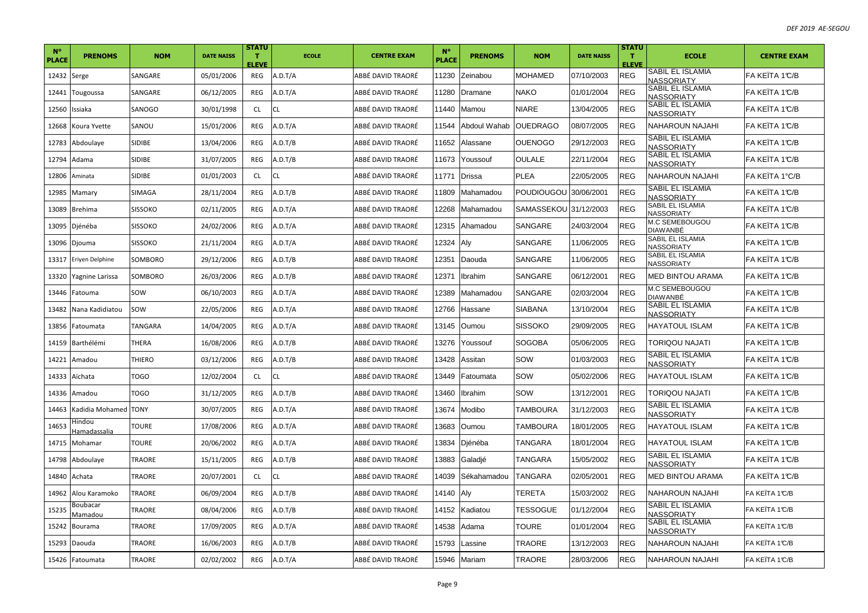| $N^{\circ}$<br><b>PLACE</b> | <b>PRENOMS</b>                | <b>NOM</b>    | <b>DATE NAISS</b> | <b>STATU</b><br>$\mathbf{T}$<br><b>ELEVE</b> | <b>ECOLE</b> | <b>CENTRE EXAM</b> | $N^{\circ}$<br><b>PLACE</b> | <b>PRENOMS</b> | <b>NOM</b>        | <b>DATE NAISS</b> | <b>STATU</b><br>T.<br><b>ELEVE</b> | <b>ECOLE</b>                          | <b>CENTRE EXAM</b> |
|-----------------------------|-------------------------------|---------------|-------------------|----------------------------------------------|--------------|--------------------|-----------------------------|----------------|-------------------|-------------------|------------------------------------|---------------------------------------|--------------------|
| 12432 Serge                 |                               | SANGARE       | 05/01/2006        | REG                                          | A.D.T/A      | ABBÉ DAVID TRAORÉ  | 11230                       | Zeinabou       | <b>MOHAMED</b>    | 07/10/2003        | REG                                | SABIL EL ISLAMIA<br>NASSORIATY        | FA KEÏTA 1°C/B     |
| 12441                       | Tougoussa                     | SANGARE       | 06/12/2005        | REG                                          | A.D.T/A      | ABBÉ DAVID TRAORÉ  | 11280                       | Dramane        | <b>NAKO</b>       | 01/01/2004        | <b>REG</b>                         | SABIL EL ISLAMIA<br><b>NASSORIATY</b> | FA KEÏTA 1°C/B     |
| 12560                       | Issiaka                       | SANOGO        | 30/01/1998        | <b>CL</b>                                    | CL           | ABBÉ DAVID TRAORÉ  | 11440                       | Mamou          | <b>NIARE</b>      | 13/04/2005        | <b>REG</b>                         | SABIL EL ISLAMIA<br><b>NASSORIATY</b> | FA KEÏTA 1°C/B     |
| 12668                       | Koura Yvette                  | SANOU         | 15/01/2006        | REG                                          | A.D.T/A      | ABBÉ DAVID TRAORÉ  | 11544                       | Abdoul Wahab   | <b>OUEDRAGO</b>   | 08/07/2005        | <b>REG</b>                         | NAHAROUN NAJAHI                       | FA KEÏTA 1°C/B     |
| 12783                       | Abdoulaye                     | SIDIBE        | 13/04/2006        | REG                                          | A.D.T/B      | ABBÉ DAVID TRAORÉ  | 11652                       | Alassane       | <b>OUENOGO</b>    | 29/12/2003        | <b>REG</b>                         | SABIL EL ISLAMIA<br><b>NASSORIATY</b> | FA KEÏTA 1°C/B     |
| 12794                       | Adama                         | <b>SIDIBE</b> | 31/07/2005        | REG                                          | A.D.T/B      | ABBÉ DAVID TRAORÉ  | 11673                       | Youssouf       | <b>OULALE</b>     | 22/11/2004        | <b>REG</b>                         | SABIL EL ISLAMIA<br><b>NASSORIATY</b> | FA KEÏTA 1°C/B     |
| 12806                       | Aminata                       | <b>SIDIBE</b> | 01/01/2003        | <b>CL</b>                                    | CL.          | ABBÉ DAVID TRAORÉ  | 11771                       | <b>Drissa</b>  | <b>PLEA</b>       | 22/05/2005        | <b>REG</b>                         | <b>NAHAROUN NAJAHI</b>                | FA KEÏTA 1°C/B     |
| 12985                       | Mamary                        | SIMAGA        | 28/11/2004        | REG                                          | A.D.T/B      | ABBÉ DAVID TRAORÉ  | 11809                       | Mahamadou      | <b>POUDIOUGOU</b> | 30/06/2001        | <b>REG</b>                         | <b>SABIL EL ISLAMIA</b><br>NASSORIATY | FA KEÏTA 1°C/B     |
| 13089                       | <b>Brehima</b>                | SISSOKO       | 02/11/2005        | REG                                          | A.D.T/A      | ABBÉ DAVID TRAORÉ  | 12268                       | Mahamadou      | ISAMASSEKOUI      | 31/12/2003        | <b>REG</b>                         | SABIL EL ISLAMIA<br><b>NASSORIATY</b> | FA KEÏTA 1°C/B     |
| 13095                       | Djénéba                       | SISSOKO       | 24/02/2006        | REG                                          | A.D.T/A      | ABBÉ DAVID TRAORÉ  | 12315                       | Ahamadou       | <b>SANGARE</b>    | 24/03/2004        | <b>REG</b>                         | M.C SEMEBOUGOU<br><b>DIAWANBÉ</b>     | FA KEÎTA 1°C/B     |
| 13096                       | Djouma                        | SISSOKO       | 21/11/2004        | REG                                          | A.D.T/A      | ABBÉ DAVID TRAORÉ  | 12324                       | Aly            | SANGARE           | 11/06/2005        | <b>REG</b>                         | SABIL EL ISLAMIA<br><b>NASSORIATY</b> | lFA KEÏTA 1℃/B     |
| 13317                       | Eriyen Delphine               | SOMBORO       | 29/12/2006        | REG                                          | A.D.T/B      | ABBÉ DAVID TRAORÉ  | 12351                       | Daouda         | SANGARE           | 11/06/2005        | <b>REG</b>                         | SABIL EL ISLAMIA<br>NASSORIATY        | FA KEÏTA 1°C/B     |
| 13320                       | Yagnine Larissa               | SOMBORO       | 26/03/2006        | <b>REG</b>                                   | A.D.T/B      | ABBÉ DAVID TRAORÉ  | 12371                       | Ibrahim        | <b>SANGARE</b>    | 06/12/2001        | <b>REG</b>                         | <b>MED BINTOU ARAMA</b>               | FA KEITA 1°C/B     |
| 13446                       | Fatouma                       | sow           | 06/10/2003        | REG                                          | A.D.T/A      | ABBÉ DAVID TRAORÉ  | 12389                       | Mahamadou      | <b>SANGARE</b>    | 02/03/2004        | <b>REG</b>                         | M.C SEMEBOUGOU<br><b>DIAWANBÉ</b>     | FA KEÏTA 1°C/B     |
| 13482                       | Nana Kadidiatou               | sow           | 22/05/2006        | REG                                          | A.D.T/A      | ABBÉ DAVID TRAORÉ  | 12766                       | Hassane        | <b>SIABANA</b>    | 13/10/2004        | <b>REG</b>                         | SABIL EL ISLAMIA<br>NASSORIATY        | FA KEÏTA 1°C/B     |
| 13856                       | Fatoumata                     | TANGARA       | 14/04/2005        | <b>REG</b>                                   | A.D.T/A      | ABBÉ DAVID TRAORÉ  | 13145                       | Oumou          | <b>SISSOKO</b>    | 29/09/2005        | <b>REG</b>                         | <b>HAYATOUL ISLAM</b>                 | FA KEÏTA 1°C/B     |
| 14159                       | Barthélémi                    | THERA         | 16/08/2006        | REG                                          | A.D.T/B      | ABBÉ DAVID TRAORÉ  | 13276                       | Youssouf       | <b>SOGOBA</b>     | 05/06/2005        | <b>REG</b>                         | TORIQOU NAJATI                        | FA KEÏTA 1°C/B     |
| 14221                       | Amadou                        | THIERO        | 03/12/2006        | <b>REG</b>                                   | A.D.T/B      | ABBÉ DAVID TRAORÉ  | 13428                       | Assitan        | SOW               | 01/03/2003        | <b>REG</b>                         | SABIL EL ISLAMIA<br>NASSORIATY        | FA KEÏTA 1°C/B     |
| 14333                       | Aïchata                       | <b>TOGO</b>   | 12/02/2004        | <b>CL</b>                                    | СL           | ABBÉ DAVID TRAORÉ  | 13449                       | Fatoumata      | SOW               | 05/02/2006        | <b>REG</b>                         | <b>HAYATOUL ISLAM</b>                 | IFA KEÏTA 1℃/B     |
| 14336                       | Amadou                        | <b>TOGO</b>   | 31/12/2005        | REG                                          | A.D.T/B      | ABBÉ DAVID TRAORÉ  | 13460                       | Ibrahim        | SOW               | 13/12/2001        | <b>REG</b>                         | TORIQOU NAJATI                        | FA KEÏTA 1°C/B     |
| 14463                       | Kadidia Mohamed TONY          |               | 30/07/2005        | REG                                          | A.D.T/A      | ABBÉ DAVID TRAORÉ  | 13674                       | Modibo         | <b>TAMBOURA</b>   | 31/12/2003        | <b>REG</b>                         | <b>SABIL EL ISLAMIA</b><br>NASSORIATY | FA KEÎTA 1°C/B     |
| 14653                       | lindou<br><b>Iamadassalia</b> | TOURE         | 17/08/2006        | REG                                          | A.D.T/A      | ABBÉ DAVID TRAORÉ  | 13683                       | Oumou          | <b>TAMBOURA</b>   | 18/01/2005        | <b>REG</b>                         | <b>HAYATOUL ISLAM</b>                 | FA KEÏTA 1°C/B     |
| 14715                       | Mohamar                       | <b>TOURE</b>  | 20/06/2002        | REG                                          | A.D.T/A      | ABBÉ DAVID TRAORÉ  | 13834                       | Diénéba        | <b>TANGARA</b>    | 18/01/2004        | <b>REG</b>                         | <b>HAYATOUL ISLAM</b>                 | FA KEÏTA 1°C/B     |
| 14798                       | Abdoulaye                     | TRAORE        | 15/11/2005        | REG                                          | A.D.T/B      | ABBÉ DAVID TRAORÉ  | 13883                       | Galadié        | <b>TANGARA</b>    | 15/05/2002        | <b>REG</b>                         | SABIL EL ISLAMIA<br>NASSORIATY        | FA KEÏTA 1°C/B     |
| 14840                       | Achata                        | TRAORE        | 20/07/2001        | <b>CL</b>                                    | CL           | ABBÉ DAVID TRAORÉ  | 14039                       | Sékahamadou    | <b>TANGARA</b>    | 02/05/2001        | <b>REG</b>                         | <b>MED BINTOU ARAMA</b>               | FA KEÏTA 1°C/B     |
| 14962                       | Alou Karamoko                 | TRAORE        | 06/09/2004        | <b>REG</b>                                   | A.D.T/B      | ABBÉ DAVID TRAORÉ  | 14140                       | Alv            | TERETA            | 15/03/2002        | <b>REG</b>                         | NAHAROUN NAJAHI                       | IFA KEITA 1°C/B    |
| 15235                       | Boubacar<br>Mamadou           | TRAORE        | 08/04/2006        | REG                                          | A.D.T/B      | ABBÉ DAVID TRAORÉ  | 14152                       | Kadiatou       | <b>TESSOGUE</b>   | 01/12/2004        | <b>REG</b>                         | SABIL EL ISLAMIA<br>NASSORIATY        | FA KEÏTA 1°C/B     |
| 15242                       | Bourama                       | TRAORE        | 17/09/2005        | REG                                          | A.D.T/A      | ABBÉ DAVID TRAORÉ  | 14538                       | Adama          | <b>TOURE</b>      | 01/01/2004        | <b>REG</b>                         | <b>SABIL EL ISLAMIA</b><br>NASSORIATY | FA KEITA 1 C/B     |
| 15293                       | Daouda                        | TRAORE        | 16/06/2003        | REG                                          | A.D.T/B      | ABBÉ DAVID TRAORÉ  | 15793                       | Lassine        | <b>TRAORE</b>     | 13/12/2003        | <b>REG</b>                         | <b>NAHAROUN NAJAHI</b>                | FA KEÏTA 1°C/B     |
|                             | 15426 Fatoumata               | <b>TRAORE</b> | 02/02/2002        | REG                                          | A.D.T/A      | ABBÉ DAVID TRAORÉ  | 15946                       | Mariam         | <b>TRAORE</b>     | 28/03/2006        | <b>REG</b>                         | <b>NAHAROUN NAJAHI</b>                | FA KEÏTA 1°C/B     |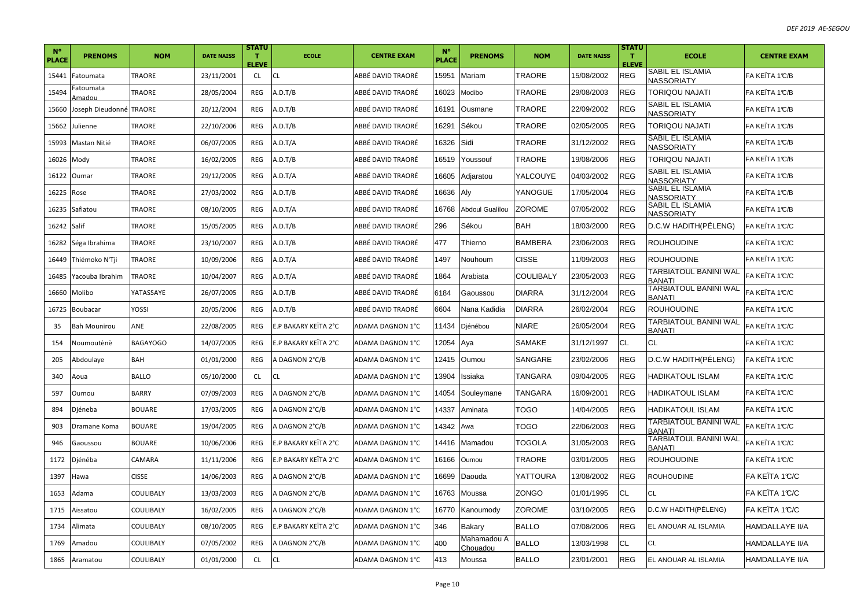| $N^{\circ}$<br><b>PLACE</b> | <b>PRENOMS</b>     | <b>NOM</b>           | <b>DATE NAISS</b> | <b>STATU</b><br>$\mathbf{T}$<br><b>ELEVE</b> | <b>ECOLE</b>         | <b>CENTRE EXAM</b> | $N^{\circ}$<br><b>PLACE</b> | <b>PRENOMS</b>          | <b>NOM</b>       | <b>DATE NAISS</b> | <b>STATU</b><br>T.<br><b>ELEVE</b> | <b>ECOLE</b>                           | <b>CENTRE EXAM</b>     |
|-----------------------------|--------------------|----------------------|-------------------|----------------------------------------------|----------------------|--------------------|-----------------------------|-------------------------|------------------|-------------------|------------------------------------|----------------------------------------|------------------------|
| 15441                       | Fatoumata          | TRAORE               | 23/11/2001        | CL                                           | CL                   | ABBÉ DAVID TRAORÉ  | 15951                       | Mariam                  | <b>TRAORE</b>    | 15/08/2002        | REG                                | SABIL EL ISLAMIA<br><b>NASSORIATY</b>  | FA KEÏTA 1°C/B         |
| 15494                       | atoumata<br>Amadou | TRAORE               | 28/05/2004        | REG                                          | A.D.T/B              | ABBÉ DAVID TRAORÉ  | 16023                       | Modibo                  | TRAORE           | 29/08/2003        | <b>REG</b>                         | TORIQOU NAJATI                         | FA KEÏTA 1°C/B         |
| 15660                       | Joseph Dieudonné   | <b>TRAORE</b>        | 20/12/2004        | <b>REG</b>                                   | A.D.T/B              | ABBÉ DAVID TRAORÉ  | 16191                       | Ousmane                 | <b>TRAORE</b>    | 22/09/2002        | <b>REG</b>                         | <b>SABIL EL ISLAMIA</b><br>NASSORIATY  | FA KEÏTA 1°C/B         |
| 15662                       | Julienne           | TRAORE               | 22/10/2006        | REG                                          | A.D.T/B              | ABBÉ DAVID TRAORÉ  | 16291                       | Sékou                   | <b>TRAORE</b>    | 02/05/2005        | <b>REG</b>                         | <b>TORIQOU NAJATI</b>                  | FA KEÏTA 1°C/B         |
| 15993                       | Mastan Nitié       | <b><i>TRAORE</i></b> | 06/07/2005        | REG                                          | A.D.T/A              | ABBÉ DAVID TRAORÉ  | 16326                       | Sidi                    | <b>TRAORE</b>    | 31/12/2002        | <b>REG</b>                         | SABIL EL ISLAMIA<br>NASSORIATY         | FA KEÏTA 1°C/B         |
| 16026                       | Mody               | TRAORE               | 16/02/2005        | REG                                          | A.D.T/B              | ABBÉ DAVID TRAORÉ  | 16519                       | Youssouf                | <b>TRAORE</b>    | 19/08/2006        | <b>REG</b>                         | TORIQOU NAJATI                         | FA KEÏTA 1°C/B         |
| 16122                       | Oumar              | TRAORE               | 29/12/2005        | REG                                          | A.D.T/A              | ABBÉ DAVID TRAORÉ  | 16605                       | Adjaratou               | <b>YALCOUYE</b>  | 04/03/2002        | <b>REG</b>                         | SABIL EL ISLAMIA<br>NASSORIATY         | FA KEÏTA 1°C/B         |
| 16225                       | Rose               | TRAORE               | 27/03/2002        | REG                                          | A.D.T/B              | ABBÉ DAVID TRAORÉ  | 16636                       | Aly                     | YANOGUE          | 17/05/2004        | <b>REG</b>                         | SABIL EL ISLAMIA<br>NASSORIATY         | FA KEÏTA 1°C/B         |
| 16235                       | Safiatou           | <b>TRAORE</b>        | 08/10/2005        | REG                                          | A.D.T/A              | ABBÉ DAVID TRAORÉ  | 16768                       | Abdoul Gualilou         | <b>ZOROME</b>    | 07/05/2002        | <b>REG</b>                         | SABIL EL ISLAMIA<br><b>NASSORIATY</b>  | FA KEÏTA 1°C/B         |
| 16242                       | Salif              | TRAORE               | 15/05/2005        | REG                                          | A.D.T/B              | ABBÉ DAVID TRAORÉ  | 296                         | Sékou                   | <b>BAH</b>       | 18/03/2000        | <b>REG</b>                         | D.C.W HADITH(PELENG)                   | FA KEITA 1°C/C         |
| 16282                       | Séga Ibrahima      | TRAORE               | 23/10/2007        | REG                                          | A.D.T/B              | ABBÉ DAVID TRAORÉ  | 477                         | Thierno                 | <b>BAMBERA</b>   | 23/06/2003        | <b>REG</b>                         | <b>ROUHOUDINE</b>                      | FA KEÏTA 1°C/C         |
| 16449                       | Thiémoko N'Tji     | TRAORE               | 10/09/2006        | REG                                          | A.D.T/A              | ABBÉ DAVID TRAORÉ  | 1497                        | Nouhoum                 | <b>CISSE</b>     | 11/09/2003        | <b>REG</b>                         | <b>ROUHOUDINE</b>                      | FA KEÏTA 1 C/C         |
| 16485                       | Yacouba Ibrahim    | TRAORE               | 10/04/2007        | REG                                          | A.D.T/A              | ABBÉ DAVID TRAORÉ  | 1864                        | Arabiata                | <b>COULIBALY</b> | 23/05/2003        | REG                                | TARBIATOUL BANINI WAL<br><b>BANATI</b> | FA KEÏTA 1°C/C         |
| 16660                       | Molibo             | YATASSAYE            | 26/07/2005        | REG                                          | A.D.T/B              | ABBÉ DAVID TRAORÉ  | 6184                        | Gaoussou                | <b>DIARRA</b>    | 31/12/2004        | <b>REG</b>                         | TARBIATOUL BANINI WAL<br><b>BANATI</b> | FA KEÏTA 1°C/C         |
| 16725                       | Boubacar           | YOSSI                | 20/05/2006        | REG                                          | A.D.T/B              | ABBÉ DAVID TRAORÉ  | 6604                        | Nana Kadidia            | <b>DIARRA</b>    | 26/02/2004        | <b>REG</b>                         | <b>ROUHOUDINE</b>                      | FA KEÏTA 1°C/C         |
| 35                          | Bah Mounirou       | ANE                  | 22/08/2005        | <b>REG</b>                                   | E.P BAKARY KEÏTA 2°C | ADAMA DAGNON 1°C   | 11434                       | Djénébou                | <b>NIARE</b>     | 26/05/2004        | <b>REG</b>                         | TARBIATOUL BANINI WAL<br><b>BANATI</b> | FA KEÏTA 1°C/C         |
| 154                         | Noumoutènè         | <b>BAGAYOGO</b>      | 14/07/2005        | REG                                          | E.P BAKARY KEÏTA 2°C | ADAMA DAGNON 1°C   | 12054                       | Aya                     | <b>SAMAKE</b>    | 31/12/1997        | <b>CL</b>                          | <b>CL</b>                              | FA KEÏTA 1°C/C         |
| 205                         | Abdoulaye          | BAH                  | 01/01/2000        | <b>REG</b>                                   | A DAGNON 2°C/B       | ADAMA DAGNON 1°C   | 12415                       | Oumou                   | <b>SANGARE</b>   | 23/02/2006        | <b>REG</b>                         | D.C.W HADITH(PÉLENG)                   | FA KEÏTA 1°C/C         |
| 340                         | Aoua               | <b>BALLO</b>         | 05/10/2000        | <b>CL</b>                                    | CL                   | ADAMA DAGNON 1°C   | 13904                       | Issiaka                 | <b>TANGARA</b>   | 09/04/2005        | REG                                | HADIKATOUL ISLAM                       | FA KEÏTA 1°C/C         |
| 597                         | Oumou              | <b>BARRY</b>         | 07/09/2003        | REG                                          | A DAGNON 2°C/B       | ADAMA DAGNON 1°C   | 14054                       | Souleymane              | <b>TANGARA</b>   | 16/09/2001        | <b>REG</b>                         | <b>HADIKATOUL ISLAM</b>                | FA KEÏTA 1°C/C         |
| 894                         | Djéneba            | BOUARE               | 17/03/2005        | REG                                          | A DAGNON 2°C/B       | ADAMA DAGNON 1°C   | 14337                       | Aminata                 | <b>TOGO</b>      | 14/04/2005        | <b>REG</b>                         | <b>HADIKATOUL ISLAM</b>                | FA KEITA 1°C/C         |
| 903                         | Dramane Koma       | <b>BOUARE</b>        | 19/04/2005        | REG                                          | A DAGNON 2°C/B       | ADAMA DAGNON 1°C   | 14342                       | Awa                     | <b>TOGO</b>      | 22/06/2003        | <b>REG</b>                         | TARBIATOUL BANINI WAL<br><b>BANATI</b> | FA KEÏTA 1 C/C         |
| 946                         | Gaoussou           | <b>BOUARE</b>        | 10/06/2006        | REG                                          | E.P BAKARY KEÏTA 2°C | ADAMA DAGNON 1°C   | 14416                       | Mamadou                 | <b>TOGOLA</b>    | 31/05/2003        | <b>REG</b>                         | TARBIATOUL BANINI WAL<br>BANATI        | FA KEÏTA 1°C/C         |
| 1172                        | Djénéba            | CAMARA               | 11/11/2006        | REG                                          | E.P BAKARY KEÏTA 2°C | ADAMA DAGNON 1°C   | 16166                       | Oumou                   | <b>TRAORE</b>    | 03/01/2005        | <b>REG</b>                         | <b>ROUHOUDINE</b>                      | FA KEÏTA 1°C/C         |
| 1397                        | Hawa               | <b>CISSE</b>         | 14/06/2003        | REG                                          | A DAGNON 2°C/B       | ADAMA DAGNON 1°C   | 16699                       | Daouda                  | YATTOURA         | 13/08/2002        | <b>REG</b>                         | <b>ROUHOUDINE</b>                      | FA KEÏTA 1°C/C         |
| 1653                        | Adama              | COULIBALY            | 13/03/2003        | <b>REG</b>                                   | A DAGNON 2°C/B       | ADAMA DAGNON 1°C   | 16763                       | Moussa                  | <b>ZONGO</b>     | 01/01/1995        | <b>CL</b>                          | СL                                     | FA KEÏTA 1°C/C         |
| 1715                        | Aïssatou           | COULIBALY            | 16/02/2005        | REG                                          | A DAGNON 2°C/B       | ADAMA DAGNON 1°C   | 16770                       | Kanoumody               | <b>ZOROME</b>    | 03/10/2005        | <b>REG</b>                         | D.C.W HADITH(PÉLENG)                   | IFA KEÏTA 1℃/C         |
| 1734                        | Alimata            | COULIBALY            | 08/10/2005        | REG                                          | E.P BAKARY KEÏTA 2°C | ADAMA DAGNON 1°C   | 346                         | Bakary                  | <b>BALLO</b>     | 07/08/2006        | <b>REG</b>                         | EL ANOUAR AL ISLAMIA                   | <b>HAMDALLAYE II/A</b> |
| 1769                        | Amadou             | COULIBALY            | 07/05/2002        | REG                                          | A DAGNON 2°C/B       | ADAMA DAGNON 1°C   | 400                         | Mahamadou A<br>Chouadou | <b>BALLO</b>     | 13/03/1998        | CL                                 | CL                                     | <b>HAMDALLAYE II/A</b> |
| 1865                        | Aramatou           | COULIBALY            | 01/01/2000        | <b>CL</b>                                    | CL                   | ADAMA DAGNON 1°C   | 413                         | Moussa                  | <b>BALLO</b>     | 23/01/2001        | <b>REG</b>                         | EL ANOUAR AL ISLAMIA                   | <b>HAMDALLAYE II/A</b> |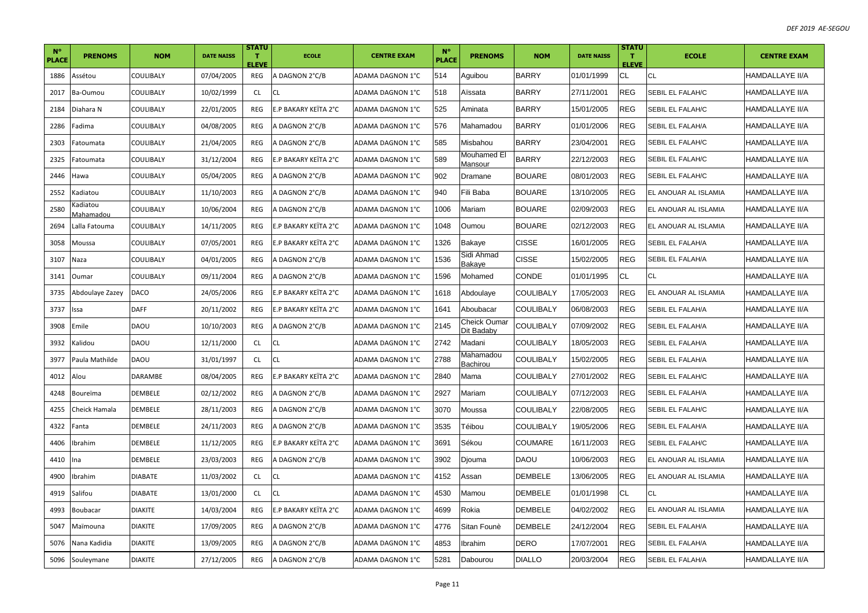| $N^{\circ}$<br><b>PLACE</b> | <b>PRENOMS</b>                | <b>NOM</b>       | <b>DATE NAISS</b> | <b>STATU</b><br>т<br><b>ELEVE</b> | <b>ECOLE</b>         | <b>CENTRE EXAM</b> | $N^{\circ}$<br><b>PLACE</b> | <b>PRENOMS</b>             | <b>NOM</b>       | <b>DATE NAISS</b> | <b>STATU</b><br>т<br><b>ELEVE</b> | <b>ECOLE</b>            | <b>CENTRE EXAM</b>     |
|-----------------------------|-------------------------------|------------------|-------------------|-----------------------------------|----------------------|--------------------|-----------------------------|----------------------------|------------------|-------------------|-----------------------------------|-------------------------|------------------------|
| 1886                        | Assétou                       | COULIBALY        | 07/04/2005        | REG                               | A DAGNON 2°C/B       | ADAMA DAGNON 1°C   | 514                         | Aguibou                    | <b>BARRY</b>     | 01/01/1999        | CL                                | CL                      | HAMDALLAYE II/A        |
| 2017                        | Ba-Oumou                      | COULIBALY        | 10/02/1999        | <b>CL</b>                         | <b>CL</b>            | ADAMA DAGNON 1°C   | 518                         | Aïssata                    | <b>BARRY</b>     | 27/11/2001        | <b>REG</b>                        | <b>SEBIL EL FALAH/C</b> | HAMDALLAYE II/A        |
| 2184                        | Diahara N                     | COULIBALY        | 22/01/2005        | REG                               | E.P BAKARY KEÏTA 2°C | ADAMA DAGNON 1°C   | 525                         | Aminata                    | <b>BARRY</b>     | 15/01/2005        | <b>REG</b>                        | <b>SEBIL EL FALAH/C</b> | HAMDALLAYE II/A        |
| 2286                        | Fadima                        | COULIBALY        | 04/08/2005        | REG                               | A DAGNON 2°C/B       | ADAMA DAGNON 1°C   | 576                         | Mahamadou                  | <b>BARRY</b>     | 01/01/2006        | <b>REG</b>                        | SEBIL EL FALAH/A        | <b>HAMDALLAYE II/A</b> |
| 2303                        | atoumata                      | COULIBALY        | 21/04/2005        | REG                               | A DAGNON 2°C/B       | ADAMA DAGNON 1°C   | 585                         | Misbahou                   | <b>BARRY</b>     | 23/04/2001        | <b>REG</b>                        | SEBIL EL FALAH/C        | HAMDALLAYE II/A        |
| 2325                        | atoumata                      | COULIBALY        | 31/12/2004        | REG                               | E.P BAKARY KEÏTA 2°C | ADAMA DAGNON 1°C   | 589                         | Mouhamed El<br>Mansour     | <b>BARRY</b>     | 22/12/2003        | <b>REG</b>                        | SEBIL EL FALAH/C        | HAMDALLAYE II/A        |
| 2446                        | Hawa                          | COULIBALY        | 05/04/2005        | REG                               | A DAGNON 2°C/B       | ADAMA DAGNON 1°C   | 902                         | Dramane                    | <b>BOUARE</b>    | 08/01/2003        | <b>REG</b>                        | SEBIL EL FALAH/C        | <b>HAMDALLAYE II/A</b> |
| 2552                        | Kadiatou                      | COULIBALY        | 11/10/2003        | REG                               | A DAGNON 2°C/B       | ADAMA DAGNON 1°C   | 940                         | Fili Baba                  | <b>BOUARE</b>    | 13/10/2005        | <b>REG</b>                        | EL ANOUAR AL ISLAMIA    | HAMDALLAYE II/A        |
| 2580                        | adiatou)<br><i>A</i> ahamadou | <b>COULIBALY</b> | 10/06/2004        | <b>REG</b>                        | A DAGNON 2°C/B       | ADAMA DAGNON 1°C   | 1006                        | Mariam                     | <b>BOUARE</b>    | 02/09/2003        | <b>REG</b>                        | EL ANOUAR AL ISLAMIA    | HAMDALLAYE II/A        |
| 2694                        | alla Fatouma                  | COULIBALY        | 14/11/2005        | REG                               | E.P BAKARY KEÏTA 2°C | ADAMA DAGNON 1°C   | 1048                        | Oumou                      | <b>BOUARE</b>    | 02/12/2003        | <b>REG</b>                        | EL ANOUAR AL ISLAMIA    | HAMDALLAYE II/A        |
| 3058                        | Moussa                        | COULIBALY        | 07/05/2001        | <b>REG</b>                        | E.P BAKARY KEÏTA 2°C | ADAMA DAGNON 1°C   | 326                         | Bakaye                     | <b>CISSE</b>     | 16/01/2005        | <b>REG</b>                        | SEBIL EL FALAH/A        | HAMDALLAYE II/A        |
| 3107                        | Naza                          | COULIBALY        | 04/01/2005        | REG                               | A DAGNON 2°C/B       | ADAMA DAGNON 1°C   | 1536                        | Sidi Ahmad<br>Bakaye       | <b>CISSE</b>     | 15/02/2005        | <b>REG</b>                        | SEBIL EL FALAH/A        | <b>HAMDALLAYE II/A</b> |
| 3141                        | Oumar                         | COULIBALY        | 09/11/2004        | REG                               | A DAGNON 2°C/B       | ADAMA DAGNON 1°C   | 596                         | Mohamed                    | <b>CONDE</b>     | 01/01/1995        | <b>CL</b>                         | <b>CL</b>               | HAMDALLAYE II/A        |
| 3735                        | Abdoulaye Zazey               | DACO             | 24/05/2006        | REG                               | E.P BAKARY KEÏTA 2°C | ADAMA DAGNON 1°C   | 1618                        | Abdoulaye                  | <b>COULIBALY</b> | 17/05/2003        | <b>REG</b>                        | EL ANOUAR AL ISLAMIA    | HAMDALLAYE II/A        |
| 3737                        | Issa                          | <b>DAFF</b>      | 20/11/2002        | REG                               | E.P BAKARY KEÏTA 2°C | ADAMA DAGNON 1°C   | 1641                        | Aboubacar                  | <b>COULIBALY</b> | 06/08/2003        | <b>REG</b>                        | SEBIL EL FALAH/A        | <b>HAMDALLAYE II/A</b> |
| 3908                        | Emile                         | DAOU             | 10/10/2003        | REG                               | A DAGNON 2°C/B       | ADAMA DAGNON 1°C   | 2145                        | Cheick Oumar<br>Dit Badaby | <b>COULIBALY</b> | 07/09/2002        | <b>REG</b>                        | SEBIL EL FALAH/A        | <b>HAMDALLAYE II/A</b> |
| 3932                        | Kalidou                       | DAOU             | 12/11/2000        | <b>CL</b>                         | CL                   | ADAMA DAGNON 1°C   | 2742                        | Madani                     | <b>COULIBALY</b> | 18/05/2003        | <b>REG</b>                        | SEBIL EL FALAH/A        | HAMDALLAYE II/A        |
| 3977                        | Paula Mathilde                | DAOU             | 31/01/1997        | <b>CL</b>                         | <b>CL</b>            | ADAMA DAGNON 1°C   | 2788                        | Mahamadou<br>Bachirou      | <b>COULIBALY</b> | 15/02/2005        | <b>REG</b>                        | SEBIL EL FALAH/A        | HAMDALLAYE II/A        |
| 4012                        | Alou                          | <b>DARAMBE</b>   | 08/04/2005        | <b>REG</b>                        | E.P BAKARY KEÏTA 2°C | ADAMA DAGNON 1°C   | 2840                        | Mama                       | COULIBALY        | 27/01/2002        | <b>REG</b>                        | <b>SEBIL EL FALAH/C</b> | HAMDALLAYE II/A        |
| 4248                        | Boureïma                      | DEMBELE          | 02/12/2002        | REG                               | A DAGNON 2°C/B       | ADAMA DAGNON 1°C   | 2927                        | Mariam                     | COULIBALY        | 07/12/2003        | <b>REG</b>                        | SEBIL EL FALAH/A        | <b>HAMDALLAYE II/A</b> |
| 4255                        | Cheick Hamala                 | DEMBELE          | 28/11/2003        | REG                               | A DAGNON 2°C/B       | ADAMA DAGNON 1°C   | 3070                        | Moussa                     | <b>COULIBALY</b> | 22/08/2005        | <b>REG</b>                        | SEBIL EL FALAH/C        | HAMDALLAYE II/A        |
| 4322                        | Fanta                         | DEMBELE          | 24/11/2003        | REG                               | A DAGNON 2°C/B       | ADAMA DAGNON 1°C   | 3535                        | Téibou                     | <b>COULIBALY</b> | 19/05/2006        | <b>REG</b>                        | SEBIL EL FALAH/A        | HAMDALLAYE II/A        |
| 4406                        | Ibrahim                       | DEMBELE          | 11/12/2005        | REG                               | E.P BAKARY KEÏTA 2°C | ADAMA DAGNON 1°C   | 3691                        | Sékou                      | <b>COUMARE</b>   | 16/11/2003        | <b>REG</b>                        | SEBIL EL FALAH/C        | HAMDALLAYE II/A        |
| 4410                        | Ina                           | DEMBELE          | 23/03/2003        | REG                               | A DAGNON 2°C/B       | ADAMA DAGNON 1°C   | 3902                        | Djouma                     | <b>DAOU</b>      | 10/06/2003        | <b>REG</b>                        | EL ANOUAR AL ISLAMIA    | HAMDALLAYE II/A        |
| 4900                        | Ibrahim                       | <b>DIABATE</b>   | 11/03/2002        | <b>CL</b>                         | <b>CL</b>            | ADAMA DAGNON 1°C   | 4152                        | Assan                      | <b>DEMBELE</b>   | 13/06/2005        | <b>REG</b>                        | EL ANOUAR AL ISLAMIA    | <b>HAMDALLAYE II/A</b> |
| 4919                        | Salifou                       | <b>DIABATE</b>   | 13/01/2000        | <b>CL</b>                         | <b>CL</b>            | ADAMA DAGNON 1°C   | 4530                        | Mamou                      | <b>DEMBELE</b>   | 01/01/1998        | <b>CL</b>                         | <b>CL</b>               | HAMDALLAYE II/A        |
| 4993                        | Boubacar                      | <b>DIAKITE</b>   | 14/03/2004        | REG                               | E.P BAKARY KEÏTA 2°C | ADAMA DAGNON 1°C   | 4699                        | Rokia                      | <b>DEMBELE</b>   | 04/02/2002        | <b>REG</b>                        | EL ANOUAR AL ISLAMIA    | HAMDALLAYE II/A        |
| 5047                        | Maïmouna                      | <b>DIAKITE</b>   | 17/09/2005        | <b>REG</b>                        | A DAGNON 2°C/B       | ADAMA DAGNON 1°C   | 4776                        | Sitan Founè                | <b>DEMBELE</b>   | 24/12/2004        | <b>REG</b>                        | <b>SEBIL EL FALAH/A</b> | <b>HAMDALLAYE II/A</b> |
| 5076                        | Nana Kadidia                  | <b>DIAKITE</b>   | 13/09/2005        | REG                               | A DAGNON 2°C/B       | ADAMA DAGNON 1°C   | 4853                        | Ibrahim                    | DERO             | 17/07/2001        | <b>REG</b>                        | SEBIL EL FALAH/A        | HAMDALLAYE II/A        |
| 5096                        | Souleymane                    | DIAKITE          | 27/12/2005        | REG                               | A DAGNON 2°C/B       | ADAMA DAGNON 1°C   | 5281                        | Dabourou                   | <b>DIALLO</b>    | 20/03/2004        | <b>REG</b>                        | <b>SEBIL EL FALAH/A</b> | <b>HAMDALLAYE II/A</b> |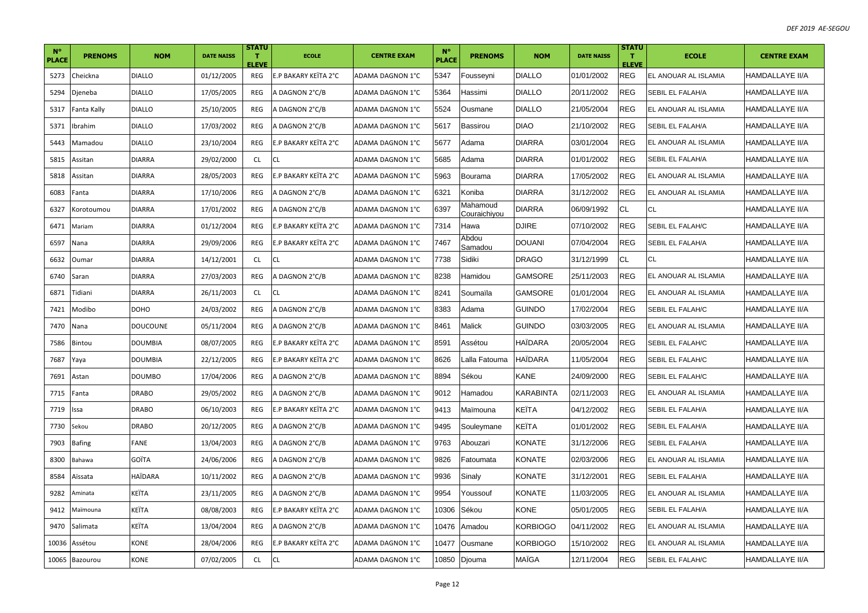| $N^{\circ}$<br><b>PLACE</b> | <b>PRENOMS</b> | <b>NOM</b>     | <b>DATE NAISS</b> | <b>STATU</b><br>T.<br><b>ELEVE</b> | <b>ECOLE</b>         | <b>CENTRE EXAM</b> | $N^{\circ}$<br><b>PLACE</b> | <b>PRENOMS</b>           | <b>NOM</b>     | <b>DATE NAISS</b> | <b>STATU</b><br>п.<br><b>ELEVE</b> | <b>ECOLE</b>         | <b>CENTRE EXAM</b>     |
|-----------------------------|----------------|----------------|-------------------|------------------------------------|----------------------|--------------------|-----------------------------|--------------------------|----------------|-------------------|------------------------------------|----------------------|------------------------|
| 5273                        | Cheickna       | <b>DIALLO</b>  | 01/12/2005        | REG                                | E.P BAKARY KEITA 2°C | ADAMA DAGNON 1°C   | 5347                        | Fousseyni                | <b>DIALLO</b>  | 01/01/2002        | <b>REG</b>                         | EL ANOUAR AL ISLAMIA | HAMDALLAYE II/A        |
| 5294                        | Djeneba        | <b>DIALLO</b>  | 17/05/2005        | REG                                | A DAGNON 2°C/B       | ADAMA DAGNON 1°C   | 5364                        | Hassimi                  | <b>DIALLO</b>  | 20/11/2002        | <b>REG</b>                         | SEBIL EL FALAH/A     | <b>HAMDALLAYE II/A</b> |
| 5317                        | Fanta Kally    | <b>DIALLO</b>  | 25/10/2005        | REG                                | A DAGNON 2°C/B       | ADAMA DAGNON 1°C   | 5524                        | Ousmane                  | <b>DIALLO</b>  | 21/05/2004        | <b>REG</b>                         | EL ANOUAR AL ISLAMIA | <b>HAMDALLAYE II/A</b> |
| 5371                        | Ibrahim        | <b>DIALLO</b>  | 17/03/2002        | REG                                | A DAGNON 2°C/B       | ADAMA DAGNON 1°C   | 5617                        | <b>Bassirou</b>          | <b>DIAO</b>    | 21/10/2002        | <b>REG</b>                         | SEBIL EL FALAH/A     | <b>HAMDALLAYE II/A</b> |
| 5443                        | Mamadou        | <b>DIALLO</b>  | 23/10/2004        | REG                                | E.P BAKARY KEÏTA 2°C | ADAMA DAGNON 1°C   | 5677                        | Adama                    | <b>DIARRA</b>  | 03/01/2004        | <b>REG</b>                         | EL ANOUAR AL ISLAMIA | HAMDALLAYE II/A        |
| 5815                        | Assitan        | <b>DIARRA</b>  | 29/02/2000        | <b>CL</b>                          | <b>CL</b>            | ADAMA DAGNON 1°C   | 5685                        | Adama                    | <b>DIARRA</b>  | 01/01/2002        | <b>REG</b>                         | SEBIL EL FALAH/A     | <b>HAMDALLAYE II/A</b> |
| 5818                        | Assitan        | <b>DIARRA</b>  | 28/05/2003        | REG                                | E.P BAKARY KEÏTA 2°C | ADAMA DAGNON 1°C   | 5963                        | Bourama                  | <b>DIARRA</b>  | 17/05/2002        | <b>REG</b>                         | EL ANOUAR AL ISLAMIA | <b>HAMDALLAYE II/A</b> |
| 6083                        | Fanta          | <b>DIARRA</b>  | 17/10/2006        | REG                                | A DAGNON 2°C/B       | ADAMA DAGNON 1°C   | 6321                        | Koniba                   | <b>DIARRA</b>  | 31/12/2002        | <b>REG</b>                         | EL ANOUAR AL ISLAMIA | HAMDALLAYE II/A        |
| 6327                        | Korotoumou     | <b>DIARRA</b>  | 17/01/2002        | REG                                | A DAGNON 2°C/B       | ADAMA DAGNON 1°C   | 6397                        | Mahamoud<br>Couraichiyou | DIARRA         | 06/09/1992        | <b>CL</b>                          | CL                   | HAMDALLAYE II/A        |
| 6471                        | Mariam         | <b>DIARRA</b>  | 01/12/2004        | REG                                | E.P BAKARY KEÏTA 2°C | ADAMA DAGNON 1°C   | 7314                        | Hawa                     | <b>DJIRE</b>   | 07/10/2002        | <b>REG</b>                         | SEBIL EL FALAH/C     | HAMDALLAYE II/A        |
| 6597                        | Nana           | DIARRA         | 29/09/2006        | REG                                | E.P BAKARY KEÏTA 2°C | ADAMA DAGNON 1°C   | 7467                        | Abdou<br>Samadou         | DOUANI         | 07/04/2004        | <b>REG</b>                         | SEBIL EL FALAH/A     | <b>HAMDALLAYE II/A</b> |
| 6632                        | Oumar          | <b>DIARRA</b>  | 14/12/2001        | <b>CL</b>                          | <b>CL</b>            | ADAMA DAGNON 1°C   | 7738                        | Sidiki                   | <b>DRAGO</b>   | 31/12/1999        | <b>CL</b>                          | CL                   | <b>HAMDALLAYE II/A</b> |
| 6740                        | Saran          | DIARRA         | 27/03/2003        | REG                                | A DAGNON 2°C/B       | ADAMA DAGNON 1°C   | 8238                        | Hamidou                  | GAMSORE        | 25/11/2003        | <b>REG</b>                         | EL ANOUAR AL ISLAMIA | HAMDALLAYE II/A        |
| 6871                        | Tidiani        | <b>DIARRA</b>  | 26/11/2003        | <b>CL</b>                          | <b>CL</b>            | ADAMA DAGNON 1°C   | 8241                        | Soumaïla                 | GAMSORE        | 01/01/2004        | <b>REG</b>                         | EL ANOUAR AL ISLAMIA | <b>HAMDALLAYE II/A</b> |
| 7421                        | Modibo         | DOHO           | 24/03/2002        | REG                                | A DAGNON 2°C/B       | ADAMA DAGNON 1°C   | 8383                        | Adama                    | Guindo         | 17/02/2004        | <b>REG</b>                         | SEBIL EL FALAH/C     | HAMDALLAYE II/A        |
| 7470                        | Nana           | DOUCOUNE       | 05/11/2004        | REG                                | A DAGNON 2°C/B       | ADAMA DAGNON 1°C   | 8461                        | Malick                   | <b>GUINDO</b>  | 03/03/2005        | <b>REG</b>                         | EL ANOUAR AL ISLAMIA | <b>HAMDALLAYE II/A</b> |
| 7586                        | Bintou         | <b>DOUMBIA</b> | 08/07/2005        | REG                                | E.P BAKARY KEITA 2°C | ADAMA DAGNON 1°C   | 8591                        | Assétou                  | HAÏDARA        | 20/05/2004        | <b>REG</b>                         | SEBIL EL FALAH/C     | <b>HAMDALLAYE II/A</b> |
| 7687                        | Yaya           | DOUMBIA        | 22/12/2005        | <b>REG</b>                         | E.P BAKARY KEITA 2°C | ADAMA DAGNON 1°C   | 8626                        | Lalla Fatouma            | <b>HAIDARA</b> | 11/05/2004        | <b>REG</b>                         | SEBIL EL FALAH/C     | HAMDALLAYE II/A        |
| 7691                        | Astan          | <b>DOUMBO</b>  | 17/04/2006        | REG                                | A DAGNON 2°C/B       | ADAMA DAGNON 1°C   | 8894                        | Sékou                    | KANE           | 24/09/2000        | <b>REG</b>                         | SEBIL EL FALAH/C     | <b>HAMDALLAYE II/A</b> |
| 7715                        | Fanta          | <b>DRABO</b>   | 29/05/2002        | REG                                | A DAGNON 2°C/B       | ADAMA DAGNON 1°C   | 9012                        | Hamadou                  | KARABINTA      | 02/11/2003        | <b>REG</b>                         | EL ANOUAR AL ISLAMIA | <b>HAMDALLAYE II/A</b> |
| 7719                        | Issa           | <b>DRABO</b>   | 06/10/2003        | REG                                | E.P BAKARY KEITA 2°C | ADAMA DAGNON 1°C   | 9413                        | Maïmouna                 | KEÏTA          | 04/12/2002        | <b>REG</b>                         | SEBIL EL FALAH/A     | <b>HAMDALLAYE II/A</b> |
| 7730                        | Sekou          | <b>DRABO</b>   | 20/12/2005        | REG                                | A DAGNON 2°C/B       | ADAMA DAGNON 1°C   | 9495                        | Souleymane               | KEÏTA          | 01/01/2002        | <b>REG</b>                         | SEBIL EL FALAH/A     | <b>HAMDALLAYE II/A</b> |
| 7903                        | Bafing         | FANE           | 13/04/2003        | REG                                | A DAGNON 2°C/B       | ADAMA DAGNON 1°C   | 9763                        | Abouzari                 | KONATE         | 31/12/2006        | <b>REG</b>                         | SEBIL EL FALAH/A     | HAMDALLAYE II/A        |
| 8300                        | Bahawa         | GOÏTA          | 24/06/2006        | REG                                | A DAGNON 2°C/B       | ADAMA DAGNON 1°C   | 9826                        | Fatoumata                | KONATE         | 02/03/2006        | <b>REG</b>                         | EL ANOUAR AL ISLAMIA | <b>HAMDALLAYE II/A</b> |
| 8584                        | Aïssata        | HAÏDARA        | 10/11/2002        | REG                                | A DAGNON 2°C/B       | ADAMA DAGNON 1°C   | 9936                        | Sinaly                   | KONATE         | 31/12/2001        | <b>REG</b>                         | SEBIL EL FALAH/A     | <b>HAMDALLAYE II/A</b> |
| 9282                        | Aminata        | KEÏTA          | 23/11/2005        | <b>REG</b>                         | A DAGNON 2°C/B       | ADAMA DAGNON 1°C   | 9954                        | Youssouf                 | KONATE         | 11/03/2005        | <b>REG</b>                         | EL ANOUAR AL ISLAMIA | HAMDALLAYE II/A        |
| 9412                        | Maïmouna       | KEÏTA          | 08/08/2003        | REG                                | E.P BAKARY KEÏTA 2°C | ADAMA DAGNON 1°C   | 10306                       | Sékou                    | KONE           | 05/01/2005        | <b>REG</b>                         | SEBIL EL FALAH/A     | HAMDALLAYE II/A        |
| 9470                        | Salimata       | KEÏTA          | 13/04/2004        | REG                                | A DAGNON 2°C/B       | ADAMA DAGNON 1°C   | 10476                       | Amadou                   | KORBIOGO       | 04/11/2002        | <b>REG</b>                         | EL ANOUAR AL ISLAMIA | HAMDALLAYE II/A        |
| 10036                       | Assétou        | KONE           | 28/04/2006        | REG                                | E.P BAKARY KEITA 2°C | ADAMA DAGNON 1°C   | 10477                       | Ousmane                  | KORBIOGO       | 15/10/2002        | <b>REG</b>                         | EL ANOUAR AL ISLAMIA | HAMDALLAYE II/A        |
|                             | 10065 Bazourou | KONE           | 07/02/2005        | CL.                                | <b>CL</b>            | ADAMA DAGNON 1°C   | 10850                       | Djouma                   | MAÏGA          | 12/11/2004        | <b>REG</b>                         | SEBIL EL FALAH/C     | <b>HAMDALLAYE II/A</b> |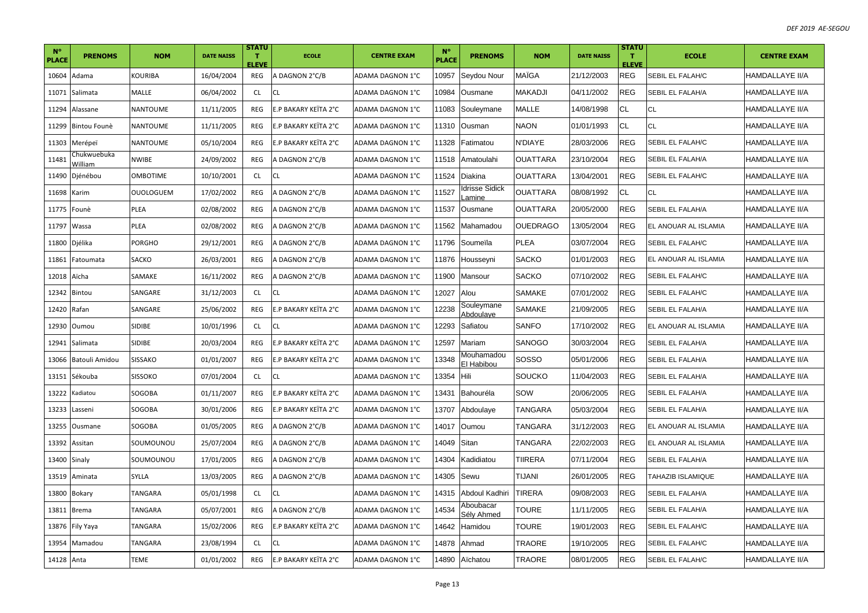| $N^{\circ}$<br><b>PLACE</b> | <b>PRENOMS</b>         | <b>NOM</b>       | <b>DATE NAISS</b> | <b>STATU</b><br>$\mathbf T$<br><b>ELEVE</b> | <b>ECOLE</b>         | <b>CENTRE EXAM</b> | $N^{\circ}$<br><b>PLACE</b> | <b>PRENOMS</b>           | <b>NOM</b>      | <b>DATE NAISS</b> | <b>STATU</b><br>$\mathbf T$<br><b>ELEVE</b> | <b>ECOLE</b>         | <b>CENTRE EXAM</b>     |
|-----------------------------|------------------------|------------------|-------------------|---------------------------------------------|----------------------|--------------------|-----------------------------|--------------------------|-----------------|-------------------|---------------------------------------------|----------------------|------------------------|
| 10604                       | Adama                  | KOURIBA          | 16/04/2004        | REG                                         | A DAGNON 2°C/B       | ADAMA DAGNON 1°C   | 10957                       | Seydou Nour              | MAÏGA           | 21/12/2003        | <b>REG</b>                                  | SEBIL EL FALAH/C     | HAMDALLAYE II/A        |
| 11071                       | Salimata               | MALLE            | 06/04/2002        | <b>CL</b>                                   | <b>CL</b>            | ADAMA DAGNON 1°C   | 10984                       | Ousmane                  | <b>MAKADJI</b>  | 04/11/2002        | <b>REG</b>                                  | SEBIL EL FALAH/A     | HAMDALLAYE II/A        |
| 11294                       | Alassane               | NANTOUME         | 11/11/2005        | REG                                         | E.P BAKARY KEÏTA 2°C | ADAMA DAGNON 1°C   | 1083                        | Souleymane               | <b>MALLE</b>    | 14/08/1998        | <b>CL</b>                                   | <b>CL</b>            | <b>HAMDALLAYE II/A</b> |
| 11299                       | Bintou Founè           | <b>NANTOUME</b>  | 11/11/2005        | REG                                         | E.P BAKARY KEITA 2°C | ADAMA DAGNON 1°C   | 11310                       | Ousman                   | <b>NAON</b>     | 01/01/1993        | <b>CL</b>                                   | <b>CL</b>            | <b>HAMDALLAYE II/A</b> |
| 11303                       | Merépeï                | NANTOUME         | 05/10/2004        | REG                                         | E.P BAKARY KEITA 2°C | ADAMA DAGNON 1°C   | 1328                        | Fatimatou                | N'DIAYE         | 28/03/2006        | <b>REG</b>                                  | SEBIL EL FALAH/C     | HAMDALLAYE II/A        |
| 11481                       | Chukwuebuka<br>William | <b>NWIBE</b>     | 24/09/2002        | REG                                         | A DAGNON 2°C/B       | ADAMA DAGNON 1°C   | 1518                        | Amatoulahi               | <b>OUATTARA</b> | 23/10/2004        | <b>REG</b>                                  | SEBIL EL FALAH/A     | <b>HAMDALLAYE II/A</b> |
| 11490                       | Djénébou               | <b>OMBOTIME</b>  | 10/10/2001        | <b>CL</b>                                   | <b>CL</b>            | ADAMA DAGNON 1°C   | 11524                       | Diakina                  | <b>OUATTARA</b> | 13/04/2001        | <b>REG</b>                                  | SEBIL EL FALAH/C     | <b>HAMDALLAYE II/A</b> |
| 11698                       | Karim                  | <b>OUOLOGUEM</b> | 17/02/2002        | REG                                         | A DAGNON 2°C/B       | ADAMA DAGNON 1°C   | 1527                        | drisse Sidick<br>amine.  | <b>OUATTARA</b> | 08/08/1992        | <b>CL</b>                                   | CL                   | HAMDALLAYE II/A        |
| 11775                       | Founè                  | PLEA             | 02/08/2002        | REG                                         | A DAGNON 2°C/B       | ADAMA DAGNON 1°C   | 11537                       | Ousmane                  | OUATTARA        | 20/05/2000        | <b>REG</b>                                  | SEBIL EL FALAH/A     | HAMDALLAYE II/A        |
| 11797                       | Wassa                  | PLEA             | 02/08/2002        | REG                                         | A DAGNON 2°C/B       | ADAMA DAGNON 1°C   | 1562                        | Mahamadou                | <b>OUEDRAGO</b> | 13/05/2004        | <b>REG</b>                                  | EL ANOUAR AL ISLAMIA | HAMDALLAYE II/A        |
| 11800                       | Djélika                | PORGHO           | 29/12/2001        | REG                                         | A DAGNON 2°C/B       | ADAMA DAGNON 1°C   | 11796                       | Soumeïla                 | <b>PLEA</b>     | 03/07/2004        | <b>REG</b>                                  | SEBIL EL FALAH/C     | HAMDALLAYE II/A        |
| 11861                       | Fatoumata              | SACKO            | 26/03/2001        | REG                                         | A DAGNON 2°C/B       | ADAMA DAGNON 1°C   | 11876                       | Housseyni                | <b>SACKO</b>    | 01/01/2003        | <b>REG</b>                                  | EL ANOUAR AL ISLAMIA | <b>HAMDALLAYE II/A</b> |
| 12018                       | Aïcha                  | SAMAKE           | 16/11/2002        | REG                                         | A DAGNON 2°C/B       | ADAMA DAGNON 1°C   | 1900                        | Mansour                  | <b>SACKO</b>    | 07/10/2002        | <b>REG</b>                                  | SEBIL EL FALAH/C     | HAMDALLAYE II/A        |
| 12342                       | Bintou                 | SANGARE          | 31/12/2003        | <b>CL</b>                                   | <b>CL</b>            | ADAMA DAGNON 1°C   | 2027                        | Alou                     | SAMAKE          | 07/01/2002        | <b>REG</b>                                  | SEBIL EL FALAH/C     | <b>HAMDALLAYE II/A</b> |
| 12420                       | Rafan                  | SANGARE          | 25/06/2002        | REG                                         | E.P BAKARY KEÏTA 2°C | ADAMA DAGNON 1°C   | 2238                        | Souleymane<br>Abdoulave  | <b>SAMAKE</b>   | 21/09/2005        | <b>REG</b>                                  | SEBIL EL FALAH/A     | HAMDALLAYE II/A        |
| 12930                       | Oumou                  | SIDIBE           | 10/01/1996        | <b>CL</b>                                   | <b>CL</b>            | ADAMA DAGNON 1°C   | 2293                        | Safiatou                 | <b>SANFO</b>    | 17/10/2002        | <b>REG</b>                                  | EL ANOUAR AL ISLAMIA | HAMDALLAYE II/A        |
| 12941                       | Salimata               | <b>SIDIBE</b>    | 20/03/2004        | REG                                         | E.P BAKARY KEÏTA 2°C | ADAMA DAGNON 1°C   | 2597                        | Mariam                   | SANOGO          | 30/03/2004        | <b>REG</b>                                  | SEBIL EL FALAH/A     | <b>HAMDALLAYE II/A</b> |
| 13066                       | Batouli Amidou         | SISSAKO          | 01/01/2007        | <b>REG</b>                                  | E.P BAKARY KEÏTA 2°C | ADAMA DAGNON 1°C   | 3348                        | Mouhamadou<br>El Habibou | SOSSO           | 05/01/2006        | <b>REG</b>                                  | SEBIL EL FALAH/A     | HAMDALLAYE II/A        |
| 13151                       | Sékouba                | <b>SISSOKO</b>   | 07/01/2004        | CL                                          | <b>CL</b>            | ADAMA DAGNON 1°C   | 3354                        | Hili                     | SOUCKO          | 11/04/2003        | <b>REG</b>                                  | SEBIL EL FALAH/A     | <b>HAMDALLAYE II/A</b> |
| 13222                       | Kadiatou               | SOGOBA           | 01/11/2007        | REG                                         | E.P BAKARY KEÏTA 2°C | ADAMA DAGNON 1°C   | 13431                       | Bahouréla                | SOW             | 20/06/2005        | <b>REG</b>                                  | SEBIL EL FALAH/A     | <b>HAMDALLAYE II/A</b> |
| 13233                       | Lasseni                | SOGOBA           | 30/01/2006        | REG                                         | E.P BAKARY KEITA 2°C | ADAMA DAGNON 1°C   | 3707                        | Abdoulaye                | <b>TANGARA</b>  | 05/03/2004        | <b>REG</b>                                  | SEBIL EL FALAH/A     | HAMDALLAYE II/A        |
| 13255                       | Ousmane                | SOGOBA           | 01/05/2005        | REG                                         | A DAGNON 2°C/B       | ADAMA DAGNON 1°C   | 14017                       | Oumou                    | <b>TANGARA</b>  | 31/12/2003        | <b>REG</b>                                  | EL ANOUAR AL ISLAMIA | <b>HAMDALLAYE II/A</b> |
| 13392                       | Assitan                | SOUMOUNOU        | 25/07/2004        | REG                                         | A DAGNON 2°C/B       | ADAMA DAGNON 1°C   | 14049                       | Sitan                    | <b>TANGARA</b>  | 22/02/2003        | <b>REG</b>                                  | EL ANOUAR AL ISLAMIA | HAMDALLAYE II/A        |
| 13400                       | Sinaly                 | SOUMOUNOU        | 17/01/2005        | REG                                         | A DAGNON 2°C/B       | ADAMA DAGNON 1°C   | 14304                       | Kadidiatou               | <b>TIIRERA</b>  | 07/11/2004        | <b>REG</b>                                  | SEBIL EL FALAH/A     | HAMDALLAYE II/A        |
| 13519                       | Aminata                | SYLLA            | 13/03/2005        | REG                                         | A DAGNON 2°C/B       | ADAMA DAGNON 1°C   | 14305                       | Sewu                     | <b>TIJANI</b>   | 26/01/2005        | <b>REG</b>                                  | TAHAZIB ISLAMIQUE    | <b>HAMDALLAYE II/A</b> |
| 13800                       | Bokary                 | TANGARA          | 05/01/1998        | CL                                          | <b>CL</b>            | ADAMA DAGNON 1°C   | 14315                       | Abdoul Kadhiri           | <b>TIRERA</b>   | 09/08/2003        | <b>REG</b>                                  | SEBIL EL FALAH/A     | HAMDALLAYE II/A        |
| 13811                       | <b>Brema</b>           | TANGARA          | 05/07/2001        | REG                                         | A DAGNON 2°C/B       | ADAMA DAGNON 1°C   | 14534                       | Aboubacar<br>Sély Ahmed  | TOURE           | 11/11/2005        | <b>REG</b>                                  | SEBIL EL FALAH/A     | HAMDALLAYE II/A        |
| 13876                       | <b>Fily Yaya</b>       | TANGARA          | 15/02/2006        | REG                                         | E.P BAKARY KEITA 2°C | ADAMA DAGNON 1°C   | 14642                       | Hamidou                  | <b>TOURE</b>    | 19/01/2003        | <b>REG</b>                                  | SEBIL EL FALAH/C     | HAMDALLAYE II/A        |
| 13954                       | Mamadou                | TANGARA          | 23/08/1994        | CL                                          | <b>CL</b>            | ADAMA DAGNON 1°C   | 14878                       | Ahmad                    | TRAORE          | 19/10/2005        | <b>REG</b>                                  | SEBIL EL FALAH/C     | HAMDALLAYE II/A        |
| 14128 Anta                  |                        | TEME             | 01/01/2002        | REG                                         | E.P BAKARY KEITA 2°C | ADAMA DAGNON 1°C   | 14890                       | Aïchatou                 | <b>TRAORE</b>   | 08/01/2005        | <b>REG</b>                                  | SEBIL EL FALAH/C     | <b>HAMDALLAYE II/A</b> |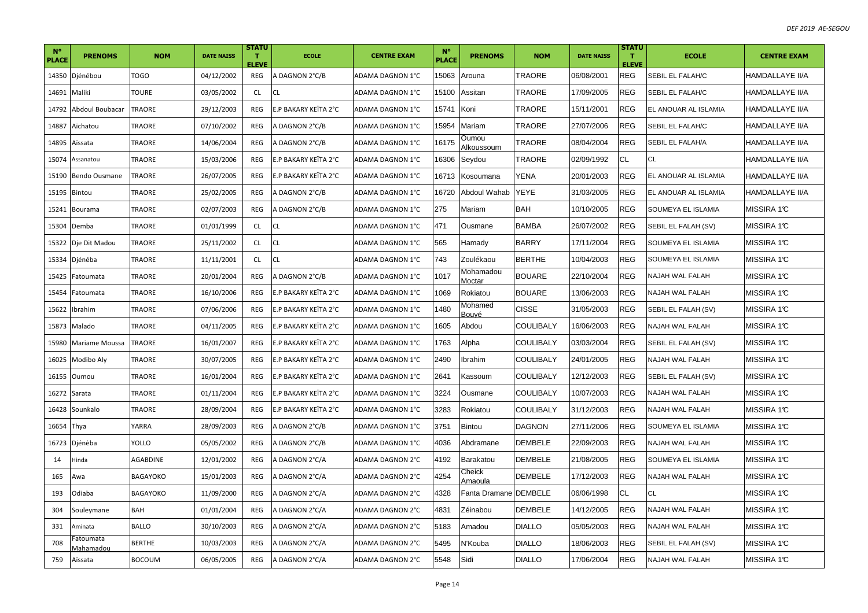| $N^{\circ}$<br><b>PLACE</b> | <b>PRENOMS</b>                | <b>NOM</b>      | <b>DATE NAISS</b> | <b>STATU</b><br>$\mathbf T$<br><b>ELEVE</b> | <b>ECOLE</b>         | <b>CENTRE EXAM</b> | $N^{\circ}$<br><b>PLACE</b> | <b>PRENOMS</b>        | <b>NOM</b>       | <b>DATE NAISS</b> | <b>STATU</b><br>$\mathbf{T}$<br><b>ELEVE</b> | <b>ECOLE</b>           | <b>CENTRE EXAM</b>     |
|-----------------------------|-------------------------------|-----------------|-------------------|---------------------------------------------|----------------------|--------------------|-----------------------------|-----------------------|------------------|-------------------|----------------------------------------------|------------------------|------------------------|
| 14350                       | Djénébou                      | <b>TOGO</b>     | 04/12/2002        | REG                                         | A DAGNON 2°C/B       | ADAMA DAGNON 1°C   | 15063                       | Arouna                | <b>TRAORE</b>    | 06/08/2001        | <b>REG</b>                                   | SEBIL EL FALAH/C       | <b>HAMDALLAYE II/A</b> |
| 14691                       | Maliki                        | TOURE           | 03/05/2002        | CL                                          | <b>CL</b>            | ADAMA DAGNON 1°C   | 15100                       | Assitan               | TRAORE           | 17/09/2005        | REG                                          | SEBIL EL FALAH/C       | <b>HAMDALLAYE II/A</b> |
| 14792                       | Abdoul Boubacar               | TRAORE          | 29/12/2003        | REG                                         | E.P BAKARY KEITA 2°C | ADAMA DAGNON 1°C   | 15741                       | Koni                  | TRAORE           | 15/11/2001        | REG                                          | EL ANOUAR AL ISLAMIA   | <b>HAMDALLAYE II/A</b> |
| 14887                       | Aïchatou                      | TRAORE          | 07/10/2002        | REG                                         | A DAGNON 2°C/B       | ADAMA DAGNON 1°C   | 15954                       | Mariam                | TRAORE           | 27/07/2006        | REG                                          | SEBIL EL FALAH/C       | <b>HAMDALLAYE II/A</b> |
| 14895                       | Aïssata                       | TRAORE          | 14/06/2004        | REG                                         | A DAGNON 2°C/B       | ADAMA DAGNON 1°C   | 16175                       | Oumou<br>Alkoussoum   | TRAORE           | 08/04/2004        | REG                                          | SEBIL EL FALAH/A       | HAMDALLAYE II/A        |
| 15074                       | Assanatou                     | TRAORE          | 15/03/2006        | REG                                         | E.P BAKARY KEITA 2°C | ADAMA DAGNON 1°C   | 6306                        | Seydou                | TRAORE           | 02/09/1992        | <b>CL</b>                                    | СL                     | <b>HAMDALLAYE II/A</b> |
| 15190                       | Bendo Ousmane                 | TRAORE          | 26/07/2005        | REG                                         | E.P BAKARY KEITA 2°C | ADAMA DAGNON 1°C   | 16713                       | Kosoumana             | <b>YENA</b>      | 20/01/2003        | <b>REG</b>                                   | EL ANOUAR AL ISLAMIA   | <b>HAMDALLAYE II/A</b> |
| 15195                       | Bintou                        | TRAORE          | 25/02/2005        | REG                                         | A DAGNON 2°C/B       | ADAMA DAGNON 1°C   | 6720                        | Abdoul Wahab          | <b>YEYE</b>      | 31/03/2005        | REG                                          | EL ANOUAR AL ISLAMIA   | <b>HAMDALLAYE II/A</b> |
| 15241                       | Bourama                       | TRAORE          | 02/07/2003        | REG                                         | A DAGNON 2°C/B       | ADAMA DAGNON 1°C   | 275                         | Mariam                | <b>BAH</b>       | 10/10/2005        | <b>REG</b>                                   | SOUMEYA EL ISLAMIA     | MISSIRA 1°C            |
| 15304                       | Demba                         | TRAORE          | 01/01/1999        | <b>CL</b>                                   | <b>CL</b>            | ADAMA DAGNON 1°C   | 471                         | Ousmane               | <b>BAMBA</b>     | 26/07/2002        | REG                                          | SEBIL EL FALAH (SV)    | MISSIRA 1°C            |
| 15322                       | Dje Dit Madou                 | TRAORE          | 25/11/2002        | CL                                          | <b>CL</b>            | ADAMA DAGNON 1°C   | 565                         | Hamady                | <b>BARRY</b>     | 17/11/2004        | <b>REG</b>                                   | SOUMEYA EL ISLAMIA     | MISSIRA 1℃             |
| 15334                       | Djénéba                       | TRAORE          | 11/11/2001        | <b>CL</b>                                   | <b>CL</b>            | ADAMA DAGNON 1°C   | 743                         | Zoulékaou             | <b>BERTHE</b>    | 10/04/2003        | REG                                          | SOUMEYA EL ISLAMIA     | MISSIRA 1°C            |
| 15425                       | Fatoumata                     | TRAORE          | 20/01/2004        | <b>REG</b>                                  | A DAGNON 2°C/B       | ADAMA DAGNON 1°C   | 1017                        | Mohamadou<br>Moctar   | <b>BOUARE</b>    | 22/10/2004        | REG                                          | NAJAH WAL FALAH        | MISSIRA 1℃             |
| 15454                       | Fatoumata                     | TRAORE          | 16/10/2006        | REG                                         | E.P BAKARY KEÏTA 2°C | ADAMA DAGNON 1°C   | 069                         | Rokiatou              | <b>BOUARE</b>    | 13/06/2003        | REG                                          | NAJAH WAL FALAH        | MISSIRA 1°C            |
| 15622                       | Ibrahim                       | TRAORE          | 07/06/2006        | REG                                         | E.P BAKARY KEITA 2°C | ADAMA DAGNON 1°C   | 1480                        | Mohamed<br>Bouvé      | <b>CISSE</b>     | 31/05/2003        | <b>REG</b>                                   | SEBIL EL FALAH (SV)    | MISSIRA 1°C            |
| 15873                       | Malado                        | TRAORE          | 04/11/2005        | REG                                         | E.P BAKARY KEITA 2°C | ADAMA DAGNON 1°C   | 605                         | Abdou                 | COULIBALY        | 16/06/2003        | REG                                          | NAJAH WAL FALAH        | MISSIRA 1°C            |
| 15980                       | Mariame Moussa                | TRAORE          | 16/01/2007        | REG                                         | E.P BAKARY KEITA 2°C | ADAMA DAGNON 1°C   | 1763                        | Alpha                 | <b>COULIBALY</b> | 03/03/2004        | REG                                          | SEBIL EL FALAH (SV)    | MISSIRA 1°C            |
| 16025                       | Modibo Aly                    | TRAORE          | 30/07/2005        | REG                                         | E.P BAKARY KEITA 2°C | ADAMA DAGNON 1°C   | 2490                        | Ibrahim               | COULIBALY        | 24/01/2005        | REG                                          | NAJAH WAL FALAH        | MISSIRA 1℃             |
| 16155                       | Oumou                         | TRAORE          | 16/01/2004        | REG                                         | E.P BAKARY KEITA 2°C | ADAMA DAGNON 1°C   | 2641                        | Kassoum               | COULIBALY        | 12/12/2003        | REG                                          | SEBIL EL FALAH (SV)    | MISSIRA 1℃             |
| 16272                       | Sarata                        | TRAORE          | 01/11/2004        | REG                                         | E.P BAKARY KEITA 2°C | ADAMA DAGNON 1°C   | 3224                        | Ousmane               | <b>COULIBALY</b> | 10/07/2003        | <b>REG</b>                                   | NAJAH WAL FALAH        | MISSIRA 1°C            |
| 16428                       | Sounkalo                      | TRAORE          | 28/09/2004        | REG                                         | E.P BAKARY KEITA 2°C | ADAMA DAGNON 1°C   | 3283                        | Rokiatou              | <b>COULIBALY</b> | 31/12/2003        | <b>REG</b>                                   | NAJAH WAL FALAH        | MISSIRA 1°C            |
| 16654                       | Thya                          | YARRA           | 28/09/2003        | <b>REG</b>                                  | A DAGNON 2°C/B       | ADAMA DAGNON 1°C   | 3751                        | <b>Bintou</b>         | <b>DAGNON</b>    | 27/11/2006        | <b>REG</b>                                   | SOUMEYA EL ISLAMIA     | MISSIRA 1°C            |
| 16723                       | Djénèba                       | YOLLO           | 05/05/2002        | REG                                         | A DAGNON 2°C/B       | ADAMA DAGNON 1°C   | 4036                        | Abdramane             | <b>DEMBELE</b>   | 22/09/2003        | REG                                          | NAJAH WAL FALAH        | MISSIRA 1°C            |
| 14                          | Hinda                         | AGABDINE        | 12/01/2002        | <b>REG</b>                                  | A DAGNON 2°C/A       | ADAMA DAGNON 2°C   | 1192                        | Barakatou             | <b>DEMBELE</b>   | 21/08/2005        | <b>REG</b>                                   | SOUMEYA EL ISLAMIA     | MISSIRA 1°C            |
| 165                         | Awa                           | <b>BAGAYOKO</b> | 15/01/2003        | REG                                         | A DAGNON 2°C/A       | ADAMA DAGNON 2°C   | 4254                        | Cheick<br>Amaoula     | <b>DEMBELE</b>   | 17/12/2003        | REG                                          | NAJAH WAL FALAH        | MISSIRA 1°C            |
| 193                         | Odiaba                        | <b>BAGAYOKO</b> | 11/09/2000        | <b>REG</b>                                  | A DAGNON 2°C/A       | ADAMA DAGNON 2°C   | 4328                        | Fanta Dramane DEMBELE |                  | 06/06/1998        | СL                                           | СL                     | MISSIRA 1℃             |
| 304                         | Souleymane                    | BAH             | 01/01/2004        | REG                                         | A DAGNON 2°C/A       | ADAMA DAGNON 2°C   | 4831                        | Zéinabou              | <b>DEMBELE</b>   | 14/12/2005        | REG                                          | <b>NAJAH WAL FALAH</b> | MISSIRA 1℃             |
| 331                         | Aminata                       | <b>BALLO</b>    | 30/10/2003        | REG                                         | A DAGNON 2°C/A       | ADAMA DAGNON 2°C   | 5183                        | Amadou                | <b>DIALLO</b>    | 05/05/2003        | <b>REG</b>                                   | NAJAH WAL FALAH        | MISSIRA 1°C            |
| 708                         | Fatoumata<br><u>Mahamadou</u> | <b>BERTHE</b>   | 10/03/2003        | REG                                         | A DAGNON 2°C/A       | ADAMA DAGNON 2°C   | 5495                        | N'Kouba               | <b>DIALLO</b>    | 18/06/2003        | REG                                          | SEBIL EL FALAH (SV)    | MISSIRA 1℃             |
| 759                         | Aïssata                       | <b>BOCOUM</b>   | 06/05/2005        | REG                                         | A DAGNON 2°C/A       | ADAMA DAGNON 2°C   | 5548                        | Sidi                  | <b>DIALLO</b>    | 17/06/2004        | REG                                          | NAJAH WAL FALAH        | MISSIRA 1°C            |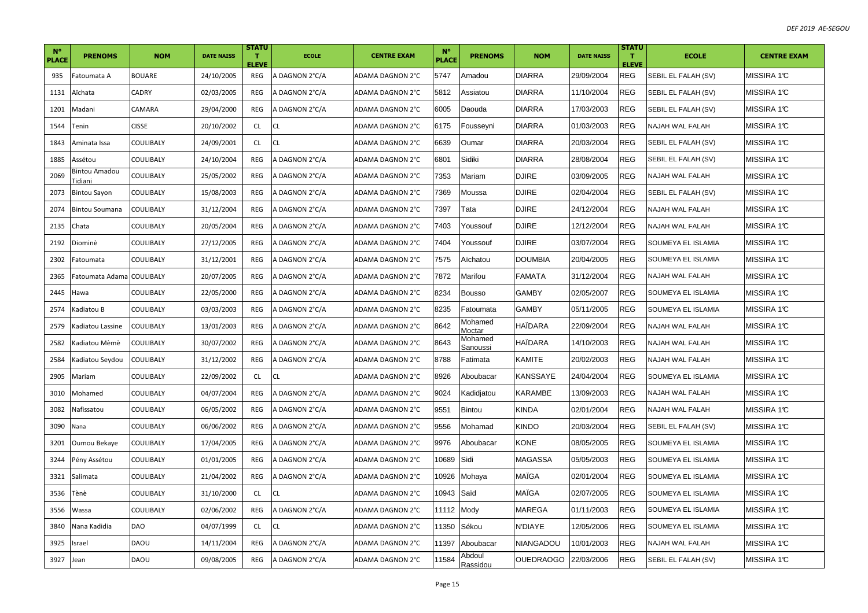| $N^{\circ}$<br><b>PLACE</b> | <b>PRENOMS</b>                                                                                                                                                                                                                                                                  | <b>NOM</b>    | <b>DATE NAISS</b> | <b>STATU</b><br>$\mathbf T$<br><b>ELEVE</b> | <b>ECOLE</b>   | <b>CENTRE EXAM</b> | $N^{\circ}$<br><b>PLACE</b> | <b>PRENOMS</b>      | <b>NOM</b>       | <b>DATE NAISS</b> | <b>STATU</b><br>T.<br><b>ELEVE</b> | <b>ECOLE</b>              | <b>CENTRE EXAM</b> |
|-----------------------------|---------------------------------------------------------------------------------------------------------------------------------------------------------------------------------------------------------------------------------------------------------------------------------|---------------|-------------------|---------------------------------------------|----------------|--------------------|-----------------------------|---------------------|------------------|-------------------|------------------------------------|---------------------------|--------------------|
| 935                         | Fatoumata A                                                                                                                                                                                                                                                                     | <b>BOUARE</b> | 24/10/2005        | REG                                         | A DAGNON 2°C/A | ADAMA DAGNON 2°C   | 5747                        | Amadou              | <b>DIARRA</b>    | 29/09/2004        | <b>REG</b>                         | SEBIL EL FALAH (SV)       | MISSIRA 1°C        |
| 1131                        | Aïchata                                                                                                                                                                                                                                                                         | CADRY         | 02/03/2005        | REG                                         | A DAGNON 2°C/A | ADAMA DAGNON 2°C   | 5812                        | Assiatou            | <b>DIARRA</b>    | 11/10/2004        | <b>REG</b>                         | SEBIL EL FALAH (SV)       | MISSIRA 1℃         |
| 1201                        | Madani                                                                                                                                                                                                                                                                          | CAMARA        | 29/04/2000        | REG                                         | A DAGNON 2°C/A | ADAMA DAGNON 2°C   | 6005                        | Daouda              | <b>DIARRA</b>    | 17/03/2003        | <b>REG</b>                         | SEBIL EL FALAH (SV)       | MISSIRA 1°C        |
| 1544                        | Tenin                                                                                                                                                                                                                                                                           | <b>CISSE</b>  | 20/10/2002        | <b>CL</b>                                   | <b>CL</b>      | ADAMA DAGNON 2°C   | 6175                        | Fousseyni           | <b>DIARRA</b>    | 01/03/2003        | <b>REG</b>                         | <b>NAJAH WAL FALAH</b>    | MISSIRA 1°C        |
| 1843                        | Aminata Issa                                                                                                                                                                                                                                                                    | COULIBALY     | 24/09/2001        | <b>CL</b>                                   | <b>CL</b>      | ADAMA DAGNON 2°C   | 6639                        | Oumar               | <b>DIARRA</b>    | 20/03/2004        | <b>REG</b>                         | SEBIL EL FALAH (SV)       | MISSIRA 1℃         |
| 1885                        | Assétou                                                                                                                                                                                                                                                                         | COULIBALY     | 24/10/2004        | REG                                         | A DAGNON 2°C/A | ADAMA DAGNON 2°C   | 6801                        | Sidiki              | <b>DIARRA</b>    | 28/08/2004        | <b>REG</b>                         | SEBIL EL FALAH (SV)       | MISSIRA 1°C        |
| 2069                        | 3intou Amadou<br>idiani                                                                                                                                                                                                                                                         | COULIBALY     | 25/05/2002        | REG                                         | A DAGNON 2°C/A | ADAMA DAGNON 2°C   | 7353                        | Mariam              | <b>DJIRE</b>     | 03/09/2005        | <b>REG</b>                         | <b>NAJAH WAL FALAH</b>    | MISSIRA 1℃         |
| 2073                        | <b>Bintou Sayon</b>                                                                                                                                                                                                                                                             | COULIBALY     | 15/08/2003        | REG                                         | A DAGNON 2°C/A | ADAMA DAGNON 2°C   | 7369                        | Moussa              | <b>DJIRE</b>     | 02/04/2004        | <b>REG</b>                         | SEBIL EL FALAH (SV)       | MISSIRA 1°C        |
| 2074                        | <b>Bintou Soumana</b>                                                                                                                                                                                                                                                           | COULIBALY     | 31/12/2004        | REG                                         | A DAGNON 2°C/A | ADAMA DAGNON 2°C   | 7397                        | Tata                | <b>DJIRE</b>     | 24/12/2004        | <b>REG</b>                         | <b>NAJAH WAL FALAH</b>    | MISSIRA 1°C        |
| 2135                        | Chata                                                                                                                                                                                                                                                                           | COULIBALY     | 20/05/2004        | REG                                         | A DAGNON 2°C/A | ADAMA DAGNON 2°C   | 7403                        | Youssouf            | <b>DJIRE</b>     | 12/12/2004        | <b>REG</b>                         | NAJAH WAL FALAH           | MISSIRA 1°C        |
| 2192                        | Diominè                                                                                                                                                                                                                                                                         | COULIBALY     | 27/12/2005        | REG                                         | A DAGNON 2°C/A | ADAMA DAGNON 2°C   | 7404                        | Youssouf            | <b>DJIRE</b>     | 03/07/2004        | <b>REG</b>                         | SOUMEYA EL ISLAMIA        | MISSIRA 1℃         |
| 2302                        | Fatoumata                                                                                                                                                                                                                                                                       | COULIBALY     | 31/12/2001        | REG                                         | A DAGNON 2°C/A | ADAMA DAGNON 2°C   | 7575                        | Aïchatou            | <b>DOUMBIA</b>   | 20/04/2005        | <b>REG</b>                         | <b>SOUMEYA EL ISLAMIA</b> | MISSIRA 1°C        |
| 2365                        | Fatoumata Adama                                                                                                                                                                                                                                                                 | COULIBALY     | 20/07/2005        | REG                                         | A DAGNON 2°C/A | ADAMA DAGNON 2°C   | 7872                        | Marifou             | <b>FAMATA</b>    | 31/12/2004        | <b>REG</b>                         | NAJAH WAL FALAH           | MISSIRA 1°C        |
| 2445                        | Hawa                                                                                                                                                                                                                                                                            | COULIBALY     | 22/05/2000        | REG                                         | A DAGNON 2°C/A | ADAMA DAGNON 2°C   | 3234                        | <b>Bousso</b>       | <b>GAMBY</b>     | 02/05/2007        | <b>REG</b>                         | SOUMEYA EL ISLAMIA        | MISSIRA 1°C        |
| 2574                        | Kadiatou B                                                                                                                                                                                                                                                                      | COULIBALY     | 03/03/2003        | REG                                         | A DAGNON 2°C/A | ADAMA DAGNON 2°C   | 3235                        | Fatoumata           | <b>GAMBY</b>     | 05/11/2005        | <b>REG</b>                         | SOUMEYA EL ISLAMIA        | MISSIRA 1℃         |
| 2579                        | Kadiatou Lassine                                                                                                                                                                                                                                                                | COULIBALY     | 13/01/2003        | REG                                         | A DAGNON 2°C/A | ADAMA DAGNON 2°C   | 8642                        | Mohamed<br>Moctar   | HAÏDARA          | 22/09/2004        | <b>REG</b>                         | NAJAH WAL FALAH           | MISSIRA 1°C        |
| 2582                        | <adiatou mèmè<="" td=""><td>COULIBALY</td><td>30/07/2002</td><td>REG</td><td>A DAGNON 2°C/A</td><td>ADAMA DAGNON 2°C</td><td>8643</td><td>Mohamed<br/>Sanoussi</td><td>HAIDARA</td><td>14/10/2003</td><td><b>REG</b></td><td>NAJAH WAL FALAH</td><td>MISSIRA 1°C</td></adiatou> | COULIBALY     | 30/07/2002        | REG                                         | A DAGNON 2°C/A | ADAMA DAGNON 2°C   | 8643                        | Mohamed<br>Sanoussi | HAIDARA          | 14/10/2003        | <b>REG</b>                         | NAJAH WAL FALAH           | MISSIRA 1°C        |
| 2584                        | Kadiatou Seydou                                                                                                                                                                                                                                                                 | COULIBALY     | 31/12/2002        | <b>REG</b>                                  | A DAGNON 2°C/A | ADAMA DAGNON 2°C   | 8788                        | Fatimata            | KAMITE           | 20/02/2003        | <b>REG</b>                         | NAJAH WAL FALAH           | MISSIRA 1°C        |
| 2905                        | Mariam                                                                                                                                                                                                                                                                          | COULIBALY     | 22/09/2002        | <b>CL</b>                                   | <b>CL</b>      | ADAMA DAGNON 2°C   | 8926                        | Aboubacar           | KANSSAYE         | 24/04/2004        | REG                                | SOUMEYA EL ISLAMIA        | MISSIRA 1℃         |
| 3010                        | Mohamed                                                                                                                                                                                                                                                                         | COULIBALY     | 04/07/2004        | REG                                         | A DAGNON 2°C/A | ADAMA DAGNON 2°C   | 9024                        | Kadidjatou          | <b>KARAMBE</b>   | 13/09/2003        | <b>REG</b>                         | <b>NAJAH WAL FALAH</b>    | MISSIRA 1°C        |
| 3082                        | Nafissatou                                                                                                                                                                                                                                                                      | COULIBALY     | 06/05/2002        | REG                                         | A DAGNON 2°C/A | ADAMA DAGNON 2°C   | 9551                        | <b>Bintou</b>       | KINDA            | 02/01/2004        | <b>REG</b>                         | <b>NAJAH WAL FALAH</b>    | MISSIRA 1°C        |
| 3090                        | Nana                                                                                                                                                                                                                                                                            | COULIBALY     | 06/06/2002        | REG                                         | A DAGNON 2°C/A | ADAMA DAGNON 2°C   | 9556                        | Mohamad             | <b>KINDO</b>     | 20/03/2004        | <b>REG</b>                         | SEBIL EL FALAH (SV)       | MISSIRA 1℃         |
| 3201                        | Oumou Bekaye                                                                                                                                                                                                                                                                    | COULIBALY     | 17/04/2005        | REG                                         | A DAGNON 2°C/A | ADAMA DAGNON 2°C   | 9976                        | Aboubacar           | KONE             | 08/05/2005        | <b>REG</b>                         | SOUMEYA EL ISLAMIA        | MISSIRA 1℃         |
| 3244                        | Pény Assétou                                                                                                                                                                                                                                                                    | COULIBALY     | 01/01/2005        | REG                                         | A DAGNON 2°C/A | ADAMA DAGNON 2°C   | 0689                        | Sidi                | <b>MAGASSA</b>   | 05/05/2003        | <b>REG</b>                         | SOUMEYA EL ISLAMIA        | MISSIRA 1°C        |
| 3321                        | Salimata                                                                                                                                                                                                                                                                        | COULIBALY     | 21/04/2002        | REG                                         | A DAGNON 2°C/A | ADAMA DAGNON 2°C   | 0926                        | Mohaya              | MAÏGA            | 02/01/2004        | <b>REG</b>                         | SOUMEYA EL ISLAMIA        | MISSIRA 1°C        |
| 3536                        | Tènè                                                                                                                                                                                                                                                                            | COULIBALY     | 31/10/2000        | CL                                          | CL             | ADAMA DAGNON 2°C   | 10943                       | Saïd                | MAÏGA            | 02/07/2005        | <b>REG</b>                         | SOUMEYA EL ISLAMIA        | MISSIRA 1°C        |
| 3556                        | Wassa                                                                                                                                                                                                                                                                           | COULIBALY     | 02/06/2002        | REG                                         | A DAGNON 2°C/A | ADAMA DAGNON 2°C   | 1112                        | Mody                | MAREGA           | 01/11/2003        | <b>REG</b>                         | SOUMEYA EL ISLAMIA        | MISSIRA 1℃         |
| 3840                        | Nana Kadidia                                                                                                                                                                                                                                                                    | DAO           | 04/07/1999        | <b>CL</b>                                   | <b>CL</b>      | ADAMA DAGNON 2°C   | 11350                       | Sékou               | N'DIAYE          | 12/05/2006        | <b>REG</b>                         | SOUMEYA EL ISLAMIA        | MISSIRA 1°C        |
| 3925                        | Israel                                                                                                                                                                                                                                                                          | DAOU          | 14/11/2004        | REG                                         | A DAGNON 2°C/A | ADAMA DAGNON 2°C   | 1397                        | Aboubacar           | NIANGADOU        | 10/01/2003        | <b>REG</b>                         | NAJAH WAL FALAH           | MISSIRA 1°C        |
| 3927                        | Jean                                                                                                                                                                                                                                                                            | DAOU          | 09/08/2005        | REG                                         | A DAGNON 2°C/A | ADAMA DAGNON 2°C   | 11584                       | Abdoul<br>Rassidou  | <b>OUEDRAOGO</b> | 22/03/2006        | <b>REG</b>                         | SEBIL EL FALAH (SV)       | MISSIRA 1°C        |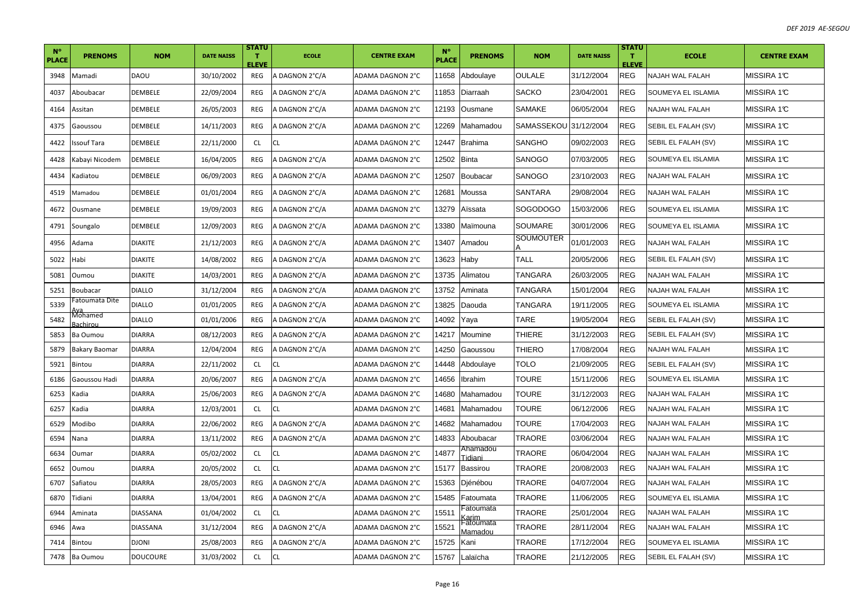| $N^{\circ}$<br><b>PLACE</b> | <b>PRENOMS</b>       | <b>NOM</b>      | <b>DATE NAISS</b> | <b>STATU</b><br>т<br><b>ELEVE</b> | <b>ECOLE</b>   | <b>CENTRE EXAM</b> | $N^{\circ}$<br><b>PLACE</b> | <b>PRENOMS</b>       | <b>NOM</b>            | <b>DATE NAISS</b> | <b>STATU</b><br>т.<br><b>ELEVE</b> | <b>ECOLE</b>        | <b>CENTRE EXAM</b> |
|-----------------------------|----------------------|-----------------|-------------------|-----------------------------------|----------------|--------------------|-----------------------------|----------------------|-----------------------|-------------------|------------------------------------|---------------------|--------------------|
| 3948                        | Mamadi               | <b>DAOU</b>     | 30/10/2002        | REG                               | A DAGNON 2°C/A | ADAMA DAGNON 2°C   | 11658                       | Abdoulaye            | <b>OULALE</b>         | 31/12/2004        | <b>REG</b>                         | NAJAH WAL FALAH     | MISSIRA 1°C        |
| 4037                        | Aboubacar            | DEMBELE         | 22/09/2004        | REG                               | A DAGNON 2°C/A | ADAMA DAGNON 2°C   | 11853                       | Diarraah             | <b>SACKO</b>          | 23/04/2001        | <b>REG</b>                         | SOUMEYA EL ISLAMIA  | MISSIRA 1℃         |
| 4164                        | Assitan              | DEMBELE         | 26/05/2003        | REG                               | A DAGNON 2°C/A | ADAMA DAGNON 2°C   | 12193                       | Ousmane              | <b>SAMAKE</b>         | 06/05/2004        | <b>REG</b>                         | NAJAH WAL FALAH     | MISSIRA 1°C        |
| 4375                        | Gaoussou             | DEMBELE         | 14/11/2003        | REG                               | A DAGNON 2°C/A | ADAMA DAGNON 2°C   | 2269                        | Mahamadou            | SAMASSEKOU 31/12/2004 |                   | <b>REG</b>                         | SEBIL EL FALAH (SV) | MISSIRA 1°C        |
| 4422                        | Issouf Tara          | DEMBELE         | 22/11/2000        | CL.                               | <b>CL</b>      | ADAMA DAGNON 2°C   | 12447                       | <b>Brahima</b>       | SANGHO                | 09/02/2003        | <b>REG</b>                         | SEBIL EL FALAH (SV) | MISSIRA 1℃         |
| 4428                        | Kabayi Nicodem       | DEMBELE         | 16/04/2005        | REG                               | A DAGNON 2°C/A | ADAMA DAGNON 2°C   | 2502                        | Binta                | SANOGO                | 07/03/2005        | <b>REG</b>                         | SOUMEYA EL ISLAMIA  | MISSIRA 1℃         |
| 4434                        | Kadiatou             | <b>DEMBELE</b>  | 06/09/2003        | REG                               | A DAGNON 2°C/A | ADAMA DAGNON 2°C   | 2507                        | Boubacar             | SANOGO                | 23/10/2003        | <b>REG</b>                         | NAJAH WAL FALAH     | MISSIRA 1℃         |
| 4519                        | Mamadou              | DEMBELE         | 01/01/2004        | REG                               | A DAGNON 2°C/A | ADAMA DAGNON 2°C   | 2681                        | Moussa               | <b>SANTARA</b>        | 29/08/2004        | <b>REG</b>                         | NAJAH WAL FALAH     | MISSIRA 1℃         |
| 4672                        | Ousmane              | DEMBELE         | 19/09/2003        | REG                               | A DAGNON 2°C/A | ADAMA DAGNON 2°C   | 3279                        | Aïssata              | <b>SOGODOGO</b>       | 15/03/2006        | <b>REG</b>                         | SOUMEYA EL ISLAMIA  | MISSIRA 1°C        |
| 4791                        | Soungalo             | DEMBELE         | 12/09/2003        | REG                               | A DAGNON 2°C/A | ADAMA DAGNON 2°C   | 3380                        | Maïmouna             | SOUMARE               | 30/01/2006        | <b>REG</b>                         | SOUMEYA EL ISLAMIA  | MISSIRA 1℃         |
| 4956                        | Adama                | <b>DIAKITE</b>  | 21/12/2003        | REG                               | A DAGNON 2°C/A | ADAMA DAGNON 2°C   | 3407                        | Amadou               | SOUMOUTER             | 01/01/2003        | <b>REG</b>                         | NAJAH WAL FALAH     | MISSIRA 1℃         |
| 5022                        | Habi                 | <b>DIAKITE</b>  | 14/08/2002        | REG                               | A DAGNON 2°C/A | ADAMA DAGNON 2°C   | 3623                        | Haby                 | <b>TALL</b>           | 20/05/2006        | <b>REG</b>                         | SEBIL EL FALAH (SV) | MISSIRA 1℃         |
| 5081                        | Oumou                | <b>DIAKITE</b>  | 14/03/2001        | REG                               | A DAGNON 2°C/A | ADAMA DAGNON 2°C   | 13735                       | Alimatou             | TANGARA               | 26/03/2005        | <b>REG</b>                         | NAJAH WAL FALAH     | MISSIRA 1℃         |
| 5251                        | Boubacar             | <b>DIALLO</b>   | 31/12/2004        | REG                               | A DAGNON 2°C/A | ADAMA DAGNON 2°C   | 3752                        | Aminata              | TANGARA               | 15/01/2004        | <b>REG</b>                         | NAJAH WAL FALAH     | MISSIRA 1°C        |
| 5339                        | atoumata Dite        | <b>DIALLO</b>   | 01/01/2005        | REG                               | A DAGNON 2°C/A | ADAMA DAGNON 2°C   | 3825                        | Daouda               | TANGARA               | 19/11/2005        | <b>REG</b>                         | SOUMEYA EL ISLAMIA  | MISSIRA 1°C        |
| 5482                        | Vlohamed<br>achirou  | DIALLO          | 01/01/2006        | REG                               | A DAGNON 2°C/A | ADAMA DAGNON 2°C   | 14092                       | Yaya                 | TARE                  | 19/05/2004        | <b>REG</b>                         | SEBIL EL FALAH (SV) | MISSIRA 1℃         |
| 5853                        | Ba Oumou             | <b>DIARRA</b>   | 08/12/2003        | REG                               | A DAGNON 2°C/A | ADAMA DAGNON 2°C   | 14217                       | Moumine              | <b>THIERE</b>         | 31/12/2003        | <b>REG</b>                         | SEBIL EL FALAH (SV) | MISSIRA 1°C        |
| 5879                        | <b>Bakary Baomar</b> | <b>DIARRA</b>   | 12/04/2004        | REG                               | A DAGNON 2°C/A | ADAMA DAGNON 2°C   | 14250                       | Gaoussou             | <b>THIERO</b>         | 17/08/2004        | <b>REG</b>                         | NAJAH WAL FALAH     | MISSIRA 1℃         |
| 5921                        | Bintou               | <b>DIARRA</b>   | 22/11/2002        | CL.                               | <b>CL</b>      | ADAMA DAGNON 2°C   | 14448                       | Abdoulaye            | <b>TOLO</b>           | 21/09/2005        | <b>REG</b>                         | SEBIL EL FALAH (SV) | MISSIRA 1℃         |
| 6186                        | Gaoussou Hadi        | <b>DIARRA</b>   | 20/06/2007        | REG                               | A DAGNON 2°C/A | ADAMA DAGNON 2°C   | 14656                       | Ibrahim              | <b>TOURE</b>          | 15/11/2006        | <b>REG</b>                         | SOUMEYA EL ISLAMIA  | MISSIRA 1℃         |
| 6253                        | Kadia                | <b>DIARRA</b>   | 25/06/2003        | REG                               | A DAGNON 2°C/A | ADAMA DAGNON 2°C   | 14680                       | Mahamadou            | TOURE                 | 31/12/2003        | <b>REG</b>                         | NAJAH WAL FALAH     | MISSIRA 1°C        |
| 6257                        | Kadia                | DIARRA          | 12/03/2001        | <b>CL</b>                         | <b>CL</b>      | ADAMA DAGNON 2°C   | 14681                       | Mahamadou            | <b>TOURE</b>          | 06/12/2006        | <b>REG</b>                         | NAJAH WAL FALAH     | MISSIRA 1°C        |
| 6529                        | Modibo               | <b>DIARRA</b>   | 22/06/2002        | REG                               | A DAGNON 2°C/A | ADAMA DAGNON 2°C   | 14682                       | Mahamadou            | TOURE                 | 17/04/2003        | <b>REG</b>                         | NAJAH WAL FALAH     | MISSIRA 1°C        |
| 6594                        | Nana                 | <b>DIARRA</b>   | 13/11/2002        | REG                               | A DAGNON 2°C/A | ADAMA DAGNON 2°C   | 14833                       | Aboubacar            | <b>TRAORE</b>         | 03/06/2004        | <b>REG</b>                         | NAJAH WAL FALAH     | MISSIRA 1℃         |
| 6634                        | Oumar                | <b>DIARRA</b>   | 05/02/2002        | CL                                | <b>CL</b>      | ADAMA DAGNON 2°C   | 14877                       | Ahamadou<br>Tidiani  | TRAORE                | 06/04/2004        | <b>REG</b>                         | NAJAH WAL FALAH     | MISSIRA 1°C        |
| 6652                        | Oumou                | DIARRA          | 20/05/2002        | <b>CL</b>                         | <b>CL</b>      | ADAMA DAGNON 2°C   | 15177                       | <b>Bassirou</b>      | TRAORE                | 20/08/2003        | <b>REG</b>                         | NAJAH WAL FALAH     | MISSIRA 1℃         |
| 6707                        | Safiatou             | <b>DIARRA</b>   | 28/05/2003        | REG                               | A DAGNON 2°C/A | ADAMA DAGNON 2°C   | 15363                       | Diénébou             | <b>TRAORE</b>         | 04/07/2004        | <b>REG</b>                         | NAJAH WAL FALAH     | MISSIRA 1°C        |
| 6870                        | Tidiani              | DIARRA          | 13/04/2001        | REG                               | A DAGNON 2°C/A | ADAMA DAGNON 2°C   | 15485                       | Fatoumata            | TRAORE                | 11/06/2005        | <b>REG</b>                         | SOUMEYA EL ISLAMIA  | MISSIRA 1℃         |
| 6944                        | Aminata              | DIASSANA        | 01/04/2002        | CL                                | <b>CL</b>      | ADAMA DAGNON 2°C   | 5511                        | Fatoumata            | TRAORE                | 25/01/2004        | <b>REG</b>                         | NAJAH WAL FALAH     | MISSIRA 1°C        |
| 6946                        | Awa                  | DIASSANA        | 31/12/2004        | REG                               | A DAGNON 2°C/A | ADAMA DAGNON 2°C   | 15521                       | Fatoumata<br>Mamadou | <b>TRAORE</b>         | 28/11/2004        | <b>REG</b>                         | NAJAH WAL FALAH     | MISSIRA 1℃         |
| 7414                        | Bintou               | <b>DJONI</b>    | 25/08/2003        | REG                               | A DAGNON 2°C/A | ADAMA DAGNON 2°C   | 15725                       | Kani                 | TRAORE                | 17/12/2004        | <b>REG</b>                         | SOUMEYA EL ISLAMIA  | MISSIRA 1℃         |
| 7478                        | Ba Oumou             | <b>DOUCOURE</b> | 31/03/2002        | <b>CL</b>                         | <b>CL</b>      | ADAMA DAGNON 2°C   | 15767                       | Lalaïcha             | TRAORE                | 21/12/2005        | <b>REG</b>                         | SEBIL EL FALAH (SV) | MISSIRA 1°C        |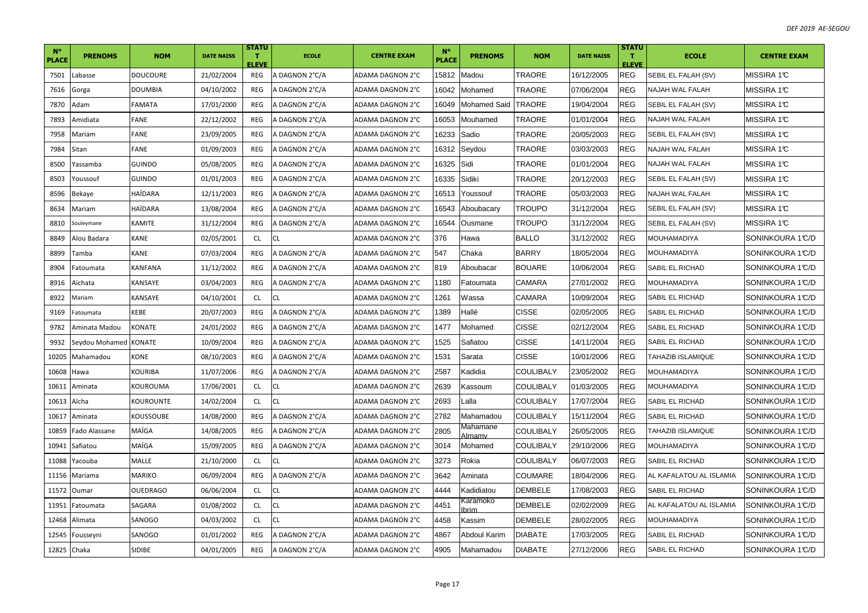| $N^{\circ}$<br><b>PLACE</b> | <b>PRENOMS</b> | <b>NOM</b>      | <b>DATE NAISS</b> | <b>STATU</b><br>т<br>ELEVE | <b>ECOLE</b>   | <b>CENTRE EXAM</b> | $N^{\circ}$<br><b>PLACE</b> | <b>PRENOMS</b>             | <b>NOM</b>       | <b>DATE NAISS</b> | <b>STATU</b><br>т<br><b>ELEVE</b> | <b>ECOLE</b>            | <b>CENTRE EXAM</b> |
|-----------------------------|----------------|-----------------|-------------------|----------------------------|----------------|--------------------|-----------------------------|----------------------------|------------------|-------------------|-----------------------------------|-------------------------|--------------------|
| 7501                        | Labasse        | <b>DOUCOURE</b> | 21/02/2004        | REG                        | A DAGNON 2°C/A | ADAMA DAGNON 2°C   | 15812                       | Madou                      | TRAORE           | 16/12/2005        | REG                               | SEBIL EL FALAH (SV)     | MISSIRA 1℃         |
| 7616                        | Gorga          | <b>DOUMBIA</b>  | 04/10/2002        | REG                        | A DAGNON 2°C/A | ADAMA DAGNON 2°C   | 16042                       | Mohamed                    | <b>TRAORE</b>    | 07/06/2004        | <b>REG</b>                        | NAJAH WAL FALAH         | MISSIRA 1℃         |
| 7870                        | Adam           | FAMATA          | 17/01/2000        | REG                        | A DAGNON 2°C/A | ADAMA DAGNON 2°C   | 16049                       | <b>Mohamed Said</b>        | <b>TRAORE</b>    | 19/04/2004        | <b>REG</b>                        | SEBIL EL FALAH (SV)     | MISSIRA 1℃         |
| 7893                        | Amidiata       | FANE            | 22/12/2002        | REG                        | A DAGNON 2°C/A | ADAMA DAGNON 2°C   | 16053                       | Mouhamed                   | TRAORE           | 01/01/2004        | REG                               | NAJAH WAL FALAH         | MISSIRA 1℃         |
| 7958                        | Mariam         | FANE            | 23/09/2005        | REG                        | A DAGNON 2°C/A | ADAMA DAGNON 2°C   | 16233                       | Sadio                      | TRAORE           | 20/05/2003        | <b>REG</b>                        | SEBIL EL FALAH (SV)     | MISSIRA 1℃         |
| 7984                        | Sitan          | FANE            | 01/09/2003        | REG                        | A DAGNON 2°C/A | ADAMA DAGNON 2°C   | 16312                       | Seydou                     | TRAORE           | 03/03/2003        | REG                               | NAJAH WAL FALAH         | MISSIRA 1℃         |
| 8500                        | Yassamba       | <b>GUINDO</b>   | 05/08/2005        | <b>REG</b>                 | A DAGNON 2°C/A | ADAMA DAGNON 2°C   | 16325                       | Sidi                       | TRAORE           | 01/01/2004        | REG                               | NAJAH WAL FALAH         | MISSIRA 1℃         |
| 8503                        | Youssouf       | <b>GUINDO</b>   | 01/01/2003        | <b>REG</b>                 | A DAGNON 2°C/A | ADAMA DAGNON 2°C   | 16335                       | Sidiki                     | <b>TRAORE</b>    | 20/12/2003        | <b>REG</b>                        | SEBIL EL FALAH (SV)     | MISSIRA 1℃         |
| 8596                        | Bekaye         | HAÏDARA         | 12/11/2003        | REG                        | A DAGNON 2°C/A | ADAMA DAGNON 2°C   | 16513                       | Youssouf                   | TRAORE           | 05/03/2003        | <b>REG</b>                        | NAJAH WAL FALAH         | MISSIRA 1℃         |
| 8634                        | Mariam         | HAÏDARA         | 13/08/2004        | <b>REG</b>                 | A DAGNON 2°C/A | ADAMA DAGNON 2°C   | 16543                       | Aboubacary                 | TROUPO           | 31/12/2004        | <b>REG</b>                        | SEBIL EL FALAH (SV)     | MISSIRA 1℃         |
| 8810                        | Souleymane     | KAMITE          | 31/12/2004        | REG                        | A DAGNON 2°C/A | ADAMA DAGNON 2°C   | 16544                       | Ousmane                    | TROUPO           | 31/12/2004        | <b>REG</b>                        | SEBIL EL FALAH (SV)     | MISSIRA 1℃         |
| 8849                        | Alou Badara    | KANE            | 02/05/2001        | CL                         | СL             | ADAMA DAGNON 2°C   | 376                         | Hawa                       | <b>BALLO</b>     | 31/12/2002        | <b>REG</b>                        | MOUHAMADIYA             | SONINKOURA 1℃/D    |
| 8899                        | Tamba          | KANE            | 07/03/2004        | REG                        | A DAGNON 2°C/A | ADAMA DAGNON 2°C   | 547                         | Chaka                      | <b>BARRY</b>     | 18/05/2004        | <b>REG</b>                        | MOUHAMADIYA             | SONINKOURA 1°C/D   |
| 8904                        | Fatoumata      | <b>KANFANA</b>  | 11/12/2002        | REG                        | A DAGNON 2°C/A | ADAMA DAGNON 2°C   | 819                         | Aboubacar                  | <b>BOUARE</b>    | 10/06/2004        | <b>REG</b>                        | SABIL EL RICHAD         | SONINKOURA 1°C/D   |
| 8916                        | Aïchata        | KANSAYE         | 03/04/2003        | REG                        | A DAGNON 2°C/A | ADAMA DAGNON 2°C   | 1180                        | Fatoumata                  | <b>CAMARA</b>    | 27/01/2002        | <b>REG</b>                        | MOUHAMADIYA             | SONINKOURA 1℃/D    |
| 8922                        | Mariam         | KANSAYE         | 04/10/2001        | <b>CL</b>                  | CL             | ADAMA DAGNON 2°C   | 1261                        | Wassa                      | <b>CAMARA</b>    | 10/09/2004        | <b>REG</b>                        | SABIL EL RICHAD         | SONINKOURA 1℃/D    |
| 9169                        | Fatoumata      | KEBE            | 20/07/2003        | REG                        | A DAGNON 2°C/A | ADAMA DAGNON 2°C   | 1389                        | Hallé                      | CISSE            | 02/05/2005        | REG                               | SABIL EL RICHAD         | SONINKOURA 1℃/D    |
| 9782                        | Aminata Madou  | KONATE          | 24/01/2002        | <b>REG</b>                 | A DAGNON 2°C/A | ADAMA DAGNON 2°C   | 1477                        | Mohamed                    | <b>CISSE</b>     | 02/12/2004        | <b>REG</b>                        | SABIL EL RICHAD         | SONINKOURA 1℃/D    |
| 9932                        | Seydou Mohamed | KONATE          | 10/09/2004        | <b>REG</b>                 | A DAGNON 2°C/A | ADAMA DAGNON 2°C   | 1525                        | Safiatou                   | <b>CISSE</b>     | 14/11/2004        | REG                               | SABIL EL RICHAD         | SONINKOURA 1℃/D    |
| 10205                       | Mahamadou      | KONE            | 08/10/2003        | <b>REG</b>                 | A DAGNON 2°C/A | ADAMA DAGNON 2°C   | 1531                        | Sarata                     | <b>CISSE</b>     | 10/01/2006        | <b>REG</b>                        | TAHAZIB ISLAMIQUE       | SONINKOURA 1℃/D    |
| 10608                       | Hawa           | KOURIBA         | 11/07/2006        | REG                        | A DAGNON 2°C/A | ADAMA DAGNON 2°C   | 2587                        | Kadidia                    | <b>COULIBALY</b> | 23/05/2002        | <b>REG</b>                        | MOUHAMADIYA             | SONINKOURA 1°C/D   |
| 10611                       | Aminata        | KOUROUMA        | 17/06/2001        | CL                         | <b>CL</b>      | ADAMA DAGNON 2°C   | 2639                        | Kassoum                    | <b>COULIBALY</b> | 01/03/2005        | <b>REG</b>                        | <b>MOUHAMADIYA</b>      | SONINKOURA 1℃/D    |
| 10613                       | Aïcha          | KOUROUNTE       | 14/02/2004        | CL.                        |                | ADAMA DAGNON 2°C   | 2693                        | Lalla                      | COULIBALY        | 17/07/2004        | <b>REG</b>                        | SABIL EL RICHAD         | SONINKOURA 1℃/D    |
| 10617                       | Aminata        | KOUSSOUBE       | 14/08/2000        | REG                        | A DAGNON 2°C/A | ADAMA DAGNON 2°C   | 2782                        | Mahamadou                  | <b>COULIBALY</b> | 15/11/2004        | <b>REG</b>                        | SABIL EL RICHAD         | SONINKOURA 1℃/D    |
| 10859                       | Fado Alassane  | MAÏGA           | 14/08/2005        | REG                        | A DAGNON 2°C/A | ADAMA DAGNON 2°C   | 2805                        | Mahamane<br><u> Almamv</u> | <b>COULIBALY</b> | 26/05/2005        | <b>REG</b>                        | TAHAZIB ISLAMIQUE       | SONINKOURA 1℃/D    |
| 10941                       | Safiatou       | MAÏGA           | 15/09/2005        | REG                        | A DAGNON 2°C/A | ADAMA DAGNON 2°C   | 3014                        | Mohamed                    | COULIBALY        | 29/10/2006        | <b>REG</b>                        | MOUHAMADIYA             | SONINKOURA 1℃/D    |
| 11088                       | Yacouba        | MALLE           | 21/10/2000        | CL                         | CL             | ADAMA DAGNON 2°C   | 3273                        | Rokia                      | <b>COULIBALY</b> | 06/07/2003        | <b>REG</b>                        | SABIL EL RICHAD         | SONINKOURA 1℃/D    |
| 11156                       | Mariama        | <b>MARIKO</b>   | 06/09/2004        | REG                        | A DAGNON 2°C/A | ADAMA DAGNON 2°C   | 3642                        | Aminata                    | <b>COUMARE</b>   | 18/04/2006        | <b>REG</b>                        | AL KAFALATOU AL ISLAMIA | SONINKOURA 1°C/D   |
| 11572                       | Oumar          | <b>OUEDRAGO</b> | 06/06/2004        | <b>CL</b>                  | <b>CL</b>      | ADAMA DAGNON 2°C   | 4444                        | Kadidiatou                 | <b>DEMBELE</b>   | 17/08/2003        | <b>REG</b>                        | SABIL EL RICHAD         | SONINKOURA 1℃/D    |
| 11951                       | Fatoumata      | SAGARA          | 01/08/2002        | <b>CL</b>                  | CL.            | ADAMA DAGNON 2°C   | 4451                        | Karamoko<br>brim           | <b>DEMBELE</b>   | 02/02/2009        | <b>REG</b>                        | AL KAFALATOU AL ISLAMIA | SONINKOURA 1℃/D    |
| 12468                       | Alimata        | SANOGO          | 04/03/2002        | CL.                        |                | ADAMA DAGNON 2°C   | 4458                        | Kassim                     | <b>DEMBELE</b>   | 28/02/2005        | <b>REG</b>                        | MOUHAMADIYA             | SONINKOURA 1℃/D    |
| 12545                       | Fousseyni      | SANOGO          | 01/01/2002        | REG                        | A DAGNON 2°C/A | ADAMA DAGNON 2°C   | 4867                        | Abdoul Karim               | <b>DIABATE</b>   | 17/03/2005        | <b>REG</b>                        | SABIL EL RICHAD         | SONINKOURA 1℃/D    |
| 12825 Chaka                 |                | SIDIBE          | 04/01/2005        | REG                        | A DAGNON 2°C/A | ADAMA DAGNON 2°C   | 4905                        | Mahamadou                  | <b>DIABATE</b>   | 27/12/2006        | <b>REG</b>                        | SABIL EL RICHAD         | SONINKOURA 1°C/D   |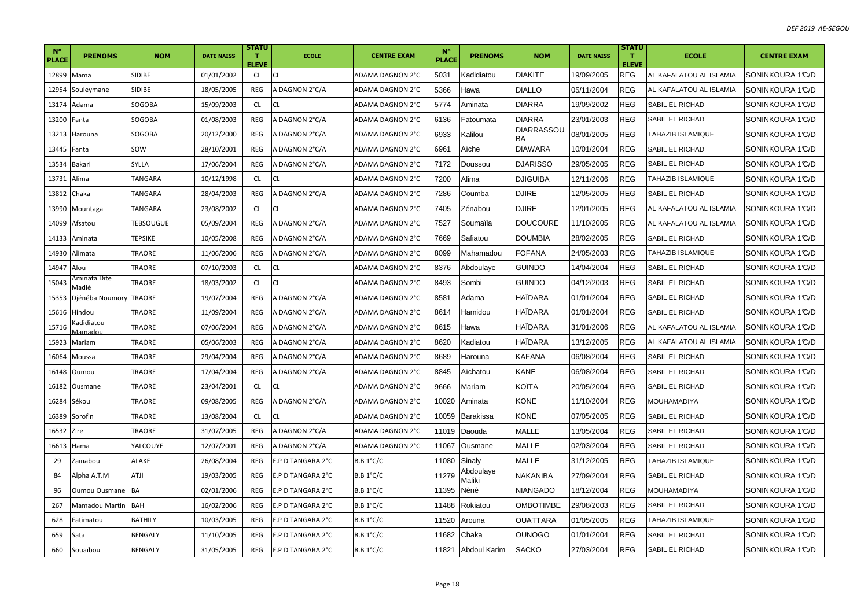| $N^{\circ}$<br><b>PLACE</b> | <b>PRENOMS</b>         | <b>NOM</b>       | <b>DATE NAISS</b> | <b>STATU</b><br>т<br>ELEVE | <b>ECOLE</b>      | <b>CENTRE EXAM</b> | <b>N°</b><br><b>PLACE</b> | <b>PRENOMS</b>      | <b>NOM</b>       | <b>DATE NAISS</b> | <b>STATU</b><br>т<br><b>ELEVE</b> | <b>ECOLE</b>             | <b>CENTRE EXAM</b> |
|-----------------------------|------------------------|------------------|-------------------|----------------------------|-------------------|--------------------|---------------------------|---------------------|------------------|-------------------|-----------------------------------|--------------------------|--------------------|
| 12899                       | Mama                   | SIDIBE           | 01/01/2002        | <b>CL</b>                  | <b>CL</b>         | ADAMA DAGNON 2°C   | 5031                      | Kadidiatou          | <b>DIAKITE</b>   | 19/09/2005        | <b>REG</b>                        | AL KAFALATOU AL ISLAMIA  | SONINKOURA 1°C/D   |
| 12954                       | Souleymane             | <b>SIDIBE</b>    | 18/05/2005        | REG                        | A DAGNON 2°C/A    | ADAMA DAGNON 2°C   | 5366                      | Hawa                | <b>DIALLO</b>    | 05/11/2004        | <b>REG</b>                        | AL KAFALATOU AL ISLAMIA  | SONINKOURA 1°C/D   |
| 13174                       | Adama                  | SOGOBA           | 15/09/2003        | <b>CL</b>                  | CL                | ADAMA DAGNON 2°C   | 5774                      | Aminata             | <b>DIARRA</b>    | 19/09/2002        | <b>REG</b>                        | <b>SABIL EL RICHAD</b>   | SONINKOURA 1℃/D    |
| 13200                       | Fanta                  | SOGOBA           | 01/08/2003        | <b>REG</b>                 | A DAGNON 2°C/A    | ADAMA DAGNON 2°C   | 6136                      | Fatoumata           | <b>DIARRA</b>    | 23/01/2003        | <b>REG</b>                        | SABIL EL RICHAD          | SONINKOURA 1℃/D    |
| 13213                       | Harouna                | SOGOBA           | 20/12/2000        | <b>REG</b>                 | A DAGNON 2°C/A    | ADAMA DAGNON 2°C   | 6933                      | Kalilou             | DIARRASSOU       | 08/01/2005        | <b>REG</b>                        | TAHAZIB ISLAMIQUE        | SONINKOURA 1°C/D   |
| 13445                       | Fanta                  | SOW              | 28/10/2001        | <b>REG</b>                 | A DAGNON 2°C/A    | ADAMA DAGNON 2°C   | 6961                      | Aïche               | <b>DIAWARA</b>   | 10/01/2004        | <b>REG</b>                        | SABIL EL RICHAD          | SONINKOURA 1°C/D   |
| 13534                       | <b>Bakari</b>          | SYLLA            | 17/06/2004        | <b>REG</b>                 | A DAGNON 2°C/A    | ADAMA DAGNON 2°C   | 7172                      | Doussou             | <b>DJARISSO</b>  | 29/05/2005        | <b>REG</b>                        | SABIL EL RICHAD          | SONINKOURA 1℃/D    |
| 13731                       | Alima                  | TANGARA          | 10/12/1998        | <b>CL</b>                  | <b>CL</b>         | ADAMA DAGNON 2°C   | 7200                      | Alima               | <b>DJIGUIBA</b>  | 12/11/2006        | <b>REG</b>                        | <b>TAHAZIB ISLAMIQUE</b> | SONINKOURA 1°C/D   |
| 13812                       | Chaka                  | TANGARA          | 28/04/2003        | REG                        | A DAGNON 2°C/A    | ADAMA DAGNON 2°C   | 7286                      | Coumba              | <b>DJIRE</b>     | 12/05/2005        | <b>REG</b>                        | SABIL EL RICHAD          | SONINKOURA 1°C/D   |
| 13990                       | Mountaga               | TANGARA          | 23/08/2002        | <b>CL</b>                  | <b>CL</b>         | ADAMA DAGNON 2°C   | 7405                      | Zénabou             | <b>DJIRE</b>     | 12/01/2005        | <b>REG</b>                        | AL KAFALATOU AL ISLAMIA  | SONINKOURA 1°C/D   |
| 14099                       | Afsatou                | <b>TEBSOUGUE</b> | 05/09/2004        | <b>REG</b>                 | A DAGNON 2°C/A    | ADAMA DAGNON 2°C   | 7527                      | Soumaïla            | <b>DOUCOURE</b>  | 11/10/2005        | REG                               | AL KAFALATOU AL ISLAMIA  | SONINKOURA 1℃/D    |
| 14133                       | Aminata                | <b>TEPSIKE</b>   | 10/05/2008        | <b>REG</b>                 | A DAGNON 2°C/A    | ADAMA DAGNON 2°C   | 7669                      | Safiatou            | <b>DOUMBIA</b>   | 28/02/2005        | <b>REG</b>                        | SABIL EL RICHAD          | SONINKOURA 1°C/D   |
| 14930                       | Alimata                | <b>TRAORE</b>    | 11/06/2006        | <b>REG</b>                 | A DAGNON 2°C/A    | ADAMA DAGNON 2°C   | 8099                      | Mahamadou           | <b>FOFANA</b>    | 24/05/2003        | REG                               | <b>TAHAZIB ISLAMIQUE</b> | SONINKOURA 1°C/D   |
| 14947                       | Alou                   | TRAORE           | 07/10/2003        | <b>CL</b>                  | CL                | ADAMA DAGNON 2°C   | 8376                      | Abdoulaye           | <b>GUINDO</b>    | 14/04/2004        | <b>REG</b>                        | <b>SABIL EL RICHAD</b>   | SONINKOURA 1℃/D    |
| 15043                       | Aminata Dite<br>∕ladiè | <b>TRAORE</b>    | 18/03/2002        | <b>CL</b>                  | <b>CL</b>         | ADAMA DAGNON 2°C   | 8493                      | Sombi               | Guindo           | 04/12/2003        | <b>REG</b>                        | <b>SABIL EL RICHAD</b>   | SONINKOURA 1°C/D   |
| 15353                       | Djénéba Noumory        | <b>TRAORE</b>    | 19/07/2004        | REG                        | A DAGNON 2°C/A    | ADAMA DAGNON 2°C   | 8581                      | Adama               | HAIDARA          | 01/01/2004        | <b>REG</b>                        | SABIL EL RICHAD          | SONINKOURA 1℃/D    |
| 15616                       | Hindou                 | TRAORE           | 11/09/2004        | REG                        | A DAGNON 2°C/A    | ADAMA DAGNON 2°C   | 8614                      | Hamidou             | HAÏDARA          | 01/01/2004        | <b>REG</b>                        | SABIL EL RICHAD          | SONINKOURA 1°C/D   |
| 15716                       | adidiatou)<br>Mamadou  | <b>TRAORE</b>    | 07/06/2004        | <b>REG</b>                 | A DAGNON 2°C/A    | ADAMA DAGNON 2°C   | 8615                      | Hawa                | HAÏDARA          | 31/01/2006        | <b>REG</b>                        | AL KAFALATOU AL ISLAMIA  | SONINKOURA 1°C/D   |
| 15923                       | Mariam                 | <b>TRAORE</b>    | 05/06/2003        | REG                        | A DAGNON 2°C/A    | ADAMA DAGNON 2°C   | 8620                      | Kadiatou            | HAÏDARA          | 13/12/2005        | <b>REG</b>                        | AL KAFALATOU AL ISLAMIA  | SONINKOURA 1°C/D   |
| 16064                       | Moussa                 | TRAORE           | 29/04/2004        | <b>REG</b>                 | A DAGNON 2°C/A    | ADAMA DAGNON 2°C   | 8689                      | Harouna             | KAFANA           | 06/08/2004        | <b>REG</b>                        | SABIL EL RICHAD          | SONINKOURA 1°C/D   |
| 16148                       | Oumou                  | <b>TRAORE</b>    | 17/04/2004        | REG                        | A DAGNON 2°C/A    | ADAMA DAGNON 2°C   | 8845                      | Aïchatou            | KANE             | 06/08/2004        | <b>REG</b>                        | <b>SABIL EL RICHAD</b>   | SONINKOURA 1°C/D   |
| 16182                       | Ousmane                | TRAORE           | 23/04/2001        | <b>CL</b>                  | <b>CL</b>         | ADAMA DAGNON 2°C   | 9666                      | Mariam              | KOÎTA            | 20/05/2004        | <b>REG</b>                        | <b>SABIL EL RICHAD</b>   | SONINKOURA 1℃/D    |
| 16284                       | Sékou                  | TRAORE           | 09/08/2005        | <b>REG</b>                 | A DAGNON 2°C/A    | ADAMA DAGNON 2°C   | 10020                     | Aminata             | KONE             | 11/10/2004        | <b>REG</b>                        | MOUHAMADIYA              | SONINKOURA 1℃/D    |
| 16389                       | Sorofin                | TRAORE           | 13/08/2004        | <b>CL</b>                  | CL                | ADAMA DAGNON 2°C   | 10059                     | <b>Barakissa</b>    | KONE             | 07/05/2005        | <b>REG</b>                        | SABIL EL RICHAD          | SONINKOURA 1°C/D   |
| 16532                       | Zire                   | <b>TRAORE</b>    | 31/07/2005        | <b>REG</b>                 | A DAGNON 2°C/A    | ADAMA DAGNON 2°C   | 11019                     | Daouda              | <b>MALLE</b>     | 13/05/2004        | REG                               | SABIL EL RICHAD          | SONINKOURA 1°C/D   |
| 16613                       | Hama                   | YALCOUYE         | 12/07/2001        | <b>REG</b>                 | A DAGNON 2°C/A    | ADAMA DAGNON 2°C   | 11067                     | Ousmane             | MALLE            | 02/03/2004        | <b>REG</b>                        | SABIL EL RICHAD          | SONINKOURA 1°C/D   |
| 29                          | Zaïnabou               | <b>ALAKE</b>     | 26/08/2004        | REG                        | E.P D TANGARA 2°C | <b>B.B 1°C/C</b>   | 11080                     | Sinaly              | MALLE            | 31/12/2005        | <b>REG</b>                        | TAHAZIB ISLAMIQUE        | SONINKOURA 1°C/D   |
| 84                          | Alpha A.T.M            | <b>ATJI</b>      | 19/03/2005        | REG                        | E.P D TANGARA 2°C | $B.B.1^{\circ}C/C$ | 11279                     | Abdoulaye<br>Maliki | NAKANIBA         | 27/09/2004        | <b>REG</b>                        | SABIL EL RICHAD          | SONINKOURA 1°C/D   |
| 96                          | Oumou Ousmane          | <b>BA</b>        | 02/01/2006        | REG                        | E.P D TANGARA 2°C | $B.B.1^{\circ}C/C$ | 11395                     | Nènè                | NIANGADO         | 18/12/2004        | <b>REG</b>                        | MOUHAMADIYA              | SONINKOURA 1℃/D    |
| 267                         | Mamadou Martin         | <b>BAH</b>       | 16/02/2006        | REG                        | E.P D TANGARA 2°C | $B.B.1^{\circ}C/C$ | 11488                     | Rokiatou            | <b>OMBOTIMBE</b> | 29/08/2003        | REG                               | SABIL EL RICHAD          | SONINKOURA 1℃/D    |
| 628                         | Fatimatou              | <b>BATHILY</b>   | 10/03/2005        | <b>REG</b>                 | E.P D TANGARA 2°C | $B.B.1^{\circ}C/C$ | 11520                     | Arouna              | OUATTARA         | 01/05/2005        | <b>REG</b>                        | <b>TAHAZIB ISLAMIQUE</b> | SONINKOURA 1°C/D   |
| 659                         | Sata                   | BENGALY          | 11/10/2005        | <b>REG</b>                 | E.P D TANGARA 2°C | $B.B.1^{\circ}C/C$ | 11682                     | Chaka               | OUNOGO           | 01/01/2004        | <b>REG</b>                        | SABIL EL RICHAD          | SONINKOURA 1°C/D   |
| 660                         | Souaïbou               | <b>BENGALY</b>   | 31/05/2005        | REG                        | E.P D TANGARA 2°C | $B.B.1^{\circ}C/C$ | 11821                     | Abdoul Karim        | <b>SACKO</b>     | 27/03/2004        | <b>REG</b>                        | <b>SABIL EL RICHAD</b>   | SONINKOURA 1°C/D   |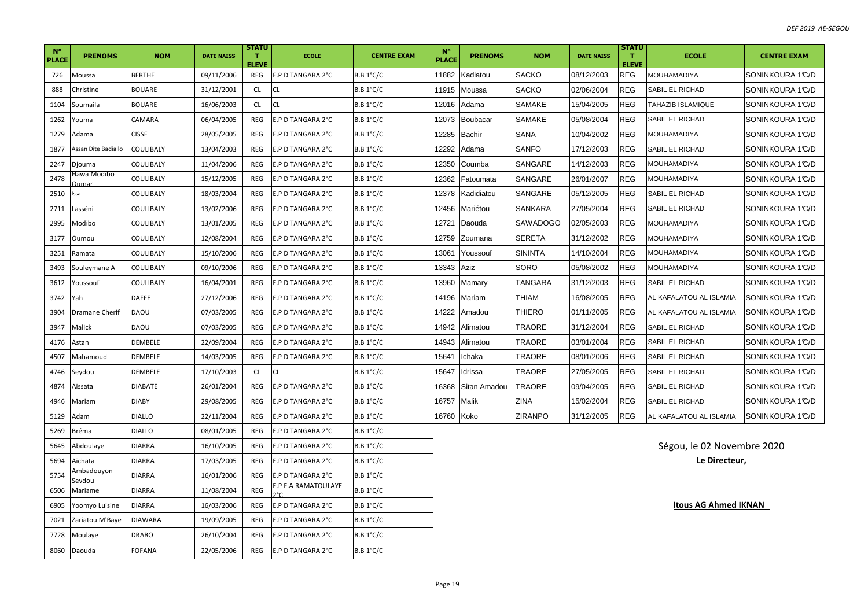| <b>N°</b><br><b>PLACE</b> | <b>PRENOMS</b>       | <b>NOM</b>    | <b>DATE NAISS</b> | <b>STATU</b><br>$\mathbf{T}$<br><b>ELEVE</b> | <b>ECOLE</b>        | <b>CENTRE EXAM</b> | $N^{\circ}$<br><b>PLACE</b> | <b>PRENOMS</b> | <b>NOM</b>     | <b>DATE NAISS</b> | <b>STATU</b><br>т<br><b>ELEVE</b> | <b>ECOLE</b>               | <b>CENTRE EXAM</b> |
|---------------------------|----------------------|---------------|-------------------|----------------------------------------------|---------------------|--------------------|-----------------------------|----------------|----------------|-------------------|-----------------------------------|----------------------------|--------------------|
| 726                       | Moussa               | BERTHE        | 09/11/2006        | REG                                          | E.P D TANGARA 2°C   | $B.B.1^{\circ}C/C$ | 11882                       | Kadiatou       | <b>SACKO</b>   | 08/12/2003        | <b>REG</b>                        | <b>MOUHAMADIYA</b>         | SONINKOURA 1℃/D    |
| 888                       | Christine            | <b>BOUARE</b> | 31/12/2001        | <b>CL</b>                                    | CL                  | $B.B.1^{\circ}C/C$ | 11915                       | Moussa         | <b>SACKO</b>   | 02/06/2004        | <b>REG</b>                        | SABIL EL RICHAD            | SONINKOURA 1℃/D    |
| 1104                      | Soumaila             | <b>BOUARE</b> | 16/06/2003        | <b>CL</b>                                    | <b>CL</b>           | $B.B.1^{\circ}C/C$ | 12016                       | Adama          | <b>SAMAKE</b>  | 15/04/2005        | <b>REG</b>                        | TAHAZIB ISLAMIQUE          | SONINKOURA 1℃/D    |
| 1262                      | Youma                | CAMARA        | 06/04/2005        | REG                                          | E.P D TANGARA 2°C   | $B.B.1^{\circ}C/C$ | 12073                       | Boubacar       | SAMAKE         | 05/08/2004        | <b>REG</b>                        | SABIL EL RICHAD            | SONINKOURA 1℃/D    |
| 1279                      | Adama                | <b>CISSE</b>  | 28/05/2005        | REG                                          | E.P D TANGARA 2°C   | $B.B.1^{\circ}C/C$ | 12285                       | <b>Bachir</b>  | SANA           | 10/04/2002        | REG                               | <b>MOUHAMADIYA</b>         | SONINKOURA 1℃/D    |
| 1877                      | Assan Dite Badiallo  | COULIBALY     | 13/04/2003        | <b>REG</b>                                   | E.P D TANGARA 2°C   | <b>B.B 1°C/C</b>   | 12292                       | Adama          | SANFO          | 17/12/2003        | <b>REG</b>                        | SABIL EL RICHAD            | SONINKOURA 1℃/D    |
| 2247                      | Djouma               | COULIBALY     | 11/04/2006        | REG                                          | E.P D TANGARA 2°C   | <b>B.B 1°C/C</b>   | 12350                       | Coumba         | SANGARE        | 14/12/2003        | <b>REG</b>                        | MOUHAMADIYA                | SONINKOURA 1℃/D    |
| 2478                      | Hawa Modibo<br>)umar | COULIBALY     | 15/12/2005        | REG                                          | E.P D TANGARA 2°C   | $B.B.1^{\circ}C/C$ | 12362                       | Fatoumata      | SANGARE        | 26/01/2007        | <b>REG</b>                        | <b>MOUHAMADIYA</b>         | SONINKOURA 1℃/D    |
| 2510                      | ssa                  | COULIBALY     | 18/03/2004        | REG                                          | E.P D TANGARA 2°C   | <b>B.B 1°C/C</b>   | 12378                       | Kadidiatou     | SANGARE        | 05/12/2005        | <b>REG</b>                        | SABIL EL RICHAD            | SONINKOURA 1°C/D   |
| 2711                      | Lasséni              | COULIBALY     | 13/02/2006        | REG                                          | E.P D TANGARA 2°C   | $B.B.1^{\circ}C/C$ | 12456                       | Mariétou       | SANKARA        | 27/05/2004        | <b>REG</b>                        | SABIL EL RICHAD            | SONINKOURA 1℃/D    |
| 2995                      | Modibo               | COULIBALY     | 13/01/2005        | REG                                          | E.P D TANGARA 2°C   | $B.B.1^{\circ}C/C$ | 12721                       | Daouda         | SAWADOGO       | 02/05/2003        | REG                               | MOUHAMADIYA                | SONINKOURA 1℃/D    |
| 3177                      | Oumou                | COULIBALY     | 12/08/2004        | REG                                          | E.P D TANGARA 2°C   | $B.B.1^{\circ}C/C$ | 12759                       | Zoumana        | <b>SERETA</b>  | 31/12/2002        | <b>REG</b>                        | MOUHAMADIYA                | SONINKOURA 1℃/D    |
| 3251                      | Ramata               | COULIBALY     | 15/10/2006        | REG                                          | E.P D TANGARA 2°C   | $B.B.1^{\circ}C/C$ | 13061                       | Youssouf       | <b>SININTA</b> | 14/10/2004        | <b>REG</b>                        | MOUHAMADIYA                | SONINKOURA 1°C/D   |
| 3493                      | Souleymane A         | COULIBALY     | 09/10/2006        | REG                                          | E.P D TANGARA 2°C   | $B.B.1^{\circ}C/C$ | 13343                       | Aziz           | SORO           | 05/08/2002        | <b>REG</b>                        | MOUHAMADIYA                | SONINKOURA 1℃/D    |
| 3612                      | Youssouf             | COULIBALY     | 16/04/2001        | REG                                          | E.P D TANGARA 2°C   | $B.B.1^{\circ}C/C$ | 13960                       | Mamary         | TANGARA        | 31/12/2003        | <b>REG</b>                        | SABIL EL RICHAD            | SONINKOURA 1℃/D    |
| 3742                      | Yah                  | DAFFE         | 27/12/2006        | REG                                          | E.P D TANGARA 2°C   | $B.B.1^{\circ}C/C$ | 14196                       | Mariam         | THIAM          | 16/08/2005        | <b>REG</b>                        | AL KAFALATOU AL ISLAMIA    | SONINKOURA 1℃/D    |
| 3904                      | Dramane Cherif       | DAOU          | 07/03/2005        | REG                                          | E.P D TANGARA 2°C   | $B.B.1^{\circ}C/C$ | 14222                       | Amadou         | THIERO         | 01/11/2005        | <b>REG</b>                        | AL KAFALATOU AL ISLAMIA    | SONINKOURA 1℃/D    |
| 3947                      | Malick               | DAOU          | 07/03/2005        | REG                                          | E.P D TANGARA 2°C   | <b>B.B 1°C/C</b>   | 14942                       | Alimatou       | TRAORE         | 31/12/2004        | <b>REG</b>                        | SABIL EL RICHAD            | SONINKOURA 1℃/D    |
| 4176                      | Astan                | DEMBELE       | 22/09/2004        | REG                                          | E.P D TANGARA 2°C   | $B.B.1^{\circ}C/C$ | 14943                       | Alimatou       | TRAORE         | 03/01/2004        | REG                               | SABIL EL RICHAD            | SONINKOURA 1℃/D    |
| 4507                      | Mahamoud             | DEMBELE       | 14/03/2005        | REG                                          | E.P D TANGARA 2°C   | $B.B.1^{\circ}C/C$ | 15641                       | Ichaka         | TRAORE         | 08/01/2006        | <b>REG</b>                        | SABIL EL RICHAD            | SONINKOURA 1℃/D    |
| 4746                      | Seydou               | DEMBELE       | 17/10/2003        | <b>CL</b>                                    | CL                  | $B.B.1^{\circ}C/C$ | 15647                       | Idrissa        | <b>TRAORE</b>  | 27/05/2005        | <b>REG</b>                        | SABIL EL RICHAD            | SONINKOURA 1°C/D   |
| 4874                      | Aïssata              | DIABATE       | 26/01/2004        | REG                                          | E.P D TANGARA 2°C   | $B.B.1^{\circ}C/C$ | 16368                       | Sitan Amadou   | TRAORE         | 09/04/2005        | <b>REG</b>                        | SABIL EL RICHAD            | SONINKOURA 1℃/D    |
| 4946                      | Mariam               | DIABY         | 29/08/2005        | REG                                          | E.P D TANGARA 2°C   | $B.B.1^{\circ}C/C$ | 16757                       | Malik          | ZINA           | 15/02/2004        | REG                               | SABIL EL RICHAD            | SONINKOURA 1℃/D    |
| 5129                      | Adam                 | <b>DIALLO</b> | 22/11/2004        | <b>REG</b>                                   | E.P D TANGARA 2°C   | <b>B.B 1°C/C</b>   | 16760                       | Koko           | <b>ZIRANPO</b> | 31/12/2005        | <b>REG</b>                        | AL KAFALATOU AL ISLAMIA    | SONINKOURA 1°C/D   |
| 5269                      | Bréma                | <b>DIALLO</b> | 08/01/2005        | REG                                          | E.P D TANGARA 2°C   | $B.B.1^{\circ}C/C$ |                             |                |                |                   |                                   |                            |                    |
| 5645                      | Abdoulaye            | <b>DIARRA</b> | 16/10/2005        | REG                                          | E.P D TANGARA 2°C   | $B.B.1^{\circ}C/C$ |                             |                |                |                   |                                   | Ségou, le 02 Novembre 2020 |                    |
| 5694                      | Aïchata              | DIARRA        | 17/03/2005        | REG                                          | E.P D TANGARA 2°C   | $B.B.1^{\circ}C/C$ |                             |                |                |                   |                                   | Le Directeur,              |                    |
| 5754                      | Ambadouyon<br>unhve  | DIARRA        | 16/01/2006        | REG                                          | E.P D TANGARA 2°C   | $B.B.1^{\circ}C/C$ |                             |                |                |                   |                                   |                            |                    |
| 6506                      | Mariame              | DIARRA        | 11/08/2004        | REG                                          | E.P F.A RAMATOULAYE | $B.B.1^{\circ}C/C$ |                             |                |                |                   |                                   |                            |                    |
| 6905                      | 'oomyo Luisine       | DIARRA        | 16/03/2006        | <b>REG</b>                                   | E.P D TANGARA 2°C   | $B.B.1^{\circ}C/C$ |                             |                |                |                   |                                   | Itous AG Ahmed IKNAN       |                    |
| 7021                      | Zariatou M'Baye      | DIAWARA       | 19/09/2005        | REG                                          | E.P D TANGARA 2°C   | $B.B.1^{\circ}C/C$ |                             |                |                |                   |                                   |                            |                    |
| 7728                      | Moulaye              | <b>DRABO</b>  | 26/10/2004        | REG                                          | E.P D TANGARA 2°C   | $B.B.1^{\circ}C/C$ |                             |                |                |                   |                                   |                            |                    |
| 8060                      | Daouda               | FOFANA        | 22/05/2006        | REG                                          | E.P D TANGARA 2°C   | <b>B.B 1°C/C</b>   |                             |                |                |                   |                                   |                            |                    |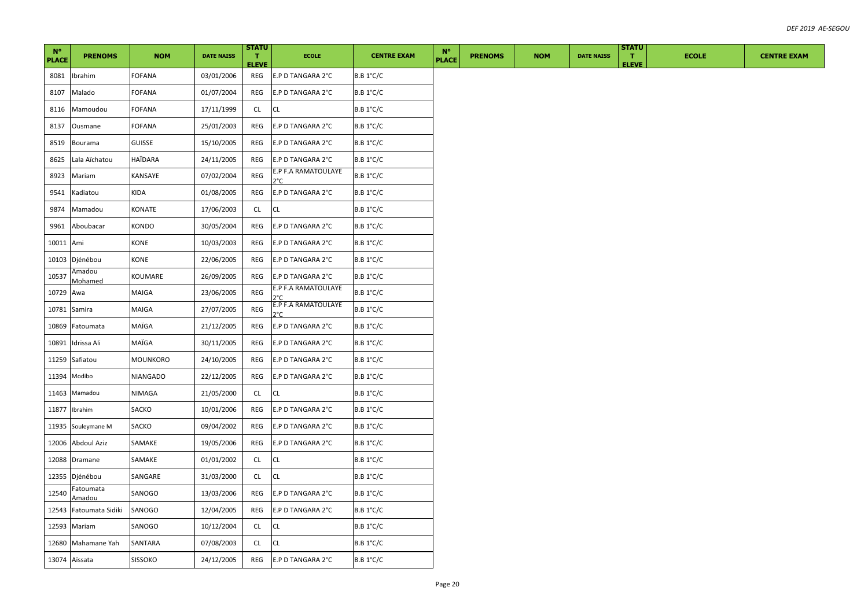| $N^{\circ}$<br><b>PLACE</b> | <b>PRENOMS</b>           | <b>NOM</b> | <b>DATE NAISS</b> | <b>STATU</b><br>п.<br><b>ELEVE</b> | <b>ECOLE</b>                         | <b>CENTRE EXAM</b> | $N^{\circ}$<br><b>PLACE</b> | <b>PRENOMS</b> | <b>NOM</b> | <b>DATE NAISS</b> | <b>STATU</b><br>$\mathbf{T}$<br><b>ELEVE</b> | <b>ECOLE</b> | <b>CENTRE EXAM</b> |
|-----------------------------|--------------------------|------------|-------------------|------------------------------------|--------------------------------------|--------------------|-----------------------------|----------------|------------|-------------------|----------------------------------------------|--------------|--------------------|
| 8081                        | Ibrahim                  | FOFANA     | 03/01/2006        | REG                                | E.P D TANGARA 2°C                    | B.B 1°C/C          |                             |                |            |                   |                                              |              |                    |
| 8107                        | Malado                   | FOFANA     | 01/07/2004        | REG                                | E.P D TANGARA 2°C                    | $B.B.1^{\circ}C/C$ |                             |                |            |                   |                                              |              |                    |
| 8116                        | Mamoudou                 | FOFANA     | 17/11/1999        | CL                                 | CL.                                  | B.B 1°C/C          |                             |                |            |                   |                                              |              |                    |
| 8137                        | Ousmane                  | FOFANA     | 25/01/2003        | REG                                | E.P D TANGARA 2°C                    | B.B 1°C/C          |                             |                |            |                   |                                              |              |                    |
| 8519                        | Bourama                  | GUISSE     | 15/10/2005        | REG                                | E.P D TANGARA 2°C                    | B.B 1°C/C          |                             |                |            |                   |                                              |              |                    |
| 8625                        | Lala Aïchatou            | HAÏDARA    | 24/11/2005        | REG                                | E.P D TANGARA 2°C                    | $B.B.1^{\circ}C/C$ |                             |                |            |                   |                                              |              |                    |
| 8923                        | Mariam                   | KANSAYE    | 07/02/2004        | REG                                | E.P F.A RAMATOULAYE<br>$2^{\circ}$ C | B.B 1°C/C          |                             |                |            |                   |                                              |              |                    |
| 9541                        | Kadiatou                 | KIDA       | 01/08/2005        | REG                                | E.P D TANGARA 2°C                    | B.B 1°C/C          |                             |                |            |                   |                                              |              |                    |
| 9874                        | Mamadou                  | KONATE     | 17/06/2003        | CL                                 | CL                                   | <b>B.B 1°C/C</b>   |                             |                |            |                   |                                              |              |                    |
| 9961                        | Aboubacar                | KONDO      | 30/05/2004        | REG                                | E.P D TANGARA 2°C                    | $B.B.1^{\circ}C/C$ |                             |                |            |                   |                                              |              |                    |
| 10011                       | Ami                      | KONE       | 10/03/2003        | REG                                | E.P D TANGARA 2°C                    | B.B 1°C/C          |                             |                |            |                   |                                              |              |                    |
| 10103                       | Djénébou                 | KONE       | 22/06/2005        | REG                                | E.P D TANGARA 2°C                    | <b>B.B 1°C/C</b>   |                             |                |            |                   |                                              |              |                    |
| 10537                       | Amadou<br><b>Mohamed</b> | KOUMARE    | 26/09/2005        | REG                                | E.P D TANGARA 2°C                    | B.B 1°C/C          |                             |                |            |                   |                                              |              |                    |
| 10729                       | Awa                      | MAIGA      | 23/06/2005        | REG                                | E.P F.A RAMATOULAYE<br>er,           | B.B 1°C/C          |                             |                |            |                   |                                              |              |                    |
| 10781                       | Samira                   | MAIGA      | 27/07/2005        | REG                                | E.P F.A RAMATOULAYE<br>ን°C           | $B.B.1^{\circ}C/C$ |                             |                |            |                   |                                              |              |                    |
| 10869                       | Fatoumata                | MAÏGA      | 21/12/2005        | REG                                | E.P D TANGARA 2°C                    | B.B 1°C/C          |                             |                |            |                   |                                              |              |                    |
| 10891                       | Idrissa Ali              | MAÏGA      | 30/11/2005        | REG                                | E.P D TANGARA 2°C                    | <b>B.B 1°C/C</b>   |                             |                |            |                   |                                              |              |                    |
| 11259                       | Safiatou                 | MOUNKORO   | 24/10/2005        | REG                                | E.P D TANGARA 2°C                    | B.B 1°C/C          |                             |                |            |                   |                                              |              |                    |
|                             | 11394 Modibo             | NIANGADO   | 22/12/2005        | REG                                | E.P D TANGARA 2°C                    | B.B 1°C/C          |                             |                |            |                   |                                              |              |                    |
| 11463                       | Mamadou                  | NIMAGA     | 21/05/2000        | CL.                                | CL.                                  | B.B 1°C/C          |                             |                |            |                   |                                              |              |                    |
|                             | 11877 Ibrahim            | SACKO      | 10/01/2006        | REG                                | E.P D TANGARA 2°C                    | B.B 1°C/C          |                             |                |            |                   |                                              |              |                    |
| 11935                       | Souleymane M             | SACKO      | 09/04/2002        | REG                                | E.P D TANGARA 2°C                    | B.B 1°C/C          |                             |                |            |                   |                                              |              |                    |
| 12006                       | Abdoul Aziz              | SAMAKE     | 19/05/2006        | REG                                | E.P D TANGARA 2°C                    | $B.B.1^{\circ}C/C$ |                             |                |            |                   |                                              |              |                    |
|                             | 12088 Dramane            | SAMAKE     | 01/01/2002        | CL                                 | CL                                   | $B.B.1^{\circ}C/C$ |                             |                |            |                   |                                              |              |                    |
| 12355                       | Djénébou                 | SANGARE    | 31/03/2000        | CL.                                | <b>CL</b>                            | <b>B.B 1°C/C</b>   |                             |                |            |                   |                                              |              |                    |
| 12540                       | Fatoumata<br>Amadou      | SANOGO     | 13/03/2006        | REG                                | E.P D TANGARA 2°C                    | B.B 1°C/C          |                             |                |            |                   |                                              |              |                    |
| 12543                       | Fatoumata Sidiki         | SANOGO     | 12/04/2005        | REG                                | E.P D TANGARA 2°C                    | <b>B.B 1°C/C</b>   |                             |                |            |                   |                                              |              |                    |
| 12593                       | Mariam                   | SANOGO     | 10/12/2004        | CL                                 | CL.                                  | $B.B.1^{\circ}C/C$ |                             |                |            |                   |                                              |              |                    |
| 12680                       | Mahamane Yah             | SANTARA    | 07/08/2003        | <b>CL</b>                          | CL                                   | B.B 1°C/C          |                             |                |            |                   |                                              |              |                    |
|                             | 13074 Aïssata            | SISSOKO    | 24/12/2005        | REG                                | E.P D TANGARA 2°C                    | B.B 1°C/C          |                             |                |            |                   |                                              |              |                    |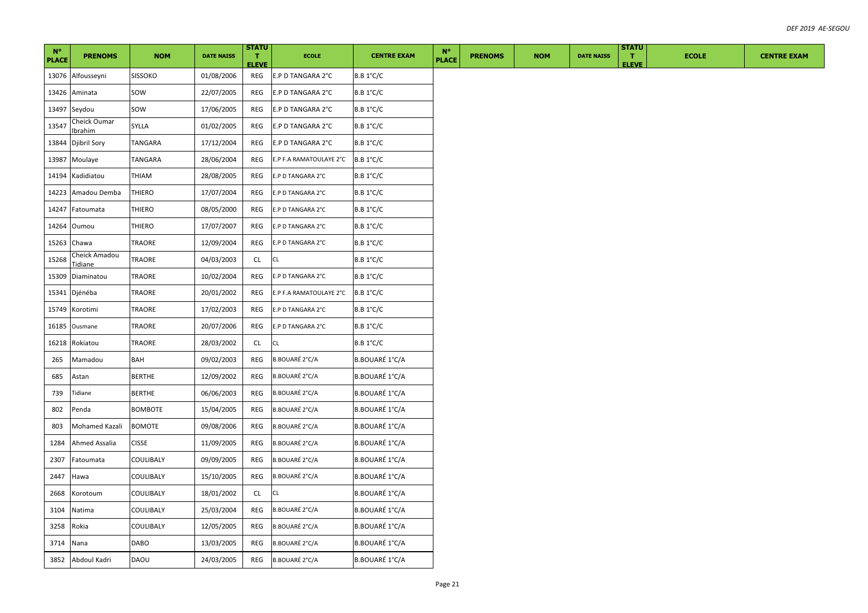| $N^{\circ}$<br><b>PLACE</b> | <b>PRENOMS</b>           | <b>NOM</b>     | <b>DATE NAISS</b> | <b>STATU</b><br>T.<br><b>ELEVE</b> | <b>ECOLE</b>            | <b>CENTRE EXAM</b>    | $N^{\circ}$<br><b>PLACE</b> | <b>PRENOMS</b> | <b>NOM</b> | <b>DATE NAISS</b> | <b>STATU</b><br>л.<br><b>ELEVE</b> | <b>ECOLE</b> | <b>CENTRE EXAM</b> |
|-----------------------------|--------------------------|----------------|-------------------|------------------------------------|-------------------------|-----------------------|-----------------------------|----------------|------------|-------------------|------------------------------------|--------------|--------------------|
| 13076                       | Alfousseyni              | <b>SISSOKO</b> | 01/08/2006        | REG                                | E.P D TANGARA 2°C       | $B.B.1^{\circ}C/C$    |                             |                |            |                   |                                    |              |                    |
| 13426                       | Aminata                  | sow            | 22/07/2005        | REG                                | E.P D TANGARA 2°C       | $B.B.1^{\circ}C/C$    |                             |                |            |                   |                                    |              |                    |
| 13497                       | Seydou                   | sow            | 17/06/2005        | REG                                | E.P D TANGARA 2°C       | B.B 1°C/C             |                             |                |            |                   |                                    |              |                    |
| 13547                       | Cheick Oumar<br>Ibrahim  | SYLLA          | 01/02/2005        | REG                                | E.P D TANGARA 2°C       | $B.B.1^{\circ}C/C$    |                             |                |            |                   |                                    |              |                    |
| 13844                       | Djibril Sory             | TANGARA        | 17/12/2004        | REG                                | E.P D TANGARA 2°C       | $B.B.1^{\circ}C/C$    |                             |                |            |                   |                                    |              |                    |
| 13987                       | Moulaye                  | TANGARA        | 28/06/2004        | REG                                | E.P F.A RAMATOULAYE 2°C | $B.B.1^{\circ}C/C$    |                             |                |            |                   |                                    |              |                    |
| 14194                       | Kadidiatou               | THIAM          | 28/08/2005        | REG                                | E.P D TANGARA 2°C       | <b>B.B 1°C/C</b>      |                             |                |            |                   |                                    |              |                    |
| 14223                       | Amadou Demba             | THIERO         | 17/07/2004        | REG                                | E.P D TANGARA 2°C       | B.B 1°C/C             |                             |                |            |                   |                                    |              |                    |
| 14247                       | Fatoumata                | <b>THIERO</b>  | 08/05/2000        | REG                                | E.P D TANGARA 2°C       | <b>B.B 1°C/C</b>      |                             |                |            |                   |                                    |              |                    |
| 14264                       | Oumou                    | THIERO         | 17/07/2007        | REG                                | E.P D TANGARA 2°C       | $B.B.1^{\circ}C/C$    |                             |                |            |                   |                                    |              |                    |
| 15263                       | Chawa                    | TRAORE         | 12/09/2004        | REG                                | E.P D TANGARA 2°C       | <b>B.B 1°C/C</b>      |                             |                |            |                   |                                    |              |                    |
| 15268                       | Cheick Amadou<br>Tidiane | TRAORE         | 04/03/2003        | CL                                 | CL                      | <b>B.B 1°C/C</b>      |                             |                |            |                   |                                    |              |                    |
| 15309                       | Diaminatou               | TRAORE         | 10/02/2004        | REG                                | E.P D TANGARA 2°C       | B.B 1°C/C             |                             |                |            |                   |                                    |              |                    |
| 15341                       | Djénéba                  | TRAORE         | 20/01/2002        | REG                                | E.P F.A RAMATOULAYE 2°C | $B.B.1^{\circ}C/C$    |                             |                |            |                   |                                    |              |                    |
| 15749                       | Korotimi                 | TRAORE         | 17/02/2003        | REG                                | E.P D TANGARA 2°C       | B.B 1°C/C             |                             |                |            |                   |                                    |              |                    |
| 16185                       | Ousmane                  | <b>TRAORE</b>  | 20/07/2006        | REG                                | E.P D TANGARA 2°C       | <b>B.B 1°C/C</b>      |                             |                |            |                   |                                    |              |                    |
| 16218                       | Rokiatou                 | TRAORE         | 28/03/2002        | CL                                 | CL                      | B.B 1°C/C             |                             |                |            |                   |                                    |              |                    |
| 265                         | Mamadou                  | BAH            | 09/02/2003        | REG                                | <b>B.BOUARÉ 2°C/A</b>   | B.BOUARÉ 1°C/A        |                             |                |            |                   |                                    |              |                    |
| 685                         | Astan                    | <b>BERTHE</b>  | 12/09/2002        | REG                                | <b>B.BOUARÉ 2°C/A</b>   | B.BOUARÉ 1°C/A        |                             |                |            |                   |                                    |              |                    |
| 739                         | Tidiane                  | <b>BERTHE</b>  | 06/06/2003        | REG                                | <b>B.BOUARÉ 2°C/A</b>   | B.BOUARÉ 1°C/A        |                             |                |            |                   |                                    |              |                    |
| 802                         | Penda                    | BOMBOTE        | 15/04/2005        | REG                                | <b>B.BOUARÉ 2°C/A</b>   | B.BOUARÉ 1°C/A        |                             |                |            |                   |                                    |              |                    |
| 803                         | Mohamed Kazali           | <b>BOMOTE</b>  | 09/08/2006        | REG                                | <b>B.BOUARÉ 2°C/A</b>   | B.BOUARÉ 1°C/A        |                             |                |            |                   |                                    |              |                    |
| 1284                        | Ahmed Assalia            | <b>CISSE</b>   | 11/09/2005        | REG                                | <b>B.BOUARÉ 2°C/A</b>   | B.BOUARÉ 1°C/A        |                             |                |            |                   |                                    |              |                    |
| 2307                        | Fatoumata                | COULIBALY      | 09/09/2005        | REG                                | <b>B.BOUARÉ 2°C/A</b>   | <b>B.BOUARÉ 1°C/A</b> |                             |                |            |                   |                                    |              |                    |
| 2447                        | Hawa                     | COULIBALY      | 15/10/2005        | REG                                | <b>B.BOUARÉ 2°C/A</b>   | B.BOUARÉ 1°C/A        |                             |                |            |                   |                                    |              |                    |
| 2668                        | Korotoum                 | COULIBALY      | 18/01/2002        | CL                                 | CL.                     | B.BOUARÉ 1°C/A        |                             |                |            |                   |                                    |              |                    |
| 3104                        | Natima                   | COULIBALY      | 25/03/2004        | REG                                | <b>B.BOUARÉ 2°C/A</b>   | B.BOUARÉ 1°C/A        |                             |                |            |                   |                                    |              |                    |
| 3258                        | Rokia                    | COULIBALY      | 12/05/2005        | REG                                | <b>B.BOUARÉ 2°C/A</b>   | B.BOUARÉ 1°C/A        |                             |                |            |                   |                                    |              |                    |
| 3714                        | Nana                     | DABO           | 13/03/2005        | REG                                | <b>B.BOUARÉ 2°C/A</b>   | <b>B.BOUARÉ 1°C/A</b> |                             |                |            |                   |                                    |              |                    |
|                             | 3852 Abdoul Kadri        | DAOU           | 24/03/2005        | REG                                | <b>B.BOUARÉ 2°C/A</b>   | B.BOUARÉ 1°C/A        |                             |                |            |                   |                                    |              |                    |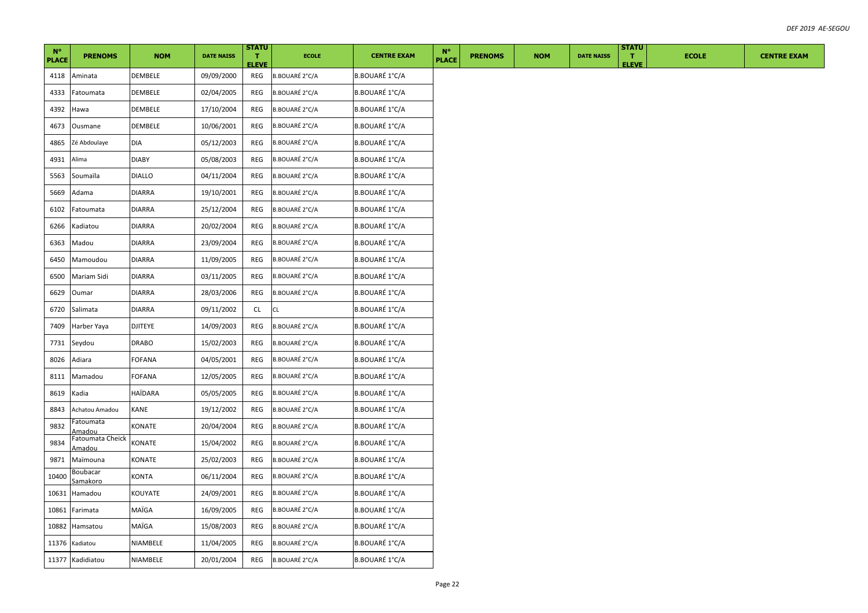| $N^{\circ}$<br><b>PLACE</b> | <b>PRENOMS</b>                    | <b>NOM</b>     | <b>DATE NAISS</b> | <b>STATU</b><br>т.<br><b>ELEVE</b> | <b>ECOLE</b>          | <b>CENTRE EXAM</b>    | $N^{\circ}$<br><b>PLACE</b> | <b>PRENOMS</b> | <b>NOM</b> | <b>DATE NAISS</b> | <b>STATU</b><br>T.<br><b>ELEVE</b> | <b>ECOLE</b> | <b>CENTRE EXAM</b> |
|-----------------------------|-----------------------------------|----------------|-------------------|------------------------------------|-----------------------|-----------------------|-----------------------------|----------------|------------|-------------------|------------------------------------|--------------|--------------------|
| 4118                        | Aminata                           | DEMBELE        | 09/09/2000        | REG                                | B.BOUARÉ 2°C/A        | B.BOUARÉ 1°C/A        |                             |                |            |                   |                                    |              |                    |
| 4333                        | Fatoumata                         | DEMBELE        | 02/04/2005        | REG                                | B.BOUARÉ 2°C/A        | B.BOUARÉ 1°C/A        |                             |                |            |                   |                                    |              |                    |
| 4392                        | Hawa                              | DEMBELE        | 17/10/2004        | REG                                | B.BOUARÉ 2°C/A        | B.BOUARÉ 1°C/A        |                             |                |            |                   |                                    |              |                    |
| 4673                        | Ousmane                           | DEMBELE        | 10/06/2001        | REG                                | B.BOUARÉ 2°C/A        | B.BOUARÉ 1°C/A        |                             |                |            |                   |                                    |              |                    |
| 4865                        | Zé Abdoulaye                      | DIA            | 05/12/2003        | REG                                | B.BOUARÉ 2°C/A        | B.BOUARÉ 1°C/A        |                             |                |            |                   |                                    |              |                    |
| 4931                        | Alima                             | <b>DIABY</b>   | 05/08/2003        | REG                                | B.BOUARÉ 2°C/A        | B.BOUARÉ 1°C/A        |                             |                |            |                   |                                    |              |                    |
| 5563                        | Soumaïla                          | DIALLO         | 04/11/2004        | REG                                | B.BOUARÉ 2°C/A        | B.BOUARÉ 1°C/A        |                             |                |            |                   |                                    |              |                    |
| 5669                        | Adama                             | DIARRA         | 19/10/2001        | REG                                | B.BOUARÉ 2°C/A        | B.BOUARÉ 1°C/A        |                             |                |            |                   |                                    |              |                    |
| 6102                        | Fatoumata                         | <b>DIARRA</b>  | 25/12/2004        | REG                                | B.BOUARÉ 2°C/A        | B.BOUARÉ 1°C/A        |                             |                |            |                   |                                    |              |                    |
| 6266                        | Kadiatou                          | DIARRA         | 20/02/2004        | REG                                | B.BOUARÉ 2°C/A        | B.BOUARÉ 1°C/A        |                             |                |            |                   |                                    |              |                    |
| 6363                        | Madou                             | DIARRA         | 23/09/2004        | REG                                | B.BOUARÉ 2°C/A        | B.BOUARÉ 1°C/A        |                             |                |            |                   |                                    |              |                    |
| 6450                        | Mamoudou                          | <b>DIARRA</b>  | 11/09/2005        | REG                                | B.BOUARÉ 2°C/A        | B.BOUARÉ 1°C/A        |                             |                |            |                   |                                    |              |                    |
| 6500                        | Mariam Sidi                       | <b>DIARRA</b>  | 03/11/2005        | REG                                | B.BOUARÉ 2°C/A        | B.BOUARÉ 1°C/A        |                             |                |            |                   |                                    |              |                    |
| 6629                        | Oumar                             | <b>DIARRA</b>  | 28/03/2006        | REG                                | B.BOUARÉ 2°C/A        | B.BOUARÉ 1°C/A        |                             |                |            |                   |                                    |              |                    |
| 6720                        | Salimata                          | DIARRA         | 09/11/2002        | CL.                                | CL                    | B.BOUARÉ 1°C/A        |                             |                |            |                   |                                    |              |                    |
| 7409                        | Harber Yaya                       | <b>DJITEYE</b> | 14/09/2003        | REG                                | <b>B.BOUARÉ 2°C/A</b> | B.BOUARÉ 1°C/A        |                             |                |            |                   |                                    |              |                    |
| 7731                        | Seydou                            | <b>DRABO</b>   | 15/02/2003        | REG                                | B.BOUARÉ 2°C/A        | B.BOUARÉ 1°C/A        |                             |                |            |                   |                                    |              |                    |
| 8026                        | Adiara                            | FOFANA         | 04/05/2001        | REG                                | B.BOUARÉ 2°C/A        | B.BOUARÉ 1°C/A        |                             |                |            |                   |                                    |              |                    |
| 8111                        | Mamadou                           | FOFANA         | 12/05/2005        | REG                                | B.BOUARÉ 2°C/A        | B.BOUARÉ 1°C/A        |                             |                |            |                   |                                    |              |                    |
| 8619                        | Kadia                             | HAÏDARA        | 05/05/2005        | REG                                | B.BOUARÉ 2°C/A        | B.BOUARÉ 1°C/A        |                             |                |            |                   |                                    |              |                    |
| 8843                        | Achatou Amadou                    | KANE           | 19/12/2002        | REG                                | B.BOUARÉ 2°C/A        | B.BOUARÉ 1°C/A        |                             |                |            |                   |                                    |              |                    |
| 9832                        | Fatoumata<br>Amadou               | KONATE         | 20/04/2004        | REG                                | B.BOUARÉ 2°C/A        | B.BOUARÉ 1°C/A        |                             |                |            |                   |                                    |              |                    |
| 9834                        | Fatoumata Cheick<br><u>Amadou</u> | KONATE         | 15/04/2002        | REG                                | B.BOUARÉ 2°C/A        | B.BOUARÉ 1°C/A        |                             |                |            |                   |                                    |              |                    |
| 9871                        | Maïmouna                          | KONATE         | 25/02/2003        | <b>REG</b>                         | <b>B.BOUARÉ 2°C/A</b> | <b>B.BOUARÉ 1°C/A</b> |                             |                |            |                   |                                    |              |                    |
| 10400                       | Boubacar<br>Samakoro              | <b>KONTA</b>   | 06/11/2004        | REG                                | <b>B.BOUARÉ 2°C/A</b> | B.BOUARÉ 1°C/A        |                             |                |            |                   |                                    |              |                    |
| 10631                       | Hamadou                           | KOUYATE        | 24/09/2001        | REG                                | B.BOUARÉ 2°C/A        | B.BOUARÉ 1°C/A        |                             |                |            |                   |                                    |              |                    |
| 10861                       | Farimata                          | MAÏGA          | 16/09/2005        | REG                                | B.BOUARÉ 2°C/A        | B.BOUARÉ 1°C/A        |                             |                |            |                   |                                    |              |                    |
| 10882                       | Hamsatou                          | MAÏGA          | 15/08/2003        | REG                                | B.BOUARÉ 2°C/A        | B.BOUARÉ 1°C/A        |                             |                |            |                   |                                    |              |                    |
| 11376                       | Kadiatou                          | NIAMBELE       | 11/04/2005        | REG                                | <b>B.BOUARÉ 2°C/A</b> | <b>B.BOUARÉ 1°C/A</b> |                             |                |            |                   |                                    |              |                    |
|                             | 11377 Kadidiatou                  | NIAMBELE       | 20/01/2004        | REG                                | <b>B.BOUARÉ 2°C/A</b> | B.BOUARÉ 1°C/A        |                             |                |            |                   |                                    |              |                    |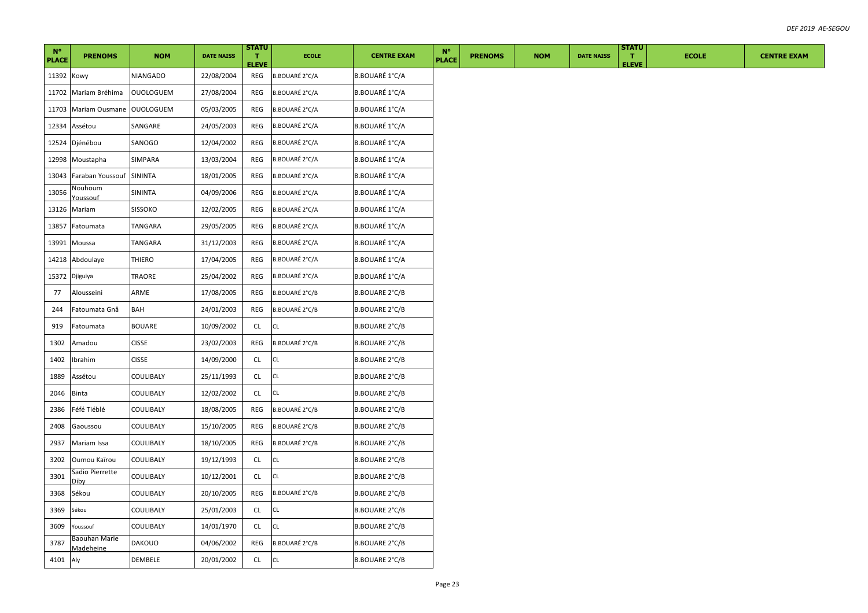| $N^{\circ}$<br><b>PLACE</b> | <b>PRENOMS</b>                    | <b>NOM</b>       | <b>DATE NAISS</b> | <b>STATU</b><br>т.  | <b>ECOLE</b>          | <b>CENTRE EXAM</b>    | $N^{\circ}$<br><b>PLACE</b> | <b>PRENOMS</b> | <b>NOM</b> | <b>DATE NAISS</b> | <b>STATU</b><br>л. | <b>ECOLE</b> | <b>CENTRE EXAM</b> |
|-----------------------------|-----------------------------------|------------------|-------------------|---------------------|-----------------------|-----------------------|-----------------------------|----------------|------------|-------------------|--------------------|--------------|--------------------|
| 11392 Kowy                  |                                   | NIANGADO         | 22/08/2004        | <b>ELEVE</b><br>REG | <b>B.BOUARÉ 2°C/A</b> | B.BOUARÉ 1°C/A        |                             |                |            |                   | <b>ELEVE</b>       |              |                    |
|                             | 11702 Mariam Bréhima              | <b>OUOLOGUEM</b> | 27/08/2004        | REG                 | B.BOUARÉ 2°C/A        | B.BOUARÉ 1°C/A        |                             |                |            |                   |                    |              |                    |
|                             | 11703 Mariam Ousmane OUOLOGUEM    |                  | 05/03/2005        | <b>REG</b>          | B.BOUARÉ 2°C/A        | <b>B.BOUARÉ 1°C/A</b> |                             |                |            |                   |                    |              |                    |
|                             | 12334 Assétou                     | SANGARE          | 24/05/2003        | REG                 | B.BOUARÉ 2°C/A        | <b>B.BOUARÉ 1°C/A</b> |                             |                |            |                   |                    |              |                    |
|                             | 12524 Djénébou                    | SANOGO           | 12/04/2002        | <b>REG</b>          | B.BOUARÉ 2°C/A        | B.BOUARÉ 1°C/A        |                             |                |            |                   |                    |              |                    |
|                             | 12998 Moustapha                   | SIMPARA          | 13/03/2004        | REG                 | B.BOUARÉ 2°C/A        | <b>B.BOUARÉ 1°C/A</b> |                             |                |            |                   |                    |              |                    |
|                             | 13043 Faraban Youssouf            | SININTA          | 18/01/2005        | REG                 | B.BOUARÉ 2°C/A        | B.BOUARÉ 1°C/A        |                             |                |            |                   |                    |              |                    |
| 13056                       | Nouhoum<br><u>Youssouf</u>        | SININTA          | 04/09/2006        | REG                 | B.BOUARÉ 2°C/A        | B.BOUARÉ 1°C/A        |                             |                |            |                   |                    |              |                    |
|                             | 13126 Mariam                      | SISSOKO          | 12/02/2005        | REG                 | B.BOUARÉ 2°C/A        | B.BOUARÉ 1°C/A        |                             |                |            |                   |                    |              |                    |
|                             | 13857 Fatoumata                   | TANGARA          | 29/05/2005        | REG                 | B.BOUARÉ 2°C/A        | B.BOUARÉ 1°C/A        |                             |                |            |                   |                    |              |                    |
| 13991                       | Moussa                            | TANGARA          | 31/12/2003        | REG                 | B.BOUARÉ 2°C/A        | B.BOUARÉ 1°C/A        |                             |                |            |                   |                    |              |                    |
|                             | 14218 Abdoulaye                   | THIERO           | 17/04/2005        | REG                 | B.BOUARÉ 2°C/A        | B.BOUARÉ 1°C/A        |                             |                |            |                   |                    |              |                    |
|                             | 15372 Djiguiya                    | TRAORE           | 25/04/2002        | REG                 | B.BOUARÉ 2°C/A        | B.BOUARÉ 1°C/A        |                             |                |            |                   |                    |              |                    |
| 77                          | Alousseini                        | ARME             | 17/08/2005        | REG                 | B.BOUARÉ 2°C/B        | B.BOUARE 2°C/B        |                             |                |            |                   |                    |              |                    |
| 244                         | Fatoumata Gnâ                     | BAH              | 24/01/2003        | REG                 | B.BOUARÉ 2°C/B        | B.BOUARE 2°C/B        |                             |                |            |                   |                    |              |                    |
| 919                         | Fatoumata                         | BOUARE           | 10/09/2002        | <b>CL</b>           | CL                    | <b>B.BOUARE 2°C/B</b> |                             |                |            |                   |                    |              |                    |
| 1302                        | Amadou                            | <b>CISSE</b>     | 23/02/2003        | REG                 | <b>B.BOUARÉ 2°C/B</b> | B.BOUARE 2°C/B        |                             |                |            |                   |                    |              |                    |
| 1402                        | Ibrahim                           | <b>CISSE</b>     | 14/09/2000        | CL                  | CL                    | <b>B.BOUARE 2°C/B</b> |                             |                |            |                   |                    |              |                    |
| 1889                        | Assétou                           | COULIBALY        | 25/11/1993        | <b>CL</b>           | CL                    | B.BOUARE 2°C/B        |                             |                |            |                   |                    |              |                    |
| 2046                        | <b>Binta</b>                      | COULIBALY        | 12/02/2002        | <b>CL</b>           | CL                    | B.BOUARE 2°C/B        |                             |                |            |                   |                    |              |                    |
| 2386                        | Féfé Tiéblé                       | COULIBALY        | 18/08/2005        | REG                 | B.BOUARÉ 2°C/B        | <b>B.BOUARE 2°C/B</b> |                             |                |            |                   |                    |              |                    |
| 2408                        | Gaoussou                          | COULIBALY        | 15/10/2005        | REG                 | <b>B.BOUARÉ 2°C/B</b> | <b>B.BOUARE 2°C/B</b> |                             |                |            |                   |                    |              |                    |
| 2937                        | Mariam Issa                       | COULIBALY        | 18/10/2005        | REG                 | <b>B.BOUARÉ 2°C/B</b> | <b>B.BOUARE 2°C/B</b> |                             |                |            |                   |                    |              |                    |
| 3202                        | Oumou Kaïrou                      | COULIBALY        | 19/12/1993        | CL                  | CL                    | <b>B.BOUARE 2°C/B</b> |                             |                |            |                   |                    |              |                    |
| 3301                        | Sadio Pierrette<br>Dibv           | COULIBALY        | 10/12/2001        | CL                  | CL                    | B.BOUARE 2°C/B        |                             |                |            |                   |                    |              |                    |
| 3368                        | Sékou                             | COULIBALY        | 20/10/2005        | REG                 | B.BOUARÉ 2°C/B        | <b>B.BOUARE 2°C/B</b> |                             |                |            |                   |                    |              |                    |
| 3369                        | Sékou                             | COULIBALY        | 25/01/2003        | CL                  | CL                    | <b>B.BOUARE 2°C/B</b> |                             |                |            |                   |                    |              |                    |
| 3609                        | Youssouf                          | COULIBALY        | 14/01/1970        | <b>CL</b>           | CL                    | <b>B.BOUARE 2°C/B</b> |                             |                |            |                   |                    |              |                    |
| 3787                        | Baouhan Marie<br><b>Madeheine</b> | DAKOUO           | 04/06/2002        | REG                 | B.BOUARÉ 2°C/B        | B.BOUARE 2°C/B        |                             |                |            |                   |                    |              |                    |
| 4101 Aly                    |                                   | DEMBELE          | 20/01/2002        | CL                  | CL                    | <b>B.BOUARE 2°C/B</b> |                             |                |            |                   |                    |              |                    |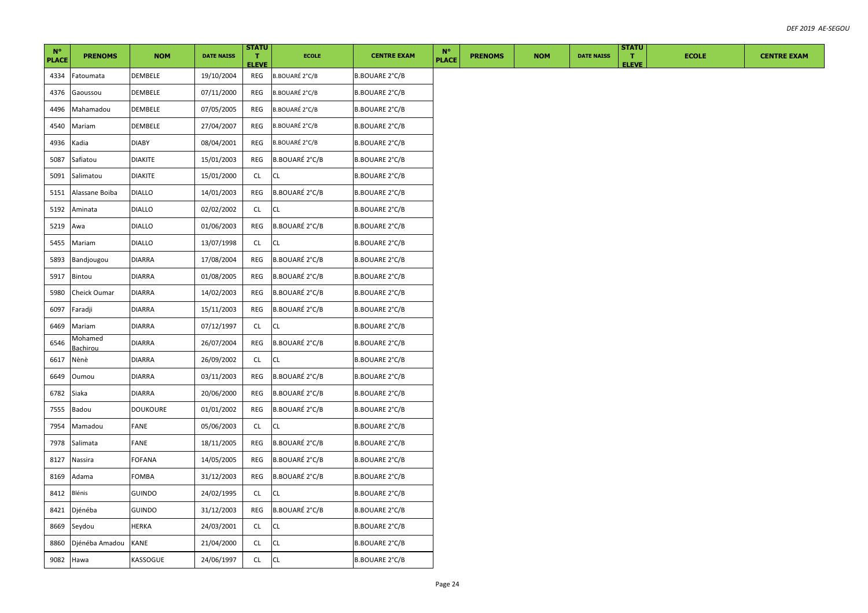| $N^{\circ}$<br><b>PLACE</b> | <b>PRENOMS</b>      | <b>NOM</b>      | <b>DATE NAISS</b> | <b>STATU</b><br>$\mathbf{T}$<br><b>ELEVE</b> | <b>ECOLE</b>          | <b>CENTRE EXAM</b>    | $N^{\circ}$<br><b>PLACE</b> | <b>PRENOMS</b> | <b>NOM</b> | <b>DATE NAISS</b> | <b>STATU</b><br>л.<br><b>ELEVE</b> | <b>ECOLE</b> | <b>CENTRE EXAM</b> |
|-----------------------------|---------------------|-----------------|-------------------|----------------------------------------------|-----------------------|-----------------------|-----------------------------|----------------|------------|-------------------|------------------------------------|--------------|--------------------|
| 4334                        | Fatoumata           | DEMBELE         | 19/10/2004        | REG                                          | B.BOUARÉ 2°C/B        | B.BOUARE 2°C/B        |                             |                |            |                   |                                    |              |                    |
| 4376                        | Gaoussou            | DEMBELE         | 07/11/2000        | REG                                          | B.BOUARÉ 2°C/B        | B.BOUARE 2°C/B        |                             |                |            |                   |                                    |              |                    |
| 4496                        | Mahamadou           | DEMBELE         | 07/05/2005        | REG                                          | <b>B.BOUARÉ 2°C/B</b> | B.BOUARE 2°C/B        |                             |                |            |                   |                                    |              |                    |
| 4540                        | Mariam              | DEMBELE         | 27/04/2007        | REG                                          | <b>B.BOUARÉ 2°C/B</b> | B.BOUARE 2°C/B        |                             |                |            |                   |                                    |              |                    |
| 4936                        | Kadia               | <b>DIABY</b>    | 08/04/2001        | REG                                          | <b>B.BOUARÉ 2°C/B</b> | <b>B.BOUARE 2°C/B</b> |                             |                |            |                   |                                    |              |                    |
| 5087                        | Safiatou            | DIAKITE         | 15/01/2003        | REG                                          | <b>B.BOUARÉ 2°C/B</b> | B.BOUARE 2°C/B        |                             |                |            |                   |                                    |              |                    |
| 5091                        | Salimatou           | <b>DIAKITE</b>  | 15/01/2000        | CL                                           | <b>CL</b>             | <b>B.BOUARE 2°C/B</b> |                             |                |            |                   |                                    |              |                    |
| 5151                        | Alassane Boiba      | <b>DIALLO</b>   | 14/01/2003        | REG                                          | <b>B.BOUARÉ 2°C/B</b> | <b>B.BOUARE 2°C/B</b> |                             |                |            |                   |                                    |              |                    |
| 5192                        | Aminata             | <b>DIALLO</b>   | 02/02/2002        | CL                                           | <b>CL</b>             | B.BOUARE 2°C/B        |                             |                |            |                   |                                    |              |                    |
| 5219                        | Awa                 | <b>DIALLO</b>   | 01/06/2003        | REG                                          | B.BOUARÉ 2°C/B        | <b>B.BOUARE 2°C/B</b> |                             |                |            |                   |                                    |              |                    |
| 5455                        | Mariam              | <b>DIALLO</b>   | 13/07/1998        | CL                                           | CL                    | B.BOUARE 2°C/B        |                             |                |            |                   |                                    |              |                    |
| 5893                        | Bandjougou          | <b>DIARRA</b>   | 17/08/2004        | REG                                          | B.BOUARÉ 2°C/B        | <b>B.BOUARE 2°C/B</b> |                             |                |            |                   |                                    |              |                    |
| 5917                        | Bintou              | <b>DIARRA</b>   | 01/08/2005        | REG                                          | B.BOUARÉ 2°C/B        | B.BOUARE 2°C/B        |                             |                |            |                   |                                    |              |                    |
| 5980                        | Cheick Oumar        | <b>DIARRA</b>   | 14/02/2003        | REG                                          | <b>B.BOUARÉ 2°C/B</b> | B.BOUARE 2°C/B        |                             |                |            |                   |                                    |              |                    |
| 6097                        | Faradji             | DIARRA          | 15/11/2003        | REG                                          | B.BOUARÉ 2°C/B        | B.BOUARE 2°C/B        |                             |                |            |                   |                                    |              |                    |
| 6469                        | Mariam              | <b>DIARRA</b>   | 07/12/1997        | CL                                           | <b>CL</b>             | <b>B.BOUARE 2°C/B</b> |                             |                |            |                   |                                    |              |                    |
| 6546                        | Mohamed<br>Bachirou | <b>DIARRA</b>   | 26/07/2004        | REG                                          | B.BOUARÉ 2°C/B        | <b>B.BOUARE 2°C/B</b> |                             |                |            |                   |                                    |              |                    |
| 6617                        | Nènè                | DIARRA          | 26/09/2002        | CL                                           | CL.                   | B.BOUARE 2°C/B        |                             |                |            |                   |                                    |              |                    |
| 6649                        | Oumou               | <b>DIARRA</b>   | 03/11/2003        | REG                                          | <b>B.BOUARÉ 2°C/B</b> | B.BOUARE 2°C/B        |                             |                |            |                   |                                    |              |                    |
| 6782                        | Siaka               | DIARRA          | 20/06/2000        | REG                                          | B.BOUARÉ 2°C/B        | B.BOUARE 2°C/B        |                             |                |            |                   |                                    |              |                    |
| 7555                        | Badou               | <b>DOUKOURE</b> | 01/01/2002        | REG                                          | B.BOUARÉ 2°C/B        | B.BOUARE 2°C/B        |                             |                |            |                   |                                    |              |                    |
| 7954                        | Mamadou             | FANE            | 05/06/2003        | <b>CL</b>                                    | <b>CL</b>             | B.BOUARE 2°C/B        |                             |                |            |                   |                                    |              |                    |
| 7978                        | Salimata            | FANE            | 18/11/2005        | REG                                          | B.BOUARÉ 2°C/B        | B.BOUARE 2°C/B        |                             |                |            |                   |                                    |              |                    |
| 8127                        | Nassira             | FOFANA          | 14/05/2005        | REG                                          | B.BOUARÉ 2°C/B        | B.BOUARE 2°C/B        |                             |                |            |                   |                                    |              |                    |
| 8169                        | Adama               | FOMBA           | 31/12/2003        | REG                                          | B.BOUARÉ 2°C/B        | B.BOUARE 2°C/B        |                             |                |            |                   |                                    |              |                    |
| 8412                        | Blénis              | GUINDO          | 24/02/1995        | CL.                                          | CL                    | B.BOUARE 2°C/B        |                             |                |            |                   |                                    |              |                    |
| 8421                        | Djénéba             | <b>GUINDO</b>   | 31/12/2003        | REG                                          | <b>B.BOUARÉ 2°C/B</b> | B.BOUARE 2°C/B        |                             |                |            |                   |                                    |              |                    |
| 8669                        | Seydou              | HERKA           | 24/03/2001        | CL.                                          | CL                    | B.BOUARE 2°C/B        |                             |                |            |                   |                                    |              |                    |
| 8860                        | Djénéba Amadou      | KANE            | 21/04/2000        | CL                                           | СL                    | B.BOUARE 2°C/B        |                             |                |            |                   |                                    |              |                    |
| 9082 Hawa                   |                     | KASSOGUE        | 24/06/1997        | CL                                           | <b>CL</b>             | <b>B.BOUARE 2°C/B</b> |                             |                |            |                   |                                    |              |                    |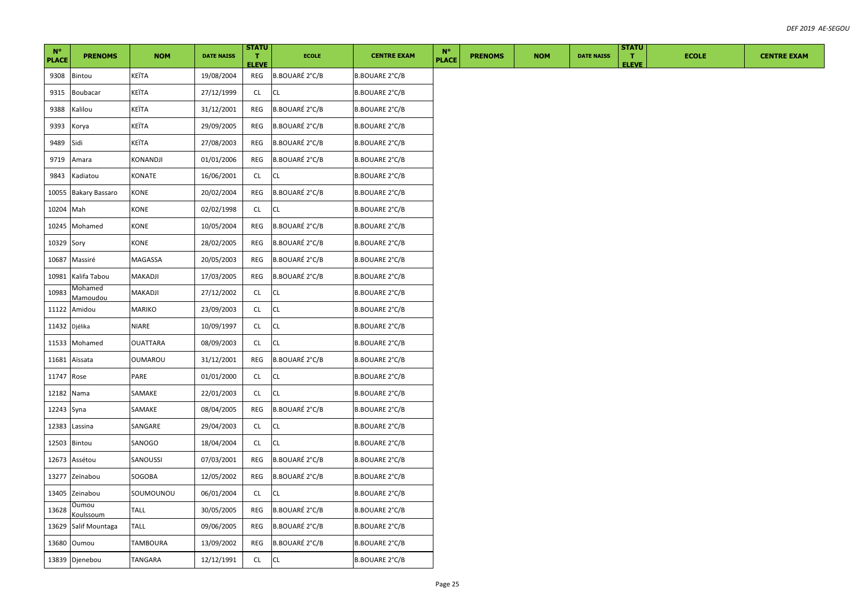| $N^{\circ}$<br><b>PLACE</b> | <b>PRENOMS</b>             | <b>NOM</b>      | <b>DATE NAISS</b> | <b>STATU</b><br>л.<br><b>ELEVE</b> | <b>ECOLE</b>          | <b>CENTRE EXAM</b>    | $N^{\circ}$<br><b>PLACE</b> | <b>PRENOMS</b> | <b>NOM</b> | <b>DATE NAISS</b> | <b>STATU</b><br>т.<br><b>ELEVE</b> | <b>ECOLE</b> | <b>CENTRE EXAM</b> |
|-----------------------------|----------------------------|-----------------|-------------------|------------------------------------|-----------------------|-----------------------|-----------------------------|----------------|------------|-------------------|------------------------------------|--------------|--------------------|
| 9308                        | Bintou                     | KEÏTA           | 19/08/2004        | REG                                | <b>B.BOUARÉ 2°C/B</b> | <b>B.BOUARE 2°C/B</b> |                             |                |            |                   |                                    |              |                    |
| 9315                        | <b>Boubacar</b>            | KEÏTA           | 27/12/1999        | <b>CL</b>                          | <b>CL</b>             | B.BOUARE 2°C/B        |                             |                |            |                   |                                    |              |                    |
| 9388                        | Kalilou                    | KEÏTA           | 31/12/2001        | REG                                | B.BOUARÉ 2°C/B        | B.BOUARE 2°C/B        |                             |                |            |                   |                                    |              |                    |
| 9393                        | Korya                      | KEÏTA           | 29/09/2005        | REG                                | B.BOUARÉ 2°C/B        | B.BOUARE 2°C/B        |                             |                |            |                   |                                    |              |                    |
| 9489                        | Sidi                       | KEÏTA           | 27/08/2003        | REG                                | B.BOUARÉ 2°C/B        | <b>B.BOUARE 2°C/B</b> |                             |                |            |                   |                                    |              |                    |
| 9719                        | Amara                      | KONANDJI        | 01/01/2006        | REG                                | B.BOUARÉ 2°C/B        | <b>B.BOUARE 2°C/B</b> |                             |                |            |                   |                                    |              |                    |
| 9843                        | Kadiatou                   | KONATE          | 16/06/2001        | CL                                 | CL                    | B.BOUARE 2°C/B        |                             |                |            |                   |                                    |              |                    |
| 10055                       | <b>Bakary Bassaro</b>      | KONE            | 20/02/2004        | REG                                | B.BOUARÉ 2°C/B        | B.BOUARE 2°C/B        |                             |                |            |                   |                                    |              |                    |
| 10204                       | Mah                        | KONE            | 02/02/1998        | CL                                 | CL                    | <b>B.BOUARE 2°C/B</b> |                             |                |            |                   |                                    |              |                    |
| 10245                       | Mohamed                    | KONE            | 10/05/2004        | REG                                | B.BOUARÉ 2°C/B        | <b>B.BOUARE 2°C/B</b> |                             |                |            |                   |                                    |              |                    |
| 10329                       | Sory                       | KONE            | 28/02/2005        | REG                                | <b>B.BOUARÉ 2°C/B</b> | <b>B.BOUARE 2°C/B</b> |                             |                |            |                   |                                    |              |                    |
| 10687                       | Massiré                    | MAGASSA         | 20/05/2003        | REG                                | B.BOUARÉ 2°C/B        | B.BOUARE 2°C/B        |                             |                |            |                   |                                    |              |                    |
| 10981                       | Kalifa Tabou               | MAKADJI         | 17/03/2005        | REG                                | B.BOUARÉ 2°C/B        | B.BOUARE 2°C/B        |                             |                |            |                   |                                    |              |                    |
| 10983                       | Mohamed<br><b>Mamoudou</b> | MAKADJI         | 27/12/2002        | CL                                 | CL                    | <b>B.BOUARE 2°C/B</b> |                             |                |            |                   |                                    |              |                    |
| 11122                       | Amidou                     | MARIKO          | 23/09/2003        | CL                                 | CL                    | B.BOUARE 2°C/B        |                             |                |            |                   |                                    |              |                    |
| 11432                       | Djélika                    | NIARE           | 10/09/1997        | <b>CL</b>                          | СL                    | <b>B.BOUARE 2°C/B</b> |                             |                |            |                   |                                    |              |                    |
| 11533                       | Mohamed                    | <b>OUATTARA</b> | 08/09/2003        | CL                                 | CL                    | <b>B.BOUARE 2°C/B</b> |                             |                |            |                   |                                    |              |                    |
| 11681                       | Aïssata                    | OUMAROU         | 31/12/2001        | REG                                | <b>B.BOUARÉ 2°C/B</b> | B.BOUARE 2°C/B        |                             |                |            |                   |                                    |              |                    |
| 11747 Rose                  |                            | PARE            | 01/01/2000        | CL                                 | СL                    | <b>B.BOUARE 2°C/B</b> |                             |                |            |                   |                                    |              |                    |
| 12182                       | Nama                       | SAMAKE          | 22/01/2003        | <b>CL</b>                          | CL                    | B.BOUARE 2°C/B        |                             |                |            |                   |                                    |              |                    |
| 12243 Syna                  |                            | SAMAKE          | 08/04/2005        | REG                                | <b>B.BOUARÉ 2°C/B</b> | B.BOUARE 2°C/B        |                             |                |            |                   |                                    |              |                    |
| 12383                       | Lassina                    | SANGARE         | 29/04/2003        | CL                                 | CL                    | B.BOUARE 2°C/B        |                             |                |            |                   |                                    |              |                    |
| 12503                       | Bintou                     | SANOGO          | 18/04/2004        | CL.                                | CL                    | <b>B.BOUARE 2°C/B</b> |                             |                |            |                   |                                    |              |                    |
| 12673                       | Assétou                    | SANOUSSI        | 07/03/2001        | REG                                | <b>B.BOUARÉ 2°C/B</b> | B.BOUARE 2°C/B        |                             |                |            |                   |                                    |              |                    |
| 13277                       | Zeïnabou                   | SOGOBA          | 12/05/2002        | REG                                | B.BOUARÉ 2°C/B        | B.BOUARE 2°C/B        |                             |                |            |                   |                                    |              |                    |
| 13405                       | Zeinabou                   | SOUMOUNOU       | 06/01/2004        | <b>CL</b>                          | CL                    | B.BOUARE 2°C/B        |                             |                |            |                   |                                    |              |                    |
| 13628                       | Oumou<br>Koulssoum         | <b>TALL</b>     | 30/05/2005        | REG                                | B.BOUARÉ 2°C/B        | <b>B.BOUARE 2°C/B</b> |                             |                |            |                   |                                    |              |                    |
| 13629                       | Salif Mountaga             | TALL            | 09/06/2005        | REG                                | B.BOUARÉ 2°C/B        | <b>B.BOUARE 2°C/B</b> |                             |                |            |                   |                                    |              |                    |
| 13680                       | Oumou                      | TAMBOURA        | 13/09/2002        | REG                                | B.BOUARÉ 2°C/B        | B.BOUARE 2°C/B        |                             |                |            |                   |                                    |              |                    |
|                             | 13839 Djenebou             | TANGARA         | 12/12/1991        | $\mathsf{CL}$                      | CL                    | <b>B.BOUARE 2°C/B</b> |                             |                |            |                   |                                    |              |                    |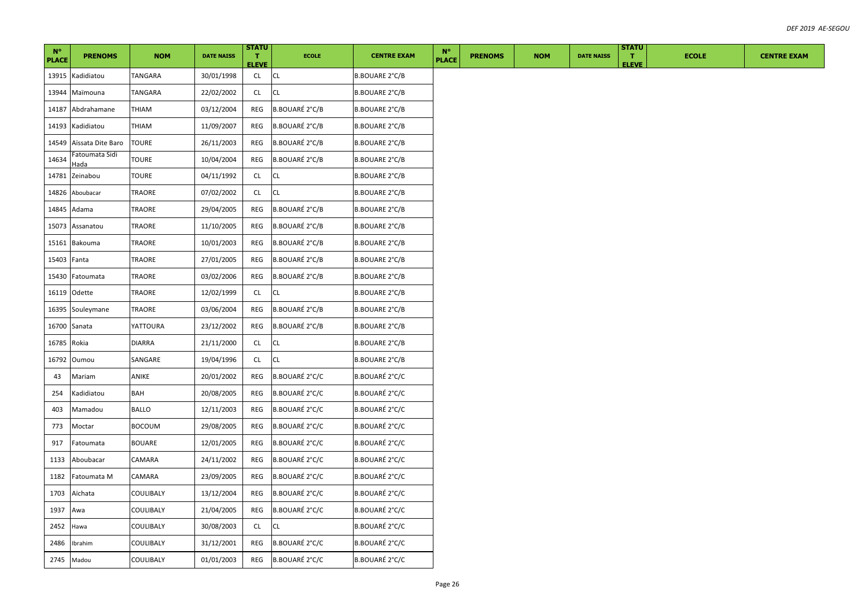| $N^{\circ}$  |                        |               |                   | <b>STATU</b>       |                       |                       | $N^{\circ}$  |                |            |                   | <b>STATU</b>       |              |
|--------------|------------------------|---------------|-------------------|--------------------|-----------------------|-----------------------|--------------|----------------|------------|-------------------|--------------------|--------------|
| <b>PLACE</b> | <b>PRENOMS</b>         | <b>NOM</b>    | <b>DATE NAISS</b> | т.<br><b>ELEVE</b> | <b>ECOLE</b>          | <b>CENTRE EXAM</b>    | <b>PLACE</b> | <b>PRENOMS</b> | <b>NOM</b> | <b>DATE NAISS</b> | т.<br><b>ELEVE</b> | <b>ECOLE</b> |
| 13915        | Kadidiatou             | TANGARA       | 30/01/1998        | CL                 | <b>CL</b>             | <b>B.BOUARE 2°C/B</b> |              |                |            |                   |                    |              |
| 13944        | Maïmouna               | TANGARA       | 22/02/2002        | CL                 | <b>CL</b>             | B.BOUARE 2°C/B        |              |                |            |                   |                    |              |
| 14187        | Abdrahamane            | <b>THIAM</b>  | 03/12/2004        | REG                | <b>B.BOUARÉ 2°C/B</b> | <b>B.BOUARE 2°C/B</b> |              |                |            |                   |                    |              |
| 14193        | Kadidiatou             | MAIHT         | 11/09/2007        | REG                | B.BOUARÉ 2°C/B        | B.BOUARE 2°C/B        |              |                |            |                   |                    |              |
| 14549        | Aïssata Dite Baro      | <b>TOURE</b>  | 26/11/2003        | REG                | B.BOUARÉ 2°C/B        | <b>B.BOUARE 2°C/B</b> |              |                |            |                   |                    |              |
| 14634        | Fatoumata Sidi<br>Hada | TOURE         | 10/04/2004        | REG                | B.BOUARÉ 2°C/B        | B.BOUARE 2°C/B        |              |                |            |                   |                    |              |
| 14781        | Zeinabou               | TOURE         | 04/11/1992        | CL.                | <b>CL</b>             | B.BOUARE 2°C/B        |              |                |            |                   |                    |              |
| 14826        | Aboubacar              | TRAORE        | 07/02/2002        | CL                 | CL                    | B.BOUARE 2°C/B        |              |                |            |                   |                    |              |
| 14845        | Adama                  | TRAORE        | 29/04/2005        | REG                | <b>B.BOUARÉ 2°C/B</b> | B.BOUARE 2°C/B        |              |                |            |                   |                    |              |
| 15073        | Assanatou              | TRAORE        | 11/10/2005        | <b>REG</b>         | B.BOUARÉ 2°C/B        | <b>B.BOUARE 2°C/B</b> |              |                |            |                   |                    |              |
| 15161        | Bakouma                | TRAORE        | 10/01/2003        | REG                | <b>B.BOUARÉ 2°C/B</b> | <b>B.BOUARE 2°C/B</b> |              |                |            |                   |                    |              |
| 15403        | Fanta                  | TRAORE        | 27/01/2005        | REG                | B.BOUARÉ 2°C/B        | <b>B.BOUARE 2°C/B</b> |              |                |            |                   |                    |              |
| 15430        | Fatoumata              | <b>TRAORE</b> | 03/02/2006        | REG                | B.BOUARÉ 2°C/B        | <b>B.BOUARE 2°C/B</b> |              |                |            |                   |                    |              |
|              | 16119 Odette           | TRAORE        | 12/02/1999        | CL                 | CL                    | <b>B.BOUARE 2°C/B</b> |              |                |            |                   |                    |              |
| 16395        | Souleymane             | TRAORE        | 03/06/2004        | REG                | B.BOUARÉ 2°C/B        | B.BOUARE 2°C/B        |              |                |            |                   |                    |              |
| 16700        | Sanata                 | YATTOURA      | 23/12/2002        | REG                | B.BOUARÉ 2°C/B        | B.BOUARE 2°C/B        |              |                |            |                   |                    |              |
| 16785        | Rokia                  | DIARRA        | 21/11/2000        | <b>CL</b>          | CL                    | B.BOUARE 2°C/B        |              |                |            |                   |                    |              |
| 16792        | Oumou                  | SANGARE       | 19/04/1996        | <b>CL</b>          | CL                    | B.BOUARE 2°C/B        |              |                |            |                   |                    |              |
| 43           | Mariam                 | ANIKE         | 20/01/2002        | REG                | <b>B.BOUARÉ 2°C/C</b> | B.BOUARÉ 2°C/C        |              |                |            |                   |                    |              |
| 254          | Kadidiatou             | BAH           | 20/08/2005        | REG                | B.BOUARÉ 2°C/C        | B.BOUARÉ 2°C/C        |              |                |            |                   |                    |              |
| 403          | Mamadou                | BALLO         | 12/11/2003        | REG                | B.BOUARÉ 2°C/C        | B.BOUARÉ 2°C/C        |              |                |            |                   |                    |              |
| 773          | Moctar                 | <b>BOCOUM</b> | 29/08/2005        | REG                | B.BOUARÉ 2°C/C        | B.BOUARÉ 2°C/C        |              |                |            |                   |                    |              |
| 917          | Fatoumata              | BOUARE        | 12/01/2005        | REG                | B.BOUARÉ 2°C/C        | B.BOUARÉ 2°C/C        |              |                |            |                   |                    |              |
| 1133         | Aboubacar              | CAMARA        | 24/11/2002        | REG                | B.BOUARÉ 2°C/C        | B.BOUARÉ 2°C/C        |              |                |            |                   |                    |              |
| 1182         | Fatoumata M            | CAMARA        | 23/09/2005        | REG                | B.BOUARÉ 2°C/C        | B.BOUARÉ 2°C/C        |              |                |            |                   |                    |              |
| 1703         | Aïchata                | COULIBALY     | 13/12/2004        | REG                | <b>B.BOUARÉ 2°C/C</b> | B.BOUARÉ 2°C/C        |              |                |            |                   |                    |              |
| 1937         | Awa                    | COULIBALY     | 21/04/2005        | REG                | <b>B.BOUARÉ 2°C/C</b> | B.BOUARÉ 2°C/C        |              |                |            |                   |                    |              |
| 2452         | Hawa                   | COULIBALY     | 30/08/2003        | CL                 | CL                    | <b>B.BOUARÉ 2°C/C</b> |              |                |            |                   |                    |              |
| 2486         | Ibrahim                | COULIBALY     | 31/12/2001        | REG                | <b>B.BOUARÉ 2°C/C</b> | B.BOUARÉ 2°C/C        |              |                |            |                   |                    |              |
| 2745 Madou   |                        | COULIBALY     | 01/01/2003        | REG                | <b>B.BOUARÉ 2°C/C</b> | B.BOUARÉ 2°C/C        |              |                |            |                   |                    |              |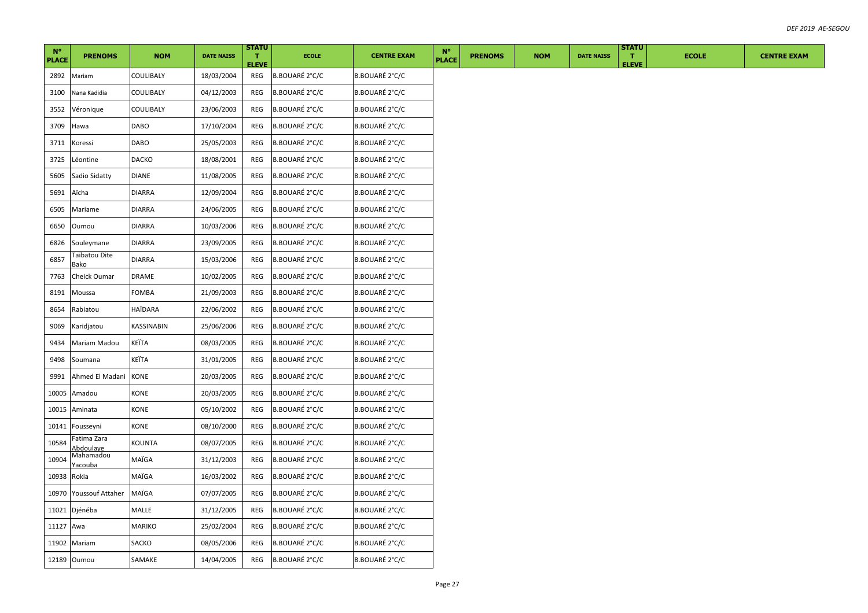| $N^{\circ}$<br><b>PLACE</b> | <b>PRENOMS</b>           | <b>NOM</b>    | <b>DATE NAISS</b> | <b>STATU</b><br>т.<br><b>ELEVE</b> | <b>ECOLE</b>          | <b>CENTRE EXAM</b>    | $N^{\circ}$<br><b>PLACE</b> | <b>PRENOMS</b> | <b>NOM</b> | <b>DATE NAISS</b> | <b>STATU</b><br>$\mathbf{T}$<br><b>ELEVE</b> | <b>ECOLE</b> | <b>CENTRE EXAM</b> |
|-----------------------------|--------------------------|---------------|-------------------|------------------------------------|-----------------------|-----------------------|-----------------------------|----------------|------------|-------------------|----------------------------------------------|--------------|--------------------|
| 2892                        | Mariam                   | COULIBALY     | 18/03/2004        | REG                                | <b>B.BOUARÉ 2°C/C</b> | B.BOUARÉ 2°C/C        |                             |                |            |                   |                                              |              |                    |
| 3100                        | Nana Kadidia             | COULIBALY     | 04/12/2003        | REG                                | <b>B.BOUARÉ 2°C/C</b> | B.BOUARÉ 2°C/C        |                             |                |            |                   |                                              |              |                    |
| 3552                        | Véronique                | COULIBALY     | 23/06/2003        | REG                                | <b>B.BOUARÉ 2°C/C</b> | <b>B.BOUARÉ 2°C/C</b> |                             |                |            |                   |                                              |              |                    |
| 3709                        | Hawa                     | DABO          | 17/10/2004        | REG                                | B.BOUARÉ 2°C/C        | B.BOUARÉ 2°C/C        |                             |                |            |                   |                                              |              |                    |
| 3711                        | Koressi                  | DABO          | 25/05/2003        | REG                                | B.BOUARÉ 2°C/C        | B.BOUARÉ 2°C/C        |                             |                |            |                   |                                              |              |                    |
| 3725                        | Léontine                 | DACKO         | 18/08/2001        | REG                                | <b>B.BOUARÉ 2°C/C</b> | B.BOUARÉ 2°C/C        |                             |                |            |                   |                                              |              |                    |
| 5605                        | Sadio Sidatty            | <b>DIANE</b>  | 11/08/2005        | REG                                | B.BOUARÉ 2°C/C        | B.BOUARÉ 2°C/C        |                             |                |            |                   |                                              |              |                    |
| 5691                        | Aïcha                    | <b>DIARRA</b> | 12/09/2004        | REG                                | B.BOUARÉ 2°C/C        | B.BOUARÉ 2°C/C        |                             |                |            |                   |                                              |              |                    |
| 6505                        | Mariame                  | <b>DIARRA</b> | 24/06/2005        | REG                                | B.BOUARÉ 2°C/C        | B.BOUARÉ 2°C/C        |                             |                |            |                   |                                              |              |                    |
| 6650                        | Oumou                    | DIARRA        | 10/03/2006        | REG                                | B.BOUARÉ 2°C/C        | B.BOUARÉ 2°C/C        |                             |                |            |                   |                                              |              |                    |
| 6826                        | Souleymane               | DIARRA        | 23/09/2005        | REG                                | B.BOUARÉ 2°C/C        | B.BOUARÉ 2°C/C        |                             |                |            |                   |                                              |              |                    |
| 6857                        | Taïbatou Dite<br>3ako    | DIARRA        | 15/03/2006        | REG                                | B.BOUARÉ 2°C/C        | B.BOUARÉ 2°C/C        |                             |                |            |                   |                                              |              |                    |
| 7763                        | Cheick Oumar             | DRAME         | 10/02/2005        | REG                                | B.BOUARÉ 2°C/C        | B.BOUARÉ 2°C/C        |                             |                |            |                   |                                              |              |                    |
| 8191                        | Moussa                   | FOMBA         | 21/09/2003        | REG                                | B.BOUARÉ 2°C/C        | B.BOUARÉ 2°C/C        |                             |                |            |                   |                                              |              |                    |
| 8654                        | Rabiatou                 | HAÏDARA       | 22/06/2002        | REG                                | B.BOUARÉ 2°C/C        | B.BOUARÉ 2°C/C        |                             |                |            |                   |                                              |              |                    |
| 9069                        | Karidjatou               | KASSINABIN    | 25/06/2006        | REG                                | B.BOUARÉ 2°C/C        | B.BOUARÉ 2°C/C        |                             |                |            |                   |                                              |              |                    |
| 9434                        | Mariam Madou             | KEÏTA         | 08/03/2005        | REG                                | B.BOUARÉ 2°C/C        | B.BOUARÉ 2°C/C        |                             |                |            |                   |                                              |              |                    |
| 9498                        | Soumana                  | KEÏTA         | 31/01/2005        | REG                                | B.BOUARÉ 2°C/C        | B.BOUARÉ 2°C/C        |                             |                |            |                   |                                              |              |                    |
| 9991                        | Ahmed El Madani          | <b>KONE</b>   | 20/03/2005        | REG                                | B.BOUARÉ 2°C/C        | B.BOUARÉ 2°C/C        |                             |                |            |                   |                                              |              |                    |
| 10005                       | Amadou                   | KONE          | 20/03/2005        | REG                                | <b>B.BOUARÉ 2°C/C</b> | B.BOUARÉ 2°C/C        |                             |                |            |                   |                                              |              |                    |
| 10015                       | Aminata                  | KONE          | 05/10/2002        | REG                                | B.BOUARÉ 2°C/C        | B.BOUARÉ 2°C/C        |                             |                |            |                   |                                              |              |                    |
| 10141                       | Fousseyni                | KONE          | 08/10/2000        | REG                                | B.BOUARÉ 2°C/C        | B.BOUARÉ 2°C/C        |                             |                |            |                   |                                              |              |                    |
| 10584                       | Fatima Zara<br>Abdoulaye | KOUNTA        | 08/07/2005        | REG                                | B.BOUARÉ 2°C/C        | B.BOUARÉ 2°C/C        |                             |                |            |                   |                                              |              |                    |
| 10904                       | Mahamadou<br>Yacouba     | MAÏGA         | 31/12/2003        | REG                                | B.BOUARÉ 2°C/C        | B.BOUARÉ 2°C/C        |                             |                |            |                   |                                              |              |                    |
| 10938                       | Rokia                    | MAÏGA         | 16/03/2002        | REG                                | B.BOUARÉ 2°C/C        | B.BOUARÉ 2°C/C        |                             |                |            |                   |                                              |              |                    |
| 10970                       | <b>Youssouf Attaher</b>  | MAÏGA         | 07/07/2005        | REG                                | B.BOUARÉ 2°C/C        | B.BOUARÉ 2°C/C        |                             |                |            |                   |                                              |              |                    |
| 11021                       | Djénéba                  | MALLE         | 31/12/2005        | REG                                | B.BOUARÉ 2°C/C        | B.BOUARÉ 2°C/C        |                             |                |            |                   |                                              |              |                    |
| 11127 Awa                   |                          | MARIKO        | 25/02/2004        | REG                                | B.BOUARÉ 2°C/C        | B.BOUARÉ 2°C/C        |                             |                |            |                   |                                              |              |                    |
|                             | 11902 Mariam             | SACKO         | 08/05/2006        | REG                                | B.BOUARÉ 2°C/C        | B.BOUARÉ 2°C/C        |                             |                |            |                   |                                              |              |                    |
|                             | 12189 Oumou              | SAMAKE        | 14/04/2005        | REG                                | B.BOUARÉ 2°C/C        | B.BOUARÉ 2°C/C        |                             |                |            |                   |                                              |              |                    |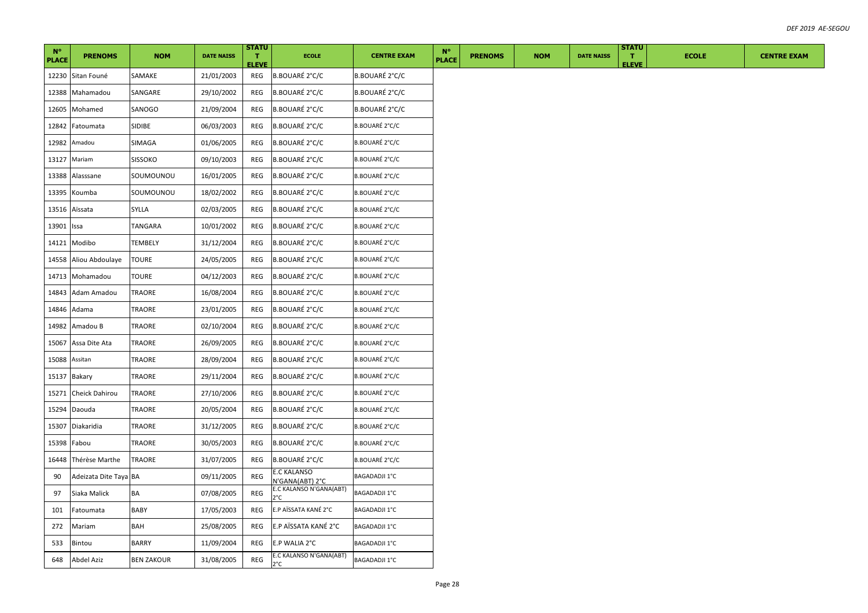| $N^{\circ}$<br><b>PLACE</b> | <b>PRENOMS</b>        | <b>NOM</b>        | <b>DATE NAISS</b> | <b>STATU</b><br>T.<br><b>ELEVE</b> | <b>ECOLE</b>                          | <b>CENTRE EXAM</b>    | $N^{\circ}$<br><b>PLACE</b> | <b>PRENOMS</b> | <b>NOM</b> | <b>DATE NAISS</b> | <b>STATU</b><br>$\mathbf{T}$<br><b>ELEVE</b> | <b>ECOLE</b> | <b>CENTRE EXAM</b> |
|-----------------------------|-----------------------|-------------------|-------------------|------------------------------------|---------------------------------------|-----------------------|-----------------------------|----------------|------------|-------------------|----------------------------------------------|--------------|--------------------|
|                             | 12230 Sitan Founé     | SAMAKE            | 21/01/2003        | REG                                | <b>B.BOUARÉ 2°C/C</b>                 | B.BOUARÉ 2°C/C        |                             |                |            |                   |                                              |              |                    |
| 12388                       | Mahamadou             | SANGARE           | 29/10/2002        | REG                                | B.BOUARÉ 2°C/C                        | B.BOUARÉ 2°C/C        |                             |                |            |                   |                                              |              |                    |
| 12605                       | Mohamed               | SANOGO            | 21/09/2004        | REG                                | B.BOUARÉ 2°C/C                        | B.BOUARÉ 2°C/C        |                             |                |            |                   |                                              |              |                    |
| 12842                       | Fatoumata             | SIDIBE            | 06/03/2003        | REG                                | B.BOUARÉ 2°C/C                        | B.BOUARÉ 2°C/C        |                             |                |            |                   |                                              |              |                    |
| 12982                       | Amadou                | SIMAGA            | 01/06/2005        | REG                                | <b>B.BOUARÉ 2°C/C</b>                 | <b>B.BOUARÉ 2°C/C</b> |                             |                |            |                   |                                              |              |                    |
| 13127                       | Mariam                | <b>SISSOKO</b>    | 09/10/2003        | REG                                | B.BOUARÉ 2°C/C                        | B.BOUARÉ 2°C/C        |                             |                |            |                   |                                              |              |                    |
| 13388                       | Alasssane             | SOUMOUNOU         | 16/01/2005        | REG                                | B.BOUARÉ 2°C/C                        | B.BOUARÉ 2°C/C        |                             |                |            |                   |                                              |              |                    |
| 13395                       | Koumba                | SOUMOUNOU         | 18/02/2002        | REG                                | B.BOUARÉ 2°C/C                        | B.BOUARÉ 2°C/C        |                             |                |            |                   |                                              |              |                    |
| 13516                       | Aïssata               | SYLLA             | 02/03/2005        | REG                                | B.BOUARÉ 2°C/C                        | B.BOUARÉ 2°C/C        |                             |                |            |                   |                                              |              |                    |
| 13901                       | lssa                  | TANGARA           | 10/01/2002        | REG                                | B.BOUARÉ 2°C/C                        | B.BOUARÉ 2°C/C        |                             |                |            |                   |                                              |              |                    |
| 14121                       | Modibo                | TEMBELY           | 31/12/2004        | REG                                | <b>B.BOUARÉ 2°C/C</b>                 | B.BOUARÉ 2°C/C        |                             |                |            |                   |                                              |              |                    |
| 14558                       | Aliou Abdoulaye       | <b>TOURE</b>      | 24/05/2005        | REG                                | <b>B.BOUARÉ 2°C/C</b>                 | B.BOUARÉ 2°C/C        |                             |                |            |                   |                                              |              |                    |
| 14713                       | Mohamadou             | TOURE             | 04/12/2003        | REG                                | B.BOUARÉ 2°C/C                        | B.BOUARÉ 2°C/C        |                             |                |            |                   |                                              |              |                    |
| 14843                       | Adam Amadou           | <b>TRAORE</b>     | 16/08/2004        | REG                                | B.BOUARÉ 2°C/C                        | B.BOUARÉ 2°C/C        |                             |                |            |                   |                                              |              |                    |
| 14846                       | Adama                 | TRAORE            | 23/01/2005        | REG                                | B.BOUARÉ 2°C/C                        | B.BOUARÉ 2°C/C        |                             |                |            |                   |                                              |              |                    |
| 14982                       | Amadou B              | TRAORE            | 02/10/2004        | REG                                | <b>B.BOUARÉ 2°C/C</b>                 | B.BOUARÉ 2°C/C        |                             |                |            |                   |                                              |              |                    |
| 15067                       | Assa Dite Ata         | TRAORE            | 26/09/2005        | REG                                | B.BOUARÉ 2°C/C                        | B.BOUARÉ 2°C/C        |                             |                |            |                   |                                              |              |                    |
| 15088                       | Assitan               | TRAORE            | 28/09/2004        | REG                                | B.BOUARÉ 2°C/C                        | B.BOUARÉ 2°C/C        |                             |                |            |                   |                                              |              |                    |
| 15137                       | Bakary                | TRAORE            | 29/11/2004        | REG                                | <b>B.BOUARÉ 2°C/C</b>                 | <b>B.BOUARÉ 2°C/C</b> |                             |                |            |                   |                                              |              |                    |
| 15271                       | Cheick Dahirou        | TRAORE            | 27/10/2006        | REG                                | B.BOUARÉ 2°C/C                        | B.BOUARÉ 2°C/C        |                             |                |            |                   |                                              |              |                    |
| 15294                       | Daouda                | TRAORE            | 20/05/2004        | REG                                | B.BOUARÉ 2°C/C                        | B.BOUARÉ 2°C/C        |                             |                |            |                   |                                              |              |                    |
| 15307                       | Diakaridia            | <b>TRAORE</b>     | 31/12/2005        | REG                                | B.BOUARÉ 2°C/C                        | B.BOUARÉ 2°C/C        |                             |                |            |                   |                                              |              |                    |
| 15398                       | Fabou                 | TRAORE            | 30/05/2003        | REG                                | <b>B.BOUARÉ 2°C/C</b>                 | B.BOUARÉ 2°C/C        |                             |                |            |                   |                                              |              |                    |
| 16448                       | Thérèse Marthe        | TRAORE            | 31/07/2005        | REG                                | B.BOUARÉ 2°C/C                        | B.BOUARÉ 2°C/C        |                             |                |            |                   |                                              |              |                    |
| 90                          | Adeizata Dite Taya BA |                   | 09/11/2005        | REG                                | <b>E.C KALANSO</b><br>N'GANA(ABT) 2°C | BAGADADJI 1°C         |                             |                |            |                   |                                              |              |                    |
| 97                          | Siaka Malick          | BA                | 07/08/2005        | REG                                | E.C KALANSO N'GANA(ABT)<br>2°C.       | BAGADADJI 1°C         |                             |                |            |                   |                                              |              |                    |
| 101                         | Fatoumata             | BABY              | 17/05/2003        | REG                                | E.P AÏSSATA KANÉ 2°C                  | <b>BAGADADJI 1°C</b>  |                             |                |            |                   |                                              |              |                    |
| 272                         | Mariam                | <b>BAH</b>        | 25/08/2005        | REG                                | E.P AÏSSATA KANÉ 2°C                  | <b>BAGADADJI 1°C</b>  |                             |                |            |                   |                                              |              |                    |
| 533                         | Bintou                | <b>BARRY</b>      | 11/09/2004        | REG                                | E.P WALIA 2°C                         | <b>BAGADADJI 1°C</b>  |                             |                |            |                   |                                              |              |                    |
| 648                         | Abdel Aziz            | <b>BEN ZAKOUR</b> | 31/08/2005        | <b>REG</b>                         | E.C KALANSO N'GANA(ABT)<br>2°C        | <b>BAGADADJI 1°C</b>  |                             |                |            |                   |                                              |              |                    |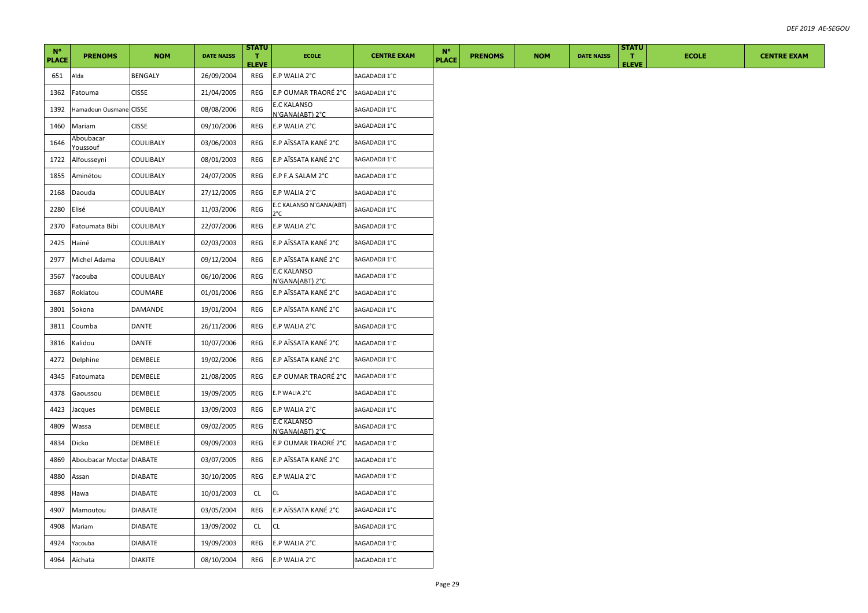| $N^{\circ}$<br><b>PLACE</b> | <b>PRENOMS</b>               | <b>NOM</b>     | <b>DATE NAISS</b> | <b>STATU</b><br>T.<br><b>ELEVE</b> | <b>ECOLE</b>                          | <b>CENTRE EXAM</b>   | $N^{\circ}$<br><b>PLACE</b> | <b>PRENOMS</b> | <b>NOM</b> | <b>DATE NAISS</b> | <b>STATU</b><br>т.<br><b>ELEVE</b> | <b>ECOLE</b> | <b>CENTRE EXAM</b> |
|-----------------------------|------------------------------|----------------|-------------------|------------------------------------|---------------------------------------|----------------------|-----------------------------|----------------|------------|-------------------|------------------------------------|--------------|--------------------|
| 651                         | Aïda                         | <b>BENGALY</b> | 26/09/2004        | REG                                | E.P WALIA 2°C                         | <b>BAGADADJI 1°C</b> |                             |                |            |                   |                                    |              |                    |
| 1362                        | Fatouma                      | <b>CISSE</b>   | 21/04/2005        | REG                                | E.P OUMAR TRAORÉ 2°C                  | <b>BAGADADJI 1°C</b> |                             |                |            |                   |                                    |              |                    |
| 1392                        | Hamadoun Ousmane CISSE       |                | 08/08/2006        | REG                                | E.C KALANSO<br>N'GANA(ABT) 2°C        | BAGADADJI 1°C        |                             |                |            |                   |                                    |              |                    |
| 1460                        | Mariam                       | <b>CISSE</b>   | 09/10/2006        | REG                                | E.P WALIA 2°C                         | <b>BAGADADJI 1°C</b> |                             |                |            |                   |                                    |              |                    |
| 1646                        | Aboubacar<br><u>Youssouf</u> | COULIBALY      | 03/06/2003        | REG                                | E.P AÏSSATA KANÉ 2°C                  | <b>BAGADADJI 1°C</b> |                             |                |            |                   |                                    |              |                    |
| 1722                        | Alfousseyni                  | COULIBALY      | 08/01/2003        | REG                                | E.P AÏSSATA KANÉ 2°C                  | <b>BAGADADJI 1°C</b> |                             |                |            |                   |                                    |              |                    |
| 1855                        | Aminétou                     | COULIBALY      | 24/07/2005        | REG                                | E.P F.A SALAM 2°C                     | <b>BAGADADJI 1°C</b> |                             |                |            |                   |                                    |              |                    |
| 2168                        | Daouda                       | COULIBALY      | 27/12/2005        | REG                                | E.P WALIA 2°C                         | <b>BAGADADJI 1°C</b> |                             |                |            |                   |                                    |              |                    |
| 2280                        | Elisé                        | COULIBALY      | 11/03/2006        | REG                                | E.C KALANSO N'GANA(ABT)<br>2°C        | <b>BAGADADJI 1°C</b> |                             |                |            |                   |                                    |              |                    |
| 2370                        | Fatoumata Bibi               | COULIBALY      | 22/07/2006        | REG                                | E.P WALIA 2°C                         | BAGADADJI 1°C        |                             |                |            |                   |                                    |              |                    |
| 2425                        | Haïné                        | COULIBALY      | 02/03/2003        | REG                                | E.P AÏSSATA KANÉ 2°C                  | <b>BAGADADJI 1°C</b> |                             |                |            |                   |                                    |              |                    |
| 2977                        | Michel Adama                 | COULIBALY      | 09/12/2004        | REG                                | E.P AÏSSATA KANÉ 2°C                  | <b>BAGADADJI 1°C</b> |                             |                |            |                   |                                    |              |                    |
| 3567                        | Yacouba                      | COULIBALY      | 06/10/2006        | REG                                | <b>E.C KALANSO</b><br>N'GANA(ABT) 2°C | BAGADADJI 1°C        |                             |                |            |                   |                                    |              |                    |
| 3687                        | Rokiatou                     | COUMARE        | 01/01/2006        | REG                                | E.P AÏSSATA KANÉ 2°C                  | <b>BAGADADJI 1°C</b> |                             |                |            |                   |                                    |              |                    |
| 3801                        | Sokona                       | DAMANDE        | 19/01/2004        | REG                                | E.P AÏSSATA KANÉ 2°C                  | <b>BAGADADJI 1°C</b> |                             |                |            |                   |                                    |              |                    |
| 3811                        | Coumba                       | DANTE          | 26/11/2006        | REG                                | E.P WALIA 2°C                         | BAGADADJI 1°C        |                             |                |            |                   |                                    |              |                    |
| 3816                        | Kalidou                      | DANTE          | 10/07/2006        | REG                                | E.P AÏSSATA KANÉ 2°C                  | <b>BAGADADJI 1°C</b> |                             |                |            |                   |                                    |              |                    |
| 4272                        | Delphine                     | DEMBELE        | 19/02/2006        | REG                                | E.P AÏSSATA KANÉ 2°C                  | <b>BAGADADJI 1°C</b> |                             |                |            |                   |                                    |              |                    |
| 4345                        | Fatoumata                    | <b>DEMBELE</b> | 21/08/2005        | REG                                | E.P OUMAR TRAORÉ 2°C                  | <b>BAGADADJI 1°C</b> |                             |                |            |                   |                                    |              |                    |
| 4378                        | Gaoussou                     | DEMBELE        | 19/09/2005        | REG                                | E.P WALIA 2°C                         | BAGADADJI 1°C        |                             |                |            |                   |                                    |              |                    |
| 4423                        | Jacques                      | DEMBELE        | 13/09/2003        | REG                                | E.P WALIA 2°C                         | BAGADADJI 1°C        |                             |                |            |                   |                                    |              |                    |
| 4809                        | Wassa                        | DEMBELE        | 09/02/2005        | REG                                | E.C KALANSO<br>N'GANA(ABT) 2°C        | <b>BAGADADJI 1°C</b> |                             |                |            |                   |                                    |              |                    |
| 4834                        | <b>Dicko</b>                 | DEMBELE        | 09/09/2003        | REG                                | E.P OUMAR TRAORÉ 2°C                  | <b>BAGADADJI 1°C</b> |                             |                |            |                   |                                    |              |                    |
| 4869                        | Aboubacar Moctar DIABATE     |                | 03/07/2005        | REG                                | E.P AÏSSATA KANÉ 2°C                  | <b>BAGADADJI 1°C</b> |                             |                |            |                   |                                    |              |                    |
| 4880                        | Assan                        | <b>DIABATE</b> | 30/10/2005        | REG                                | E.P WALIA 2°C                         | BAGADADJI 1°C        |                             |                |            |                   |                                    |              |                    |
| 4898                        | Hawa                         | <b>DIABATE</b> | 10/01/2003        | <b>CL</b>                          | CL                                    | <b>BAGADADJI 1°C</b> |                             |                |            |                   |                                    |              |                    |
| 4907                        | Mamoutou                     | <b>DIABATE</b> | 03/05/2004        | REG                                | E.P AÏSSATA KANÉ 2°C                  | <b>BAGADADJI 1°C</b> |                             |                |            |                   |                                    |              |                    |
| 4908                        | Mariam                       | <b>DIABATE</b> | 13/09/2002        | CL                                 | CL.                                   | <b>BAGADADJI 1°C</b> |                             |                |            |                   |                                    |              |                    |
| 4924                        | Yacouba                      | <b>DIABATE</b> | 19/09/2003        | REG                                | E.P WALIA 2°C                         | BAGADADJI 1°C        |                             |                |            |                   |                                    |              |                    |
| 4964                        | Aïchata                      | <b>DIAKITE</b> | 08/10/2004        | REG                                | E.P WALIA 2°C                         | <b>BAGADADJI 1°C</b> |                             |                |            |                   |                                    |              |                    |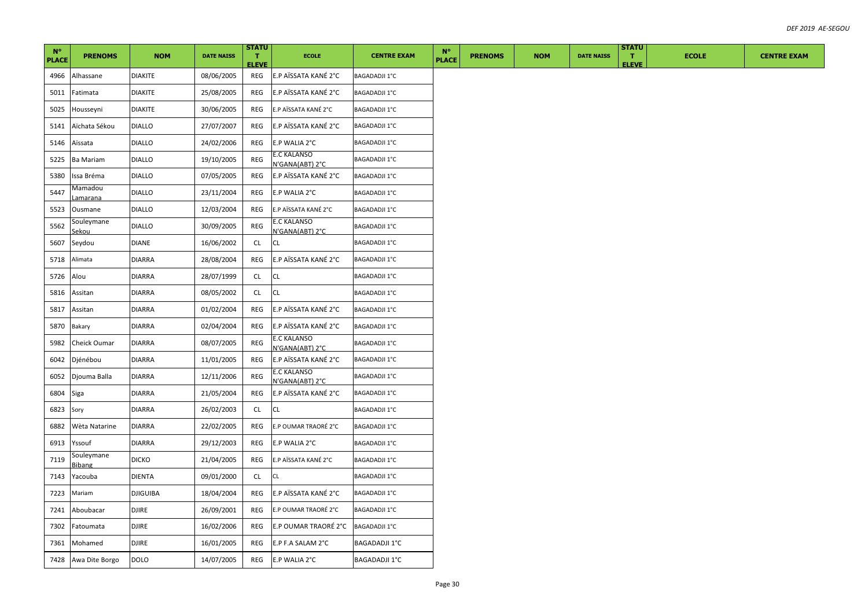| $N^{\circ}$<br><b>PLACE</b> | <b>PRENOMS</b>             | <b>NOM</b>      | <b>DATE NAISS</b> | <b>STATU</b><br>T.<br><b>ELEVE</b> | <b>ECOLE</b>                          | <b>CENTRE EXAM</b>   | $N^{\circ}$<br><b>PLACE</b> | <b>PRENOMS</b> | <b>NOM</b> | <b>DATE NAISS</b> | <b>STATU</b><br>T.<br><b>ELEVE</b> | <b>ECOLE</b> | <b>CENTRE EXAM</b> |
|-----------------------------|----------------------------|-----------------|-------------------|------------------------------------|---------------------------------------|----------------------|-----------------------------|----------------|------------|-------------------|------------------------------------|--------------|--------------------|
| 4966                        | Alhassane                  | <b>DIAKITE</b>  | 08/06/2005        | REG                                | E.P AÏSSATA KANÉ 2°C                  | <b>BAGADADJI 1°C</b> |                             |                |            |                   |                                    |              |                    |
| 5011                        | Fatimata                   | <b>DIAKITE</b>  | 25/08/2005        | REG                                | E.P AÏSSATA KANÉ 2°C                  | <b>BAGADADJI 1°C</b> |                             |                |            |                   |                                    |              |                    |
| 5025                        | Housseyni                  | <b>DIAKITE</b>  | 30/06/2005        | REG                                | E.P AÏSSATA KANÉ 2°C                  | <b>BAGADADJI 1°C</b> |                             |                |            |                   |                                    |              |                    |
| 5141                        | Aïchata Sékou              | <b>DIALLO</b>   | 27/07/2007        | REG                                | E.P AÏSSATA KANÉ 2°C                  | <b>BAGADADJI 1°C</b> |                             |                |            |                   |                                    |              |                    |
| 5146                        | Aïssata                    | <b>DIALLO</b>   | 24/02/2006        | REG                                | E.P WALIA 2°C                         | <b>BAGADADJI 1°C</b> |                             |                |            |                   |                                    |              |                    |
| 5225                        | <b>Ba Mariam</b>           | <b>DIALLO</b>   | 19/10/2005        | REG                                | <b>E.C KALANSO</b><br>N'GANA(ABT) 2°C | BAGADADJI 1°C        |                             |                |            |                   |                                    |              |                    |
| 5380                        | lssa Bréma                 | <b>DIALLO</b>   | 07/05/2005        | REG                                | E.P AÏSSATA KANÉ 2°C                  | <b>BAGADADJI 1°C</b> |                             |                |            |                   |                                    |              |                    |
| 5447                        | Mamadou<br><u>amarana</u>  | <b>DIALLO</b>   | 23/11/2004        | REG                                | E.P WALIA 2°C                         | <b>BAGADADJI 1°C</b> |                             |                |            |                   |                                    |              |                    |
| 5523                        | Ousmane                    | <b>DIALLO</b>   | 12/03/2004        | REG                                | E.P AÏSSATA KANÉ 2°C                  | <b>BAGADADJI 1°C</b> |                             |                |            |                   |                                    |              |                    |
| 5562                        | Souleymane<br><u>sekou</u> | <b>DIALLO</b>   | 30/09/2005        | REG                                | <b>E.C KALANSO</b><br>N'GANA(ABT) 2°C | <b>BAGADADJI 1°C</b> |                             |                |            |                   |                                    |              |                    |
| 5607                        | Seydou                     | DIANE           | 16/06/2002        | CL                                 | CL                                    | <b>BAGADADJI 1°C</b> |                             |                |            |                   |                                    |              |                    |
| 5718                        | Alimata                    | <b>DIARRA</b>   | 28/08/2004        | REG                                | E.P AÏSSATA KANÉ 2°C                  | <b>BAGADADJI 1°C</b> |                             |                |            |                   |                                    |              |                    |
| 5726                        | Alou                       | <b>DIARRA</b>   | 28/07/1999        | CL                                 | <b>CL</b>                             | <b>BAGADADJI 1°C</b> |                             |                |            |                   |                                    |              |                    |
| 5816                        | Assitan                    | <b>DIARRA</b>   | 08/05/2002        | CL                                 | <b>CL</b>                             | <b>BAGADADJI 1°C</b> |                             |                |            |                   |                                    |              |                    |
| 5817                        | Assitan                    | <b>DIARRA</b>   | 01/02/2004        | REG                                | E.P AÏSSATA KANÉ 2°C                  | <b>BAGADADJI 1°C</b> |                             |                |            |                   |                                    |              |                    |
| 5870                        | Bakary                     | <b>DIARRA</b>   | 02/04/2004        | REG                                | E.P AÏSSATA KANÉ 2°C                  | <b>BAGADADJI 1°C</b> |                             |                |            |                   |                                    |              |                    |
| 5982                        | Cheick Oumar               | <b>DIARRA</b>   | 08/07/2005        | REG                                | E.C KALANSO<br>N'GANA(ABT) 2°C        | <b>BAGADADJI 1°C</b> |                             |                |            |                   |                                    |              |                    |
| 6042                        | Djénébou                   | <b>DIARRA</b>   | 11/01/2005        | REG                                | E.P AÏSSATA KANÉ 2°C                  | <b>BAGADADJI 1°C</b> |                             |                |            |                   |                                    |              |                    |
| 6052                        | Djouma Balla               | <b>DIARRA</b>   | 12/11/2006        | REG                                | E.C KALANSO<br>N'GANA(ABT) 2°C        | <b>BAGADADJI 1°C</b> |                             |                |            |                   |                                    |              |                    |
| 6804                        | Siga                       | <b>DIARRA</b>   | 21/05/2004        | REG                                | E.P AÏSSATA KANÉ 2°C                  | <b>BAGADADJI 1°C</b> |                             |                |            |                   |                                    |              |                    |
| 6823                        | Sory                       | <b>DIARRA</b>   | 26/02/2003        | CL                                 | <b>CL</b>                             | <b>BAGADADJI 1°C</b> |                             |                |            |                   |                                    |              |                    |
| 6882                        | Wèta Natarine              | <b>DIARRA</b>   | 22/02/2005        | REG                                | E.P OUMAR TRAORÉ 2°C                  | <b>BAGADADJI 1°C</b> |                             |                |            |                   |                                    |              |                    |
| 6913                        | Yssouf                     | <b>DIARRA</b>   | 29/12/2003        | REG                                | E.P WALIA 2°C                         | <b>BAGADADJI 1°C</b> |                             |                |            |                   |                                    |              |                    |
| 7119                        | Souleymane<br>Bibang       | <b>DICKO</b>    | 21/04/2005        | REG                                | E.P AÏSSATA KANÉ 2°C                  | <b>BAGADADJI 1°C</b> |                             |                |            |                   |                                    |              |                    |
| 7143                        | Yacouba                    | <b>DIENTA</b>   | 09/01/2000        | <b>CL</b>                          | CL                                    | BAGADADJI 1°C        |                             |                |            |                   |                                    |              |                    |
| 7223                        | Mariam                     | <b>DJIGUIBA</b> | 18/04/2004        | REG                                | E.P AÏSSATA KANÉ 2°C                  | <b>BAGADADJI 1°C</b> |                             |                |            |                   |                                    |              |                    |
| 7241                        | Aboubacar                  | <b>DJIRE</b>    | 26/09/2001        | REG                                | E.P OUMAR TRAORÉ 2°C                  | <b>BAGADADJI 1°C</b> |                             |                |            |                   |                                    |              |                    |
| 7302                        | Fatoumata                  | <b>DJIRE</b>    | 16/02/2006        | REG                                | E.P OUMAR TRAORÉ 2°C                  | <b>BAGADADJI 1°C</b> |                             |                |            |                   |                                    |              |                    |
| 7361                        | Mohamed                    | <b>DJIRE</b>    | 16/01/2005        | REG                                | E.P F.A SALAM 2°C                     | BAGADADJI 1°C        |                             |                |            |                   |                                    |              |                    |
| 7428                        | Awa Dite Borgo             | <b>DOLO</b>     | 14/07/2005        | REG                                | E.P WALIA 2°C                         | <b>BAGADADJI 1°C</b> |                             |                |            |                   |                                    |              |                    |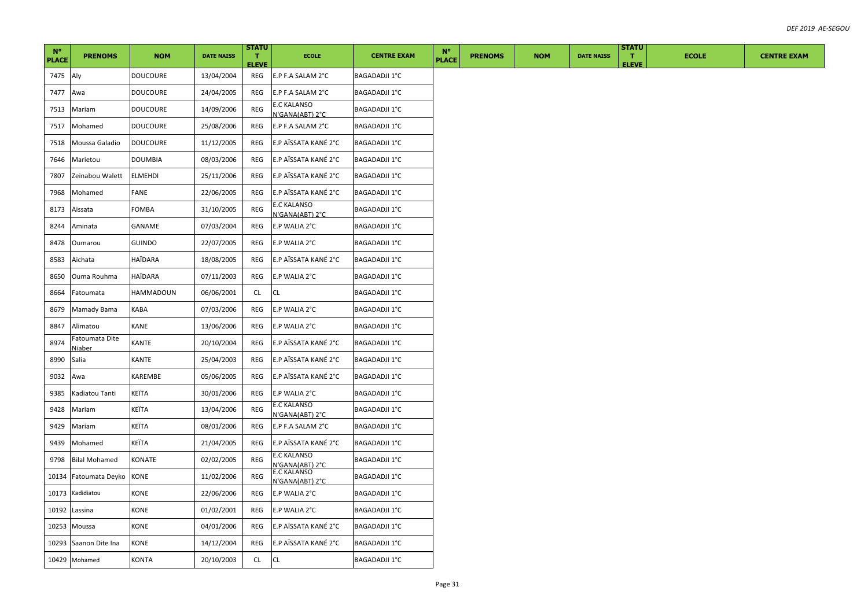| $N^{\circ}$  |                          |                  |                   | <b>STATU</b>                 |                                       |                      | $N^{\circ}$  |                |            |                   | <b>STATU</b>                 |              |                    |
|--------------|--------------------------|------------------|-------------------|------------------------------|---------------------------------------|----------------------|--------------|----------------|------------|-------------------|------------------------------|--------------|--------------------|
| <b>PLACE</b> | <b>PRENOMS</b>           | <b>NOM</b>       | <b>DATE NAISS</b> | $\mathbf{T}$<br><b>ELEVE</b> | <b>ECOLE</b>                          | <b>CENTRE EXAM</b>   | <b>PLACE</b> | <b>PRENOMS</b> | <b>NOM</b> | <b>DATE NAISS</b> | $\mathbf{T}$<br><b>ELEVE</b> | <b>ECOLE</b> | <b>CENTRE EXAM</b> |
| 7475         | Aly                      | <b>DOUCOURE</b>  | 13/04/2004        | REG                          | E.P F.A SALAM 2°C                     | <b>BAGADADJI 1°C</b> |              |                |            |                   |                              |              |                    |
| 7477         | Awa                      | <b>DOUCOURE</b>  | 24/04/2005        | REG                          | E.P F.A SALAM 2°C                     | <b>BAGADADJI 1°C</b> |              |                |            |                   |                              |              |                    |
| 7513         | Mariam                   | <b>DOUCOURE</b>  | 14/09/2006        | REG                          | E.C KALANSO<br>N'GANA(ABT) 2°C        | <b>BAGADADJI 1°C</b> |              |                |            |                   |                              |              |                    |
| 7517         | Mohamed                  | <b>DOUCOURE</b>  | 25/08/2006        | REG                          | E.P F.A SALAM 2°C                     | <b>BAGADADJI 1°C</b> |              |                |            |                   |                              |              |                    |
| 7518         | Moussa Galadio           | <b>DOUCOURE</b>  | 11/12/2005        | REG                          | E.P AÏSSATA KANÉ 2°C                  | <b>BAGADADJI 1°C</b> |              |                |            |                   |                              |              |                    |
| 7646         | Marietou                 | <b>DOUMBIA</b>   | 08/03/2006        | REG                          | E.P AÏSSATA KANÉ 2°C                  | <b>BAGADADJI 1°C</b> |              |                |            |                   |                              |              |                    |
| 7807         | Zeinabou Walett          | <b>ELMEHDI</b>   | 25/11/2006        | REG                          | E.P AÏSSATA KANÉ 2°C                  | <b>BAGADADJI 1°C</b> |              |                |            |                   |                              |              |                    |
| 7968         | Mohamed                  | FANE             | 22/06/2005        | REG                          | E.P AÏSSATA KANÉ 2°C                  | <b>BAGADADJI 1°C</b> |              |                |            |                   |                              |              |                    |
| 8173         | Aissata                  | FOMBA            | 31/10/2005        | REG                          | E.C KALANSO<br>N'GANA(ABT) 2°C        | <b>BAGADADJI 1°C</b> |              |                |            |                   |                              |              |                    |
| 8244         | Aminata                  | GANAME           | 07/03/2004        | REG                          | E.P WALIA 2°C                         | <b>BAGADADJI 1°C</b> |              |                |            |                   |                              |              |                    |
| 8478         | Oumarou                  | <b>GUINDO</b>    | 22/07/2005        | REG                          | E.P WALIA 2°C                         | <b>BAGADADJI 1°C</b> |              |                |            |                   |                              |              |                    |
| 8583         | Aichata                  | HAÏDARA          | 18/08/2005        | REG                          | E.P AÏSSATA KANÉ 2°C                  | <b>BAGADADJI 1°C</b> |              |                |            |                   |                              |              |                    |
| 8650         | Ouma Rouhma              | HAÏDARA          | 07/11/2003        | REG                          | E.P WALIA 2°C                         | <b>BAGADADJI 1°C</b> |              |                |            |                   |                              |              |                    |
| 8664         | Fatoumata                | <b>HAMMADOUN</b> | 06/06/2001        | <b>CL</b>                    | CL                                    | <b>BAGADADJI 1°C</b> |              |                |            |                   |                              |              |                    |
| 8679         | Mamady Bama              | KABA             | 07/03/2006        | REG                          | E.P WALIA 2°C                         | BAGADADJI 1°C        |              |                |            |                   |                              |              |                    |
| 8847         | Alimatou                 | KANE             | 13/06/2006        | REG                          | E.P WALIA 2°C                         | <b>BAGADADJI 1°C</b> |              |                |            |                   |                              |              |                    |
| 8974         | Fatoumata Dite<br>Niaber | KANTE            | 20/10/2004        | REG                          | E.P AÏSSATA KANÉ 2°C                  | <b>BAGADADJI 1°C</b> |              |                |            |                   |                              |              |                    |
| 8990         | Salia                    | KANTE            | 25/04/2003        | REG                          | E.P AÏSSATA KANÉ 2°C                  | <b>BAGADADJI 1°C</b> |              |                |            |                   |                              |              |                    |
| 9032         | Awa                      | KAREMBE          | 05/06/2005        | REG                          | E.P AÏSSATA KANÉ 2°C                  | <b>BAGADADJI 1°C</b> |              |                |            |                   |                              |              |                    |
| 9385         | Kadiatou Tanti           | KEÏTA            | 30/01/2006        | REG                          | E.P WALIA 2°C                         | <b>BAGADADJI 1°C</b> |              |                |            |                   |                              |              |                    |
| 9428         | Mariam                   | KEÏTA            | 13/04/2006        | REG                          | E.C KALANSO<br>N'GANA(ABT) 2°C        | <b>BAGADADJI 1°C</b> |              |                |            |                   |                              |              |                    |
| 9429         | Mariam                   | KEÏTA            | 08/01/2006        | REG                          | E.P F.A SALAM 2°C                     | BAGADADJI 1°C        |              |                |            |                   |                              |              |                    |
| 9439         | Mohamed                  | KEÏTA            | 21/04/2005        | REG                          | E.P AÏSSATA KANÉ 2°C                  | <b>BAGADADJI 1°C</b> |              |                |            |                   |                              |              |                    |
| 9798         | <b>Bilal Mohamed</b>     | KONATE           | 02/02/2005        | REG                          | <b>E.C KALANSO</b><br>V'GANA(ABT) 2°C | BAGADADJI 1°C        |              |                |            |                   |                              |              |                    |
| 10134        | Fatoumata Deyko          | KONE             | 11/02/2006        | REG                          | <b>E.C KALANSO</b><br>N'GANA(ABT) 2°C | <b>BAGADADJI 1°C</b> |              |                |            |                   |                              |              |                    |
| 10173        | Kadidiatou               | KONE             | 22/06/2006        | REG                          | E.P WALIA 2°C                         | BAGADADJI 1°C        |              |                |            |                   |                              |              |                    |
| 10192        | Lassina                  | KONE             | 01/02/2001        | REG                          | E.P WALIA 2°C                         | <b>BAGADADJI 1°C</b> |              |                |            |                   |                              |              |                    |
| 10253        | Moussa                   | KONE             | 04/01/2006        | REG                          | E.P AÏSSATA KANÉ 2°C                  | <b>BAGADADJI 1°C</b> |              |                |            |                   |                              |              |                    |
| 10293        | Saanon Dite Ina          | KONE             | 14/12/2004        | REG                          | E.P AÏSSATA KANÉ 2°C                  | <b>BAGADADJI 1°C</b> |              |                |            |                   |                              |              |                    |
|              | 10429 Mohamed            | <b>KONTA</b>     | 20/10/2003        | CL                           | CL                                    | <b>BAGADADJI 1°C</b> |              |                |            |                   |                              |              |                    |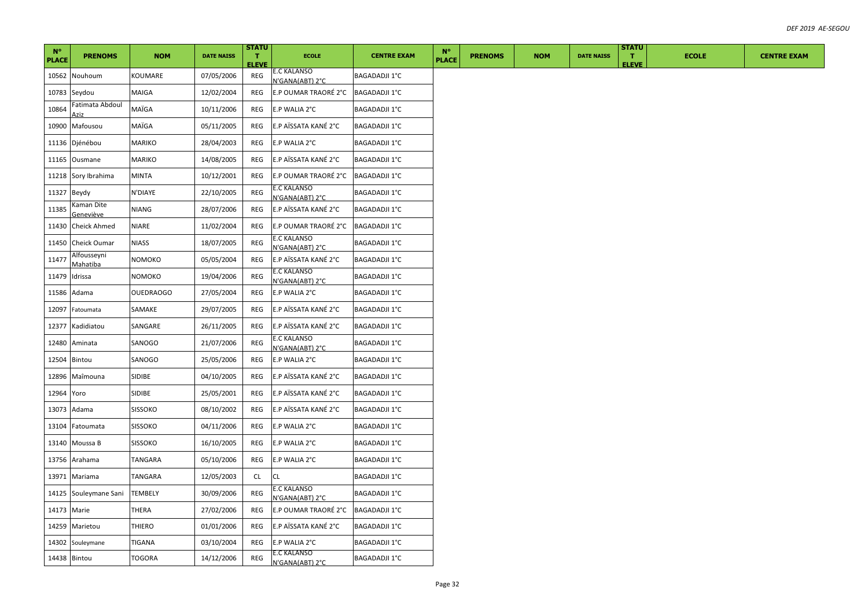| $N^{\circ}$  |                         |                  |                   | <b>STATU</b>                 |                                       |                      |                             |                |            |                   | <b>STATU</b>       |              |                    |
|--------------|-------------------------|------------------|-------------------|------------------------------|---------------------------------------|----------------------|-----------------------------|----------------|------------|-------------------|--------------------|--------------|--------------------|
| <b>PLACE</b> | <b>PRENOMS</b>          | <b>NOM</b>       | <b>DATE NAISS</b> | $\mathbf{T}$<br><b>ELEVE</b> | <b>ECOLE</b>                          | <b>CENTRE EXAM</b>   | $N^{\circ}$<br><b>PLACE</b> | <b>PRENOMS</b> | <b>NOM</b> | <b>DATE NAISS</b> | T.<br><b>ELEVE</b> | <b>ECOLE</b> | <b>CENTRE EXAM</b> |
| 10562        | Nouhoum                 | KOUMARE          | 07/05/2006        | REG                          | E.C KALANSO<br>V'GANA(ABT) 2°C        | <b>BAGADADJI 1°C</b> |                             |                |            |                   |                    |              |                    |
| 10783        | Seydou                  | MAIGA            | 12/02/2004        | REG                          | E.P OUMAR TRAORÉ 2°C BAGADADJI 1°C    |                      |                             |                |            |                   |                    |              |                    |
| 10864        | Fatimata Abdoul<br>Aziz | MAÏGA            | 10/11/2006        | REG                          | E.P WALIA 2°C                         | <b>BAGADADJI 1°C</b> |                             |                |            |                   |                    |              |                    |
| 10900        | Mafousou                | MAÏGA            | 05/11/2005        | REG                          | E.P AÏSSATA KANÉ 2°C                  | <b>BAGADADJI 1°C</b> |                             |                |            |                   |                    |              |                    |
| 11136        | Djénébou                | MARIKO           | 28/04/2003        | REG                          | E.P WALIA 2°C                         | <b>BAGADADJI 1°C</b> |                             |                |            |                   |                    |              |                    |
|              | 11165 Ousmane           | <b>MARIKO</b>    | 14/08/2005        | REG                          | E.P AÏSSATA KANÉ 2°C                  | <b>BAGADADJI 1°C</b> |                             |                |            |                   |                    |              |                    |
| 11218        | Sory Ibrahima           | <b>MINTA</b>     | 10/12/2001        | REG                          | E.P OUMAR TRAORÉ 2°C                  | <b>BAGADADJI 1°C</b> |                             |                |            |                   |                    |              |                    |
| 11327        | Beydy                   | N'DIAYE          | 22/10/2005        | <b>REG</b>                   | E.C KALANSO<br>N'GANA(ABT) 2°C        | <b>BAGADADJI 1°C</b> |                             |                |            |                   |                    |              |                    |
| 11385        | Kaman Dite<br>Geneviève | NIANG            | 28/07/2006        | REG                          | E.P AÏSSATA KANÉ 2°C                  | <b>BAGADADJI 1°C</b> |                             |                |            |                   |                    |              |                    |
| 11430        | Cheick Ahmed            | <b>NIARE</b>     | 11/02/2004        | REG                          | E.P OUMAR TRAORÉ 2°C                  | <b>BAGADADJI 1°C</b> |                             |                |            |                   |                    |              |                    |
| 11450        | <b>Cheick Oumar</b>     | NIASS            | 18/07/2005        | REG                          | <b>E.C KALANSO</b><br>N'GANA(ABT) 2°C | BAGADADJI 1°C        |                             |                |            |                   |                    |              |                    |
| 11477        | Alfousseyni<br>Mahatiba | NOMOKO           | 05/05/2004        | REG                          | E.P AÏSSATA KANÉ 2°C                  | <b>BAGADADJI 1°C</b> |                             |                |            |                   |                    |              |                    |
| 11479        | Idrissa                 | NOMOKO           | 19/04/2006        | REG                          | <b>E.C KALANSO</b><br>N'GANA(ABT) 2°C | BAGADADJI 1°C        |                             |                |            |                   |                    |              |                    |
| 11586        | Adama                   | <b>OUEDRAOGO</b> | 27/05/2004        | REG                          | E.P WALIA 2°C                         | <b>BAGADADJI 1°C</b> |                             |                |            |                   |                    |              |                    |
| 12097        | Fatoumata               | SAMAKE           | 29/07/2005        | REG                          | E.P AÏSSATA KANÉ 2°C                  | <b>BAGADADJI 1°C</b> |                             |                |            |                   |                    |              |                    |
| 12377        | Kadidiatou              | SANGARE          | 26/11/2005        | REG                          | E.P AÏSSATA KANÉ 2°C                  | BAGADADJI 1°C        |                             |                |            |                   |                    |              |                    |
| 12480        | Aminata                 | SANOGO           | 21/07/2006        | REG                          | E.C KALANSO<br>N'GANA(ABT) 2°C        | <b>BAGADADJI 1°C</b> |                             |                |            |                   |                    |              |                    |
| 12504        | Bintou                  | SANOGO           | 25/05/2006        | REG                          | E.P WALIA 2°C                         | BAGADADJI 1°C        |                             |                |            |                   |                    |              |                    |
| 12896        | Maîmouna                | <b>SIDIBE</b>    | 04/10/2005        | REG                          | E.P AÏSSATA KANÉ 2°C                  | <b>BAGADADJI 1°C</b> |                             |                |            |                   |                    |              |                    |
| 12964        | Yoro                    | SIDIBE           | 25/05/2001        | REG                          | E.P AÏSSATA KANÉ 2°C                  | <b>BAGADADJI 1°C</b> |                             |                |            |                   |                    |              |                    |
| 13073        | Adama                   | <b>SISSOKO</b>   | 08/10/2002        | REG                          | E.P AÏSSATA KANÉ 2°C                  | <b>BAGADADJI 1°C</b> |                             |                |            |                   |                    |              |                    |
| 13104        | Fatoumata               | <b>SISSOKO</b>   | 04/11/2006        | REG                          | E.P WALIA 2°C                         | <b>BAGADADJI 1°C</b> |                             |                |            |                   |                    |              |                    |
| 13140        | Moussa B                | <b>SISSOKO</b>   | 16/10/2005        | <b>REG</b>                   | E.P WALIA 2°C                         | <b>BAGADADJI 1°C</b> |                             |                |            |                   |                    |              |                    |
|              | 13756 Arahama           | TANGARA          | 05/10/2006        | REG                          | E.P WALIA 2°C                         | <b>BAGADADJI 1°C</b> |                             |                |            |                   |                    |              |                    |
| 13971        | Mariama                 | TANGARA          | 12/05/2003        | CL                           | CL                                    | <b>BAGADADJI 1°C</b> |                             |                |            |                   |                    |              |                    |
| 14125        | Souleymane Sani         | <b>TEMBELY</b>   | 30/09/2006        | REG                          | E.C KALANSO<br>N'GANA(ABT) 2°C        | <b>BAGADADJI 1°C</b> |                             |                |            |                   |                    |              |                    |
| 14173        | Marie                   | THERA            | 27/02/2006        | REG                          | E.P OUMAR TRAORÉ 2°C                  | <b>BAGADADJI 1°C</b> |                             |                |            |                   |                    |              |                    |
|              | 14259 Marietou          | THIERO           | 01/01/2006        | REG                          | E.P AÏSSATA KANÉ 2°C                  | <b>BAGADADJI 1°C</b> |                             |                |            |                   |                    |              |                    |
| 14302        | Souleymane              | <b>TIGANA</b>    | 03/10/2004        | REG                          | E.P WALIA 2°C                         | <b>BAGADADJI 1°C</b> |                             |                |            |                   |                    |              |                    |
| 14438 Bintou |                         | <b>TOGORA</b>    | 14/12/2006        | REG                          | E.C KALANSO<br>N'GANA(ABT) 2°C        | <b>BAGADADJI 1°C</b> |                             |                |            |                   |                    |              |                    |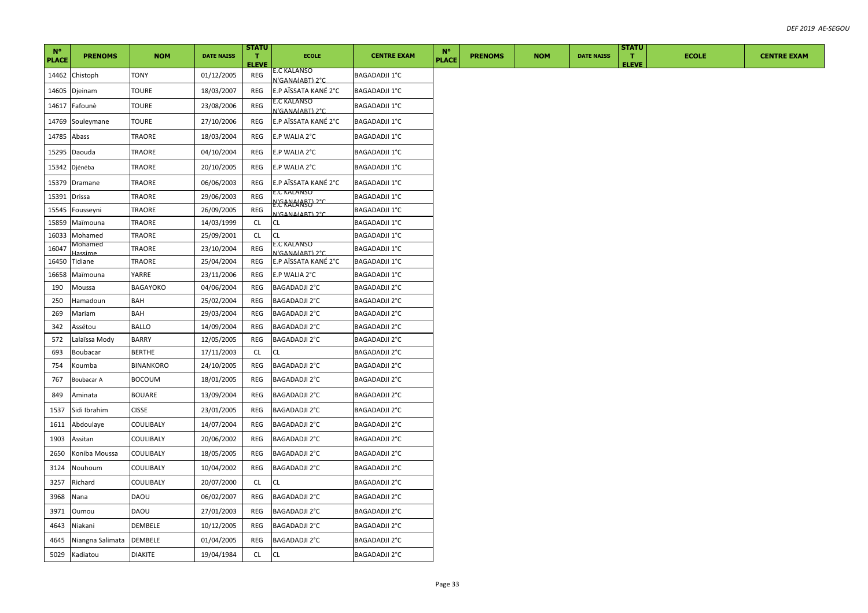| $N^{\circ}$  |                           |                  |                   | <b>STATU</b>       |                                         |                      | $N^{\circ}$  |                |            |                   | <b>STATU</b>       |              |                    |
|--------------|---------------------------|------------------|-------------------|--------------------|-----------------------------------------|----------------------|--------------|----------------|------------|-------------------|--------------------|--------------|--------------------|
| <b>PLACE</b> | <b>PRENOMS</b>            | <b>NOM</b>       | <b>DATE NAISS</b> | п.<br><b>ELEVE</b> | <b>ECOLE</b>                            | <b>CENTRE EXAM</b>   | <b>PLACE</b> | <b>PRENOMS</b> | <b>NOM</b> | <b>DATE NAISS</b> | п.<br><b>ELEVE</b> | <b>ECOLE</b> | <b>CENTRE EXAM</b> |
| 14462        | Chistoph                  | TONY             | 01/12/2005        | REG                | E.C KALANSO<br>N'GANA(ABT) 2°C          | <b>BAGADADJI 1°C</b> |              |                |            |                   |                    |              |                    |
| 14605        | Djeinam                   | TOURE            | 18/03/2007        | REG                | E.P AÏSSATA KANÉ 2°C                    | <b>BAGADADJI 1°C</b> |              |                |            |                   |                    |              |                    |
| 14617        | Fafounè                   | TOURE            | 23/08/2006        | REG                | E.C KALANSO<br>N'GANA(ABT) 2°C          | <b>BAGADADJI 1°C</b> |              |                |            |                   |                    |              |                    |
| 14769        | Souleymane                | <b>TOURE</b>     | 27/10/2006        | REG                | E.P AÏSSATA KANÉ 2°C                    | <b>BAGADADJI 1°C</b> |              |                |            |                   |                    |              |                    |
| 14785        | Abass                     | TRAORE           | 18/03/2004        | REG                | E.P WALIA 2°C                           | BAGADADJI 1°C        |              |                |            |                   |                    |              |                    |
| 15295        | Daouda                    | TRAORE           | 04/10/2004        | REG                | E.P WALIA 2°C                           | <b>BAGADADJI 1°C</b> |              |                |            |                   |                    |              |                    |
| 15342        | Djénéba                   | TRAORE           | 20/10/2005        | REG                | E.P WALIA 2°C                           | <b>BAGADADJI 1°C</b> |              |                |            |                   |                    |              |                    |
| 15379        | Dramane                   | TRAORE           | 06/06/2003        | REG                | E.P AÏSSATA KANÉ 2°C                    | <b>BAGADADJI 1°C</b> |              |                |            |                   |                    |              |                    |
| 15391        | <b>Drissa</b>             | TRAORE           | 29/06/2003        | REG                | E.C KALANSO                             | <b>BAGADADJI 1°C</b> |              |                |            |                   |                    |              |                    |
| 15545        | Fousseyni                 | TRAORE           | 26/09/2005        | REG                | <b>E: CRALLART)</b> 2°C                 | BAGADADJI 1°C        |              |                |            |                   |                    |              |                    |
| 15859        | Maïmouna                  | TRAORE           | 14/03/1999        | CL                 | N'GANA(ART) 2°C<br>CL.                  | BAGADADJI 1°C        |              |                |            |                   |                    |              |                    |
| 16033        | Mohamed                   | TRAORE           | 25/09/2001        | <b>CL</b>          | <b>CL</b>                               | BAGADADJI 1°C        |              |                |            |                   |                    |              |                    |
| 16047        | vonamed                   | TRAORE           | 23/10/2004        | REG                | E.C KALANSO                             | BAGADADJI 1°C        |              |                |            |                   |                    |              |                    |
| 16450        | Tidiane                   | TRAORE           | 25/04/2004        | REG                | N'GANA(ART) 2°C<br>E.P AÏSSATA KANÉ 2°C | <b>BAGADADJI 1°C</b> |              |                |            |                   |                    |              |                    |
|              |                           | YARRE            | 23/11/2006        | REG                | E.P WALIA 2°C                           | <b>BAGADADJI 1°C</b> |              |                |            |                   |                    |              |                    |
| 16658<br>190 | Maïmouna<br>Moussa        | BAGAYOKO         | 04/06/2004        | REG                | BAGADADJI 2°C                           | BAGADADJI 2°C        |              |                |            |                   |                    |              |                    |
| 250          | Hamadoun                  | BAH              | 25/02/2004        | REG                | <b>BAGADADJI 2°C</b>                    | <b>BAGADADJI 2°C</b> |              |                |            |                   |                    |              |                    |
| 269          | Mariam                    | BAH              | 29/03/2004        | REG                | BAGADADJI 2°C                           | BAGADADJI 2°C        |              |                |            |                   |                    |              |                    |
| 342          | Assétou                   | BALLO            | 14/09/2004        | REG                | <b>BAGADADJI 2°C</b>                    | <b>BAGADADJI 2°C</b> |              |                |            |                   |                    |              |                    |
| 572          |                           | BARRY            | 12/05/2005        | REG                | BAGADADJI 2°C                           | BAGADADJI 2°C        |              |                |            |                   |                    |              |                    |
| 693          | Lalaïssa Mody<br>Boubacar | <b>BERTHE</b>    | 17/11/2003        | <b>CL</b>          | <b>CL</b>                               | BAGADADJI 2°C        |              |                |            |                   |                    |              |                    |
| 754          | Koumba                    | <b>BINANKORO</b> | 24/10/2005        | REG                | BAGADADJI 2°C                           | BAGADADJI 2°C        |              |                |            |                   |                    |              |                    |
| 767          | Boubacar A                | <b>BOCOUM</b>    | 18/01/2005        | REG                | BAGADADJI 2°C                           | BAGADADJI 2°C        |              |                |            |                   |                    |              |                    |
| 849          | Aminata                   | <b>BOUARE</b>    | 13/09/2004        | REG                | BAGADADJI 2°C                           | BAGADADJI 2°C        |              |                |            |                   |                    |              |                    |
| 1537         | Sidi Ibrahim              | <b>CISSE</b>     | 23/01/2005        | REG                | BAGADADJI 2°C                           | BAGADADJI 2°C        |              |                |            |                   |                    |              |                    |
| 1611         | Abdoulaye                 | COULIBALY        | 14/07/2004        | REG                | BAGADADJI 2°C                           | BAGADADJI 2°C        |              |                |            |                   |                    |              |                    |
| 1903         | Assitan                   | COULIBALY        | 20/06/2002        | REG                | BAGADADJI 2°C                           | BAGADADJI 2°C        |              |                |            |                   |                    |              |                    |
| 2650         | Koniba Moussa             | COULIBALY        | 18/05/2005        | REG                | BAGADADJI 2°C                           | BAGADADJI 2°C        |              |                |            |                   |                    |              |                    |
| 3124         | Nouhoum                   | COULIBALY        | 10/04/2002        | REG                | BAGADADJI 2°C                           | BAGADADJI 2°C        |              |                |            |                   |                    |              |                    |
| 3257         | Richard                   | COULIBALY        | 20/07/2000        | CL                 | CL.                                     | <b>BAGADADJI 2°C</b> |              |                |            |                   |                    |              |                    |
| 3968         | Nana                      | DAOU             | 06/02/2007        | REG                | BAGADADJI 2°C                           | BAGADADJI 2°C        |              |                |            |                   |                    |              |                    |
| 3971         | Oumou                     | DAOU             | 27/01/2003        | REG                | BAGADADJI 2°C                           | BAGADADJI 2°C        |              |                |            |                   |                    |              |                    |
| 4643         | Niakani                   | DEMBELE          | 10/12/2005        | REG                | BAGADADJI 2°C                           | BAGADADJI 2°C        |              |                |            |                   |                    |              |                    |
| 4645         | Niangna Salimata          | DEMBELE          | 01/04/2005        | REG                | BAGADADJI 2°C                           | BAGADADJI 2°C        |              |                |            |                   |                    |              |                    |
| 5029         | Kadiatou                  | <b>DIAKITE</b>   | 19/04/1984        | <b>CL</b>          | CL                                      | BAGADADJI 2°C        |              |                |            |                   |                    |              |                    |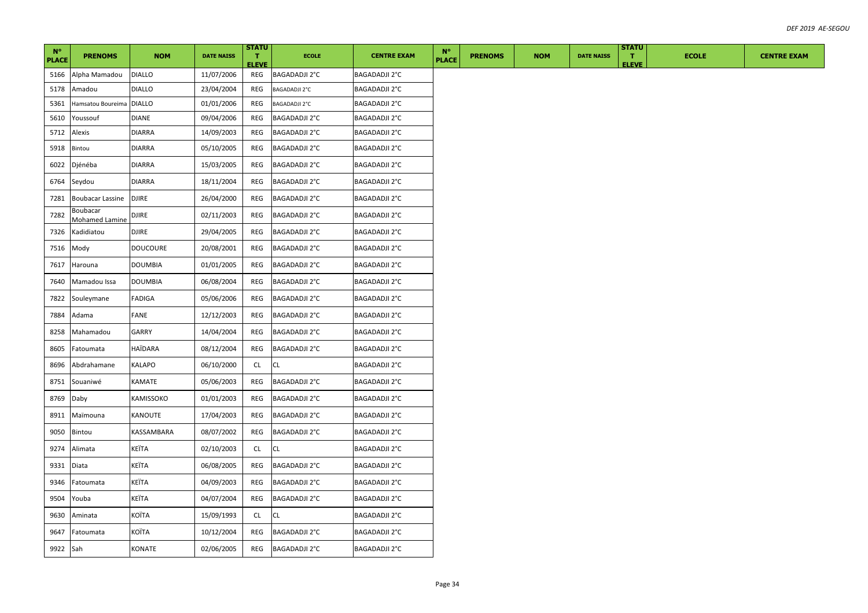|                             |                            |                 |                   | <b>STATU</b>       |                      |                      | $N^{\circ}$  |                |            |                   | <b>STATU</b>       |              |
|-----------------------------|----------------------------|-----------------|-------------------|--------------------|----------------------|----------------------|--------------|----------------|------------|-------------------|--------------------|--------------|
| $N^{\circ}$<br><b>PLACE</b> | <b>PRENOMS</b>             | <b>NOM</b>      | <b>DATE NAISS</b> | л.<br><b>ELEVE</b> | <b>ECOLE</b>         | <b>CENTRE EXAM</b>   | <b>PLACE</b> | <b>PRENOMS</b> | <b>NOM</b> | <b>DATE NAISS</b> | л.<br><b>ELEVE</b> | <b>ECOLE</b> |
| 5166                        | Alpha Mamadou              | <b>DIALLO</b>   | 11/07/2006        | REG                | <b>BAGADADJI 2°C</b> | <b>BAGADADJI 2°C</b> |              |                |            |                   |                    |              |
| 5178                        | Amadou                     | <b>DIALLO</b>   | 23/04/2004        | REG                | BAGADADJI 2°C        | BAGADADJI 2°C        |              |                |            |                   |                    |              |
| 5361                        | Hamsatou Boureima DIALLO   |                 | 01/01/2006        | REG                | BAGADADJI 2°C        | BAGADADJI 2°C        |              |                |            |                   |                    |              |
| 5610                        | Youssouf                   | DIANE           | 09/04/2006        | REG                | BAGADADJI 2°C        | BAGADADJI 2°C        |              |                |            |                   |                    |              |
| 5712                        | Alexis                     | <b>DIARRA</b>   | 14/09/2003        | REG                | BAGADADJI 2°C        | <b>BAGADADJI 2°C</b> |              |                |            |                   |                    |              |
| 5918                        | Bintou                     | <b>DIARRA</b>   | 05/10/2005        | REG                | BAGADADJI 2°C        | <b>BAGADADJI 2°C</b> |              |                |            |                   |                    |              |
| 6022                        | Djénéba                    | <b>DIARRA</b>   | 15/03/2005        | REG                | BAGADADJI 2°C        | <b>BAGADADJI 2°C</b> |              |                |            |                   |                    |              |
| 6764                        | Seydou                     | DIARRA          | 18/11/2004        | REG                | BAGADADJI 2°C        | BAGADADJI 2°C        |              |                |            |                   |                    |              |
| 7281                        | Boubacar Lassine           | <b>DJIRE</b>    | 26/04/2000        | REG                | BAGADADJI 2°C        | BAGADADJI 2°C        |              |                |            |                   |                    |              |
| 7282                        | Boubacar<br>Mohamed Lamine | <b>DJIRE</b>    | 02/11/2003        | REG                | BAGADADJI 2°C        | BAGADADJI 2°C        |              |                |            |                   |                    |              |
| 7326                        | Kadidiatou                 | <b>DJIRE</b>    | 29/04/2005        | REG                | BAGADADJI 2°C        | BAGADADJI 2°C        |              |                |            |                   |                    |              |
| 7516                        | Mody                       | <b>DOUCOURE</b> | 20/08/2001        | REG                | BAGADADJI 2°C        | BAGADADJI 2°C        |              |                |            |                   |                    |              |
| 7617                        | Harouna                    | <b>DOUMBIA</b>  | 01/01/2005        | REG                | BAGADADJI 2°C        | BAGADADJI 2°C        |              |                |            |                   |                    |              |
| 7640                        | Mamadou Issa               | <b>DOUMBIA</b>  | 06/08/2004        | REG                | BAGADADJI 2°C        | BAGADADJI 2°C        |              |                |            |                   |                    |              |
| 7822                        | Souleymane                 | FADIGA          | 05/06/2006        | REG                | BAGADADJI 2°C        | BAGADADJI 2°C        |              |                |            |                   |                    |              |
| 7884                        | Adama                      | FANE            | 12/12/2003        | REG                | BAGADADJI 2°C        | <b>BAGADADJI 2°C</b> |              |                |            |                   |                    |              |
| 8258                        | Mahamadou                  | GARRY           | 14/04/2004        | REG                | BAGADADJI 2°C        | BAGADADJI 2°C        |              |                |            |                   |                    |              |
| 8605                        | Fatoumata                  | HAÏDARA         | 08/12/2004        | REG                | BAGADADJI 2°C        | BAGADADJI 2°C        |              |                |            |                   |                    |              |
| 8696                        | Abdrahamane                | KALAPO          | 06/10/2000        | CL.                | CL                   | BAGADADJI 2°C        |              |                |            |                   |                    |              |
| 8751                        | Souaniwé                   | KAMATE          | 05/06/2003        | REG                | BAGADADJI 2°C        | <b>BAGADADJI 2°C</b> |              |                |            |                   |                    |              |
| 8769                        | Daby                       | KAMISSOKO       | 01/01/2003        | REG                | BAGADADJI 2°C        | BAGADADJI 2°C        |              |                |            |                   |                    |              |
| 8911                        | Maïmouna                   | KANOUTE         | 17/04/2003        | REG                | BAGADADJI 2°C        | <b>BAGADADJI 2°C</b> |              |                |            |                   |                    |              |
| 9050                        | Bintou                     | KASSAMBARA      | 08/07/2002        | REG                | BAGADADJI 2°C        | <b>BAGADADJI 2°C</b> |              |                |            |                   |                    |              |
| 9274                        | Alimata                    | KEÏTA           | 02/10/2003        | <b>CL</b>          | CL                   | BAGADADJI 2°C        |              |                |            |                   |                    |              |
| 9331                        | Diata                      | KEÏTA           | 06/08/2005        | REG                | BAGADADJI 2°C        | BAGADADJI 2°C        |              |                |            |                   |                    |              |
| 9346                        | Fatoumata                  | KEÏTA           | 04/09/2003        | REG                | BAGADADJI 2°C        | <b>BAGADADJI 2°C</b> |              |                |            |                   |                    |              |
| 9504                        | Youba                      | KEÏTA           | 04/07/2004        | REG                | BAGADADJI 2°C        | BAGADADJI 2°C        |              |                |            |                   |                    |              |
| 9630                        | Aminata                    | KOÏTA           | 15/09/1993        | CL.                | СL                   | BAGADADJI 2°C        |              |                |            |                   |                    |              |
|                             |                            |                 |                   |                    |                      |                      |              |                |            |                   |                    |              |
| 9647                        | Fatoumata                  | KOÏTA           | 10/12/2004        | REG                | BAGADADJI 2°C        | BAGADADJI 2°C        |              |                |            |                   |                    |              |
| 9922 Sah                    |                            | KONATE          | 02/06/2005        | REG                | <b>BAGADADJI 2°C</b> | <b>BAGADADJI 2°C</b> |              |                |            |                   |                    |              |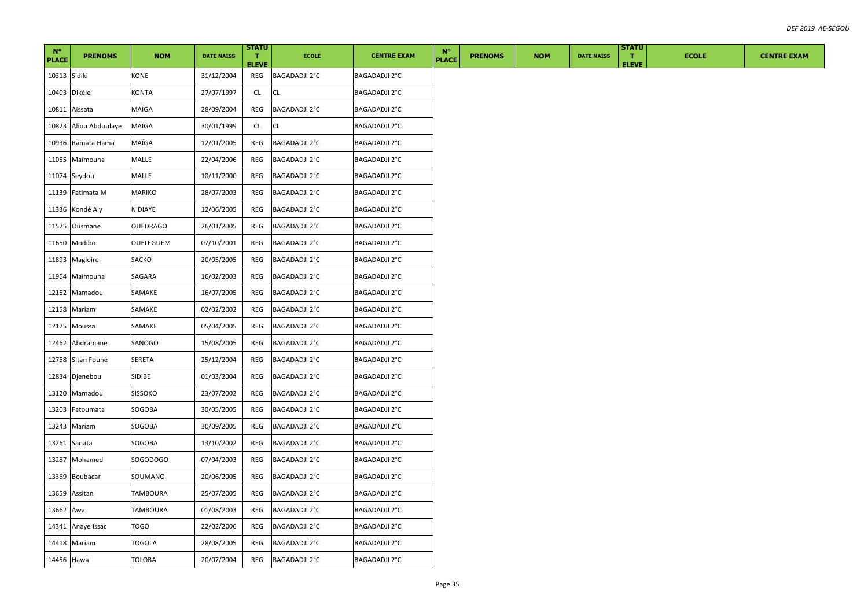| $N^{\circ}$  |                 |                 |                   | <b>STATU</b>       |                      |                      | $N^{\circ}$ |              |                |            |                   | <b>STATU</b>       |              |
|--------------|-----------------|-----------------|-------------------|--------------------|----------------------|----------------------|-------------|--------------|----------------|------------|-------------------|--------------------|--------------|
| <b>PLACE</b> | <b>PRENOMS</b>  | <b>NOM</b>      | <b>DATE NAISS</b> | Π.<br><b>ELEVE</b> | <b>ECOLE</b>         | <b>CENTRE EXAM</b>   |             | <b>PLACE</b> | <b>PRENOMS</b> | <b>NOM</b> | <b>DATE NAISS</b> | T.<br><b>ELEVE</b> | <b>ECOLE</b> |
| 10313 Sidiki |                 | KONE            | 31/12/2004        | REG                | BAGADADJI 2°C        | BAGADADJI 2°C        |             |              |                |            |                   |                    |              |
| 10403        | Dikéle          | KONTA           | 27/07/1997        | CL                 | CL                   | BAGADADJI 2°C        |             |              |                |            |                   |                    |              |
| 10811        | Aïssata         | MAÏGA           | 28/09/2004        | <b>REG</b>         | BAGADADJI 2°C        | <b>BAGADADJI 2°C</b> |             |              |                |            |                   |                    |              |
| 10823        | Aliou Abdoulaye | MAÏGA           | 30/01/1999        | CL                 | <b>CL</b>            | <b>BAGADADJI 2°C</b> |             |              |                |            |                   |                    |              |
| 10936        | Ramata Hama     | MAÏGA           | 12/01/2005        | REG                | BAGADADJI 2°C        | BAGADADJI 2°C        |             |              |                |            |                   |                    |              |
| 11055        | Maïmouna        | MALLE           | 22/04/2006        | REG                | BAGADADJI 2°C        | BAGADADJI 2°C        |             |              |                |            |                   |                    |              |
|              | 11074 Seydou    | MALLE           | 10/11/2000        | REG                | BAGADADJI 2°C        | BAGADADJI 2°C        |             |              |                |            |                   |                    |              |
| 11139        | Fatimata M      | MARIKO          | 28/07/2003        | REG                | BAGADADJI 2°C        | BAGADADJI 2°C        |             |              |                |            |                   |                    |              |
|              | 11336 Kondé Aly | N'DIAYE         | 12/06/2005        | REG                | BAGADADJI 2°C        | <b>BAGADADJI 2°C</b> |             |              |                |            |                   |                    |              |
| 11575        | Ousmane         | OUEDRAGO        | 26/01/2005        | REG                | BAGADADJI 2°C        | BAGADADJI 2°C        |             |              |                |            |                   |                    |              |
| 11650        | Modibo          | OUELEGUEM       | 07/10/2001        | REG                | BAGADADJI 2°C        | <b>BAGADADJI 2°C</b> |             |              |                |            |                   |                    |              |
| 11893        | Magloire        | SACKO           | 20/05/2005        | REG                | BAGADADJI 2°C        | BAGADADJI 2°C        |             |              |                |            |                   |                    |              |
| 11964        | Maïmouna        | SAGARA          | 16/02/2003        | REG                | BAGADADJI 2°C        | <b>BAGADADJI 2°C</b> |             |              |                |            |                   |                    |              |
|              | 12152 Mamadou   | SAMAKE          | 16/07/2005        | REG                | BAGADADJI 2°C        | BAGADADJI 2°C        |             |              |                |            |                   |                    |              |
|              | 12158 Mariam    | SAMAKE          | 02/02/2002        | REG                | BAGADADJI 2°C        | <b>BAGADADJI 2°C</b> |             |              |                |            |                   |                    |              |
|              | 12175 Moussa    | SAMAKE          | 05/04/2005        | REG                | BAGADADJI 2°C        | BAGADADJI 2°C        |             |              |                |            |                   |                    |              |
| 12462        | Abdramane       | SANOGO          | 15/08/2005        | REG                | BAGADADJI 2°C        | BAGADADJI 2°C        |             |              |                |            |                   |                    |              |
| 12758        | Sitan Founé     | SERETA          | 25/12/2004        | REG                | BAGADADJI 2°C        | <b>BAGADADJI 2°C</b> |             |              |                |            |                   |                    |              |
|              | 12834 Djenebou  | SIDIBE          | 01/03/2004        | REG                | BAGADADJI 2°C        | BAGADADJI 2°C        |             |              |                |            |                   |                    |              |
| 13120        | Mamadou         | SISSOKO         | 23/07/2002        | REG                | BAGADADJI 2°C        | BAGADADJI 2°C        |             |              |                |            |                   |                    |              |
| 13203        | Fatoumata       | SOGOBA          | 30/05/2005        | REG                | BAGADADJI 2°C        | BAGADADJI 2°C        |             |              |                |            |                   |                    |              |
| 13243        | Mariam          | SOGOBA          | 30/09/2005        | REG                | BAGADADJI 2°C        | BAGADADJI 2°C        |             |              |                |            |                   |                    |              |
| 13261        | Sanata          | SOGOBA          | 13/10/2002        | REG                | BAGADADJI 2°C        | BAGADADJI 2°C        |             |              |                |            |                   |                    |              |
| 13287        | Mohamed         | SOGODOGO        | 07/04/2003        | REG                | BAGADADJI 2°C        | <b>BAGADADJI 2°C</b> |             |              |                |            |                   |                    |              |
| 13369        | <b>Boubacar</b> | SOUMANO         | 20/06/2005        | REG                | BAGADADJI 2°C        | BAGADADJI 2°C        |             |              |                |            |                   |                    |              |
| 13659        | Assitan         | <b>TAMBOURA</b> | 25/07/2005        | REG                | BAGADADJI 2°C        | BAGADADJI 2°C        |             |              |                |            |                   |                    |              |
| 13662        | Awa             | TAMBOURA        | 01/08/2003        | REG                | <b>BAGADADJI 2°C</b> | <b>BAGADADJI 2°C</b> |             |              |                |            |                   |                    |              |
| 14341        | Anaye Issac     | <b>TOGO</b>     | 22/02/2006        | REG                | BAGADADJI 2°C        | <b>BAGADADJI 2°C</b> |             |              |                |            |                   |                    |              |
|              | 14418 Mariam    | TOGOLA          | 28/08/2005        | REG                | BAGADADJI 2°C        | <b>BAGADADJI 2°C</b> |             |              |                |            |                   |                    |              |
| 14456 Hawa   |                 | <b>TOLOBA</b>   | 20/07/2004        | REG                | <b>BAGADADJI 2°C</b> | <b>BAGADADJI 2°C</b> |             |              |                |            |                   |                    |              |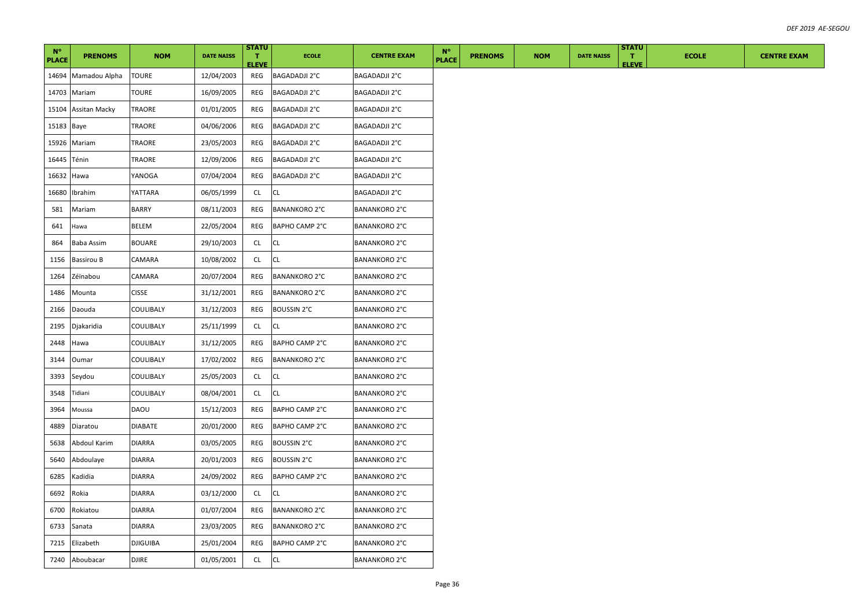| $N^{\circ}$<br><b>PLACE</b> | <b>PRENOMS</b>       | <b>NOM</b>      | <b>DATE NAISS</b> | <b>STATU</b><br>т.  | <b>ECOLE</b>         | <b>CENTRE EXAM</b>   | $N^{\circ}$<br><b>PLACE</b> | <b>PRENOMS</b> | <b>NOM</b> | <b>DATE NAISS</b> | <b>STATU</b><br>л. | <b>ECOLE</b> | <b>CENTRE EXAM</b> |
|-----------------------------|----------------------|-----------------|-------------------|---------------------|----------------------|----------------------|-----------------------------|----------------|------------|-------------------|--------------------|--------------|--------------------|
|                             | 14694 Mamadou Alpha  | <b>TOURE</b>    | 12/04/2003        | <b>ELEVE</b><br>REG | BAGADADJI 2°C        | BAGADADJI 2°C        |                             |                |            |                   | <b>ELEVE</b>       |              |                    |
| 14703                       | Mariam               | TOURE           | 16/09/2005        | REG                 | BAGADADJI 2°C        | BAGADADJI 2°C        |                             |                |            |                   |                    |              |                    |
| 15104                       | <b>Assitan Macky</b> | TRAORE          | 01/01/2005        | REG                 | BAGADADJI 2°C        | <b>BAGADADJI 2°C</b> |                             |                |            |                   |                    |              |                    |
| 15183 Baye                  |                      | TRAORE          | 04/06/2006        | REG                 | BAGADADJI 2°C        | BAGADADJI 2°C        |                             |                |            |                   |                    |              |                    |
| 15926                       | Mariam               | TRAORE          | 23/05/2003        | REG                 | <b>BAGADADJI 2°C</b> | <b>BAGADADJI 2°C</b> |                             |                |            |                   |                    |              |                    |
| 16445                       | Ténin                | TRAORE          | 12/09/2006        | REG                 | BAGADADJI 2°C        | BAGADADJI 2°C        |                             |                |            |                   |                    |              |                    |
| 16632                       | Hawa                 | YANOGA          | 07/04/2004        | REG                 | BAGADADJI 2°C        | <b>BAGADADJI 2°C</b> |                             |                |            |                   |                    |              |                    |
| 16680                       | Ibrahim              | YATTARA         | 06/05/1999        | CL                  | CL                   | BAGADADJI 2°C        |                             |                |            |                   |                    |              |                    |
| 581                         | Mariam               | <b>BARRY</b>    | 08/11/2003        | REG                 | <b>BANANKORO 2°C</b> | <b>BANANKORO 2°C</b> |                             |                |            |                   |                    |              |                    |
| 641                         | Hawa                 | BELEM           | 22/05/2004        | REG                 | BAPHO CAMP 2°C       | <b>BANANKORO 2°C</b> |                             |                |            |                   |                    |              |                    |
| 864                         | Baba Assim           | <b>BOUARE</b>   | 29/10/2003        | CL                  | CL                   | <b>BANANKORO 2°C</b> |                             |                |            |                   |                    |              |                    |
| 1156                        | <b>Bassirou B</b>    | CAMARA          | 10/08/2002        | CL                  | <b>CL</b>            | <b>BANANKORO 2°C</b> |                             |                |            |                   |                    |              |                    |
| 1264                        | Zéïnabou             | CAMARA          | 20/07/2004        | REG                 | <b>BANANKORO 2°C</b> | BANANKORO 2°C        |                             |                |            |                   |                    |              |                    |
| 1486                        | Mounta               | <b>CISSE</b>    | 31/12/2001        | REG                 | BANANKORO 2°C        | <b>BANANKORO 2°C</b> |                             |                |            |                   |                    |              |                    |
| 2166                        | Daouda               | COULIBALY       | 31/12/2003        | REG                 | BOUSSIN 2°C          | <b>BANANKORO 2°C</b> |                             |                |            |                   |                    |              |                    |
| 2195                        | Djakaridia           | COULIBALY       | 25/11/1999        | CL                  | СL                   | <b>BANANKORO 2°C</b> |                             |                |            |                   |                    |              |                    |
| 2448                        | Hawa                 | COULIBALY       | 31/12/2005        | REG                 | BAPHO CAMP 2°C       | <b>BANANKORO 2°C</b> |                             |                |            |                   |                    |              |                    |
| 3144                        | Oumar                | COULIBALY       | 17/02/2002        | REG                 | <b>BANANKORO 2°C</b> | <b>BANANKORO 2°C</b> |                             |                |            |                   |                    |              |                    |
| 3393                        | Seydou               | COULIBALY       | 25/05/2003        | CL                  | CL                   | <b>BANANKORO 2°C</b> |                             |                |            |                   |                    |              |                    |
| 3548                        | Tidiani              | COULIBALY       | 08/04/2001        | CL                  | CL                   | <b>BANANKORO 2°C</b> |                             |                |            |                   |                    |              |                    |
| 3964                        | Moussa               | DAOU            | 15/12/2003        | REG                 | BAPHO CAMP 2°C       | <b>BANANKORO 2°C</b> |                             |                |            |                   |                    |              |                    |
| 4889                        | Diaratou             | DIABATE         | 20/01/2000        | REG                 | BAPHO CAMP 2°C       | <b>BANANKORO 2°C</b> |                             |                |            |                   |                    |              |                    |
| 5638                        | Abdoul Karim         | <b>DIARRA</b>   | 03/05/2005        | REG                 | <b>BOUSSIN 2°C</b>   | <b>BANANKORO 2°C</b> |                             |                |            |                   |                    |              |                    |
| 5640                        | Abdoulaye            | <b>DIARRA</b>   | 20/01/2003        | REG                 | BOUSSIN 2°C          | <b>BANANKORO 2°C</b> |                             |                |            |                   |                    |              |                    |
| 6285                        | Kadidia              | DIARRA          | 24/09/2002        | REG                 | BAPHO CAMP 2°C       | <b>BANANKORO 2°C</b> |                             |                |            |                   |                    |              |                    |
| 6692                        | Rokia                | DIARRA          | 03/12/2000        | CL.                 | CL                   | BANANKORO 2°C        |                             |                |            |                   |                    |              |                    |
| 6700                        | Rokiatou             | <b>DIARRA</b>   | 01/07/2004        | REG                 | <b>BANANKORO 2°C</b> | <b>BANANKORO 2°C</b> |                             |                |            |                   |                    |              |                    |
| 6733                        | Sanata               | <b>DIARRA</b>   | 23/03/2005        | REG                 | <b>BANANKORO 2°C</b> | <b>BANANKORO 2°C</b> |                             |                |            |                   |                    |              |                    |
| 7215                        | Elizabeth            | <b>DJIGUIBA</b> | 25/01/2004        | REG                 | BAPHO CAMP 2°C       | <b>BANANKORO 2°C</b> |                             |                |            |                   |                    |              |                    |
|                             | 7240 Aboubacar       | <b>DJIRE</b>    | 01/05/2001        | CL                  | CL                   | <b>BANANKORO 2°C</b> |                             |                |            |                   |                    |              |                    |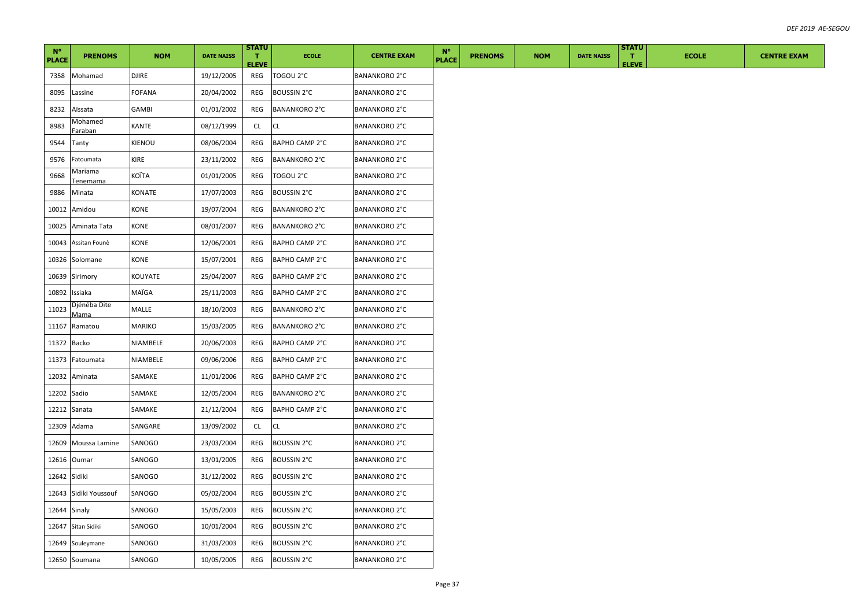| $N^{\circ}$<br><b>PLACE</b> | <b>PRENOMS</b>              | <b>NOM</b>    | <b>DATE NAISS</b> | <b>STATU</b><br>T.<br><b>ELEVE</b> | <b>ECOLE</b>         | <b>CENTRE EXAM</b>   | $N^{\circ}$<br><b>PLACE</b> | <b>PRENOMS</b> | <b>NOM</b> | <b>DATE NAISS</b> | <b>STATU</b><br>л.<br><b>ELEVE</b> | <b>ECOLE</b> | <b>CENTRE EXAM</b> |
|-----------------------------|-----------------------------|---------------|-------------------|------------------------------------|----------------------|----------------------|-----------------------------|----------------|------------|-------------------|------------------------------------|--------------|--------------------|
| 7358                        | Mohamad                     | <b>DJIRE</b>  | 19/12/2005        | REG                                | TOGOU 2°C            | <b>BANANKORO 2°C</b> |                             |                |            |                   |                                    |              |                    |
| 8095                        | Lassine                     | <b>FOFANA</b> | 20/04/2002        | REG                                | <b>BOUSSIN 2°C</b>   | <b>BANANKORO 2°C</b> |                             |                |            |                   |                                    |              |                    |
| 8232                        | Aïssata                     | GAMBI         | 01/01/2002        | REG                                | <b>BANANKORO 2°C</b> | <b>BANANKORO 2°C</b> |                             |                |            |                   |                                    |              |                    |
| 8983                        | Mohamed<br>Faraban          | KANTE         | 08/12/1999        | <b>CL</b>                          | CL.                  | <b>BANANKORO 2°C</b> |                             |                |            |                   |                                    |              |                    |
| 9544                        | Tanty                       | KIENOU        | 08/06/2004        | REG                                | BAPHO CAMP 2°C       | <b>BANANKORO 2°C</b> |                             |                |            |                   |                                    |              |                    |
| 9576                        | Fatoumata                   | KIRE          | 23/11/2002        | REG                                | <b>BANANKORO 2°C</b> | BANANKORO 2°C        |                             |                |            |                   |                                    |              |                    |
| 9668                        | Mariama<br>Tenemama         | KOÏTA         | 01/01/2005        | REG                                | TOGOU 2°C            | <b>BANANKORO 2°C</b> |                             |                |            |                   |                                    |              |                    |
| 9886                        | Minata                      | KONATE        | 17/07/2003        | REG                                | <b>BOUSSIN 2°C</b>   | <b>BANANKORO 2°C</b> |                             |                |            |                   |                                    |              |                    |
| 10012                       | Amidou                      | KONE          | 19/07/2004        | REG                                | <b>BANANKORO 2°C</b> | <b>BANANKORO 2°C</b> |                             |                |            |                   |                                    |              |                    |
| 10025                       | Aminata Tata                | KONE          | 08/01/2007        | REG                                | <b>BANANKORO 2°C</b> | <b>BANANKORO 2°C</b> |                             |                |            |                   |                                    |              |                    |
| 10043                       | Assitan Founè               | KONE          | 12/06/2001        | REG                                | BAPHO CAMP 2°C       | <b>BANANKORO 2°C</b> |                             |                |            |                   |                                    |              |                    |
| 10326                       | Solomane                    | KONE          | 15/07/2001        | REG                                | BAPHO CAMP 2°C       | <b>BANANKORO 2°C</b> |                             |                |            |                   |                                    |              |                    |
| 10639                       | Sirimory                    | KOUYATE       | 25/04/2007        | REG                                | BAPHO CAMP 2°C       | <b>BANANKORO 2°C</b> |                             |                |            |                   |                                    |              |                    |
| 10892                       | Issiaka                     | MAÏGA         | 25/11/2003        | REG                                | BAPHO CAMP 2°C       | <b>BANANKORO 2°C</b> |                             |                |            |                   |                                    |              |                    |
| 11023                       | Djénéba Dite<br><u>Mama</u> | MALLE         | 18/10/2003        | REG                                | <b>BANANKORO 2°C</b> | <b>BANANKORO 2°C</b> |                             |                |            |                   |                                    |              |                    |
| 11167                       | Ramatou                     | MARIKO        | 15/03/2005        | REG                                | <b>BANANKORO 2°C</b> | <b>BANANKORO 2°C</b> |                             |                |            |                   |                                    |              |                    |
| 11372                       | Backo                       | NIAMBELE      | 20/06/2003        | REG                                | BAPHO CAMP 2°C       | <b>BANANKORO 2°C</b> |                             |                |            |                   |                                    |              |                    |
| 11373                       | Fatoumata                   | NIAMBELE      | 09/06/2006        | REG                                | BAPHO CAMP 2°C       | <b>BANANKORO 2°C</b> |                             |                |            |                   |                                    |              |                    |
| 12032                       | Aminata                     | SAMAKE        | 11/01/2006        | REG                                | BAPHO CAMP 2°C       | <b>BANANKORO 2°C</b> |                             |                |            |                   |                                    |              |                    |
| 12202                       | Sadio                       | SAMAKE        | 12/05/2004        | REG                                | <b>BANANKORO 2°C</b> | <b>BANANKORO 2°C</b> |                             |                |            |                   |                                    |              |                    |
|                             | 12212 Sanata                | SAMAKE        | 21/12/2004        | REG                                | BAPHO CAMP 2°C       | <b>BANANKORO 2°C</b> |                             |                |            |                   |                                    |              |                    |
| 12309                       | Adama                       | SANGARE       | 13/09/2002        | CL                                 | <b>CL</b>            | <b>BANANKORO 2°C</b> |                             |                |            |                   |                                    |              |                    |
| 12609                       | Moussa Lamine               | SANOGO        | 23/03/2004        | REG                                | <b>BOUSSIN 2°C</b>   | <b>BANANKORO 2°C</b> |                             |                |            |                   |                                    |              |                    |
| 12616                       | Oumar                       | SANOGO        | 13/01/2005        | REG                                | <b>BOUSSIN 2°C</b>   | <b>BANANKORO 2°C</b> |                             |                |            |                   |                                    |              |                    |
| 12642                       | Sidiki                      | SANOGO        | 31/12/2002        | REG                                | <b>BOUSSIN 2°C</b>   | <b>BANANKORO 2°C</b> |                             |                |            |                   |                                    |              |                    |
|                             | 12643 Sidiki Youssouf       | SANOGO        | 05/02/2004        | REG                                | <b>BOUSSIN 2°C</b>   | <b>BANANKORO 2°C</b> |                             |                |            |                   |                                    |              |                    |
| 12644 Sinaly                |                             | SANOGO        | 15/05/2003        | REG                                | <b>BOUSSIN 2°C</b>   | <b>BANANKORO 2°C</b> |                             |                |            |                   |                                    |              |                    |
|                             | 12647 Sitan Sidiki          | SANOGO        | 10/01/2004        | REG                                | <b>BOUSSIN 2°C</b>   | <b>BANANKORO 2°C</b> |                             |                |            |                   |                                    |              |                    |
|                             | 12649 Souleymane            | SANOGO        | 31/03/2003        | REG                                | <b>BOUSSIN 2°C</b>   | <b>BANANKORO 2°C</b> |                             |                |            |                   |                                    |              |                    |
|                             | 12650 Soumana               | SANOGO        | 10/05/2005        | REG                                | <b>BOUSSIN 2°C</b>   | <b>BANANKORO 2°C</b> |                             |                |            |                   |                                    |              |                    |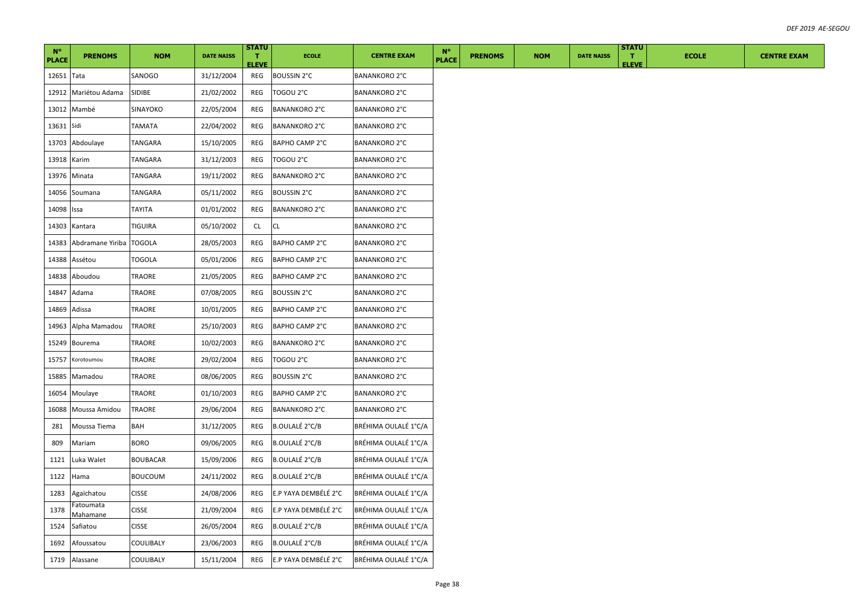| $N^{\circ}$<br><b>PLACE</b> | <b>PRENOMS</b>        | <b>NOM</b>      | <b>DATE NAISS</b> | <b>STATU</b><br>л.<br><b>ELEVE</b> | <b>ECOLE</b>          | <b>CENTRE EXAM</b>   | <b>N°</b><br><b>PLACE</b> | <b>PRENOMS</b> | <b>NOM</b> | <b>DATE NAISS</b> | <b>STATU</b><br>т.<br><b>ELEVE</b> | <b>ECOLE</b> | <b>CENTRE EXAM</b> |
|-----------------------------|-----------------------|-----------------|-------------------|------------------------------------|-----------------------|----------------------|---------------------------|----------------|------------|-------------------|------------------------------------|--------------|--------------------|
| 12651 Tata                  |                       | SANOGO          | 31/12/2004        | REG                                | <b>BOUSSIN 2°C</b>    | <b>BANANKORO 2°C</b> |                           |                |            |                   |                                    |              |                    |
| 12912                       | Mariétou Adama        | SIDIBE          | 21/02/2002        | REG                                | TOGOU 2°C             | <b>BANANKORO 2°C</b> |                           |                |            |                   |                                    |              |                    |
|                             | 13012 Mambé           | SINAYOKO        | 22/05/2004        | REG                                | <b>BANANKORO 2°C</b>  | <b>BANANKORO 2°C</b> |                           |                |            |                   |                                    |              |                    |
| 13631                       | Sidi                  | TAMATA          | 22/04/2002        | REG                                | <b>BANANKORO 2°C</b>  | <b>BANANKORO 2°C</b> |                           |                |            |                   |                                    |              |                    |
| 13703                       | Abdoulaye             | TANGARA         | 15/10/2005        | REG                                | BAPHO CAMP 2°C        | <b>BANANKORO 2°C</b> |                           |                |            |                   |                                    |              |                    |
| 13918 Karim                 |                       | <b>TANGARA</b>  | 31/12/2003        | REG                                | TOGOU 2°C             | <b>BANANKORO 2°C</b> |                           |                |            |                   |                                    |              |                    |
|                             | 13976 Minata          | TANGARA         | 19/11/2002        | REG                                | <b>BANANKORO 2°C</b>  | <b>BANANKORO 2°C</b> |                           |                |            |                   |                                    |              |                    |
| 14056                       | Soumana               | TANGARA         | 05/11/2002        | REG                                | <b>BOUSSIN 2°C</b>    | BANANKORO 2°C        |                           |                |            |                   |                                    |              |                    |
| 14098                       | Issa                  | <b>TAYITA</b>   | 01/01/2002        | REG                                | <b>BANANKORO 2°C</b>  | <b>BANANKORO 2°C</b> |                           |                |            |                   |                                    |              |                    |
| 14303                       | Kantara               | TIGUIRA         | 05/10/2002        | CL.                                | CL                    | <b>BANANKORO 2°C</b> |                           |                |            |                   |                                    |              |                    |
| 14383                       | Abdramane Yiriba      | <b>TOGOLA</b>   | 28/05/2003        | REG                                | BAPHO CAMP 2°C        | <b>BANANKORO 2°C</b> |                           |                |            |                   |                                    |              |                    |
| 14388                       | Assétou               | TOGOLA          | 05/01/2006        | REG                                | BAPHO CAMP 2°C        | <b>BANANKORO 2°C</b> |                           |                |            |                   |                                    |              |                    |
| 14838                       | Aboudou               | TRAORE          | 21/05/2005        | REG                                | BAPHO CAMP 2°C        | <b>BANANKORO 2°C</b> |                           |                |            |                   |                                    |              |                    |
| 14847                       | Adama                 | TRAORE          | 07/08/2005        | REG                                | BOUSSIN 2°C           | <b>BANANKORO 2°C</b> |                           |                |            |                   |                                    |              |                    |
| 14869                       | Adissa                | TRAORE          | 10/01/2005        | REG                                | BAPHO CAMP 2°C        | <b>BANANKORO 2°C</b> |                           |                |            |                   |                                    |              |                    |
| 14963                       | Alpha Mamadou         | TRAORE          | 25/10/2003        | REG                                | BAPHO CAMP 2°C        | BANANKORO 2°C        |                           |                |            |                   |                                    |              |                    |
| 15249                       | Bourema               | TRAORE          | 10/02/2003        | REG                                | <b>BANANKORO 2°C</b>  | <b>BANANKORO 2°C</b> |                           |                |            |                   |                                    |              |                    |
| 15757                       | Korotoumou            | TRAORE          | 29/02/2004        | REG                                | TOGOU 2°C             | <b>BANANKORO 2°C</b> |                           |                |            |                   |                                    |              |                    |
| 15885                       | Mamadou               | TRAORE          | 08/06/2005        | REG                                | <b>BOUSSIN 2°C</b>    | BANANKORO 2°C        |                           |                |            |                   |                                    |              |                    |
| 16054                       | Moulaye               | TRAORE          | 01/10/2003        | REG                                | BAPHO CAMP 2°C        | <b>BANANKORO 2°C</b> |                           |                |            |                   |                                    |              |                    |
| 16088                       | Moussa Amidou         | TRAORE          | 29/06/2004        | REG                                | <b>BANANKORO 2°C</b>  | <b>BANANKORO 2°C</b> |                           |                |            |                   |                                    |              |                    |
| 281                         | Moussa Tiema          | BAH             | 31/12/2005        | REG                                | B.OULALÉ 2°C/B        | BRÉHIMA OULALÉ 1°C/A |                           |                |            |                   |                                    |              |                    |
| 809                         | Mariam                | <b>BORO</b>     | 09/06/2005        | REG                                | B.OULALÉ 2°C/B        | BRÉHIMA OULALÉ 1°C/A |                           |                |            |                   |                                    |              |                    |
| 1121                        | Luka Walet            | <b>BOUBACAR</b> | 15/09/2006        | REG                                | B.OULALÉ 2°C/B        | BRÉHIMA OULALÉ 1°C/A |                           |                |            |                   |                                    |              |                    |
| 1122                        | Hama                  | BOUCOUM         | 24/11/2002        | REG                                | B.OULALÉ 2°C/B        | BRÉHIMA OULALÉ 1°C/A |                           |                |            |                   |                                    |              |                    |
| 1283                        | Agaïchatou            | <b>CISSE</b>    | 24/08/2006        | REG                                | E.P YAYA DEMBÉLÉ 2°C  | BRÉHIMA OULALÉ 1°C/A |                           |                |            |                   |                                    |              |                    |
| 1378                        | Fatoumata<br>Mahamane | <b>CISSE</b>    | 21/09/2004        | REG                                | E.P YAYA DEMBÉLÉ 2°C  | BRÉHIMA OULALÉ 1°C/A |                           |                |            |                   |                                    |              |                    |
| 1524                        | Safiatou              | <b>CISSE</b>    | 26/05/2004        | REG                                | <b>B.OULALÉ 2°C/B</b> | BRÉHIMA OULALÉ 1°C/A |                           |                |            |                   |                                    |              |                    |
| 1692                        | Afoussatou            | COULIBALY       | 23/06/2003        | REG                                | <b>B.OULALÉ 2°C/B</b> | BRÉHIMA OULALÉ 1°C/A |                           |                |            |                   |                                    |              |                    |
| 1719                        | Alassane              | COULIBALY       | 15/11/2004        | REG                                | E.P YAYA DEMBÉLÉ 2°C  | BRÉHIMA OULALÉ 1°C/A |                           |                |            |                   |                                    |              |                    |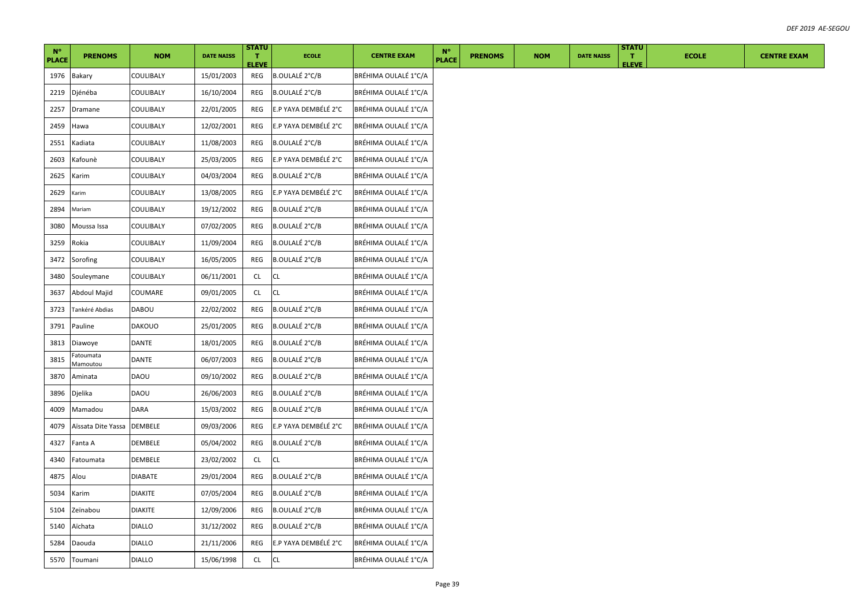| $N^{\circ}$  |                      |                |                   | <b>STATU</b>       |                       |                      | $N^{\circ}$  |                |            |                   | <b>STATU</b>       |              |
|--------------|----------------------|----------------|-------------------|--------------------|-----------------------|----------------------|--------------|----------------|------------|-------------------|--------------------|--------------|
| <b>PLACE</b> | <b>PRENOMS</b>       | <b>NOM</b>     | <b>DATE NAISS</b> | T.<br><b>ELEVE</b> | <b>ECOLE</b>          | <b>CENTRE EXAM</b>   | <b>PLACE</b> | <b>PRENOMS</b> | <b>NOM</b> | <b>DATE NAISS</b> | T.<br><b>ELEVE</b> | <b>ECOLE</b> |
| 1976         | <b>Bakary</b>        | COULIBALY      | 15/01/2003        | REG                | <b>B.OULALÉ 2°C/B</b> | BRÉHIMA OULALÉ 1°C/A |              |                |            |                   |                    |              |
| 2219         | Djénéba              | COULIBALY      | 16/10/2004        | REG                | B.OULALÉ 2°C/B        | BRÉHIMA OULALÉ 1°C/A |              |                |            |                   |                    |              |
| 2257         | Dramane              | COULIBALY      | 22/01/2005        | <b>REG</b>         | E.P YAYA DEMBÉLÉ 2°C  | BRÉHIMA OULALÉ 1°C/A |              |                |            |                   |                    |              |
| 2459         | Hawa                 | COULIBALY      | 12/02/2001        | REG                | E.P YAYA DEMBÉLÉ 2°C  | BRÉHIMA OULALÉ 1°C/A |              |                |            |                   |                    |              |
| 2551         | Kadiata              | COULIBALY      | 11/08/2003        | REG                | <b>B.OULALÉ 2°C/B</b> | BRÉHIMA OULALÉ 1°C/A |              |                |            |                   |                    |              |
| 2603         | Kafounè              | COULIBALY      | 25/03/2005        | REG                | E.P YAYA DEMBÉLÉ 2°C  | BRÉHIMA OULALÉ 1°C/A |              |                |            |                   |                    |              |
| 2625         | Karim                | COULIBALY      | 04/03/2004        | REG                | B.OULALÉ 2°C/B        | BRÉHIMA OULALÉ 1°C/A |              |                |            |                   |                    |              |
| 2629         | Karim                | COULIBALY      | 13/08/2005        | REG                | E.P YAYA DEMBÉLÉ 2°C  | BRÉHIMA OULALÉ 1°C/A |              |                |            |                   |                    |              |
| 2894         | Mariam               | COULIBALY      | 19/12/2002        | REG                | <b>B.OULALÉ 2°C/B</b> | BRÉHIMA OULALÉ 1°C/A |              |                |            |                   |                    |              |
| 3080         | Moussa Issa          | COULIBALY      | 07/02/2005        | REG                | <b>B.OULALÉ 2°C/B</b> | BRÉHIMA OULALÉ 1°C/A |              |                |            |                   |                    |              |
| 3259         | Rokia                | COULIBALY      | 11/09/2004        | REG                | <b>B.OULALÉ 2°C/B</b> | BRÉHIMA OULALÉ 1°C/A |              |                |            |                   |                    |              |
| 3472         | Sorofing             | COULIBALY      | 16/05/2005        | REG                | B.OULALÉ 2°C/B        | BRÉHIMA OULALÉ 1°C/A |              |                |            |                   |                    |              |
| 3480         | Souleymane           | COULIBALY      | 06/11/2001        | <b>CL</b>          | CL                    | BRÉHIMA OULALÉ 1°C/A |              |                |            |                   |                    |              |
| 3637         | Abdoul Majid         | COUMARE        | 09/01/2005        | <b>CL</b>          | CL                    | BRÉHIMA OULALÉ 1°C/A |              |                |            |                   |                    |              |
| 3723         | Tankéré Abdias       | DABOU          | 22/02/2002        | <b>REG</b>         | <b>B.OULALÉ 2°C/B</b> | BRÉHIMA OULALÉ 1°C/A |              |                |            |                   |                    |              |
| 3791         | Pauline              | <b>DAKOUO</b>  | 25/01/2005        | REG                | B.OULALÉ 2°C/B        | BRÉHIMA OULALÉ 1°C/A |              |                |            |                   |                    |              |
| 3813         | Diawoye              | DANTE          | 18/01/2005        | REG                | B.OULALÉ 2°C/B        | BRÉHIMA OULALÉ 1°C/A |              |                |            |                   |                    |              |
| 3815         | atoumata<br>Mamoutou | DANTE          | 06/07/2003        | REG                | B.OULALÉ 2°C/B        | BRÉHIMA OULALÉ 1°C/A |              |                |            |                   |                    |              |
| 3870         | Aminata              | DAOU           | 09/10/2002        | REG                | <b>B.OULALÉ 2°C/B</b> | BRÉHIMA OULALÉ 1°C/A |              |                |            |                   |                    |              |
| 3896         | Djelika              | DAOU           | 26/06/2003        | REG                | B.OULALÉ 2°C/B        | BRÉHIMA OULALÉ 1°C/A |              |                |            |                   |                    |              |
| 4009         | Mamadou              | DARA           | 15/03/2002        | REG                | B.OULALÉ 2°C/B        | BRÉHIMA OULALÉ 1°C/A |              |                |            |                   |                    |              |
| 4079         | Aïssata Dite Yassa   | DEMBELE        | 09/03/2006        | REG                | E.P YAYA DEMBÉLÉ 2°C  | BRÉHIMA OULALÉ 1°C/A |              |                |            |                   |                    |              |
| 4327         | Fanta A              | DEMBELE        | 05/04/2002        | REG                | <b>B.OULALÉ 2°C/B</b> | BRÉHIMA OULALÉ 1°C/A |              |                |            |                   |                    |              |
| 4340         | Fatoumata            | DEMBELE        | 23/02/2002        | <b>CL</b>          | CL.                   | BRÉHIMA OULALÉ 1°C/A |              |                |            |                   |                    |              |
| 4875         | Alou                 | DIABATE        | 29/01/2004        | REG                | B.OULALÉ 2°C/B        | BRÉHIMA OULALÉ 1°C/A |              |                |            |                   |                    |              |
| 5034         | Karim                | <b>DIAKITE</b> | 07/05/2004        | REG                | B.OULALÉ 2°C/B        | BRÉHIMA OULALÉ 1°C/A |              |                |            |                   |                    |              |
| 5104         | Zeïnabou             | <b>DIAKITE</b> | 12/09/2006        | REG                | <b>B.OULALÉ 2°C/B</b> | BRÉHIMA OULALÉ 1°C/A |              |                |            |                   |                    |              |
| 5140         | Aïchata              | <b>DIALLO</b>  | 31/12/2002        | REG                | <b>B.OULALÉ 2°C/B</b> | BRÉHIMA OULALÉ 1°C/A |              |                |            |                   |                    |              |
| 5284         | Daouda               | <b>DIALLO</b>  | 21/11/2006        | REG                | E.P YAYA DEMBÉLÉ 2°C  | BRÉHIMA OULALÉ 1°C/A |              |                |            |                   |                    |              |
| 5570         | Toumani              | <b>DIALLO</b>  | 15/06/1998        | <b>CL</b>          | CL                    | BRÉHIMA OULALÉ 1°C/A |              |                |            |                   |                    |              |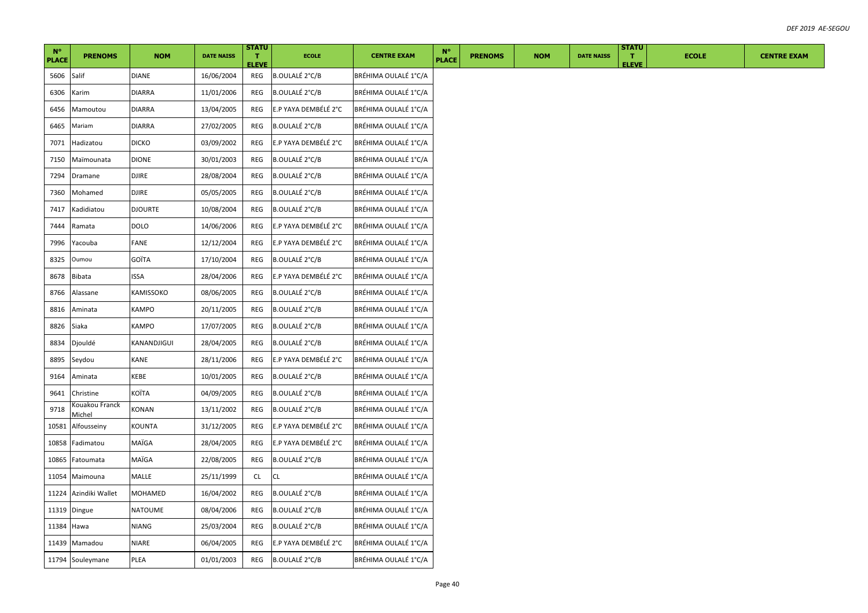| $N^{\circ}$  |                          |                |                   | <b>STATU</b>       |                       |                      | <b>N°</b>    |                |            |                   | <b>STATU</b>       |              |
|--------------|--------------------------|----------------|-------------------|--------------------|-----------------------|----------------------|--------------|----------------|------------|-------------------|--------------------|--------------|
| <b>PLACE</b> | <b>PRENOMS</b>           | <b>NOM</b>     | <b>DATE NAISS</b> | T.<br><b>ELEVE</b> | <b>ECOLE</b>          | <b>CENTRE EXAM</b>   | <b>PLACE</b> | <b>PRENOMS</b> | <b>NOM</b> | <b>DATE NAISS</b> | T.<br><b>ELEVE</b> | <b>ECOLE</b> |
| 5606         | Salif                    | <b>DIANE</b>   | 16/06/2004        | REG                | <b>B.OULALÉ 2°C/B</b> | BRÉHIMA OULALÉ 1°C/A |              |                |            |                   |                    |              |
| 6306         | Karim                    | DIARRA         | 11/01/2006        | REG                | B.OULALÉ 2°C/B        | BRÉHIMA OULALÉ 1°C/A |              |                |            |                   |                    |              |
| 6456         | Mamoutou                 | DIARRA         | 13/04/2005        | REG                | E.P YAYA DEMBÉLÉ 2°C  | BRÉHIMA OULALÉ 1°C/A |              |                |            |                   |                    |              |
| 6465         | Mariam                   | DIARRA         | 27/02/2005        | REG                | <b>B.OULALÉ 2°C/B</b> | BRÉHIMA OULALÉ 1°C/A |              |                |            |                   |                    |              |
| 7071         | Hadizatou                | <b>DICKO</b>   | 03/09/2002        | REG                | E.P YAYA DEMBÉLÉ 2°C  | BRÉHIMA OULALÉ 1°C/A |              |                |            |                   |                    |              |
| 7150         | Maïmounata               | DIONE          | 30/01/2003        | REG                | B.OULALÉ 2°C/B        | BRÉHIMA OULALÉ 1°C/A |              |                |            |                   |                    |              |
| 7294         | Dramane                  | <b>DJIRE</b>   | 28/08/2004        | REG                | B.OULALÉ 2°C/B        | BRÉHIMA OULALÉ 1°C/A |              |                |            |                   |                    |              |
| 7360         | Mohamed                  | <b>DJIRE</b>   | 05/05/2005        | REG                | <b>B.OULALÉ 2°C/B</b> | BRÉHIMA OULALÉ 1°C/A |              |                |            |                   |                    |              |
| 7417         | Kadidiatou               | <b>DJOURTE</b> | 10/08/2004        | REG                | B.OULALÉ 2°C/B        | BRÉHIMA OULALÉ 1°C/A |              |                |            |                   |                    |              |
| 7444         | Ramata                   | <b>DOLO</b>    | 14/06/2006        | <b>REG</b>         | E.P YAYA DEMBÉLÉ 2°C  | BRÉHIMA OULALÉ 1°C/A |              |                |            |                   |                    |              |
| 7996         | Yacouba                  | <b>FANE</b>    | 12/12/2004        | REG                | E.P YAYA DEMBÉLÉ 2°C  | BRÉHIMA OULALÉ 1°C/A |              |                |            |                   |                    |              |
| 8325         | Oumou                    | GOÏTA          | 17/10/2004        | REG                | B.OULALÉ 2°C/B        | BRÉHIMA OULALÉ 1°C/A |              |                |            |                   |                    |              |
| 8678         | <b>Bibata</b>            | ISSA           | 28/04/2006        | <b>REG</b>         | E.P YAYA DEMBÉLÉ 2°C  | BRÉHIMA OULALÉ 1°C/A |              |                |            |                   |                    |              |
| 8766         | Alassane                 | KAMISSOKO      | 08/06/2005        | REG                | <b>B.OULALÉ 2°C/B</b> | BRÉHIMA OULALÉ 1°C/A |              |                |            |                   |                    |              |
| 8816         | Aminata                  | KAMPO          | 20/11/2005        | REG                | B.OULALÉ 2°C/B        | BRÉHIMA OULALÉ 1°C/A |              |                |            |                   |                    |              |
| 8826         | Siaka                    | KAMPO          | 17/07/2005        | REG                | B.OULALÉ 2°C/B        | BRÉHIMA OULALÉ 1°C/A |              |                |            |                   |                    |              |
| 8834         | Djouldé                  | KANANDJIGUI    | 28/04/2005        | REG                | <b>B.OULALÉ 2°C/B</b> | BRÉHIMA OULALÉ 1°C/A |              |                |            |                   |                    |              |
| 8895         | Seydou                   | KANE           | 28/11/2006        | REG                | E.P YAYA DEMBÉLÉ 2°C  | BRÉHIMA OULALÉ 1°C/A |              |                |            |                   |                    |              |
| 9164         | Aminata                  | KEBE           | 10/01/2005        | REG                | B.OULALÉ 2°C/B        | BRÉHIMA OULALÉ 1°C/A |              |                |            |                   |                    |              |
| 9641         | Christine                | KOÏTA          | 04/09/2005        | REG                | B.OULALÉ 2°C/B        | BRÉHIMA OULALÉ 1°C/A |              |                |            |                   |                    |              |
| 9718         | Kouakou Franck<br>Michel | KONAN          | 13/11/2002        | REG                | B.OULALÉ 2°C/B        | BRÉHIMA OULALÉ 1°C/A |              |                |            |                   |                    |              |
| 10581        | Alfousseiny              | KOUNTA         | 31/12/2005        | REG                | E.P YAYA DEMBÉLÉ 2°C  | BRÉHIMA OULALÉ 1°C/A |              |                |            |                   |                    |              |
| 10858        | Fadimatou                | MAÏGA          | 28/04/2005        | REG                | E.P YAYA DEMBÉLÉ 2°C  | BRÉHIMA OULALÉ 1°C/A |              |                |            |                   |                    |              |
| 10865        | Fatoumata                | MAÏGA          | 22/08/2005        | REG                | <b>B.OULALÉ 2°C/B</b> | BRÉHIMA OULALÉ 1°C/A |              |                |            |                   |                    |              |
| 11054        | Maimouna                 | MALLE          | 25/11/1999        | CL.                | CL                    | BRÉHIMA OULALÉ 1°C/A |              |                |            |                   |                    |              |
| 11224        | Azindiki Wallet          | MOHAMED        | 16/04/2002        | REG                | <b>B.OULALÉ 2°C/B</b> | BRÉHIMA OULALÉ 1°C/A |              |                |            |                   |                    |              |
|              | 11319 Dingue             | NATOUME        | 08/04/2006        | REG                | <b>B.OULALÉ 2°C/B</b> | BRÉHIMA OULALÉ 1°C/A |              |                |            |                   |                    |              |
| 11384 Hawa   |                          | NIANG          | 25/03/2004        | REG                | B.OULALÉ 2°C/B        | BRÉHIMA OULALÉ 1°C/A |              |                |            |                   |                    |              |
|              | 11439 Mamadou            | <b>NIARE</b>   | 06/04/2005        | REG                | E.P YAYA DEMBÉLÉ 2°C  | BRÉHIMA OULALÉ 1°C/A |              |                |            |                   |                    |              |
|              | 11794 Souleymane         | PLEA           | 01/01/2003        | REG                | <b>B.OULALÉ 2°C/B</b> | BRÉHIMA OULALÉ 1°C/A |              |                |            |                   |                    |              |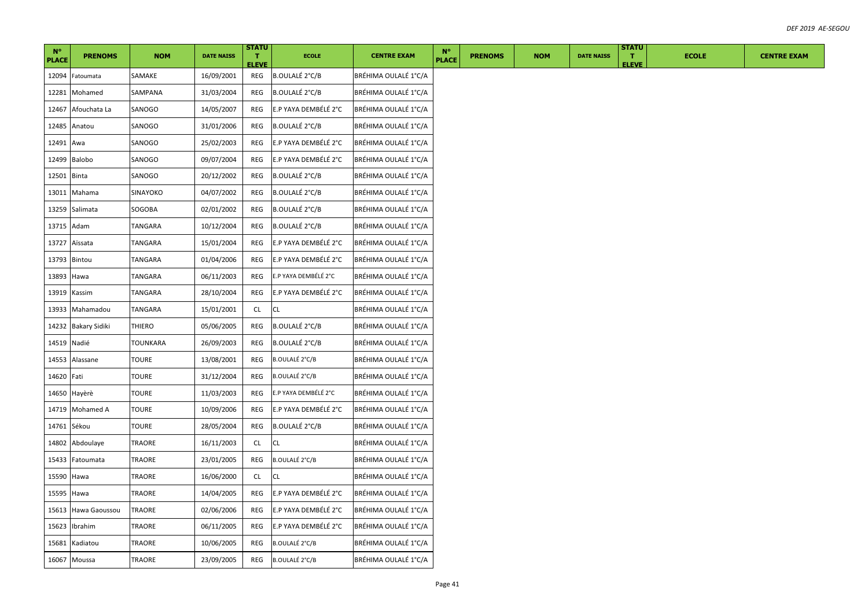|                             |                      |              |                   | <b>STATU</b>       |                       |                      |                             |                |            |                   | <b>STATU</b>       |              |  |
|-----------------------------|----------------------|--------------|-------------------|--------------------|-----------------------|----------------------|-----------------------------|----------------|------------|-------------------|--------------------|--------------|--|
| $N^{\circ}$<br><b>PLACE</b> | <b>PRENOMS</b>       | <b>NOM</b>   | <b>DATE NAISS</b> | T.<br><b>ELEVE</b> | <b>ECOLE</b>          | <b>CENTRE EXAM</b>   | $N^{\circ}$<br><b>PLACE</b> | <b>PRENOMS</b> | <b>NOM</b> | <b>DATE NAISS</b> | T.<br><b>ELEVE</b> | <b>ECOLE</b> |  |
| 12094                       | Fatoumata            | SAMAKE       | 16/09/2001        | REG                | <b>B.OULALÉ 2°C/B</b> | BRÉHIMA OULALÉ 1°C/A |                             |                |            |                   |                    |              |  |
| 12281                       | Mohamed              | SAMPANA      | 31/03/2004        | REG                | B.OULALÉ 2°C/B        | BRÉHIMA OULALÉ 1°C/A |                             |                |            |                   |                    |              |  |
| 12467                       | Afouchata La         | SANOGO       | 14/05/2007        | REG                | E.P YAYA DEMBÉLÉ 2°C  | BRÉHIMA OULALÉ 1°C/A |                             |                |            |                   |                    |              |  |
| 12485                       | Anatou               | SANOGO       | 31/01/2006        | REG                | <b>B.OULALÉ 2°C/B</b> | BRÉHIMA OULALÉ 1°C/A |                             |                |            |                   |                    |              |  |
| 12491 Awa                   |                      | SANOGO       | 25/02/2003        | REG                | E.P YAYA DEMBÉLÉ 2°C  | BRÉHIMA OULALÉ 1°C/A |                             |                |            |                   |                    |              |  |
| 12499                       | Balobo               | SANOGO       | 09/07/2004        | REG                | E.P YAYA DEMBÉLÉ 2°C  | BRÉHIMA OULALÉ 1°C/A |                             |                |            |                   |                    |              |  |
| 12501                       | <b>Binta</b>         | SANOGO       | 20/12/2002        | REG                | B.OULALÉ 2°C/B        | BRÉHIMA OULALÉ 1°C/A |                             |                |            |                   |                    |              |  |
| 13011                       | Mahama               | SINAYOKO     | 04/07/2002        | REG                | B.OULALÉ 2°C/B        | BRÉHIMA OULALÉ 1°C/A |                             |                |            |                   |                    |              |  |
|                             | 13259 Salimata       | SOGOBA       | 02/01/2002        | REG                | <b>B.OULALÉ 2°C/B</b> | BRÉHIMA OULALÉ 1°C/A |                             |                |            |                   |                    |              |  |
| 13715                       | Adam                 | TANGARA      | 10/12/2004        | REG                | <b>B.OULALÉ 2°C/B</b> | BRÉHIMA OULALÉ 1°C/A |                             |                |            |                   |                    |              |  |
| 13727                       | Aïssata              | TANGARA      | 15/01/2004        | REG                | E.P YAYA DEMBÉLÉ 2°C  | BRÉHIMA OULALÉ 1°C/A |                             |                |            |                   |                    |              |  |
| 13793                       | <b>Bintou</b>        | TANGARA      | 01/04/2006        | REG                | E.P YAYA DEMBÉLÉ 2°C  | BRÉHIMA OULALÉ 1°C/A |                             |                |            |                   |                    |              |  |
| 13893                       | Hawa                 | TANGARA      | 06/11/2003        | REG                | E.P YAYA DEMBÉLÉ 2°C  | BRÉHIMA OULALÉ 1°C/A |                             |                |            |                   |                    |              |  |
|                             | 13919 Kassim         | TANGARA      | 28/10/2004        | REG                | E.P YAYA DEMBÉLÉ 2°C  | BRÉHIMA OULALÉ 1°C/A |                             |                |            |                   |                    |              |  |
| 13933                       | Mahamadou            | TANGARA      | 15/01/2001        | CL                 | CL                    | BRÉHIMA OULALÉ 1°C/A |                             |                |            |                   |                    |              |  |
| 14232                       | <b>Bakary Sidiki</b> | THIERO       | 05/06/2005        | REG                | B.OULALÉ 2°C/B        | BRÉHIMA OULALÉ 1°C/A |                             |                |            |                   |                    |              |  |
| 14519                       | Nadié                | TOUNKARA     | 26/09/2003        | REG                | <b>B.OULALÉ 2°C/B</b> | BRÉHIMA OULALÉ 1°C/A |                             |                |            |                   |                    |              |  |
| 14553                       | Alassane             | <b>TOURE</b> | 13/08/2001        | REG                | B.OULALÉ 2°C/B        | BRÉHIMA OULALÉ 1°C/A |                             |                |            |                   |                    |              |  |
| 14620 Fati                  |                      | <b>TOURE</b> | 31/12/2004        | REG                | B.OULALÉ 2°C/B        | BRÉHIMA OULALÉ 1°C/A |                             |                |            |                   |                    |              |  |
| 14650                       | Hayèrè               | TOURE        | 11/03/2003        | REG                | E.P YAYA DEMBÉLÉ 2°C  | BRÉHIMA OULALÉ 1°C/A |                             |                |            |                   |                    |              |  |
| 14719                       | Mohamed A            | TOURE        | 10/09/2006        | REG                | E.P YAYA DEMBÉLÉ 2°C  | BRÉHIMA OULALÉ 1°C/A |                             |                |            |                   |                    |              |  |
| 14761                       | Sékou                | <b>TOURE</b> | 28/05/2004        | REG                | <b>B.OULALÉ 2°C/B</b> | BRÉHIMA OULALÉ 1°C/A |                             |                |            |                   |                    |              |  |
| 14802                       | Abdoulaye            | TRAORE       | 16/11/2003        | CL                 | СL                    | BRÉHIMA OULALÉ 1°C/A |                             |                |            |                   |                    |              |  |
| 15433                       | Fatoumata            | TRAORE       | 23/01/2005        | REG                | B.OULALÉ 2°C/B        | BRÉHIMA OULALÉ 1°C/A |                             |                |            |                   |                    |              |  |
| 15590                       | Hawa                 | TRAORE       | 16/06/2000        | CL.                | СL                    | BRÉHIMA OULALÉ 1°C/A |                             |                |            |                   |                    |              |  |
| 15595                       | Hawa                 | TRAORE       | 14/04/2005        | REG                | E.P YAYA DEMBÉLÉ 2°C  | BRÉHIMA OULALÉ 1°C/A |                             |                |            |                   |                    |              |  |
| 15613                       | Hawa Gaoussou        | TRAORE       | 02/06/2006        | REG                | E.P YAYA DEMBÉLÉ 2°C  | BRÉHIMA OULALÉ 1°C/A |                             |                |            |                   |                    |              |  |
| 15623                       | Ibrahim              | TRAORE       | 06/11/2005        | REG                | E.P YAYA DEMBÉLÉ 2°C  | BRÉHIMA OULALÉ 1°C/A |                             |                |            |                   |                    |              |  |
| 15681                       | Kadiatou             | TRAORE       | 10/06/2005        | REG                | B.OULALÉ 2°C/B        | BRÉHIMA OULALÉ 1°C/A |                             |                |            |                   |                    |              |  |
|                             | 16067 Moussa         | TRAORE       | 23/09/2005        | REG                | <b>B.OULALÉ 2°C/B</b> | BRÉHIMA OULALÉ 1°C/A |                             |                |            |                   |                    |              |  |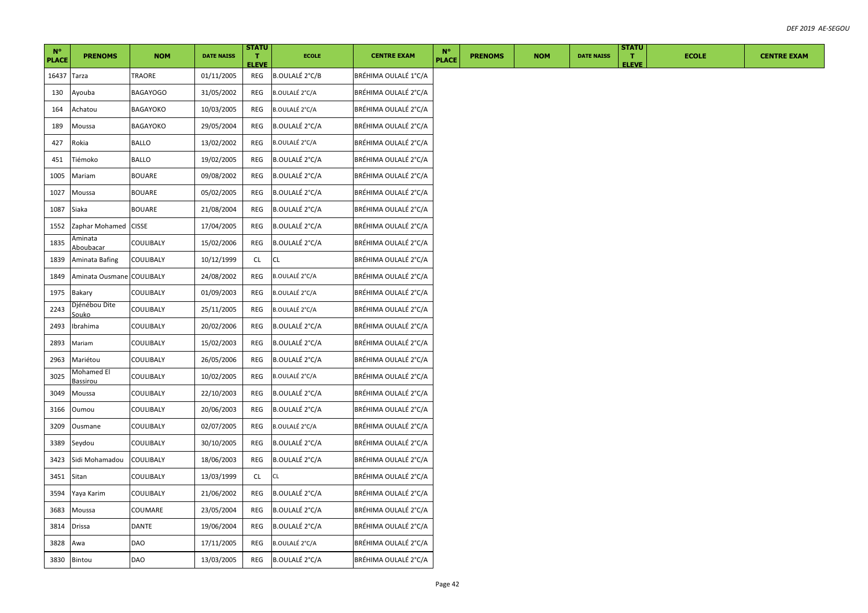| $N^{\circ}$  |                               |                 |                   | <b>STATU</b>       |                       |                      | $N^{\circ}$  |                |            |                   | <b>STATU</b>       |              |
|--------------|-------------------------------|-----------------|-------------------|--------------------|-----------------------|----------------------|--------------|----------------|------------|-------------------|--------------------|--------------|
| <b>PLACE</b> | <b>PRENOMS</b>                | <b>NOM</b>      | <b>DATE NAISS</b> | Π.<br><b>ELEVE</b> | <b>ECOLE</b>          | <b>CENTRE EXAM</b>   | <b>PLACE</b> | <b>PRENOMS</b> | <b>NOM</b> | <b>DATE NAISS</b> | T.<br><b>ELEVE</b> | <b>ECOLE</b> |
| 16437        | Tarza                         | TRAORE          | 01/11/2005        | REG                | <b>B.OULALÉ 2°C/B</b> | BRÉHIMA OULALÉ 1°C/A |              |                |            |                   |                    |              |
| 130          | Ayouba                        | <b>BAGAYOGO</b> | 31/05/2002        | REG                | B.OULALÉ 2°C/A        | BRÉHIMA OULALÉ 2°C/A |              |                |            |                   |                    |              |
| 164          | Achatou                       | BAGAYOKO        | 10/03/2005        | REG                | B.OULALÉ 2°C/A        | BRÉHIMA OULALÉ 2°C/A |              |                |            |                   |                    |              |
| 189          | Moussa                        | BAGAYOKO        | 29/05/2004        | REG                | <b>B.OULALÉ 2°C/A</b> | BRÉHIMA OULALÉ 2°C/A |              |                |            |                   |                    |              |
| 427          | Rokia                         | <b>BALLO</b>    | 13/02/2002        | REG                | <b>B.OULALÉ 2°C/A</b> | BRÉHIMA OULALÉ 2°C/A |              |                |            |                   |                    |              |
| 451          | Tiémoko                       | BALLO           | 19/02/2005        | REG                | B.OULALÉ 2°C/A        | BRÉHIMA OULALÉ 2°C/A |              |                |            |                   |                    |              |
| 1005         | Mariam                        | BOUARE          | 09/08/2002        | REG                | <b>B.OULALÉ 2°C/A</b> | BRÉHIMA OULALÉ 2°C/A |              |                |            |                   |                    |              |
| 1027         | Moussa                        | <b>BOUARE</b>   | 05/02/2005        | REG                | <b>B.OULALÉ 2°C/A</b> | BRÉHIMA OULALÉ 2°C/A |              |                |            |                   |                    |              |
| 1087         | Siaka                         | <b>BOUARE</b>   | 21/08/2004        | REG                | B.OULALÉ 2°C/A        | BRÉHIMA OULALÉ 2°C/A |              |                |            |                   |                    |              |
| 1552         | Zaphar Mohamed CISSE          |                 | 17/04/2005        | REG                | <b>B.OULALÉ 2°C/A</b> | BRÉHIMA OULALÉ 2°C/A |              |                |            |                   |                    |              |
| 1835         | Aminata<br>Aboubacar          | COULIBALY       | 15/02/2006        | REG                | B.OULALÉ 2°C/A        | BRÉHIMA OULALÉ 2°C/A |              |                |            |                   |                    |              |
| 1839         | Aminata Bafing                | COULIBALY       | 10/12/1999        | CL                 | <b>CL</b>             | BRÉHIMA OULALÉ 2°C/A |              |                |            |                   |                    |              |
| 1849         | Aminata Ousmane               | COULIBALY       | 24/08/2002        | <b>REG</b>         | <b>B.OULALÉ 2°C/A</b> | BRÉHIMA OULALÉ 2°C/A |              |                |            |                   |                    |              |
| 1975         | <b>Bakary</b>                 | COULIBALY       | 01/09/2003        | REG                | B.OULALÉ 2°C/A        | BRÉHIMA OULALÉ 2°C/A |              |                |            |                   |                    |              |
| 2243         | Djénébou Dite<br>Souko        | COULIBALY       | 25/11/2005        | REG                | <b>B.OULALÉ 2°C/A</b> | BRÉHIMA OULALÉ 2°C/A |              |                |            |                   |                    |              |
| 2493         | Ibrahima                      | COULIBALY       | 20/02/2006        | REG                | B.OULALÉ 2°C/A        | BRÉHIMA OULALÉ 2°C/A |              |                |            |                   |                    |              |
| 2893         | Mariam                        | COULIBALY       | 15/02/2003        | REG                | <b>B.OULALÉ 2°C/A</b> | BRÉHIMA OULALÉ 2°C/A |              |                |            |                   |                    |              |
| 2963         | Mariétou                      | COULIBALY       | 26/05/2006        | REG                | <b>B.OULALÉ 2°C/A</b> | BRÉHIMA OULALÉ 2°C/A |              |                |            |                   |                    |              |
| 3025         | Mohamed El<br><u>Bassirou</u> | COULIBALY       | 10/02/2005        | REG                | B.OULALÉ 2°C/A        | BRÉHIMA OULALÉ 2°C/A |              |                |            |                   |                    |              |
| 3049         | Moussa                        | COULIBALY       | 22/10/2003        | REG                | B.OULALÉ 2°C/A        | BRÉHIMA OULALÉ 2°C/A |              |                |            |                   |                    |              |
| 3166         | Oumou                         | COULIBALY       | 20/06/2003        | REG                | B.OULALÉ 2°C/A        | BRÉHIMA OULALÉ 2°C/A |              |                |            |                   |                    |              |
| 3209         | Ousmane                       | COULIBALY       | 02/07/2005        | REG                | B.OULALÉ 2°C/A        | BRÉHIMA OULALÉ 2°C/A |              |                |            |                   |                    |              |
| 3389         | Seydou                        | COULIBALY       | 30/10/2005        | REG                | <b>B.OULALÉ 2°C/A</b> | BRÉHIMA OULALÉ 2°C/A |              |                |            |                   |                    |              |
| 3423         | Sidi Mohamadou                | COULIBALY       | 18/06/2003        | REG                | <b>B.OULALÉ 2°C/A</b> | BRÉHIMA OULALÉ 2°C/A |              |                |            |                   |                    |              |
| 3451         | Sitan                         | COULIBALY       | 13/03/1999        | CL.                | CL                    | BRÉHIMA OULALÉ 2°C/A |              |                |            |                   |                    |              |
| 3594         | Yaya Karim                    | COULIBALY       | 21/06/2002        | REG                | <b>B.OULALÉ 2°C/A</b> | BRÉHIMA OULALÉ 2°C/A |              |                |            |                   |                    |              |
| 3683         | Moussa                        | COUMARE         | 23/05/2004        | REG                | <b>B.OULALÉ 2°C/A</b> | BRÉHIMA OULALÉ 2°C/A |              |                |            |                   |                    |              |
| 3814         | Drissa                        | DANTE           | 19/06/2004        | REG                | B.OULALÉ 2°C/A        | BRÉHIMA OULALÉ 2°C/A |              |                |            |                   |                    |              |
| 3828         | Awa                           | DAO             | 17/11/2005        | REG                | B.OULALÉ 2°C/A        | BRÉHIMA OULALÉ 2°C/A |              |                |            |                   |                    |              |
| 3830         | Bintou                        | DAO             | 13/03/2005        | REG                | <b>B.OULALÉ 2°C/A</b> | BRÉHIMA OULALÉ 2°C/A |              |                |            |                   |                    |              |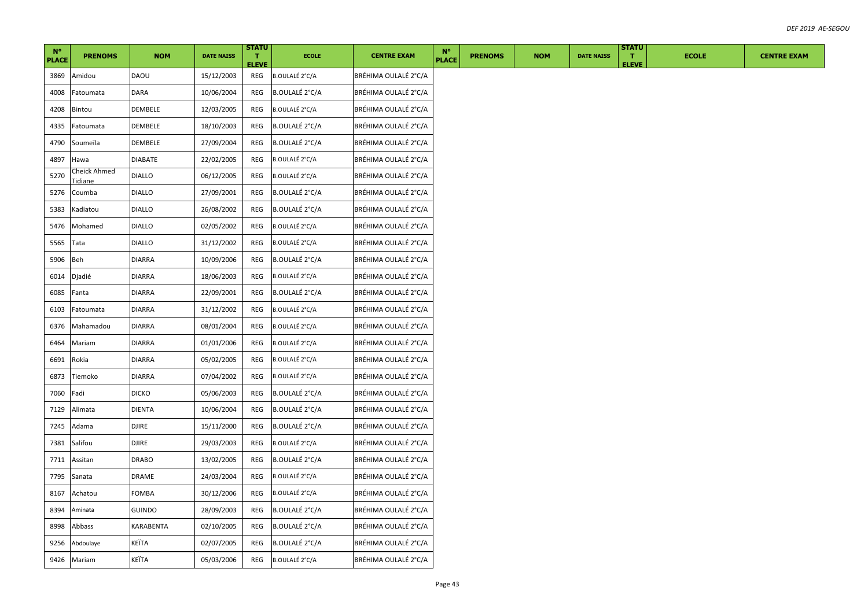| $N^{\circ}$  |                         |               |                   | <b>STATU</b>       |                       |                      | $N^{\circ}$  |                |            |                   | <b>STATU</b>       |              |                    |
|--------------|-------------------------|---------------|-------------------|--------------------|-----------------------|----------------------|--------------|----------------|------------|-------------------|--------------------|--------------|--------------------|
| <b>PLACE</b> | <b>PRENOMS</b>          | <b>NOM</b>    | <b>DATE NAISS</b> | Π.<br><b>ELEVE</b> | <b>ECOLE</b>          | <b>CENTRE EXAM</b>   | <b>PLACE</b> | <b>PRENOMS</b> | <b>NOM</b> | <b>DATE NAISS</b> | T.<br><b>ELEVE</b> | <b>ECOLE</b> | <b>CENTRE EXAM</b> |
| 3869         | Amidou                  | <b>DAOU</b>   | 15/12/2003        | REG                | <b>B.OULALÉ 2°C/A</b> | BRÉHIMA OULALÉ 2°C/A |              |                |            |                   |                    |              |                    |
| 4008         | Fatoumata               | DARA          | 10/06/2004        | REG                | B.OULALÉ 2°C/A        | BRÉHIMA OULALÉ 2°C/A |              |                |            |                   |                    |              |                    |
| 4208         | Bintou                  | DEMBELE       | 12/03/2005        | REG                | B.OULALÉ 2°C/A        | BRÉHIMA OULALÉ 2°C/A |              |                |            |                   |                    |              |                    |
| 4335         | Fatoumata               | DEMBELE       | 18/10/2003        | REG                | <b>B.OULALÉ 2°C/A</b> | BRÉHIMA OULALÉ 2°C/A |              |                |            |                   |                    |              |                    |
| 4790         | Soumeïla                | DEMBELE       | 27/09/2004        | REG                | <b>B.OULALÉ 2°C/A</b> | BRÉHIMA OULALÉ 2°C/A |              |                |            |                   |                    |              |                    |
| 4897         | Hawa                    | DIABATE       | 22/02/2005        | REG                | B.OULALÉ 2°C/A        | BRÉHIMA OULALÉ 2°C/A |              |                |            |                   |                    |              |                    |
| 5270         | Cheick Ahmed<br>Tidiane | <b>DIALLO</b> | 06/12/2005        | REG                | B.OULALÉ 2°C/A        | BRÉHIMA OULALÉ 2°C/A |              |                |            |                   |                    |              |                    |
| 5276         | Coumba                  | <b>DIALLO</b> | 27/09/2001        | REG                | <b>B.OULALÉ 2°C/A</b> | BRÉHIMA OULALÉ 2°C/A |              |                |            |                   |                    |              |                    |
| 5383         | Kadiatou                | <b>DIALLO</b> | 26/08/2002        | REG                | <b>B.OULALÉ 2°C/A</b> | BRÉHIMA OULALÉ 2°C/A |              |                |            |                   |                    |              |                    |
| 5476         | Mohamed                 | <b>DIALLO</b> | 02/05/2002        | REG                | B.OULALÉ 2°C/A        | BRÉHIMA OULALÉ 2°C/A |              |                |            |                   |                    |              |                    |
| 5565         | Tata                    | <b>DIALLO</b> | 31/12/2002        | REG                | B.OULALÉ 2°C/A        | BRÉHIMA OULALÉ 2°C/A |              |                |            |                   |                    |              |                    |
| 5906         | Beh                     | <b>DIARRA</b> | 10/09/2006        | REG                | <b>B.OULALÉ 2°C/A</b> | BRÉHIMA OULALÉ 2°C/A |              |                |            |                   |                    |              |                    |
| 6014         | Djadié                  | <b>DIARRA</b> | 18/06/2003        | REG                | B.OULALÉ 2°C/A        | BRÉHIMA OULALÉ 2°C/A |              |                |            |                   |                    |              |                    |
| 6085         | Fanta                   | <b>DIARRA</b> | 22/09/2001        | REG                | <b>B.OULALÉ 2°C/A</b> | BRÉHIMA OULALÉ 2°C/A |              |                |            |                   |                    |              |                    |
| 6103         | Fatoumata               | DIARRA        | 31/12/2002        | REG                | B.OULALÉ 2°C/A        | BRÉHIMA OULALÉ 2°C/A |              |                |            |                   |                    |              |                    |
| 6376         | Mahamadou               | <b>DIARRA</b> | 08/01/2004        | REG                | <b>B.OULALÉ 2°C/A</b> | BRÉHIMA OULALÉ 2°C/A |              |                |            |                   |                    |              |                    |
| 6464         | Mariam                  | <b>DIARRA</b> | 01/01/2006        | REG                | B.OULALÉ 2°C/A        | BRÉHIMA OULALÉ 2°C/A |              |                |            |                   |                    |              |                    |
| 6691         | Rokia                   | <b>DIARRA</b> | 05/02/2005        | REG                | B.OULALÉ 2°C/A        | BRÉHIMA OULALÉ 2°C/A |              |                |            |                   |                    |              |                    |
| 6873         | Tiemoko                 | <b>DIARRA</b> | 07/04/2002        | REG                | B.OULALÉ 2°C/A        | BRÉHIMA OULALÉ 2°C/A |              |                |            |                   |                    |              |                    |
| 7060         | Fadi                    | <b>DICKO</b>  | 05/06/2003        | REG                | B.OULALÉ 2°C/A        | BRÉHIMA OULALÉ 2°C/A |              |                |            |                   |                    |              |                    |
| 7129         | Alimata                 | DIENTA        | 10/06/2004        | REG                | <b>B.OULALÉ 2°C/A</b> | BRÉHIMA OULALÉ 2°C/A |              |                |            |                   |                    |              |                    |
| 7245         | Adama                   | <b>DJIRE</b>  | 15/11/2000        | REG                | <b>B.OULALÉ 2°C/A</b> | BRÉHIMA OULALÉ 2°C/A |              |                |            |                   |                    |              |                    |
| 7381         | Salifou                 | <b>DJIRE</b>  | 29/03/2003        | <b>REG</b>         | <b>B.OULALÉ 2°C/A</b> | BRÉHIMA OULALÉ 2°C/A |              |                |            |                   |                    |              |                    |
| 7711         | Assitan                 | <b>DRABO</b>  | 13/02/2005        | REG                | B.OULALÉ 2°C/A        | BRÉHIMA OULALÉ 2°C/A |              |                |            |                   |                    |              |                    |
| 7795         | Sanata                  | DRAME         | 24/03/2004        | REG                | <b>B.OULALÉ 2°C/A</b> | BRÉHIMA OULALÉ 2°C/A |              |                |            |                   |                    |              |                    |
| 8167         | Achatou                 | FOMBA         | 30/12/2006        | REG                | <b>B.OULALÉ 2°C/A</b> | BRÉHIMA OULALÉ 2°C/A |              |                |            |                   |                    |              |                    |
| 8394         | Aminata                 | <b>GUINDO</b> | 28/09/2003        | REG                | B.OULALÉ 2°C/A        | BRÉHIMA OULALÉ 2°C/A |              |                |            |                   |                    |              |                    |
| 8998         | Abbass                  | KARABENTA     | 02/10/2005        | REG                | B.OULALÉ 2°C/A        | BRÉHIMA OULALÉ 2°C/A |              |                |            |                   |                    |              |                    |
| 9256         | Abdoulaye               | KEÏTA         | 02/07/2005        | REG                | <b>B.OULALÉ 2°C/A</b> | BRÉHIMA OULALÉ 2°C/A |              |                |            |                   |                    |              |                    |
|              | 9426 Mariam             | KEÏTA         | 05/03/2006        | REG                | <b>B.OULALÉ 2°C/A</b> | BRÉHIMA OULALÉ 2°C/A |              |                |            |                   |                    |              |                    |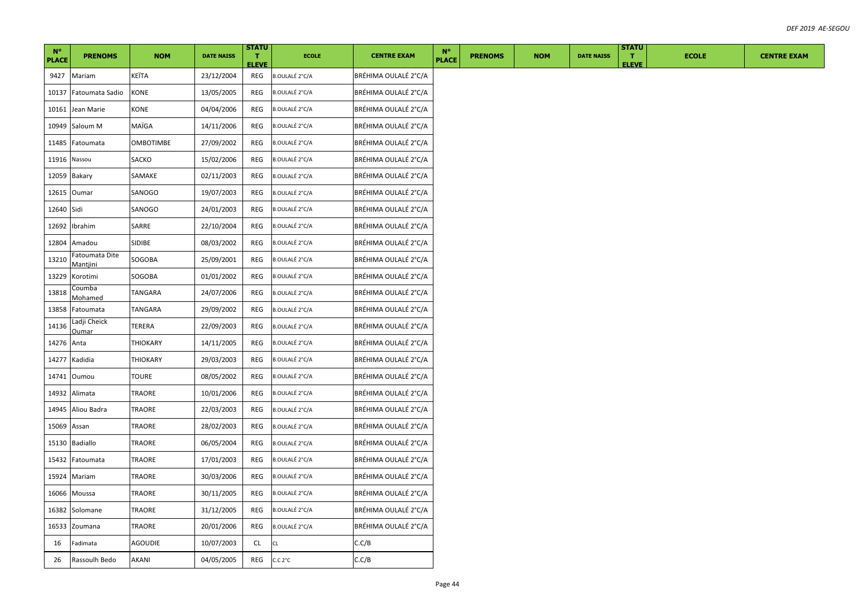| $N^{\circ}$          | <b>PRENOMS</b>             | <b>NOM</b>       | <b>DATE NAISS</b> | <b>STATU</b><br>л.  | <b>ECOLE</b>          | <b>CENTRE EXAM</b>   | $N^{\circ}$<br><b>PLACE</b> | <b>PRENOMS</b> | <b>NOM</b> | <b>DATE NAISS</b> | <b>STATU</b><br>т. | <b>ECOLE</b> | <b>CENTRE EXAM</b> |
|----------------------|----------------------------|------------------|-------------------|---------------------|-----------------------|----------------------|-----------------------------|----------------|------------|-------------------|--------------------|--------------|--------------------|
| <b>PLACE</b><br>9427 | Mariam                     | KEÏTA            | 23/12/2004        | <b>ELEVE</b><br>REG | B.OULALÉ 2°C/A        | BRÉHIMA OULALÉ 2°C/A |                             |                |            |                   | <b>ELEVE</b>       |              |                    |
|                      |                            | KONE             |                   | REG                 |                       | BRÉHIMA OULALÉ 2°C/A |                             |                |            |                   |                    |              |                    |
| 10137                | Fatoumata Sadio            |                  | 13/05/2005        |                     | B.OULALÉ 2°C/A        |                      |                             |                |            |                   |                    |              |                    |
| 10161                | Jean Marie                 | KONE             | 04/04/2006        | REG                 | <b>B.OULALÉ 2°C/A</b> | BRÉHIMA OULALÉ 2°C/A |                             |                |            |                   |                    |              |                    |
| 10949                | Saloum M                   | MAÏGA            | 14/11/2006        | REG                 | B.OULALÉ 2°C/A        | BRÉHIMA OULALÉ 2°C/A |                             |                |            |                   |                    |              |                    |
| 11485                | Fatoumata                  | <b>OMBOTIMBE</b> | 27/09/2002        | REG                 | B.OULALÉ 2°C/A        | BRÉHIMA OULALÉ 2°C/A |                             |                |            |                   |                    |              |                    |
| 11916 Nassou         |                            | SACKO            | 15/02/2006        | REG                 | B.OULALÉ 2°C/A        | BRÉHIMA OULALÉ 2°C/A |                             |                |            |                   |                    |              |                    |
|                      | 12059 Bakary               | SAMAKE           | 02/11/2003        | REG                 | B.OULALÉ 2°C/A        | BRÉHIMA OULALÉ 2°C/A |                             |                |            |                   |                    |              |                    |
| 12615                | Oumar                      | SANOGO           | 19/07/2003        | REG                 | B.OULALÉ 2°C/A        | BRÉHIMA OULALÉ 2°C/A |                             |                |            |                   |                    |              |                    |
| 12640 Sidi           |                            | SANOGO           | 24/01/2003        | REG                 | B.OULALÉ 2°C/A        | BRÉHIMA OULALÉ 2°C/A |                             |                |            |                   |                    |              |                    |
| 12692                | Ibrahim                    | SARRE            | 22/10/2004        | REG                 | B.OULALÉ 2°C/A        | BRÉHIMA OULALÉ 2°C/A |                             |                |            |                   |                    |              |                    |
| 12804                | Amadou                     | SIDIBE           | 08/03/2002        | REG                 | B.OULALÉ 2°C/A        | BRÉHIMA OULALÉ 2°C/A |                             |                |            |                   |                    |              |                    |
| 13210                | Fatoumata Dite<br>Mantjini | SOGOBA           | 25/09/2001        | REG                 | <b>B.OULALÉ 2°C/A</b> | BRÉHIMA OULALÉ 2°C/A |                             |                |            |                   |                    |              |                    |
| 13229                | Korotimi                   | SOGOBA           | 01/01/2002        | REG                 | B.OULALÉ 2°C/A        | BRÉHIMA OULALÉ 2°C/A |                             |                |            |                   |                    |              |                    |
| 13818                | Coumba<br>Mohamed          | TANGARA          | 24/07/2006        | REG                 | B.OULALÉ 2°C/A        | BRÉHIMA OULALÉ 2°C/A |                             |                |            |                   |                    |              |                    |
| 13858                | Fatoumata                  | TANGARA          | 29/09/2002        | REG                 | B.OULALÉ 2°C/A        | BRÉHIMA OULALÉ 2°C/A |                             |                |            |                   |                    |              |                    |
| 14136                | Ladji Cheick<br>Oumar      | TERERA           | 22/09/2003        | REG                 | <b>B.OULALÉ 2°C/A</b> | BRÉHIMA OULALÉ 2°C/A |                             |                |            |                   |                    |              |                    |
| 14276                | Anta                       | THIOKARY         | 14/11/2005        | REG                 | B.OULALÉ 2°C/A        | BRÉHIMA OULALÉ 2°C/A |                             |                |            |                   |                    |              |                    |
| 14277                | Kadidia                    | THIOKARY         | 29/03/2003        | REG                 | B.OULALÉ 2°C/A        | BRÉHIMA OULALÉ 2°C/A |                             |                |            |                   |                    |              |                    |
| 14741                | Oumou                      | <b>TOURE</b>     | 08/05/2002        | REG                 | B.OULALÉ 2°C/A        | BRÉHIMA OULALÉ 2°C/A |                             |                |            |                   |                    |              |                    |
| 14932                | Alimata                    | TRAORE           | 10/01/2006        | REG                 | B.OULALÉ 2°C/A        | BRÉHIMA OULALÉ 2°C/A |                             |                |            |                   |                    |              |                    |
| 14945                | Aliou Badra                | TRAORE           | 22/03/2003        | REG                 | B.OULALÉ 2°C/A        | BRÉHIMA OULALÉ 2°C/A |                             |                |            |                   |                    |              |                    |
| 15069                | Assan                      | TRAORE           | 28/02/2003        | REG                 | B.OULALÉ 2°C/A        | BRÉHIMA OULALÉ 2°C/A |                             |                |            |                   |                    |              |                    |
| 15130                | Badiallo                   | TRAORE           | 06/05/2004        | REG                 | <b>B.OULALÉ 2°C/A</b> | BRÉHIMA OULALÉ 2°C/A |                             |                |            |                   |                    |              |                    |
| 15432                | Fatoumata                  | TRAORE           | 17/01/2003        | REG                 | <b>B.OULALÉ 2°C/A</b> | BRÉHIMA OULALÉ 2°C/A |                             |                |            |                   |                    |              |                    |
| 15924                | Mariam                     | <b>TRAORE</b>    | 30/03/2006        | REG                 | <b>B.OULALÉ 2°C/A</b> | BRÉHIMA OULALÉ 2°C/A |                             |                |            |                   |                    |              |                    |
| 16066                | Moussa                     | TRAORE           | 30/11/2005        | REG                 | <b>B.OULALÉ 2°C/A</b> | BRÉHIMA OULALÉ 2°C/A |                             |                |            |                   |                    |              |                    |
| 16382                | Solomane                   | TRAORE           | 31/12/2005        | REG                 | <b>B.OULALÉ 2°C/A</b> | BRÉHIMA OULALÉ 2°C/A |                             |                |            |                   |                    |              |                    |
| 16533                | Zoumana                    | TRAORE           | 20/01/2006        | REG                 | B.OULALÉ 2°C/A        | BRÉHIMA OULALÉ 2°C/A |                             |                |            |                   |                    |              |                    |
| 16                   | Fadimata                   | <b>AGOUDIE</b>   | 10/07/2003        | CL                  | CL                    | C.C/B                |                             |                |            |                   |                    |              |                    |
| 26                   | Rassoulh Bedo              | AKANI            | 04/05/2005        | REG                 | C.C.2°C               | C.C/B                |                             |                |            |                   |                    |              |                    |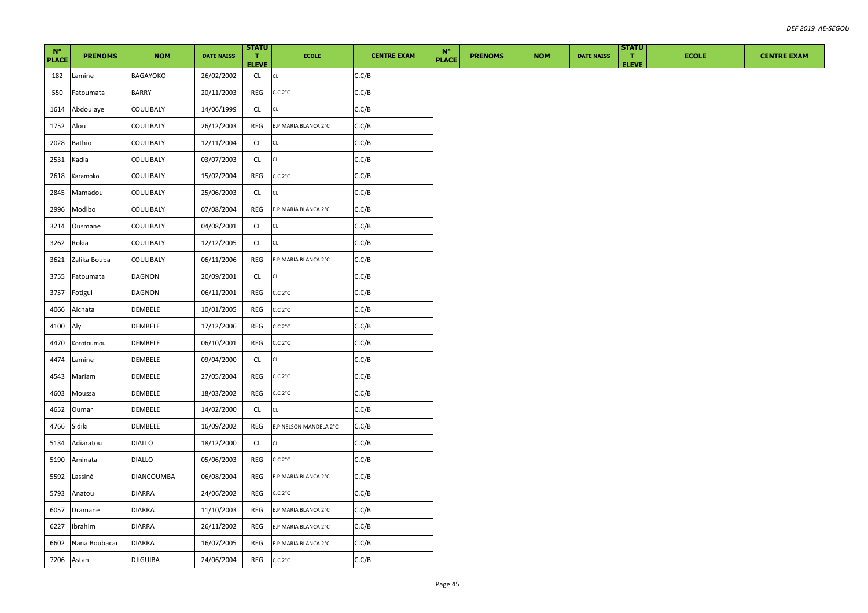| $N^{\circ}$<br><b>PLACE</b> | <b>PRENOMS</b> | <b>NOM</b>        | <b>DATE NAISS</b> | <b>STATU</b><br>ПT .<br><b>ELEVE</b> | <b>ECOLE</b>           | <b>CENTRE EXAM</b> | $N^{\circ}$<br><b>PLACE</b> | <b>PRENOMS</b> | <b>NOM</b> | <b>DATE NAISS</b> | <b>STATU</b><br>л.<br><b>ELEVE</b> | <b>ECOLE</b> | <b>CENTRE EXAM</b> |
|-----------------------------|----------------|-------------------|-------------------|--------------------------------------|------------------------|--------------------|-----------------------------|----------------|------------|-------------------|------------------------------------|--------------|--------------------|
| 182                         | Lamine         | BAGAYOKO          | 26/02/2002        | CL                                   | CL                     | C.C/B              |                             |                |            |                   |                                    |              |                    |
| 550                         | Fatoumata      | <b>BARRY</b>      | 20/11/2003        | REG                                  | C.C.2°C                | C.C/B              |                             |                |            |                   |                                    |              |                    |
| 1614                        | Abdoulaye      | COULIBALY         | 14/06/1999        | <b>CL</b>                            | СL                     | C.C/B              |                             |                |            |                   |                                    |              |                    |
| 1752                        | Alou           | COULIBALY         | 26/12/2003        | REG                                  | E.P MARIA BLANCA 2°C   | C.C/B              |                             |                |            |                   |                                    |              |                    |
| 2028                        | Bathio         | COULIBALY         | 12/11/2004        | CL                                   | СL                     | C.C/B              |                             |                |            |                   |                                    |              |                    |
| 2531                        | Kadia          | COULIBALY         | 03/07/2003        | <b>CL</b>                            | CL                     | C.C/B              |                             |                |            |                   |                                    |              |                    |
| 2618                        | Karamoko       | COULIBALY         | 15/02/2004        | REG                                  | C.C.2°C                | C.C/B              |                             |                |            |                   |                                    |              |                    |
| 2845                        | Mamadou        | COULIBALY         | 25/06/2003        | CL                                   | СL                     | C.C/B              |                             |                |            |                   |                                    |              |                    |
| 2996                        | Modibo         | COULIBALY         | 07/08/2004        | REG                                  | E.P MARIA BLANCA 2°C   | C.C/B              |                             |                |            |                   |                                    |              |                    |
| 3214                        | Ousmane        | COULIBALY         | 04/08/2001        | CL                                   | CL                     | C.C/B              |                             |                |            |                   |                                    |              |                    |
| 3262                        | Rokia          | COULIBALY         | 12/12/2005        | CL                                   | CL                     | C.C/B              |                             |                |            |                   |                                    |              |                    |
| 3621                        | Zalika Bouba   | COULIBALY         | 06/11/2006        | REG                                  | E.P MARIA BLANCA 2°C   | C.C/B              |                             |                |            |                   |                                    |              |                    |
| 3755                        | Fatoumata      | DAGNON            | 20/09/2001        | CL                                   | CL                     | C.C/B              |                             |                |            |                   |                                    |              |                    |
| 3757                        | Fotigui        | DAGNON            | 06/11/2001        | REG                                  | C.C. 2°C               | C.C/B              |                             |                |            |                   |                                    |              |                    |
| 4066                        | Aïchata        | DEMBELE           | 10/01/2005        | REG                                  | C.C. 2°C               | C.C/B              |                             |                |            |                   |                                    |              |                    |
| 4100                        | Aly            | DEMBELE           | 17/12/2006        | REG                                  | C.C. 2°C               | C.C/B              |                             |                |            |                   |                                    |              |                    |
| 4470                        | Korotoumou     | DEMBELE           | 06/10/2001        | REG                                  | C.C. 2°C               | C.C/B              |                             |                |            |                   |                                    |              |                    |
| 4474                        | Lamine         | DEMBELE           | 09/04/2000        | CL                                   | CL                     | C.C/B              |                             |                |            |                   |                                    |              |                    |
| 4543                        | Mariam         | DEMBELE           | 27/05/2004        | REG                                  | C.C. 2°C               | C.C/B              |                             |                |            |                   |                                    |              |                    |
| 4603                        | Moussa         | DEMBELE           | 18/03/2002        | REG                                  | C.C. 2°C               | C.C/B              |                             |                |            |                   |                                    |              |                    |
| 4652                        | Oumar          | DEMBELE           | 14/02/2000        | CL                                   | CL                     | C.C/B              |                             |                |            |                   |                                    |              |                    |
| 4766                        | Sidiki         | DEMBELE           | 16/09/2002        | REG                                  | E.P NELSON MANDELA 2°C | C.C/B              |                             |                |            |                   |                                    |              |                    |
| 5134                        | Adiaratou      | <b>DIALLO</b>     | 18/12/2000        | CL                                   | CL                     | C.C/B              |                             |                |            |                   |                                    |              |                    |
| 5190                        | Aminata        | <b>DIALLO</b>     | 05/06/2003        | REG                                  | C.C.2°C                | C.C/B              |                             |                |            |                   |                                    |              |                    |
| 5592                        | Lassiné        | <b>DIANCOUMBA</b> | 06/08/2004        | REG                                  | E.P MARIA BLANCA 2°C   | C.C/B              |                             |                |            |                   |                                    |              |                    |
| 5793                        | Anatou         | <b>DIARRA</b>     | 24/06/2002        | REG                                  | C.C. 2°C               | C.C/B              |                             |                |            |                   |                                    |              |                    |
| 6057                        | Dramane        | <b>DIARRA</b>     | 11/10/2003        | REG                                  | E.P MARIA BLANCA 2°C   | C.C/B              |                             |                |            |                   |                                    |              |                    |
| 6227                        | Ibrahim        | <b>DIARRA</b>     | 26/11/2002        | REG                                  | E.P MARIA BLANCA 2°C   | C.C/B              |                             |                |            |                   |                                    |              |                    |
| 6602                        | Nana Boubacar  | <b>DIARRA</b>     | 16/07/2005        | REG                                  | E.P MARIA BLANCA 2°C   | C.C/B              |                             |                |            |                   |                                    |              |                    |
| 7206                        | Astan          | <b>DJIGUIBA</b>   | 24/06/2004        | REG                                  | C.C.2°C                | C.C/B              |                             |                |            |                   |                                    |              |                    |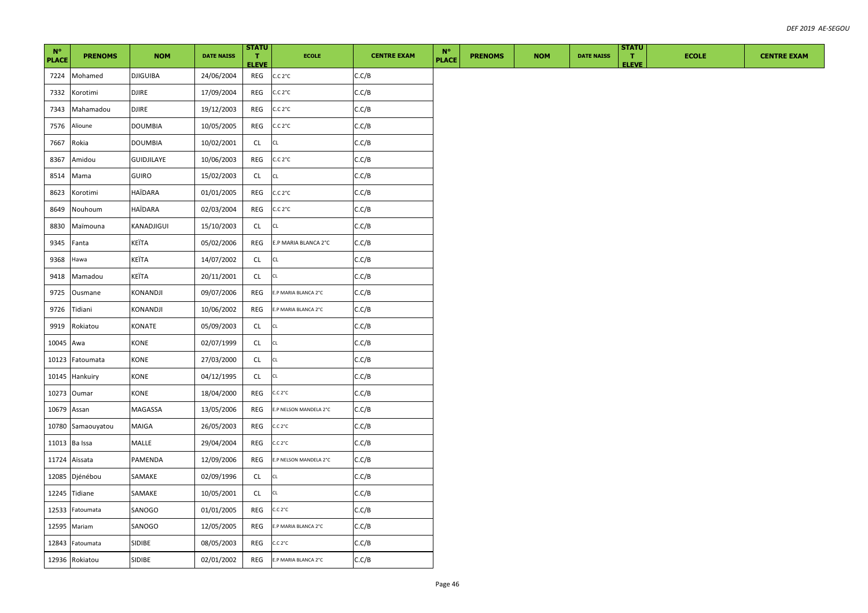| $N^{\circ}$<br><b>PLACE</b> | <b>PRENOMS</b> | <b>NOM</b>      | <b>DATE NAISS</b> | <b>STATU</b><br>ПT .<br><b>ELEVE</b> | <b>ECOLE</b>           | <b>CENTRE EXAM</b> | $N^{\circ}$<br><b>PLACE</b> | <b>PRENOMS</b> | <b>NOM</b> | <b>DATE NAISS</b> | <b>STATU</b><br>П.<br><b>ELEVE</b> | <b>ECOLE</b> | <b>CENTRE EXAM</b> |
|-----------------------------|----------------|-----------------|-------------------|--------------------------------------|------------------------|--------------------|-----------------------------|----------------|------------|-------------------|------------------------------------|--------------|--------------------|
| 7224                        | Mohamed        | <b>DJIGUIBA</b> | 24/06/2004        | REG                                  | C.C.2°C                | C.C/B              |                             |                |            |                   |                                    |              |                    |
| 7332                        | Korotimi       | DJIRE           | 17/09/2004        | REG                                  | C.C.2°C                | C.C/B              |                             |                |            |                   |                                    |              |                    |
| 7343                        | Mahamadou      | DJIRE           | 19/12/2003        | REG                                  | C.C.2°C                | C.C/B              |                             |                |            |                   |                                    |              |                    |
| 7576                        | Alioune        | <b>DOUMBIA</b>  | 10/05/2005        | REG                                  | C.C.2°C                | C.C/B              |                             |                |            |                   |                                    |              |                    |
| 7667                        | Rokia          | <b>DOUMBIA</b>  | 10/02/2001        | CL                                   | CL                     | C.C/B              |                             |                |            |                   |                                    |              |                    |
| 8367                        | Amidou         | GUIDJILAYE      | 10/06/2003        | REG                                  | C.C.2°C                | C.C/B              |                             |                |            |                   |                                    |              |                    |
| 8514                        | Mama           | GUIRO           | 15/02/2003        | CL                                   | CL                     | C.C/B              |                             |                |            |                   |                                    |              |                    |
| 8623                        | Korotimi       | HAÏDARA         | 01/01/2005        | REG                                  | C.C.2°C                | C.C/B              |                             |                |            |                   |                                    |              |                    |
| 8649                        | Nouhoum        | HAÏDARA         | 02/03/2004        | REG                                  | C.C. 2°C               | C.C/B              |                             |                |            |                   |                                    |              |                    |
| 8830                        | Maïmouna       | KANADJIGUI      | 15/10/2003        | CL                                   | CL                     | C.C/B              |                             |                |            |                   |                                    |              |                    |
| 9345                        | Fanta          | KEÏTA           | 05/02/2006        | REG                                  | E.P MARIA BLANCA 2°C   | C.C/B              |                             |                |            |                   |                                    |              |                    |
| 9368                        | Hawa           | KEÏTA           | 14/07/2002        | CL                                   | CL                     | C.C/B              |                             |                |            |                   |                                    |              |                    |
| 9418                        | Mamadou        | KEÏTA           | 20/11/2001        | CL                                   | CL                     | C.C/B              |                             |                |            |                   |                                    |              |                    |
| 9725                        | Ousmane        | KONANDJI        | 09/07/2006        | REG                                  | E.P MARIA BLANCA 2°C   | C.C/B              |                             |                |            |                   |                                    |              |                    |
| 9726                        | Tidiani        | KONANDJI        | 10/06/2002        | REG                                  | E.P MARIA BLANCA 2°C   | C.C/B              |                             |                |            |                   |                                    |              |                    |
| 9919                        | Rokiatou       | KONATE          | 05/09/2003        | CL                                   | CL                     | C.C/B              |                             |                |            |                   |                                    |              |                    |
| 10045                       | Awa            | KONE            | 02/07/1999        | CL                                   | CL                     | C.C/B              |                             |                |            |                   |                                    |              |                    |
| 10123                       | Fatoumata      | KONE            | 27/03/2000        | CL                                   | CL                     | C.C/B              |                             |                |            |                   |                                    |              |                    |
| 10145                       | Hankuiry       | KONE            | 04/12/1995        | CL                                   | CL                     | C.C/B              |                             |                |            |                   |                                    |              |                    |
| 10273                       | Oumar          | KONE            | 18/04/2000        | REG                                  | C.C.2°C                | C.C/B              |                             |                |            |                   |                                    |              |                    |
| 10679                       | Assan          | MAGASSA         | 13/05/2006        | REG                                  | E.P NELSON MANDELA 2°C | C.C/B              |                             |                |            |                   |                                    |              |                    |
| 10780                       | Samaouyatou    | MAIGA           | 26/05/2003        | REG                                  | C.C.2°C                | C.C/B              |                             |                |            |                   |                                    |              |                    |
|                             | 11013 Ba Issa  | MALLE           | 29/04/2004        | REG                                  | C.C.2°C                | C.C/B              |                             |                |            |                   |                                    |              |                    |
| 11724                       | Aïssata        | PAMENDA         | 12/09/2006        | REG                                  | E.P NELSON MANDELA 2°C | C.C/B              |                             |                |            |                   |                                    |              |                    |
| 12085                       | Djénébou       | SAMAKE          | 02/09/1996        | CL                                   | CL                     | C.C/B              |                             |                |            |                   |                                    |              |                    |
| 12245                       | Tidiane        | SAMAKE          | 10/05/2001        | CL                                   | CL                     | C.C/B              |                             |                |            |                   |                                    |              |                    |
| 12533                       | Fatoumata      | SANOGO          | 01/01/2005        | REG                                  | C.C.2°C                | C.C/B              |                             |                |            |                   |                                    |              |                    |
| 12595                       | Mariam         | SANOGO          | 12/05/2005        | REG                                  | E.P MARIA BLANCA 2°C   | C.C/B              |                             |                |            |                   |                                    |              |                    |
| 12843                       | Fatoumata      | SIDIBE          | 08/05/2003        | REG                                  | C.C.2°C                | C.C/B              |                             |                |            |                   |                                    |              |                    |
|                             | 12936 Rokiatou | <b>SIDIBE</b>   | 02/01/2002        | REG                                  | E.P MARIA BLANCA 2°C   | C.C/B              |                             |                |            |                   |                                    |              |                    |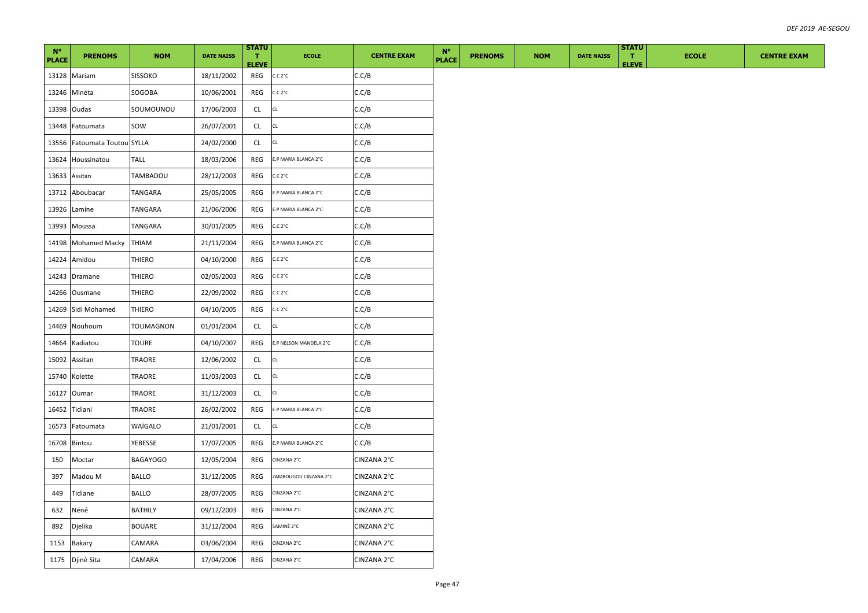| $N^{\circ}$<br><b>PLACE</b> | <b>PRENOMS</b>         | <b>NOM</b>      | <b>DATE NAISS</b> | <b>STATU</b><br>Π.<br><b>ELEVE</b> | <b>ECOLE</b>           | <b>CENTRE EXAM</b> | $N^{\circ}$<br><b>PLACE</b> | <b>PRENOMS</b> | <b>NOM</b> | <b>DATE NAISS</b> | <b>STATU</b><br>$\mathbf{T}$<br><b>ELEVE</b> | <b>ECOLE</b> | <b>CENTRE EXAM</b> |
|-----------------------------|------------------------|-----------------|-------------------|------------------------------------|------------------------|--------------------|-----------------------------|----------------|------------|-------------------|----------------------------------------------|--------------|--------------------|
|                             | 13128 Mariam           | <b>SISSOKO</b>  | 18/11/2002        | REG                                | C.C.2°C                | C.C/B              |                             |                |            |                   |                                              |              |                    |
| 13246                       | Minéta                 | SOGOBA          | 10/06/2001        | REG                                | C.C.2°C                | C.C/B              |                             |                |            |                   |                                              |              |                    |
| 13398                       | Oudas                  | SOUMOUNOU       | 17/06/2003        | CL                                 | CL                     | C.C/B              |                             |                |            |                   |                                              |              |                    |
| 13448                       | Fatoumata              | sow             | 26/07/2001        | CL                                 | CL                     | C.C/B              |                             |                |            |                   |                                              |              |                    |
| 13556                       | Fatoumata Toutou SYLLA |                 | 24/02/2000        | CL                                 | CL                     | C.C/B              |                             |                |            |                   |                                              |              |                    |
| 13624                       | Houssinatou            | TALL            | 18/03/2006        | REG                                | E.P MARIA BLANCA 2°C   | C.C/B              |                             |                |            |                   |                                              |              |                    |
| 13633                       | Assitan                | TAMBADOU        | 28/12/2003        | REG                                | C.C. 2°C               | C.C/B              |                             |                |            |                   |                                              |              |                    |
|                             | 13712 Aboubacar        | TANGARA         | 25/05/2005        | REG                                | E.P MARIA BLANCA 2°C   | C.C/B              |                             |                |            |                   |                                              |              |                    |
| 13926                       | Lamine                 | TANGARA         | 21/06/2006        | REG                                | E.P MARIA BLANCA 2°C   | C.C/B              |                             |                |            |                   |                                              |              |                    |
|                             | 13993 Moussa           | TANGARA         | 30/01/2005        | REG                                | C.C.2°C                | C.C/B              |                             |                |            |                   |                                              |              |                    |
| 14198                       | Mohamed Macky          | <b>THIAM</b>    | 21/11/2004        | REG                                | E.P MARIA BLANCA 2°C   | C.C/B              |                             |                |            |                   |                                              |              |                    |
| 14224                       | Amidou                 | THIERO          | 04/10/2000        | REG                                | C.C.2°C                | C.C/B              |                             |                |            |                   |                                              |              |                    |
| 14243                       | Dramane                | THIERO          | 02/05/2003        | REG                                | C.C.2°C                | C.C/B              |                             |                |            |                   |                                              |              |                    |
|                             | 14266 Ousmane          | THIERO          | 22/09/2002        | REG                                | C.C.2°C                | C.C/B              |                             |                |            |                   |                                              |              |                    |
| 14269                       | Sidi Mohamed           | THIERO          | 04/10/2005        | REG                                | C.C.2°C                | C.C/B              |                             |                |            |                   |                                              |              |                    |
| 14469                       | Nouhoum                | TOUMAGNON       | 01/01/2004        | CL                                 | CL                     | C.C/B              |                             |                |            |                   |                                              |              |                    |
| 14664                       | Kadiatou               | <b>TOURE</b>    | 04/10/2007        | REG                                | E.P NELSON MANDELA 2°C | C.C/B              |                             |                |            |                   |                                              |              |                    |
| 15092                       | Assitan                | TRAORE          | 12/06/2002        | CL                                 | CL                     | C.C/B              |                             |                |            |                   |                                              |              |                    |
| 15740                       | Kolette                | TRAORE          | 11/03/2003        | CL                                 | CL                     | C.C/B              |                             |                |            |                   |                                              |              |                    |
| 16127                       | Oumar                  | TRAORE          | 31/12/2003        | CL.                                | CL                     | C.C/B              |                             |                |            |                   |                                              |              |                    |
| 16452                       | Tidiani                | TRAORE          | 26/02/2002        | REG                                | E.P MARIA BLANCA 2°C   | C.C/B              |                             |                |            |                   |                                              |              |                    |
| 16573                       | Fatoumata              | WAÏGALO         | 21/01/2001        | CL                                 | CL                     | C.C/B              |                             |                |            |                   |                                              |              |                    |
| 16708                       | Bintou                 | YEBESSE         | 17/07/2005        | REG                                | E.P MARIA BLANCA 2°C   | C.C/B              |                             |                |            |                   |                                              |              |                    |
| 150                         | Moctar                 | <b>BAGAYOGO</b> | 12/05/2004        | REG                                | CINZANA 2°C            | CINZANA 2°C        |                             |                |            |                   |                                              |              |                    |
| 397                         | Madou M                | BALLO           | 31/12/2005        | REG                                | ZAMBOUGOU CINZANA 2°C  | CINZANA 2°C        |                             |                |            |                   |                                              |              |                    |
| 449                         | Tidiane                | BALLO           | 28/07/2005        | REG                                | CINZANA 2°C            | CINZANA 2°C        |                             |                |            |                   |                                              |              |                    |
| 632                         | Néné                   | <b>BATHILY</b>  | 09/12/2003        | REG                                | CINZANA 2°C            | CINZANA 2°C        |                             |                |            |                   |                                              |              |                    |
| 892                         | Djelika                | <b>BOUARE</b>   | 31/12/2004        | REG                                | SAMINÈ 2°C             | CINZANA 2°C        |                             |                |            |                   |                                              |              |                    |
| 1153                        | <b>Bakary</b>          | CAMARA          | 03/06/2004        | REG                                | CINZANA 2°C            | CINZANA 2°C        |                             |                |            |                   |                                              |              |                    |
| 1175                        | Djinè Sita             | CAMARA          | 17/04/2006        | REG                                | CINZANA 2°C            | CINZANA 2°C        |                             |                |            |                   |                                              |              |                    |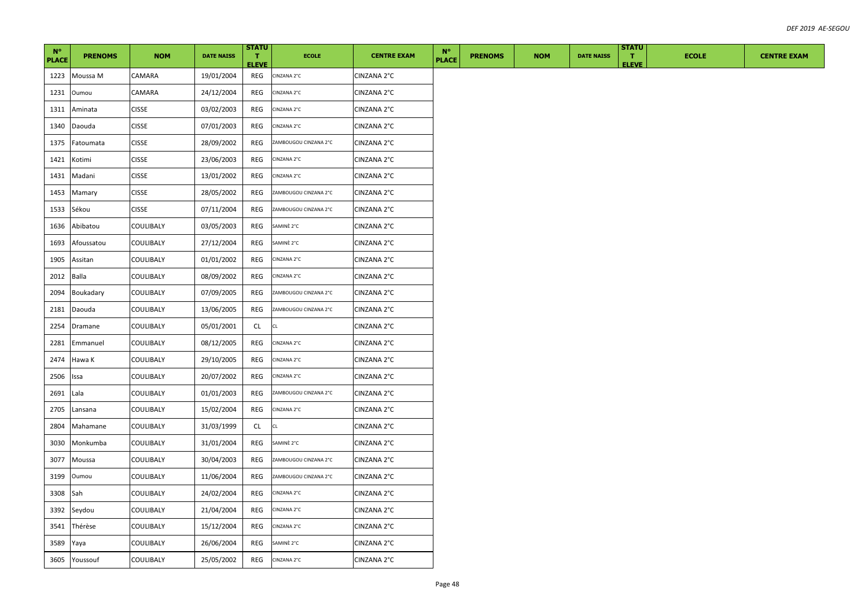| $N^{\circ}$<br><b>PLACE</b> | <b>PRENOMS</b> | <b>NOM</b>       | <b>DATE NAISS</b> | <b>STATU</b><br>T.<br><b>ELEVE</b> | <b>ECOLE</b>          | <b>CENTRE EXAM</b> | $N^{\circ}$<br><b>PLACE</b> | <b>PRENOMS</b> | <b>NOM</b> | <b>DATE NAISS</b> | <b>STATU</b><br>$\mathbf{T}$<br><b>ELEVE</b> | <b>ECOLE</b> | <b>CENTRE EXAM</b> |
|-----------------------------|----------------|------------------|-------------------|------------------------------------|-----------------------|--------------------|-----------------------------|----------------|------------|-------------------|----------------------------------------------|--------------|--------------------|
| 1223                        | Moussa M       | CAMARA           | 19/01/2004        | REG                                | CINZANA 2°C           | CINZANA 2°C        |                             |                |            |                   |                                              |              |                    |
| 1231                        | Oumou          | CAMARA           | 24/12/2004        | REG                                | CINZANA 2°C           | CINZANA 2°C        |                             |                |            |                   |                                              |              |                    |
| 1311                        | Aminata        | <b>CISSE</b>     | 03/02/2003        | REG                                | CINZANA 2°C           | CINZANA 2°C        |                             |                |            |                   |                                              |              |                    |
| 1340                        | Daouda         | <b>CISSE</b>     | 07/01/2003        | REG                                | CINZANA 2°C           | CINZANA 2°C        |                             |                |            |                   |                                              |              |                    |
| 1375                        | Fatoumata      | <b>CISSE</b>     | 28/09/2002        | REG                                | ZAMBOUGOU CINZANA 2°C | CINZANA 2°C        |                             |                |            |                   |                                              |              |                    |
| 1421                        | Kotimi         | <b>CISSE</b>     | 23/06/2003        | REG                                | CINZANA 2°C           | CINZANA 2°C        |                             |                |            |                   |                                              |              |                    |
| 1431                        | Madani         | <b>CISSE</b>     | 13/01/2002        | REG                                | CINZANA 2°C           | CINZANA 2°C        |                             |                |            |                   |                                              |              |                    |
| 1453                        | Mamary         | <b>CISSE</b>     | 28/05/2002        | REG                                | ZAMBOUGOU CINZANA 2°C | CINZANA 2°C        |                             |                |            |                   |                                              |              |                    |
| 1533                        | Sékou          | <b>CISSE</b>     | 07/11/2004        | REG                                | ZAMBOUGOU CINZANA 2°C | CINZANA 2°C        |                             |                |            |                   |                                              |              |                    |
| 1636                        | Abibatou       | COULIBALY        | 03/05/2003        | REG                                | SAMINÈ 2°C            | CINZANA 2°C        |                             |                |            |                   |                                              |              |                    |
| 1693                        | Afoussatou     | COULIBALY        | 27/12/2004        | REG                                | SAMINÈ 2°C            | CINZANA 2°C        |                             |                |            |                   |                                              |              |                    |
| 1905                        | Assitan        | COULIBALY        | 01/01/2002        | REG                                | CINZANA 2°C           | CINZANA 2°C        |                             |                |            |                   |                                              |              |                    |
| 2012                        | Balla          | COULIBALY        | 08/09/2002        | REG                                | CINZANA 2°C           | CINZANA 2°C        |                             |                |            |                   |                                              |              |                    |
| 2094                        | Boukadary      | COULIBALY        | 07/09/2005        | REG                                | ZAMBOUGOU CINZANA 2°C | CINZANA 2°C        |                             |                |            |                   |                                              |              |                    |
| 2181                        | Daouda         | COULIBALY        | 13/06/2005        | REG                                | ZAMBOUGOU CINZANA 2°C | CINZANA 2°C        |                             |                |            |                   |                                              |              |                    |
| 2254                        | Dramane        | COULIBALY        | 05/01/2001        | CL                                 | CL                    | CINZANA 2°C        |                             |                |            |                   |                                              |              |                    |
| 2281                        | Emmanuel       | COULIBALY        | 08/12/2005        | REG                                | CINZANA 2°C           | CINZANA 2°C        |                             |                |            |                   |                                              |              |                    |
| 2474                        | Hawa K         | COULIBALY        | 29/10/2005        | REG                                | CINZANA 2°C           | CINZANA 2°C        |                             |                |            |                   |                                              |              |                    |
| 2506                        | Issa           | <b>COULIBALY</b> | 20/07/2002        | REG                                | CINZANA 2°C           | CINZANA 2°C        |                             |                |            |                   |                                              |              |                    |
| 2691                        | Lala           | COULIBALY        | 01/01/2003        | REG                                | ZAMBOUGOU CINZANA 2°C | CINZANA 2°C        |                             |                |            |                   |                                              |              |                    |
| 2705                        | Lansana        | COULIBALY        | 15/02/2004        | REG                                | CINZANA 2°C           | CINZANA 2°C        |                             |                |            |                   |                                              |              |                    |
| 2804                        | Mahamane       | COULIBALY        | 31/03/1999        | CL                                 | CL                    | CINZANA 2°C        |                             |                |            |                   |                                              |              |                    |
| 3030                        | Monkumba       | COULIBALY        | 31/01/2004        | REG                                | SAMINÈ 2°C            | CINZANA 2°C        |                             |                |            |                   |                                              |              |                    |
| 3077                        | Moussa         | COULIBALY        | 30/04/2003        | REG                                | ZAMBOUGOU CINZANA 2°C | CINZANA 2°C        |                             |                |            |                   |                                              |              |                    |
| 3199                        | Oumou          | COULIBALY        | 11/06/2004        | REG                                | ZAMBOUGOU CINZANA 2°C | CINZANA 2°C        |                             |                |            |                   |                                              |              |                    |
| 3308                        | Sah            | COULIBALY        | 24/02/2004        | REG                                | CINZANA 2°C           | CINZANA 2°C        |                             |                |            |                   |                                              |              |                    |
| 3392                        | Seydou         | COULIBALY        | 21/04/2004        | REG                                | CINZANA 2°C           | CINZANA 2°C        |                             |                |            |                   |                                              |              |                    |
| 3541                        | Thérèse        | COULIBALY        | 15/12/2004        | REG                                | CINZANA 2°C           | CINZANA 2°C        |                             |                |            |                   |                                              |              |                    |
| 3589                        | Yaya           | COULIBALY        | 26/06/2004        | REG                                | SAMINÈ 2°C            | CINZANA 2°C        |                             |                |            |                   |                                              |              |                    |
| 3605                        | Youssouf       | <b>COULIBALY</b> | 25/05/2002        | REG                                | CINZANA 2°C           | CINZANA 2°C        |                             |                |            |                   |                                              |              |                    |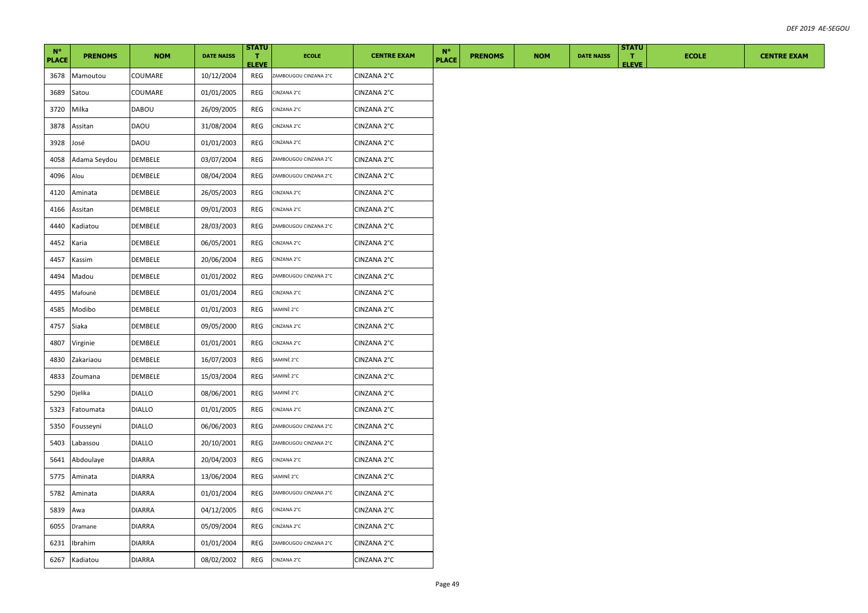| $N^{\circ}$<br><b>PLACE</b> | <b>PRENOMS</b> | <b>NOM</b>     | <b>DATE NAISS</b> | <b>STATU</b><br>T.<br><b>ELEVE</b> | <b>ECOLE</b>          | <b>CENTRE EXAM</b> | $N^{\circ}$<br><b>PLACE</b> | <b>PRENOMS</b> | <b>NOM</b> | <b>DATE NAISS</b> | <b>STATU</b><br>Π.<br><b>ELEVE</b> | <b>ECOLE</b> | <b>CENTRE EXAM</b> |
|-----------------------------|----------------|----------------|-------------------|------------------------------------|-----------------------|--------------------|-----------------------------|----------------|------------|-------------------|------------------------------------|--------------|--------------------|
| 3678                        | Mamoutou       | COUMARE        | 10/12/2004        | REG                                | ZAMBOUGOU CINZANA 2°C | CINZANA 2°C        |                             |                |            |                   |                                    |              |                    |
| 3689                        | Satou          | COUMARE        | 01/01/2005        | REG                                | CINZANA 2°C           | CINZANA 2°C        |                             |                |            |                   |                                    |              |                    |
| 3720                        | Milka          | DABOU          | 26/09/2005        | REG                                | CINZANA 2°C           | CINZANA 2°C        |                             |                |            |                   |                                    |              |                    |
| 3878                        | Assitan        | DAOU           | 31/08/2004        | REG                                | CINZANA 2°C           | CINZANA 2°C        |                             |                |            |                   |                                    |              |                    |
| 3928                        | José           | DAOU           | 01/01/2003        | REG                                | CINZANA 2°C           | CINZANA 2°C        |                             |                |            |                   |                                    |              |                    |
| 4058                        | Adama Seydou   | <b>DEMBELE</b> | 03/07/2004        | REG                                | ZAMBOUGOU CINZANA 2°C | CINZANA 2°C        |                             |                |            |                   |                                    |              |                    |
| 4096                        | Alou           | DEMBELE        | 08/04/2004        | REG                                | ZAMBOUGOU CINZANA 2°C | CINZANA 2°C        |                             |                |            |                   |                                    |              |                    |
| 4120                        | Aminata        | DEMBELE        | 26/05/2003        | REG                                | CINZANA 2°C           | CINZANA 2°C        |                             |                |            |                   |                                    |              |                    |
| 4166                        | Assitan        | DEMBELE        | 09/01/2003        | REG                                | CINZANA 2°C           | CINZANA 2°C        |                             |                |            |                   |                                    |              |                    |
| 4440                        | Kadiatou       | <b>DEMBELE</b> | 28/03/2003        | REG                                | ZAMBOUGOU CINZANA 2°C | CINZANA 2°C        |                             |                |            |                   |                                    |              |                    |
| 4452                        | Karia          | DEMBELE        | 06/05/2001        | REG                                | CINZANA 2°C           | CINZANA 2°C        |                             |                |            |                   |                                    |              |                    |
| 4457                        | Kassim         | DEMBELE        | 20/06/2004        | REG                                | CINZANA 2°C           | CINZANA 2°C        |                             |                |            |                   |                                    |              |                    |
| 4494                        | Madou          | DEMBELE        | 01/01/2002        | REG                                | ZAMBOUGOU CINZANA 2°C | CINZANA 2°C        |                             |                |            |                   |                                    |              |                    |
| 4495                        | Mafounè        | DEMBELE        | 01/01/2004        | REG                                | CINZANA 2°C           | CINZANA 2°C        |                             |                |            |                   |                                    |              |                    |
| 4585                        | Modibo         | DEMBELE        | 01/01/2003        | REG                                | SAMINÈ 2°C            | CINZANA 2°C        |                             |                |            |                   |                                    |              |                    |
| 4757                        | Siaka          | DEMBELE        | 09/05/2000        | REG                                | CINZANA 2°C           | CINZANA 2°C        |                             |                |            |                   |                                    |              |                    |
| 4807                        | Virginie       | DEMBELE        | 01/01/2001        | REG                                | CINZANA 2°C           | CINZANA 2°C        |                             |                |            |                   |                                    |              |                    |
| 4830                        | Zakariaou      | DEMBELE        | 16/07/2003        | REG                                | SAMINÈ 2°C            | CINZANA 2°C        |                             |                |            |                   |                                    |              |                    |
| 4833                        | Zoumana        | <b>DEMBELE</b> | 15/03/2004        | REG                                | SAMINÈ 2°C            | CINZANA 2°C        |                             |                |            |                   |                                    |              |                    |
| 5290                        | Djelika        | <b>DIALLO</b>  | 08/06/2001        | REG                                | SAMINÈ 2°C            | CINZANA 2°C        |                             |                |            |                   |                                    |              |                    |
| 5323                        | Fatoumata      | <b>DIALLO</b>  | 01/01/2005        | REG                                | CINZANA 2°C           | CINZANA 2°C        |                             |                |            |                   |                                    |              |                    |
| 5350                        | Fousseyni      | <b>DIALLO</b>  | 06/06/2003        | REG                                | ZAMBOUGOU CINZANA 2°C | CINZANA 2°C        |                             |                |            |                   |                                    |              |                    |
| 5403                        | Labassou       | <b>DIALLO</b>  | 20/10/2001        | REG                                | ZAMBOUGOU CINZANA 2°C | CINZANA 2°C        |                             |                |            |                   |                                    |              |                    |
| 5641                        | Abdoulaye      | <b>DIARRA</b>  | 20/04/2003        | REG                                | CINZANA 2°C           | CINZANA 2°C        |                             |                |            |                   |                                    |              |                    |
| 5775                        | Aminata        | <b>DIARRA</b>  | 13/06/2004        | REG                                | SAMINÈ 2°C            | CINZANA 2°C        |                             |                |            |                   |                                    |              |                    |
| 5782                        | Aminata        | <b>DIARRA</b>  | 01/01/2004        | REG                                | ZAMBOUGOU CINZANA 2°C | CINZANA 2°C        |                             |                |            |                   |                                    |              |                    |
| 5839                        | Awa            | <b>DIARRA</b>  | 04/12/2005        | REG                                | CINZANA 2°C           | CINZANA 2°C        |                             |                |            |                   |                                    |              |                    |
| 6055                        | Dramane        | <b>DIARRA</b>  | 05/09/2004        | REG                                | CINZANA 2°C           | CINZANA 2°C        |                             |                |            |                   |                                    |              |                    |
| 6231                        | Ibrahim        | <b>DIARRA</b>  | 01/01/2004        | REG                                | ZAMBOUGOU CINZANA 2°C | CINZANA 2°C        |                             |                |            |                   |                                    |              |                    |
| 6267                        | Kadiatou       | <b>DIARRA</b>  | 08/02/2002        | REG                                | CINZANA 2°C           | CINZANA 2°C        |                             |                |            |                   |                                    |              |                    |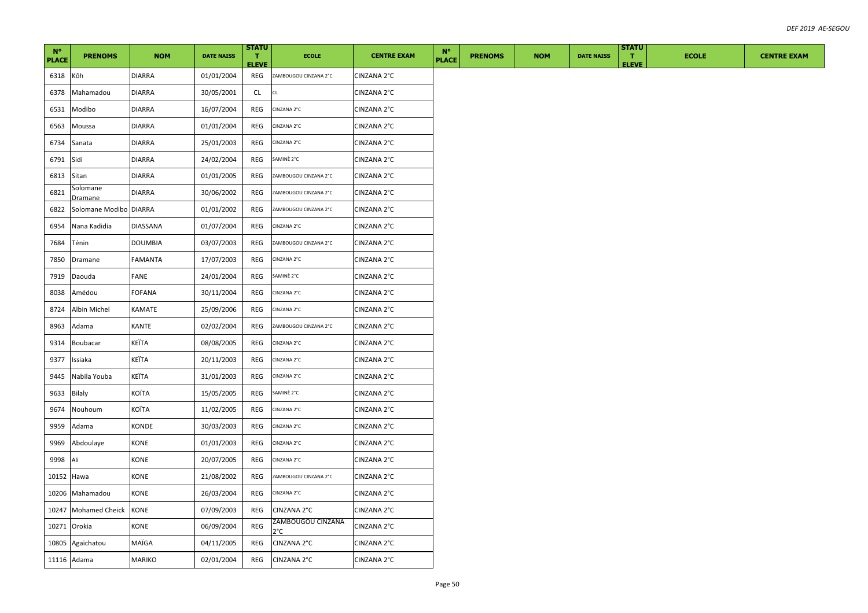| $N^{\circ}$<br><b>PLACE</b> | <b>PRENOMS</b>             | <b>NOM</b>      | <b>DATE NAISS</b> | <b>STATU</b><br>T.<br><b>ELEVE</b> | <b>ECOLE</b>             | <b>CENTRE EXAM</b> | $N^{\circ}$<br><b>PLACE</b> | <b>PRENOMS</b> | <b>NOM</b> | <b>DATE NAISS</b> | <b>STATU</b><br>$\mathbf{T}$<br><b>ELEVE</b> | <b>ECOLE</b> | <b>CENTRE EXAM</b> |
|-----------------------------|----------------------------|-----------------|-------------------|------------------------------------|--------------------------|--------------------|-----------------------------|----------------|------------|-------------------|----------------------------------------------|--------------|--------------------|
| 6318                        | Kôh                        | <b>DIARRA</b>   | 01/01/2004        | REG                                | ZAMBOUGOU CINZANA 2°C    | CINZANA 2°C        |                             |                |            |                   |                                              |              |                    |
| 6378                        | Mahamadou                  | <b>DIARRA</b>   | 30/05/2001        | CL                                 | <b>CL</b>                | CINZANA 2°C        |                             |                |            |                   |                                              |              |                    |
| 6531                        | Modibo                     | <b>DIARRA</b>   | 16/07/2004        | REG                                | CINZANA 2°C              | CINZANA 2°C        |                             |                |            |                   |                                              |              |                    |
| 6563                        | Moussa                     | <b>DIARRA</b>   | 01/01/2004        | REG                                | CINZANA 2°C              | CINZANA 2°C        |                             |                |            |                   |                                              |              |                    |
| 6734                        | Sanata                     | <b>DIARRA</b>   | 25/01/2003        | REG                                | CINZANA 2°C              | CINZANA 2°C        |                             |                |            |                   |                                              |              |                    |
| 6791                        | Sidi                       | <b>DIARRA</b>   | 24/02/2004        | REG                                | SAMINÈ 2°C               | CINZANA 2°C        |                             |                |            |                   |                                              |              |                    |
| 6813                        | Sitan                      | <b>DIARRA</b>   | 01/01/2005        | REG                                | ZAMBOUGOU CINZANA 2°C    | CINZANA 2°C        |                             |                |            |                   |                                              |              |                    |
| 6821                        | Solomane<br><u>Dramane</u> | <b>DIARRA</b>   | 30/06/2002        | REG                                | ZAMBOUGOU CINZANA 2°C    | CINZANA 2°C        |                             |                |            |                   |                                              |              |                    |
| 6822                        | Solomane Modibo DIARRA     |                 | 01/01/2002        | REG                                | ZAMBOUGOU CINZANA 2°C    | CINZANA 2°C        |                             |                |            |                   |                                              |              |                    |
| 6954                        | Nana Kadidia               | <b>DIASSANA</b> | 01/07/2004        | REG                                | CINZANA 2°C              | CINZANA 2°C        |                             |                |            |                   |                                              |              |                    |
| 7684                        | Ténin                      | <b>DOUMBIA</b>  | 03/07/2003        | REG                                | ZAMBOUGOU CINZANA 2°C    | CINZANA 2°C        |                             |                |            |                   |                                              |              |                    |
| 7850                        | Dramane                    | <b>FAMANTA</b>  | 17/07/2003        | REG                                | CINZANA 2°C              | CINZANA 2°C        |                             |                |            |                   |                                              |              |                    |
| 7919                        | Daouda                     | FANE            | 24/01/2004        | REG                                | SAMINÈ 2°C               | CINZANA 2°C        |                             |                |            |                   |                                              |              |                    |
| 8038                        | Amédou                     | <b>FOFANA</b>   | 30/11/2004        | REG                                | CINZANA 2°C              | CINZANA 2°C        |                             |                |            |                   |                                              |              |                    |
| 8724                        | Albin Michel               | KAMATE          | 25/09/2006        | REG                                | CINZANA 2°C              | CINZANA 2°C        |                             |                |            |                   |                                              |              |                    |
| 8963                        | Adama                      | KANTE           | 02/02/2004        | REG                                | ZAMBOUGOU CINZANA 2°C    | CINZANA 2°C        |                             |                |            |                   |                                              |              |                    |
| 9314                        | <b>Boubacar</b>            | KEÏTA           | 08/08/2005        | REG                                | CINZANA 2°C              | CINZANA 2°C        |                             |                |            |                   |                                              |              |                    |
| 9377                        | Issiaka                    | KEÏTA           | 20/11/2003        | REG                                | CINZANA 2°C              | CINZANA 2°C        |                             |                |            |                   |                                              |              |                    |
| 9445                        | Nabila Youba               | KEÏTA           | 31/01/2003        | REG                                | CINZANA 2°C              | CINZANA 2°C        |                             |                |            |                   |                                              |              |                    |
| 9633                        | <b>Bilaly</b>              | <b>KOÏTA</b>    | 15/05/2005        | REG                                | SAMINÈ 2°C               | CINZANA 2°C        |                             |                |            |                   |                                              |              |                    |
| 9674                        | Nouhoum                    | KOÏTA           | 11/02/2005        | REG                                | CINZANA 2°C              | CINZANA 2°C        |                             |                |            |                   |                                              |              |                    |
| 9959                        | Adama                      | KONDE           | 30/03/2003        | REG                                | CINZANA 2°C              | CINZANA 2°C        |                             |                |            |                   |                                              |              |                    |
| 9969                        | Abdoulaye                  | KONE            | 01/01/2003        | REG                                | CINZANA 2°C              | CINZANA 2°C        |                             |                |            |                   |                                              |              |                    |
| 9998                        | Ali                        | KONE            | 20/07/2005        | REG                                | CINZANA 2°C              | CINZANA 2°C        |                             |                |            |                   |                                              |              |                    |
| 10152                       | Hawa                       | KONE            | 21/08/2002        | REG                                | ZAMBOUGOU CINZANA 2°C    | CINZANA 2°C        |                             |                |            |                   |                                              |              |                    |
| 10206                       | Mahamadou                  | KONE            | 26/03/2004        | REG                                | CINZANA 2°C              | CINZANA 2°C        |                             |                |            |                   |                                              |              |                    |
| 10247                       | <b>Mohamed Cheick</b>      | KONE            | 07/09/2003        | REG                                | CINZANA 2°C              | CINZANA 2°C        |                             |                |            |                   |                                              |              |                    |
| 10271                       | Orokia                     | KONE            | 06/09/2004        | REG                                | ZAMBOUGOU CINZANA<br>P°C | CINZANA 2°C        |                             |                |            |                   |                                              |              |                    |
|                             | 10805 Agaïchatou           | MAÏGA           | 04/11/2005        | REG                                | CINZANA 2°C              | CINZANA 2°C        |                             |                |            |                   |                                              |              |                    |
|                             | 11116 Adama                | <b>MARIKO</b>   | 02/01/2004        | REG                                | CINZANA 2°C              | CINZANA 2°C        |                             |                |            |                   |                                              |              |                    |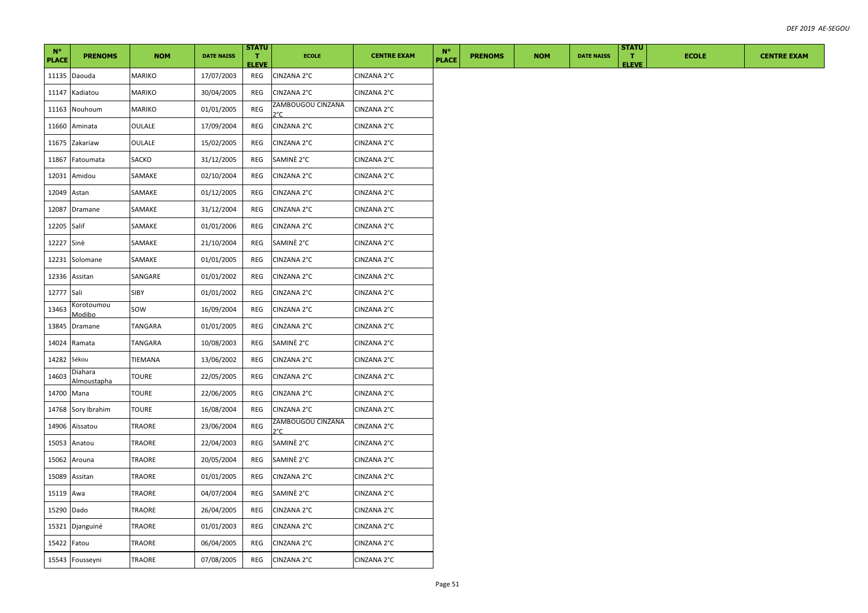| $N^{\circ}$<br><b>PLACE</b> | <b>PRENOMS</b>         | <b>NOM</b>    | <b>DATE NAISS</b> | <b>STATU</b><br>T.<br><b>ELEVE</b> | <b>ECOLE</b>             | <b>CENTRE EXAM</b> | $N^{\circ}$<br><b>PLACE</b> | <b>PRENOMS</b> | <b>NOM</b> | <b>DATE NAISS</b> | <b>STATU</b><br>$\mathbf{T}$<br><b>ELEVE</b> | <b>ECOLE</b> | <b>CENTRE EXAM</b> |
|-----------------------------|------------------------|---------------|-------------------|------------------------------------|--------------------------|--------------------|-----------------------------|----------------|------------|-------------------|----------------------------------------------|--------------|--------------------|
|                             | 11135 Daouda           | MARIKO        | 17/07/2003        | REG                                | CINZANA 2°C              | CINZANA 2°C        |                             |                |            |                   |                                              |              |                    |
| 11147                       | Kadiatou               | MARIKO        | 30/04/2005        | REG                                | CINZANA 2°C              | CINZANA 2°C        |                             |                |            |                   |                                              |              |                    |
| 11163                       | Nouhoum                | MARIKO        | 01/01/2005        | REG                                | ZAMBOUGOU CINZANA<br>2°C | CINZANA 2°C        |                             |                |            |                   |                                              |              |                    |
| 11660                       | Aminata                | OULALE        | 17/09/2004        | REG                                | CINZANA 2°C              | CINZANA 2°C        |                             |                |            |                   |                                              |              |                    |
| 11675                       | Zakariaw               | OULALE        | 15/02/2005        | REG                                | CINZANA 2°C              | CINZANA 2°C        |                             |                |            |                   |                                              |              |                    |
| 11867                       | Fatoumata              | SACKO         | 31/12/2005        | REG                                | SAMINÈ 2°C               | CINZANA 2°C        |                             |                |            |                   |                                              |              |                    |
| 12031                       | Amidou                 | SAMAKE        | 02/10/2004        | REG                                | CINZANA 2°C              | CINZANA 2°C        |                             |                |            |                   |                                              |              |                    |
| 12049                       | Astan                  | SAMAKE        | 01/12/2005        | REG                                | CINZANA 2°C              | CINZANA 2°C        |                             |                |            |                   |                                              |              |                    |
| 12087                       | Dramane                | SAMAKE        | 31/12/2004        | REG                                | CINZANA 2°C              | CINZANA 2°C        |                             |                |            |                   |                                              |              |                    |
| 12205 Salif                 |                        | SAMAKE        | 01/01/2006        | REG                                | CINZANA 2°C              | CINZANA 2°C        |                             |                |            |                   |                                              |              |                    |
| 12227                       | Sinè                   | SAMAKE        | 21/10/2004        | REG                                | SAMINE 2°C               | CINZANA 2°C        |                             |                |            |                   |                                              |              |                    |
| 12231                       | Solomane               | SAMAKE        | 01/01/2005        | REG                                | CINZANA 2°C              | CINZANA 2°C        |                             |                |            |                   |                                              |              |                    |
| 12336                       | Assitan                | SANGARE       | 01/01/2002        | REG                                | CINZANA 2°C              | CINZANA 2°C        |                             |                |            |                   |                                              |              |                    |
| 12777 Sali                  |                        | SIBY          | 01/01/2002        | REG                                | CINZANA 2°C              | CINZANA 2°C        |                             |                |            |                   |                                              |              |                    |
| 13463                       | Korotoumou<br>Modibo   | SOW           | 16/09/2004        | REG                                | CINZANA 2°C              | CINZANA 2°C        |                             |                |            |                   |                                              |              |                    |
| 13845                       | Dramane                | TANGARA       | 01/01/2005        | REG                                | CINZANA 2°C              | CINZANA 2°C        |                             |                |            |                   |                                              |              |                    |
| 14024                       | Ramata                 | TANGARA       | 10/08/2003        | REG                                | SAMINE 2°C               | CINZANA 2°C        |                             |                |            |                   |                                              |              |                    |
| 14282                       | Sékou                  | TIEMANA       | 13/06/2002        | REG                                | CINZANA 2°C              | CINZANA 2°C        |                             |                |            |                   |                                              |              |                    |
| 14603                       | Diahara<br>Almoustapha | <b>TOURE</b>  | 22/05/2005        | REG                                | CINZANA 2°C              | CINZANA 2°C        |                             |                |            |                   |                                              |              |                    |
| 14700                       | Mana                   | <b>TOURE</b>  | 22/06/2005        | REG                                | CINZANA 2°C              | CINZANA 2°C        |                             |                |            |                   |                                              |              |                    |
| 14768                       | Sory Ibrahim           | <b>TOURE</b>  | 16/08/2004        | REG                                | CINZANA 2°C              | CINZANA 2°C        |                             |                |            |                   |                                              |              |                    |
| 14906                       | Aïssatou               | TRAORE        | 23/06/2004        | REG                                | ZAMBOUGOU CINZANA<br>2°C | CINZANA 2°C        |                             |                |            |                   |                                              |              |                    |
| 15053                       | Anatou                 | TRAORE        | 22/04/2003        | REG                                | SAMINÈ 2°C               | CINZANA 2°C        |                             |                |            |                   |                                              |              |                    |
| 15062                       | Arouna                 | TRAORE        | 20/05/2004        | REG                                | SAMINE 2°C               | CINZANA 2°C        |                             |                |            |                   |                                              |              |                    |
| 15089                       | Assitan                | TRAORE        | 01/01/2005        | REG                                | CINZANA 2°C              | CINZANA 2°C        |                             |                |            |                   |                                              |              |                    |
| 15119                       | Awa                    | TRAORE        | 04/07/2004        | REG                                | SAMINE 2°C               | CINZANA 2°C        |                             |                |            |                   |                                              |              |                    |
| 15290                       | Dado                   | TRAORE        | 26/04/2005        | REG                                | CINZANA 2°C              | CINZANA 2°C        |                             |                |            |                   |                                              |              |                    |
| 15321                       | Djanguiné              | TRAORE        | 01/01/2003        | REG                                | CINZANA 2°C              | CINZANA 2°C        |                             |                |            |                   |                                              |              |                    |
| 15422                       | Fatou                  | TRAORE        | 06/04/2005        | REG                                | CINZANA 2°C              | CINZANA 2°C        |                             |                |            |                   |                                              |              |                    |
|                             | 15543 Fousseyni        | <b>TRAORE</b> | 07/08/2005        | REG                                | CINZANA 2°C              | CINZANA 2°C        |                             |                |            |                   |                                              |              |                    |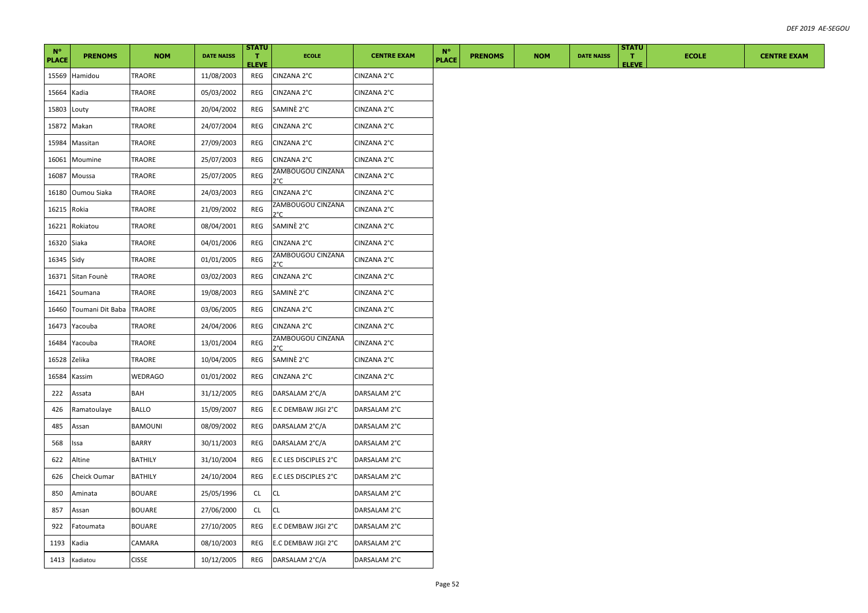| $N^{\circ}$<br><b>PLACE</b> | <b>PRENOMS</b>   | <b>NOM</b>     | <b>DATE NAISS</b> | <b>STATU</b><br>л.<br><b>ELEVE</b> | <b>ECOLE</b>                       | <b>CENTRE EXAM</b> | $N^{\circ}$<br><b>PLACE</b> | <b>PRENOMS</b> | <b>NOM</b> | <b>DATE NAISS</b> | <b>STATU</b><br>л.<br><b>ELEVE</b> | <b>ECOLE</b> | <b>CENTRE EXAM</b> |
|-----------------------------|------------------|----------------|-------------------|------------------------------------|------------------------------------|--------------------|-----------------------------|----------------|------------|-------------------|------------------------------------|--------------|--------------------|
| 15569                       | Hamidou          | TRAORE         | 11/08/2003        | REG                                | CINZANA 2°C                        | CINZANA 2°C        |                             |                |            |                   |                                    |              |                    |
| 15664                       | Kadia            | TRAORE         | 05/03/2002        | REG                                | CINZANA 2°C                        | CINZANA 2°C        |                             |                |            |                   |                                    |              |                    |
| 15803                       | Louty            | TRAORE         | 20/04/2002        | REG                                | SAMINÈ 2°C                         | CINZANA 2°C        |                             |                |            |                   |                                    |              |                    |
| 15872                       | Makan            | TRAORE         | 24/07/2004        | REG                                | CINZANA 2°C                        | CINZANA 2°C        |                             |                |            |                   |                                    |              |                    |
| 15984                       | Massitan         | TRAORE         | 27/09/2003        | REG                                | CINZANA 2°C                        | CINZANA 2°C        |                             |                |            |                   |                                    |              |                    |
| 16061                       | Moumine          | TRAORE         | 25/07/2003        | REG                                | CINZANA 2°C                        | CINZANA 2°C        |                             |                |            |                   |                                    |              |                    |
| 16087                       | Moussa           | TRAORE         | 25/07/2005        | REG                                | ZAMBOUGOU CINZANA<br>2°C           | CINZANA 2°C        |                             |                |            |                   |                                    |              |                    |
| 16180                       | Oumou Siaka      | TRAORE         | 24/03/2003        | REG                                | CINZANA 2°C                        | CINZANA 2°C        |                             |                |            |                   |                                    |              |                    |
| 16215                       | Rokia            | TRAORE         | 21/09/2002        | REG                                | ZAMBOUGOU CINZANA<br>$2^{\circ}$ C | CINZANA 2°C        |                             |                |            |                   |                                    |              |                    |
| 16221                       | Rokiatou         | TRAORE         | 08/04/2001        | REG                                | SAMINE 2°C                         | CINZANA 2°C        |                             |                |            |                   |                                    |              |                    |
| 16320                       | Siaka            | TRAORE         | 04/01/2006        | REG                                | CINZANA 2°C                        | CINZANA 2°C        |                             |                |            |                   |                                    |              |                    |
| 16345 Sidy                  |                  | TRAORE         | 01/01/2005        | <b>REG</b>                         | ZAMBOUGOU CINZANA<br>2°C           | CINZANA 2°C        |                             |                |            |                   |                                    |              |                    |
| 16371                       | Sitan Founè      | TRAORE         | 03/02/2003        | REG                                | CINZANA 2°C                        | CINZANA 2°C        |                             |                |            |                   |                                    |              |                    |
| 16421                       | Soumana          | TRAORE         | 19/08/2003        | REG                                | SAMINE 2°C                         | CINZANA 2°C        |                             |                |            |                   |                                    |              |                    |
| 16460                       | Toumani Dit Baba | <b>TRAORE</b>  | 03/06/2005        | REG                                | CINZANA 2°C                        | CINZANA 2°C        |                             |                |            |                   |                                    |              |                    |
| 16473                       | Yacouba          | TRAORE         | 24/04/2006        | REG                                | CINZANA 2°C                        | CINZANA 2°C        |                             |                |            |                   |                                    |              |                    |
| 16484                       | Yacouba          | TRAORE         | 13/01/2004        | REG                                | ZAMBOUGOU CINZANA<br>2°C           | CINZANA 2°C        |                             |                |            |                   |                                    |              |                    |
| 16528                       | Zelika           | TRAORE         | 10/04/2005        | REG                                | SAMINÈ 2°C                         | CINZANA 2°C        |                             |                |            |                   |                                    |              |                    |
| 16584                       | Kassim           | WEDRAGO        | 01/01/2002        | REG                                | CINZANA 2°C                        | CINZANA 2°C        |                             |                |            |                   |                                    |              |                    |
| 222                         | Assata           | BAH            | 31/12/2005        | REG                                | DARSALAM 2°C/A                     | DARSALAM 2°C       |                             |                |            |                   |                                    |              |                    |
| 426                         | Ramatoulaye      | BALLO          | 15/09/2007        | REG                                | E.C DEMBAW JIGI 2°C                | DARSALAM 2°C       |                             |                |            |                   |                                    |              |                    |
| 485                         | Assan            | BAMOUNI        | 08/09/2002        | REG                                | DARSALAM 2°C/A                     | DARSALAM 2°C       |                             |                |            |                   |                                    |              |                    |
| 568                         | Issa             | <b>BARRY</b>   | 30/11/2003        | REG                                | DARSALAM 2°C/A                     | DARSALAM 2°C       |                             |                |            |                   |                                    |              |                    |
| 622                         | Altine           | <b>BATHILY</b> | 31/10/2004        | REG                                | E.C LES DISCIPLES 2°C              | DARSALAM 2°C       |                             |                |            |                   |                                    |              |                    |
| 626                         | Cheick Oumar     | <b>BATHILY</b> | 24/10/2004        | REG                                | E.C LES DISCIPLES 2°C              | DARSALAM 2°C       |                             |                |            |                   |                                    |              |                    |
| 850                         | Aminata          | BOUARE         | 25/05/1996        | CL.                                | CL                                 | DARSALAM 2°C       |                             |                |            |                   |                                    |              |                    |
| 857                         | Assan            | <b>BOUARE</b>  | 27/06/2000        | CL                                 | CL                                 | DARSALAM 2°C       |                             |                |            |                   |                                    |              |                    |
| 922                         | Fatoumata        | BOUARE         | 27/10/2005        | REG                                | E.C DEMBAW JIGI 2°C                | DARSALAM 2°C       |                             |                |            |                   |                                    |              |                    |
| 1193                        | Kadia            | CAMARA         | 08/10/2003        | REG                                | E.C DEMBAW JIGI 2°C                | DARSALAM 2°C       |                             |                |            |                   |                                    |              |                    |
| 1413                        | Kadiatou         | <b>CISSE</b>   | 10/12/2005        | REG                                | DARSALAM 2°C/A                     | DARSALAM 2°C       |                             |                |            |                   |                                    |              |                    |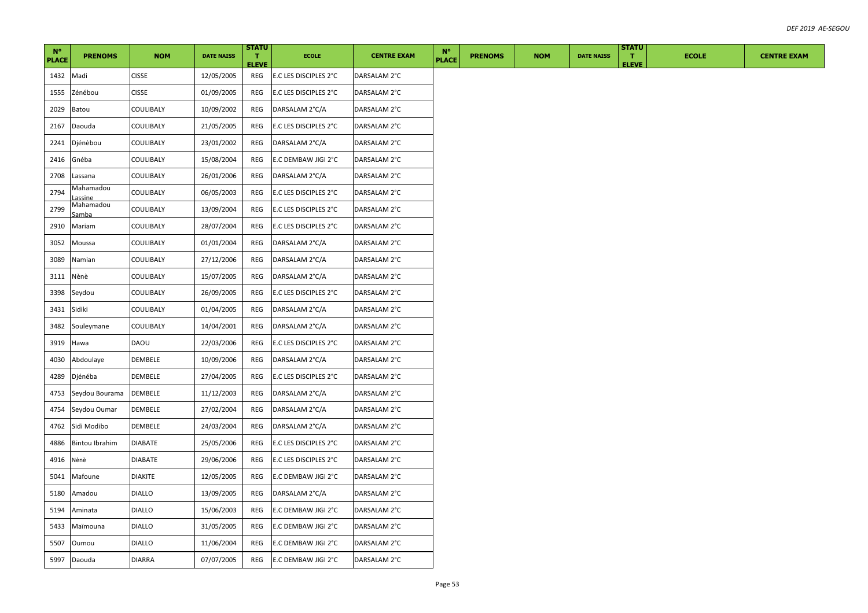| $N^{\circ}$  |                       |                |                   | <b>STATU</b>                 |                       |                    | $N^{\circ}$  |                |            |                   | <b>STATU</b>                 |              |                    |
|--------------|-----------------------|----------------|-------------------|------------------------------|-----------------------|--------------------|--------------|----------------|------------|-------------------|------------------------------|--------------|--------------------|
| <b>PLACE</b> | <b>PRENOMS</b>        | <b>NOM</b>     | <b>DATE NAISS</b> | $\mathbf{T}$<br><b>ELEVE</b> | <b>ECOLE</b>          | <b>CENTRE EXAM</b> | <b>PLACE</b> | <b>PRENOMS</b> | <b>NOM</b> | <b>DATE NAISS</b> | $\mathbf{T}$<br><b>ELEVE</b> | <b>ECOLE</b> | <b>CENTRE EXAM</b> |
| 1432         | Madi                  | <b>CISSE</b>   | 12/05/2005        | REG                          | E.C LES DISCIPLES 2°C | DARSALAM 2°C       |              |                |            |                   |                              |              |                    |
| 1555         | Zénébou               | <b>CISSE</b>   | 01/09/2005        | REG                          | E.C LES DISCIPLES 2°C | DARSALAM 2°C       |              |                |            |                   |                              |              |                    |
| 2029         | Batou                 | COULIBALY      | 10/09/2002        | REG                          | DARSALAM 2°C/A        | DARSALAM 2°C       |              |                |            |                   |                              |              |                    |
| 2167         | Daouda                | COULIBALY      | 21/05/2005        | REG                          | E.C LES DISCIPLES 2°C | DARSALAM 2°C       |              |                |            |                   |                              |              |                    |
| 2241         | Djénèbou              | COULIBALY      | 23/01/2002        | REG                          | DARSALAM 2°C/A        | DARSALAM 2°C       |              |                |            |                   |                              |              |                    |
| 2416         | Gnéba                 | COULIBALY      | 15/08/2004        | REG                          | E.C DEMBAW JIGI 2°C   | DARSALAM 2°C       |              |                |            |                   |                              |              |                    |
| 2708         | Lassana               | COULIBALY      | 26/01/2006        | REG                          | DARSALAM 2°C/A        | DARSALAM 2°C       |              |                |            |                   |                              |              |                    |
| 2794         | Mahamadou<br>assine   | COULIBALY      | 06/05/2003        | REG                          | E.C LES DISCIPLES 2°C | DARSALAM 2°C       |              |                |            |                   |                              |              |                    |
| 2799         | Mahamadou<br>Samba    | COULIBALY      | 13/09/2004        | REG                          | E.C LES DISCIPLES 2°C | DARSALAM 2°C       |              |                |            |                   |                              |              |                    |
| 2910         | Mariam                | COULIBALY      | 28/07/2004        | REG                          | E.C LES DISCIPLES 2°C | DARSALAM 2°C       |              |                |            |                   |                              |              |                    |
| 3052         | Moussa                | COULIBALY      | 01/01/2004        | REG                          | DARSALAM 2°C/A        | DARSALAM 2°C       |              |                |            |                   |                              |              |                    |
| 3089         | Namian                | COULIBALY      | 27/12/2006        | REG                          | DARSALAM 2°C/A        | DARSALAM 2°C       |              |                |            |                   |                              |              |                    |
| 3111         | Nènè                  | COULIBALY      | 15/07/2005        | REG                          | DARSALAM 2°C/A        | DARSALAM 2°C       |              |                |            |                   |                              |              |                    |
| 3398         | Seydou                | COULIBALY      | 26/09/2005        | REG                          | E.C LES DISCIPLES 2°C | DARSALAM 2°C       |              |                |            |                   |                              |              |                    |
| 3431         | Sidiki                | COULIBALY      | 01/04/2005        | REG                          | DARSALAM 2°C/A        | DARSALAM 2°C       |              |                |            |                   |                              |              |                    |
| 3482         | Souleymane            | COULIBALY      | 14/04/2001        | REG                          | DARSALAM 2°C/A        | DARSALAM 2°C       |              |                |            |                   |                              |              |                    |
| 3919         | Hawa                  | DAOU           | 22/03/2006        | REG                          | E.C LES DISCIPLES 2°C | DARSALAM 2°C       |              |                |            |                   |                              |              |                    |
| 4030         | Abdoulaye             | DEMBELE        | 10/09/2006        | REG                          | DARSALAM 2°C/A        | DARSALAM 2°C       |              |                |            |                   |                              |              |                    |
| 4289         | Djénéba               | DEMBELE        | 27/04/2005        | REG                          | E.C LES DISCIPLES 2°C | DARSALAM 2°C       |              |                |            |                   |                              |              |                    |
| 4753         | Seydou Bourama        | <b>DEMBELE</b> | 11/12/2003        | REG                          | DARSALAM 2°C/A        | DARSALAM 2°C       |              |                |            |                   |                              |              |                    |
| 4754         | Seydou Oumar          | DEMBELE        | 27/02/2004        | REG                          | DARSALAM 2°C/A        | DARSALAM 2°C       |              |                |            |                   |                              |              |                    |
| 4762         | Sidi Modibo           | DEMBELE        | 24/03/2004        | REG                          | DARSALAM 2°C/A        | DARSALAM 2°C       |              |                |            |                   |                              |              |                    |
| 4886         | <b>Bintou Ibrahim</b> | <b>DIABATE</b> | 25/05/2006        | REG                          | E.C LES DISCIPLES 2°C | DARSALAM 2°C       |              |                |            |                   |                              |              |                    |
| 4916         | Nènè                  | <b>DIABATE</b> | 29/06/2006        | REG                          | E.C LES DISCIPLES 2°C | DARSALAM 2°C       |              |                |            |                   |                              |              |                    |
| 5041         | Mafoune               | <b>DIAKITE</b> | 12/05/2005        | REG                          | E.C DEMBAW JIGI 2°C   | DARSALAM 2°C       |              |                |            |                   |                              |              |                    |
| 5180         | Amadou                | <b>DIALLO</b>  | 13/09/2005        | REG                          | DARSALAM 2°C/A        | DARSALAM 2°C       |              |                |            |                   |                              |              |                    |
| 5194         | Aminata               | <b>DIALLO</b>  | 15/06/2003        | REG                          | E.C DEMBAW JIGI 2°C   | DARSALAM 2°C       |              |                |            |                   |                              |              |                    |
| 5433         | Maïmouna              | <b>DIALLO</b>  | 31/05/2005        | REG                          | E.C DEMBAW JIGI 2°C   | DARSALAM 2°C       |              |                |            |                   |                              |              |                    |
| 5507         | Oumou                 | <b>DIALLO</b>  | 11/06/2004        | REG                          | E.C DEMBAW JIGI 2°C   | DARSALAM 2°C       |              |                |            |                   |                              |              |                    |
| 5997         | Daouda                | <b>DIARRA</b>  | 07/07/2005        | REG                          | E.C DEMBAW JIGI 2°C   | DARSALAM 2°C       |              |                |            |                   |                              |              |                    |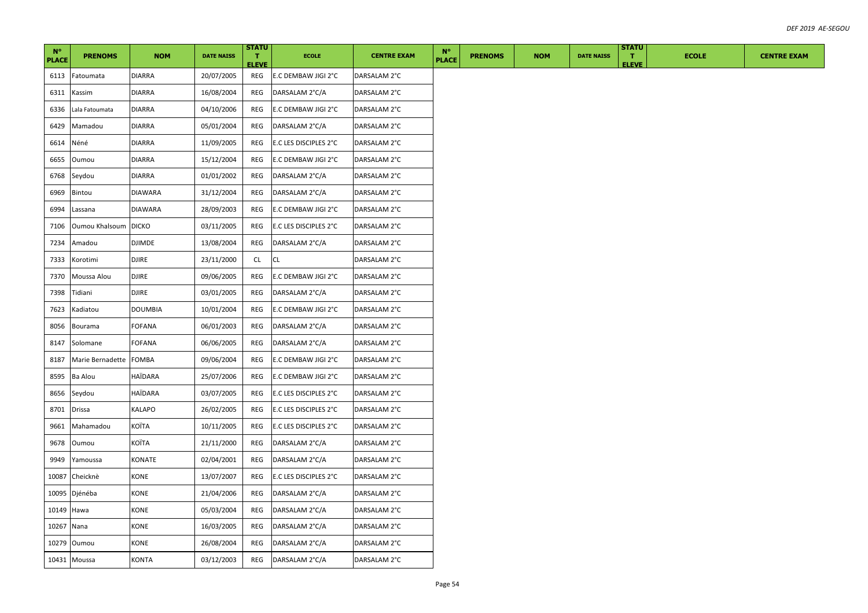| $N^{\circ}$  |                      |                |                   | <b>STATU</b>                 |                       |                    | $N^{\circ}$  |                |            |                   | <b>STATU</b>                 |              |
|--------------|----------------------|----------------|-------------------|------------------------------|-----------------------|--------------------|--------------|----------------|------------|-------------------|------------------------------|--------------|
| <b>PLACE</b> | <b>PRENOMS</b>       | <b>NOM</b>     | <b>DATE NAISS</b> | $\mathbf{T}$<br><b>ELEVE</b> | <b>ECOLE</b>          | <b>CENTRE EXAM</b> | <b>PLACE</b> | <b>PRENOMS</b> | <b>NOM</b> | <b>DATE NAISS</b> | $\mathbf{T}$<br><b>ELEVE</b> | <b>ECOLE</b> |
| 6113         | Fatoumata            | <b>DIARRA</b>  | 20/07/2005        | REG                          | E.C DEMBAW JIGI 2°C   | DARSALAM 2°C       |              |                |            |                   |                              |              |
| 6311         | Kassim               | DIARRA         | 16/08/2004        | REG                          | DARSALAM 2°C/A        | DARSALAM 2°C       |              |                |            |                   |                              |              |
| 6336         | Lala Fatoumata       | <b>DIARRA</b>  | 04/10/2006        | REG                          | E.C DEMBAW JIGI 2°C   | DARSALAM 2°C       |              |                |            |                   |                              |              |
| 6429         | Mamadou              | <b>DIARRA</b>  | 05/01/2004        | REG                          | DARSALAM 2°C/A        | DARSALAM 2°C       |              |                |            |                   |                              |              |
| 6614         | Néné                 | <b>DIARRA</b>  | 11/09/2005        | REG                          | E.C LES DISCIPLES 2°C | DARSALAM 2°C       |              |                |            |                   |                              |              |
| 6655         | Oumou                | DIARRA         | 15/12/2004        | REG                          | E.C DEMBAW JIGI 2°C   | DARSALAM 2°C       |              |                |            |                   |                              |              |
| 6768         | Seydou               | DIARRA         | 01/01/2002        | REG                          | DARSALAM 2°C/A        | DARSALAM 2°C       |              |                |            |                   |                              |              |
| 6969         | Bintou               | <b>DIAWARA</b> | 31/12/2004        | REG                          | DARSALAM 2°C/A        | DARSALAM 2°C       |              |                |            |                   |                              |              |
| 6994         | Lassana              | <b>DIAWARA</b> | 28/09/2003        | REG                          | E.C DEMBAW JIGI 2°C   | DARSALAM 2°C       |              |                |            |                   |                              |              |
| 7106         | Oumou Khalsoum DICKO |                | 03/11/2005        | REG                          | E.C LES DISCIPLES 2°C | DARSALAM 2°C       |              |                |            |                   |                              |              |
| 7234         | Amadou               | <b>DJIMDE</b>  | 13/08/2004        | REG                          | DARSALAM 2°C/A        | DARSALAM 2°C       |              |                |            |                   |                              |              |
| 7333         | Korotimi             | <b>DJIRE</b>   | 23/11/2000        | CL                           | CL                    | DARSALAM 2°C       |              |                |            |                   |                              |              |
| 7370         | Moussa Alou          | <b>DJIRE</b>   | 09/06/2005        | REG                          | E.C DEMBAW JIGI 2°C   | DARSALAM 2°C       |              |                |            |                   |                              |              |
| 7398         | Tidiani              | <b>DJIRE</b>   | 03/01/2005        | REG                          | DARSALAM 2°C/A        | DARSALAM 2°C       |              |                |            |                   |                              |              |
| 7623         | Kadiatou             | DOUMBIA        | 10/01/2004        | REG                          | E.C DEMBAW JIGI 2°C   | DARSALAM 2°C       |              |                |            |                   |                              |              |
| 8056         | Bourama              | FOFANA         | 06/01/2003        | REG                          | DARSALAM 2°C/A        | DARSALAM 2°C       |              |                |            |                   |                              |              |
| 8147         | Solomane             | FOFANA         | 06/06/2005        | REG                          | DARSALAM 2°C/A        | DARSALAM 2°C       |              |                |            |                   |                              |              |
| 8187         | Marie Bernadette     | <b>FOMBA</b>   | 09/06/2004        | REG                          | E.C DEMBAW JIGI 2°C   | DARSALAM 2°C       |              |                |            |                   |                              |              |
| 8595         | Ba Alou              | HAÏDARA        | 25/07/2006        | REG                          | E.C DEMBAW JIGI 2°C   | DARSALAM 2°C       |              |                |            |                   |                              |              |
| 8656         | Seydou               | HAÏDARA        | 03/07/2005        | REG                          | E.C LES DISCIPLES 2°C | DARSALAM 2°C       |              |                |            |                   |                              |              |
| 8701         | <b>Drissa</b>        | KALAPO         | 26/02/2005        | REG                          | E.C LES DISCIPLES 2°C | DARSALAM 2°C       |              |                |            |                   |                              |              |
| 9661         | Mahamadou            | KOÏTA          | 10/11/2005        | REG                          | E.C LES DISCIPLES 2°C | DARSALAM 2°C       |              |                |            |                   |                              |              |
| 9678         | Oumou                | KOÏTA          | 21/11/2000        | REG                          | DARSALAM 2°C/A        | DARSALAM 2°C       |              |                |            |                   |                              |              |
| 9949         | Yamoussa             | KONATE         | 02/04/2001        | REG                          | DARSALAM 2°C/A        | DARSALAM 2°C       |              |                |            |                   |                              |              |
| 10087        | Cheicknè             | KONE           | 13/07/2007        | REG                          | E.C LES DISCIPLES 2°C | DARSALAM 2°C       |              |                |            |                   |                              |              |
| 10095        | Djénéba              | KONE           | 21/04/2006        | REG                          | DARSALAM 2°C/A        | DARSALAM 2°C       |              |                |            |                   |                              |              |
| 10149        | Hawa                 | KONE           | 05/03/2004        | REG                          | DARSALAM 2°C/A        | DARSALAM 2°C       |              |                |            |                   |                              |              |
| 10267 Nana   |                      | KONE           | 16/03/2005        | REG                          | DARSALAM 2°C/A        | DARSALAM 2°C       |              |                |            |                   |                              |              |
|              | 10279 Oumou          | KONE           | 26/08/2004        | REG                          | DARSALAM 2°C/A        | DARSALAM 2°C       |              |                |            |                   |                              |              |
|              | 10431 Moussa         | <b>KONTA</b>   | 03/12/2003        | REG                          | DARSALAM 2°C/A        | DARSALAM 2°C       |              |                |            |                   |                              |              |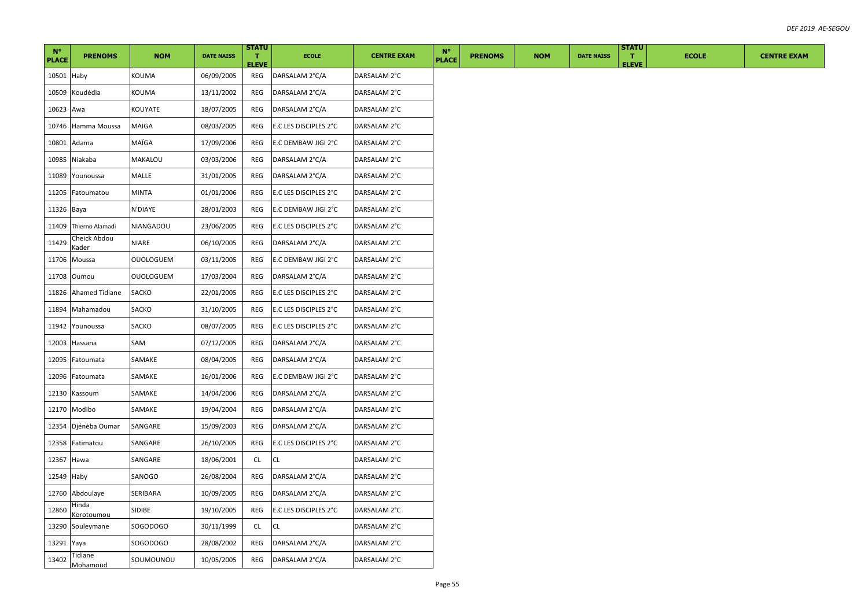| $N^{\circ}$<br><b>PLACE</b> | <b>PRENOMS</b>        | <b>NOM</b>       | <b>DATE NAISS</b> | <b>STATU</b><br>л.<br><b>ELEVE</b> | <b>ECOLE</b>          | <b>CENTRE EXAM</b> | $N^{\circ}$<br><b>PLACE</b> | <b>PRENOMS</b> | <b>NOM</b> | <b>DATE NAISS</b> | <b>STATU</b><br>л.<br><b>ELEVE</b> | <b>ECOLE</b> | <b>CENTRE EXAM</b> |
|-----------------------------|-----------------------|------------------|-------------------|------------------------------------|-----------------------|--------------------|-----------------------------|----------------|------------|-------------------|------------------------------------|--------------|--------------------|
| 10501 Haby                  |                       | KOUMA            | 06/09/2005        | REG                                | DARSALAM 2°C/A        | DARSALAM 2°C       |                             |                |            |                   |                                    |              |                    |
| 10509                       | Koudédia              | KOUMA            | 13/11/2002        | REG                                | DARSALAM 2°C/A        | DARSALAM 2°C       |                             |                |            |                   |                                    |              |                    |
| 10623                       | Awa                   | KOUYATE          | 18/07/2005        | REG                                | DARSALAM 2°C/A        | DARSALAM 2°C       |                             |                |            |                   |                                    |              |                    |
| 10746                       | Hamma Moussa          | <b>MAIGA</b>     | 08/03/2005        | REG                                | E.C LES DISCIPLES 2°C | DARSALAM 2°C       |                             |                |            |                   |                                    |              |                    |
| 10801                       | Adama                 | MAÏGA            | 17/09/2006        | REG                                | E.C DEMBAW JIGI 2°C   | DARSALAM 2°C       |                             |                |            |                   |                                    |              |                    |
| 10985                       | Niakaba               | MAKALOU          | 03/03/2006        | REG                                | DARSALAM 2°C/A        | DARSALAM 2°C       |                             |                |            |                   |                                    |              |                    |
| 11089                       | Younoussa             | MALLE            | 31/01/2005        | REG                                | DARSALAM 2°C/A        | DARSALAM 2°C       |                             |                |            |                   |                                    |              |                    |
| 11205                       | Fatoumatou            | MINTA            | 01/01/2006        | REG                                | E.C LES DISCIPLES 2°C | DARSALAM 2°C       |                             |                |            |                   |                                    |              |                    |
| 11326                       | Baya                  | N'DIAYE          | 28/01/2003        | REG                                | E.C DEMBAW JIGI 2°C   | DARSALAM 2°C       |                             |                |            |                   |                                    |              |                    |
| 11409                       | Thierno Alamadi       | NIANGADOU        | 23/06/2005        | REG                                | E.C LES DISCIPLES 2°C | DARSALAM 2°C       |                             |                |            |                   |                                    |              |                    |
| 11429                       | Cheick Abdou<br>Kader | NIARE            | 06/10/2005        | REG                                | DARSALAM 2°C/A        | DARSALAM 2°C       |                             |                |            |                   |                                    |              |                    |
|                             | 11706 Moussa          | <b>OUOLOGUEM</b> | 03/11/2005        | REG                                | E.C DEMBAW JIGI 2°C   | DARSALAM 2°C       |                             |                |            |                   |                                    |              |                    |
| 11708                       | Oumou                 | <b>OUOLOGUEM</b> | 17/03/2004        | REG                                | DARSALAM 2°C/A        | DARSALAM 2°C       |                             |                |            |                   |                                    |              |                    |
| 11826                       | Ahamed Tidiane        | SACKO            | 22/01/2005        | REG                                | E.C LES DISCIPLES 2°C | DARSALAM 2°C       |                             |                |            |                   |                                    |              |                    |
| 11894                       | Mahamadou             | SACKO            | 31/10/2005        | REG                                | E.C LES DISCIPLES 2°C | DARSALAM 2°C       |                             |                |            |                   |                                    |              |                    |
| 11942                       | Younoussa             | SACKO            | 08/07/2005        | REG                                | E.C LES DISCIPLES 2°C | DARSALAM 2°C       |                             |                |            |                   |                                    |              |                    |
| 12003                       | Hassana               | SAM              | 07/12/2005        | REG                                | DARSALAM 2°C/A        | DARSALAM 2°C       |                             |                |            |                   |                                    |              |                    |
| 12095                       | Fatoumata             | SAMAKE           | 08/04/2005        | REG                                | DARSALAM 2°C/A        | DARSALAM 2°C       |                             |                |            |                   |                                    |              |                    |
| 12096                       | Fatoumata             | SAMAKE           | 16/01/2006        | <b>REG</b>                         | E.C DEMBAW JIGI 2°C   | DARSALAM 2°C       |                             |                |            |                   |                                    |              |                    |
| 12130                       | Kassoum               | SAMAKE           | 14/04/2006        | REG                                | DARSALAM 2°C/A        | DARSALAM 2°C       |                             |                |            |                   |                                    |              |                    |
| 12170                       | Modibo                | SAMAKE           | 19/04/2004        | REG                                | DARSALAM 2°C/A        | DARSALAM 2°C       |                             |                |            |                   |                                    |              |                    |
| 12354                       | Djénèba Oumar         | SANGARE          | 15/09/2003        | REG                                | DARSALAM 2°C/A        | DARSALAM 2°C       |                             |                |            |                   |                                    |              |                    |
| 12358                       | Fatimatou             | SANGARE          | 26/10/2005        | REG                                | E.C LES DISCIPLES 2°C | DARSALAM 2°C       |                             |                |            |                   |                                    |              |                    |
| 12367                       | Hawa                  | SANGARE          | 18/06/2001        | CL.                                | CL                    | DARSALAM 2°C       |                             |                |            |                   |                                    |              |                    |
| 12549                       | Haby                  | SANOGO           | 26/08/2004        | REG                                | DARSALAM 2°C/A        | DARSALAM 2°C       |                             |                |            |                   |                                    |              |                    |
| 12760                       | Abdoulaye             | SERIBARA         | 10/09/2005        | REG                                | DARSALAM 2°C/A        | DARSALAM 2°C       |                             |                |            |                   |                                    |              |                    |
| 12860                       | Hinda<br>Korotoumou   | SIDIBE           | 19/10/2005        | REG                                | E.C LES DISCIPLES 2°C | DARSALAM 2°C       |                             |                |            |                   |                                    |              |                    |
| 13290                       | Souleymane            | SOGODOGO         | 30/11/1999        | CL                                 | СL                    | DARSALAM 2°C       |                             |                |            |                   |                                    |              |                    |
| 13291 Yaya                  |                       | SOGODOGO         | 28/08/2002        | REG                                | DARSALAM 2°C/A        | DARSALAM 2°C       |                             |                |            |                   |                                    |              |                    |
| 13402                       | Tidiane<br>Mohamoud   | SOUMOUNOU        | 10/05/2005        | REG                                | DARSALAM 2°C/A        | DARSALAM 2°C       |                             |                |            |                   |                                    |              |                    |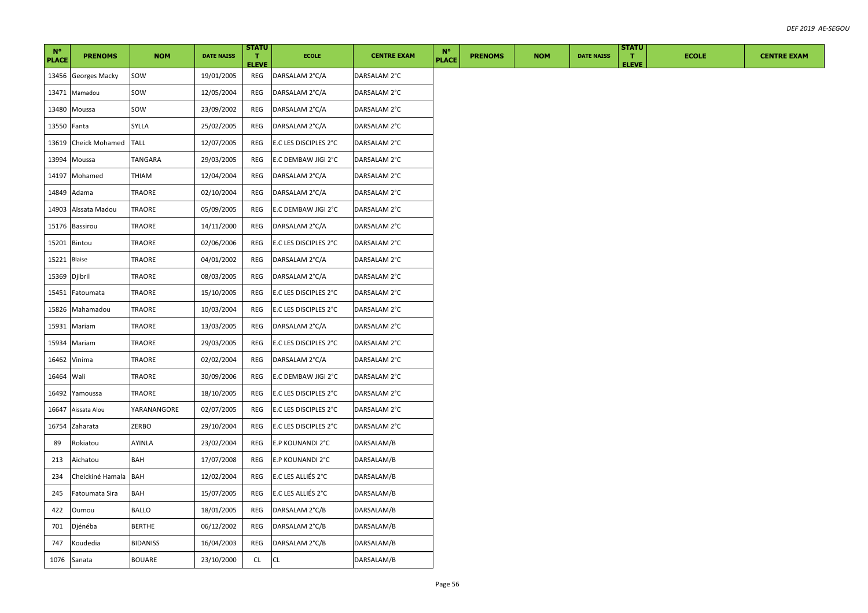| $N^{\circ}$   |                      |                 |                   | <b>STATU</b>                 |                       |                    | $N^{\circ}$ |              |                |            |                   | <b>STATU</b>                 |              |
|---------------|----------------------|-----------------|-------------------|------------------------------|-----------------------|--------------------|-------------|--------------|----------------|------------|-------------------|------------------------------|--------------|
| <b>PLACE</b>  | <b>PRENOMS</b>       | <b>NOM</b>      | <b>DATE NAISS</b> | $\mathbf{T}$<br><b>ELEVE</b> | <b>ECOLE</b>          | <b>CENTRE EXAM</b> |             | <b>PLACE</b> | <b>PRENOMS</b> | <b>NOM</b> | <b>DATE NAISS</b> | $\mathbf{T}$<br><b>ELEVE</b> | <b>ECOLE</b> |
| 13456         | <b>Georges Macky</b> | SOW             | 19/01/2005        | REG                          | DARSALAM 2°C/A        | DARSALAM 2°C       |             |              |                |            |                   |                              |              |
|               | 13471 Mamadou        | sow             | 12/05/2004        | REG                          | DARSALAM 2°C/A        | DARSALAM 2°C       |             |              |                |            |                   |                              |              |
| 13480         | Moussa               | sow             | 23/09/2002        | REG                          | DARSALAM 2°C/A        | DARSALAM 2°C       |             |              |                |            |                   |                              |              |
| 13550 Fanta   |                      | SYLLA           | 25/02/2005        | REG                          | DARSALAM 2°C/A        | DARSALAM 2°C       |             |              |                |            |                   |                              |              |
| 13619         | Cheick Mohamed       | <b>TALL</b>     | 12/07/2005        | REG                          | E.C LES DISCIPLES 2°C | DARSALAM 2°C       |             |              |                |            |                   |                              |              |
|               | 13994 Moussa         | TANGARA         | 29/03/2005        | REG                          | E.C DEMBAW JIGI 2°C   | DARSALAM 2°C       |             |              |                |            |                   |                              |              |
| 14197         | Mohamed              | THIAM           | 12/04/2004        | REG                          | DARSALAM 2°C/A        | DARSALAM 2°C       |             |              |                |            |                   |                              |              |
| 14849         | Adama                | TRAORE          | 02/10/2004        | REG                          | DARSALAM 2°C/A        | DARSALAM 2°C       |             |              |                |            |                   |                              |              |
|               | 14903 Aïssata Madou  | TRAORE          | 05/09/2005        | REG                          | E.C DEMBAW JIGI 2°C   | DARSALAM 2°C       |             |              |                |            |                   |                              |              |
|               | 15176 Bassirou       | TRAORE          | 14/11/2000        | REG                          | DARSALAM 2°C/A        | DARSALAM 2°C       |             |              |                |            |                   |                              |              |
| 15201         | Bintou               | TRAORE          | 02/06/2006        | REG                          | E.C LES DISCIPLES 2°C | DARSALAM 2°C       |             |              |                |            |                   |                              |              |
| 15221         | <b>Blaise</b>        | TRAORE          | 04/01/2002        | REG                          | DARSALAM 2°C/A        | DARSALAM 2°C       |             |              |                |            |                   |                              |              |
| 15369 Djibril |                      | <b>TRAORE</b>   | 08/03/2005        | REG                          | DARSALAM 2°C/A        | DARSALAM 2°C       |             |              |                |            |                   |                              |              |
| 15451         | Fatoumata            | TRAORE          | 15/10/2005        | REG                          | E.C LES DISCIPLES 2°C | DARSALAM 2°C       |             |              |                |            |                   |                              |              |
| 15826         | Mahamadou            | TRAORE          | 10/03/2004        | REG                          | E.C LES DISCIPLES 2°C | DARSALAM 2°C       |             |              |                |            |                   |                              |              |
| 15931         | Mariam               | TRAORE          | 13/03/2005        | REG                          | DARSALAM 2°C/A        | DARSALAM 2°C       |             |              |                |            |                   |                              |              |
| 15934         | Mariam               | TRAORE          | 29/03/2005        | REG                          | E.C LES DISCIPLES 2°C | DARSALAM 2°C       |             |              |                |            |                   |                              |              |
| 16462         | Vinima               | TRAORE          | 02/02/2004        | REG                          | DARSALAM 2°C/A        | DARSALAM 2°C       |             |              |                |            |                   |                              |              |
| 16464         | Wali                 | TRAORE          | 30/09/2006        | REG                          | E.C DEMBAW JIGI 2°C   | DARSALAM 2°C       |             |              |                |            |                   |                              |              |
| 16492         | Yamoussa             | TRAORE          | 18/10/2005        | REG                          | E.C LES DISCIPLES 2°C | DARSALAM 2°C       |             |              |                |            |                   |                              |              |
| 16647         | Aissata Alou         | YARANANGORE     | 02/07/2005        | REG                          | E.C LES DISCIPLES 2°C | DARSALAM 2°C       |             |              |                |            |                   |                              |              |
| 16754         | Zaharata             | ZERBO           | 29/10/2004        | REG                          | E.C LES DISCIPLES 2°C | DARSALAM 2°C       |             |              |                |            |                   |                              |              |
| 89            | Rokiatou             | AYINLA          | 23/02/2004        | REG                          | E.P KOUNANDI 2°C      | DARSALAM/B         |             |              |                |            |                   |                              |              |
| 213           | Aichatou             | <b>BAH</b>      | 17/07/2008        | REG                          | E.P KOUNANDI 2°C      | DARSALAM/B         |             |              |                |            |                   |                              |              |
| 234           | Cheickiné Hamala     | <b>BAH</b>      | 12/02/2004        | REG                          | E.C LES ALLIÉS 2°C    | DARSALAM/B         |             |              |                |            |                   |                              |              |
| 245           | Fatoumata Sira       | BAH             | 15/07/2005        | REG                          | E.C LES ALLIÉS 2°C    | DARSALAM/B         |             |              |                |            |                   |                              |              |
| 422           | Oumou                | <b>BALLO</b>    | 18/01/2005        | REG                          | DARSALAM 2°C/B        | DARSALAM/B         |             |              |                |            |                   |                              |              |
| 701           | Djénéba              | <b>BERTHE</b>   | 06/12/2002        | REG                          | DARSALAM 2°C/B        | DARSALAM/B         |             |              |                |            |                   |                              |              |
| 747           | Koudedia             | <b>BIDANISS</b> | 16/04/2003        | REG                          | DARSALAM 2°C/B        | DARSALAM/B         |             |              |                |            |                   |                              |              |
| 1076          | Sanata               | <b>BOUARE</b>   | 23/10/2000        | CL                           | CL                    | DARSALAM/B         |             |              |                |            |                   |                              |              |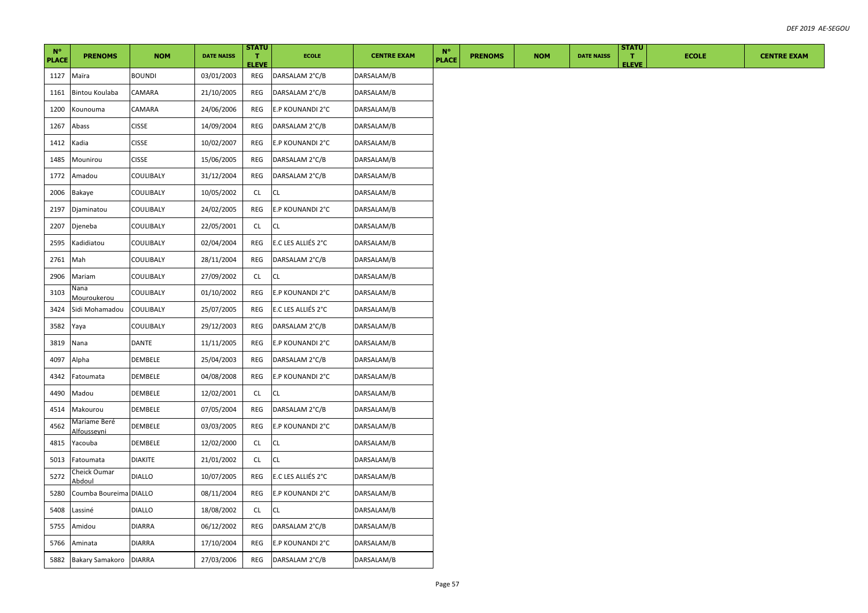| $N^{\circ}$<br><b>PLACE</b> | <b>PRENOMS</b>              | <b>NOM</b>    | <b>DATE NAISS</b> | <b>STATU</b><br>T.<br><b>ELEVE</b> | <b>ECOLE</b>       | <b>CENTRE EXAM</b> | $N^{\circ}$<br><b>PLACE</b> | <b>PRENOMS</b> | <b>NOM</b> | <b>DATE NAISS</b> | <b>STATU</b><br>T.<br><b>ELEVE</b> | <b>ECOLE</b> | <b>CENTRE EXAM</b> |
|-----------------------------|-----------------------------|---------------|-------------------|------------------------------------|--------------------|--------------------|-----------------------------|----------------|------------|-------------------|------------------------------------|--------------|--------------------|
| 1127                        | Maïra                       | <b>BOUNDI</b> | 03/01/2003        | REG                                | DARSALAM 2°C/B     | DARSALAM/B         |                             |                |            |                   |                                    |              |                    |
| 1161                        | <b>Bintou Koulaba</b>       | CAMARA        | 21/10/2005        | REG                                | DARSALAM 2°C/B     | DARSALAM/B         |                             |                |            |                   |                                    |              |                    |
| 1200                        | Kounouma                    | CAMARA        | 24/06/2006        | REG                                | E.P KOUNANDI 2°C   | DARSALAM/B         |                             |                |            |                   |                                    |              |                    |
| 1267                        | Abass                       | <b>CISSE</b>  | 14/09/2004        | REG                                | DARSALAM 2°C/B     | DARSALAM/B         |                             |                |            |                   |                                    |              |                    |
| 1412                        | Kadia                       | <b>CISSE</b>  | 10/02/2007        | REG                                | E.P KOUNANDI 2°C   | DARSALAM/B         |                             |                |            |                   |                                    |              |                    |
| 1485                        | Mounirou                    | <b>CISSE</b>  | 15/06/2005        | REG                                | DARSALAM 2°C/B     | DARSALAM/B         |                             |                |            |                   |                                    |              |                    |
| 1772                        | Amadou                      | COULIBALY     | 31/12/2004        | REG                                | DARSALAM 2°C/B     | DARSALAM/B         |                             |                |            |                   |                                    |              |                    |
| 2006                        | Bakaye                      | COULIBALY     | 10/05/2002        | CL.                                | CL.                | DARSALAM/B         |                             |                |            |                   |                                    |              |                    |
| 2197                        | Djaminatou                  | COULIBALY     | 24/02/2005        | REG                                | E.P KOUNANDI 2°C   | DARSALAM/B         |                             |                |            |                   |                                    |              |                    |
| 2207                        | Djeneba                     | COULIBALY     | 22/05/2001        | CL.                                | CL.                | DARSALAM/B         |                             |                |            |                   |                                    |              |                    |
| 2595                        | Kadidiatou                  | COULIBALY     | 02/04/2004        | REG                                | E.C LES ALLIÉS 2°C | DARSALAM/B         |                             |                |            |                   |                                    |              |                    |
| 2761                        | Mah                         | COULIBALY     | 28/11/2004        | REG                                | DARSALAM 2°C/B     | DARSALAM/B         |                             |                |            |                   |                                    |              |                    |
| 2906                        | Mariam                      | COULIBALY     | 27/09/2002        | CL                                 | CL.                | DARSALAM/B         |                             |                |            |                   |                                    |              |                    |
| 3103                        | Nana<br><b>Mouroukerou</b>  | COULIBALY     | 01/10/2002        | REG                                | E.P KOUNANDI 2°C   | DARSALAM/B         |                             |                |            |                   |                                    |              |                    |
| 3424                        | Sidi Mohamadou              | COULIBALY     | 25/07/2005        | REG                                | E.C LES ALLIÉS 2°C | DARSALAM/B         |                             |                |            |                   |                                    |              |                    |
| 3582                        | Yaya                        | COULIBALY     | 29/12/2003        | REG                                | DARSALAM 2°C/B     | DARSALAM/B         |                             |                |            |                   |                                    |              |                    |
| 3819                        | Nana                        | DANTE         | 11/11/2005        | REG                                | E.P KOUNANDI 2°C   | DARSALAM/B         |                             |                |            |                   |                                    |              |                    |
| 4097                        | Alpha                       | DEMBELE       | 25/04/2003        | REG                                | DARSALAM 2°C/B     | DARSALAM/B         |                             |                |            |                   |                                    |              |                    |
| 4342                        | Fatoumata                   | DEMBELE       | 04/08/2008        | REG                                | E.P KOUNANDI 2°C   | DARSALAM/B         |                             |                |            |                   |                                    |              |                    |
| 4490                        | Madou                       | DEMBELE       | 12/02/2001        | CL.                                | <b>CL</b>          | DARSALAM/B         |                             |                |            |                   |                                    |              |                    |
| 4514                        | Makourou                    | DEMBELE       | 07/05/2004        | REG                                | DARSALAM 2°C/B     | DARSALAM/B         |                             |                |            |                   |                                    |              |                    |
| 4562                        | Mariame Beré<br>Alfousseyni | DEMBELE       | 03/03/2005        | REG                                | E.P KOUNANDI 2°C   | DARSALAM/B         |                             |                |            |                   |                                    |              |                    |
| 4815                        | Yacouba                     | DEMBELE       | 12/02/2000        | CL.                                | CL                 | DARSALAM/B         |                             |                |            |                   |                                    |              |                    |
| 5013                        | Fatoumata                   | DIAKITE       | 21/01/2002        | CL.                                | CL.                | DARSALAM/B         |                             |                |            |                   |                                    |              |                    |
| 5272                        | Cheick Oumar<br>Abdoul      | <b>DIALLO</b> | 10/07/2005        | REG                                | E.C LES ALLIÉS 2°C | DARSALAM/B         |                             |                |            |                   |                                    |              |                    |
| 5280                        | Coumba Boureima DIALLO      |               | 08/11/2004        | REG                                | E.P KOUNANDI 2°C   | DARSALAM/B         |                             |                |            |                   |                                    |              |                    |
| 5408                        | Lassiné                     | DIALLO        | 18/08/2002        | CL                                 | CL                 | DARSALAM/B         |                             |                |            |                   |                                    |              |                    |
| 5755                        | Amidou                      | DIARRA        | 06/12/2002        | REG                                | DARSALAM 2°C/B     | DARSALAM/B         |                             |                |            |                   |                                    |              |                    |
| 5766                        | Aminata                     | <b>DIARRA</b> | 17/10/2004        | REG                                | E.P KOUNANDI 2°C   | DARSALAM/B         |                             |                |            |                   |                                    |              |                    |
| 5882                        | Bakary Samakoro             | <b>DIARRA</b> | 27/03/2006        | REG                                | DARSALAM 2°C/B     | DARSALAM/B         |                             |                |            |                   |                                    |              |                    |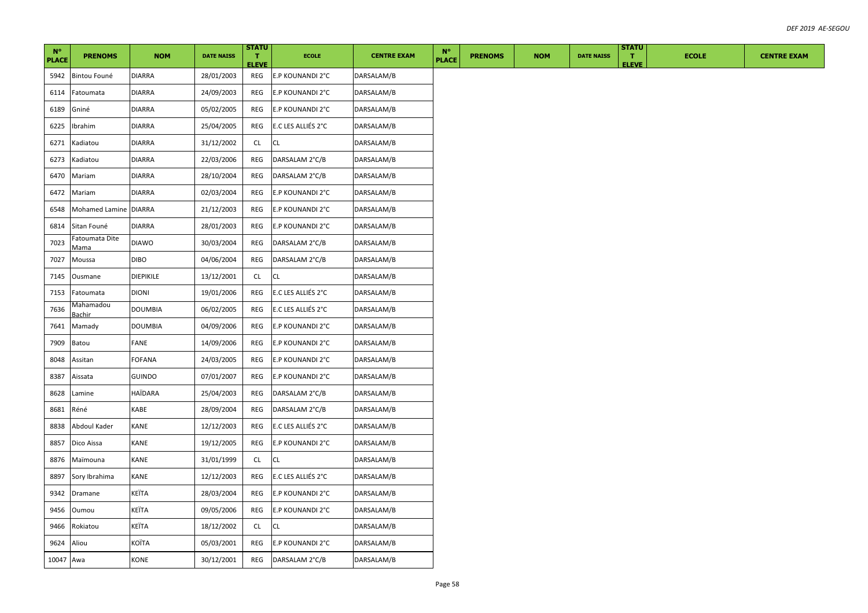| $N^{\circ}$<br><b>PLACE</b> | <b>PRENOMS</b>         | <b>NOM</b>    | <b>DATE NAISS</b> | <b>STATU</b><br>T.<br><b>ELEVE</b> | <b>ECOLE</b>       | <b>CENTRE EXAM</b> | $N^{\circ}$<br><b>PLACE</b> | <b>PRENOMS</b> | <b>NOM</b> | <b>DATE NAISS</b> | <b>STATU</b><br>$\mathbf{T}$<br><b>ELEVE</b> | <b>ECOLE</b> | <b>CENTRE EXAM</b> |
|-----------------------------|------------------------|---------------|-------------------|------------------------------------|--------------------|--------------------|-----------------------------|----------------|------------|-------------------|----------------------------------------------|--------------|--------------------|
| 5942                        | Bintou Founé           | <b>DIARRA</b> | 28/01/2003        | REG                                | E.P KOUNANDI 2°C   | DARSALAM/B         |                             |                |            |                   |                                              |              |                    |
| 6114                        | Fatoumata              | DIARRA        | 24/09/2003        | REG                                | E.P KOUNANDI 2°C   | DARSALAM/B         |                             |                |            |                   |                                              |              |                    |
| 6189                        | Gniné                  | DIARRA        | 05/02/2005        | REG                                | E.P KOUNANDI 2°C   | DARSALAM/B         |                             |                |            |                   |                                              |              |                    |
| 6225                        | Ibrahim                | DIARRA        | 25/04/2005        | REG                                | E.C LES ALLIÉS 2°C | DARSALAM/B         |                             |                |            |                   |                                              |              |                    |
| 6271                        | Kadiatou               | DIARRA        | 31/12/2002        | CL.                                | CL.                | DARSALAM/B         |                             |                |            |                   |                                              |              |                    |
| 6273                        | Kadiatou               | DIARRA        | 22/03/2006        | REG                                | DARSALAM 2°C/B     | DARSALAM/B         |                             |                |            |                   |                                              |              |                    |
| 6470                        | Mariam                 | DIARRA        | 28/10/2004        | REG                                | DARSALAM 2°C/B     | DARSALAM/B         |                             |                |            |                   |                                              |              |                    |
| 6472                        | Mariam                 | DIARRA        | 02/03/2004        | REG                                | E.P KOUNANDI 2°C   | DARSALAM/B         |                             |                |            |                   |                                              |              |                    |
| 6548                        | Mohamed Lamine DIARRA  |               | 21/12/2003        | REG                                | E.P KOUNANDI 2°C   | DARSALAM/B         |                             |                |            |                   |                                              |              |                    |
| 6814                        | Sitan Founé            | DIARRA        | 28/01/2003        | REG                                | E.P KOUNANDI 2°C   | DARSALAM/B         |                             |                |            |                   |                                              |              |                    |
| 7023                        | Fatoumata Dite<br>Mama | <b>DIAWO</b>  | 30/03/2004        | REG                                | DARSALAM 2°C/B     | DARSALAM/B         |                             |                |            |                   |                                              |              |                    |
| 7027                        | Moussa                 | DIBO          | 04/06/2004        | REG                                | DARSALAM 2°C/B     | DARSALAM/B         |                             |                |            |                   |                                              |              |                    |
| 7145                        | Ousmane                | DIEPIKILE     | 13/12/2001        | CL                                 | CL.                | DARSALAM/B         |                             |                |            |                   |                                              |              |                    |
| 7153                        | Fatoumata              | <b>DIONI</b>  | 19/01/2006        | REG                                | E.C LES ALLIÉS 2°C | DARSALAM/B         |                             |                |            |                   |                                              |              |                    |
| 7636                        | Mahamadou<br>Bachir    | DOUMBIA       | 06/02/2005        | REG                                | E.C LES ALLIÉS 2°C | DARSALAM/B         |                             |                |            |                   |                                              |              |                    |
| 7641                        | Mamady                 | DOUMBIA       | 04/09/2006        | REG                                | E.P KOUNANDI 2°C   | DARSALAM/B         |                             |                |            |                   |                                              |              |                    |
| 7909                        | Batou                  | FANE          | 14/09/2006        | REG                                | E.P KOUNANDI 2°C   | DARSALAM/B         |                             |                |            |                   |                                              |              |                    |
| 8048                        | Assitan                | FOFANA        | 24/03/2005        | REG                                | E.P KOUNANDI 2°C   | DARSALAM/B         |                             |                |            |                   |                                              |              |                    |
| 8387                        | Aissata                | GUINDO        | 07/01/2007        | REG                                | E.P KOUNANDI 2°C   | DARSALAM/B         |                             |                |            |                   |                                              |              |                    |
| 8628                        | Lamine                 | HAÏDARA       | 25/04/2003        | REG                                | DARSALAM 2°C/B     | DARSALAM/B         |                             |                |            |                   |                                              |              |                    |
| 8681                        | Réné                   | KABE          | 28/09/2004        | REG                                | DARSALAM 2°C/B     | DARSALAM/B         |                             |                |            |                   |                                              |              |                    |
| 8838                        | Abdoul Kader           | KANE          | 12/12/2003        | REG                                | E.C LES ALLIÉS 2°C | DARSALAM/B         |                             |                |            |                   |                                              |              |                    |
| 8857                        | Dico Aissa             | KANE          | 19/12/2005        | REG                                | E.P KOUNANDI 2°C   | DARSALAM/B         |                             |                |            |                   |                                              |              |                    |
| 8876                        | Maïmouna               | KANE          | 31/01/1999        | CL.                                | CL                 | DARSALAM/B         |                             |                |            |                   |                                              |              |                    |
| 8897                        | Sory Ibrahima          | KANE          | 12/12/2003        | REG                                | E.C LES ALLIÉS 2°C | DARSALAM/B         |                             |                |            |                   |                                              |              |                    |
| 9342                        | Dramane                | KEÏTA         | 28/03/2004        | REG                                | E.P KOUNANDI 2°C   | DARSALAM/B         |                             |                |            |                   |                                              |              |                    |
| 9456                        | Oumou                  | KEÏTA         | 09/05/2006        | REG                                | E.P KOUNANDI 2°C   | DARSALAM/B         |                             |                |            |                   |                                              |              |                    |
| 9466                        | Rokiatou               | KEÏTA         | 18/12/2002        | CL.                                | CL.                | DARSALAM/B         |                             |                |            |                   |                                              |              |                    |
| 9624                        | Aliou                  | KOÏTA         | 05/03/2001        | REG                                | E.P KOUNANDI 2°C   | DARSALAM/B         |                             |                |            |                   |                                              |              |                    |
| 10047 Awa                   |                        | KONE          | 30/12/2001        | REG                                | DARSALAM 2°C/B     | DARSALAM/B         |                             |                |            |                   |                                              |              |                    |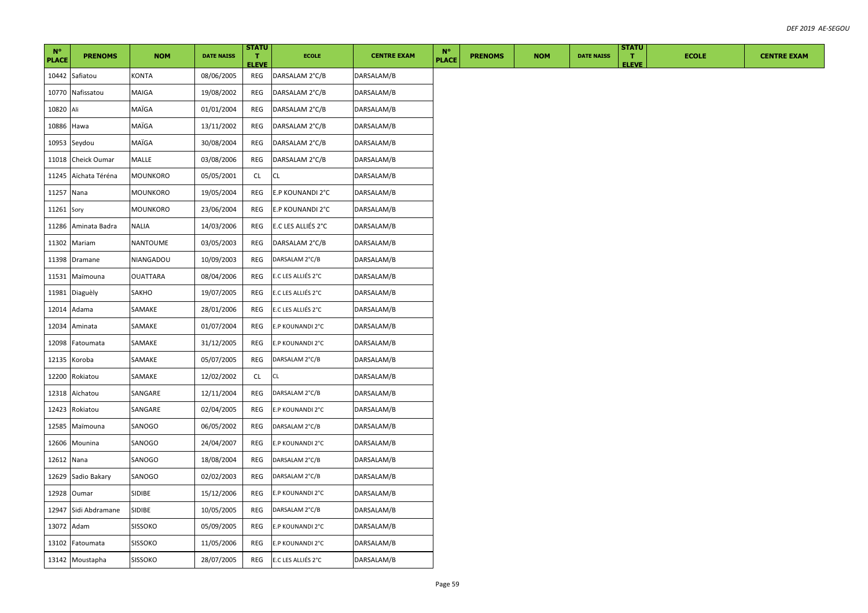| $N^{\circ}$<br><b>PLACE</b> | <b>PRENOMS</b>  | <b>NOM</b>     | <b>DATE NAISS</b> | <b>STATU</b><br>т.<br><b>ELEVE</b> | <b>ECOLE</b>       | <b>CENTRE EXAM</b> | $N^{\circ}$<br><b>PLACE</b> | <b>PRENOMS</b> | <b>NOM</b> | <b>DATE NAISS</b> | <b>STATU</b><br>л.<br><b>ELEVE</b> | <b>ECOLE</b> | <b>CENTRE EXAM</b> |
|-----------------------------|-----------------|----------------|-------------------|------------------------------------|--------------------|--------------------|-----------------------------|----------------|------------|-------------------|------------------------------------|--------------|--------------------|
|                             | 10442 Safiatou  | KONTA          | 08/06/2005        | REG                                | DARSALAM 2°C/B     | DARSALAM/B         |                             |                |            |                   |                                    |              |                    |
| 10770                       | Nafissatou      | MAIGA          | 19/08/2002        | REG                                | DARSALAM 2°C/B     | DARSALAM/B         |                             |                |            |                   |                                    |              |                    |
| 10820                       | Ali             | MAÏGA          | 01/01/2004        | REG                                | DARSALAM 2°C/B     | DARSALAM/B         |                             |                |            |                   |                                    |              |                    |
| 10886                       | Hawa            | MAÏGA          | 13/11/2002        | REG                                | DARSALAM 2°C/B     | DARSALAM/B         |                             |                |            |                   |                                    |              |                    |
| 10953                       | Seydou          | MAÏGA          | 30/08/2004        | REG                                | DARSALAM 2°C/B     | DARSALAM/B         |                             |                |            |                   |                                    |              |                    |
| 11018                       | Cheick Oumar    | MALLE          | 03/08/2006        | REG                                | DARSALAM 2°C/B     | DARSALAM/B         |                             |                |            |                   |                                    |              |                    |
| 11245                       | Aïchata Téréna  | MOUNKORO       | 05/05/2001        | CL                                 | <b>CL</b>          | DARSALAM/B         |                             |                |            |                   |                                    |              |                    |
| 11257                       | Nana            | MOUNKORO       | 19/05/2004        | REG                                | E.P KOUNANDI 2°C   | DARSALAM/B         |                             |                |            |                   |                                    |              |                    |
| 11261 Sory                  |                 | MOUNKORO       | 23/06/2004        | REG                                | E.P KOUNANDI 2°C   | DARSALAM/B         |                             |                |            |                   |                                    |              |                    |
| 11286                       | Aminata Badra   | NALIA          | 14/03/2006        | REG                                | E.C LES ALLIÉS 2°C | DARSALAM/B         |                             |                |            |                   |                                    |              |                    |
| 11302                       | Mariam          | NANTOUME       | 03/05/2003        | REG                                | DARSALAM 2°C/B     | DARSALAM/B         |                             |                |            |                   |                                    |              |                    |
| 11398                       | Dramane         | NIANGADOU      | 10/09/2003        | REG                                | DARSALAM 2°C/B     | DARSALAM/B         |                             |                |            |                   |                                    |              |                    |
| 11531                       | Maïmouna        | OUATTARA       | 08/04/2006        | REG                                | E.C LES ALLIÉS 2°C | DARSALAM/B         |                             |                |            |                   |                                    |              |                    |
| 11981                       | Diaguèly        | SAKHO          | 19/07/2005        | REG                                | E.C LES ALLIÉS 2°C | DARSALAM/B         |                             |                |            |                   |                                    |              |                    |
| 12014                       | Adama           | SAMAKE         | 28/01/2006        | REG                                | E.C LES ALLIÉS 2°C | DARSALAM/B         |                             |                |            |                   |                                    |              |                    |
| 12034                       | Aminata         | SAMAKE         | 01/07/2004        | REG                                | E.P KOUNANDI 2°C   | DARSALAM/B         |                             |                |            |                   |                                    |              |                    |
| 12098                       | Fatoumata       | SAMAKE         | 31/12/2005        | REG                                | E.P KOUNANDI 2°C   | DARSALAM/B         |                             |                |            |                   |                                    |              |                    |
| 12135                       | Koroba          | SAMAKE         | 05/07/2005        | REG                                | DARSALAM 2°C/B     | DARSALAM/B         |                             |                |            |                   |                                    |              |                    |
| 12200                       | Rokiatou        | SAMAKE         | 12/02/2002        | CL.                                | CL                 | DARSALAM/B         |                             |                |            |                   |                                    |              |                    |
| 12318                       | Aïchatou        | SANGARE        | 12/11/2004        | REG                                | DARSALAM 2°C/B     | DARSALAM/B         |                             |                |            |                   |                                    |              |                    |
| 12423                       | Rokiatou        | SANGARE        | 02/04/2005        | REG                                | E.P KOUNANDI 2°C   | DARSALAM/B         |                             |                |            |                   |                                    |              |                    |
| 12585                       | Maïmouna        | SANOGO         | 06/05/2002        | REG                                | DARSALAM 2°C/B     | DARSALAM/B         |                             |                |            |                   |                                    |              |                    |
| 12606                       | Mounina         | SANOGO         | 24/04/2007        | REG                                | E.P KOUNANDI 2°C   | DARSALAM/B         |                             |                |            |                   |                                    |              |                    |
| 12612 Nana                  |                 | SANOGO         | 18/08/2004        | REG                                | DARSALAM 2°C/B     | DARSALAM/B         |                             |                |            |                   |                                    |              |                    |
| 12629                       | Sadio Bakary    | SANOGO         | 02/02/2003        | REG                                | DARSALAM 2°C/B     | DARSALAM/B         |                             |                |            |                   |                                    |              |                    |
| 12928                       | Oumar           | <b>SIDIBE</b>  | 15/12/2006        | REG                                | E.P KOUNANDI 2°C   | DARSALAM/B         |                             |                |            |                   |                                    |              |                    |
| 12947                       | Sidi Abdramane  | SIDIBE         | 10/05/2005        | REG                                | DARSALAM 2°C/B     | DARSALAM/B         |                             |                |            |                   |                                    |              |                    |
| 13072                       | Adam            | <b>SISSOKO</b> | 05/09/2005        | REG                                | E.P KOUNANDI 2°C   | DARSALAM/B         |                             |                |            |                   |                                    |              |                    |
| 13102                       | Fatoumata       | <b>SISSOKO</b> | 11/05/2006        | REG                                | E.P KOUNANDI 2°C   | DARSALAM/B         |                             |                |            |                   |                                    |              |                    |
|                             | 13142 Moustapha | <b>SISSOKO</b> | 28/07/2005        | REG                                | E.C LES ALLIÉS 2°C | DARSALAM/B         |                             |                |            |                   |                                    |              |                    |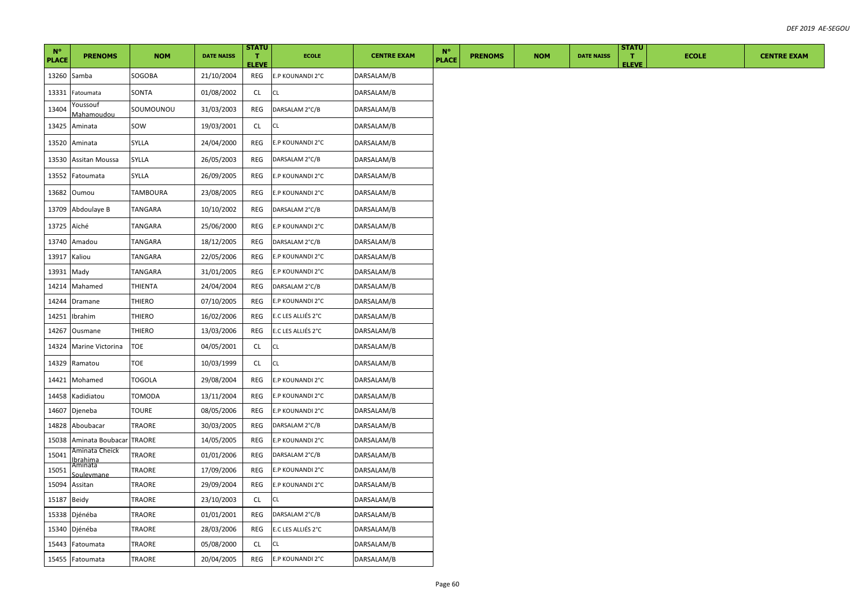| $N^{\circ}$<br><b>PLACE</b> | <b>PRENOMS</b>                        | <b>NOM</b> | <b>DATE NAISS</b> | <b>STATU</b><br>т.<br><b>ELEVE</b> | <b>ECOLE</b>       | <b>CENTRE EXAM</b> | $N^{\circ}$<br><b>PLACE</b> | <b>PRENOMS</b> | <b>NOM</b> | <b>DATE NAISS</b> | <b>STATU</b><br>T.<br><b>ELEVE</b> | <b>ECOLE</b> | <b>CENTRE EXAM</b> |
|-----------------------------|---------------------------------------|------------|-------------------|------------------------------------|--------------------|--------------------|-----------------------------|----------------|------------|-------------------|------------------------------------|--------------|--------------------|
| 13260                       | Samba                                 | SOGOBA     | 21/10/2004        | REG                                | E.P KOUNANDI 2°C   | DARSALAM/B         |                             |                |            |                   |                                    |              |                    |
| 13331                       | Fatoumata                             | SONTA      | 01/08/2002        | <b>CL</b>                          | <b>CL</b>          | DARSALAM/B         |                             |                |            |                   |                                    |              |                    |
| 13404                       | Youssouf<br>Mahamoudou                | SOUMOUNOU  | 31/03/2003        | REG                                | DARSALAM 2°C/B     | DARSALAM/B         |                             |                |            |                   |                                    |              |                    |
| 13425                       | Aminata                               | SOW        | 19/03/2001        | CL                                 | CL                 | DARSALAM/B         |                             |                |            |                   |                                    |              |                    |
| 13520                       | Aminata                               | SYLLA      | 24/04/2000        | REG                                | E.P KOUNANDI 2°C   | DARSALAM/B         |                             |                |            |                   |                                    |              |                    |
| 13530                       | Assitan Moussa                        | SYLLA      | 26/05/2003        | REG                                | DARSALAM 2°C/B     | DARSALAM/B         |                             |                |            |                   |                                    |              |                    |
| 13552                       | Fatoumata                             | SYLLA      | 26/09/2005        | REG                                | E.P KOUNANDI 2°C   | DARSALAM/B         |                             |                |            |                   |                                    |              |                    |
| 13682                       | Oumou                                 | TAMBOURA   | 23/08/2005        | REG                                | E.P KOUNANDI 2°C   | DARSALAM/B         |                             |                |            |                   |                                    |              |                    |
| 13709                       | Abdoulaye B                           | TANGARA    | 10/10/2002        | REG                                | DARSALAM 2°C/B     | DARSALAM/B         |                             |                |            |                   |                                    |              |                    |
| 13725                       | Aïché                                 | TANGARA    | 25/06/2000        | REG                                | E.P KOUNANDI 2°C   | DARSALAM/B         |                             |                |            |                   |                                    |              |                    |
| 13740                       | Amadou                                | TANGARA    | 18/12/2005        | REG                                | DARSALAM 2°C/B     | DARSALAM/B         |                             |                |            |                   |                                    |              |                    |
| 13917                       | Kaliou                                | TANGARA    | 22/05/2006        | REG                                | E.P KOUNANDI 2°C   | DARSALAM/B         |                             |                |            |                   |                                    |              |                    |
| 13931                       | Mady                                  | TANGARA    | 31/01/2005        | REG                                | E.P KOUNANDI 2°C   | DARSALAM/B         |                             |                |            |                   |                                    |              |                    |
| 14214                       | Mahamed                               | THIENTA    | 24/04/2004        | REG                                | DARSALAM 2°C/B     | DARSALAM/B         |                             |                |            |                   |                                    |              |                    |
| 14244                       | Dramane                               | THIERO     | 07/10/2005        | REG                                | E.P KOUNANDI 2°C   | DARSALAM/B         |                             |                |            |                   |                                    |              |                    |
| 14251                       | Ibrahim                               | THIERO     | 16/02/2006        | REG                                | E.C LES ALLIÉS 2°C | DARSALAM/B         |                             |                |            |                   |                                    |              |                    |
| 14267                       | Ousmane                               | THIERO     | 13/03/2006        | REG                                | E.C LES ALLIÉS 2°C | DARSALAM/B         |                             |                |            |                   |                                    |              |                    |
| 14324                       | Marine Victorina                      | TOE        | 04/05/2001        | CL                                 | <b>CL</b>          | DARSALAM/B         |                             |                |            |                   |                                    |              |                    |
| 14329                       | Ramatou                               | TOE        | 10/03/1999        | CL                                 | CL                 | DARSALAM/B         |                             |                |            |                   |                                    |              |                    |
| 14421                       | Mohamed                               | TOGOLA     | 29/08/2004        | REG                                | E.P KOUNANDI 2°C   | DARSALAM/B         |                             |                |            |                   |                                    |              |                    |
| 14458                       | Kadidiatou                            | TOMODA     | 13/11/2004        | REG                                | E.P KOUNANDI 2°C   | DARSALAM/B         |                             |                |            |                   |                                    |              |                    |
| 14607                       | Djeneba                               | TOURE      | 08/05/2006        | REG                                | E.P KOUNANDI 2°C   | DARSALAM/B         |                             |                |            |                   |                                    |              |                    |
| 14828                       | Aboubacar                             | TRAORE     | 30/03/2005        | REG                                | DARSALAM 2°C/B     | DARSALAM/B         |                             |                |            |                   |                                    |              |                    |
| 15038                       | Aminata Boubacar                      | TRAORE     | 14/05/2005        | REG                                | E.P KOUNANDI 2°C   | DARSALAM/B         |                             |                |            |                   |                                    |              |                    |
| 15041                       | Aminata Cheick<br>Ibrahima<br>Aminata | TRAORE     | 01/01/2006        | REG                                | DARSALAM 2°C/B     | DARSALAM/B         |                             |                |            |                   |                                    |              |                    |
| 15051                       | Soulevmane                            | TRAORE     | 17/09/2006        | REG                                | E.P KOUNANDI 2°C   | DARSALAM/B         |                             |                |            |                   |                                    |              |                    |
| 15094                       | Assitan                               | TRAORE     | 29/09/2004        | REG                                | E.P KOUNANDI 2°C   | DARSALAM/B         |                             |                |            |                   |                                    |              |                    |
| 15187                       | Beidy                                 | TRAORE     | 23/10/2003        | CL                                 | CL                 | DARSALAM/B         |                             |                |            |                   |                                    |              |                    |
| 15338                       | Djénéba                               | TRAORE     | 01/01/2001        | REG                                | DARSALAM 2°C/B     | DARSALAM/B         |                             |                |            |                   |                                    |              |                    |
| 15340                       | Djénéba                               | TRAORE     | 28/03/2006        | REG                                | E.C LES ALLIÉS 2°C | DARSALAM/B         |                             |                |            |                   |                                    |              |                    |
| 15443                       | Fatoumata                             | TRAORE     | 05/08/2000        | <b>CL</b>                          | CL                 | DARSALAM/B         |                             |                |            |                   |                                    |              |                    |
|                             | 15455 Fatoumata                       | TRAORE     | 20/04/2005        | REG                                | E.P KOUNANDI 2°C   | DARSALAM/B         |                             |                |            |                   |                                    |              |                    |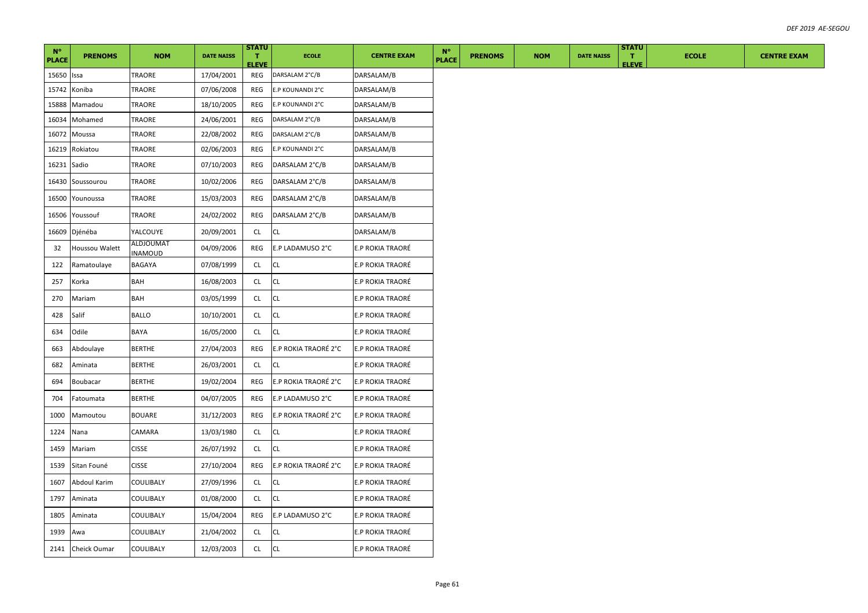| $N^{\circ}$<br><b>PLACE</b> | <b>PRENOMS</b>      | <b>NOM</b>                  | <b>DATE NAISS</b> | <b>STATU</b><br>$\mathbf T$<br><b>ELEVE</b> | <b>ECOLE</b>         | <b>CENTRE EXAM</b> | $N^{\circ}$<br><b>PLACE</b> | <b>PRENOMS</b> | <b>NOM</b> | <b>DATE NAISS</b> | <b>STATU</b><br>$\mathbf{T}$<br><b>ELEVE</b> | <b>ECOLE</b> | <b>CENTRE EXAM</b> |
|-----------------------------|---------------------|-----------------------------|-------------------|---------------------------------------------|----------------------|--------------------|-----------------------------|----------------|------------|-------------------|----------------------------------------------|--------------|--------------------|
| 15650                       | Issa                | TRAORE                      | 17/04/2001        | REG                                         | DARSALAM 2°C/B       | DARSALAM/B         |                             |                |            |                   |                                              |              |                    |
| 15742                       | Koniba              | TRAORE                      | 07/06/2008        | REG                                         | E.P KOUNANDI 2°C     | DARSALAM/B         |                             |                |            |                   |                                              |              |                    |
| 15888                       | Mamadou             | TRAORE                      | 18/10/2005        | REG                                         | E.P KOUNANDI 2°C     | DARSALAM/B         |                             |                |            |                   |                                              |              |                    |
| 16034                       | Mohamed             | TRAORE                      | 24/06/2001        | REG                                         | DARSALAM 2°C/B       | DARSALAM/B         |                             |                |            |                   |                                              |              |                    |
| 16072                       | Moussa              | TRAORE                      | 22/08/2002        | REG                                         | DARSALAM 2°C/B       | DARSALAM/B         |                             |                |            |                   |                                              |              |                    |
| 16219                       | Rokiatou            | TRAORE                      | 02/06/2003        | REG                                         | E.P KOUNANDI 2°C     | DARSALAM/B         |                             |                |            |                   |                                              |              |                    |
| 16231                       | Sadio               | TRAORE                      | 07/10/2003        | REG                                         | DARSALAM 2°C/B       | DARSALAM/B         |                             |                |            |                   |                                              |              |                    |
| 16430                       | Soussourou          | TRAORE                      | 10/02/2006        | REG                                         | DARSALAM 2°C/B       | DARSALAM/B         |                             |                |            |                   |                                              |              |                    |
| 16500                       | Younoussa           | TRAORE                      | 15/03/2003        | REG                                         | DARSALAM 2°C/B       | DARSALAM/B         |                             |                |            |                   |                                              |              |                    |
| 16506                       | Youssouf            | TRAORE                      | 24/02/2002        | REG                                         | DARSALAM 2°C/B       | DARSALAM/B         |                             |                |            |                   |                                              |              |                    |
| 16609                       | Djénéba             | YALCOUYE                    | 20/09/2001        | CL                                          | <b>CL</b>            | DARSALAM/B         |                             |                |            |                   |                                              |              |                    |
| 32                          | Houssou Walett      | ALDJOUMAT<br><b>INAMOUD</b> | 04/09/2006        | REG                                         | E.P LADAMUSO 2°C     | E.P ROKIA TRAORÉ   |                             |                |            |                   |                                              |              |                    |
| 122                         | Ramatoulaye         | <b>BAGAYA</b>               | 07/08/1999        | CL                                          | <b>CL</b>            | E.P ROKIA TRAORÉ   |                             |                |            |                   |                                              |              |                    |
| 257                         | Korka               | BAH                         | 16/08/2003        | <b>CL</b>                                   | <b>CL</b>            | E.P ROKIA TRAORÉ   |                             |                |            |                   |                                              |              |                    |
| 270                         | Mariam              | BAH                         | 03/05/1999        | CL                                          | <b>CL</b>            | E.P ROKIA TRAORÉ   |                             |                |            |                   |                                              |              |                    |
| 428                         | Salif               | BALLO                       | 10/10/2001        | CL                                          | CL                   | E.P ROKIA TRAORÉ   |                             |                |            |                   |                                              |              |                    |
| 634                         | Odile               | BAYA                        | 16/05/2000        | CL                                          | <b>CL</b>            | E.P ROKIA TRAORÉ   |                             |                |            |                   |                                              |              |                    |
| 663                         | Abdoulaye           | <b>BERTHE</b>               | 27/04/2003        | REG                                         | E.P ROKIA TRAORÉ 2°C | E.P ROKIA TRAORÉ   |                             |                |            |                   |                                              |              |                    |
| 682                         | Aminata             | <b>BERTHE</b>               | 26/03/2001        | <b>CL</b>                                   | <b>CL</b>            | E.P ROKIA TRAORÉ   |                             |                |            |                   |                                              |              |                    |
| 694                         | Boubacar            | <b>BERTHE</b>               | 19/02/2004        | REG                                         | E.P ROKIA TRAORÉ 2°C | E.P ROKIA TRAORÉ   |                             |                |            |                   |                                              |              |                    |
| 704                         | Fatoumata           | <b>BERTHE</b>               | 04/07/2005        | REG                                         | E.P LADAMUSO 2°C     | E.P ROKIA TRAORÉ   |                             |                |            |                   |                                              |              |                    |
| 1000                        | Mamoutou            | <b>BOUARE</b>               | 31/12/2003        | REG                                         | E.P ROKIA TRAORÉ 2°C | E.P ROKIA TRAORÉ   |                             |                |            |                   |                                              |              |                    |
| 1224                        | Nana                | CAMARA                      | 13/03/1980        | CL                                          | <b>CL</b>            | E.P ROKIA TRAORÉ   |                             |                |            |                   |                                              |              |                    |
| 1459                        | Mariam              | <b>CISSE</b>                | 26/07/1992        | CL                                          | <b>CL</b>            | E.P ROKIA TRAORÉ   |                             |                |            |                   |                                              |              |                    |
| 1539                        | Sitan Founé         | <b>CISSE</b>                | 27/10/2004        | REG                                         | E.P ROKIA TRAORÉ 2°C | E.P ROKIA TRAORÉ   |                             |                |            |                   |                                              |              |                    |
| 1607                        | <b>Abdoul Karim</b> | COULIBALY                   | 27/09/1996        | <b>CL</b>                                   | <b>CL</b>            | E.P ROKIA TRAORÉ   |                             |                |            |                   |                                              |              |                    |
| 1797                        | Aminata             | COULIBALY                   | 01/08/2000        | <b>CL</b>                                   | <b>CL</b>            | E.P ROKIA TRAORÉ   |                             |                |            |                   |                                              |              |                    |
| 1805                        | Aminata             | COULIBALY                   | 15/04/2004        | REG                                         | E.P LADAMUSO 2°C     | E.P ROKIA TRAORÉ   |                             |                |            |                   |                                              |              |                    |
| 1939                        | Awa                 | COULIBALY                   | 21/04/2002        | CL                                          | CL                   | E.P ROKIA TRAORÉ   |                             |                |            |                   |                                              |              |                    |
|                             | 2141 Cheick Oumar   | COULIBALY                   | 12/03/2003        | CL                                          | CL                   | E.P ROKIA TRAORÉ   |                             |                |            |                   |                                              |              |                    |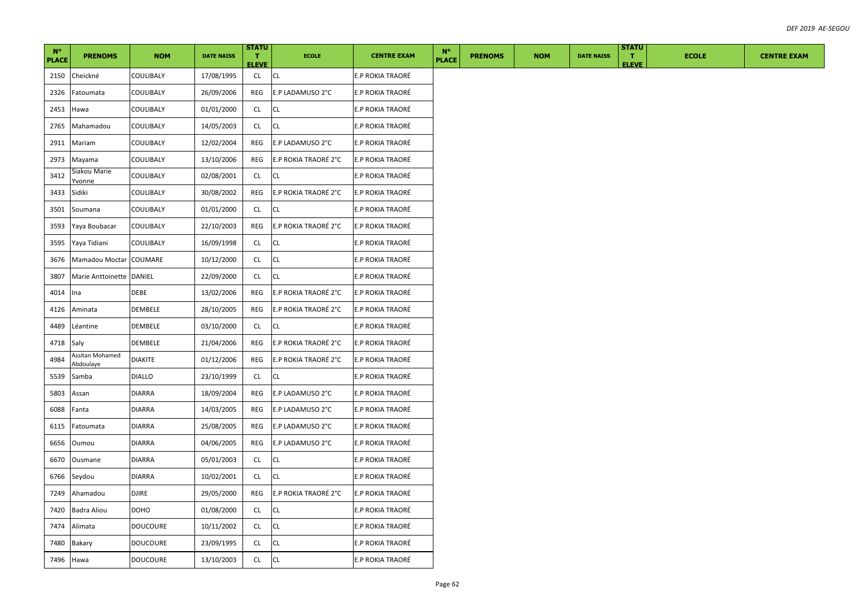| $N^{\circ}$<br><b>PLACE</b> | <b>PRENOMS</b>               | <b>NOM</b>      | <b>DATE NAISS</b> | <b>STATU</b><br>$\mathbf{T}$<br><b>ELEVE</b> | <b>ECOLE</b>         | <b>CENTRE EXAM</b>      | $N^{\circ}$<br><b>PLACE</b> | <b>PRENOMS</b> | <b>NOM</b> | <b>DATE NAISS</b> | <b>STATU</b><br>т.<br><b>ELEVE</b> | <b>ECOLE</b> | <b>CENTRE EXAM</b> |
|-----------------------------|------------------------------|-----------------|-------------------|----------------------------------------------|----------------------|-------------------------|-----------------------------|----------------|------------|-------------------|------------------------------------|--------------|--------------------|
| 2150                        | Cheickné                     | COULIBALY       | 17/08/1995        | CL                                           | <b>CL</b>            | E.P ROKIA TRAORÉ        |                             |                |            |                   |                                    |              |                    |
| 2326                        | Fatoumata                    | COULIBALY       | 26/09/2006        | REG                                          | E.P LADAMUSO 2°C     | E.P ROKIA TRAORÉ        |                             |                |            |                   |                                    |              |                    |
| 2453                        | Hawa                         | COULIBALY       | 01/01/2000        | <b>CL</b>                                    | <b>CL</b>            | E.P ROKIA TRAORÉ        |                             |                |            |                   |                                    |              |                    |
| 2765                        | Mahamadou                    | COULIBALY       | 14/05/2003        | CL                                           | <b>CL</b>            | <b>E.P ROKIA TRAORÉ</b> |                             |                |            |                   |                                    |              |                    |
| 2911                        | Mariam                       | COULIBALY       | 12/02/2004        | <b>REG</b>                                   | E.P LADAMUSO 2°C     | E.P ROKIA TRAORÉ        |                             |                |            |                   |                                    |              |                    |
| 2973                        | Mayama                       | COULIBALY       | 13/10/2006        | REG                                          | E.P ROKIA TRAORÉ 2°C | E.P ROKIA TRAORÉ        |                             |                |            |                   |                                    |              |                    |
| 3412                        | Siakou Marie<br>/vonne       | COULIBALY       | 02/08/2001        | CL                                           | <b>CL</b>            | E.P ROKIA TRAORÉ        |                             |                |            |                   |                                    |              |                    |
| 3433                        | Sidiki                       | COULIBALY       | 30/08/2002        | REG                                          | E.P ROKIA TRAORÉ 2°C | E.P ROKIA TRAORÉ        |                             |                |            |                   |                                    |              |                    |
| 3501                        | Soumana                      | COULIBALY       | 01/01/2000        | CL                                           | <b>CL</b>            | <b>E.P ROKIA TRAORÉ</b> |                             |                |            |                   |                                    |              |                    |
| 3593                        | Yaya Boubacar                | COULIBALY       | 22/10/2003        | <b>REG</b>                                   | E.P ROKIA TRAORÉ 2°C | <b>E.P ROKIA TRAORÉ</b> |                             |                |            |                   |                                    |              |                    |
| 3595                        | Yaya Tidiani                 | COULIBALY       | 16/09/1998        | CL                                           | <b>CL</b>            | E.P ROKIA TRAORÉ        |                             |                |            |                   |                                    |              |                    |
| 3676                        | Mamadou Moctar COUMARE       |                 | 10/12/2000        | CL                                           | <b>CL</b>            | E.P ROKIA TRAORÉ        |                             |                |            |                   |                                    |              |                    |
| 3807                        | Marie Anttoinette DANIEL     |                 | 22/09/2000        | CL                                           | <b>CL</b>            | E.P ROKIA TRAORÉ        |                             |                |            |                   |                                    |              |                    |
| 4014                        | Ina                          | DEBE            | 13/02/2006        | <b>REG</b>                                   | E.P ROKIA TRAORÉ 2°C | E.P ROKIA TRAORÉ        |                             |                |            |                   |                                    |              |                    |
| 4126                        | Aminata                      | DEMBELE         | 28/10/2005        | REG                                          | E.P ROKIA TRAORÉ 2°C | E.P ROKIA TRAORÉ        |                             |                |            |                   |                                    |              |                    |
| 4489                        | Léantine                     | DEMBELE         | 03/10/2000        | CL                                           | <b>CL</b>            | E.P ROKIA TRAORÉ        |                             |                |            |                   |                                    |              |                    |
| 4718                        | Saly                         | DEMBELE         | 21/04/2006        | REG                                          | E.P ROKIA TRAORÉ 2°C | E.P ROKIA TRAORÉ        |                             |                |            |                   |                                    |              |                    |
| 4984                        | Assitan Mohamed<br>Abdoulaye | <b>DIAKITE</b>  | 01/12/2006        | REG                                          | E.P ROKIA TRAORÉ 2°C | E.P ROKIA TRAORÉ        |                             |                |            |                   |                                    |              |                    |
| 5539                        | Samba                        | <b>DIALLO</b>   | 23/10/1999        | CL                                           | <b>CL</b>            | E.P ROKIA TRAORÉ        |                             |                |            |                   |                                    |              |                    |
| 5803                        | Assan                        | DIARRA          | 18/09/2004        | REG                                          | E.P LADAMUSO 2°C     | E.P ROKIA TRAORÉ        |                             |                |            |                   |                                    |              |                    |
| 6088                        | Fanta                        | DIARRA          | 14/03/2005        | REG                                          | E.P LADAMUSO 2°C     | E.P ROKIA TRAORÉ        |                             |                |            |                   |                                    |              |                    |
| 6115                        | Fatoumata                    | DIARRA          | 25/08/2005        | REG                                          | E.P LADAMUSO 2°C     | E.P ROKIA TRAORÉ        |                             |                |            |                   |                                    |              |                    |
| 6656                        | Oumou                        | DIARRA          | 04/06/2005        | REG                                          | E.P LADAMUSO 2°C     | E.P ROKIA TRAORÉ        |                             |                |            |                   |                                    |              |                    |
| 6670                        | Ousmane                      | DIARRA          | 05/01/2003        | CL                                           | <b>CL</b>            | E.P ROKIA TRAORÉ        |                             |                |            |                   |                                    |              |                    |
| 6766                        | Seydou                       | DIARRA          | 10/02/2001        | CL                                           | <b>CL</b>            | E.P ROKIA TRAORÉ        |                             |                |            |                   |                                    |              |                    |
| 7249                        | Ahamadou                     | DJIRE           | 29/05/2000        | REG                                          | E.P ROKIA TRAORÉ 2°C | E.P ROKIA TRAORÉ        |                             |                |            |                   |                                    |              |                    |
| 7420                        | Badra Aliou                  | DOHO            | 01/08/2000        | CL                                           | <b>CL</b>            | E.P ROKIA TRAORÉ        |                             |                |            |                   |                                    |              |                    |
| 7474                        | Alimata                      | DOUCOURE        | 10/11/2002        | <b>CL</b>                                    | <b>CL</b>            | E.P ROKIA TRAORÉ        |                             |                |            |                   |                                    |              |                    |
| 7480                        | Bakary                       | DOUCOURE        | 23/09/1995        | <b>CL</b>                                    | <b>CL</b>            | E.P ROKIA TRAORÉ        |                             |                |            |                   |                                    |              |                    |
| 7496 Hawa                   |                              | <b>DOUCOURE</b> | 13/10/2003        | CL                                           | <b>CL</b>            | E.P ROKIA TRAORÉ        |                             |                |            |                   |                                    |              |                    |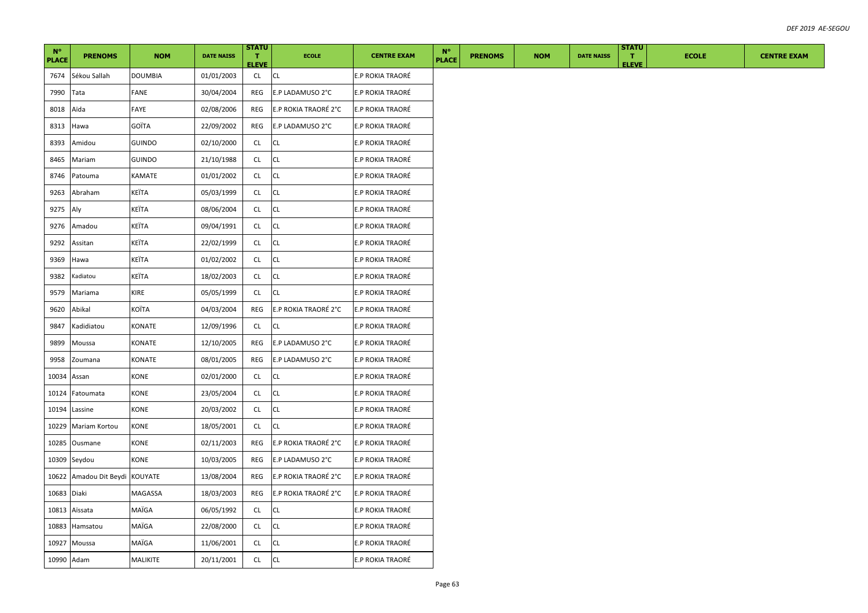| $N^{\circ}$<br><b>PLACE</b> | <b>PRENOMS</b>      | <b>NOM</b>    | <b>DATE NAISS</b> | <b>STATU</b><br>$\mathbf{T}$<br><b>ELEVE</b> | <b>ECOLE</b>         | <b>CENTRE EXAM</b>      | $N^{\circ}$<br><b>PLACE</b> | <b>PRENOMS</b> | <b>NOM</b> | <b>DATE NAISS</b> | <b>STATU</b><br>т.<br><b>ELEVE</b> | <b>ECOLE</b> | <b>CENTRE EXAM</b> |
|-----------------------------|---------------------|---------------|-------------------|----------------------------------------------|----------------------|-------------------------|-----------------------------|----------------|------------|-------------------|------------------------------------|--------------|--------------------|
| 7674                        | Sékou Sallah        | DOUMBIA       | 01/01/2003        | <b>CL</b>                                    | <b>CL</b>            | <b>E.P ROKIA TRAORÉ</b> |                             |                |            |                   |                                    |              |                    |
| 7990                        | Tata                | FANE          | 30/04/2004        | REG                                          | E.P LADAMUSO 2°C     | E.P ROKIA TRAORÉ        |                             |                |            |                   |                                    |              |                    |
| 8018                        | Aïda                | FAYE          | 02/08/2006        | REG                                          | E.P ROKIA TRAORÉ 2°C | <b>E.P ROKIA TRAORÉ</b> |                             |                |            |                   |                                    |              |                    |
| 8313                        | Hawa                | GOÏTA         | 22/09/2002        | REG                                          | E.P LADAMUSO 2°C     | E.P ROKIA TRAORÉ        |                             |                |            |                   |                                    |              |                    |
| 8393                        | Amidou              | <b>GUINDO</b> | 02/10/2000        | <b>CL</b>                                    | <b>CL</b>            | <b>E.P ROKIA TRAORÉ</b> |                             |                |            |                   |                                    |              |                    |
| 8465                        | Mariam              | GUINDO        | 21/10/1988        | CL                                           | CL                   | E.P ROKIA TRAORÉ        |                             |                |            |                   |                                    |              |                    |
| 8746                        | Patouma             | KAMATE        | 01/01/2002        | CL                                           | CL                   | E.P ROKIA TRAORÉ        |                             |                |            |                   |                                    |              |                    |
| 9263                        | Abraham             | KEÏTA         | 05/03/1999        | CL                                           | CL                   | E.P ROKIA TRAORÉ        |                             |                |            |                   |                                    |              |                    |
| 9275                        | Aly                 | KEÏTA         | 08/06/2004        | CL                                           | <b>CL</b>            | E.P ROKIA TRAORÉ        |                             |                |            |                   |                                    |              |                    |
| 9276                        | Amadou              | KEÏTA         | 09/04/1991        | CL                                           | <b>CL</b>            | E.P ROKIA TRAORÉ        |                             |                |            |                   |                                    |              |                    |
| 9292                        | Assitan             | KEÏTA         | 22/02/1999        | CL                                           | СL                   | E.P ROKIA TRAORÉ        |                             |                |            |                   |                                    |              |                    |
| 9369                        | Hawa                | KEÏTA         | 01/02/2002        | <b>CL</b>                                    | CL                   | E.P ROKIA TRAORÉ        |                             |                |            |                   |                                    |              |                    |
| 9382                        | Kadiatou            | KEÏTA         | 18/02/2003        | CL                                           | CL                   | E.P ROKIA TRAORÉ        |                             |                |            |                   |                                    |              |                    |
| 9579                        | Mariama             | KIRE          | 05/05/1999        | CL                                           | <b>CL</b>            | E.P ROKIA TRAORÉ        |                             |                |            |                   |                                    |              |                    |
| 9620                        | Abikal              | KOÏTA         | 04/03/2004        | REG                                          | E.P ROKIA TRAORÉ 2°C | <b>E.P ROKIA TRAORÉ</b> |                             |                |            |                   |                                    |              |                    |
| 9847                        | Kadidiatou          | KONATE        | 12/09/1996        | CL                                           | CL                   | E.P ROKIA TRAORÉ        |                             |                |            |                   |                                    |              |                    |
| 9899                        | Moussa              | KONATE        | 12/10/2005        | REG                                          | E.P LADAMUSO 2°C     | E.P ROKIA TRAORÉ        |                             |                |            |                   |                                    |              |                    |
| 9958                        | Zoumana             | KONATE        | 08/01/2005        | REG                                          | E.P LADAMUSO 2°C     | E.P ROKIA TRAORÉ        |                             |                |            |                   |                                    |              |                    |
| 10034 Assan                 |                     | KONE          | 02/01/2000        | CL                                           | CL                   | E.P ROKIA TRAORÉ        |                             |                |            |                   |                                    |              |                    |
| 10124                       | Fatoumata           | <b>CONE</b>   | 23/05/2004        | CL                                           | CL                   | E.P ROKIA TRAORÉ        |                             |                |            |                   |                                    |              |                    |
|                             | 10194 Lassine       | KONE          | 20/03/2002        | CL                                           | CL                   | E.P ROKIA TRAORÉ        |                             |                |            |                   |                                    |              |                    |
|                             | 10229 Mariam Kortou | KONE          | 18/05/2001        | CL                                           | <b>CL</b>            | <b>E.P ROKIA TRAORÉ</b> |                             |                |            |                   |                                    |              |                    |
|                             | 10285 Ousmane       | KONE          | 02/11/2003        | REG                                          | E.P ROKIA TRAORÉ 2°C | E.P ROKIA TRAORÉ        |                             |                |            |                   |                                    |              |                    |
|                             | 10309 Seydou        | KONE          | 10/03/2005        | REG                                          | E.P LADAMUSO 2°C     | E.P ROKIA TRAORÉ        |                             |                |            |                   |                                    |              |                    |
| 10622                       | Amadou Dit Beydi    | KOUYATE       | 13/08/2004        | REG                                          | E.P ROKIA TRAORÉ 2°C | E.P ROKIA TRAORÉ        |                             |                |            |                   |                                    |              |                    |
| 10683 Diaki                 |                     | MAGASSA       | 18/03/2003        | REG                                          | E.P ROKIA TRAORÉ 2°C | E.P ROKIA TRAORÉ        |                             |                |            |                   |                                    |              |                    |
|                             | 10813 Aïssata       | MAÏGA         | 06/05/1992        | CL                                           | CL                   | <b>E.P ROKIA TRAORÉ</b> |                             |                |            |                   |                                    |              |                    |
|                             | 10883 Hamsatou      | MAÏGA         | 22/08/2000        | CL.                                          | <b>CL</b>            | E.P ROKIA TRAORÉ        |                             |                |            |                   |                                    |              |                    |
| 10927                       | Moussa              | MAÏGA         | 11/06/2001        | CL                                           | СL                   | E.P ROKIA TRAORÉ        |                             |                |            |                   |                                    |              |                    |
| 10990 Adam                  |                     | MALIKITE      | 20/11/2001        | CL                                           | <b>CL</b>            | <b>E.P ROKIA TRAORÉ</b> |                             |                |            |                   |                                    |              |                    |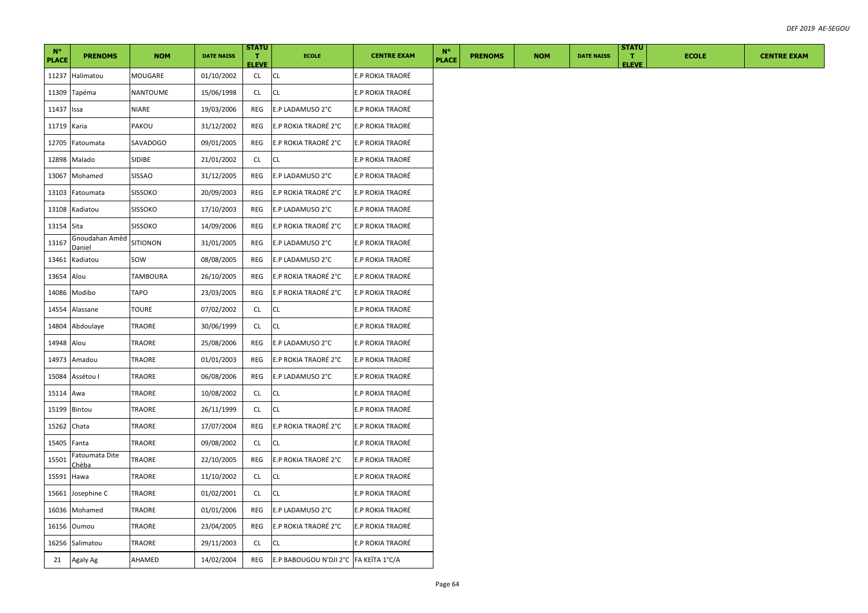| $N^{\circ}$  |                                |                |                   | <b>STATU</b>                 |                                       |                         | $N^{\circ}$  |                |            |                   | <b>STATU</b>                 |              |                    |
|--------------|--------------------------------|----------------|-------------------|------------------------------|---------------------------------------|-------------------------|--------------|----------------|------------|-------------------|------------------------------|--------------|--------------------|
| <b>PLACE</b> | <b>PRENOMS</b>                 | <b>NOM</b>     | <b>DATE NAISS</b> | $\mathbf{T}$<br><b>ELEVE</b> | <b>ECOLE</b>                          | <b>CENTRE EXAM</b>      | <b>PLACE</b> | <b>PRENOMS</b> | <b>NOM</b> | <b>DATE NAISS</b> | $\mathbf{T}$<br><b>ELEVE</b> | <b>ECOLE</b> | <b>CENTRE EXAM</b> |
| 11237        | Halimatou                      | MOUGARE        | 01/10/2002        | CL.                          | <b>CL</b>                             | E.P ROKIA TRAORÉ        |              |                |            |                   |                              |              |                    |
| 11309        | Tapéma                         | NANTOUME       | 15/06/1998        | CL.                          | СL                                    | E.P ROKIA TRAORÉ        |              |                |            |                   |                              |              |                    |
| 11437        | Issa                           | <b>NIARE</b>   | 19/03/2006        | REG                          | E.P LADAMUSO 2°C                      | E.P ROKIA TRAORÉ        |              |                |            |                   |                              |              |                    |
| 11719 Karia  |                                | PAKOU          | 31/12/2002        | REG                          | E.P ROKIA TRAORÉ 2°C                  | <b>E.P ROKIA TRAORÉ</b> |              |                |            |                   |                              |              |                    |
| 12705        | Fatoumata                      | SAVADOGO       | 09/01/2005        | REG                          | E.P ROKIA TRAORÉ 2°C                  | E.P ROKIA TRAORÉ        |              |                |            |                   |                              |              |                    |
| 12898        | Malado                         | SIDIBE         | 21/01/2002        | CL.                          | СL                                    | E.P ROKIA TRAORÉ        |              |                |            |                   |                              |              |                    |
| 13067        | Mohamed                        | SISSAO         | 31/12/2005        | REG                          | E.P LADAMUSO 2°C                      | E.P ROKIA TRAORÉ        |              |                |            |                   |                              |              |                    |
| 13103        | Fatoumata                      | <b>SISSOKO</b> | 20/09/2003        | REG                          | E.P ROKIA TRAORÉ 2°C                  | E.P ROKIA TRAORÉ        |              |                |            |                   |                              |              |                    |
|              | 13108 Kadiatou                 | <b>SISSOKO</b> | 17/10/2003        | REG                          | E.P LADAMUSO 2°C                      | <b>E.P ROKIA TRAORÉ</b> |              |                |            |                   |                              |              |                    |
| 13154 Sita   |                                | <b>SISSOKO</b> | 14/09/2006        | REG                          | E.P ROKIA TRAORÉ 2°C                  | <b>E.P ROKIA TRAORÉ</b> |              |                |            |                   |                              |              |                    |
| 13167        | Gnoudahan Amèd<br>Daniel       | SITIONON       | 31/01/2005        | REG                          | E.P LADAMUSO 2°C                      | E.P ROKIA TRAORÉ        |              |                |            |                   |                              |              |                    |
| 13461        | Kadiatou                       | sow            | 08/08/2005        | REG                          | E.P LADAMUSO 2°C                      | E.P ROKIA TRAORÉ        |              |                |            |                   |                              |              |                    |
| 13654        | Alou                           | TAMBOURA       | 26/10/2005        | REG                          | E.P ROKIA TRAORÉ 2°C                  | E.P ROKIA TRAORÉ        |              |                |            |                   |                              |              |                    |
| 14086        | Modibo                         | <b>TAPO</b>    | 23/03/2005        | REG                          | E.P ROKIA TRAORÉ 2°C                  | <b>E.P ROKIA TRAORÉ</b> |              |                |            |                   |                              |              |                    |
| 14554        | Alassane                       | TOURE          | 07/02/2002        | CL.                          | <b>CL</b>                             | E.P ROKIA TRAORÉ        |              |                |            |                   |                              |              |                    |
| 14804        | Abdoulaye                      | TRAORE         | 30/06/1999        | CL                           | СL                                    | E.P ROKIA TRAORÉ        |              |                |            |                   |                              |              |                    |
| 14948        | Alou                           | TRAORE         | 25/08/2006        | REG                          | E.P LADAMUSO 2°C                      | E.P ROKIA TRAORÉ        |              |                |            |                   |                              |              |                    |
| 14973        | Amadou                         | TRAORE         | 01/01/2003        | REG                          | E.P ROKIA TRAORÉ 2°C                  | E.P ROKIA TRAORÉ        |              |                |            |                   |                              |              |                    |
| 15084        | Assétou I                      | TRAORE         | 06/08/2006        | REG                          | E.P LADAMUSO 2°C                      | E.P ROKIA TRAORÉ        |              |                |            |                   |                              |              |                    |
| 15114        | Awa                            | <b>TRAORE</b>  | 10/08/2002        | CL                           | CL                                    | E.P ROKIA TRAORÉ        |              |                |            |                   |                              |              |                    |
| 15199        | Bintou                         | TRAORE         | 26/11/1999        | CL                           | СL                                    | E.P ROKIA TRAORÉ        |              |                |            |                   |                              |              |                    |
| 15262 Chata  |                                | TRAORE         | 17/07/2004        | REG                          | E.P ROKIA TRAORÉ 2°C                  | <b>E.P ROKIA TRAORÉ</b> |              |                |            |                   |                              |              |                    |
| 15405 Fanta  |                                | TRAORE         | 09/08/2002        | <b>CL</b>                    | <b>CL</b>                             | E.P ROKIA TRAORÉ        |              |                |            |                   |                              |              |                    |
| 15501        | Fatoumata Dite<br><u>Chèba</u> | TRAORE         | 22/10/2005        | REG                          | E.P ROKIA TRAORÉ 2°C                  | <b>E.P ROKIA TRAORÉ</b> |              |                |            |                   |                              |              |                    |
| 15591        | Hawa                           | TRAORE         | 11/10/2002        | CL                           | <b>CL</b>                             | E.P ROKIA TRAORÉ        |              |                |            |                   |                              |              |                    |
| 15661        | Josephine C                    | TRAORE         | 01/02/2001        | <b>CL</b>                    | CL                                    | E.P ROKIA TRAORÉ        |              |                |            |                   |                              |              |                    |
| 16036        | Mohamed                        | TRAORE         | 01/01/2006        | REG                          | E.P LADAMUSO 2°C                      | <b>E.P ROKIA TRAORÉ</b> |              |                |            |                   |                              |              |                    |
|              | 16156 Oumou                    | TRAORE         | 23/04/2005        | REG                          | E.P ROKIA TRAORÉ 2°C                  | <b>E.P ROKIA TRAORÉ</b> |              |                |            |                   |                              |              |                    |
| 16256        | Salimatou                      | TRAORE         | 29/11/2003        | <b>CL</b>                    | CL                                    | E.P ROKIA TRAORÉ        |              |                |            |                   |                              |              |                    |
| 21           | Agaly Ag                       | AHAMED         | 14/02/2004        | REG                          | E.P BABOUGOU N'DJI 2°C FA KEÏTA 1°C/A |                         |              |                |            |                   |                              |              |                    |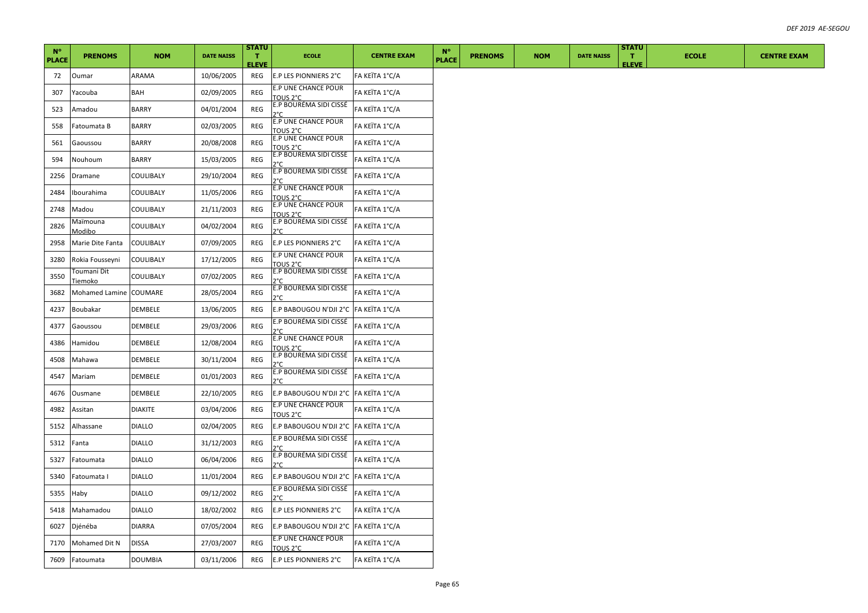| $N^{\circ}$  |                                   |                |                   | <b>STATU</b>       |                                        |                    | $N^{\circ}$  |                |            |                   | <b>STATU</b>       |              |                    |
|--------------|-----------------------------------|----------------|-------------------|--------------------|----------------------------------------|--------------------|--------------|----------------|------------|-------------------|--------------------|--------------|--------------------|
| <b>PLACE</b> | <b>PRENOMS</b>                    | <b>NOM</b>     | <b>DATE NAISS</b> | т.<br><b>ELEVE</b> | <b>ECOLE</b>                           | <b>CENTRE EXAM</b> | <b>PLACE</b> | <b>PRENOMS</b> | <b>NOM</b> | <b>DATE NAISS</b> | т.<br><b>ELEVE</b> | <b>ECOLE</b> | <b>CENTRE EXAM</b> |
| 72           | Oumar                             | ARAMA          | 10/06/2005        | REG                | E.P LES PIONNIERS 2°C                  | FA KEÏTA 1°C/A     |              |                |            |                   |                    |              |                    |
| 307          | Yacouba                           | BAH            | 02/09/2005        | REG                | E.P UNE CHANCE POUR<br>TOUS 2°C        | FA KEÏTA 1°C/A     |              |                |            |                   |                    |              |                    |
| 523          | Amadou                            | BARRY          | 04/01/2004        | REG                | E.P BOURÉMA SIDI CISSÉ<br>ን°C          | FA KEÏTA 1°C/A     |              |                |            |                   |                    |              |                    |
| 558          | Fatoumata B                       | BARRY          | 02/03/2005        | REG                | E.P UNE CHANCE POUR<br>TOUS 2°C        | FA KEÏTA 1°C/A     |              |                |            |                   |                    |              |                    |
| 561          | Gaoussou                          | <b>BARRY</b>   | 20/08/2008        | REG                | E.P UNE CHANCE POUR<br>TOUS 2°C        | FA KEÏTA 1°C/A     |              |                |            |                   |                    |              |                    |
| 594          | Nouhoum                           | BARRY          | 15/03/2005        | REG                | E.P BOURÉMA SIDI CISSÉ<br>ን°C          | FA KEÏTA 1°C/A     |              |                |            |                   |                    |              |                    |
| 2256         | Dramane                           | COULIBALY      | 29/10/2004        | <b>REG</b>         | E.P BOURÉMA SIDI CISSÉ<br>ን°C          | FA KEÏTA 1°C/A     |              |                |            |                   |                    |              |                    |
| 2484         | Ibourahima                        | COULIBALY      | 11/05/2006        | REG                | E.P UNE CHANCE POUR<br>TOUS 2°C        | FA KEÏTA 1°C/A     |              |                |            |                   |                    |              |                    |
| 2748         | Madou                             | COULIBALY      | 21/11/2003        | <b>REG</b>         | E.P UNE CHANCE POUR<br>TOUS 2°C        | FA KEÏTA 1°C/A     |              |                |            |                   |                    |              |                    |
| 2826         | Maïmouna                          | COULIBALY      | 04/02/2004        | REG                | E.P BOURÉMA SIDI CISSÉ<br>ን°Ր          | FA KEÏTA 1°C/A     |              |                |            |                   |                    |              |                    |
| 2958         | <u>Modibo</u><br>Marie Dite Fanta | COULIBALY      | 07/09/2005        | REG                | E.P LES PIONNIERS 2°C                  | FA KEÏTA 1°C/A     |              |                |            |                   |                    |              |                    |
| 3280         | Rokia Fousseyni                   | COULIBALY      | 17/12/2005        | REG                | E.P UNE CHANCE POUR<br>TOUS 2°C        | FA KEÏTA 1°C/A     |              |                |            |                   |                    |              |                    |
| 3550         | Toumani Dit<br><u>Tiemoko</u>     | COULIBALY      | 07/02/2005        | REG                | E.P BOURÉMA SIDI CISSÉ<br>ን°r          | FA KEÏTA 1°C/A     |              |                |            |                   |                    |              |                    |
| 3682         | Mohamed Lamine COUMARE            |                | 28/05/2004        | <b>REG</b>         | E.P BOURÉMA SIDI CISSÉ<br>ን°C          | FA KEÏTA 1°C/A     |              |                |            |                   |                    |              |                    |
| 4237         | Boubakar                          | DEMBELE        | 13/06/2005        | REG                | E.P BABOUGOU N'DJI 2°C  FA KEÏTA 1°C/A |                    |              |                |            |                   |                    |              |                    |
| 4377         | Gaoussou                          | DEMBELE        | 29/03/2006        | REG                | E.P BOURÉMA SIDI CISSÉ<br>ን°Ր          | FA KEÏTA 1°C/A     |              |                |            |                   |                    |              |                    |
| 4386         | Hamidou                           | DEMBELE        | 12/08/2004        | REG                | E.P UNE CHANCE POUR<br>TOUS 2°C        | FA KEÏTA 1°C/A     |              |                |            |                   |                    |              |                    |
| 4508         | Mahawa                            | DEMBELE        | 30/11/2004        | REG                | E.P BOURÉMA SIDI CISSÉ                 | FA KEÏTA 1°C/A     |              |                |            |                   |                    |              |                    |
| 4547         | Mariam                            | DEMBELE        | 01/01/2003        | REG                | E.P BOURÉMA SIDI CISSÉ<br>ን°Ր          | FA KEÏTA 1°C/A     |              |                |            |                   |                    |              |                    |
| 4676         | Ousmane                           | DEMBELE        | 22/10/2005        | REG                | E.P BABOUGOU N'DJI 2°C  FA KEÏTA 1°C/A |                    |              |                |            |                   |                    |              |                    |
| 4982         | Assitan                           | <b>DIAKITE</b> | 03/04/2006        | REG                | E.P UNE CHANCE POUR<br>TOUS 2°C        | FA KEÏTA 1°C/A     |              |                |            |                   |                    |              |                    |
| 5152         | Alhassane                         | <b>DIALLO</b>  | 02/04/2005        | REG                | E.P BABOUGOU N'DJI 2°C  FA KEÏTA 1°C/A |                    |              |                |            |                   |                    |              |                    |
| 5312         | Fanta                             | <b>DIALLO</b>  | 31/12/2003        | REG                | E.P BOURÉMA SIDI CISSÉ                 | FA KEÏTA 1°C/A     |              |                |            |                   |                    |              |                    |
| 5327         | Fatoumata                         | <b>DIALLO</b>  | 06/04/2006        | REG                | E.P BOURÉMA SIDI CISSÉ<br>م∘r          | FA KEÏTA 1°C/A     |              |                |            |                   |                    |              |                    |
| 5340         | Fatoumata I                       | <b>DIALLO</b>  | 11/01/2004        | REG                | E.P BABOUGOU N'DJI 2°C  FA KEÏTA 1°C/A |                    |              |                |            |                   |                    |              |                    |
| 5355         | Haby                              | <b>DIALLO</b>  | 09/12/2002        | REG                | E.P BOURÉMA SIDI CISSÉ<br>2°C.         | FA KEÏTA 1°C/A     |              |                |            |                   |                    |              |                    |
| 5418         | Mahamadou                         | <b>DIALLO</b>  | 18/02/2002        | REG                | E.P LES PIONNIERS 2°C                  | FA KEÏTA 1°C/A     |              |                |            |                   |                    |              |                    |
| 6027         | Djénéba                           | DIARRA         | 07/05/2004        | REG                | E.P BABOUGOU N'DJI 2°C  FA KEÏTA 1°C/A |                    |              |                |            |                   |                    |              |                    |
| 7170         | Mohamed Dit N                     | <b>DISSA</b>   | 27/03/2007        | REG                | <b>E.P UNE CHANCE POUR</b><br>TOUS 2°C | FA KEÏTA 1°C/A     |              |                |            |                   |                    |              |                    |
| 7609         | Fatoumata                         | <b>DOUMBIA</b> | 03/11/2006        | REG                | E.P LES PIONNIERS 2°C                  | FA KEÏTA 1°C/A     |              |                |            |                   |                    |              |                    |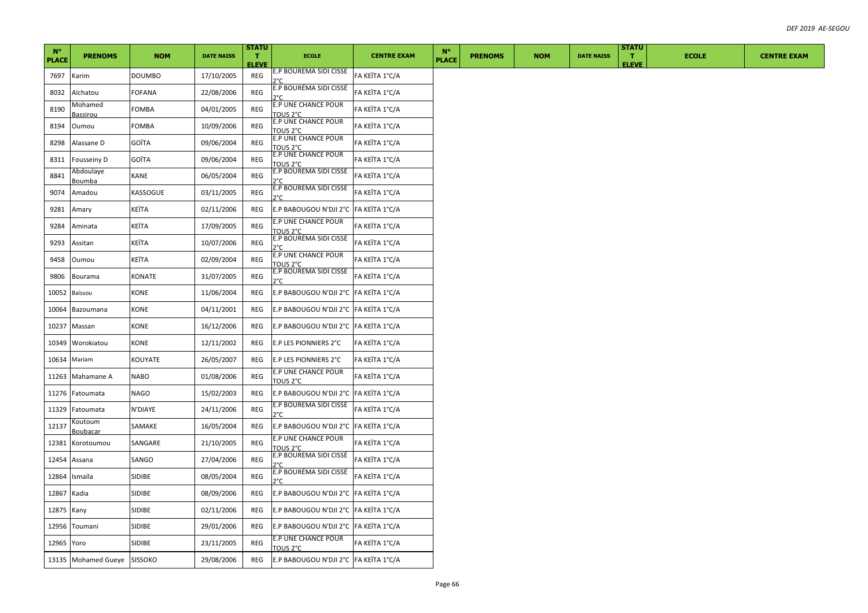| $N^{\circ}$  |                             |               |                   | <b>STATU</b>          |                                        |                    | <b>N°</b>    |                |            |                   | <b>STATU</b>       |              |                    |
|--------------|-----------------------------|---------------|-------------------|-----------------------|----------------------------------------|--------------------|--------------|----------------|------------|-------------------|--------------------|--------------|--------------------|
| <b>PLACE</b> | <b>PRENOMS</b>              | <b>NOM</b>    | <b>DATE NAISS</b> | $\mathbf{T}$<br>ELEVE | <b>ECOLE</b>                           | <b>CENTRE EXAM</b> | <b>PLACE</b> | <b>PRENOMS</b> | <b>NOM</b> | <b>DATE NAISS</b> | п.<br><b>ELEVE</b> | <b>ECOLE</b> | <b>CENTRE EXAM</b> |
| 7697         | Karim                       | <b>DOUMBO</b> | 17/10/2005        | REG                   | E.P BOURÉMA SIDI CISSÉ<br>٦°۲          | FA KEÏTA 1°C/A     |              |                |            |                   |                    |              |                    |
| 8032         | Aïchatou                    | FOFANA        | 22/08/2006        | REG                   | E.P BOURÉMA SIDI CISSÉ<br>ን°C          | FA KEÏTA 1°C/A     |              |                |            |                   |                    |              |                    |
| 8190         | Mohamed<br>Bassirou         | FOMBA         | 04/01/2005        | REG                   | E.P UNE CHANCE POUR<br>TOUS 2°C        | FA KEÏTA 1°C/A     |              |                |            |                   |                    |              |                    |
| 8194         | Oumou                       | FOMBA         | 10/09/2006        | REG                   | E.P UNE CHANCE POUR<br>TOUS 2°C        | FA KEÏTA 1°C/A     |              |                |            |                   |                    |              |                    |
| 8298         | Alassane D                  | GOÏTA         | 09/06/2004        | REG                   | <b>E.P UNE CHANCE POUR</b><br>TOUS 2°C | FA KEÏTA 1°C/A     |              |                |            |                   |                    |              |                    |
| 8311         | Fousseiny D                 | GOÏTA         | 09/06/2004        | REG                   | E.P UNE CHANCE POUR<br>TOUS 2°C        | FA KEÏTA 1°C/A     |              |                |            |                   |                    |              |                    |
| 8841         | Abdoulaye<br>Boumba         | KANE          | 06/05/2004        | REG                   | E.P BOURÉMA SIDI CISSÉ<br>ን°C          | FA KEÏTA 1°C/A     |              |                |            |                   |                    |              |                    |
| 9074         | Amadou                      | KASSOGUE      | 03/11/2005        | REG                   | E.P BOURÈMA SIDI CISSÉ<br>ን°C          | FA KEÏTA 1°C/A     |              |                |            |                   |                    |              |                    |
| 9281         | Amary                       | KEÏTA         | 02/11/2006        | REG                   | E.P BABOUGOU N'DJI 2°C  FA KEÏTA 1°C/A |                    |              |                |            |                   |                    |              |                    |
| 9284         | Aminata                     | KEÏTA         | 17/09/2005        | REG                   | <b>E.P UNE CHANCE POUR</b><br>TOUS 2°C | FA KEÏTA 1°C/A     |              |                |            |                   |                    |              |                    |
| 9293         | Assitan                     | KEÏTA         | 10/07/2006        | REG                   | E.P BOURÉMA SIDI CISSÉ<br>ን°C          | FA KEÏTA 1°C/A     |              |                |            |                   |                    |              |                    |
| 9458         | Oumou                       | KEÏTA         | 02/09/2004        | REG                   | E.P UNE CHANCE POUR<br>TOUS 2°C        | FA KEÏTA 1°C/A     |              |                |            |                   |                    |              |                    |
| 9806         | Bourama                     | KONATE        | 31/07/2005        | REG                   | E.P BOURÈMA SIDI CISSÉ<br>2°C          | FA KEÏTA 1°C/A     |              |                |            |                   |                    |              |                    |
| 10052        | Baïssou                     | KONE          | 11/06/2004        | REG                   | E.P BABOUGOU N'DJI 2°C  FA KEÏTA 1°C/A |                    |              |                |            |                   |                    |              |                    |
| 10064        | Bazoumana                   | KONE          | 04/11/2001        | REG                   | E.P BABOUGOU N'DJI 2°C  FA KEÏTA 1°C/A |                    |              |                |            |                   |                    |              |                    |
| 10237        | Massan                      | KONE          | 16/12/2006        | REG                   | E.P BABOUGOU N'DJI 2°C  FA KEÏTA 1°C/A |                    |              |                |            |                   |                    |              |                    |
| 10349        | Worokiatou                  | KONE          | 12/11/2002        | REG                   | E.P LES PIONNIERS 2°C                  | FA KEÏTA 1°C/A     |              |                |            |                   |                    |              |                    |
| 10634        | Mariam                      | KOUYATE       | 26/05/2007        | REG                   | E.P LES PIONNIERS 2°C                  | FA KEÏTA 1°C/A     |              |                |            |                   |                    |              |                    |
| 11263        | Mahamane A                  | <b>NABO</b>   | 01/08/2006        | REG                   | E.P UNE CHANCE POUR<br>TOUS 2°C        | FA KEÏTA 1°C/A     |              |                |            |                   |                    |              |                    |
| 11276        | Fatoumata                   | NAGO          | 15/02/2003        | REG                   | E.P BABOUGOU N'DJI 2°C FA KEÏTA 1°C/A  |                    |              |                |            |                   |                    |              |                    |
| 11329        | Fatoumata                   | N'DIAYE       | 24/11/2006        | REG                   | E.P BOURÉMA SIDI CISSÉ<br>2°C          | FA KEÏTA 1°C/A     |              |                |            |                   |                    |              |                    |
| 12137        | Koutoum<br>Boubacar         | SAMAKE        | 16/05/2004        | REG                   | E.P BABOUGOU N'DJI 2°C FA KEÏTA 1°C/A  |                    |              |                |            |                   |                    |              |                    |
| 12381        | Korotoumou                  | SANGARE       | 21/10/2005        | REG                   | E.P UNE CHANCE POUR<br>TOUS 2°C        | FA KEÏTA 1°C/A     |              |                |            |                   |                    |              |                    |
| 12454        | Assana                      | SANGO         | 27/04/2006        | REG                   | E.P BOURÉMA SIDI CISSÉ<br>ነየር          | FA KEÏTA 1°C/A     |              |                |            |                   |                    |              |                    |
| 12864        | Ismaïla                     | SIDIBE        | 08/05/2004        | REG                   | E.P BOURÉMA SIDI CISSÉ<br>ን°C          | FA KEÏTA 1°C/A     |              |                |            |                   |                    |              |                    |
| 12867        | Kadia                       | SIDIBE        | 08/09/2006        | REG                   | E.P BABOUGOU N'DJI 2°C  FA KEÏTA 1°C/A |                    |              |                |            |                   |                    |              |                    |
| 12875        | Kany                        | SIDIBE        | 02/11/2006        | REG                   | E.P BABOUGOU N'DJI 2°C  FA KEÏTA 1°C/A |                    |              |                |            |                   |                    |              |                    |
| 12956        | Toumani                     | SIDIBE        | 29/01/2006        | REG                   | E.P BABOUGOU N'DJI 2°C  FA KEÏTA 1°C/A |                    |              |                |            |                   |                    |              |                    |
| 12965        | Yoro                        | SIDIBE        | 23/11/2005        | <b>REG</b>            | <b>E.P UNE CHANCE POUR</b><br>TOUS 2°C | FA KEÏTA 1°C/A     |              |                |            |                   |                    |              |                    |
|              | 13135 Mohamed Gueye SISSOKO |               | 29/08/2006        | REG                   | E.P BABOUGOU N'DJI 2°C FA KEÏTA 1°C/A  |                    |              |                |            |                   |                    |              |                    |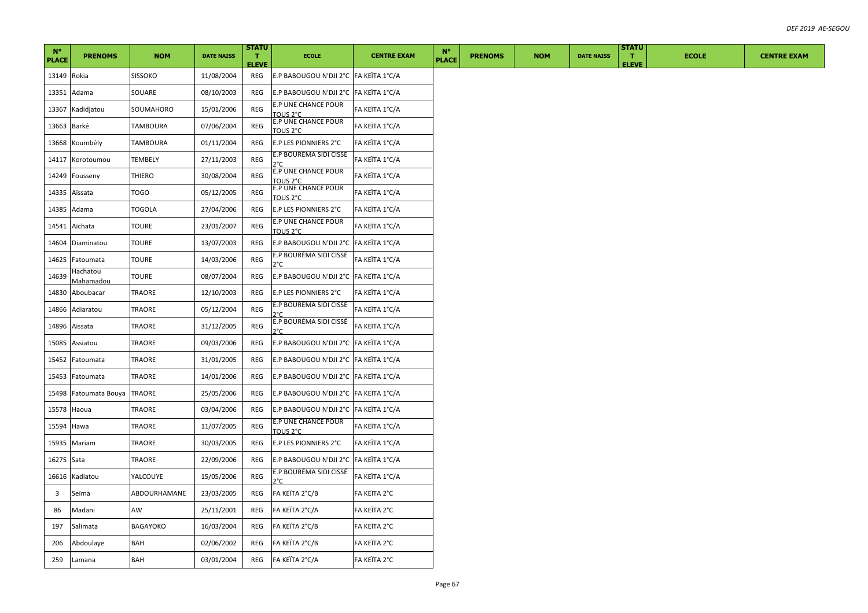|                             |                              |               |                   | <b>STATU</b>                 |                                        |                    |                             |                |            |                   | <b>STATU</b>       |              |                    |
|-----------------------------|------------------------------|---------------|-------------------|------------------------------|----------------------------------------|--------------------|-----------------------------|----------------|------------|-------------------|--------------------|--------------|--------------------|
| $N^{\circ}$<br><b>PLACE</b> | <b>PRENOMS</b>               | <b>NOM</b>    | <b>DATE NAISS</b> | $\mathbf{T}$<br><b>ELEVE</b> | <b>ECOLE</b>                           | <b>CENTRE EXAM</b> | $N^{\circ}$<br><b>PLACE</b> | <b>PRENOMS</b> | <b>NOM</b> | <b>DATE NAISS</b> | п.<br><b>ELEVE</b> | <b>ECOLE</b> | <b>CENTRE EXAM</b> |
| 13149                       | Rokia                        | SISSOKO       | 11/08/2004        | REG                          | E.P BABOUGOU N'DJI 2°C FA KEÏTA 1°C/A  |                    |                             |                |            |                   |                    |              |                    |
| 13351                       | Adama                        | SOUARE        | 08/10/2003        | REG                          | E.P BABOUGOU N'DJI 2°C FA KEÏTA 1°C/A  |                    |                             |                |            |                   |                    |              |                    |
| 13367                       | Kadidjatou                   | SOUMAHORO     | 15/01/2006        | REG                          | E.P UNE CHANCE POUR<br>TOUS 2°C        | FA KEÏTA 1°C/A     |                             |                |            |                   |                    |              |                    |
| 13663                       | Barké                        | TAMBOURA      | 07/06/2004        | REG                          | E.P UNE CHANCE POUR<br>TOUS 2°C        | FA KEÏTA 1°C/A     |                             |                |            |                   |                    |              |                    |
| 13668                       | Koumbély                     | TAMBOURA      | 01/11/2004        | REG                          | E.P LES PIONNIERS 2°C                  | FA KEÏTA 1°C/A     |                             |                |            |                   |                    |              |                    |
| 14117                       | Korotoumou                   | TEMBELY       | 27/11/2003        | REG                          | E.P BOURÉMA SIDI CISSÉ<br>ን°C          | FA KEÏTA 1°C/A     |                             |                |            |                   |                    |              |                    |
| 14249                       | Fousseny                     | <b>THIERO</b> | 30/08/2004        | <b>REG</b>                   | E.P UNE CHANCE POUR<br>TOUS 2°C        | FA KEÏTA 1°C/A     |                             |                |            |                   |                    |              |                    |
| 14335                       | Aïssata                      | <b>TOGO</b>   | 05/12/2005        | REG                          | E.P UNE CHANCE POUR<br>TOUS 2°C        | FA KEÏTA 1°C/A     |                             |                |            |                   |                    |              |                    |
| 14385                       | Adama                        | TOGOLA        | 27/04/2006        | REG                          | E.P LES PIONNIERS 2°C                  | FA KEÏTA 1°C/A     |                             |                |            |                   |                    |              |                    |
| 14541                       | Aïchata                      | <b>TOURE</b>  | 23/01/2007        | REG                          | E.P UNE CHANCE POUR<br>TOUS 2°C        | FA KEÏTA 1°C/A     |                             |                |            |                   |                    |              |                    |
| 14604                       | Diaminatou                   | <b>TOURE</b>  | 13/07/2003        | REG                          | E.P BABOUGOU N'DJI 2°C FA KEÏTA 1°C/A  |                    |                             |                |            |                   |                    |              |                    |
| 14625                       | Fatoumata                    | <b>TOURE</b>  | 14/03/2006        | <b>REG</b>                   | E.P BOURÈMA SIDI CISSÉ<br>ን°C          | FA KEÏTA 1°C/A     |                             |                |            |                   |                    |              |                    |
| 14639                       | Hachatou<br><u>Mahamadou</u> | <b>TOURE</b>  | 08/07/2004        | REG                          | E.P BABOUGOU N'DJI 2°C FA KEÏTA 1°C/A  |                    |                             |                |            |                   |                    |              |                    |
| 14830                       | Aboubacar                    | <b>TRAORE</b> | 12/10/2003        | REG                          | E.P LES PIONNIERS 2°C                  | FA KEÏTA 1°C/A     |                             |                |            |                   |                    |              |                    |
| 14866                       | Adiaratou                    | TRAORE        | 05/12/2004        | REG                          | E.P BOURÉMA SIDI CISSÉ<br>ን°C          | FA KEÏTA 1°C/A     |                             |                |            |                   |                    |              |                    |
| 14896                       | Aïssata                      | <b>TRAORE</b> | 31/12/2005        | REG                          | E.P BOURÉMA SIDI CISSÉ<br>ን°Ր          | FA KEÏTA 1°C/A     |                             |                |            |                   |                    |              |                    |
| 15085                       | Assiatou                     | TRAORE        | 09/03/2006        | REG                          | E.P BABOUGOU N'DJI 2°C FA KEÏTA 1°C/A  |                    |                             |                |            |                   |                    |              |                    |
| 15452                       | Fatoumata                    | TRAORE        | 31/01/2005        | REG                          | E.P BABOUGOU N'DJI 2°C FA KEÏTA 1°C/A  |                    |                             |                |            |                   |                    |              |                    |
| 15453                       | Fatoumata                    | TRAORE        | 14/01/2006        | REG                          | E.P BABOUGOU N'DJI 2°C FA KEÏTA 1°C/A  |                    |                             |                |            |                   |                    |              |                    |
| 15498                       | Fatoumata Bouya              | <b>TRAORE</b> | 25/05/2006        | REG                          | E.P BABOUGOU N'DJI 2°C  FA KEÏTA 1°C/A |                    |                             |                |            |                   |                    |              |                    |
| 15578                       | Haoua                        | TRAORE        | 03/04/2006        | REG                          | E.P BABOUGOU N'DJI 2°C FA KEÏTA 1°C/A  |                    |                             |                |            |                   |                    |              |                    |
| 15594                       | Hawa                         | TRAORE        | 11/07/2005        | REG                          | E.P UNE CHANCE POUR<br>TOUS 2°C        | FA KEÏTA 1°C/A     |                             |                |            |                   |                    |              |                    |
| 15935                       | Mariam                       | TRAORE        | 30/03/2005        | REG                          | E.P LES PIONNIERS 2°C                  | FA KEÏTA 1°C/A     |                             |                |            |                   |                    |              |                    |
| 16275                       | Sata                         | TRAORE        | 22/09/2006        | REG                          | E.P BABOUGOU N'DJI 2°C FA KEÏTA 1°C/A  |                    |                             |                |            |                   |                    |              |                    |
| 16616                       | Kadiatou                     | YALCOUYE      | 15/05/2006        | REG                          | E.P BOURÉMA SIDI CISSÉ<br>ን°C          | FA KEÏTA 1°C/A     |                             |                |            |                   |                    |              |                    |
| $\overline{\mathbf{3}}$     | Seïma                        | ABDOURHAMANE  | 23/03/2005        | REG                          | FA KEÏTA 2°C/B                         | FA KEÏTA 2°C       |                             |                |            |                   |                    |              |                    |
| 86                          | Madani                       | AW            | 25/11/2001        | REG                          | FA KEÏTA 2°C/A                         | FA KEÏTA 2°C       |                             |                |            |                   |                    |              |                    |
| 197                         | Salimata                     | BAGAYOKO      | 16/03/2004        | REG                          | FA KEÏTA 2°C/B                         | FA KEÏTA 2°C       |                             |                |            |                   |                    |              |                    |
| 206                         | Abdoulaye                    | BAH           | 02/06/2002        | REG                          | FA KEÏTA 2°C/B                         | FA KEÏTA 2°C       |                             |                |            |                   |                    |              |                    |
| 259                         | Lamana                       | BAH           | 03/01/2004        | REG                          | FA KEÏTA 2°C/A                         | FA KEÏTA 2°C       |                             |                |            |                   |                    |              |                    |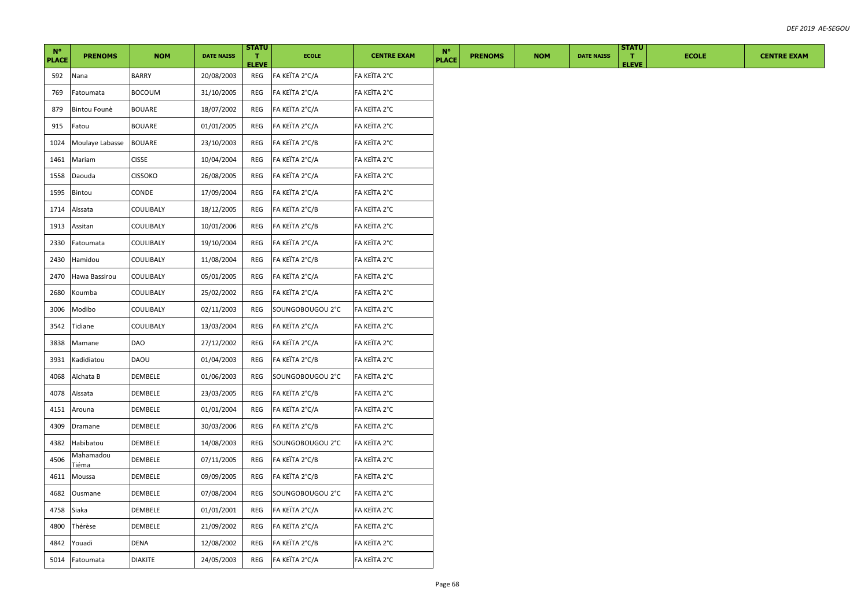| $N^{\circ}$<br><b>PLACE</b> | <b>PRENOMS</b>     | <b>NOM</b>     | <b>DATE NAISS</b> | <b>STATU</b><br>т.<br><b>ELEVE</b> | <b>ECOLE</b>     | <b>CENTRE EXAM</b> | $N^{\circ}$<br><b>PLACE</b> | <b>PRENOMS</b> | <b>NOM</b> | <b>DATE NAISS</b> | <b>STATU</b><br>л.<br><b>ELEVE</b> | <b>ECOLE</b> | <b>CENTRE EXAM</b> |
|-----------------------------|--------------------|----------------|-------------------|------------------------------------|------------------|--------------------|-----------------------------|----------------|------------|-------------------|------------------------------------|--------------|--------------------|
| 592                         | Nana               | <b>BARRY</b>   | 20/08/2003        | REG                                | FA KEÏTA 2°C/A   | FA KEÏTA 2°C       |                             |                |            |                   |                                    |              |                    |
| 769                         | Fatoumata          | <b>BOCOUM</b>  | 31/10/2005        | REG                                | FA KEÏTA 2°C/A   | FA KEÏTA 2°C       |                             |                |            |                   |                                    |              |                    |
| 879                         | Bintou Founè       | <b>BOUARE</b>  | 18/07/2002        | REG                                | FA KEÏTA 2°C/A   | FA KEÏTA 2°C       |                             |                |            |                   |                                    |              |                    |
| 915                         | Fatou              | <b>BOUARE</b>  | 01/01/2005        | REG                                | FA KEÏTA 2°C/A   | FA KEÏTA 2°C       |                             |                |            |                   |                                    |              |                    |
| 1024                        | Moulaye Labasse    | <b>BOUARE</b>  | 23/10/2003        | REG                                | FA KEÏTA 2°C/B   | FA KEÏTA 2°C       |                             |                |            |                   |                                    |              |                    |
| 1461                        | Mariam             | <b>CISSE</b>   | 10/04/2004        | REG                                | FA KEÏTA 2°C/A   | FA KEÏTA 2°C       |                             |                |            |                   |                                    |              |                    |
| 1558                        | Daouda             | <b>CISSOKO</b> | 26/08/2005        | REG                                | FA KEÏTA 2°C/A   | FA KEÏTA 2°C       |                             |                |            |                   |                                    |              |                    |
| 1595                        | Bintou             | CONDE          | 17/09/2004        | REG                                | FA KEÏTA 2°C/A   | FA KEÏTA 2°C       |                             |                |            |                   |                                    |              |                    |
| 1714                        | Aïssata            | COULIBALY      | 18/12/2005        | REG                                | FA KEÏTA 2°C/B   | FA KEÏTA 2°C       |                             |                |            |                   |                                    |              |                    |
| 1913                        | Assitan            | COULIBALY      | 10/01/2006        | REG                                | FA KEÏTA 2°C/B   | FA KEÏTA 2°C       |                             |                |            |                   |                                    |              |                    |
| 2330                        | Fatoumata          | COULIBALY      | 19/10/2004        | REG                                | FA KEÏTA 2°C/A   | FA KEÏTA 2°C       |                             |                |            |                   |                                    |              |                    |
| 2430                        | Hamidou            | COULIBALY      | 11/08/2004        | REG                                | FA KEÏTA 2°C/B   | FA KEÏTA 2°C       |                             |                |            |                   |                                    |              |                    |
| 2470                        | Hawa Bassirou      | COULIBALY      | 05/01/2005        | REG                                | FA KEÏTA 2°C/A   | FA KEÏTA 2°C       |                             |                |            |                   |                                    |              |                    |
| 2680                        | Koumba             | COULIBALY      | 25/02/2002        | REG                                | FA KEÏTA 2°C/A   | FA KEÏTA 2°C       |                             |                |            |                   |                                    |              |                    |
| 3006                        | Modibo             | COULIBALY      | 02/11/2003        | REG                                | SOUNGOBOUGOU 2°C | FA KEÏTA 2°C       |                             |                |            |                   |                                    |              |                    |
| 3542                        | Tidiane            | COULIBALY      | 13/03/2004        | REG                                | FA KEÏTA 2°C/A   | FA KEÏTA 2°C       |                             |                |            |                   |                                    |              |                    |
| 3838                        | Mamane             | <b>DAO</b>     | 27/12/2002        | REG                                | FA KEÏTA 2°C/A   | FA KEÏTA 2°C       |                             |                |            |                   |                                    |              |                    |
| 3931                        | Kadidiatou         | DAOU           | 01/04/2003        | REG                                | FA KEÏTA 2°C/B   | FA KEÏTA 2°C       |                             |                |            |                   |                                    |              |                    |
| 4068                        | Aïchata B          | DEMBELE        | 01/06/2003        | REG                                | SOUNGOBOUGOU 2°C | FA KEÏTA 2°C       |                             |                |            |                   |                                    |              |                    |
| 4078                        | Aïssata            | DEMBELE        | 23/03/2005        | REG                                | FA KEÏTA 2°C/B   | FA KEÏTA 2°C       |                             |                |            |                   |                                    |              |                    |
| 4151                        | Arouna             | DEMBELE        | 01/01/2004        | REG                                | FA KEÏTA 2°C/A   | FA KEÏTA 2°C       |                             |                |            |                   |                                    |              |                    |
| 4309                        | Dramane            | DEMBELE        | 30/03/2006        | REG                                | FA KEÏTA 2°C/B   | FA KEÏTA 2°C       |                             |                |            |                   |                                    |              |                    |
| 4382                        | Habibatou          | DEMBELE        | 14/08/2003        | REG                                | SOUNGOBOUGOU 2°C | FA KEÏTA 2°C       |                             |                |            |                   |                                    |              |                    |
| 4506                        | Mahamadou<br>Tiéma | DEMBELE        | 07/11/2005        | REG                                | FA KEÏTA 2°C/B   | FA KEÏTA 2°C       |                             |                |            |                   |                                    |              |                    |
| 4611                        | Moussa             | DEMBELE        | 09/09/2005        | REG                                | FA KEÏTA 2°C/B   | FA KEÏTA 2°C       |                             |                |            |                   |                                    |              |                    |
| 4682                        | Ousmane            | DEMBELE        | 07/08/2004        | REG                                | SOUNGOBOUGOU 2°C | FA KEÏTA 2°C       |                             |                |            |                   |                                    |              |                    |
| 4758                        | Siaka              | DEMBELE        | 01/01/2001        | REG                                | FA KEÏTA 2°C/A   | FA KEÏTA 2°C       |                             |                |            |                   |                                    |              |                    |
| 4800                        | Thérèse            | DEMBELE        | 21/09/2002        | REG                                | FA KEÏTA 2°C/A   | FA KEÏTA 2°C       |                             |                |            |                   |                                    |              |                    |
| 4842                        | Youadi             | DENA           | 12/08/2002        | REG                                | FA KEÏTA 2°C/B   | FA KEÏTA 2°C       |                             |                |            |                   |                                    |              |                    |
| 5014                        | Fatoumata          | <b>DIAKITE</b> | 24/05/2003        | REG                                | FA KEÏTA 2°C/A   | FA KEÏTA 2°C       |                             |                |            |                   |                                    |              |                    |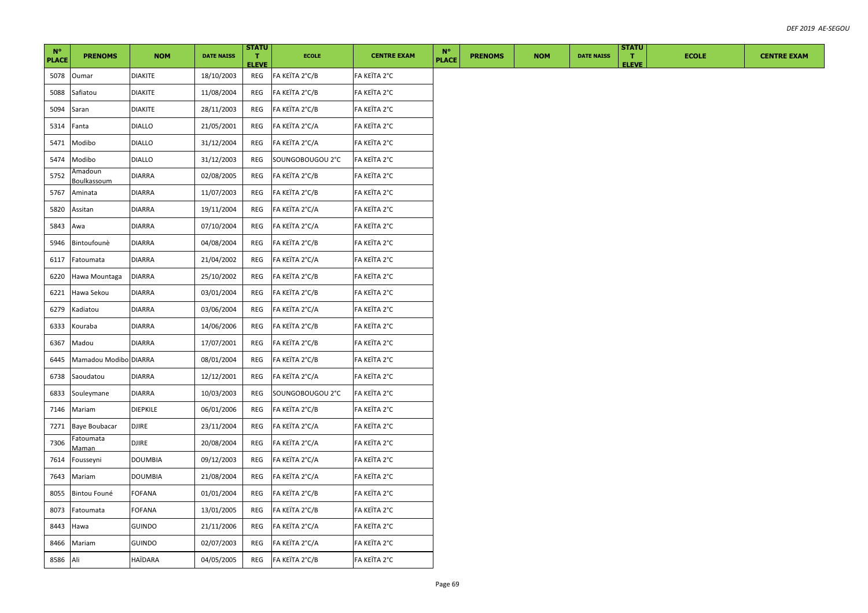| $N^{\circ}$<br><b>PLACE</b> | <b>PRENOMS</b>         | <b>NOM</b>      | <b>DATE NAISS</b> | <b>STATU</b><br>т.  | <b>ECOLE</b>     | <b>CENTRE EXAM</b> | $N^{\circ}$<br><b>PLACE</b> | <b>PRENOMS</b> | <b>NOM</b> | <b>DATE NAISS</b> | <b>STATU</b><br>л. | <b>ECOLE</b> | <b>CENTRE EXAM</b> |
|-----------------------------|------------------------|-----------------|-------------------|---------------------|------------------|--------------------|-----------------------------|----------------|------------|-------------------|--------------------|--------------|--------------------|
| 5078                        | Oumar                  | <b>DIAKITE</b>  | 18/10/2003        | <b>ELEVE</b><br>REG | FA KEÏTA 2°C/B   | FA KEÏTA 2°C       |                             |                |            |                   | <b>ELEVE</b>       |              |                    |
| 5088                        | Safiatou               | DIAKITE         | 11/08/2004        | REG                 | FA KEÏTA 2°C/B   | FA KEÏTA 2°C       |                             |                |            |                   |                    |              |                    |
| 5094                        | Saran                  | <b>DIAKITE</b>  | 28/11/2003        | REG                 | FA KEÏTA 2°C/B   | FA KEÏTA 2°C       |                             |                |            |                   |                    |              |                    |
| 5314                        | Fanta                  | <b>DIALLO</b>   | 21/05/2001        | REG                 | FA KEÏTA 2°C/A   | FA KEÏTA 2°C       |                             |                |            |                   |                    |              |                    |
| 5471                        | Modibo                 | <b>DIALLO</b>   | 31/12/2004        | REG                 | FA KEÏTA 2°C/A   | FA KEÏTA 2°C       |                             |                |            |                   |                    |              |                    |
| 5474                        | Modibo                 | <b>DIALLO</b>   | 31/12/2003        | REG                 | SOUNGOBOUGOU 2°C | FA KEÏTA 2°C       |                             |                |            |                   |                    |              |                    |
| 5752                        | Amadoun<br>Boulkassoum | <b>DIARRA</b>   | 02/08/2005        | REG                 | FA KEÏTA 2°C/B   | FA KEÏTA 2°C       |                             |                |            |                   |                    |              |                    |
| 5767                        | Aminata                | <b>DIARRA</b>   | 11/07/2003        | REG                 | FA KEÏTA 2°C/B   | FA KEÏTA 2°C       |                             |                |            |                   |                    |              |                    |
| 5820                        | Assitan                | <b>DIARRA</b>   | 19/11/2004        | REG                 | FA KEÏTA 2°C/A   | FA KEÏTA 2°C       |                             |                |            |                   |                    |              |                    |
| 5843                        | Awa                    | <b>DIARRA</b>   | 07/10/2004        | REG                 | FA KEÏTA 2°C/A   | FA KEÏTA 2°C       |                             |                |            |                   |                    |              |                    |
| 5946                        | Bintoufounè            | <b>DIARRA</b>   | 04/08/2004        | REG                 | FA KEÏTA 2°C/B   | FA KEÏTA 2°C       |                             |                |            |                   |                    |              |                    |
| 6117                        | Fatoumata              | <b>DIARRA</b>   | 21/04/2002        | REG                 | FA KEÏTA 2°C/A   | FA KEÏTA 2°C       |                             |                |            |                   |                    |              |                    |
| 6220                        | Hawa Mountaga          | <b>DIARRA</b>   | 25/10/2002        | REG                 | FA KEÏTA 2°C/B   | FA KEÏTA 2°C       |                             |                |            |                   |                    |              |                    |
| 6221                        | Hawa Sekou             | <b>DIARRA</b>   | 03/01/2004        | REG                 | FA KEÏTA 2°C/B   | FA KEÏTA 2°C       |                             |                |            |                   |                    |              |                    |
| 6279                        | Kadiatou               | DIARRA          | 03/06/2004        | REG                 | FA KEÏTA 2°C/A   | FA KEÏTA 2°C       |                             |                |            |                   |                    |              |                    |
| 6333                        | Kouraba                | <b>DIARRA</b>   | 14/06/2006        | REG                 | FA KEÏTA 2°C/B   | FA KEÏTA 2°C       |                             |                |            |                   |                    |              |                    |
| 6367                        | Madou                  | <b>DIARRA</b>   | 17/07/2001        | REG                 | FA KEÏTA 2°C/B   | FA KEÏTA 2°C       |                             |                |            |                   |                    |              |                    |
| 6445                        | Mamadou Modibo DIARRA  |                 | 08/01/2004        | REG                 | FA KEÏTA 2°C/B   | FA KEÏTA 2°C       |                             |                |            |                   |                    |              |                    |
| 6738                        | Saoudatou              | <b>DIARRA</b>   | 12/12/2001        | REG                 | FA KEÏTA 2°C/A   | FA KEÏTA 2°C       |                             |                |            |                   |                    |              |                    |
| 6833                        | Souleymane             | DIARRA          | 10/03/2003        | REG                 | SOUNGOBOUGOU 2°C | FA KEÏTA 2°C       |                             |                |            |                   |                    |              |                    |
| 7146                        | Mariam                 | <b>DIEPKILE</b> | 06/01/2006        | REG                 | FA KEÏTA 2°C/B   | FA KEÏTA 2°C       |                             |                |            |                   |                    |              |                    |
| 7271                        | <b>Baye Boubacar</b>   | <b>DJIRE</b>    | 23/11/2004        | REG                 | FA KEÏTA 2°C/A   | FA KEÏTA 2°C       |                             |                |            |                   |                    |              |                    |
| 7306                        | Fatoumata<br>Maman     | <b>DJIRE</b>    | 20/08/2004        | REG                 | FA KEÏTA 2°C/A   | FA KEÏTA 2°C       |                             |                |            |                   |                    |              |                    |
| 7614                        | Fousseyni              | <b>DOUMBIA</b>  | 09/12/2003        | REG                 | FA KEÏTA 2°C/A   | FA KEÏTA 2°C       |                             |                |            |                   |                    |              |                    |
| 7643                        | Mariam                 | DOUMBIA         | 21/08/2004        | REG                 | FA KEÏTA 2°C/A   | FA KEÏTA 2°C       |                             |                |            |                   |                    |              |                    |
| 8055                        | Bintou Founé           | FOFANA          | 01/01/2004        | REG                 | FA KEÏTA 2°C/B   | FA KEÏTA 2°C       |                             |                |            |                   |                    |              |                    |
| 8073                        | Fatoumata              | FOFANA          | 13/01/2005        | REG                 | FA KEÏTA 2°C/B   | FA KEÏTA 2°C       |                             |                |            |                   |                    |              |                    |
| 8443                        | Hawa                   | <b>GUINDO</b>   | 21/11/2006        | REG                 | FA KEÏTA 2°C/A   | FA KEÏTA 2°C       |                             |                |            |                   |                    |              |                    |
| 8466                        | Mariam                 | GUINDO          | 02/07/2003        | REG                 | FA KEÏTA 2°C/A   | FA KEÏTA 2°C       |                             |                |            |                   |                    |              |                    |
| 8586 Ali                    |                        | HAÏDARA         | 04/05/2005        | REG                 | FA KEÏTA 2°C/B   | FA KEÏTA 2°C       |                             |                |            |                   |                    |              |                    |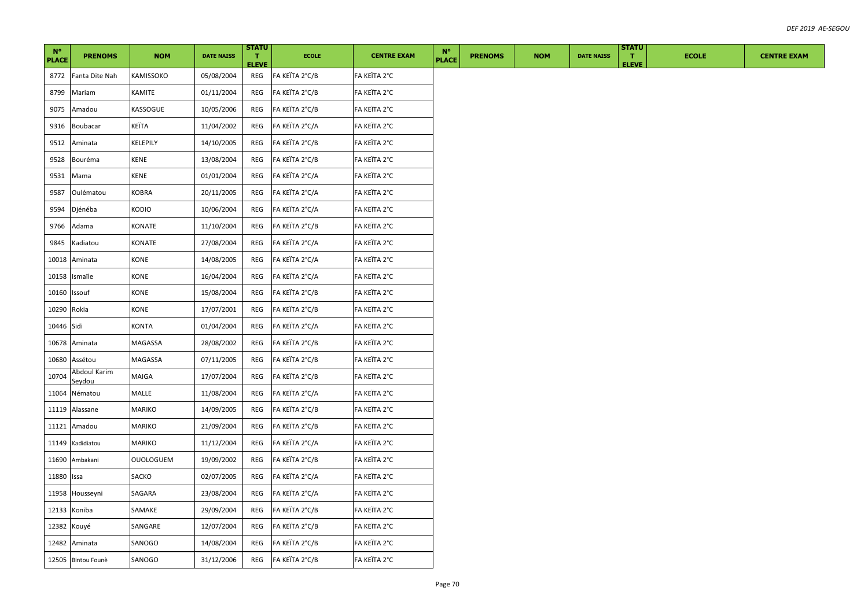| $N^{\circ}$<br><b>PLACE</b> | <b>PRENOMS</b>                | <b>NOM</b>       | <b>DATE NAISS</b> | <b>STATU</b><br>т.  | <b>ECOLE</b>   | <b>CENTRE EXAM</b> | $N^{\circ}$<br><b>PLACE</b> | <b>PRENOMS</b> | <b>NOM</b> | <b>DATE NAISS</b> | <b>STATU</b><br>л. | <b>ECOLE</b> | <b>CENTRE EXAM</b> |
|-----------------------------|-------------------------------|------------------|-------------------|---------------------|----------------|--------------------|-----------------------------|----------------|------------|-------------------|--------------------|--------------|--------------------|
| 8772                        | Fanta Dite Nah                | KAMISSOKO        | 05/08/2004        | <b>ELEVE</b><br>REG | FA KEÏTA 2°C/B | FA KEÏTA 2°C       |                             |                |            |                   | <b>ELEVE</b>       |              |                    |
| 8799                        | Mariam                        | KAMITE           | 01/11/2004        | REG                 | FA KEÏTA 2°C/B | FA KEÏTA 2°C       |                             |                |            |                   |                    |              |                    |
| 9075                        | Amadou                        | KASSOGUE         | 10/05/2006        | REG                 | FA KEÏTA 2°C/B | FA KEÏTA 2°C       |                             |                |            |                   |                    |              |                    |
| 9316                        | Boubacar                      | KEÏTA            | 11/04/2002        | REG                 | FA KEÏTA 2°C/A | FA KEÏTA 2°C       |                             |                |            |                   |                    |              |                    |
| 9512                        | Aminata                       | KELEPILY         | 14/10/2005        | REG                 | FA KEÏTA 2°C/B | FA KEÏTA 2°C       |                             |                |            |                   |                    |              |                    |
| 9528                        | Bouréma                       | <b>KENE</b>      | 13/08/2004        | REG                 | FA KEÏTA 2°C/B | FA KEÏTA 2°C       |                             |                |            |                   |                    |              |                    |
| 9531                        | Mama                          | KENE             | 01/01/2004        | REG                 | FA KEÏTA 2°C/A | FA KEÏTA 2°C       |                             |                |            |                   |                    |              |                    |
| 9587                        | Oulématou                     | KOBRA            | 20/11/2005        | REG                 | FA KEÏTA 2°C/A | FA KEÏTA 2°C       |                             |                |            |                   |                    |              |                    |
| 9594                        | Djénéba                       | KODIO            | 10/06/2004        | REG                 | FA KEÏTA 2°C/A | FA KEÏTA 2°C       |                             |                |            |                   |                    |              |                    |
| 9766                        | Adama                         | KONATE           | 11/10/2004        | REG                 | FA KEÏTA 2°C/B | FA KEÏTA 2°C       |                             |                |            |                   |                    |              |                    |
| 9845                        | Kadiatou                      | KONATE           | 27/08/2004        | REG                 | FA KEÏTA 2°C/A | FA KEÏTA 2°C       |                             |                |            |                   |                    |              |                    |
| 10018                       | Aminata                       | KONE             | 14/08/2005        | REG                 | FA KEÏTA 2°C/A | FA KEÏTA 2°C       |                             |                |            |                   |                    |              |                    |
| 10158                       | Ismaïle                       | KONE             | 16/04/2004        | REG                 | FA KEÏTA 2°C/A | FA KEÏTA 2°C       |                             |                |            |                   |                    |              |                    |
| 10160                       | Issouf                        | KONE             | 15/08/2004        | REG                 | FA KEÏTA 2°C/B | FA KEÏTA 2°C       |                             |                |            |                   |                    |              |                    |
| 10290                       | Rokia                         | KONE             | 17/07/2001        | REG                 | FA KEÏTA 2°C/B | FA KEÏTA 2°C       |                             |                |            |                   |                    |              |                    |
| 10446 Sidi                  |                               | <b>KONTA</b>     | 01/04/2004        | REG                 | FA KEÏTA 2°C/A | FA KEÏTA 2°C       |                             |                |            |                   |                    |              |                    |
| 10678                       | Aminata                       | MAGASSA          | 28/08/2002        | REG                 | FA KEÏTA 2°C/B | FA KEÏTA 2°C       |                             |                |            |                   |                    |              |                    |
| 10680                       | Assétou                       | MAGASSA          | 07/11/2005        | REG                 | FA KEÏTA 2°C/B | FA KEÏTA 2°C       |                             |                |            |                   |                    |              |                    |
| 10704                       | Abdoul Karim<br><u>Seydou</u> | MAIGA            | 17/07/2004        | REG                 | FA KEÏTA 2°C/B | FA KEÏTA 2°C       |                             |                |            |                   |                    |              |                    |
| 11064                       | Nématou                       | MALLE            | 11/08/2004        | REG                 | FA KEÏTA 2°C/A | FA KEÏTA 2°C       |                             |                |            |                   |                    |              |                    |
| 11119                       | Alassane                      | MARIKO           | 14/09/2005        | REG                 | FA KEÏTA 2°C/B | FA KEÏTA 2°C       |                             |                |            |                   |                    |              |                    |
| 11121                       | Amadou                        | MARIKO           | 21/09/2004        | REG                 | FA KEÏTA 2°C/B | FA KEÏTA 2°C       |                             |                |            |                   |                    |              |                    |
| 11149                       | Kadidiatou                    | MARIKO           | 11/12/2004        | REG                 | FA KEÏTA 2°C/A | FA KEÏTA 2°C       |                             |                |            |                   |                    |              |                    |
| 11690                       | Ambakani                      | <b>OUOLOGUEM</b> | 19/09/2002        | REG                 | FA KEÏTA 2°C/B | FA KEÏTA 2°C       |                             |                |            |                   |                    |              |                    |
| 11880                       | Issa                          | SACKO            | 02/07/2005        | REG                 | FA KEÏTA 2°C/A | FA KEÏTA 2°C       |                             |                |            |                   |                    |              |                    |
| 11958                       | Housseyni                     | SAGARA           | 23/08/2004        | REG                 | FA KEÏTA 2°C/A | FA KEÏTA 2°C       |                             |                |            |                   |                    |              |                    |
| 12133                       | Koniba                        | SAMAKE           | 29/09/2004        | REG                 | FA KEÏTA 2°C/B | FA KEÏTA 2°C       |                             |                |            |                   |                    |              |                    |
| 12382                       | Kouyé                         | SANGARE          | 12/07/2004        | REG                 | FA KEÏTA 2°C/B | FA KEÏTA 2°C       |                             |                |            |                   |                    |              |                    |
|                             | 12482 Aminata                 | SANOGO           | 14/08/2004        | REG                 | FA KEÏTA 2°C/B | FA KEÏTA 2°C       |                             |                |            |                   |                    |              |                    |
|                             | 12505 Bintou Founè            | SANOGO           | 31/12/2006        | REG                 | FA KEÏTA 2°C/B | FA KEÏTA 2°C       |                             |                |            |                   |                    |              |                    |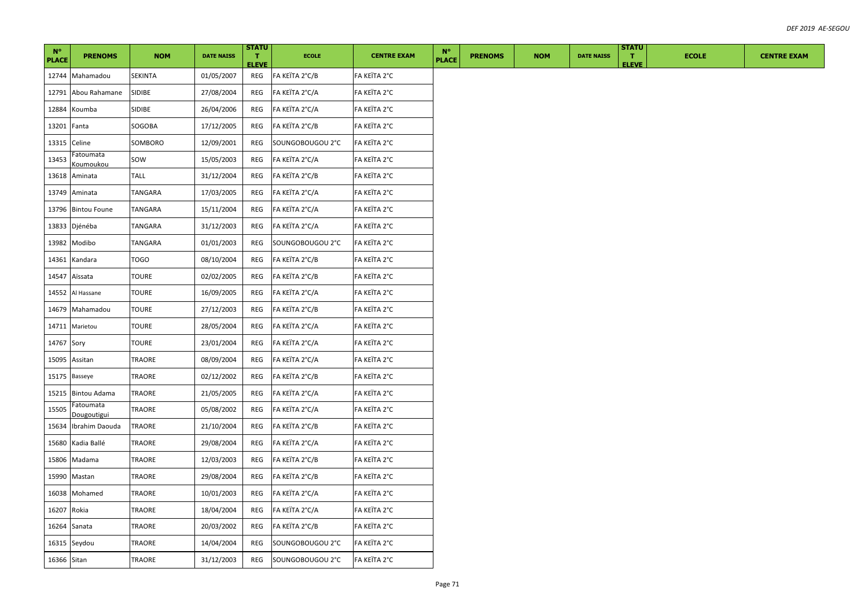| $N^{\circ}$  |                               |                |                   | <b>STATU</b>                 |                  |                    | $N^{\circ}$  |                |            |                   |                    | <b>STATU</b> |              |  |  |  |                    |  |  |
|--------------|-------------------------------|----------------|-------------------|------------------------------|------------------|--------------------|--------------|----------------|------------|-------------------|--------------------|--------------|--------------|--|--|--|--------------------|--|--|
| <b>PLACE</b> | <b>PRENOMS</b>                | <b>NOM</b>     | <b>DATE NAISS</b> | $\mathbf{T}$<br><b>ELEVE</b> | <b>ECOLE</b>     | <b>CENTRE EXAM</b> | <b>PLACE</b> | <b>PRENOMS</b> | <b>NOM</b> | <b>DATE NAISS</b> | T.<br><b>ELEVE</b> |              | <b>ECOLE</b> |  |  |  | <b>CENTRE EXAM</b> |  |  |
|              | 12744 Mahamadou               | SEKINTA        | 01/05/2007        | REG                          | FA KEÏTA 2°C/B   | FA KEÏTA 2°C       |              |                |            |                   |                    |              |              |  |  |  |                    |  |  |
| 12791        | Abou Rahamane                 | SIDIBE         | 27/08/2004        | REG                          | FA KEÏTA 2°C/A   | FA KEÏTA 2°C       |              |                |            |                   |                    |              |              |  |  |  |                    |  |  |
| 12884        | Koumba                        | SIDIBE         | 26/04/2006        | REG                          | FA KEÏTA 2°C/A   | FA KEÏTA 2°C       |              |                |            |                   |                    |              |              |  |  |  |                    |  |  |
| 13201 Fanta  |                               | SOGOBA         | 17/12/2005        | REG                          | FA KEÏTA 2°C/B   | FA KEÏTA 2°C       |              |                |            |                   |                    |              |              |  |  |  |                    |  |  |
| 13315        | Celine                        | SOMBORO        | 12/09/2001        | REG                          | SOUNGOBOUGOU 2°C | FA KEÏTA 2°C       |              |                |            |                   |                    |              |              |  |  |  |                    |  |  |
| 13453        | Fatoumata<br><u>Koumoukou</u> | sow            | 15/05/2003        | REG                          | FA KEÏTA 2°C/A   | FA KEÏTA 2°C       |              |                |            |                   |                    |              |              |  |  |  |                    |  |  |
| 13618        | Aminata                       | TALL           | 31/12/2004        | REG                          | FA KEÏTA 2°C/B   | FA KEÏTA 2°C       |              |                |            |                   |                    |              |              |  |  |  |                    |  |  |
| 13749        | Aminata                       | TANGARA        | 17/03/2005        | REG                          | FA KEÏTA 2°C/A   | FA KEÏTA 2°C       |              |                |            |                   |                    |              |              |  |  |  |                    |  |  |
| 13796        | <b>Bintou Foune</b>           | <b>TANGARA</b> | 15/11/2004        | REG                          | FA KEÏTA 2°C/A   | FA KEÏTA 2°C       |              |                |            |                   |                    |              |              |  |  |  |                    |  |  |
|              | 13833 Djénéba                 | TANGARA        | 31/12/2003        | REG                          | FA KEÏTA 2°C/A   | FA KEÏTA 2°C       |              |                |            |                   |                    |              |              |  |  |  |                    |  |  |
| 13982        | Modibo                        | TANGARA        | 01/01/2003        | REG                          | SOUNGOBOUGOU 2°C | FA KEÏTA 2°C       |              |                |            |                   |                    |              |              |  |  |  |                    |  |  |
| 14361        | Kandara                       | <b>TOGO</b>    | 08/10/2004        | REG                          | FA KEÏTA 2°C/B   | FA KEÏTA 2°C       |              |                |            |                   |                    |              |              |  |  |  |                    |  |  |
| 14547        | Aïssata                       | TOURE          | 02/02/2005        | REG                          | FA KEÏTA 2°C/B   | FA KEÏTA 2°C       |              |                |            |                   |                    |              |              |  |  |  |                    |  |  |
| 14552        | Al Hassane                    | <b>TOURE</b>   | 16/09/2005        | REG                          | FA KEÏTA 2°C/A   | FA KEÏTA 2°C       |              |                |            |                   |                    |              |              |  |  |  |                    |  |  |
| 14679        | Mahamadou                     | TOURE          | 27/12/2003        | REG                          | FA KEÏTA 2°C/B   | FA KEÏTA 2°C       |              |                |            |                   |                    |              |              |  |  |  |                    |  |  |
| 14711        | Marietou                      | TOURE          | 28/05/2004        | REG                          | FA KEÏTA 2°C/A   | FA KEÏTA 2°C       |              |                |            |                   |                    |              |              |  |  |  |                    |  |  |
| 14767 Sory   |                               | <b>TOURE</b>   | 23/01/2004        | REG                          | FA KEÏTA 2°C/A   | FA KEÏTA 2°C       |              |                |            |                   |                    |              |              |  |  |  |                    |  |  |
| 15095        | Assitan                       | TRAORE         | 08/09/2004        | REG                          | FA KEÏTA 2°C/A   | FA KEÏTA 2°C       |              |                |            |                   |                    |              |              |  |  |  |                    |  |  |
|              | 15175 Basseye                 | TRAORE         | 02/12/2002        | REG                          | FA KEÏTA 2°C/B   | FA KEÏTA 2°C       |              |                |            |                   |                    |              |              |  |  |  |                    |  |  |
| 15215        | <b>Bintou Adama</b>           | TRAORE         | 21/05/2005        | REG                          | FA KEÏTA 2°C/A   | FA KEÏTA 2°C       |              |                |            |                   |                    |              |              |  |  |  |                    |  |  |
| 15505        | Fatoumata<br>Dougoutigui      | TRAORE         | 05/08/2002        | REG                          | FA KEÏTA 2°C/A   | FA KEÏTA 2°C       |              |                |            |                   |                    |              |              |  |  |  |                    |  |  |
| 15634        | Ibrahim Daouda                | TRAORE         | 21/10/2004        | REG                          | FA KEÏTA 2°C/B   | FA KEÏTA 2°C       |              |                |            |                   |                    |              |              |  |  |  |                    |  |  |
| 15680        | Kadia Ballé                   | TRAORE         | 29/08/2004        | REG                          | FA KEÏTA 2°C/A   | FA KEÏTA 2°C       |              |                |            |                   |                    |              |              |  |  |  |                    |  |  |
| 15806        | Madama                        | TRAORE         | 12/03/2003        | REG                          | FA KEÏTA 2°C/B   | FA KEÏTA 2°C       |              |                |            |                   |                    |              |              |  |  |  |                    |  |  |
| 15990        | Mastan                        | TRAORE         | 29/08/2004        | REG                          | FA KEÏTA 2°C/B   | FA KEÏTA 2°C       |              |                |            |                   |                    |              |              |  |  |  |                    |  |  |
| 16038        | Mohamed                       | TRAORE         | 10/01/2003        | REG                          | FA KEÏTA 2°C/A   | FA KEÏTA 2°C       |              |                |            |                   |                    |              |              |  |  |  |                    |  |  |
| 16207        | Rokia                         | TRAORE         | 18/04/2004        | REG                          | FA KEÏTA 2°C/A   | FA KEÏTA 2°C       |              |                |            |                   |                    |              |              |  |  |  |                    |  |  |
|              | 16264 Sanata                  | TRAORE         | 20/03/2002        | REG                          | FA KEÏTA 2°C/B   | FA KEÏTA 2°C       |              |                |            |                   |                    |              |              |  |  |  |                    |  |  |
|              | 16315 Seydou                  | TRAORE         | 14/04/2004        | REG                          | SOUNGOBOUGOU 2°C | FA KEÏTA 2°C       |              |                |            |                   |                    |              |              |  |  |  |                    |  |  |
| 16366 Sitan  |                               | <b>TRAORE</b>  | 31/12/2003        | REG                          | SOUNGOBOUGOU 2°C | FA KEÏTA 2°C       |              |                |            |                   |                    |              |              |  |  |  |                    |  |  |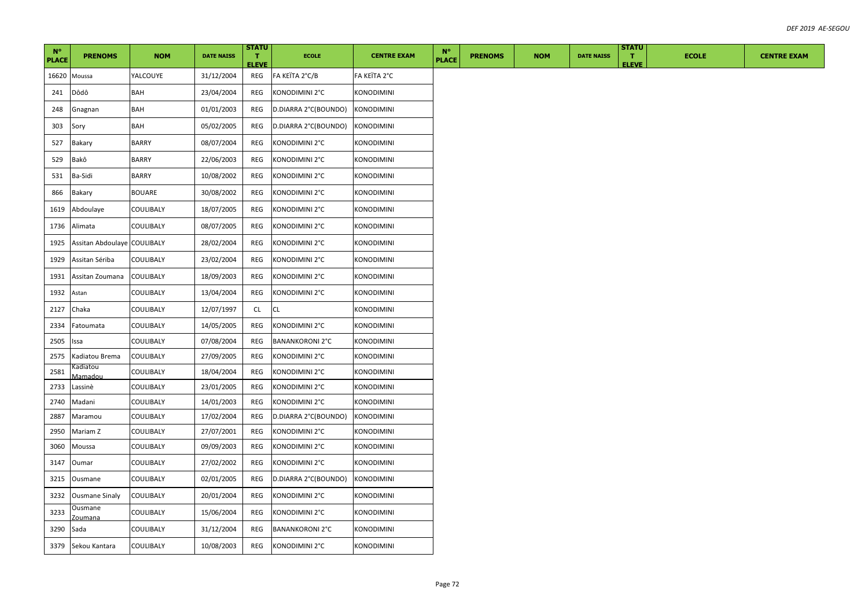| $N^{\circ}$<br><b>PLACE</b> | <b>PRENOMS</b>              | <b>NOM</b>    | <b>DATE NAISS</b> | <b>STATU</b><br>T.  | <b>ECOLE</b>           | <b>CENTRE EXAM</b> | <b>N°</b><br><b>PLACE</b> | <b>PRENOMS</b> | <b>NOM</b> | <b>DATE NAISS</b> | <b>STATU</b><br>$\mathbf{T}$ | <b>ECOLE</b> | <b>CENTRE EXAM</b> |
|-----------------------------|-----------------------------|---------------|-------------------|---------------------|------------------------|--------------------|---------------------------|----------------|------------|-------------------|------------------------------|--------------|--------------------|
| 16620                       | Moussa                      | YALCOUYE      | 31/12/2004        | <b>ELEVE</b><br>REG | FA KEÏTA 2°C/B         | FA KEÏTA 2°C       |                           |                |            |                   | <b>ELEVE</b>                 |              |                    |
| 241                         | Dôdô                        | BAH           | 23/04/2004        | REG                 | KONODIMINI 2°C         | KONODIMINI         |                           |                |            |                   |                              |              |                    |
| 248                         | Gnagnan                     | BAH           | 01/01/2003        | REG                 | D.DIARRA 2°C(BOUNDO)   | <b>KONODIMINI</b>  |                           |                |            |                   |                              |              |                    |
| 303                         | Sory                        | BAH           | 05/02/2005        | REG                 | D.DIARRA 2°C(BOUNDO)   | <b>KONODIMINI</b>  |                           |                |            |                   |                              |              |                    |
| 527                         | <b>Bakary</b>               | <b>BARRY</b>  | 08/07/2004        | REG                 | KONODIMINI 2°C         | <b>KONODIMINI</b>  |                           |                |            |                   |                              |              |                    |
| 529                         | Bakô                        | BARRY         | 22/06/2003        | REG                 | KONODIMINI 2°C         | KONODIMINI         |                           |                |            |                   |                              |              |                    |
| 531                         | Ba-Sidi                     | <b>BARRY</b>  | 10/08/2002        | REG                 | KONODIMINI 2°C         | KONODIMINI         |                           |                |            |                   |                              |              |                    |
| 866                         | Bakary                      | <b>BOUARE</b> | 30/08/2002        | REG                 | KONODIMINI 2°C         | KONODIMINI         |                           |                |            |                   |                              |              |                    |
| 1619                        | Abdoulaye                   | COULIBALY     | 18/07/2005        | REG                 | KONODIMINI 2°C         | KONODIMINI         |                           |                |            |                   |                              |              |                    |
| 1736                        | Alimata                     | COULIBALY     | 08/07/2005        | REG                 | KONODIMINI 2°C         | KONODIMINI         |                           |                |            |                   |                              |              |                    |
| 1925                        | Assitan Abdoulaye COULIBALY |               | 28/02/2004        | REG                 | KONODIMINI 2°C         | KONODIMINI         |                           |                |            |                   |                              |              |                    |
| 1929                        | Assitan Sériba              | COULIBALY     | 23/02/2004        | REG                 | KONODIMINI 2°C         | KONODIMINI         |                           |                |            |                   |                              |              |                    |
| 1931                        | Assitan Zoumana             | COULIBALY     | 18/09/2003        | REG                 | KONODIMINI 2°C         | KONODIMINI         |                           |                |            |                   |                              |              |                    |
| 1932                        | Astan                       | COULIBALY     | 13/04/2004        | REG                 | KONODIMINI 2°C         | <b>KONODIMINI</b>  |                           |                |            |                   |                              |              |                    |
| 2127                        | Chaka                       | COULIBALY     | 12/07/1997        | CL                  | <b>CL</b>              | KONODIMINI         |                           |                |            |                   |                              |              |                    |
| 2334                        | Fatoumata                   | COULIBALY     | 14/05/2005        | REG                 | KONODIMINI 2°C         | KONODIMINI         |                           |                |            |                   |                              |              |                    |
| 2505                        | Issa                        | COULIBALY     | 07/08/2004        | REG                 | <b>BANANKORONI 2°C</b> | KONODIMINI         |                           |                |            |                   |                              |              |                    |
| 2575                        | Kadiatou Brema              | COULIBALY     | 27/09/2005        | REG                 | KONODIMINI 2°C         | KONODIMINI         |                           |                |            |                   |                              |              |                    |
| 2581                        | Kadiatou<br>Mamadou         | COULIBALY     | 18/04/2004        | REG                 | KONODIMINI 2°C         | KONODIMINI         |                           |                |            |                   |                              |              |                    |
| 2733                        | Lassinè                     | COULIBALY     | 23/01/2005        | REG                 | KONODIMINI 2°C         | KONODIMINI         |                           |                |            |                   |                              |              |                    |
| 2740                        | Madani                      | COULIBALY     | 14/01/2003        | REG                 | KONODIMINI 2°C         | <b>KONODIMINI</b>  |                           |                |            |                   |                              |              |                    |
| 2887                        | Maramou                     | COULIBALY     | 17/02/2004        | REG                 | D.DIARRA 2°C(BOUNDO)   | <b>KONODIMINI</b>  |                           |                |            |                   |                              |              |                    |
| 2950                        | Mariam Z                    | COULIBALY     | 27/07/2001        | REG                 | KONODIMINI 2°C         | KONODIMINI         |                           |                |            |                   |                              |              |                    |
| 3060                        | Moussa                      | COULIBALY     | 09/09/2003        | REG                 | KONODIMINI 2°C         | KONODIMINI         |                           |                |            |                   |                              |              |                    |
| 3147                        | Oumar                       | COULIBALY     | 27/02/2002        | REG                 | KONODIMINI 2°C         | KONODIMINI         |                           |                |            |                   |                              |              |                    |
| 3215                        | Ousmane                     | COULIBALY     | 02/01/2005        | REG                 | D.DIARRA 2°C(BOUNDO)   | <b>KONODIMINI</b>  |                           |                |            |                   |                              |              |                    |
| 3232                        | <b>Ousmane Sinaly</b>       | COULIBALY     | 20/01/2004        | REG                 | KONODIMINI 2°C         | KONODIMINI         |                           |                |            |                   |                              |              |                    |
| 3233                        | Ousmane<br>Zoumana          | COULIBALY     | 15/06/2004        | REG                 | KONODIMINI 2°C         | <b>KONODIMINI</b>  |                           |                |            |                   |                              |              |                    |
| 3290                        | Sada                        | COULIBALY     | 31/12/2004        | REG                 | <b>BANANKORONI 2°C</b> | KONODIMINI         |                           |                |            |                   |                              |              |                    |
|                             | 3379 Sekou Kantara          | COULIBALY     | 10/08/2003        | REG                 | KONODIMINI 2°C         | <b>KONODIMINI</b>  |                           |                |            |                   |                              |              |                    |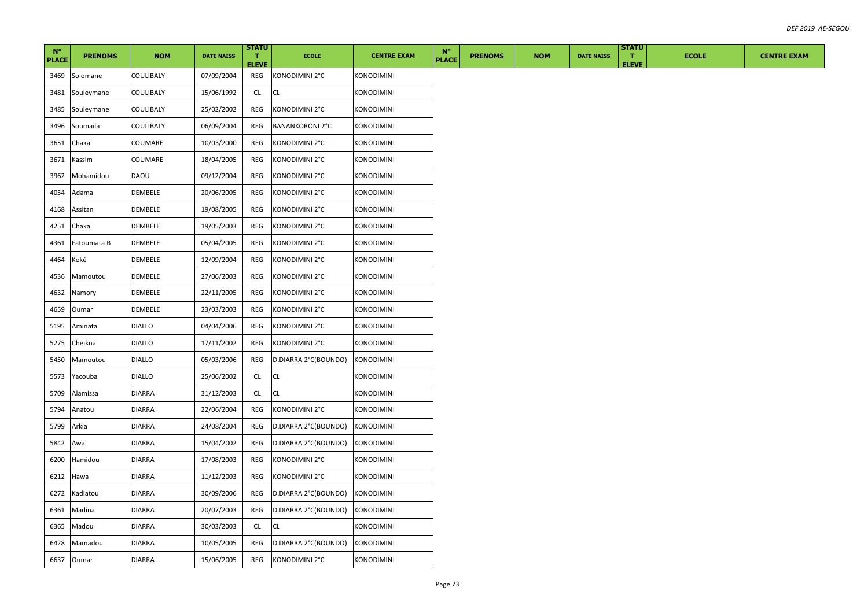| $N^{\circ}$<br><b>PLACE</b> | <b>PRENOMS</b> | <b>NOM</b>       | <b>DATE NAISS</b> | <b>STATU</b><br>T.<br><b>ELEVE</b> | <b>ECOLE</b>           | <b>CENTRE EXAM</b> | $N^{\circ}$<br><b>PLACE</b> | <b>PRENOMS</b> | <b>NOM</b> | <b>DATE NAISS</b> | <b>STATU</b><br>T.<br><b>ELEVE</b> | <b>ECOLE</b> | <b>CENTRE EXAM</b> |
|-----------------------------|----------------|------------------|-------------------|------------------------------------|------------------------|--------------------|-----------------------------|----------------|------------|-------------------|------------------------------------|--------------|--------------------|
| 3469                        | Solomane       | <b>COULIBALY</b> | 07/09/2004        | REG                                | KONODIMINI 2°C         | KONODIMINI         |                             |                |            |                   |                                    |              |                    |
| 3481                        | Souleymane     | COULIBALY        | 15/06/1992        | <b>CL</b>                          | <b>CL</b>              | KONODIMINI         |                             |                |            |                   |                                    |              |                    |
| 3485                        | Souleymane     | COULIBALY        | 25/02/2002        | REG                                | KONODIMINI 2°C         | KONODIMINI         |                             |                |            |                   |                                    |              |                    |
| 3496                        | Soumaïla       | COULIBALY        | 06/09/2004        | REG                                | <b>BANANKORONI 2°C</b> | KONODIMINI         |                             |                |            |                   |                                    |              |                    |
| 3651                        | Chaka          | COUMARE          | 10/03/2000        | REG                                | KONODIMINI 2°C         | KONODIMINI         |                             |                |            |                   |                                    |              |                    |
| 3671                        | Kassim         | COUMARE          | 18/04/2005        | REG                                | KONODIMINI 2°C         | KONODIMINI         |                             |                |            |                   |                                    |              |                    |
| 3962                        | Mohamidou      | DAOU             | 09/12/2004        | REG                                | KONODIMINI 2°C         | KONODIMINI         |                             |                |            |                   |                                    |              |                    |
| 4054                        | Adama          | DEMBELE          | 20/06/2005        | REG                                | KONODIMINI 2°C         | KONODIMINI         |                             |                |            |                   |                                    |              |                    |
| 4168                        | Assitan        | DEMBELE          | 19/08/2005        | REG                                | KONODIMINI 2°C         | <b>KONODIMINI</b>  |                             |                |            |                   |                                    |              |                    |
| 4251                        | Chaka          | DEMBELE          | 19/05/2003        | REG                                | KONODIMINI 2°C         | <b>KONODIMINI</b>  |                             |                |            |                   |                                    |              |                    |
| 4361                        | Fatoumata B    | DEMBELE          | 05/04/2005        | REG                                | KONODIMINI 2°C         | KONODIMINI         |                             |                |            |                   |                                    |              |                    |
| 4464                        | Koké           | DEMBELE          | 12/09/2004        | REG                                | KONODIMINI 2°C         | KONODIMINI         |                             |                |            |                   |                                    |              |                    |
| 4536                        | Mamoutou       | DEMBELE          | 27/06/2003        | REG                                | KONODIMINI 2°C         | KONODIMINI         |                             |                |            |                   |                                    |              |                    |
| 4632                        | Namory         | DEMBELE          | 22/11/2005        | REG                                | KONODIMINI 2°C         | <b>KONODIMINI</b>  |                             |                |            |                   |                                    |              |                    |
| 4659                        | Oumar          | DEMBELE          | 23/03/2003        | REG                                | KONODIMINI 2°C         | KONODIMINI         |                             |                |            |                   |                                    |              |                    |
| 5195                        | Aminata        | <b>DIALLO</b>    | 04/04/2006        | REG                                | KONODIMINI 2°C         | KONODIMINI         |                             |                |            |                   |                                    |              |                    |
| 5275                        | Cheikna        | <b>DIALLO</b>    | 17/11/2002        | REG                                | KONODIMINI 2°C         | <b>KONODIMINI</b>  |                             |                |            |                   |                                    |              |                    |
| 5450                        | Mamoutou       | DIALLO           | 05/03/2006        | REG                                | D.DIARRA 2°C(BOUNDO)   | <b>KONODIMINI</b>  |                             |                |            |                   |                                    |              |                    |
| 5573                        | Yacouba        | <b>DIALLO</b>    | 25/06/2002        | <b>CL</b>                          | CL.                    | <b>KONODIMINI</b>  |                             |                |            |                   |                                    |              |                    |
| 5709                        | Alamissa       | <b>DIARRA</b>    | 31/12/2003        | CL                                 | <b>CL</b>              | KONODIMINI         |                             |                |            |                   |                                    |              |                    |
| 5794                        | Anatou         | <b>DIARRA</b>    | 22/06/2004        | REG                                | KONODIMINI 2°C         | KONODIMINI         |                             |                |            |                   |                                    |              |                    |
| 5799                        | Arkia          | <b>DIARRA</b>    | 24/08/2004        | REG                                | D.DIARRA 2°C(BOUNDO)   | <b>KONODIMINI</b>  |                             |                |            |                   |                                    |              |                    |
| 5842                        | Awa            | <b>DIARRA</b>    | 15/04/2002        | REG                                | D.DIARRA 2°C(BOUNDO)   | KONODIMINI         |                             |                |            |                   |                                    |              |                    |
| 6200                        | Hamidou        | <b>DIARRA</b>    | 17/08/2003        | REG                                | KONODIMINI 2°C         | KONODIMINI         |                             |                |            |                   |                                    |              |                    |
| 6212                        | Hawa           | <b>DIARRA</b>    | 11/12/2003        | REG                                | KONODIMINI 2°C         | KONODIMINI         |                             |                |            |                   |                                    |              |                    |
| 6272                        | Kadiatou       | <b>DIARRA</b>    | 30/09/2006        | REG                                | D.DIARRA 2°C(BOUNDO)   | <b>KONODIMINI</b>  |                             |                |            |                   |                                    |              |                    |
| 6361                        | Madina         | <b>DIARRA</b>    | 20/07/2003        | REG                                | D.DIARRA 2°C(BOUNDO)   | <b>KONODIMINI</b>  |                             |                |            |                   |                                    |              |                    |
| 6365                        | Madou          | <b>DIARRA</b>    | 30/03/2003        | CL                                 | <b>CL</b>              | KONODIMINI         |                             |                |            |                   |                                    |              |                    |
| 6428                        | Mamadou        | DIARRA           | 10/05/2005        | REG                                | D.DIARRA 2°C(BOUNDO)   | <b>KONODIMINI</b>  |                             |                |            |                   |                                    |              |                    |
| 6637                        | Oumar          | <b>DIARRA</b>    | 15/06/2005        | REG                                | KONODIMINI 2°C         | KONODIMINI         |                             |                |            |                   |                                    |              |                    |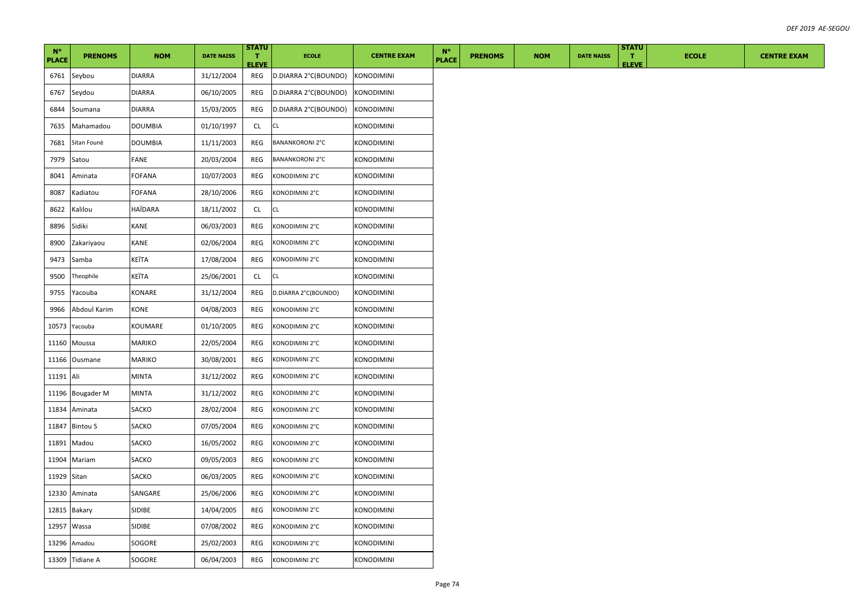| $N^{\circ}$<br><b>PLACE</b> | <b>PRENOMS</b>   | <b>NOM</b>     | <b>DATE NAISS</b> | <b>STATU</b><br>T.<br><b>ELEVE</b> | <b>ECOLE</b>           | <b>CENTRE EXAM</b> | $N^{\circ}$<br><b>PLACE</b> | <b>PRENOMS</b> | <b>NOM</b> | <b>DATE NAISS</b> | <b>STATU</b><br>T.<br><b>ELEVE</b> | <b>ECOLE</b> | <b>CENTRE EXAM</b> |
|-----------------------------|------------------|----------------|-------------------|------------------------------------|------------------------|--------------------|-----------------------------|----------------|------------|-------------------|------------------------------------|--------------|--------------------|
| 6761                        | Seybou           | <b>DIARRA</b>  | 31/12/2004        | REG                                | D.DIARRA 2°C(BOUNDO)   | <b>KONODIMINI</b>  |                             |                |            |                   |                                    |              |                    |
| 6767                        | Seydou           | <b>DIARRA</b>  | 06/10/2005        | REG                                | D.DIARRA 2°C(BOUNDO)   | <b>KONODIMINI</b>  |                             |                |            |                   |                                    |              |                    |
| 6844                        | Soumana          | <b>DIARRA</b>  | 15/03/2005        | REG                                | D.DIARRA 2°C(BOUNDO)   | <b>KONODIMINI</b>  |                             |                |            |                   |                                    |              |                    |
| 7635                        | Mahamadou        | <b>DOUMBIA</b> | 01/10/1997        | CL                                 | <b>CL</b>              | <b>KONODIMINI</b>  |                             |                |            |                   |                                    |              |                    |
| 7681                        | Sitan Founè      | <b>DOUMBIA</b> | 11/11/2003        | REG                                | <b>BANANKORONI 2°C</b> | KONODIMINI         |                             |                |            |                   |                                    |              |                    |
| 7979                        | Satou            | FANE           | 20/03/2004        | REG                                | <b>BANANKORONI 2°C</b> | <b>KONODIMINI</b>  |                             |                |            |                   |                                    |              |                    |
| 8041                        | Aminata          | FOFANA         | 10/07/2003        | REG                                | KONODIMINI 2°C         | KONODIMINI         |                             |                |            |                   |                                    |              |                    |
| 8087                        | Kadiatou         | FOFANA         | 28/10/2006        | REG                                | KONODIMINI 2°C         | KONODIMINI         |                             |                |            |                   |                                    |              |                    |
| 8622                        | Kalilou          | HAÏDARA        | 18/11/2002        | CL                                 | CL.                    | KONODIMINI         |                             |                |            |                   |                                    |              |                    |
| 8896                        | Sidiki           | KANE           | 06/03/2003        | REG                                | KONODIMINI 2°C         | <b>KONODIMINI</b>  |                             |                |            |                   |                                    |              |                    |
| 8900                        | Zakariyaou       | KANE           | 02/06/2004        | REG                                | KONODIMINI 2°C         | KONODIMINI         |                             |                |            |                   |                                    |              |                    |
| 9473                        | Samba            | KEÏTA          | 17/08/2004        | REG                                | KONODIMINI 2°C         | <b>KONODIMINI</b>  |                             |                |            |                   |                                    |              |                    |
| 9500                        | Theophile        | KEÏTA          | 25/06/2001        | CL                                 | CL                     | KONODIMINI         |                             |                |            |                   |                                    |              |                    |
| 9755                        | Yacouba          | KONARE         | 31/12/2004        | REG                                | D.DIARRA 2°C(BOUNDO)   | <b>KONODIMINI</b>  |                             |                |            |                   |                                    |              |                    |
| 9966                        | Abdoul Karim     | KONE           | 04/08/2003        | REG                                | KONODIMINI 2°C         | <b>KONODIMINI</b>  |                             |                |            |                   |                                    |              |                    |
| 10573                       | Yacouba          | KOUMARE        | 01/10/2005        | REG                                | KONODIMINI 2°C         | KONODIMINI         |                             |                |            |                   |                                    |              |                    |
| 11160                       | Moussa           | MARIKO         | 22/05/2004        | REG                                | KONODIMINI 2°C         | KONODIMINI         |                             |                |            |                   |                                    |              |                    |
| 11166                       | Ousmane          | MARIKO         | 30/08/2001        | REG                                | KONODIMINI 2°C         | KONODIMINI         |                             |                |            |                   |                                    |              |                    |
| 11191 Ali                   |                  | <b>MINTA</b>   | 31/12/2002        | REG                                | KONODIMINI 2°C         | <b>KONODIMINI</b>  |                             |                |            |                   |                                    |              |                    |
|                             | 11196 Bougader M | MINTA          | 31/12/2002        | REG                                | KONODIMINI 2°C         | KONODIMINI         |                             |                |            |                   |                                    |              |                    |
| 11834                       | Aminata          | SACKO          | 28/02/2004        | REG                                | KONODIMINI 2°C         | KONODIMINI         |                             |                |            |                   |                                    |              |                    |
| 11847                       | <b>Bintou S</b>  | SACKO          | 07/05/2004        | REG                                | KONODIMINI 2°C         | KONODIMINI         |                             |                |            |                   |                                    |              |                    |
| 11891                       | Madou            | SACKO          | 16/05/2002        | REG                                | KONODIMINI 2°C         | <b>KONODIMINI</b>  |                             |                |            |                   |                                    |              |                    |
| 11904                       | Mariam           | SACKO          | 09/05/2003        | REG                                | KONODIMINI 2°C         | <b>KONODIMINI</b>  |                             |                |            |                   |                                    |              |                    |
| 11929                       | Sitan            | SACKO          | 06/03/2005        | REG                                | KONODIMINI 2°C         | KONODIMINI         |                             |                |            |                   |                                    |              |                    |
| 12330                       | Aminata          | SANGARE        | 25/06/2006        | REG                                | KONODIMINI 2°C         | KONODIMINI         |                             |                |            |                   |                                    |              |                    |
|                             | 12815 Bakary     | SIDIBE         | 14/04/2005        | REG                                | KONODIMINI 2°C         | <b>KONODIMINI</b>  |                             |                |            |                   |                                    |              |                    |
|                             | 12957 Wassa      | SIDIBE         | 07/08/2002        | REG                                | KONODIMINI 2°C         | <b>KONODIMINI</b>  |                             |                |            |                   |                                    |              |                    |
|                             | 13296 Amadou     | SOGORE         | 25/02/2003        | REG                                | KONODIMINI 2°C         | <b>KONODIMINI</b>  |                             |                |            |                   |                                    |              |                    |
|                             | 13309 Tidiane A  | SOGORE         | 06/04/2003        | REG                                | KONODIMINI 2°C         | <b>KONODIMINI</b>  |                             |                |            |                   |                                    |              |                    |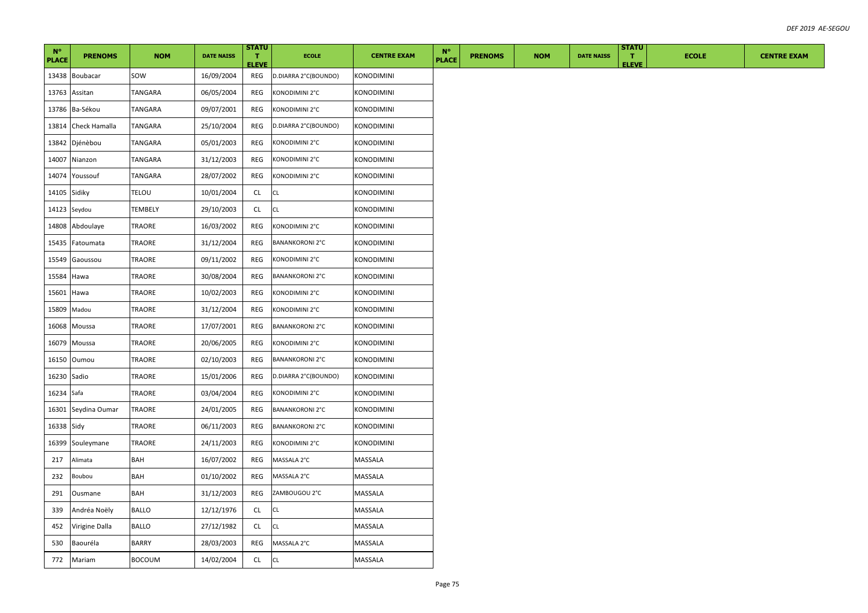| $N^{\circ}$<br><b>PLACE</b> | <b>PRENOMS</b>  | <b>NOM</b>     | <b>DATE NAISS</b> | <b>STATU</b><br>п.<br><b>ELEVE</b> | <b>ECOLE</b>           | <b>CENTRE EXAM</b> | $N^{\circ}$<br><b>PLACE</b> | <b>PRENOMS</b> | <b>NOM</b> | <b>DATE NAISS</b> | <b>STATU</b><br>$\mathbf{T}$<br><b>ELEVE</b> | <b>ECOLE</b> | <b>CENTRE EXAM</b> |
|-----------------------------|-----------------|----------------|-------------------|------------------------------------|------------------------|--------------------|-----------------------------|----------------|------------|-------------------|----------------------------------------------|--------------|--------------------|
| 13438                       | <b>Boubacar</b> | SOW            | 16/09/2004        | REG                                | D.DIARRA 2°C(BOUNDO)   | <b>KONODIMINI</b>  |                             |                |            |                   |                                              |              |                    |
| 13763                       | Assitan         | TANGARA        | 06/05/2004        | REG                                | KONODIMINI 2°C         | <b>KONODIMINI</b>  |                             |                |            |                   |                                              |              |                    |
| 13786                       | Ba-Sékou        | TANGARA        | 09/07/2001        | REG                                | KONODIMINI 2°C         | KONODIMINI         |                             |                |            |                   |                                              |              |                    |
| 13814                       | Check Hamalla   | TANGARA        | 25/10/2004        | REG                                | D.DIARRA 2°C(BOUNDO)   | <b>KONODIMINI</b>  |                             |                |            |                   |                                              |              |                    |
| 13842                       | Djénèbou        | TANGARA        | 05/01/2003        | REG                                | KONODIMINI 2°C         | KONODIMINI         |                             |                |            |                   |                                              |              |                    |
| 14007                       | Nianzon         | TANGARA        | 31/12/2003        | REG                                | KONODIMINI 2°C         | KONODIMINI         |                             |                |            |                   |                                              |              |                    |
| 14074                       | Youssouf        | TANGARA        | 28/07/2002        | REG                                | KONODIMINI 2°C         | KONODIMINI         |                             |                |            |                   |                                              |              |                    |
| 14105                       | Sidiky          | TELOU          | 10/01/2004        | CL                                 | CL                     | KONODIMINI         |                             |                |            |                   |                                              |              |                    |
| 14123                       | Seydou          | <b>TEMBELY</b> | 29/10/2003        | CL                                 | <b>CL</b>              | <b>KONODIMINI</b>  |                             |                |            |                   |                                              |              |                    |
| 14808                       | Abdoulaye       | TRAORE         | 16/03/2002        | REG                                | KONODIMINI 2°C         | KONODIMINI         |                             |                |            |                   |                                              |              |                    |
| 15435                       | Fatoumata       | TRAORE         | 31/12/2004        | REG                                | <b>BANANKORONI 2°C</b> | KONODIMINI         |                             |                |            |                   |                                              |              |                    |
| 15549                       | Gaoussou        | TRAORE         | 09/11/2002        | REG                                | KONODIMINI 2°C         | KONODIMINI         |                             |                |            |                   |                                              |              |                    |
| 15584                       | Hawa            | TRAORE         | 30/08/2004        | REG                                | <b>BANANKORONI 2°C</b> | KONODIMINI         |                             |                |            |                   |                                              |              |                    |
| 15601                       | Hawa            | TRAORE         | 10/02/2003        | REG                                | KONODIMINI 2°C         | <b>KONODIMINI</b>  |                             |                |            |                   |                                              |              |                    |
| 15809                       | Madou           | TRAORE         | 31/12/2004        | REG                                | KONODIMINI 2°C         | KONODIMINI         |                             |                |            |                   |                                              |              |                    |
| 16068                       | Moussa          | TRAORE         | 17/07/2001        | REG                                | <b>BANANKORONI 2°C</b> | KONODIMINI         |                             |                |            |                   |                                              |              |                    |
| 16079                       | Moussa          | TRAORE         | 20/06/2005        | REG                                | KONODIMINI 2°C         | KONODIMINI         |                             |                |            |                   |                                              |              |                    |
| 16150                       | Oumou           | TRAORE         | 02/10/2003        | REG                                | <b>BANANKORONI 2°C</b> | KONODIMINI         |                             |                |            |                   |                                              |              |                    |
| 16230                       | Sadio           | TRAORE         | 15/01/2006        | REG                                | D.DIARRA 2°C(BOUNDO)   | <b>KONODIMINI</b>  |                             |                |            |                   |                                              |              |                    |
| 16234 Safa                  |                 | TRAORE         | 03/04/2004        | REG                                | KONODIMINI 2°C         | KONODIMINI         |                             |                |            |                   |                                              |              |                    |
| 16301                       | Seydina Oumar   | TRAORE         | 24/01/2005        | REG                                | <b>BANANKORONI 2°C</b> | KONODIMINI         |                             |                |            |                   |                                              |              |                    |
| 16338 Sidy                  |                 | TRAORE         | 06/11/2003        | REG                                | <b>BANANKORONI 2°C</b> | KONODIMINI         |                             |                |            |                   |                                              |              |                    |
| 16399                       | Souleymane      | TRAORE         | 24/11/2003        | REG                                | KONODIMINI 2°C         | KONODIMINI         |                             |                |            |                   |                                              |              |                    |
| 217                         | Alimata         | BAH            | 16/07/2002        | REG                                | MASSALA 2°C            | MASSALA            |                             |                |            |                   |                                              |              |                    |
| 232                         | Boubou          | BAH            | 01/10/2002        | REG                                | MASSALA 2°C            | MASSALA            |                             |                |            |                   |                                              |              |                    |
| 291                         | Ousmane         | BAH            | 31/12/2003        | REG                                | ZAMBOUGOU 2°C          | MASSALA            |                             |                |            |                   |                                              |              |                    |
| 339                         | Andréa Noëly    | <b>BALLO</b>   | 12/12/1976        | CL                                 | СL                     | MASSALA            |                             |                |            |                   |                                              |              |                    |
| 452                         | Virigine Dalla  | BALLO          | 27/12/1982        | CL.                                | CL                     | MASSALA            |                             |                |            |                   |                                              |              |                    |
| 530                         | Baouréla        | BARRY          | 28/03/2003        | REG                                | MASSALA 2°C            | MASSALA            |                             |                |            |                   |                                              |              |                    |
| 772                         | Mariam          | <b>BOCOUM</b>  | 14/02/2004        | CL                                 | CL                     | MASSALA            |                             |                |            |                   |                                              |              |                    |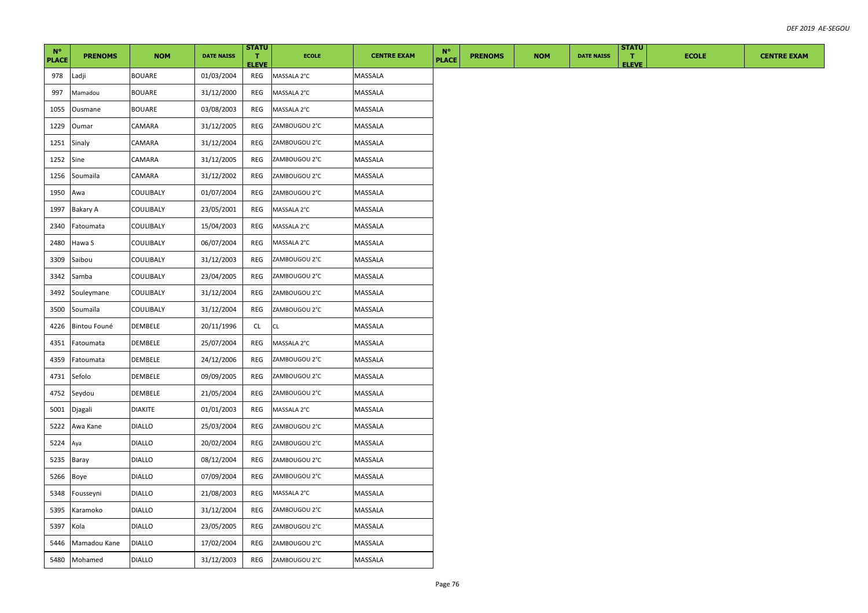| $N^{\circ}$<br><b>PLACE</b> | <b>PRENOMS</b> | <b>NOM</b>    | <b>DATE NAISS</b> | <b>STATU</b><br>л.<br><b>ELEVE</b> | <b>ECOLE</b>  | <b>CENTRE EXAM</b> | $N^{\circ}$<br><b>PLACE</b> | <b>PRENOMS</b> | <b>NOM</b> | <b>DATE NAISS</b> | <b>STATU</b><br>T.<br><b>ELEVE</b> | <b>ECOLE</b> | <b>CENTRE EXAM</b> |
|-----------------------------|----------------|---------------|-------------------|------------------------------------|---------------|--------------------|-----------------------------|----------------|------------|-------------------|------------------------------------|--------------|--------------------|
| 978                         | Ladji          | BOUARE        | 01/03/2004        | REG                                | MASSALA 2°C   | MASSALA            |                             |                |            |                   |                                    |              |                    |
| 997                         | Mamadou        | BOUARE        | 31/12/2000        | REG                                | MASSALA 2°C   | MASSALA            |                             |                |            |                   |                                    |              |                    |
| 1055                        | Ousmane        | <b>BOUARE</b> | 03/08/2003        | REG                                | MASSALA 2°C   | MASSALA            |                             |                |            |                   |                                    |              |                    |
| 1229                        | Oumar          | CAMARA        | 31/12/2005        | REG                                | ZAMBOUGOU 2°C | MASSALA            |                             |                |            |                   |                                    |              |                    |
| 1251                        | Sinaly         | CAMARA        | 31/12/2004        | REG                                | ZAMBOUGOU 2°C | MASSALA            |                             |                |            |                   |                                    |              |                    |
| 1252                        | Sine           | CAMARA        | 31/12/2005        | REG                                | ZAMBOUGOU 2°C | MASSALA            |                             |                |            |                   |                                    |              |                    |
| 1256                        | Soumaila       | CAMARA        | 31/12/2002        | REG                                | ZAMBOUGOU 2°C | MASSALA            |                             |                |            |                   |                                    |              |                    |
| 1950                        | Awa            | COULIBALY     | 01/07/2004        | REG                                | ZAMBOUGOU 2°C | MASSALA            |                             |                |            |                   |                                    |              |                    |
| 1997                        | Bakary A       | COULIBALY     | 23/05/2001        | REG                                | MASSALA 2°C   | MASSALA            |                             |                |            |                   |                                    |              |                    |
| 2340                        | Fatoumata      | COULIBALY     | 15/04/2003        | REG                                | MASSALA 2°C   | MASSALA            |                             |                |            |                   |                                    |              |                    |
| 2480                        | Hawa S         | COULIBALY     | 06/07/2004        | REG                                | MASSALA 2°C   | MASSALA            |                             |                |            |                   |                                    |              |                    |
| 3309                        | Saibou         | COULIBALY     | 31/12/2003        | REG                                | ZAMBOUGOU 2°C | MASSALA            |                             |                |            |                   |                                    |              |                    |
| 3342                        | Samba          | COULIBALY     | 23/04/2005        | REG                                | ZAMBOUGOU 2°C | MASSALA            |                             |                |            |                   |                                    |              |                    |
| 3492                        | Souleymane     | COULIBALY     | 31/12/2004        | REG                                | ZAMBOUGOU 2°C | MASSALA            |                             |                |            |                   |                                    |              |                    |
| 3500                        | Soumaïla       | COULIBALY     | 31/12/2004        | REG                                | ZAMBOUGOU 2°C | MASSALA            |                             |                |            |                   |                                    |              |                    |
| 4226                        | Bintou Founé   | DEMBELE       | 20/11/1996        | CL                                 | CL            | MASSALA            |                             |                |            |                   |                                    |              |                    |
| 4351                        | Fatoumata      | DEMBELE       | 25/07/2004        | REG                                | MASSALA 2°C   | MASSALA            |                             |                |            |                   |                                    |              |                    |
| 4359                        | Fatoumata      | DEMBELE       | 24/12/2006        | REG                                | ZAMBOUGOU 2°C | MASSALA            |                             |                |            |                   |                                    |              |                    |
| 4731                        | Sefolo         | DEMBELE       | 09/09/2005        | REG                                | ZAMBOUGOU 2°C | MASSALA            |                             |                |            |                   |                                    |              |                    |
| 4752                        | Seydou         | DEMBELE       | 21/05/2004        | REG                                | ZAMBOUGOU 2°C | MASSALA            |                             |                |            |                   |                                    |              |                    |
| 5001                        | Djagali        | DIAKITE       | 01/01/2003        | REG                                | MASSALA 2°C   | MASSALA            |                             |                |            |                   |                                    |              |                    |
| 5222                        | Awa Kane       | <b>DIALLO</b> | 25/03/2004        | REG                                | ZAMBOUGOU 2°C | MASSALA            |                             |                |            |                   |                                    |              |                    |
| 5224                        | Aya            | <b>DIALLO</b> | 20/02/2004        | REG                                | ZAMBOUGOU 2°C | MASSALA            |                             |                |            |                   |                                    |              |                    |
| 5235                        | Baray          | <b>DIALLO</b> | 08/12/2004        | REG                                | ZAMBOUGOU 2°C | MASSALA            |                             |                |            |                   |                                    |              |                    |
| 5266                        | Boye           | <b>DIALLO</b> | 07/09/2004        | REG                                | ZAMBOUGOU 2°C | MASSALA            |                             |                |            |                   |                                    |              |                    |
| 5348                        | Fousseyni      | <b>DIALLO</b> | 21/08/2003        | REG                                | MASSALA 2°C   | MASSALA            |                             |                |            |                   |                                    |              |                    |
| 5395                        | Karamoko       | <b>DIALLO</b> | 31/12/2004        | REG                                | ZAMBOUGOU 2°C | MASSALA            |                             |                |            |                   |                                    |              |                    |
| 5397                        | Kola           | <b>DIALLO</b> | 23/05/2005        | REG                                | ZAMBOUGOU 2°C | MASSALA            |                             |                |            |                   |                                    |              |                    |
| 5446                        | Mamadou Kane   | <b>DIALLO</b> | 17/02/2004        | REG                                | ZAMBOUGOU 2°C | MASSALA            |                             |                |            |                   |                                    |              |                    |
|                             | 5480 Mohamed   | <b>DIALLO</b> | 31/12/2003        | REG                                | ZAMBOUGOU 2°C | MASSALA            |                             |                |            |                   |                                    |              |                    |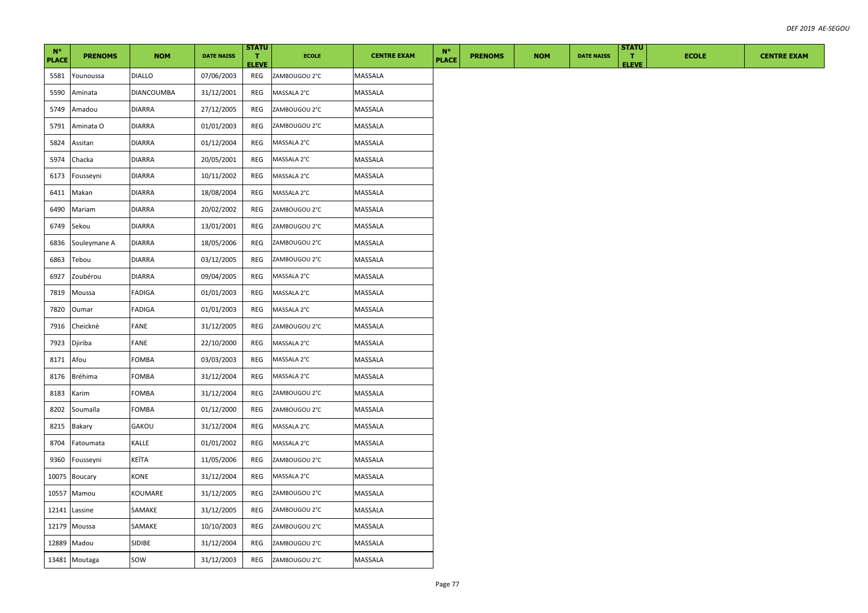| $N^{\circ}$<br><b>PLACE</b> | <b>PRENOMS</b> | <b>NOM</b>        | <b>DATE NAISS</b> | <b>STATU</b><br>T.<br><b>ELEVE</b> | <b>ECOLE</b>  | <b>CENTRE EXAM</b> | $N^{\circ}$<br><b>PLACE</b> | <b>PRENOMS</b> | <b>NOM</b> | <b>DATE NAISS</b> | <b>STATU</b><br>$\mathbf{T}$<br><b>ELEVE</b> | <b>ECOLE</b> | <b>CENTRE EXAM</b> |
|-----------------------------|----------------|-------------------|-------------------|------------------------------------|---------------|--------------------|-----------------------------|----------------|------------|-------------------|----------------------------------------------|--------------|--------------------|
| 5581                        | Younoussa      | <b>DIALLO</b>     | 07/06/2003        | REG                                | ZAMBOUGOU 2°C | MASSALA            |                             |                |            |                   |                                              |              |                    |
| 5590                        | Aminata        | <b>DIANCOUMBA</b> | 31/12/2001        | REG                                | MASSALA 2°C   | MASSALA            |                             |                |            |                   |                                              |              |                    |
| 5749                        | Amadou         | <b>DIARRA</b>     | 27/12/2005        | REG                                | ZAMBOUGOU 2°C | MASSALA            |                             |                |            |                   |                                              |              |                    |
| 5791                        | Aminata O      | <b>DIARRA</b>     | 01/01/2003        | REG                                | ZAMBOUGOU 2°C | MASSALA            |                             |                |            |                   |                                              |              |                    |
| 5824                        | Assitan        | DIARRA            | 01/12/2004        | REG                                | MASSALA 2°C   | MASSALA            |                             |                |            |                   |                                              |              |                    |
| 5974                        | Chacka         | <b>DIARRA</b>     | 20/05/2001        | REG                                | MASSALA 2°C   | MASSALA            |                             |                |            |                   |                                              |              |                    |
| 6173                        | Fousseyni      | DIARRA            | 10/11/2002        | REG                                | MASSALA 2°C   | MASSALA            |                             |                |            |                   |                                              |              |                    |
| 6411                        | Makan          | DIARRA            | 18/08/2004        | REG                                | MASSALA 2°C   | MASSALA            |                             |                |            |                   |                                              |              |                    |
| 6490                        | Mariam         | <b>DIARRA</b>     | 20/02/2002        | REG                                | ZAMBOUGOU 2°C | MASSALA            |                             |                |            |                   |                                              |              |                    |
| 6749                        | Sekou          | DIARRA            | 13/01/2001        | REG                                | ZAMBOUGOU 2°C | MASSALA            |                             |                |            |                   |                                              |              |                    |
| 6836                        | Souleymane A   | <b>DIARRA</b>     | 18/05/2006        | REG                                | ZAMBOUGOU 2°C | MASSALA            |                             |                |            |                   |                                              |              |                    |
| 6863                        | Tebou          | DIARRA            | 03/12/2005        | REG                                | ZAMBOUGOU 2°C | MASSALA            |                             |                |            |                   |                                              |              |                    |
| 6927                        | Zoubérou       | DIARRA            | 09/04/2005        | REG                                | MASSALA 2°C   | MASSALA            |                             |                |            |                   |                                              |              |                    |
| 7819                        | Moussa         | FADIGA            | 01/01/2003        | REG                                | MASSALA 2°C   | MASSALA            |                             |                |            |                   |                                              |              |                    |
| 7820                        | Oumar          | FADIGA            | 01/01/2003        | REG                                | MASSALA 2°C   | MASSALA            |                             |                |            |                   |                                              |              |                    |
| 7916                        | Cheicknè       | FANE              | 31/12/2005        | REG                                | ZAMBOUGOU 2°C | MASSALA            |                             |                |            |                   |                                              |              |                    |
| 7923                        | Djiriba        | FANE              | 22/10/2000        | REG                                | MASSALA 2°C   | MASSALA            |                             |                |            |                   |                                              |              |                    |
| 8171                        | Afou           | FOMBA             | 03/03/2003        | REG                                | MASSALA 2°C   | MASSALA            |                             |                |            |                   |                                              |              |                    |
| 8176                        | <b>Bréhima</b> | FOMBA             | 31/12/2004        | REG                                | MASSALA 2°C   | MASSALA            |                             |                |            |                   |                                              |              |                    |
| 8183                        | Karim          | <b>FOMBA</b>      | 31/12/2004        | REG                                | ZAMBOUGOU 2°C | MASSALA            |                             |                |            |                   |                                              |              |                    |
| 8202                        | Soumaïla       | FOMBA             | 01/12/2000        | REG                                | ZAMBOUGOU 2°C | MASSALA            |                             |                |            |                   |                                              |              |                    |
| 8215                        | Bakary         | GAKOU             | 31/12/2004        | REG                                | MASSALA 2°C   | MASSALA            |                             |                |            |                   |                                              |              |                    |
| 8704                        | Fatoumata      | KALLE             | 01/01/2002        | REG                                | MASSALA 2°C   | MASSALA            |                             |                |            |                   |                                              |              |                    |
| 9360                        | Fousseyni      | KEÏTA             | 11/05/2006        | REG                                | ZAMBOUGOU 2°C | MASSALA            |                             |                |            |                   |                                              |              |                    |
| 10075                       | Boucary        | KONE              | 31/12/2004        | REG                                | MASSALA 2°C   | MASSALA            |                             |                |            |                   |                                              |              |                    |
| 10557                       | Mamou          | KOUMARE           | 31/12/2005        | REG                                | ZAMBOUGOU 2°C | MASSALA            |                             |                |            |                   |                                              |              |                    |
| 12141                       | Lassine        | SAMAKE            | 31/12/2005        | REG                                | ZAMBOUGOU 2°C | MASSALA            |                             |                |            |                   |                                              |              |                    |
| 12179                       | Moussa         | SAMAKE            | 10/10/2003        | REG                                | ZAMBOUGOU 2°C | MASSALA            |                             |                |            |                   |                                              |              |                    |
| 12889                       | Madou          | SIDIBE            | 31/12/2004        | REG                                | ZAMBOUGOU 2°C | MASSALA            |                             |                |            |                   |                                              |              |                    |
|                             | 13481 Moutaga  | sow               | 31/12/2003        | REG                                | ZAMBOUGOU 2°C | MASSALA            |                             |                |            |                   |                                              |              |                    |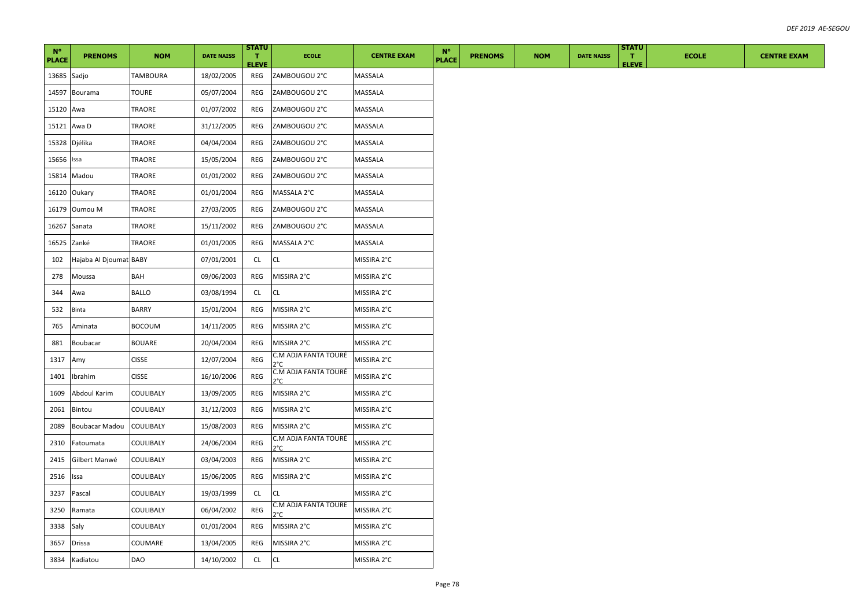| $N^{\circ}$<br><b>PLACE</b> | <b>PRENOMS</b>         | <b>NOM</b>    | <b>DATE NAISS</b> | <b>STATU</b><br>Τ.<br><b>ELEVE</b> | <b>ECOLE</b>                          | <b>CENTRE EXAM</b> | $N^{\circ}$<br><b>PLACE</b> | <b>PRENOMS</b> | <b>NOM</b> | <b>DATE NAISS</b> | <b>STATU</b><br>Π.<br><b>ELEVE</b> | <b>ECOLE</b> | <b>CENTRE EXAM</b> |
|-----------------------------|------------------------|---------------|-------------------|------------------------------------|---------------------------------------|--------------------|-----------------------------|----------------|------------|-------------------|------------------------------------|--------------|--------------------|
| 13685 Sadjo                 |                        | TAMBOURA      | 18/02/2005        | REG                                | ZAMBOUGOU 2°C                         | MASSALA            |                             |                |            |                   |                                    |              |                    |
|                             | 14597 Bourama          | TOURE         | 05/07/2004        | REG                                | ZAMBOUGOU 2°C                         | MASSALA            |                             |                |            |                   |                                    |              |                    |
| 15120 Awa                   |                        | TRAORE        | 01/07/2002        | REG                                | ZAMBOUGOU 2°C                         | MASSALA            |                             |                |            |                   |                                    |              |                    |
| 15121 Awa D                 |                        | TRAORE        | 31/12/2005        | REG                                | ZAMBOUGOU 2°C                         | MASSALA            |                             |                |            |                   |                                    |              |                    |
| 15328 Djélika               |                        | TRAORE        | 04/04/2004        | REG                                | ZAMBOUGOU 2°C                         | MASSALA            |                             |                |            |                   |                                    |              |                    |
| 15656 Issa                  |                        | TRAORE        | 15/05/2004        | REG                                | ZAMBOUGOU 2°C                         | MASSALA            |                             |                |            |                   |                                    |              |                    |
|                             | 15814 Madou            | TRAORE        | 01/01/2002        | REG                                | ZAMBOUGOU 2°C                         | MASSALA            |                             |                |            |                   |                                    |              |                    |
|                             | 16120 Oukary           | TRAORE        | 01/01/2004        | REG                                | MASSALA 2°C                           | MASSALA            |                             |                |            |                   |                                    |              |                    |
|                             | 16179 Oumou M          | TRAORE        | 27/03/2005        | REG                                | ZAMBOUGOU 2°C                         | MASSALA            |                             |                |            |                   |                                    |              |                    |
| 16267 Sanata                |                        | TRAORE        | 15/11/2002        | REG                                | ZAMBOUGOU 2°C                         | MASSALA            |                             |                |            |                   |                                    |              |                    |
| 16525 Zanké                 |                        | <b>TRAORE</b> | 01/01/2005        | REG                                | MASSALA 2°C                           | MASSALA            |                             |                |            |                   |                                    |              |                    |
| 102                         | Hajaba Al Djoumat BABY |               | 07/01/2001        | CL                                 | CL                                    | MISSIRA 2°C        |                             |                |            |                   |                                    |              |                    |
| 278                         | Moussa                 | BAH           | 09/06/2003        | <b>REG</b>                         | MISSIRA 2°C                           | MISSIRA 2°C        |                             |                |            |                   |                                    |              |                    |
| 344                         | Awa                    | <b>BALLO</b>  | 03/08/1994        | <b>CL</b>                          | CL                                    | MISSIRA 2°C        |                             |                |            |                   |                                    |              |                    |
| 532                         | Binta                  | BARRY         | 15/01/2004        | REG                                | MISSIRA 2°C                           | MISSIRA 2°C        |                             |                |            |                   |                                    |              |                    |
| 765                         | Aminata                | <b>BOCOUM</b> | 14/11/2005        | REG                                | MISSIRA 2°C                           | MISSIRA 2°C        |                             |                |            |                   |                                    |              |                    |
| 881                         | Boubacar               | <b>BOUARE</b> | 20/04/2004        | REG                                | MISSIRA 2°C                           | MISSIRA 2°C        |                             |                |            |                   |                                    |              |                    |
| 1317                        | Amy                    | <b>CISSE</b>  | 12/07/2004        | REG                                | C.M ADJA FANTA TOURÉ<br>ን°ር           | MISSIRA 2°C        |                             |                |            |                   |                                    |              |                    |
| 1401                        | Ibrahim                | <b>CISSE</b>  | 16/10/2006        | REG                                | C.M ADJA FANTA TOURÉ<br>ን°C           | MISSIRA 2°C        |                             |                |            |                   |                                    |              |                    |
| 1609                        | Abdoul Karim           | COULIBALY     | 13/09/2005        | REG                                | MISSIRA 2°C                           | MISSIRA 2°C        |                             |                |            |                   |                                    |              |                    |
| 2061                        | Bintou                 | COULIBALY     | 31/12/2003        | REG                                | MISSIRA 2°C                           | MISSIRA 2°C        |                             |                |            |                   |                                    |              |                    |
| 2089                        | Boubacar Madou         | COULIBALY     | 15/08/2003        | REG                                | MISSIRA 2°C                           | MISSIRA 2°C        |                             |                |            |                   |                                    |              |                    |
| 2310                        | Fatoumata              | COULIBALY     | 24/06/2004        | REG                                | C.M ADJA FANTA TOURÉ<br>ን°C           | MISSIRA 2°C        |                             |                |            |                   |                                    |              |                    |
| 2415                        | Gilbert Manwé          | COULIBALY     | 03/04/2003        | REG                                | MISSIRA 2°C                           | MISSIRA 2°C        |                             |                |            |                   |                                    |              |                    |
| 2516                        | Issa                   | COULIBALY     | 15/06/2005        | REG                                | MISSIRA 2°C                           | MISSIRA 2°C        |                             |                |            |                   |                                    |              |                    |
| 3237                        | Pascal                 | COULIBALY     | 19/03/1999        | CL                                 | СL                                    | MISSIRA 2°C        |                             |                |            |                   |                                    |              |                    |
| 3250                        | Ramata                 | COULIBALY     | 06/04/2002        | REG                                | C.M ADJA FANTA TOURÉ<br>$2^{\circ}$ C | MISSIRA 2°C        |                             |                |            |                   |                                    |              |                    |
| 3338                        | Saly                   | COULIBALY     | 01/01/2004        | REG                                | MISSIRA 2°C                           | MISSIRA 2°C        |                             |                |            |                   |                                    |              |                    |
| 3657                        | <b>Drissa</b>          | COUMARE       | 13/04/2005        | REG                                | MISSIRA 2°C                           | MISSIRA 2°C        |                             |                |            |                   |                                    |              |                    |
|                             | 3834 Kadiatou          | DAO           | 14/10/2002        | CL                                 | <b>CL</b>                             | MISSIRA 2°C        |                             |                |            |                   |                                    |              |                    |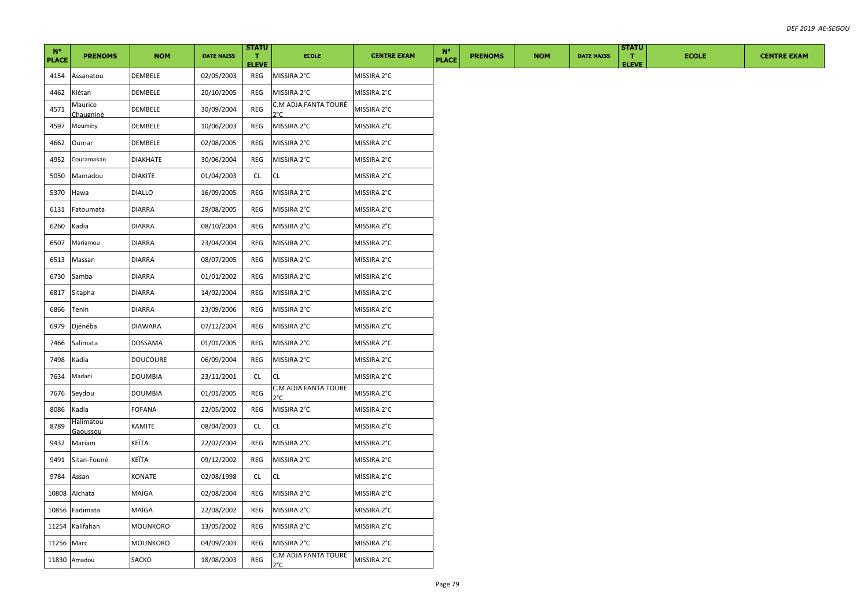| $N^{\circ}$<br><b>PLACE</b> | <b>PRENOMS</b>        | <b>NOM</b>      | <b>DATE NAISS</b> | <b>STATU</b><br>T.<br><b>ELEVE</b> | <b>ECOLE</b>                          | <b>CENTRE EXAM</b> | $N^{\circ}$<br><b>PLACE</b> | <b>PRENOMS</b> | <b>NOM</b> | <b>DATE NAISS</b> | <b>STATU</b><br>T.<br><b>ELEVE</b> | <b>ECOLE</b> | <b>CENTRE EXAM</b> |
|-----------------------------|-----------------------|-----------------|-------------------|------------------------------------|---------------------------------------|--------------------|-----------------------------|----------------|------------|-------------------|------------------------------------|--------------|--------------------|
| 4154                        | Assanatou             | DEMBELE         | 02/05/2003        | REG                                | MISSIRA 2°C                           | MISSIRA 2°C        |                             |                |            |                   |                                    |              |                    |
| 4462                        | Klétan                | DEMBELE         | 20/10/2005        | REG                                | MISSIRA 2°C                           | MISSIRA 2°C        |                             |                |            |                   |                                    |              |                    |
| 4571                        | Maurice<br>Chaugninè  | DEMBELE         | 30/09/2004        | REG                                | C.M ADJA FANTA TOURÉ<br>2°C.          | MISSIRA 2°C        |                             |                |            |                   |                                    |              |                    |
| 4597                        | Mouminy               | DEMBELE         | 10/06/2003        | REG                                | MISSIRA 2°C                           | MISSIRA 2°C        |                             |                |            |                   |                                    |              |                    |
| 4662                        | Oumar                 | DEMBELE         | 02/08/2005        | REG                                | MISSIRA 2°C                           | MISSIRA 2°C        |                             |                |            |                   |                                    |              |                    |
| 4952                        | Couramakan            | <b>DIAKHATE</b> | 30/06/2004        | REG                                | MISSIRA 2°C                           | MISSIRA 2°C        |                             |                |            |                   |                                    |              |                    |
| 5050                        | Mamadou               | <b>DIAKITE</b>  | 01/04/2003        | CL                                 | <b>CL</b>                             | MISSIRA 2°C        |                             |                |            |                   |                                    |              |                    |
| 5370                        | Hawa                  | <b>DIALLO</b>   | 16/09/2005        | REG                                | MISSIRA 2°C                           | MISSIRA 2°C        |                             |                |            |                   |                                    |              |                    |
| 6131                        | Fatoumata             | <b>DIARRA</b>   | 29/08/2005        | REG                                | MISSIRA 2°C                           | MISSIRA 2°C        |                             |                |            |                   |                                    |              |                    |
| 6260                        | Kadia                 | <b>DIARRA</b>   | 08/10/2004        | REG                                | MISSIRA 2°C                           | MISSIRA 2°C        |                             |                |            |                   |                                    |              |                    |
| 6507                        | Mariamou              | DIARRA          | 23/04/2004        | REG                                | MISSIRA 2°C                           | MISSIRA 2°C        |                             |                |            |                   |                                    |              |                    |
| 6513                        | Massan                | <b>DIARRA</b>   | 08/07/2005        | REG                                | MISSIRA 2°C                           | MISSIRA 2°C        |                             |                |            |                   |                                    |              |                    |
| 6730                        | Samba                 | <b>DIARRA</b>   | 01/01/2002        | REG                                | MISSIRA 2°C                           | MISSIRA 2°C        |                             |                |            |                   |                                    |              |                    |
| 6817                        | Sitapha               | <b>DIARRA</b>   | 14/02/2004        | REG                                | MISSIRA 2°C                           | MISSIRA 2°C        |                             |                |            |                   |                                    |              |                    |
| 6866                        | Tenin                 | <b>DIARRA</b>   | 23/09/2006        | REG                                | MISSIRA 2°C                           | MISSIRA 2°C        |                             |                |            |                   |                                    |              |                    |
| 6979                        | Djénéba               | <b>DIAWARA</b>  | 07/12/2004        | REG                                | MISSIRA 2°C                           | MISSIRA 2°C        |                             |                |            |                   |                                    |              |                    |
| 7466                        | Salimata              | DOSSAMA         | 01/01/2005        | REG                                | MISSIRA 2°C                           | MISSIRA 2°C        |                             |                |            |                   |                                    |              |                    |
| 7498                        | Kadia                 | DOUCOURE        | 06/09/2004        | REG                                | MISSIRA 2°C                           | MISSIRA 2°C        |                             |                |            |                   |                                    |              |                    |
| 7634                        | Madani                | <b>DOUMBIA</b>  | 23/11/2001        | CL                                 | <b>CL</b>                             | MISSIRA 2°C        |                             |                |            |                   |                                    |              |                    |
| 7676                        | Seydou                | <b>DOUMBIA</b>  | 01/01/2005        | REG                                | C.M ADJA FANTA TOURÉ<br>ን°C           | MISSIRA 2°C        |                             |                |            |                   |                                    |              |                    |
| 8086                        | Kadia                 | FOFANA          | 22/05/2002        | REG                                | MISSIRA 2°C                           | MISSIRA 2°C        |                             |                |            |                   |                                    |              |                    |
| 8789                        | Halimatou<br>Gaoussou | KAMITE          | 08/04/2003        | <b>CL</b>                          | <b>CL</b>                             | MISSIRA 2°C        |                             |                |            |                   |                                    |              |                    |
| 9432                        | Mariam                | KEÏTA           | 22/02/2004        | REG                                | MISSIRA 2°C                           | MISSIRA 2°C        |                             |                |            |                   |                                    |              |                    |
| 9491                        | Sitan-Founè           | KEÏTA           | 09/12/2002        | REG                                | MISSIRA 2°C                           | MISSIRA 2°C        |                             |                |            |                   |                                    |              |                    |
| 9784                        | Assan                 | KONATE          | 02/08/1998        | CL                                 | <b>CL</b>                             | MISSIRA 2°C        |                             |                |            |                   |                                    |              |                    |
| 10808                       | Aïchata               | MAÏGA           | 02/08/2004        | REG                                | MISSIRA 2°C                           | MISSIRA 2°C        |                             |                |            |                   |                                    |              |                    |
| 10856                       | Fadimata              | MAÏGA           | 22/08/2002        | REG                                | MISSIRA 2°C                           | MISSIRA 2°C        |                             |                |            |                   |                                    |              |                    |
| 11254                       | Kalifahan             | MOUNKORO        | 13/05/2002        | REG                                | MISSIRA 2°C                           | MISSIRA 2°C        |                             |                |            |                   |                                    |              |                    |
| 11256 Marc                  |                       | MOUNKORO        | 04/09/2003        | REG                                | MISSIRA 2°C                           | MISSIRA 2°C        |                             |                |            |                   |                                    |              |                    |
|                             | 11830 Amadou          | SACKO           | 18/08/2003        | REG                                | C.M ADJA FANTA TOURÉ<br>$2^{\circ}$ C | MISSIRA 2°C        |                             |                |            |                   |                                    |              |                    |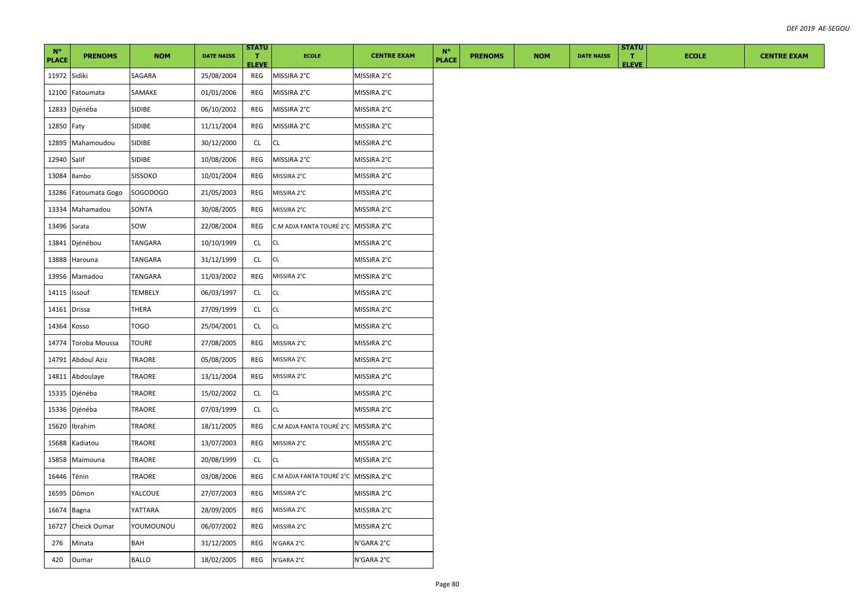| $N^{\circ}$<br><b>PLACE</b> | <b>PRENOMS</b>     | <b>NOM</b>     | <b>DATE NAISS</b> | <b>STATU</b><br>л.<br><b>ELEVE</b> | <b>ECOLE</b>                         | <b>CENTRE EXAM</b> | $N^{\circ}$<br><b>PLACE</b> | <b>PRENOMS</b> | <b>NOM</b> | <b>DATE NAISS</b> | <b>STATU</b><br>T.<br><b>ELEVE</b> | <b>ECOLE</b> | <b>CENTRE EXAM</b> |
|-----------------------------|--------------------|----------------|-------------------|------------------------------------|--------------------------------------|--------------------|-----------------------------|----------------|------------|-------------------|------------------------------------|--------------|--------------------|
| 11972 Sidiki                |                    | SAGARA         | 25/08/2004        | REG                                | MISSIRA 2°C                          | MISSIRA 2°C        |                             |                |            |                   |                                    |              |                    |
| 12100                       | Fatoumata          | SAMAKE         | 01/01/2006        | REG                                | MISSIRA 2°C                          | MISSIRA 2°C        |                             |                |            |                   |                                    |              |                    |
| 12833                       | Djénéba            | SIDIBE         | 06/10/2002        | REG                                | MISSIRA 2°C                          | MISSIRA 2°C        |                             |                |            |                   |                                    |              |                    |
| 12850 Faty                  |                    | SIDIBE         | 11/11/2004        | REG                                | MISSIRA 2°C                          | MISSIRA 2°C        |                             |                |            |                   |                                    |              |                    |
| 12895                       | Mahamoudou         | SIDIBE         | 30/12/2000        | CL                                 | <b>CL</b>                            | MISSIRA 2°C        |                             |                |            |                   |                                    |              |                    |
| 12940 Salif                 |                    | SIDIBE         | 10/08/2006        | REG                                | MISSIRA 2°C                          | MISSIRA 2°C        |                             |                |            |                   |                                    |              |                    |
| 13084                       | Bambo              | <b>SISSOKO</b> | 10/01/2004        | REG                                | MISSIRA 2°C                          | MISSIRA 2°C        |                             |                |            |                   |                                    |              |                    |
| 13286                       | Fatoumata Gogo     | SOGODOGO       | 21/05/2003        | REG                                | MISSIRA 2°C                          | MISSIRA 2°C        |                             |                |            |                   |                                    |              |                    |
| 13334                       | Mahamadou          | SONTA          | 30/08/2005        | REG                                | MISSIRA 2°C                          | MISSIRA 2°C        |                             |                |            |                   |                                    |              |                    |
| 13496 Sarata                |                    | sow            | 22/08/2004        | REG                                | C.M ADJA FANTA TOURÉ 2°C MISSIRA 2°C |                    |                             |                |            |                   |                                    |              |                    |
| 13841                       | Djénébou           | TANGARA        | 10/10/1999        | <b>CL</b>                          | CL                                   | MISSIRA 2°C        |                             |                |            |                   |                                    |              |                    |
| 13888                       | Harouna            | TANGARA        | 31/12/1999        | <b>CL</b>                          | CL                                   | MISSIRA 2°C        |                             |                |            |                   |                                    |              |                    |
| 13956                       | Mamadou            | TANGARA        | 11/03/2002        | REG                                | MISSIRA 2°C                          | MISSIRA 2°C        |                             |                |            |                   |                                    |              |                    |
| 14115                       | Issouf             | <b>TEMBELY</b> | 06/03/1997        | CL                                 | CL                                   | MISSIRA 2°C        |                             |                |            |                   |                                    |              |                    |
| 14161 Drissa                |                    | THERA          | 27/09/1999        | CL.                                | CL                                   | MISSIRA 2°C        |                             |                |            |                   |                                    |              |                    |
| 14364                       | Kosso              | <b>TOGO</b>    | 25/04/2001        | CL                                 | CL                                   | MISSIRA 2°C        |                             |                |            |                   |                                    |              |                    |
| 14774                       | Toroba Moussa      | <b>TOURE</b>   | 27/08/2005        | REG                                | MISSIRA 2°C                          | MISSIRA 2°C        |                             |                |            |                   |                                    |              |                    |
| 14791                       | <b>Abdoul Aziz</b> | TRAORE         | 05/08/2005        | REG                                | MISSIRA 2°C                          | MISSIRA 2°C        |                             |                |            |                   |                                    |              |                    |
| 14811                       | Abdoulaye          | TRAORE         | 13/11/2004        | REG                                | MISSIRA 2°C                          | MISSIRA 2°C        |                             |                |            |                   |                                    |              |                    |
| 15335                       | Djénéba            | TRAORE         | 15/02/2002        | CL                                 | CL                                   | MISSIRA 2°C        |                             |                |            |                   |                                    |              |                    |
| 15336                       | Djénéba            | TRAORE         | 07/03/1999        | CL                                 | CL                                   | MISSIRA 2°C        |                             |                |            |                   |                                    |              |                    |
| 15620                       | Ibrahim            | TRAORE         | 18/11/2005        | REG                                | C.M ADJA FANTA TOURÉ 2°C MISSIRA 2°C |                    |                             |                |            |                   |                                    |              |                    |
| 15688                       | Kadiatou           | TRAORE         | 13/07/2003        | REG                                | MISSIRA 2°C                          | MISSIRA 2°C        |                             |                |            |                   |                                    |              |                    |
| 15858                       | Maïmouna           | <b>TRAORE</b>  | 20/08/1999        | CL                                 | CL                                   | MISSIRA 2°C        |                             |                |            |                   |                                    |              |                    |
| 16446                       | Ténin              | TRAORE         | 03/08/2006        | REG                                | C.M ADJA FANTA TOURÉ 2°C MISSIRA 2°C |                    |                             |                |            |                   |                                    |              |                    |
| 16595                       | Dômon              | YALCOUE        | 27/07/2003        | REG                                | MISSIRA 2°C                          | MISSIRA 2°C        |                             |                |            |                   |                                    |              |                    |
| 16674                       | Bagna              | YATTARA        | 28/09/2005        | REG                                | MISSIRA 2°C                          | MISSIRA 2°C        |                             |                |            |                   |                                    |              |                    |
| 16727                       | Cheick Oumar       | VOUMOUNOU      | 06/07/2002        | REG                                | MISSIRA 2°C                          | MISSIRA 2°C        |                             |                |            |                   |                                    |              |                    |
| 276                         | Minata             | BAH            | 31/12/2005        | <b>REG</b>                         | N'GARA 2°C                           | N'GARA 2°C         |                             |                |            |                   |                                    |              |                    |
| 420                         | Oumar              | <b>BALLO</b>   | 18/02/2005        | REG                                | N'GARA 2°C                           | N'GARA 2°C         |                             |                |            |                   |                                    |              |                    |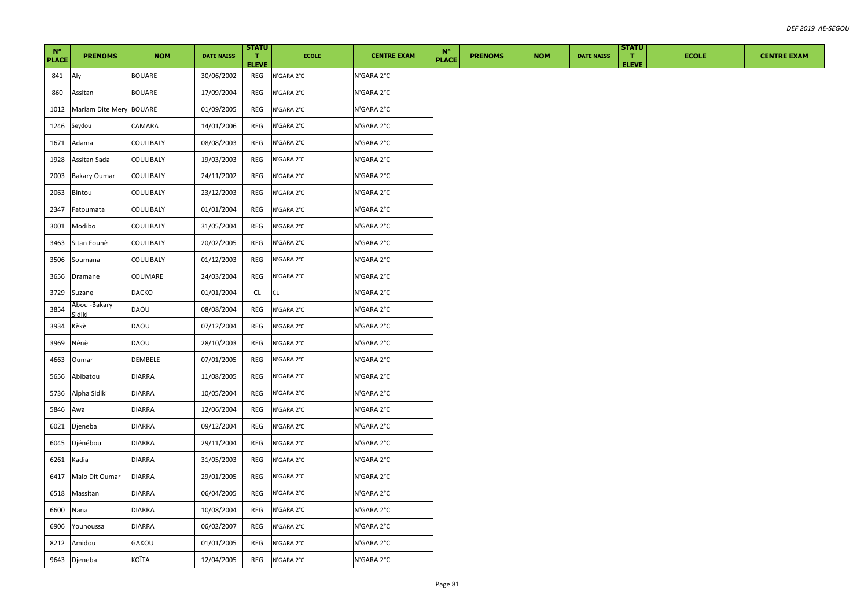| $N^{\circ}$<br><b>PLACE</b> | <b>PRENOMS</b>         | <b>NOM</b>    | <b>DATE NAISS</b> | <b>STATU</b><br>Τ.<br><b>ELEVE</b> | <b>ECOLE</b> | <b>CENTRE EXAM</b> | $N^{\circ}$<br><b>PLACE</b> | <b>PRENOMS</b> | <b>NOM</b> | <b>DATE NAISS</b> | <b>STATU</b><br>л.<br><b>ELEVE</b> | <b>ECOLE</b> | <b>CENTRE EXAM</b> |
|-----------------------------|------------------------|---------------|-------------------|------------------------------------|--------------|--------------------|-----------------------------|----------------|------------|-------------------|------------------------------------|--------------|--------------------|
| 841                         | Aly                    | <b>BOUARE</b> | 30/06/2002        | REG                                | N'GARA 2°C   | N'GARA 2°C         |                             |                |            |                   |                                    |              |                    |
| 860                         | Assitan                | BOUARE        | 17/09/2004        | REG                                | N'GARA 2°C   | N'GARA 2°C         |                             |                |            |                   |                                    |              |                    |
| 1012                        | Mariam Dite Mery       | <b>BOUARE</b> | 01/09/2005        | REG                                | N'GARA 2°C   | N'GARA 2°C         |                             |                |            |                   |                                    |              |                    |
| 1246                        | Seydou                 | CAMARA        | 14/01/2006        | REG                                | N'GARA 2°C   | N'GARA 2°C         |                             |                |            |                   |                                    |              |                    |
| 1671                        | Adama                  | COULIBALY     | 08/08/2003        | REG                                | N'GARA 2°C   | N'GARA 2°C         |                             |                |            |                   |                                    |              |                    |
| 1928                        | Assitan Sada           | COULIBALY     | 19/03/2003        | REG                                | N'GARA 2°C   | N'GARA 2°C         |                             |                |            |                   |                                    |              |                    |
| 2003                        | <b>Bakary Oumar</b>    | COULIBALY     | 24/11/2002        | REG                                | N'GARA 2°C   | N'GARA 2°C         |                             |                |            |                   |                                    |              |                    |
| 2063                        | Bintou                 | COULIBALY     | 23/12/2003        | REG                                | N'GARA 2°C   | N'GARA 2°C         |                             |                |            |                   |                                    |              |                    |
| 2347                        | Fatoumata              | COULIBALY     | 01/01/2004        | REG                                | N'GARA 2°C   | N'GARA 2°C         |                             |                |            |                   |                                    |              |                    |
| 3001                        | Modibo                 | COULIBALY     | 31/05/2004        | REG                                | N'GARA 2°C   | N'GARA 2°C         |                             |                |            |                   |                                    |              |                    |
| 3463                        | Sitan Founè            | COULIBALY     | 20/02/2005        | REG                                | N'GARA 2°C   | N'GARA 2°C         |                             |                |            |                   |                                    |              |                    |
| 3506                        | Soumana                | COULIBALY     | 01/12/2003        | REG                                | N'GARA 2°C   | N'GARA 2°C         |                             |                |            |                   |                                    |              |                    |
| 3656                        | Dramane                | COUMARE       | 24/03/2004        | REG                                | N'GARA 2°C   | N'GARA 2°C         |                             |                |            |                   |                                    |              |                    |
| 3729                        | Suzane                 | DACKO         | 01/01/2004        | CL                                 | CL           | N'GARA 2°C         |                             |                |            |                   |                                    |              |                    |
| 3854                        | Abou -Bakary<br>sidiki | DAOU          | 08/08/2004        | REG                                | N'GARA 2°C   | N'GARA 2°C         |                             |                |            |                   |                                    |              |                    |
| 3934                        | Kèkè                   | DAOU          | 07/12/2004        | REG                                | N'GARA 2°C   | N'GARA 2°C         |                             |                |            |                   |                                    |              |                    |
| 3969                        | Nènè                   | DAOU          | 28/10/2003        | REG                                | N'GARA 2°C   | N'GARA 2°C         |                             |                |            |                   |                                    |              |                    |
| 4663                        | Oumar                  | DEMBELE       | 07/01/2005        | REG                                | N'GARA 2°C   | N'GARA 2°C         |                             |                |            |                   |                                    |              |                    |
| 5656                        | Abibatou               | <b>DIARRA</b> | 11/08/2005        | <b>REG</b>                         | N'GARA 2°C   | N'GARA 2°C         |                             |                |            |                   |                                    |              |                    |
| 5736                        | Alpha Sidiki           | <b>DIARRA</b> | 10/05/2004        | REG                                | N'GARA 2°C   | N'GARA 2°C         |                             |                |            |                   |                                    |              |                    |
| 5846                        | Awa                    | DIARRA        | 12/06/2004        | REG                                | N'GARA 2°C   | N'GARA 2°C         |                             |                |            |                   |                                    |              |                    |
| 6021                        | Djeneba                | <b>DIARRA</b> | 09/12/2004        | REG                                | N'GARA 2°C   | N'GARA 2°C         |                             |                |            |                   |                                    |              |                    |
| 6045                        | Djénébou               | <b>DIARRA</b> | 29/11/2004        | REG                                | N'GARA 2°C   | N'GARA 2°C         |                             |                |            |                   |                                    |              |                    |
| 6261                        | Kadia                  | <b>DIARRA</b> | 31/05/2003        | REG                                | N'GARA 2°C   | N'GARA 2°C         |                             |                |            |                   |                                    |              |                    |
| 6417                        | Malo Dit Oumar         | <b>DIARRA</b> | 29/01/2005        | REG                                | N'GARA 2°C   | N'GARA 2°C         |                             |                |            |                   |                                    |              |                    |
| 6518                        | Massitan               | <b>DIARRA</b> | 06/04/2005        | REG                                | N'GARA 2°C   | N'GARA 2°C         |                             |                |            |                   |                                    |              |                    |
| 6600                        | Nana                   | <b>DIARRA</b> | 10/08/2004        | REG                                | N'GARA 2°C   | N'GARA 2°C         |                             |                |            |                   |                                    |              |                    |
| 6906                        | Younoussa              | <b>DIARRA</b> | 06/02/2007        | REG                                | N'GARA 2°C   | N'GARA 2°C         |                             |                |            |                   |                                    |              |                    |
| 8212                        | Amidou                 | GAKOU         | 01/01/2005        | REG                                | N'GARA 2°C   | N'GARA 2°C         |                             |                |            |                   |                                    |              |                    |
| 9643                        | Djeneba                | KOÏTA         | 12/04/2005        | REG                                | N'GARA 2°C   | N'GARA 2°C         |                             |                |            |                   |                                    |              |                    |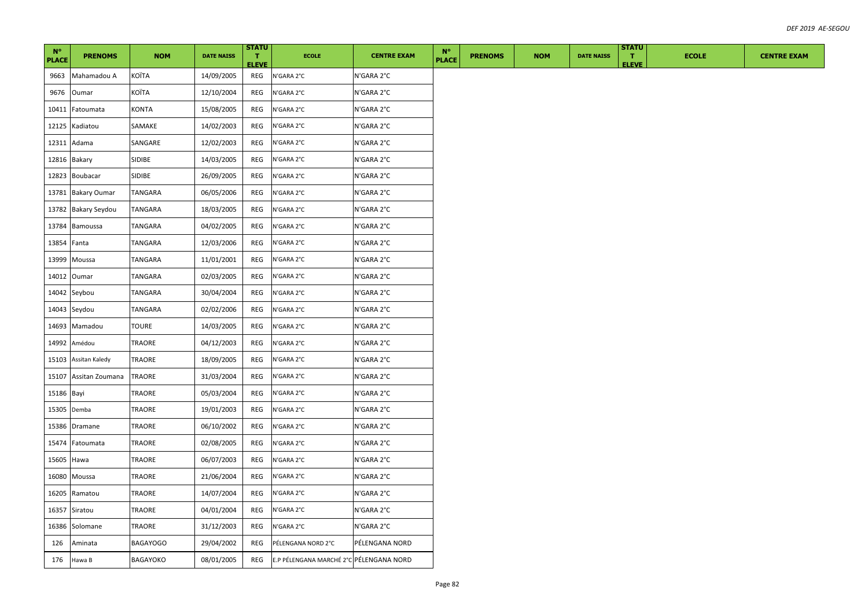| $N^{\circ}$<br><b>PLACE</b> | <b>PRENOMS</b>       | <b>NOM</b>      | <b>DATE NAISS</b> | <b>STATU</b><br>л.<br><b>ELEVE</b> | <b>ECOLE</b>                            | <b>CENTRE EXAM</b> | $N^{\circ}$<br><b>PLACE</b> | <b>PRENOMS</b> | <b>NOM</b> | <b>DATE NAISS</b> | <b>STATU</b><br>T.<br><b>ELEVE</b> | <b>ECOLE</b> | <b>CENTRE EXAM</b> |
|-----------------------------|----------------------|-----------------|-------------------|------------------------------------|-----------------------------------------|--------------------|-----------------------------|----------------|------------|-------------------|------------------------------------|--------------|--------------------|
| 9663                        | Mahamadou A          | KOÏTA           | 14/09/2005        | REG                                | N'GARA 2°C                              | N'GARA 2°C         |                             |                |            |                   |                                    |              |                    |
| 9676                        | Oumar                | KOÏTA           | 12/10/2004        | REG                                | N'GARA 2°C                              | N'GARA 2°C         |                             |                |            |                   |                                    |              |                    |
| 10411                       | Fatoumata            | <b>KONTA</b>    | 15/08/2005        | REG                                | N'GARA 2°C                              | N'GARA 2°C         |                             |                |            |                   |                                    |              |                    |
| 12125                       | Kadiatou             | SAMAKE          | 14/02/2003        | REG                                | N'GARA 2°C                              | N'GARA 2°C         |                             |                |            |                   |                                    |              |                    |
| 12311                       | Adama                | SANGARE         | 12/02/2003        | REG                                | N'GARA 2°C                              | N'GARA 2°C         |                             |                |            |                   |                                    |              |                    |
| 12816 Bakary                |                      | SIDIBE          | 14/03/2005        | REG                                | N'GARA 2°C                              | N'GARA 2°C         |                             |                |            |                   |                                    |              |                    |
| 12823                       | Boubacar             | SIDIBE          | 26/09/2005        | REG                                | N'GARA 2°C                              | N'GARA 2°C         |                             |                |            |                   |                                    |              |                    |
| 13781                       | <b>Bakary Oumar</b>  | TANGARA         | 06/05/2006        | REG                                | N'GARA 2°C                              | N'GARA 2°C         |                             |                |            |                   |                                    |              |                    |
| 13782                       | <b>Bakary Seydou</b> | TANGARA         | 18/03/2005        | REG                                | N'GARA 2°C                              | N'GARA 2°C         |                             |                |            |                   |                                    |              |                    |
| 13784                       | Bamoussa             | TANGARA         | 04/02/2005        | REG                                | N'GARA 2°C                              | N'GARA 2°C         |                             |                |            |                   |                                    |              |                    |
| 13854                       | Fanta                | TANGARA         | 12/03/2006        | REG                                | N'GARA 2°C                              | N'GARA 2°C         |                             |                |            |                   |                                    |              |                    |
| 13999                       | Moussa               | TANGARA         | 11/01/2001        | REG                                | N'GARA 2°C                              | N'GARA 2°C         |                             |                |            |                   |                                    |              |                    |
| 14012                       | Oumar                | TANGARA         | 02/03/2005        | REG                                | N'GARA 2°C                              | N'GARA 2°C         |                             |                |            |                   |                                    |              |                    |
| 14042                       | Seybou               | TANGARA         | 30/04/2004        | REG                                | N'GARA 2°C                              | N'GARA 2°C         |                             |                |            |                   |                                    |              |                    |
| 14043                       | Seydou               | TANGARA         | 02/02/2006        | REG                                | N'GARA 2°C                              | N'GARA 2°C         |                             |                |            |                   |                                    |              |                    |
| 14693                       | Mamadou              | TOURE           | 14/03/2005        | REG                                | N'GARA 2°C                              | N'GARA 2°C         |                             |                |            |                   |                                    |              |                    |
| 14992                       | Amédou               | TRAORE          | 04/12/2003        | REG                                | N'GARA 2°C                              | N'GARA 2°C         |                             |                |            |                   |                                    |              |                    |
| 15103                       | Assitan Kaledy       | TRAORE          | 18/09/2005        | <b>REG</b>                         | N'GARA 2°C                              | N'GARA 2°C         |                             |                |            |                   |                                    |              |                    |
| 15107                       | Assitan Zoumana      | TRAORE          | 31/03/2004        | REG                                | N'GARA 2°C                              | N'GARA 2°C         |                             |                |            |                   |                                    |              |                    |
| 15186 Bayi                  |                      | TRAORE          | 05/03/2004        | <b>REG</b>                         | N'GARA 2°C                              | N'GARA 2°C         |                             |                |            |                   |                                    |              |                    |
| 15305                       | Demba                | TRAORE          | 19/01/2003        | REG                                | N'GARA 2°C                              | N'GARA 2°C         |                             |                |            |                   |                                    |              |                    |
| 15386                       | Dramane              | TRAORE          | 06/10/2002        | REG                                | N'GARA 2°C                              | N'GARA 2°C         |                             |                |            |                   |                                    |              |                    |
| 15474                       | Fatoumata            | TRAORE          | 02/08/2005        | REG                                | N'GARA 2°C                              | N'GARA 2°C         |                             |                |            |                   |                                    |              |                    |
| 15605                       | Hawa                 | TRAORE          | 06/07/2003        | <b>REG</b>                         | N'GARA 2°C                              | N'GARA 2°C         |                             |                |            |                   |                                    |              |                    |
| 16080                       | Moussa               | TRAORE          | 21/06/2004        | REG                                | N'GARA 2°C                              | N'GARA 2°C         |                             |                |            |                   |                                    |              |                    |
| 16205                       | Ramatou              | TRAORE          | 14/07/2004        | REG                                | N'GARA 2°C                              | N'GARA 2°C         |                             |                |            |                   |                                    |              |                    |
| 16357                       | Siratou              | TRAORE          | 04/01/2004        | REG                                | N'GARA 2°C                              | N'GARA 2°C         |                             |                |            |                   |                                    |              |                    |
| 16386                       | Solomane             | TRAORE          | 31/12/2003        | REG                                | N'GARA 2°C                              | N'GARA 2°C         |                             |                |            |                   |                                    |              |                    |
| 126                         | Aminata              | <b>BAGAYOGO</b> | 29/04/2002        | REG                                | PÉLENGANA NORD 2°C                      | PÉLENGANA NORD     |                             |                |            |                   |                                    |              |                    |
| 176                         | Hawa B               | BAGAYOKO        | 08/01/2005        | REG                                | E.P PÉLENGANA MARCHÉ 2°C PÉLENGANA NORD |                    |                             |                |            |                   |                                    |              |                    |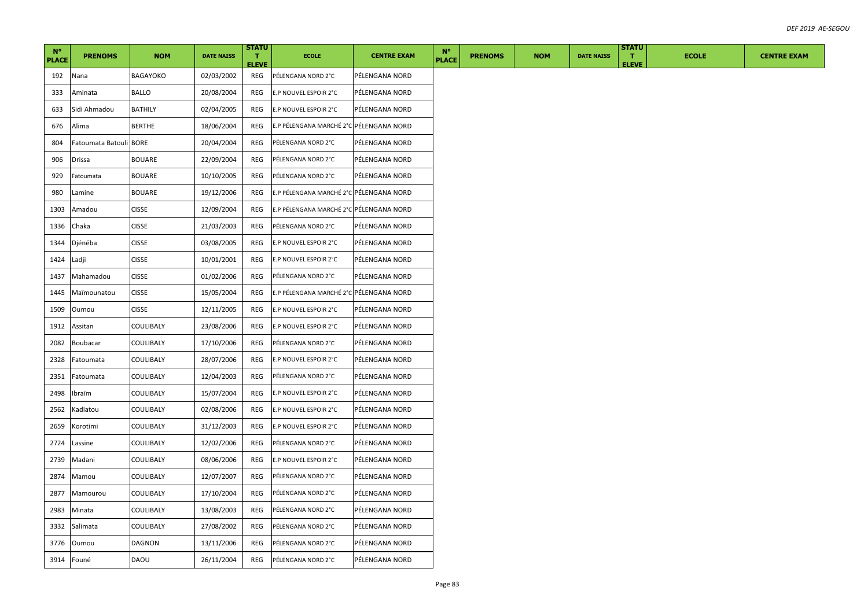| $N^{\circ}$  |                        |                |                   | <b>STATU</b>                 |                                         |                    | $N^{\circ}$  |                |            |                   | <b>STATU</b>       |              |  |
|--------------|------------------------|----------------|-------------------|------------------------------|-----------------------------------------|--------------------|--------------|----------------|------------|-------------------|--------------------|--------------|--|
| <b>PLACE</b> | <b>PRENOMS</b>         | <b>NOM</b>     | <b>DATE NAISS</b> | $\mathbf{T}$<br><b>ELEVE</b> | <b>ECOLE</b>                            | <b>CENTRE EXAM</b> | <b>PLACE</b> | <b>PRENOMS</b> | <b>NOM</b> | <b>DATE NAISS</b> | T.<br><b>ELEVE</b> | <b>ECOLE</b> |  |
| 192          | Nana                   | BAGAYOKO       | 02/03/2002        | REG                          | PÉLENGANA NORD 2°C                      | PÉLENGANA NORD     |              |                |            |                   |                    |              |  |
| 333          | Aminata                | BALLO          | 20/08/2004        | REG                          | E.P NOUVEL ESPOIR 2°C                   | PÉLENGANA NORD     |              |                |            |                   |                    |              |  |
| 633          | Sidi Ahmadou           | <b>BATHILY</b> | 02/04/2005        | REG                          | E.P NOUVEL ESPOIR 2°C                   | PÉLENGANA NORD     |              |                |            |                   |                    |              |  |
| 676          | Alima                  | <b>BERTHE</b>  | 18/06/2004        | REG                          | E.P PÉLENGANA MARCHÉ 2°C PÉLENGANA NORD |                    |              |                |            |                   |                    |              |  |
| 804          | Fatoumata Batouli BORE |                | 20/04/2004        | REG                          | PÉLENGANA NORD 2°C                      | PÉLENGANA NORD     |              |                |            |                   |                    |              |  |
| 906          | <b>Drissa</b>          | <b>BOUARE</b>  | 22/09/2004        | REG                          | PÉLENGANA NORD 2°C                      | PÉLENGANA NORD     |              |                |            |                   |                    |              |  |
| 929          | Fatoumata              | <b>BOUARE</b>  | 10/10/2005        | REG                          | PÉLENGANA NORD 2°C                      | PÉLENGANA NORD     |              |                |            |                   |                    |              |  |
| 980          | Lamine                 | <b>BOUARE</b>  | 19/12/2006        | REG                          | E.P PÉLENGANA MARCHÉ 2°C PÉLENGANA NORD |                    |              |                |            |                   |                    |              |  |
| 1303         | Amadou                 | <b>CISSE</b>   | 12/09/2004        | REG                          | E.P PÉLENGANA MARCHÉ 2°C PÉLENGANA NORD |                    |              |                |            |                   |                    |              |  |
| 1336         | Chaka                  | <b>CISSE</b>   | 21/03/2003        | REG                          | PÉLENGANA NORD 2°C                      | PÉLENGANA NORD     |              |                |            |                   |                    |              |  |
| 1344         | Djénéba                | <b>CISSE</b>   | 03/08/2005        | REG                          | E.P NOUVEL ESPOIR 2°C                   | PÉLENGANA NORD     |              |                |            |                   |                    |              |  |
| 1424         | Ladji                  | <b>CISSE</b>   | 10/01/2001        | REG                          | E.P NOUVEL ESPOIR 2°C                   | PÉLENGANA NORD     |              |                |            |                   |                    |              |  |
| 1437         | Mahamadou              | <b>CISSE</b>   | 01/02/2006        | REG                          | PÉLENGANA NORD 2°C                      | PÉLENGANA NORD     |              |                |            |                   |                    |              |  |
| 1445         | Maïmounatou            | <b>CISSE</b>   | 15/05/2004        | REG                          | E.P PÉLENGANA MARCHÉ 2°C PÉLENGANA NORD |                    |              |                |            |                   |                    |              |  |
| 1509         | Oumou                  | <b>CISSE</b>   | 12/11/2005        | REG                          | E.P NOUVEL ESPOIR 2°C                   | PÉLENGANA NORD     |              |                |            |                   |                    |              |  |
| 1912         | Assitan                | COULIBALY      | 23/08/2006        | REG                          | E.P NOUVEL ESPOIR 2°C                   | PÉLENGANA NORD     |              |                |            |                   |                    |              |  |
| 2082         | Boubacar               | COULIBALY      | 17/10/2006        | REG                          | PÉLENGANA NORD 2°C                      | PÉLENGANA NORD     |              |                |            |                   |                    |              |  |
| 2328         | Fatoumata              | COULIBALY      | 28/07/2006        | REG                          | E.P NOUVEL ESPOIR 2°C                   | PÉLENGANA NORD     |              |                |            |                   |                    |              |  |
| 2351         | Fatoumata              | COULIBALY      | 12/04/2003        | REG                          | PÉLENGANA NORD 2°C                      | PÉLENGANA NORD     |              |                |            |                   |                    |              |  |
| 2498         | Ibraïm                 | COULIBALY      | 15/07/2004        | REG                          | E.P NOUVEL ESPOIR 2°C                   | PÉLENGANA NORD     |              |                |            |                   |                    |              |  |
| 2562         | Kadiatou               | COULIBALY      | 02/08/2006        | REG                          | E.P NOUVEL ESPOIR 2°C                   | PÉLENGANA NORD     |              |                |            |                   |                    |              |  |
| 2659         | Korotimi               | COULIBALY      | 31/12/2003        | REG                          | E.P NOUVEL ESPOIR 2°C                   | PÉLENGANA NORD     |              |                |            |                   |                    |              |  |
| 2724         | Lassine                | COULIBALY      | 12/02/2006        | <b>REG</b>                   | PÉLENGANA NORD 2°C                      | PÉLENGANA NORD     |              |                |            |                   |                    |              |  |
| 2739         | Madani                 | COULIBALY      | 08/06/2006        | REG                          | E.P NOUVEL ESPOIR 2°C                   | PÉLENGANA NORD     |              |                |            |                   |                    |              |  |
| 2874         | Mamou                  | COULIBALY      | 12/07/2007        | REG                          | PÉLENGANA NORD 2°C                      | PÉLENGANA NORD     |              |                |            |                   |                    |              |  |
| 2877         | Mamourou               | COULIBALY      | 17/10/2004        | REG                          | PÉLENGANA NORD 2°C                      | PÉLENGANA NORD     |              |                |            |                   |                    |              |  |
| 2983         | Minata                 | COULIBALY      | 13/08/2003        | REG                          | PÉLENGANA NORD 2°C                      | PÉLENGANA NORD     |              |                |            |                   |                    |              |  |
| 3332         | Salimata               | COULIBALY      | 27/08/2002        | REG                          | PÉLENGANA NORD 2°C                      | PÉLENGANA NORD     |              |                |            |                   |                    |              |  |
| 3776         | Oumou                  | DAGNON         | 13/11/2006        | REG                          | PÉLENGANA NORD 2°C                      | PÉLENGANA NORD     |              |                |            |                   |                    |              |  |
| 3914         | Founé                  | DAOU           | 26/11/2004        | REG                          | PÉLENGANA NORD 2°C                      | PÉLENGANA NORD     |              |                |            |                   |                    |              |  |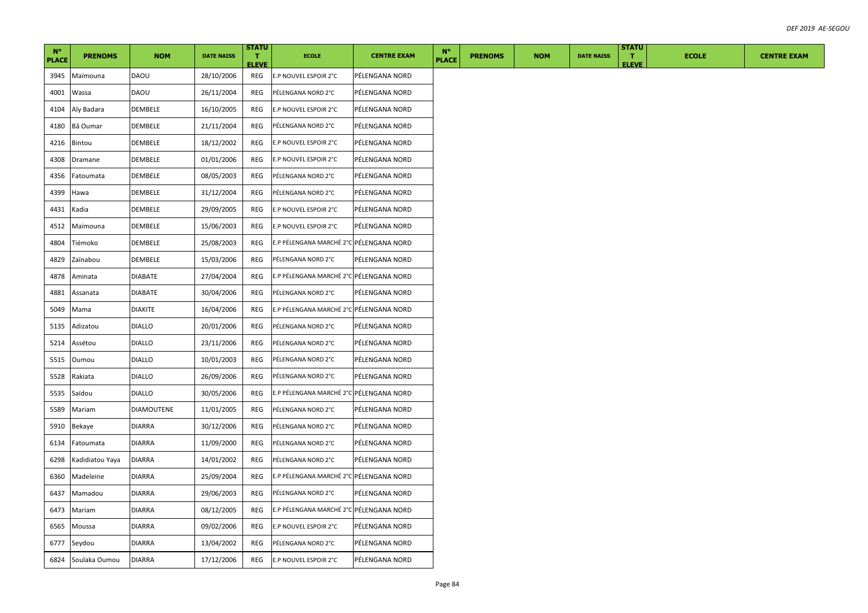| $N^{\circ}$  |                 |                   |                   | <b>STATU</b>                 |                                         |                    | $N^{\circ}$ |              |                |            |                   | <b>STATU</b>       |              |
|--------------|-----------------|-------------------|-------------------|------------------------------|-----------------------------------------|--------------------|-------------|--------------|----------------|------------|-------------------|--------------------|--------------|
| <b>PLACE</b> | <b>PRENOMS</b>  | <b>NOM</b>        | <b>DATE NAISS</b> | $\mathbf{T}$<br><b>ELEVE</b> | <b>ECOLE</b>                            | <b>CENTRE EXAM</b> |             | <b>PLACE</b> | <b>PRENOMS</b> | <b>NOM</b> | <b>DATE NAISS</b> | п.<br><b>ELEVE</b> | <b>ECOLE</b> |
| 3945         | Maïmouna        | DAOU              | 28/10/2006        | REG                          | E.P NOUVEL ESPOIR 2°C                   | PÉLENGANA NORD     |             |              |                |            |                   |                    |              |
| 4001         | Wassa           | DAOU              | 26/11/2004        | REG                          | PÉLENGANA NORD 2°C                      | PÉLENGANA NORD     |             |              |                |            |                   |                    |              |
| 4104         | Aly Badara      | DEMBELE           | 16/10/2005        | REG                          | E.P NOUVEL ESPOIR 2°C                   | PÉLENGANA NORD     |             |              |                |            |                   |                    |              |
| 4180         | Bâ Oumar        | DEMBELE           | 21/11/2004        | REG                          | PÉLENGANA NORD 2°C                      | PÉLENGANA NORD     |             |              |                |            |                   |                    |              |
| 4216         | Bintou          | DEMBELE           | 18/12/2002        | REG                          | E.P NOUVEL ESPOIR 2°C                   | PÉLENGANA NORD     |             |              |                |            |                   |                    |              |
| 4308         | Dramane         | DEMBELE           | 01/01/2006        | REG                          | E.P NOUVEL ESPOIR 2°C                   | PÉLENGANA NORD     |             |              |                |            |                   |                    |              |
| 4356         | Fatoumata       | DEMBELE           | 08/05/2003        | REG                          | PÉLENGANA NORD 2°C                      | PÉLENGANA NORD     |             |              |                |            |                   |                    |              |
| 4399         | Hawa            | DEMBELE           | 31/12/2004        | REG                          | PÉLENGANA NORD 2°C                      | PÉLENGANA NORD     |             |              |                |            |                   |                    |              |
| 4431         | Kadia           | DEMBELE           | 29/09/2005        | REG                          | E.P NOUVEL ESPOIR 2°C                   | PÉLENGANA NORD     |             |              |                |            |                   |                    |              |
| 4512         | Maïmouna        | DEMBELE           | 15/06/2003        | REG                          | E.P NOUVEL ESPOIR 2°C                   | PÉLENGANA NORD     |             |              |                |            |                   |                    |              |
| 4804         | Tiémoko         | DEMBELE           | 25/08/2003        | REG                          | E.P PÉLENGANA MARCHÉ 2°C PÈLENGANA NORD |                    |             |              |                |            |                   |                    |              |
| 4829         | Zaïnabou        | DEMBELE           | 15/03/2006        | REG                          | PÉLENGANA NORD 2°C                      | PÉLENGANA NORD     |             |              |                |            |                   |                    |              |
| 4878         | Aminata         | <b>DIABATE</b>    | 27/04/2004        | <b>REG</b>                   | E.P PÉLENGANA MARCHÉ 2°C PÉLENGANA NORD |                    |             |              |                |            |                   |                    |              |
| 4881         | Assanata        | <b>DIABATE</b>    | 30/04/2006        | REG                          | PÉLENGANA NORD 2°C                      | PÉLENGANA NORD     |             |              |                |            |                   |                    |              |
| 5049         | Mama            | DIAKITE           | 16/04/2006        | REG                          | E.P PÉLENGANA MARCHÉ 2°C PÉLENGANA NORD |                    |             |              |                |            |                   |                    |              |
| 5135         | Adizatou        | <b>DIALLO</b>     | 20/01/2006        | REG                          | PÉLENGANA NORD 2°C                      | PÉLENGANA NORD     |             |              |                |            |                   |                    |              |
| 5214         | Assétou         | <b>DIALLO</b>     | 23/11/2006        | REG                          | PÉLENGANA NORD 2°C                      | PÉLENGANA NORD     |             |              |                |            |                   |                    |              |
| 5515         | Oumou           | <b>DIALLO</b>     | 10/01/2003        | REG                          | PÉLENGANA NORD 2°C                      | PÉLENGANA NORD     |             |              |                |            |                   |                    |              |
| 5528         | Rakiata         | <b>DIALLO</b>     | 26/09/2006        | REG                          | PÉLENGANA NORD 2°C                      | PÉLENGANA NORD     |             |              |                |            |                   |                    |              |
| 5535         | Saïdou          | <b>DIALLO</b>     | 30/05/2006        | REG                          | E.P PÉLENGANA MARCHÉ 2°C PÉLENGANA NORD |                    |             |              |                |            |                   |                    |              |
| 5589         | Mariam          | <b>DIAMOUTENE</b> | 11/01/2005        | REG                          | PÉLENGANA NORD 2°C                      | PÉLENGANA NORD     |             |              |                |            |                   |                    |              |
| 5910         | Bekaye          | DIARRA            | 30/12/2006        | REG                          | PÉLENGANA NORD 2°C                      | PÉLENGANA NORD     |             |              |                |            |                   |                    |              |
| 6134         | Fatoumata       | DIARRA            | 11/09/2000        | REG                          | PÉLENGANA NORD 2°C                      | PÉLENGANA NORD     |             |              |                |            |                   |                    |              |
| 6298         | Kadidiatou Yaya | <b>DIARRA</b>     | 14/01/2002        | REG                          | PÉLENGANA NORD 2°C                      | PÉLENGANA NORD     |             |              |                |            |                   |                    |              |
| 6360         | Madeleine       | DIARRA            | 25/09/2004        | REG                          | E.P PÉLENGANA MARCHÉ 2°C PÉLENGANA NORD |                    |             |              |                |            |                   |                    |              |
| 6437         | Mamadou         | <b>DIARRA</b>     | 29/06/2003        | REG                          | PÉLENGANA NORD 2°C                      | PÉLENGANA NORD     |             |              |                |            |                   |                    |              |
| 6473         | Mariam          | DIARRA            | 08/12/2005        | REG                          | E.P PÉLENGANA MARCHÉ 2°C PÉLENGANA NORD |                    |             |              |                |            |                   |                    |              |
| 6565         | Moussa          | DIARRA            | 09/02/2006        | REG                          | E.P NOUVEL ESPOIR 2°C                   | PÉLENGANA NORD     |             |              |                |            |                   |                    |              |
| 6777         | Seydou          | DIARRA            | 13/04/2002        | REG                          | PÉLENGANA NORD 2°C                      | PÉLENGANA NORD     |             |              |                |            |                   |                    |              |
| 6824         | Soulaka Oumou   | <b>DIARRA</b>     | 17/12/2006        | REG                          | E.P NOUVEL ESPOIR 2°C                   | PÉLENGANA NORD     |             |              |                |            |                   |                    |              |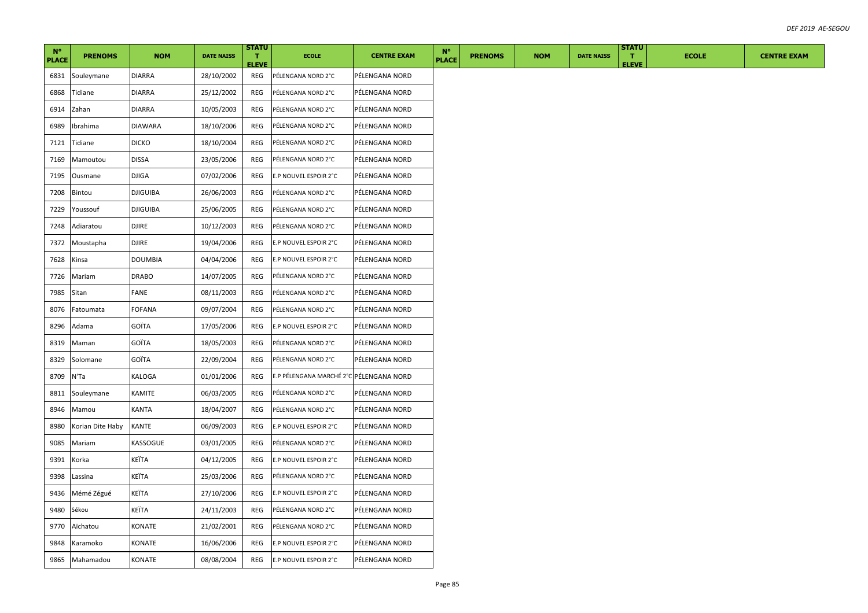| $N^{\circ}$<br><b>PLACE</b> | <b>PRENOMS</b>   | <b>NOM</b>      | <b>DATE NAISS</b> | <b>STATU</b><br>T.<br><b>ELEVE</b> | <b>ECOLE</b>                            | <b>CENTRE EXAM</b> | $N^{\circ}$<br><b>PLACE</b> | <b>PRENOMS</b> | <b>NOM</b> | <b>DATE NAISS</b> | <b>STATU</b><br>$\mathbf{T}$<br><b>ELEVE</b> | <b>ECOLE</b> |  |
|-----------------------------|------------------|-----------------|-------------------|------------------------------------|-----------------------------------------|--------------------|-----------------------------|----------------|------------|-------------------|----------------------------------------------|--------------|--|
| 6831                        | Souleymane       | <b>DIARRA</b>   | 28/10/2002        | REG                                | PÉLENGANA NORD 2°C                      | PÉLENGANA NORD     |                             |                |            |                   |                                              |              |  |
| 6868                        | Tidiane          | DIARRA          | 25/12/2002        | REG                                | PÉLENGANA NORD 2°C                      | PÉLENGANA NORD     |                             |                |            |                   |                                              |              |  |
| 6914                        | Zahan            | <b>DIARRA</b>   | 10/05/2003        | REG                                | PÉLENGANA NORD 2°C                      | PÉLENGANA NORD     |                             |                |            |                   |                                              |              |  |
| 6989                        | Ibrahima         | <b>DIAWARA</b>  | 18/10/2006        | REG                                | PÉLENGANA NORD 2°C                      | PÉLENGANA NORD     |                             |                |            |                   |                                              |              |  |
| 7121                        | Tidiane          | <b>DICKO</b>    | 18/10/2004        | REG                                | PÉLENGANA NORD 2°C                      | PÉLENGANA NORD     |                             |                |            |                   |                                              |              |  |
| 7169                        | Mamoutou         | <b>DISSA</b>    | 23/05/2006        | REG                                | PÉLENGANA NORD 2°C                      | PÉLENGANA NORD     |                             |                |            |                   |                                              |              |  |
| 7195                        | Ousmane          | DJIGA           | 07/02/2006        | REG                                | E.P NOUVEL ESPOIR 2°C                   | PÉLENGANA NORD     |                             |                |            |                   |                                              |              |  |
| 7208                        | Bintou           | <b>DJIGUIBA</b> | 26/06/2003        | REG                                | PÉLENGANA NORD 2°C                      | PÉLENGANA NORD     |                             |                |            |                   |                                              |              |  |
| 7229                        | Youssouf         | <b>DJIGUIBA</b> | 25/06/2005        | REG                                | PÉLENGANA NORD 2°C                      | PÉLENGANA NORD     |                             |                |            |                   |                                              |              |  |
| 7248                        | Adiaratou        | <b>DJIRE</b>    | 10/12/2003        | REG                                | PÉLENGANA NORD 2°C                      | PÉLENGANA NORD     |                             |                |            |                   |                                              |              |  |
| 7372                        | Moustapha        | DJIRE           | 19/04/2006        | REG                                | E.P NOUVEL ESPOIR 2°C                   | PÉLENGANA NORD     |                             |                |            |                   |                                              |              |  |
| 7628                        | Kinsa            | <b>DOUMBIA</b>  | 04/04/2006        | REG                                | E.P NOUVEL ESPOIR 2°C                   | PÉLENGANA NORD     |                             |                |            |                   |                                              |              |  |
| 7726                        | Mariam           | <b>DRABO</b>    | 14/07/2005        | REG                                | PÉLENGANA NORD 2°C                      | PÉLENGANA NORD     |                             |                |            |                   |                                              |              |  |
| 7985                        | Sitan            | FANE            | 08/11/2003        | REG                                | PÉLENGANA NORD 2°C                      | PÉLENGANA NORD     |                             |                |            |                   |                                              |              |  |
| 8076                        | Fatoumata        | FOFANA          | 09/07/2004        | REG                                | PÉLENGANA NORD 2°C                      | PÉLENGANA NORD     |                             |                |            |                   |                                              |              |  |
| 8296                        | Adama            | GOÏTA           | 17/05/2006        | REG                                | E.P NOUVEL ESPOIR 2°C                   | PÉLENGANA NORD     |                             |                |            |                   |                                              |              |  |
| 8319                        | Maman            | GOÏTA           | 18/05/2003        | REG                                | PÉLENGANA NORD 2°C                      | PÉLENGANA NORD     |                             |                |            |                   |                                              |              |  |
| 8329                        | Solomane         | GOÏTA           | 22/09/2004        | REG                                | PÉLENGANA NORD 2°C                      | PÉLENGANA NORD     |                             |                |            |                   |                                              |              |  |
| 8709                        | N'Ta             | KALOGA          | 01/01/2006        | REG                                | E.P PÉLENGANA MARCHÉ 2°C PÉLENGANA NORD |                    |                             |                |            |                   |                                              |              |  |
| 8811                        | Souleymane       | KAMITE          | 06/03/2005        | REG                                | PÉLENGANA NORD 2°C                      | PÉLENGANA NORD     |                             |                |            |                   |                                              |              |  |
| 8946                        | Mamou            | KANTA           | 18/04/2007        | REG                                | PÉLENGANA NORD 2°C                      | PÉLENGANA NORD     |                             |                |            |                   |                                              |              |  |
| 8980                        | Korian Dite Haby | <b>KANTE</b>    | 06/09/2003        | REG                                | E.P NOUVEL ESPOIR 2°C                   | PÉLENGANA NORD     |                             |                |            |                   |                                              |              |  |
| 9085                        | Mariam           | KASSOGUE        | 03/01/2005        | REG                                | PÉLENGANA NORD 2°C                      | PÉLENGANA NORD     |                             |                |            |                   |                                              |              |  |
| 9391                        | Korka            | KEÏTA           | 04/12/2005        | REG                                | E.P NOUVEL ESPOIR 2°C                   | PÉLENGANA NORD     |                             |                |            |                   |                                              |              |  |
| 9398                        | Lassina          | KEÏTA           | 25/03/2006        | REG                                | PÉLENGANA NORD 2°C                      | PÉLENGANA NORD     |                             |                |            |                   |                                              |              |  |
| 9436                        | Mémé Zégué       | KEÏTA           | 27/10/2006        | REG                                | E.P NOUVEL ESPOIR 2°C                   | PÉLENGANA NORD     |                             |                |            |                   |                                              |              |  |
| 9480                        | Sékou            | KEÏTA           | 24/11/2003        | REG                                | PÉLENGANA NORD 2°C                      | PÉLENGANA NORD     |                             |                |            |                   |                                              |              |  |
| 9770                        | Aïchatou         | KONATE          | 21/02/2001        | REG                                | PÉLENGANA NORD 2°C                      | PÉLENGANA NORD     |                             |                |            |                   |                                              |              |  |
| 9848                        | Karamoko         | KONATE          | 16/06/2006        | REG                                | E.P NOUVEL ESPOIR 2°C                   | PÉLENGANA NORD     |                             |                |            |                   |                                              |              |  |
| 9865                        | Mahamadou        | KONATE          | 08/08/2004        | REG                                | E.P NOUVEL ESPOIR 2°C                   | PÉLENGANA NORD     |                             |                |            |                   |                                              |              |  |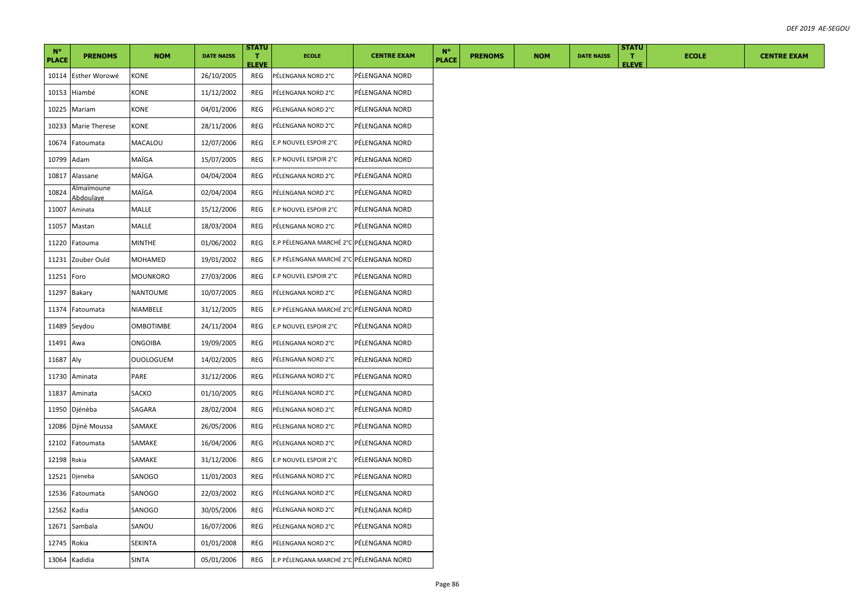| $N^{\circ}$<br><b>PLACE</b> | <b>PRENOMS</b>          | <b>NOM</b>       | <b>DATE NAISS</b> | <b>STATU</b><br>T.<br><b>ELEVE</b> | <b>ECOLE</b>                            | <b>CENTRE EXAM</b> | $N^{\circ}$<br><b>PLACE</b> | <b>PRENOMS</b> | <b>NOM</b> | <b>DATE NAISS</b> | <b>STATU</b><br>$\mathbf{T}$<br><b>ELEVE</b> | <b>ECOLE</b> | <b>CENTRE EXAM</b> |
|-----------------------------|-------------------------|------------------|-------------------|------------------------------------|-----------------------------------------|--------------------|-----------------------------|----------------|------------|-------------------|----------------------------------------------|--------------|--------------------|
| 10114                       | Esther Worowé           | KONE             | 26/10/2005        | REG                                | PÉLENGANA NORD 2°C                      | PÉLENGANA NORD     |                             |                |            |                   |                                              |              |                    |
| 10153                       | Hiambé                  | KONE             | 11/12/2002        | REG                                | PÉLENGANA NORD 2°C                      | PÉLENGANA NORD     |                             |                |            |                   |                                              |              |                    |
| 10225                       | Mariam                  | KONE             | 04/01/2006        | REG                                | PÉLENGANA NORD 2°C                      | PÉLENGANA NORD     |                             |                |            |                   |                                              |              |                    |
| 10233                       | <b>Marie Therese</b>    | KONE             | 28/11/2006        | REG                                | PÉLENGANA NORD 2°C                      | PÉLENGANA NORD     |                             |                |            |                   |                                              |              |                    |
| 10674                       | Fatoumata               | MACALOU          | 12/07/2006        | REG                                | E.P NOUVEL ESPOIR 2°C                   | PÉLENGANA NORD     |                             |                |            |                   |                                              |              |                    |
| 10799                       | Adam                    | MAÏGA            | 15/07/2005        | REG                                | E.P NOUVEL ESPOIR 2°C                   | PÉLENGANA NORD     |                             |                |            |                   |                                              |              |                    |
| 10817                       | Alassane                | MAÏGA            | 04/04/2004        | REG                                | PÉLENGANA NORD 2°C                      | PÉLENGANA NORD     |                             |                |            |                   |                                              |              |                    |
| 10824                       | Almaïmoune<br>Abdoulaye | MAÏGA            | 02/04/2004        | REG                                | PÉLENGANA NORD 2°C                      | PÉLENGANA NORD     |                             |                |            |                   |                                              |              |                    |
| 11007                       | Aminata                 | MALLE            | 15/12/2006        | REG                                | E.P NOUVEL ESPOIR 2°C                   | PÉLENGANA NORD     |                             |                |            |                   |                                              |              |                    |
| 11057                       | Mastan                  | MALLE            | 18/03/2004        | REG                                | PÉLENGANA NORD 2°C                      | PÉLENGANA NORD     |                             |                |            |                   |                                              |              |                    |
| 11220                       | Fatouma                 | MINTHE           | 01/06/2002        | REG                                | E.P PÉLENGANA MARCHÉ 2°C PÉLENGANA NORD |                    |                             |                |            |                   |                                              |              |                    |
| 11231                       | Zouber Ould             | MOHAMED          | 19/01/2002        | REG                                | E.P PÉLENGANA MARCHÉ 2°C PÉLENGANA NORD |                    |                             |                |            |                   |                                              |              |                    |
| 11251                       | Foro                    | <b>MOUNKORO</b>  | 27/03/2006        | REG                                | E.P NOUVEL ESPOIR 2°C                   | PÉLENGANA NORD     |                             |                |            |                   |                                              |              |                    |
| 11297                       | Bakary                  | NANTOUME         | 10/07/2005        | REG                                | PÉLENGANA NORD 2°C                      | PÉLENGANA NORD     |                             |                |            |                   |                                              |              |                    |
| 11374                       | Fatoumata               | NIAMBELE         | 31/12/2005        | REG                                | E.P PÉLENGANA MARCHÉ 2°C PÉLENGANA NORD |                    |                             |                |            |                   |                                              |              |                    |
| 11489                       | Seydou                  | <b>OMBOTIMBE</b> | 24/11/2004        | REG                                | E.P NOUVEL ESPOIR 2°C                   | PÉLENGANA NORD     |                             |                |            |                   |                                              |              |                    |
| 11491                       | Awa                     | <b>ONGOIBA</b>   | 19/09/2005        | REG                                | PÉLENGANA NORD 2°C                      | PÉLENGANA NORD     |                             |                |            |                   |                                              |              |                    |
| 11687 Aly                   |                         | <b>OUOLOGUEM</b> | 14/02/2005        | REG                                | PÉLENGANA NORD 2°C                      | PÉLENGANA NORD     |                             |                |            |                   |                                              |              |                    |
| 11730                       | Aminata                 | PARE             | 31/12/2006        | REG                                | PÉLENGANA NORD 2°C                      | PÉLENGANA NORD     |                             |                |            |                   |                                              |              |                    |
| 11837                       | Aminata                 | SACKO            | 01/10/2005        | REG                                | PÉLENGANA NORD 2°C                      | PÉLENGANA NORD     |                             |                |            |                   |                                              |              |                    |
| 11950                       | Djénèba                 | SAGARA           | 28/02/2004        | REG                                | PÉLENGANA NORD 2°C                      | PÉLENGANA NORD     |                             |                |            |                   |                                              |              |                    |
| 12086                       | Djinè Moussa            | SAMAKE           | 26/05/2006        | REG                                | PÉLENGANA NORD 2°C                      | PÉLENGANA NORD     |                             |                |            |                   |                                              |              |                    |
| 12102                       | Fatoumata               | SAMAKE           | 16/04/2006        | REG                                | PÉLENGANA NORD 2°C                      | PÉLENGANA NORD     |                             |                |            |                   |                                              |              |                    |
| 12198 Rokia                 |                         | SAMAKE           | 31/12/2006        | REG                                | E.P NOUVEL ESPOIR 2°C                   | PÉLENGANA NORD     |                             |                |            |                   |                                              |              |                    |
| 12521                       | Djeneba                 | SANOGO           | 11/01/2003        | REG                                | PÉLENGANA NORD 2°C                      | PÉLENGANA NORD     |                             |                |            |                   |                                              |              |                    |
| 12536                       | Fatoumata               | SANOGO           | 22/03/2002        | REG                                | PÉLENGANA NORD 2°C                      | PÉLENGANA NORD     |                             |                |            |                   |                                              |              |                    |
| 12562                       | Kadia                   | SANOGO           | 30/05/2006        | REG                                | PÉLENGANA NORD 2°C                      | PÉLENGANA NORD     |                             |                |            |                   |                                              |              |                    |
|                             | 12671 Sambala           | SANOU            | 16/07/2006        | REG                                | PÉLENGANA NORD 2°C                      | PÉLENGANA NORD     |                             |                |            |                   |                                              |              |                    |
| 12745 Rokia                 |                         | SEKINTA          | 01/01/2008        | REG                                | PÉLENGANA NORD 2°C                      | PÉLENGANA NORD     |                             |                |            |                   |                                              |              |                    |
|                             | 13064 Kadidia           | <b>SINTA</b>     | 05/01/2006        | REG                                | E.P PÉLENGANA MARCHÉ 2°C PÉLENGANA NORD |                    |                             |                |            |                   |                                              |              |                    |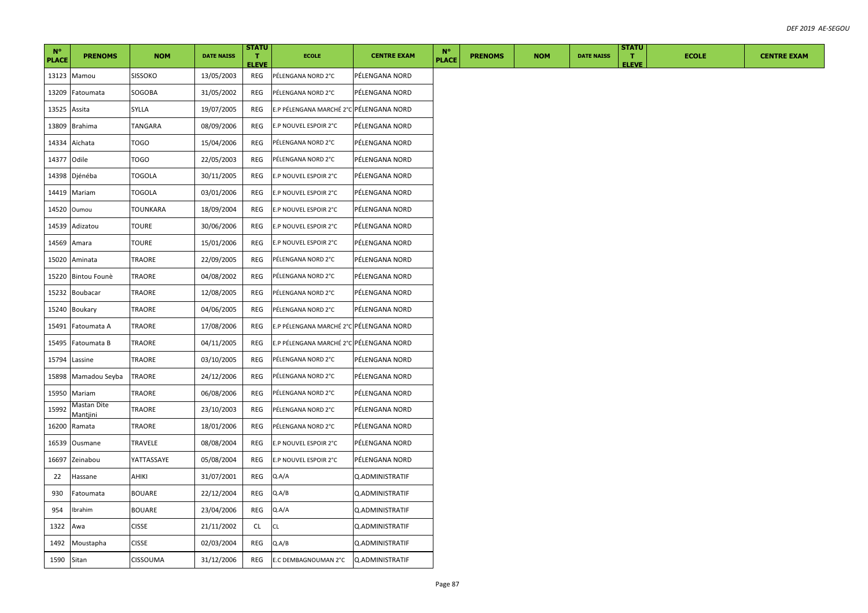| $N^{\circ}$<br><b>PLACE</b> | <b>PRENOMS</b>          | <b>NOM</b>      | <b>DATE NAISS</b> | <b>STATU</b><br>т.<br><b>ELEVE</b> | <b>ECOLE</b>                            | <b>CENTRE EXAM</b>     | $N^{\circ}$<br><b>PLACE</b> | <b>PRENOMS</b> | <b>NOM</b> | <b>DATE NAISS</b> | <b>STATU</b><br>T.<br><b>ELEVE</b> | <b>ECOLE</b> | <b>CENTRE EXAM</b> |
|-----------------------------|-------------------------|-----------------|-------------------|------------------------------------|-----------------------------------------|------------------------|-----------------------------|----------------|------------|-------------------|------------------------------------|--------------|--------------------|
| 13123                       | Mamou                   | <b>SISSOKO</b>  | 13/05/2003        | REG                                | PÉLENGANA NORD 2°C                      | PÉLENGANA NORD         |                             |                |            |                   |                                    |              |                    |
| 13209                       | Fatoumata               | SOGOBA          | 31/05/2002        | REG                                | PÉLENGANA NORD 2°C                      | PÉLENGANA NORD         |                             |                |            |                   |                                    |              |                    |
| 13525                       | Assita                  | SYLLA           | 19/07/2005        | REG                                | E.P PÉLENGANA MARCHÉ 2°C PÉLENGANA NORD |                        |                             |                |            |                   |                                    |              |                    |
| 13809                       | <b>Brahima</b>          | TANGARA         | 08/09/2006        | REG                                | E.P NOUVEL ESPOIR 2°C                   | PÉLENGANA NORD         |                             |                |            |                   |                                    |              |                    |
|                             | 14334 Aïchata           | TOGO            | 15/04/2006        | REG                                | PÉLENGANA NORD 2°C                      | PÉLENGANA NORD         |                             |                |            |                   |                                    |              |                    |
| 14377                       | Odile                   | TOGO            | 22/05/2003        | REG                                | PÉLENGANA NORD 2°C                      | PÉLENGANA NORD         |                             |                |            |                   |                                    |              |                    |
| 14398                       | Djénéba                 | TOGOLA          | 30/11/2005        | REG                                | E.P NOUVEL ESPOIR 2°C                   | PÉLENGANA NORD         |                             |                |            |                   |                                    |              |                    |
| 14419                       | Mariam                  | <b>TOGOLA</b>   | 03/01/2006        | REG                                | E.P NOUVEL ESPOIR 2°C                   | PÉLENGANA NORD         |                             |                |            |                   |                                    |              |                    |
| 14520                       | Oumou                   | <b>TOUNKARA</b> | 18/09/2004        | REG                                | E.P NOUVEL ESPOIR 2°C                   | PÉLENGANA NORD         |                             |                |            |                   |                                    |              |                    |
| 14539                       | Adizatou                | TOURE           | 30/06/2006        | REG                                | E.P NOUVEL ESPOIR 2°C                   | PÉLENGANA NORD         |                             |                |            |                   |                                    |              |                    |
| 14569                       | Amara                   | TOURE           | 15/01/2006        | REG                                | E.P NOUVEL ESPOIR 2°C                   | PÉLENGANA NORD         |                             |                |            |                   |                                    |              |                    |
| 15020                       | Aminata                 | TRAORE          | 22/09/2005        | REG                                | PÉLENGANA NORD 2°C                      | PÉLENGANA NORD         |                             |                |            |                   |                                    |              |                    |
| 15220                       | Bintou Founè            | TRAORE          | 04/08/2002        | REG                                | PÉLENGANA NORD 2°C                      | PÉLENGANA NORD         |                             |                |            |                   |                                    |              |                    |
| 15232                       | <b>Boubacar</b>         | TRAORE          | 12/08/2005        | REG                                | PÉLENGANA NORD 2°C                      | PÉLENGANA NORD         |                             |                |            |                   |                                    |              |                    |
| 15240                       | Boukary                 | TRAORE          | 04/06/2005        | REG                                | PÉLENGANA NORD 2°C                      | PÉLENGANA NORD         |                             |                |            |                   |                                    |              |                    |
| 15491                       | Fatoumata A             | TRAORE          | 17/08/2006        | REG                                | E.P PÉLENGANA MARCHÉ 2°C PÉLENGANA NORD |                        |                             |                |            |                   |                                    |              |                    |
| 15495                       | Fatoumata B             | TRAORE          | 04/11/2005        | REG                                | E.P PÉLENGANA MARCHÉ 2°C PÉLENGANA NORD |                        |                             |                |            |                   |                                    |              |                    |
| 15794                       | Lassine                 | TRAORE          | 03/10/2005        | REG                                | PÉLENGANA NORD 2°C                      | PÉLENGANA NORD         |                             |                |            |                   |                                    |              |                    |
|                             | 15898 Mamadou Seyba     | TRAORE          | 24/12/2006        | REG                                | PÉLENGANA NORD 2°C                      | PÉLENGANA NORD         |                             |                |            |                   |                                    |              |                    |
| 15950                       | Mariam                  | TRAORE          | 06/08/2006        | REG                                | PÉLENGANA NORD 2°C                      | PÉLENGANA NORD         |                             |                |            |                   |                                    |              |                    |
| 15992                       | Mastan Dite<br>Mantjini | TRAORE          | 23/10/2003        | REG                                | PÉLENGANA NORD 2°C                      | PÉLENGANA NORD         |                             |                |            |                   |                                    |              |                    |
| 16200                       | Ramata                  | TRAORE          | 18/01/2006        | REG                                | PÉLENGANA NORD 2°C                      | PÉLENGANA NORD         |                             |                |            |                   |                                    |              |                    |
| 16539                       | Ousmane                 | TRAVELE         | 08/08/2004        | REG                                | E.P NOUVEL ESPOIR 2°C                   | PÉLENGANA NORD         |                             |                |            |                   |                                    |              |                    |
| 16697                       | Zeinabou                | YATTASSAYE      | 05/08/2004        | REG                                | E.P NOUVEL ESPOIR 2°C                   | PÉLENGANA NORD         |                             |                |            |                   |                                    |              |                    |
| 22                          | Hassane                 | AHIKI           | 31/07/2001        | REG                                | Q.A/A                                   | Q.ADMINISTRATIF        |                             |                |            |                   |                                    |              |                    |
| 930                         | Fatoumata               | <b>BOUARE</b>   | 22/12/2004        | REG                                | Q.A/B                                   | <b>Q.ADMINISTRATIF</b> |                             |                |            |                   |                                    |              |                    |
| 954                         | Ibrahim                 | <b>BOUARE</b>   | 23/04/2006        | REG                                | Q.A/A                                   | Q.ADMINISTRATIF        |                             |                |            |                   |                                    |              |                    |
| 1322                        | Awa                     | <b>CISSE</b>    | 21/11/2002        | CL.                                | CL                                      | Q.ADMINISTRATIF        |                             |                |            |                   |                                    |              |                    |
| 1492                        | Moustapha               | <b>CISSE</b>    | 02/03/2004        | REG                                | Q.A/B                                   | Q.ADMINISTRATIF        |                             |                |            |                   |                                    |              |                    |
| 1590 Sitan                  |                         | CISSOUMA        | 31/12/2006        | REG                                | E.C DEMBAGNOUMAN 2°C                    | Q.ADMINISTRATIF        |                             |                |            |                   |                                    |              |                    |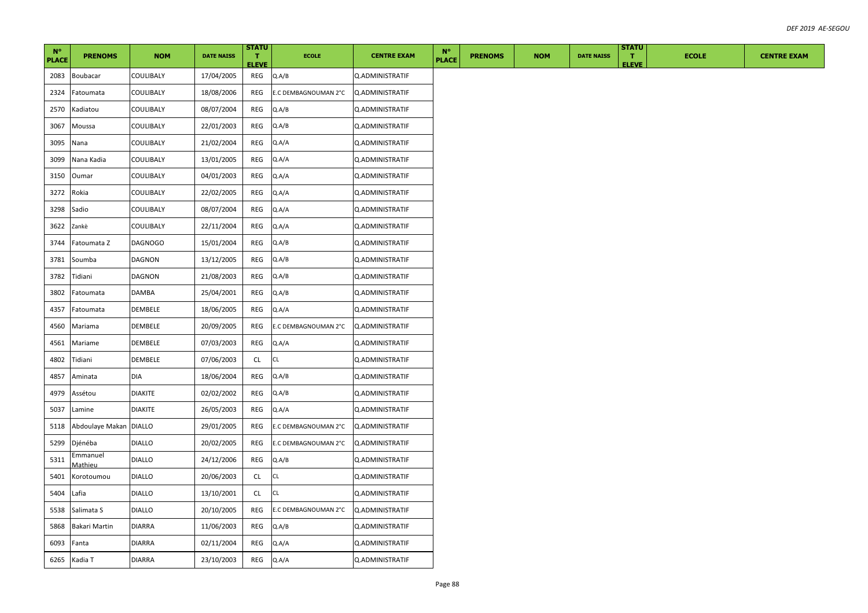| $N^{\circ}$<br><b>PLACE</b> | <b>PRENOMS</b>         | <b>NOM</b>     | <b>DATE NAISS</b> | <b>STATU</b><br>$\mathbf{T}$<br><b>ELEVE</b> | <b>ECOLE</b>         | <b>CENTRE EXAM</b> | $N^{\circ}$<br><b>PLACE</b> | <b>PRENOMS</b> | <b>NOM</b> | <b>DATE NAISS</b> | <b>STATU</b><br>T.<br><b>ELEVE</b> | <b>ECOLE</b> | <b>CENTRE EXAM</b> |
|-----------------------------|------------------------|----------------|-------------------|----------------------------------------------|----------------------|--------------------|-----------------------------|----------------|------------|-------------------|------------------------------------|--------------|--------------------|
| 2083                        | Boubacar               | COULIBALY      | 17/04/2005        | REG                                          | Q.A/B                | Q.ADMINISTRATIF    |                             |                |            |                   |                                    |              |                    |
| 2324                        | Fatoumata              | COULIBALY      | 18/08/2006        | REG                                          | E.C DEMBAGNOUMAN 2°C | Q.ADMINISTRATIF    |                             |                |            |                   |                                    |              |                    |
| 2570                        | Kadiatou               | COULIBALY      | 08/07/2004        | REG                                          | Q.A/B                | Q.ADMINISTRATIF    |                             |                |            |                   |                                    |              |                    |
| 3067                        | Moussa                 | COULIBALY      | 22/01/2003        | REG                                          | Q.A/B                | Q.ADMINISTRATIF    |                             |                |            |                   |                                    |              |                    |
| 3095                        | Nana                   | COULIBALY      | 21/02/2004        | REG                                          | Q.A/A                | Q.ADMINISTRATIF    |                             |                |            |                   |                                    |              |                    |
| 3099                        | Nana Kadia             | COULIBALY      | 13/01/2005        | REG                                          | Q.A/A                | Q.ADMINISTRATIF    |                             |                |            |                   |                                    |              |                    |
| 3150                        | Oumar                  | COULIBALY      | 04/01/2003        | REG                                          | Q.A/A                | Q.ADMINISTRATIF    |                             |                |            |                   |                                    |              |                    |
| 3272                        | Rokia                  | COULIBALY      | 22/02/2005        | REG                                          | Q.A/A                | Q.ADMINISTRATIF    |                             |                |            |                   |                                    |              |                    |
| 3298                        | Sadio                  | COULIBALY      | 08/07/2004        | REG                                          | Q.A/A                | Q.ADMINISTRATIF    |                             |                |            |                   |                                    |              |                    |
| 3622                        | Zankè                  | COULIBALY      | 22/11/2004        | REG                                          | Q.A/A                | Q.ADMINISTRATIF    |                             |                |            |                   |                                    |              |                    |
| 3744                        | Fatoumata Z            | <b>DAGNOGO</b> | 15/01/2004        | REG                                          | Q.A/B                | Q.ADMINISTRATIF    |                             |                |            |                   |                                    |              |                    |
| 3781                        | Soumba                 | DAGNON         | 13/12/2005        | REG                                          | Q.A/B                | Q.ADMINISTRATIF    |                             |                |            |                   |                                    |              |                    |
| 3782                        | Tidiani                | DAGNON         | 21/08/2003        | REG                                          | Q.A/B                | Q.ADMINISTRATIF    |                             |                |            |                   |                                    |              |                    |
| 3802                        | Fatoumata              | DAMBA          | 25/04/2001        | REG                                          | Q.A/B                | Q.ADMINISTRATIF    |                             |                |            |                   |                                    |              |                    |
| 4357                        | Fatoumata              | DEMBELE        | 18/06/2005        | REG                                          | Q.A/A                | Q.ADMINISTRATIF    |                             |                |            |                   |                                    |              |                    |
| 4560                        | Mariama                | DEMBELE        | 20/09/2005        | REG                                          | E.C DEMBAGNOUMAN 2°C | Q.ADMINISTRATIF    |                             |                |            |                   |                                    |              |                    |
| 4561                        | Mariame                | DEMBELE        | 07/03/2003        | REG                                          | Q.A/A                | Q.ADMINISTRATIF    |                             |                |            |                   |                                    |              |                    |
| 4802                        | Tidiani                | DEMBELE        | 07/06/2003        | CL                                           | CL                   | Q.ADMINISTRATIF    |                             |                |            |                   |                                    |              |                    |
| 4857                        | Aminata                | DIA            | 18/06/2004        | REG                                          | Q.A/B                | Q.ADMINISTRATIF    |                             |                |            |                   |                                    |              |                    |
| 4979                        | Assétou                | DIAKITE        | 02/02/2002        | REG                                          | Q.A/B                | Q.ADMINISTRATIF    |                             |                |            |                   |                                    |              |                    |
| 5037                        | Lamine                 | DIAKITE        | 26/05/2003        | REG                                          | Q.A/A                | Q.ADMINISTRATIF    |                             |                |            |                   |                                    |              |                    |
| 5118                        | Abdoulaye Makan DIALLO |                | 29/01/2005        | REG                                          | E.C DEMBAGNOUMAN 2°C | Q.ADMINISTRATIF    |                             |                |            |                   |                                    |              |                    |
| 5299                        | Djénéba                | DIALLO         | 20/02/2005        | REG                                          | E.C DEMBAGNOUMAN 2°C | Q.ADMINISTRATIF    |                             |                |            |                   |                                    |              |                    |
| 5311                        | Emmanuel<br>Mathieu    | <b>DIALLO</b>  | 24/12/2006        | REG                                          | Q.A/B                | Q.ADMINISTRATIF    |                             |                |            |                   |                                    |              |                    |
| 5401                        | Korotoumou             | <b>DIALLO</b>  | 20/06/2003        | CL                                           | <b>CL</b>            | Q.ADMINISTRATIF    |                             |                |            |                   |                                    |              |                    |
| 5404                        | Lafia                  | <b>DIALLO</b>  | 13/10/2001        | <b>CL</b>                                    | CL                   | Q.ADMINISTRATIF    |                             |                |            |                   |                                    |              |                    |
| 5538                        | Salimata S             | <b>DIALLO</b>  | 20/10/2005        | REG                                          | E.C DEMBAGNOUMAN 2°C | Q.ADMINISTRATIF    |                             |                |            |                   |                                    |              |                    |
| 5868                        | Bakari Martin          | DIARRA         | 11/06/2003        | REG                                          | Q.A/B                | Q.ADMINISTRATIF    |                             |                |            |                   |                                    |              |                    |
| 6093                        | Fanta                  | <b>DIARRA</b>  | 02/11/2004        | REG                                          | Q.A/A                | Q.ADMINISTRATIF    |                             |                |            |                   |                                    |              |                    |
|                             | 6265 Kadia T           | <b>DIARRA</b>  | 23/10/2003        | REG                                          | Q.A/A                | Q.ADMINISTRATIF    |                             |                |            |                   |                                    |              |                    |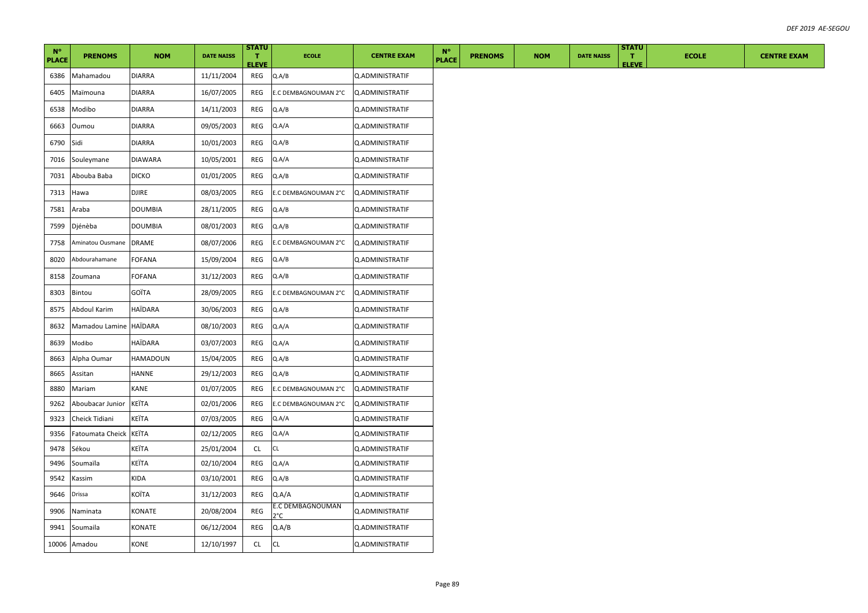| $N^{\circ}$<br><b>PLACE</b> | <b>PRENOMS</b>         | <b>NOM</b>      | <b>DATE NAISS</b> | <b>STATU</b><br>$\mathbf T$ | <b>ECOLE</b>            | <b>CENTRE EXAM</b>     | $N^{\circ}$<br><b>PLACE</b> | <b>PRENOMS</b> | <b>NOM</b> | <b>DATE NAISS</b> | <b>STATU</b><br>$\mathbf{T}$ | <b>ECOLE</b> | <b>CENTRE EXAM</b> |
|-----------------------------|------------------------|-----------------|-------------------|-----------------------------|-------------------------|------------------------|-----------------------------|----------------|------------|-------------------|------------------------------|--------------|--------------------|
| 6386                        | Mahamadou              | <b>DIARRA</b>   | 11/11/2004        | <b>ELEVE</b><br>REG         | Q.A/B                   | Q.ADMINISTRATIF        |                             |                |            |                   | <b>ELEVE</b>                 |              |                    |
| 6405                        | Maïmouna               | <b>DIARRA</b>   | 16/07/2005        | REG                         | E.C DEMBAGNOUMAN 2°C    | Q.ADMINISTRATIF        |                             |                |            |                   |                              |              |                    |
| 6538                        | Modibo                 | <b>DIARRA</b>   | 14/11/2003        | REG                         | Q.A/B                   | Q.ADMINISTRATIF        |                             |                |            |                   |                              |              |                    |
| 6663                        |                        | <b>DIARRA</b>   | 09/05/2003        | REG                         | Q.A/A                   | Q.ADMINISTRATIF        |                             |                |            |                   |                              |              |                    |
| 6790                        | Oumou                  | <b>DIARRA</b>   |                   |                             | Q.A/B                   |                        |                             |                |            |                   |                              |              |                    |
|                             | Sidi                   |                 | 10/01/2003        | REG                         |                         | Q.ADMINISTRATIF        |                             |                |            |                   |                              |              |                    |
| 7016                        | Souleymane             | <b>DIAWARA</b>  | 10/05/2001        | REG                         | Q.A/A                   | Q.ADMINISTRATIF        |                             |                |            |                   |                              |              |                    |
| 7031                        | Abouba Baba            | <b>DICKO</b>    | 01/01/2005        | REG                         | Q.A/B                   | Q.ADMINISTRATIF        |                             |                |            |                   |                              |              |                    |
| 7313                        | Hawa                   | DJIRE           | 08/03/2005        | REG                         | E.C DEMBAGNOUMAN 2°C    | Q.ADMINISTRATIF        |                             |                |            |                   |                              |              |                    |
| 7581                        | Araba                  | <b>DOUMBIA</b>  | 28/11/2005        | REG                         | Q.A/B                   | Q.ADMINISTRATIF        |                             |                |            |                   |                              |              |                    |
| 7599                        | Djénèba                | <b>DOUMBIA</b>  | 08/01/2003        | REG                         | Q.A/B                   | Q.ADMINISTRATIF        |                             |                |            |                   |                              |              |                    |
| 7758                        | Aminatou Ousmane       | <b>DRAME</b>    | 08/07/2006        | REG                         | E.C DEMBAGNOUMAN 2°C    | Q.ADMINISTRATIF        |                             |                |            |                   |                              |              |                    |
| 8020                        | Abdourahamane          | <b>FOFANA</b>   | 15/09/2004        | REG                         | Q.A/B                   | Q.ADMINISTRATIF        |                             |                |            |                   |                              |              |                    |
| 8158                        | Zoumana                | FOFANA          | 31/12/2003        | REG                         | Q.A/B                   | Q.ADMINISTRATIF        |                             |                |            |                   |                              |              |                    |
| 8303                        | Bintou                 | GOÏTA           | 28/09/2005        | REG                         | E.C DEMBAGNOUMAN 2°C    | Q.ADMINISTRATIF        |                             |                |            |                   |                              |              |                    |
| 8575                        | Abdoul Karim           | HAÏDARA         | 30/06/2003        | REG                         | Q.A/B                   | <b>Q.ADMINISTRATIF</b> |                             |                |            |                   |                              |              |                    |
| 8632                        | Mamadou Lamine         | <b>HAÏDARA</b>  | 08/10/2003        | REG                         | Q.A/A                   | Q.ADMINISTRATIF        |                             |                |            |                   |                              |              |                    |
| 8639                        | Modibo                 | HAÏDARA         | 03/07/2003        | REG                         | Q.A/A                   | Q.ADMINISTRATIF        |                             |                |            |                   |                              |              |                    |
| 8663                        | Alpha Oumar            | <b>HAMADOUN</b> | 15/04/2005        | REG                         | Q.A/B                   | Q.ADMINISTRATIF        |                             |                |            |                   |                              |              |                    |
| 8665                        | Assitan                | HANNE           | 29/12/2003        | REG                         | Q.A/B                   | Q.ADMINISTRATIF        |                             |                |            |                   |                              |              |                    |
| 8880                        | Mariam                 | KANE            | 01/07/2005        | REG                         | E.C DEMBAGNOUMAN 2°C    | Q.ADMINISTRATIF        |                             |                |            |                   |                              |              |                    |
| 9262                        | Aboubacar Junior       | <b>KEÏTA</b>    | 02/01/2006        | REG                         | E.C DEMBAGNOUMAN 2°C    | Q.ADMINISTRATIF        |                             |                |            |                   |                              |              |                    |
| 9323                        | Cheick Tidiani         | KEÏTA           | 07/03/2005        | REG                         | Q.A/A                   | Q.ADMINISTRATIF        |                             |                |            |                   |                              |              |                    |
| 9356                        | Fatoumata Cheick KEÏTA |                 | 02/12/2005        | REG                         | Q.A/A                   | Q.ADMINISTRATIF        |                             |                |            |                   |                              |              |                    |
| 9478                        | Sékou                  | KEÏTA           | 25/01/2004        | CL                          | CL.                     | Q.ADMINISTRATIF        |                             |                |            |                   |                              |              |                    |
| 9496                        | Soumaïla               | KEÏTA           | 02/10/2004        | REG                         | Q.A/A                   | Q.ADMINISTRATIF        |                             |                |            |                   |                              |              |                    |
| 9542                        | Kassim                 | KIDA            | 03/10/2001        | REG                         | Q.A/B                   | <b>Q.ADMINISTRATIF</b> |                             |                |            |                   |                              |              |                    |
| 9646                        | Drissa                 | KOÏTA           | 31/12/2003        | REG                         | Q.A/A                   | Q.ADMINISTRATIF        |                             |                |            |                   |                              |              |                    |
| 9906                        | Naminata               | KONATE          | 20/08/2004        | REG                         | E.C DEMBAGNOUMAN<br>ን°C | Q.ADMINISTRATIF        |                             |                |            |                   |                              |              |                    |
| 9941                        | Soumaila               | KONATE          | 06/12/2004        | REG                         | Q.A/B                   | Q.ADMINISTRATIF        |                             |                |            |                   |                              |              |                    |
|                             | 10006 Amadou           | KONE            | 12/10/1997        | CL                          | CL                      | Q.ADMINISTRATIF        |                             |                |            |                   |                              |              |                    |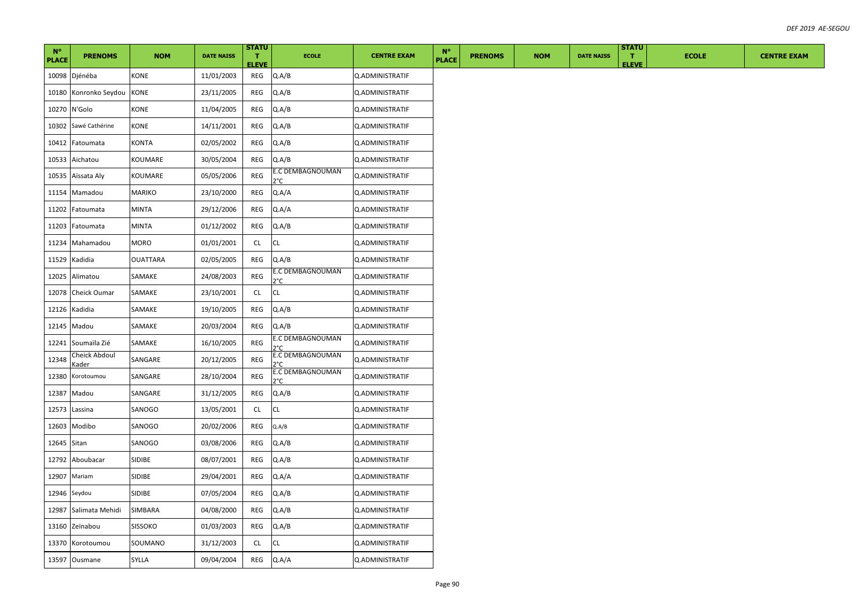| $N^{\circ}$<br><b>PLACE</b> | <b>PRENOMS</b>               | <b>NOM</b>    | <b>DATE NAISS</b> | <b>STATU</b><br>п.<br><b>ELEVE</b> | <b>ECOLE</b>                      | <b>CENTRE EXAM</b> | $N^{\circ}$<br><b>PLACE</b> | <b>PRENOMS</b> | <b>NOM</b> | <b>DATE NAISS</b> | <b>STATU</b><br>T.<br><b>ELEVE</b> | <b>ECOLE</b> | <b>CENTRE EXAM</b> |
|-----------------------------|------------------------------|---------------|-------------------|------------------------------------|-----------------------------------|--------------------|-----------------------------|----------------|------------|-------------------|------------------------------------|--------------|--------------------|
|                             | 10098 Djénéba                | KONE          | 11/01/2003        | REG                                | Q.A/B                             | Q.ADMINISTRATIF    |                             |                |            |                   |                                    |              |                    |
|                             | 10180 Konronko Seydou        | KONE          | 23/11/2005        | REG                                | Q.A/B                             | Q.ADMINISTRATIF    |                             |                |            |                   |                                    |              |                    |
|                             | 10270 N'Golo                 | KONE          | 11/04/2005        | REG                                | Q.A/B                             | Q.ADMINISTRATIF    |                             |                |            |                   |                                    |              |                    |
| 10302                       | Sawé Cathérine               | KONE          | 14/11/2001        | <b>REG</b>                         | Q.A/B                             | Q.ADMINISTRATIF    |                             |                |            |                   |                                    |              |                    |
|                             | 10412 Fatoumata              | <b>KONTA</b>  | 02/05/2002        | REG                                | Q.A/B                             | Q.ADMINISTRATIF    |                             |                |            |                   |                                    |              |                    |
|                             | 10533 Aichatou               | KOUMARE       | 30/05/2004        | REG                                | Q.A/B                             | Q.ADMINISTRATIF    |                             |                |            |                   |                                    |              |                    |
|                             | 10535 Aïssata Aly            | KOUMARE       | 05/05/2006        | REG                                | E.C DEMBAGNOUMAN<br>$2^{\circ}$ C | Q.ADMINISTRATIF    |                             |                |            |                   |                                    |              |                    |
|                             | 11154 Mamadou                | MARIKO        | 23/10/2000        | REG                                | Q.A/A                             | Q.ADMINISTRATIF    |                             |                |            |                   |                                    |              |                    |
|                             | 11202 Fatoumata              | MINTA         | 29/12/2006        | REG                                | Q.A/A                             | Q.ADMINISTRATIF    |                             |                |            |                   |                                    |              |                    |
|                             | 11203 Fatoumata              | MINTA         | 01/12/2002        | REG                                | Q.A/B                             | Q.ADMINISTRATIF    |                             |                |            |                   |                                    |              |                    |
|                             | 11234 Mahamadou              | MORO          | 01/01/2001        | CL                                 | CL                                | Q.ADMINISTRATIF    |                             |                |            |                   |                                    |              |                    |
|                             | 11529 Kadidia                | OUATTARA      | 02/05/2005        | REG                                | Q.A/B                             | Q.ADMINISTRATIF    |                             |                |            |                   |                                    |              |                    |
|                             | 12025 Alimatou               | SAMAKE        | 24/08/2003        | <b>REG</b>                         | E.C DEMBAGNOUMAN<br>ን°ር           | Q.ADMINISTRATIF    |                             |                |            |                   |                                    |              |                    |
|                             | 12078 Cheick Oumar           | SAMAKE        | 23/10/2001        | CL                                 | СL                                | Q.ADMINISTRATIF    |                             |                |            |                   |                                    |              |                    |
|                             | 12126 Kadidia                | SAMAKE        | 19/10/2005        | REG                                | Q.A/B                             | Q.ADMINISTRATIF    |                             |                |            |                   |                                    |              |                    |
|                             | 12145 Madou                  | SAMAKE        | 20/03/2004        | REG                                | Q.A/B                             | Q.ADMINISTRATIF    |                             |                |            |                   |                                    |              |                    |
|                             | 12241 Soumaïla Zié           | SAMAKE        | 16/10/2005        | <b>REG</b>                         | E.C DEMBAGNOUMAN<br>ን°C           | Q.ADMINISTRATIF    |                             |                |            |                   |                                    |              |                    |
| 12348                       | Cheick Abdoul<br><u>ader</u> | SANGARE       | 20/12/2005        | REG                                | E.C DEMBAGNOUMAN<br>۱°۲           | Q.ADMINISTRATIF    |                             |                |            |                   |                                    |              |                    |
| 12380                       | Korotoumou                   | SANGARE       | 28/10/2004        | <b>REG</b>                         | E.C DEMBAGNOUMAN<br>ን°Ր           | Q.ADMINISTRATIF    |                             |                |            |                   |                                    |              |                    |
|                             | 12387 Madou                  | SANGARE       | 31/12/2005        | REG                                | Q.A/B                             | Q.ADMINISTRATIF    |                             |                |            |                   |                                    |              |                    |
|                             | 12573 Lassina                | SANOGO        | 13/05/2001        | CL                                 | <b>CL</b>                         | Q.ADMINISTRATIF    |                             |                |            |                   |                                    |              |                    |
|                             | 12603 Modibo                 | SANOGO        | 20/02/2006        | REG                                | Q.A/B                             | Q.ADMINISTRATIF    |                             |                |            |                   |                                    |              |                    |
| 12645 Sitan                 |                              | SANOGO        | 03/08/2006        | REG                                | Q.A/B                             | Q.ADMINISTRATIF    |                             |                |            |                   |                                    |              |                    |
|                             | 12792 Aboubacar              | SIDIBE        | 08/07/2001        | REG                                | Q.A/B                             | Q.ADMINISTRATIF    |                             |                |            |                   |                                    |              |                    |
|                             | 12907 Mariam                 | <b>SIDIBE</b> | 29/04/2001        | REG                                | Q.A/A                             | Q.ADMINISTRATIF    |                             |                |            |                   |                                    |              |                    |
| 12946 Seydou                |                              | SIDIBE        | 07/05/2004        | REG                                | Q.A/B                             | Q.ADMINISTRATIF    |                             |                |            |                   |                                    |              |                    |
| 12987                       | Salimata Mehidi              | SIMBARA       | 04/08/2000        | REG                                | Q.A/B                             | Q.ADMINISTRATIF    |                             |                |            |                   |                                    |              |                    |
|                             | 13160 Zeïnabou               | SISSOKO       | 01/03/2003        | REG                                | Q.A/B                             | Q.ADMINISTRATIF    |                             |                |            |                   |                                    |              |                    |
|                             | 13370 Korotoumou             | SOUMANO       | 31/12/2003        | CL                                 | CL                                | Q.ADMINISTRATIF    |                             |                |            |                   |                                    |              |                    |
|                             | 13597 Ousmane                | SYLLA         | 09/04/2004        | REG                                | Q.A/A                             | Q.ADMINISTRATIF    |                             |                |            |                   |                                    |              |                    |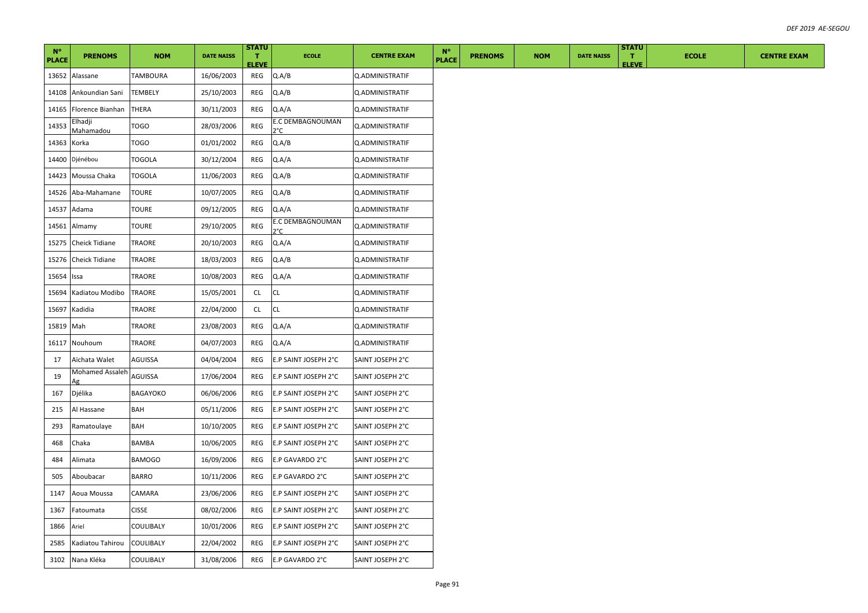| $N^{\circ}$<br><b>PLACE</b> | <b>PRENOMS</b>        | <b>NOM</b>     | <b>DATE NAISS</b> | <b>STATU</b><br>$\mathbf{T}$<br><b>ELEVE</b> | <b>ECOLE</b>            | <b>CENTRE EXAM</b> | $N^{\circ}$<br><b>PLACE</b> | <b>PRENOMS</b> | <b>NOM</b> | <b>DATE NAISS</b> | <b>STATU</b><br>ΠТ.<br><b>ELEVE</b> | <b>ECOLE</b> | <b>CENTRE EXAM</b> |
|-----------------------------|-----------------------|----------------|-------------------|----------------------------------------------|-------------------------|--------------------|-----------------------------|----------------|------------|-------------------|-------------------------------------|--------------|--------------------|
|                             | 13652 Alassane        | TAMBOURA       | 16/06/2003        | REG                                          | Q.A/B                   | Q.ADMINISTRATIF    |                             |                |            |                   |                                     |              |                    |
| 14108                       | Ankoundian Sani       | <b>TEMBELY</b> | 25/10/2003        | REG                                          | Q.A/B                   | Q.ADMINISTRATIF    |                             |                |            |                   |                                     |              |                    |
| 14165                       | Florence Bianhan      | THERA          | 30/11/2003        | REG                                          | Q.A/A                   | Q.ADMINISTRATIF    |                             |                |            |                   |                                     |              |                    |
| 14353                       | Elhadji<br>Mahamadou  | TOGO           | 28/03/2006        | <b>REG</b>                                   | E.C DEMBAGNOUMAN<br>2°C | Q.ADMINISTRATIF    |                             |                |            |                   |                                     |              |                    |
| 14363 Korka                 |                       | TOGO           | 01/01/2002        | REG                                          | Q.A/B                   | Q.ADMINISTRATIF    |                             |                |            |                   |                                     |              |                    |
|                             | 14400 Djénébou        | TOGOLA         | 30/12/2004        | REG                                          | Q.A/A                   | Q.ADMINISTRATIF    |                             |                |            |                   |                                     |              |                    |
|                             | 14423 Moussa Chaka    | TOGOLA         | 11/06/2003        | REG                                          | Q.A/B                   | Q.ADMINISTRATIF    |                             |                |            |                   |                                     |              |                    |
|                             | 14526 Aba-Mahamane    | TOURE          | 10/07/2005        | REG                                          | Q.A/B                   | Q.ADMINISTRATIF    |                             |                |            |                   |                                     |              |                    |
|                             | 14537 Adama           | TOURE          | 09/12/2005        | REG                                          | Q.A/A                   | Q.ADMINISTRATIF    |                             |                |            |                   |                                     |              |                    |
|                             | 14561 Almamy          | TOURE          | 29/10/2005        | REG                                          | E.C DEMBAGNOUMAN<br>o°( | Q.ADMINISTRATIF    |                             |                |            |                   |                                     |              |                    |
|                             | 15275 Cheick Tidiane  | TRAORE         | 20/10/2003        | REG                                          | Q.A/A                   | Q.ADMINISTRATIF    |                             |                |            |                   |                                     |              |                    |
|                             | 15276 Cheick Tidiane  | TRAORE         | 18/03/2003        | REG                                          | Q.A/B                   | Q.ADMINISTRATIF    |                             |                |            |                   |                                     |              |                    |
| 15654 Issa                  |                       | TRAORE         | 10/08/2003        | REG                                          | Q.A/A                   | Q.ADMINISTRATIF    |                             |                |            |                   |                                     |              |                    |
|                             | 15694 Kadiatou Modibo | TRAORE         | 15/05/2001        | CL                                           | CL                      | Q.ADMINISTRATIF    |                             |                |            |                   |                                     |              |                    |
| 15697                       | Kadidia               | TRAORE         | 22/04/2000        | CL.                                          | CL                      | Q.ADMINISTRATIF    |                             |                |            |                   |                                     |              |                    |
| 15819 Mah                   |                       | TRAORE         | 23/08/2003        | REG                                          | Q.A/A                   | Q.ADMINISTRATIF    |                             |                |            |                   |                                     |              |                    |
|                             | 16117 Nouhoum         | TRAORE         | 04/07/2003        | REG                                          | Q.A/A                   | Q.ADMINISTRATIF    |                             |                |            |                   |                                     |              |                    |
| 17                          | Aïchata Walet         | AGUISSA        | 04/04/2004        | REG                                          | E.P SAINT JOSEPH 2°C    | SAINT JOSEPH 2°C   |                             |                |            |                   |                                     |              |                    |
| 19                          | Mohamed Assaleh       | AGUISSA        | 17/06/2004        | REG                                          | E.P SAINT JOSEPH 2°C    | SAINT JOSEPH 2°C   |                             |                |            |                   |                                     |              |                    |
| 167                         | Djélika               | BAGAYOKO       | 06/06/2006        | REG                                          | E.P SAINT JOSEPH 2°C    | SAINT JOSEPH 2°C   |                             |                |            |                   |                                     |              |                    |
| 215                         | Al Hassane            | BAH            | 05/11/2006        | REG                                          | E.P SAINT JOSEPH 2°C    | SAINT JOSEPH 2°C   |                             |                |            |                   |                                     |              |                    |
| 293                         | Ramatoulaye           | BAH            | 10/10/2005        | REG                                          | E.P SAINT JOSEPH 2°C    | SAINT JOSEPH 2°C   |                             |                |            |                   |                                     |              |                    |
| 468                         | Chaka                 | BAMBA          | 10/06/2005        | REG                                          | E.P SAINT JOSEPH 2°C    | SAINT JOSEPH 2°C   |                             |                |            |                   |                                     |              |                    |
| 484                         | Alimata               | <b>BAMOGO</b>  | 16/09/2006        | REG                                          | E.P GAVARDO 2°C         | SAINT JOSEPH 2°C   |                             |                |            |                   |                                     |              |                    |
| 505                         | Aboubacar             | BARRO          | 10/11/2006        | REG                                          | E.P GAVARDO 2°C         | SAINT JOSEPH 2°C   |                             |                |            |                   |                                     |              |                    |
| 1147                        | Aoua Moussa           | CAMARA         | 23/06/2006        | REG                                          | E.P SAINT JOSEPH 2°C    | SAINT JOSEPH 2°C   |                             |                |            |                   |                                     |              |                    |
| 1367                        | Fatoumata             | <b>CISSE</b>   | 08/02/2006        | REG                                          | E.P SAINT JOSEPH 2°C    | SAINT JOSEPH 2°C   |                             |                |            |                   |                                     |              |                    |
| 1866                        | Ariel                 | COULIBALY      | 10/01/2006        | REG                                          | E.P SAINT JOSEPH 2°C    | SAINT JOSEPH 2°C   |                             |                |            |                   |                                     |              |                    |
| 2585                        | Kadiatou Tahirou      | COULIBALY      | 22/04/2002        | REG                                          | E.P SAINT JOSEPH 2°C    | SAINT JOSEPH 2°C   |                             |                |            |                   |                                     |              |                    |
|                             | 3102 Nana Kléka       | COULIBALY      | 31/08/2006        | REG                                          | E.P GAVARDO 2°C         | SAINT JOSEPH 2°C   |                             |                |            |                   |                                     |              |                    |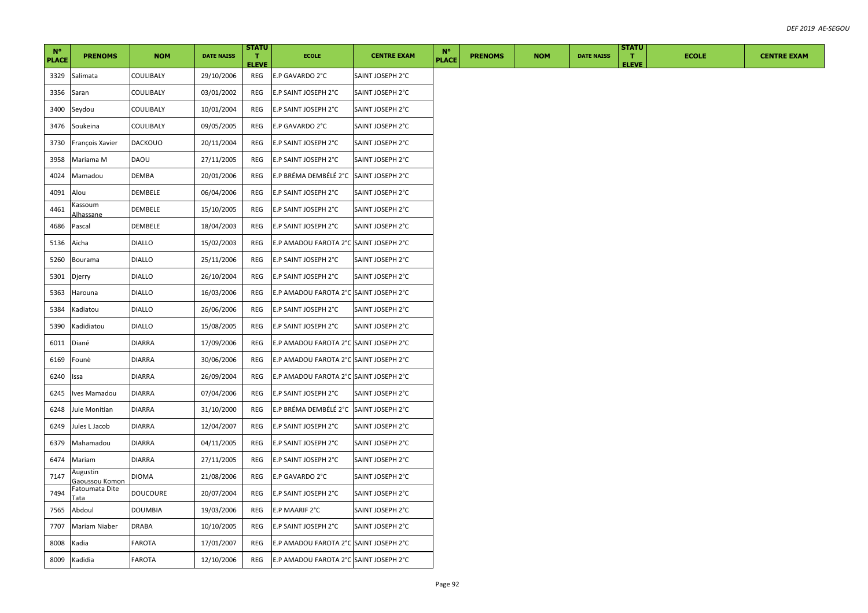| $N^{\circ}$<br><b>PLACE</b> | <b>PRENOMS</b>                     | <b>NOM</b>      | <b>DATE NAISS</b> | <b>STATU</b><br>$\mathbf{T}$ | <b>ECOLE</b>                           | <b>CENTRE EXAM</b> | $N^{\circ}$<br><b>PLACE</b> | <b>PRENOMS</b> | <b>NOM</b> | <b>DATE NAISS</b> | <b>STATU</b><br>T. | <b>ECOLE</b> | <b>CENTRE EXAM</b> |
|-----------------------------|------------------------------------|-----------------|-------------------|------------------------------|----------------------------------------|--------------------|-----------------------------|----------------|------------|-------------------|--------------------|--------------|--------------------|
| 3329                        | Salimata                           | COULIBALY       | 29/10/2006        | <b>ELEVE</b><br>REG          | E.P GAVARDO 2°C                        | SAINT JOSEPH 2°C   |                             |                |            |                   | <b>ELEVE</b>       |              |                    |
| 3356                        | Saran                              | COULIBALY       | 03/01/2002        | REG                          | E.P SAINT JOSEPH 2°C                   | SAINT JOSEPH 2°C   |                             |                |            |                   |                    |              |                    |
| 3400                        | Seydou                             | COULIBALY       | 10/01/2004        | REG                          | E.P SAINT JOSEPH 2°C                   | SAINT JOSEPH 2°C   |                             |                |            |                   |                    |              |                    |
| 3476                        | Soukeina                           | COULIBALY       | 09/05/2005        | REG                          | E.P GAVARDO 2°C                        | SAINT JOSEPH 2°C   |                             |                |            |                   |                    |              |                    |
| 3730                        | François Xavier                    | <b>DACKOUO</b>  | 20/11/2004        | REG                          | E.P SAINT JOSEPH 2°C                   | SAINT JOSEPH 2°C   |                             |                |            |                   |                    |              |                    |
| 3958                        | Mariama M                          | DAOU            | 27/11/2005        | REG                          | E.P SAINT JOSEPH 2°C                   | SAINT JOSEPH 2°C   |                             |                |            |                   |                    |              |                    |
| 4024                        | Mamadou                            | DEMBA           | 20/01/2006        | REG                          | E.P BRÉMA DEMBÉLÉ 2°C                  | SAINT JOSEPH 2°C   |                             |                |            |                   |                    |              |                    |
| 4091                        | Alou                               | DEMBELE         | 06/04/2006        | REG                          | E.P SAINT JOSEPH 2°C                   | SAINT JOSEPH 2°C   |                             |                |            |                   |                    |              |                    |
| 4461                        | Kassoum<br>Alhassane               | DEMBELE         | 15/10/2005        | REG                          | E.P SAINT JOSEPH 2°C                   | SAINT JOSEPH 2°C   |                             |                |            |                   |                    |              |                    |
| 4686                        | Pascal                             | DEMBELE         | 18/04/2003        | REG                          | E.P SAINT JOSEPH 2°C                   | SAINT JOSEPH 2°C   |                             |                |            |                   |                    |              |                    |
| 5136                        | Aïcha                              | DIALLO          | 15/02/2003        | REG                          | E.P AMADOU FAROTA 2°C SAINT JOSEPH 2°C |                    |                             |                |            |                   |                    |              |                    |
| 5260                        | Bourama                            | <b>DIALLO</b>   | 25/11/2006        | REG                          | E.P SAINT JOSEPH 2°C                   | SAINT JOSEPH 2°C   |                             |                |            |                   |                    |              |                    |
| 5301                        | Djerry                             | DIALLO          | 26/10/2004        | REG                          | E.P SAINT JOSEPH 2°C                   | SAINT JOSEPH 2°C   |                             |                |            |                   |                    |              |                    |
| 5363                        | Harouna                            | <b>DIALLO</b>   | 16/03/2006        | REG                          | E.P AMADOU FAROTA 2°C SAINT JOSEPH 2°C |                    |                             |                |            |                   |                    |              |                    |
| 5384                        | Kadiatou                           | DIALLO          | 26/06/2006        | REG                          | E.P SAINT JOSEPH 2°C                   | SAINT JOSEPH 2°C   |                             |                |            |                   |                    |              |                    |
| 5390                        | Kadidiatou                         | <b>DIALLO</b>   | 15/08/2005        | REG                          | E.P SAINT JOSEPH 2°C                   | SAINT JOSEPH 2°C   |                             |                |            |                   |                    |              |                    |
| 6011                        | Diané                              | <b>DIARRA</b>   | 17/09/2006        | REG                          | E.P AMADOU FAROTA 2°C SAINT JOSEPH 2°C |                    |                             |                |            |                   |                    |              |                    |
| 6169                        | Founè                              | DIARRA          | 30/06/2006        | REG                          | E.P AMADOU FAROTA 2°C SAINT JOSEPH 2°C |                    |                             |                |            |                   |                    |              |                    |
| 6240                        | Issa                               | <b>DIARRA</b>   | 26/09/2004        | REG                          | E.P AMADOU FAROTA 2°C SAINT JOSEPH 2°C |                    |                             |                |            |                   |                    |              |                    |
| 6245                        | Ives Mamadou                       | DIARRA          | 07/04/2006        | REG                          | E.P SAINT JOSEPH 2°C                   | SAINT JOSEPH 2°C   |                             |                |            |                   |                    |              |                    |
| 6248                        | Jule Monitian                      | DIARRA          | 31/10/2000        | REG                          | E.P BRÉMA DEMBÉLÉ 2°C                  | SAINT JOSEPH 2°C   |                             |                |            |                   |                    |              |                    |
| 6249                        | Jules L Jacob                      | DIARRA          | 12/04/2007        | REG                          | E.P SAINT JOSEPH 2°C                   | SAINT JOSEPH 2°C   |                             |                |            |                   |                    |              |                    |
| 6379                        | Mahamadou                          | <b>DIARRA</b>   | 04/11/2005        | REG                          | E.P SAINT JOSEPH 2°C                   | SAINT JOSEPH 2°C   |                             |                |            |                   |                    |              |                    |
| 6474                        | Mariam                             | DIARRA          | 27/11/2005        | REG                          | E.P SAINT JOSEPH 2°C                   | SAINT JOSEPH 2°C   |                             |                |            |                   |                    |              |                    |
| 7147                        | Augustin<br><u> Gaoussou Komon</u> | DIOMA           | 21/08/2006        | REG                          | E.P GAVARDO 2°C                        | SAINT JOSEPH 2°C   |                             |                |            |                   |                    |              |                    |
| 7494                        | Fatoumata Dite<br>Tata             | <b>DOUCOURE</b> | 20/07/2004        | REG                          | E.P SAINT JOSEPH 2°C                   | SAINT JOSEPH 2°C   |                             |                |            |                   |                    |              |                    |
| 7565                        | Abdoul                             | <b>DOUMBIA</b>  | 19/03/2006        | REG                          | E.P MAARIF 2°C                         | SAINT JOSEPH 2°C   |                             |                |            |                   |                    |              |                    |
| 7707                        | Mariam Niaber                      | DRABA           | 10/10/2005        | REG                          | E.P SAINT JOSEPH 2°C                   | SAINT JOSEPH 2°C   |                             |                |            |                   |                    |              |                    |
| 8008                        | Kadia                              | FAROTA          | 17/01/2007        | REG                          | E.P AMADOU FAROTA 2°C SAINT JOSEPH 2°C |                    |                             |                |            |                   |                    |              |                    |
|                             | 8009 Kadidia                       | <b>FAROTA</b>   | 12/10/2006        | REG                          | E.P AMADOU FAROTA 2°C SAINT JOSEPH 2°C |                    |                             |                |            |                   |                    |              |                    |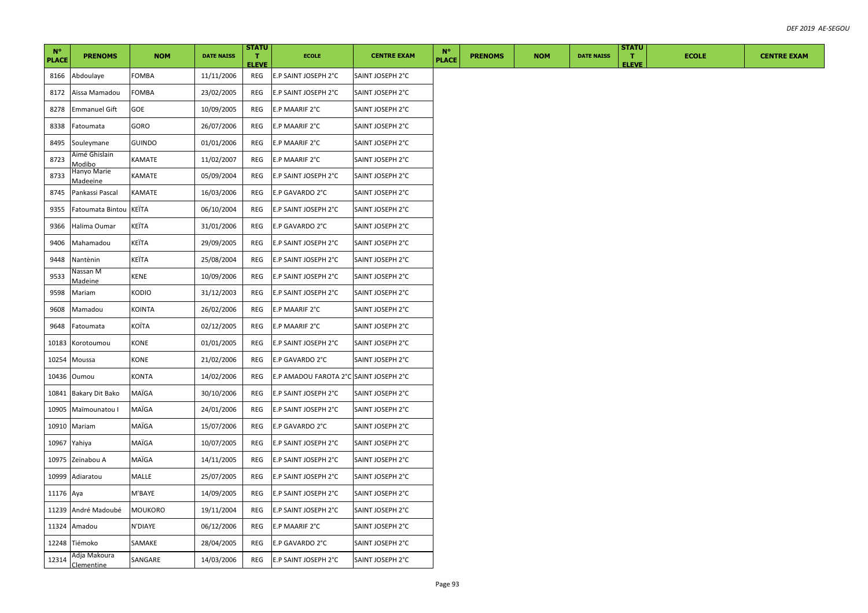| $N^{\circ}$<br><b>PLACE</b> | <b>PRENOMS</b>             | <b>NOM</b>   | <b>DATE NAISS</b> | <b>STATU</b><br>T.<br><b>ELEVE</b> | <b>ECOLE</b>                           | <b>CENTRE EXAM</b> | $N^{\circ}$<br><b>PLACE</b> | <b>PRENOMS</b> | <b>NOM</b> | <b>DATE NAISS</b> | <b>STATU</b><br>т.<br><b>ELEVE</b> | <b>ECOLE</b> |  |  | <b>CENTRE EXAM</b> |
|-----------------------------|----------------------------|--------------|-------------------|------------------------------------|----------------------------------------|--------------------|-----------------------------|----------------|------------|-------------------|------------------------------------|--------------|--|--|--------------------|
| 8166                        | Abdoulaye                  | FOMBA        | 11/11/2006        | REG                                | E.P SAINT JOSEPH 2°C                   | SAINT JOSEPH 2°C   |                             |                |            |                   |                                    |              |  |  |                    |
| 8172                        | Aïssa Mamadou              | FOMBA        | 23/02/2005        | REG                                | E.P SAINT JOSEPH 2°C                   | SAINT JOSEPH 2°C   |                             |                |            |                   |                                    |              |  |  |                    |
| 8278                        | <b>Emmanuel Gift</b>       | GOE          | 10/09/2005        | REG                                | E.P MAARIF 2°C                         | SAINT JOSEPH 2°C   |                             |                |            |                   |                                    |              |  |  |                    |
| 8338                        | Fatoumata                  | GORO         | 26/07/2006        | REG                                | E.P MAARIF 2°C                         | SAINT JOSEPH 2°C   |                             |                |            |                   |                                    |              |  |  |                    |
| 8495                        | Souleymane                 | GUINDO       | 01/01/2006        | REG                                | E.P MAARIF 2°C                         | SAINT JOSEPH 2°C   |                             |                |            |                   |                                    |              |  |  |                    |
| 8723                        | Aimé Ghislain<br>Modibo    | KAMATE       | 11/02/2007        | REG                                | E.P MAARIF 2°C                         | SAINT JOSEPH 2°C   |                             |                |            |                   |                                    |              |  |  |                    |
| 8733                        | Hanyo Marie<br>Madeeine    | KAMATE       | 05/09/2004        | REG                                | E.P SAINT JOSEPH 2°C                   | SAINT JOSEPH 2°C   |                             |                |            |                   |                                    |              |  |  |                    |
| 8745                        | Pankassi Pascal            | KAMATE       | 16/03/2006        | REG                                | E.P GAVARDO 2°C                        | SAINT JOSEPH 2°C   |                             |                |            |                   |                                    |              |  |  |                    |
| 9355                        | Fatoumata Bintou           | KEÏTA        | 06/10/2004        | REG                                | E.P SAINT JOSEPH 2°C                   | SAINT JOSEPH 2°C   |                             |                |            |                   |                                    |              |  |  |                    |
| 9366                        | Halima Oumar               | KEÏTA        | 31/01/2006        | REG                                | E.P GAVARDO 2°C                        | SAINT JOSEPH 2°C   |                             |                |            |                   |                                    |              |  |  |                    |
| 9406                        | Mahamadou                  | KEÏTA        | 29/09/2005        | REG                                | E.P SAINT JOSEPH 2°C                   | SAINT JOSEPH 2°C   |                             |                |            |                   |                                    |              |  |  |                    |
| 9448                        | Nantènin                   | KEÏTA        | 25/08/2004        | REG                                | E.P SAINT JOSEPH 2°C                   | SAINT JOSEPH 2°C   |                             |                |            |                   |                                    |              |  |  |                    |
| 9533                        | Nassan M<br><b>Madeine</b> | <b>KENE</b>  | 10/09/2006        | REG                                | E.P SAINT JOSEPH 2°C                   | SAINT JOSEPH 2°C   |                             |                |            |                   |                                    |              |  |  |                    |
| 9598                        | Mariam                     | KODIO        | 31/12/2003        | REG                                | E.P SAINT JOSEPH 2°C                   | SAINT JOSEPH 2°C   |                             |                |            |                   |                                    |              |  |  |                    |
| 9608                        | Mamadou                    | KOINTA       | 26/02/2006        | REG                                | E.P MAARIF 2°C                         | SAINT JOSEPH 2°C   |                             |                |            |                   |                                    |              |  |  |                    |
| 9648                        | Fatoumata                  | KOÏTA        | 02/12/2005        | REG                                | E.P MAARIF 2°C                         | SAINT JOSEPH 2°C   |                             |                |            |                   |                                    |              |  |  |                    |
| 10183                       | Korotoumou                 | KONE         | 01/01/2005        | REG                                | E.P SAINT JOSEPH 2°C                   | SAINT JOSEPH 2°C   |                             |                |            |                   |                                    |              |  |  |                    |
| 10254                       | Moussa                     | KONE         | 21/02/2006        | REG                                | E.P GAVARDO 2°C                        | SAINT JOSEPH 2°C   |                             |                |            |                   |                                    |              |  |  |                    |
| 10436                       | Oumou                      | <b>KONTA</b> | 14/02/2006        | REG                                | E.P AMADOU FAROTA 2°C SAINT JOSEPH 2°C |                    |                             |                |            |                   |                                    |              |  |  |                    |
| 10841                       | <b>Bakary Dit Bako</b>     | MAÏGA        | 30/10/2006        | REG                                | E.P SAINT JOSEPH 2°C                   | SAINT JOSEPH 2°C   |                             |                |            |                   |                                    |              |  |  |                    |
| 10905                       | Maïmounatou I              | MAÏGA        | 24/01/2006        | REG                                | E.P SAINT JOSEPH 2°C                   | SAINT JOSEPH 2°C   |                             |                |            |                   |                                    |              |  |  |                    |
| 10910                       | Mariam                     | MAÏGA        | 15/07/2006        | REG                                | E.P GAVARDO 2°C                        | SAINT JOSEPH 2°C   |                             |                |            |                   |                                    |              |  |  |                    |
| 10967                       | Yahiya                     | MAÏGA        | 10/07/2005        | REG                                | E.P SAINT JOSEPH 2°C                   | SAINT JOSEPH 2°C   |                             |                |            |                   |                                    |              |  |  |                    |
| 10975                       | Zeïnabou A                 | MAÏGA        | 14/11/2005        | REG                                | E.P SAINT JOSEPH 2°C                   | SAINT JOSEPH 2°C   |                             |                |            |                   |                                    |              |  |  |                    |
| 10999                       | Adiaratou                  | MALLE        | 25/07/2005        | REG                                | E.P SAINT JOSEPH 2°C                   | SAINT JOSEPH 2°C   |                             |                |            |                   |                                    |              |  |  |                    |
| 11176 Aya                   |                            | M'BAYE       | 14/09/2005        | REG                                | E.P SAINT JOSEPH 2°C                   | SAINT JOSEPH 2°C   |                             |                |            |                   |                                    |              |  |  |                    |
| 11239                       | André Madoubé              | MOUKORO      | 19/11/2004        | REG                                | E.P SAINT JOSEPH 2°C                   | SAINT JOSEPH 2°C   |                             |                |            |                   |                                    |              |  |  |                    |
| 11324                       | Amadou                     | N'DIAYE      | 06/12/2006        | REG                                | E.P MAARIF 2°C                         | SAINT JOSEPH 2°C   |                             |                |            |                   |                                    |              |  |  |                    |
|                             | 12248 Tiémoko              | SAMAKE       | 28/04/2005        | REG                                | E.P GAVARDO 2°C                        | SAINT JOSEPH 2°C   |                             |                |            |                   |                                    |              |  |  |                    |
| 12314                       | Adja Makoura<br>Clementine | SANGARE      | 14/03/2006        | REG                                | E.P SAINT JOSEPH 2°C                   | SAINT JOSEPH 2°C   |                             |                |            |                   |                                    |              |  |  |                    |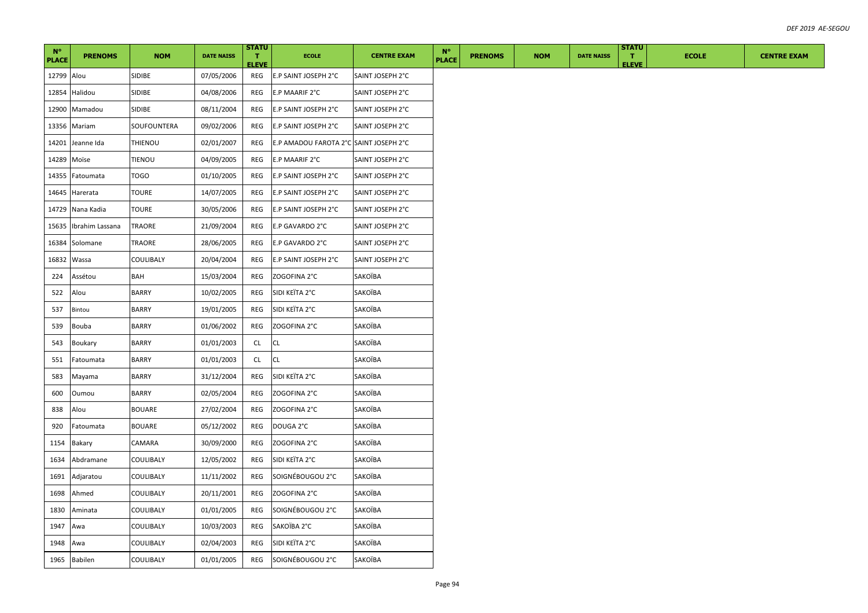| $N^{\circ}$<br><b>PLACE</b> | <b>PRENOMS</b>  | <b>NOM</b>    | <b>DATE NAISS</b> | <b>STATU</b><br>T.<br><b>ELEVE</b> | <b>ECOLE</b>                           | <b>CENTRE EXAM</b> | $N^{\circ}$<br><b>PLACE</b> | <b>PRENOMS</b> | <b>NOM</b> | <b>DATE NAISS</b> | <b>STATU</b><br>л.<br><b>ELEVE</b> | <b>ECOLE</b> | <b>CENTRE EXAM</b> |
|-----------------------------|-----------------|---------------|-------------------|------------------------------------|----------------------------------------|--------------------|-----------------------------|----------------|------------|-------------------|------------------------------------|--------------|--------------------|
| 12799 Alou                  |                 | SIDIBE        | 07/05/2006        | REG                                | E.P SAINT JOSEPH 2°C                   | SAINT JOSEPH 2°C   |                             |                |            |                   |                                    |              |                    |
| 12854                       | Halidou         | SIDIBE        | 04/08/2006        | REG                                | E.P MAARIF 2°C                         | SAINT JOSEPH 2°C   |                             |                |            |                   |                                    |              |                    |
| 12900                       | Mamadou         | SIDIBE        | 08/11/2004        | REG                                | E.P SAINT JOSEPH 2°C                   | SAINT JOSEPH 2°C   |                             |                |            |                   |                                    |              |                    |
| 13356                       | Mariam          | SOUFOUNTERA   | 09/02/2006        | REG                                | E.P SAINT JOSEPH 2°C                   | SAINT JOSEPH 2°C   |                             |                |            |                   |                                    |              |                    |
| 14201                       | Jeanne Ida      | THIENOU       | 02/01/2007        | REG                                | E.P AMADOU FAROTA 2°C SAINT JOSEPH 2°C |                    |                             |                |            |                   |                                    |              |                    |
| 14289                       | Moïse           | <b>TIENOU</b> | 04/09/2005        | REG                                | E.P MAARIF 2°C                         | SAINT JOSEPH 2°C   |                             |                |            |                   |                                    |              |                    |
| 14355                       | Fatoumata       | <b>TOGO</b>   | 01/10/2005        | REG                                | E.P SAINT JOSEPH 2°C                   | SAINT JOSEPH 2°C   |                             |                |            |                   |                                    |              |                    |
| 14645                       | Harerata        | <b>TOURE</b>  | 14/07/2005        | REG                                | E.P SAINT JOSEPH 2°C                   | SAINT JOSEPH 2°C   |                             |                |            |                   |                                    |              |                    |
| 14729                       | Nana Kadia      | <b>TOURE</b>  | 30/05/2006        | REG                                | E.P SAINT JOSEPH 2°C                   | SAINT JOSEPH 2°C   |                             |                |            |                   |                                    |              |                    |
| 15635                       | Ibrahim Lassana | TRAORE        | 21/09/2004        | REG                                | E.P GAVARDO 2°C                        | SAINT JOSEPH 2°C   |                             |                |            |                   |                                    |              |                    |
| 16384                       | Solomane        | TRAORE        | 28/06/2005        | REG                                | E.P GAVARDO 2°C                        | SAINT JOSEPH 2°C   |                             |                |            |                   |                                    |              |                    |
| 16832                       | Wassa           | COULIBALY     | 20/04/2004        | REG                                | E.P SAINT JOSEPH 2°C                   | SAINT JOSEPH 2°C   |                             |                |            |                   |                                    |              |                    |
| 224                         | Assétou         | BAH           | 15/03/2004        | REG                                | ZOGOFINA 2°C                           | SAKOÏBA            |                             |                |            |                   |                                    |              |                    |
| 522                         | Alou            | <b>BARRY</b>  | 10/02/2005        | REG                                | SIDI KEÏTA 2°C                         | SAKOÏBA            |                             |                |            |                   |                                    |              |                    |
| 537                         | Bintou          | BARRY         | 19/01/2005        | REG                                | SIDI KEÏTA 2°C                         | SAKOÏBA            |                             |                |            |                   |                                    |              |                    |
| 539                         | Bouba           | <b>BARRY</b>  | 01/06/2002        | REG                                | ZOGOFINA 2°C                           | SAKOÏBA            |                             |                |            |                   |                                    |              |                    |
| 543                         | Boukary         | <b>BARRY</b>  | 01/01/2003        | CL                                 | <b>CL</b>                              | SAKOÏBA            |                             |                |            |                   |                                    |              |                    |
| 551                         | Fatoumata       | <b>BARRY</b>  | 01/01/2003        | CL                                 | <b>CL</b>                              | SAKOÏBA            |                             |                |            |                   |                                    |              |                    |
| 583                         | Mayama          | <b>BARRY</b>  | 31/12/2004        | REG                                | SIDI KEÏTA 2°C                         | SAKOÏBA            |                             |                |            |                   |                                    |              |                    |
| 600                         | Oumou           | BARRY         | 02/05/2004        | REG                                | ZOGOFINA 2°C                           | SAKOÏBA            |                             |                |            |                   |                                    |              |                    |
| 838                         | Alou            | <b>BOUARE</b> | 27/02/2004        | REG                                | ZOGOFINA 2°C                           | SAKOÏBA            |                             |                |            |                   |                                    |              |                    |
| 920                         | Fatoumata       | <b>BOUARE</b> | 05/12/2002        | REG                                | DOUGA 2°C                              | SAKOÏBA            |                             |                |            |                   |                                    |              |                    |
| 1154                        | Bakary          | CAMARA        | 30/09/2000        | REG                                | ZOGOFINA 2°C                           | SAKOÏBA            |                             |                |            |                   |                                    |              |                    |
| 1634                        | Abdramane       | COULIBALY     | 12/05/2002        | REG                                | SIDI KEÏTA 2°C                         | SAKOÏBA            |                             |                |            |                   |                                    |              |                    |
| 1691                        | Adjaratou       | COULIBALY     | 11/11/2002        | REG                                | SOIGNÉBOUGOU 2°C                       | SAKOÏBA            |                             |                |            |                   |                                    |              |                    |
| 1698                        | Ahmed           | COULIBALY     | 20/11/2001        | REG                                | ZOGOFINA 2°C                           | SAKOÏBA            |                             |                |            |                   |                                    |              |                    |
| 1830                        | Aminata         | COULIBALY     | 01/01/2005        | REG                                | SOIGNÉBOUGOU 2°C                       | SAKOÏBA            |                             |                |            |                   |                                    |              |                    |
| 1947                        | Awa             | COULIBALY     | 10/03/2003        | REG                                | SAKOÏBA 2°C                            | SAKOÏBA            |                             |                |            |                   |                                    |              |                    |
| 1948                        | Awa             | COULIBALY     | 02/04/2003        | REG                                | SIDI KEÏTA 2°C                         | SAKOÏBA            |                             |                |            |                   |                                    |              |                    |
| 1965                        | <b>Babilen</b>  | COULIBALY     | 01/01/2005        | REG                                | SOIGNÉBOUGOU 2°C                       | SAKOÏBA            |                             |                |            |                   |                                    |              |                    |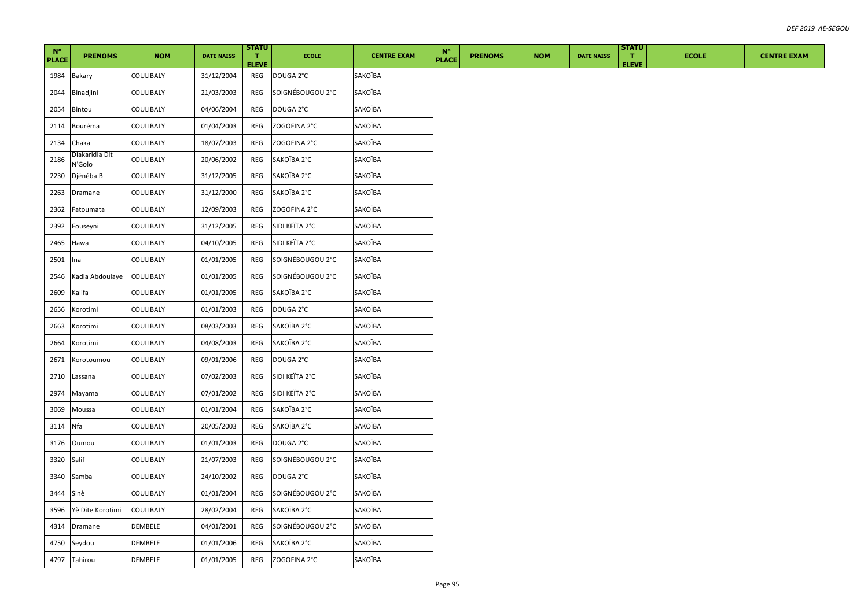| $N^{\circ}$  |                          |            |                   | <b>STATU</b>       |                  |                    | $N^{\circ}$  |                |            |                   | <b>STATU</b>       |              |
|--------------|--------------------------|------------|-------------------|--------------------|------------------|--------------------|--------------|----------------|------------|-------------------|--------------------|--------------|
| <b>PLACE</b> | <b>PRENOMS</b>           | <b>NOM</b> | <b>DATE NAISS</b> | Τ.<br><b>ELEVE</b> | <b>ECOLE</b>     | <b>CENTRE EXAM</b> | <b>PLACE</b> | <b>PRENOMS</b> | <b>NOM</b> | <b>DATE NAISS</b> | T.<br><b>ELEVE</b> | <b>ECOLE</b> |
| 1984         | Bakary                   | COULIBALY  | 31/12/2004        | REG                | DOUGA 2°C        | SAKOÏBA            |              |                |            |                   |                    |              |
| 2044         | Binadjini                | COULIBALY  | 21/03/2003        | REG                | SOIGNÉBOUGOU 2°C | SAKOÏBA            |              |                |            |                   |                    |              |
| 2054         | Bintou                   | COULIBALY  | 04/06/2004        | REG                | DOUGA 2°C        | SAKOÏBA            |              |                |            |                   |                    |              |
| 2114         | Bouréma                  | COULIBALY  | 01/04/2003        | REG                | ZOGOFINA 2°C     | SAKOÏBA            |              |                |            |                   |                    |              |
| 2134         | Chaka                    | COULIBALY  | 18/07/2003        | REG                | ZOGOFINA 2°C     | SAKOÏBA            |              |                |            |                   |                    |              |
| 2186         | Diakaridia Dit<br>V'Golo | COULIBALY  | 20/06/2002        | REG                | SAKOÏBA 2°C      | SAKOÏBA            |              |                |            |                   |                    |              |
| 2230         | Djénéba B                | COULIBALY  | 31/12/2005        | REG                | SAKOÏBA 2°C      | SAKOÏBA            |              |                |            |                   |                    |              |
| 2263         | Dramane                  | COULIBALY  | 31/12/2000        | REG                | SAKOÏBA 2°C      | SAKOÏBA            |              |                |            |                   |                    |              |
| 2362         | Fatoumata                | COULIBALY  | 12/09/2003        | REG                | ZOGOFINA 2°C     | SAKOÏBA            |              |                |            |                   |                    |              |
| 2392         | Fouseyni                 | COULIBALY  | 31/12/2005        | REG                | SIDI KEÏTA 2°C   | SAKOÏBA            |              |                |            |                   |                    |              |
| 2465         | Hawa                     | COULIBALY  | 04/10/2005        | REG                | SIDI KEÏTA 2°C   | SAKOÏBA            |              |                |            |                   |                    |              |
| 2501         | Ina                      | COULIBALY  | 01/01/2005        | REG                | SOIGNÉBOUGOU 2°C | SAKOÏBA            |              |                |            |                   |                    |              |
| 2546         | Kadia Abdoulaye          | COULIBALY  | 01/01/2005        | REG                | SOIGNÉBOUGOU 2°C | SAKOÏBA            |              |                |            |                   |                    |              |
| 2609         | Kalifa                   | COULIBALY  | 01/01/2005        | REG                | SAKOÏBA 2°C      | SAKOÏBA            |              |                |            |                   |                    |              |
| 2656         | Korotimi                 | COULIBALY  | 01/01/2003        | REG                | DOUGA 2°C        | SAKOÏBA            |              |                |            |                   |                    |              |
| 2663         | Korotimi                 | COULIBALY  | 08/03/2003        | REG                | SAKOÏBA 2°C      | SAKOÏBA            |              |                |            |                   |                    |              |
| 2664         | Korotimi                 | COULIBALY  | 04/08/2003        | REG                | SAKOÏBA 2°C      | SAKOÏBA            |              |                |            |                   |                    |              |
| 2671         | Korotoumou               | COULIBALY  | 09/01/2006        | REG                | DOUGA 2°C        | SAKOÏBA            |              |                |            |                   |                    |              |
| 2710         | Lassana                  | COULIBALY  | 07/02/2003        | REG                | SIDI KEÏTA 2°C   | SAKOÏBA            |              |                |            |                   |                    |              |
| 2974         | Mayama                   | COULIBALY  | 07/01/2002        | REG                | SIDI KEÏTA 2°C   | SAKOÏBA            |              |                |            |                   |                    |              |
| 3069         | Moussa                   | COULIBALY  | 01/01/2004        | REG                | SAKOÏBA 2°C      | SAKOÏBA            |              |                |            |                   |                    |              |
| 3114         | Nfa                      | COULIBALY  | 20/05/2003        | REG                | SAKOÏBA 2°C      | SAKOÏBA            |              |                |            |                   |                    |              |
| 3176         | Oumou                    | COULIBALY  | 01/01/2003        | REG                | DOUGA 2°C        | SAKOÏBA            |              |                |            |                   |                    |              |
| 3320         | Salif                    | COULIBALY  | 21/07/2003        | REG                | SOIGNÉBOUGOU 2°C | SAKOÏBA            |              |                |            |                   |                    |              |
| 3340         | Samba                    | COULIBALY  | 24/10/2002        | REG                | DOUGA 2°C        | SAKOÏBA            |              |                |            |                   |                    |              |
| 3444         | Sinè                     | COULIBALY  | 01/01/2004        | REG                | SOIGNÉBOUGOU 2°C | SAKOÏBA            |              |                |            |                   |                    |              |
| 3596         | Yè Dite Korotimi         | COULIBALY  | 28/02/2004        | REG                | SAKOÏBA 2°C      | SAKOÏBA            |              |                |            |                   |                    |              |
| 4314         | Dramane                  | DEMBELE    | 04/01/2001        | REG                | SOIGNÉBOUGOU 2°C | SAKOÏBA            |              |                |            |                   |                    |              |
| 4750         | Seydou                   | DEMBELE    | 01/01/2006        | REG                | SAKOÏBA 2°C      | SAKOÏBA            |              |                |            |                   |                    |              |
|              | 4797 Tahirou             | DEMBELE    | 01/01/2005        | REG                | ZOGOFINA 2°C     | SAKOÏBA            |              |                |            |                   |                    |              |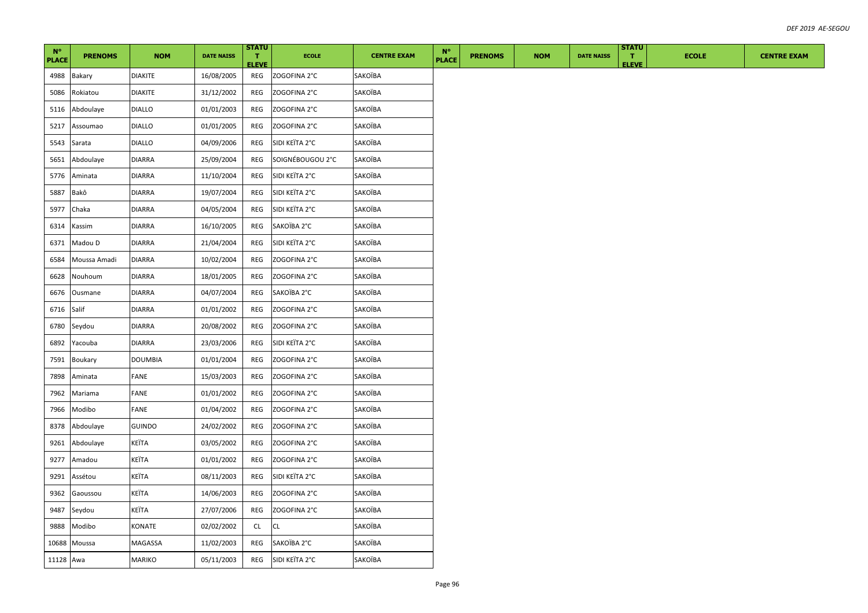| $N^{\circ}$<br><b>PLACE</b> | <b>PRENOMS</b> | <b>NOM</b>     | <b>DATE NAISS</b> | <b>STATU</b><br>T.<br><b>ELEVE</b> | <b>ECOLE</b>     | <b>CENTRE EXAM</b> | $N^{\circ}$<br><b>PLACE</b> | <b>PRENOMS</b> | <b>NOM</b> | <b>DATE NAISS</b> | <b>STATU</b><br>$\mathbf{T}$<br><b>ELEVE</b> | <b>ECOLE</b> | <b>CENTRE EXAM</b> |
|-----------------------------|----------------|----------------|-------------------|------------------------------------|------------------|--------------------|-----------------------------|----------------|------------|-------------------|----------------------------------------------|--------------|--------------------|
| 4988                        | Bakary         | <b>DIAKITE</b> | 16/08/2005        | REG                                | ZOGOFINA 2°C     | SAKOÏBA            |                             |                |            |                   |                                              |              |                    |
| 5086                        | Rokiatou       | <b>DIAKITE</b> | 31/12/2002        | REG                                | ZOGOFINA 2°C     | SAKOÏBA            |                             |                |            |                   |                                              |              |                    |
| 5116                        | Abdoulaye      | <b>DIALLO</b>  | 01/01/2003        | REG                                | ZOGOFINA 2°C     | SAKOÏBA            |                             |                |            |                   |                                              |              |                    |
| 5217                        | Assoumao       | <b>DIALLO</b>  | 01/01/2005        | REG                                | ZOGOFINA 2°C     | SAKOÏBA            |                             |                |            |                   |                                              |              |                    |
| 5543                        | Sarata         | <b>DIALLO</b>  | 04/09/2006        | REG                                | SIDI KEÏTA 2°C   | SAKOÏBA            |                             |                |            |                   |                                              |              |                    |
| 5651                        | Abdoulaye      | <b>DIARRA</b>  | 25/09/2004        | REG                                | SOIGNÉBOUGOU 2°C | SAKOÏBA            |                             |                |            |                   |                                              |              |                    |
| 5776                        | Aminata        | <b>DIARRA</b>  | 11/10/2004        | REG                                | SIDI KEÏTA 2°C   | SAKOÏBA            |                             |                |            |                   |                                              |              |                    |
| 5887                        | Bakô           | <b>DIARRA</b>  | 19/07/2004        | REG                                | SIDI KEÏTA 2°C   | SAKOÏBA            |                             |                |            |                   |                                              |              |                    |
| 5977                        | Chaka          | <b>DIARRA</b>  | 04/05/2004        | REG                                | SIDI KEÏTA 2°C   | SAKOÏBA            |                             |                |            |                   |                                              |              |                    |
| 6314                        | Kassim         | <b>DIARRA</b>  | 16/10/2005        | REG                                | SAKOÏBA 2°C      | SAKOÏBA            |                             |                |            |                   |                                              |              |                    |
| 6371                        | Madou D        | <b>DIARRA</b>  | 21/04/2004        | REG                                | SIDI KEÏTA 2°C   | SAKOÏBA            |                             |                |            |                   |                                              |              |                    |
| 6584                        | Moussa Amadi   | <b>DIARRA</b>  | 10/02/2004        | REG                                | ZOGOFINA 2°C     | SAKOÏBA            |                             |                |            |                   |                                              |              |                    |
| 6628                        | Nouhoum        | <b>DIARRA</b>  | 18/01/2005        | REG                                | ZOGOFINA 2°C     | SAKOÏBA            |                             |                |            |                   |                                              |              |                    |
| 6676                        | Ousmane        | <b>DIARRA</b>  | 04/07/2004        | REG                                | SAKOÏBA 2°C      | SAKOÏBA            |                             |                |            |                   |                                              |              |                    |
| 6716                        | Salif          | <b>DIARRA</b>  | 01/01/2002        | REG                                | ZOGOFINA 2°C     | SAKOÏBA            |                             |                |            |                   |                                              |              |                    |
| 6780                        | Seydou         | <b>DIARRA</b>  | 20/08/2002        | REG                                | ZOGOFINA 2°C     | SAKOÏBA            |                             |                |            |                   |                                              |              |                    |
| 6892                        | Yacouba        | <b>DIARRA</b>  | 23/03/2006        | REG                                | SIDI KEÏTA 2°C   | SAKOÏBA            |                             |                |            |                   |                                              |              |                    |
| 7591                        | <b>Boukary</b> | <b>DOUMBIA</b> | 01/01/2004        | REG                                | ZOGOFINA 2°C     | SAKOÏBA            |                             |                |            |                   |                                              |              |                    |
| 7898                        | Aminata        | FANE           | 15/03/2003        | REG                                | ZOGOFINA 2°C     | SAKOÏBA            |                             |                |            |                   |                                              |              |                    |
| 7962                        | Mariama        | FANE           | 01/01/2002        | REG                                | ZOGOFINA 2°C     | SAKOÏBA            |                             |                |            |                   |                                              |              |                    |
| 7966                        | Modibo         | FANE           | 01/04/2002        | REG                                | ZOGOFINA 2°C     | SAKOÏBA            |                             |                |            |                   |                                              |              |                    |
| 8378                        | Abdoulaye      | <b>GUINDO</b>  | 24/02/2002        | REG                                | ZOGOFINA 2°C     | SAKOÏBA            |                             |                |            |                   |                                              |              |                    |
| 9261                        | Abdoulaye      | KEÏTA          | 03/05/2002        | REG                                | ZOGOFINA 2°C     | SAKOÏBA            |                             |                |            |                   |                                              |              |                    |
| 9277                        | Amadou         | KEÏTA          | 01/01/2002        | REG                                | ZOGOFINA 2°C     | SAKOÏBA            |                             |                |            |                   |                                              |              |                    |
| 9291                        | Assétou        | KEÏTA          | 08/11/2003        | REG                                | SIDI KEÏTA 2°C   | SAKOÏBA            |                             |                |            |                   |                                              |              |                    |
| 9362                        | Gaoussou       | KEÏTA          | 14/06/2003        | REG                                | ZOGOFINA 2°C     | SAKOÏBA            |                             |                |            |                   |                                              |              |                    |
| 9487                        | Seydou         | KEÏTA          | 27/07/2006        | REG                                | ZOGOFINA 2°C     | SAKOÏBA            |                             |                |            |                   |                                              |              |                    |
| 9888                        | Modibo         | KONATE         | 02/02/2002        | CL                                 | <b>CL</b>        | SAKOÏBA            |                             |                |            |                   |                                              |              |                    |
| 10688                       | Moussa         | MAGASSA        | 11/02/2003        | REG                                | SAKOÏBA 2°C      | SAKOÏBA            |                             |                |            |                   |                                              |              |                    |
| 11128 Awa                   |                | <b>MARIKO</b>  | 05/11/2003        | REG                                | SIDI KEÏTA 2°C   | SAKOÏBA            |                             |                |            |                   |                                              |              |                    |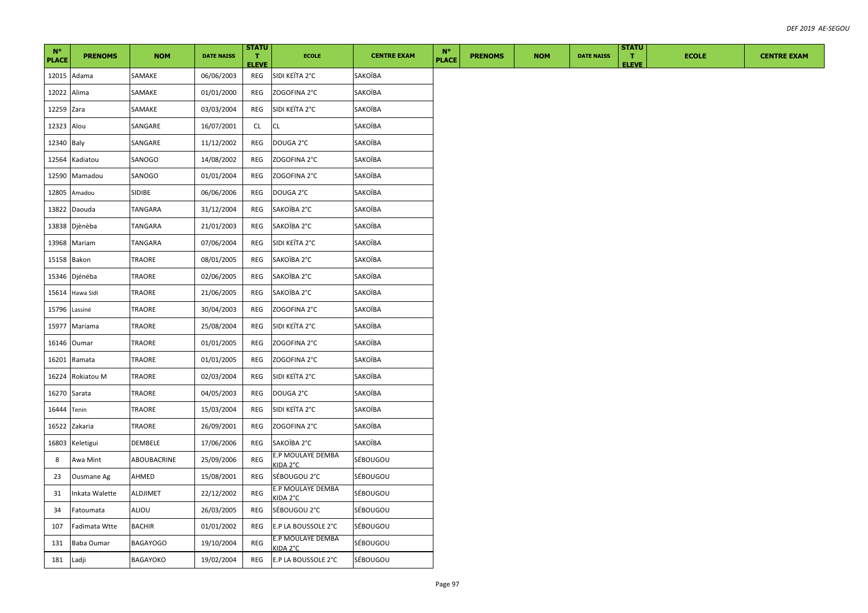| $N^{\circ}$<br><b>PLACE</b> | <b>PRENOMS</b>   | <b>NOM</b>      | <b>DATE NAISS</b> | <b>STATU</b><br>$\mathbf{T}$<br><b>ELEVE</b> | <b>ECOLE</b>                  | <b>CENTRE EXAM</b> | $N^{\circ}$<br><b>PLACE</b> | <b>PRENOMS</b> | <b>NOM</b> | <b>DATE NAISS</b> | <b>STATU</b><br>т.<br><b>ELEVE</b> | <b>ECOLE</b> | <b>CENTRE EXAM</b> |
|-----------------------------|------------------|-----------------|-------------------|----------------------------------------------|-------------------------------|--------------------|-----------------------------|----------------|------------|-------------------|------------------------------------|--------------|--------------------|
|                             | 12015 Adama      | SAMAKE          | 06/06/2003        | REG                                          | SIDI KEÏTA 2°C                | SAKOÏBA            |                             |                |            |                   |                                    |              |                    |
| 12022 Alima                 |                  | SAMAKE          | 01/01/2000        | REG                                          | ZOGOFINA 2°C                  | SAKOÏBA            |                             |                |            |                   |                                    |              |                    |
| 12259 Zara                  |                  | SAMAKE          | 03/03/2004        | REG                                          | SIDI KEÏTA 2°C                | SAKOÏBA            |                             |                |            |                   |                                    |              |                    |
| 12323 Alou                  |                  | SANGARE         | 16/07/2001        | CL.                                          | СL                            | SAKOÏBA            |                             |                |            |                   |                                    |              |                    |
| 12340 Baly                  |                  | SANGARE         | 11/12/2002        | <b>REG</b>                                   | DOUGA 2°C                     | SAKOÏBA            |                             |                |            |                   |                                    |              |                    |
|                             | 12564 Kadiatou   | SANOGO          | 14/08/2002        | REG                                          | ZOGOFINA 2°C                  | SAKOÏBA            |                             |                |            |                   |                                    |              |                    |
|                             | 12590 Mamadou    | SANOGO          | 01/01/2004        | REG                                          | ZOGOFINA 2°C                  | SAKOÏBA            |                             |                |            |                   |                                    |              |                    |
|                             | 12805 Amadou     | SIDIBE          | 06/06/2006        | REG                                          | DOUGA 2°C                     | SAKOÏBA            |                             |                |            |                   |                                    |              |                    |
|                             | 13822 Daouda     | TANGARA         | 31/12/2004        | REG                                          | SAKOÏBA 2°C                   | SAKOÏBA            |                             |                |            |                   |                                    |              |                    |
|                             | 13838 Djènèba    | TANGARA         | 21/01/2003        | REG                                          | SAKOÏBA 2°C                   | SAKOÏBA            |                             |                |            |                   |                                    |              |                    |
|                             | 13968 Mariam     | TANGARA         | 07/06/2004        | REG                                          | SIDI KEÏTA 2°C                | SAKOÏBA            |                             |                |            |                   |                                    |              |                    |
| 15158 Bakon                 |                  | TRAORE          | 08/01/2005        | REG                                          | SAKOÏBA 2°C                   | SAKOÏBA            |                             |                |            |                   |                                    |              |                    |
|                             | 15346 Djénéba    | TRAORE          | 02/06/2005        | REG                                          | SAKOÏBA 2°C                   | SAKOÏBA            |                             |                |            |                   |                                    |              |                    |
|                             | 15614 Hawa Sidi  | TRAORE          | 21/06/2005        | REG                                          | SAKOÏBA 2°C                   | SAKOÏBA            |                             |                |            |                   |                                    |              |                    |
| 15796 Lassiné               |                  | TRAORE          | 30/04/2003        | REG                                          | ZOGOFINA 2°C                  | SAKOÏBA            |                             |                |            |                   |                                    |              |                    |
|                             | 15977 Mariama    | TRAORE          | 25/08/2004        | REG                                          | SIDI KEÏTA 2°C                | SAKOÏBA            |                             |                |            |                   |                                    |              |                    |
|                             | 16146 Oumar      | TRAORE          | 01/01/2005        | REG                                          | ZOGOFINA 2°C                  | SAKOÏBA            |                             |                |            |                   |                                    |              |                    |
|                             | 16201 Ramata     | TRAORE          | 01/01/2005        | REG                                          | ZOGOFINA 2°C                  | SAKOÏBA            |                             |                |            |                   |                                    |              |                    |
|                             | 16224 Rokiatou M | TRAORE          | 02/03/2004        | REG                                          | SIDI KEÏTA 2°C                | SAKOÏBA            |                             |                |            |                   |                                    |              |                    |
| 16270 Sarata                |                  | TRAORE          | 04/05/2003        | REG                                          | DOUGA 2°C                     | SAKOÏBA            |                             |                |            |                   |                                    |              |                    |
| 16444 Tenin                 |                  | TRAORE          | 15/03/2004        | REG                                          | SIDI KEÏTA 2°C                | SAKOÏBA            |                             |                |            |                   |                                    |              |                    |
|                             | 16522 Zakaria    | TRAORE          | 26/09/2001        | REG                                          | ZOGOFINA 2°C                  | SAKOÏBA            |                             |                |            |                   |                                    |              |                    |
|                             | 16803 Keletigui  | DEMBELE         | 17/06/2006        | REG                                          | SAKOÏBA 2°C                   | SAKOÏBA            |                             |                |            |                   |                                    |              |                    |
| 8                           | Awa Mint         | ABOUBACRINE     | 25/09/2006        | REG                                          | E.P MOULAYE DEMBA<br>KIDA 2°C | SÉBOUGOU           |                             |                |            |                   |                                    |              |                    |
| 23                          | Ousmane Ag       | AHMED           | 15/08/2001        | REG                                          | SÉBOUGOU 2°C                  | SÉBOUGOU           |                             |                |            |                   |                                    |              |                    |
| 31                          | Inkata Walette   | ALDJIMET        | 22/12/2002        | REG                                          | E.P MOULAYE DEMBA<br>KIDA 2°C | SÉBOUGOU           |                             |                |            |                   |                                    |              |                    |
| 34                          | Fatoumata        | ALIOU           | 26/03/2005        | REG                                          | SÉBOUGOU 2°C                  | SÉBOUGOU           |                             |                |            |                   |                                    |              |                    |
| 107                         | Fadimata Wtte    | BACHIR          | 01/01/2002        | REG                                          | E.P LA BOUSSOLE 2°C           | SÉBOUGOU           |                             |                |            |                   |                                    |              |                    |
| 131                         | Baba Oumar       | <b>BAGAYOGO</b> | 19/10/2004        | REG                                          | E.P MOULAYE DEMBA<br>KIDA 2°C | SÉBOUGOU           |                             |                |            |                   |                                    |              |                    |
| 181                         | Ladji            | BAGAYOKO        | 19/02/2004        | REG                                          | E.P LA BOUSSOLE 2°C           | SÉBOUGOU           |                             |                |            |                   |                                    |              |                    |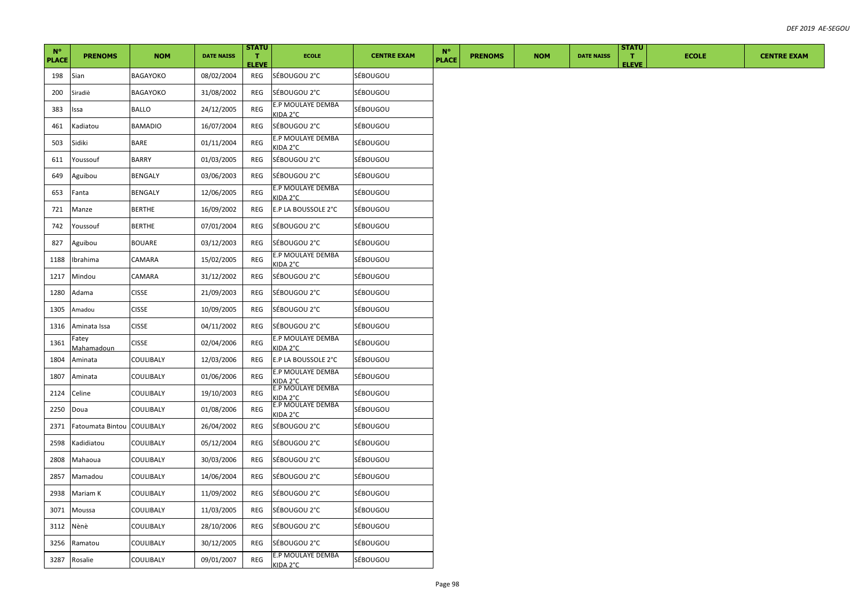| $N^{\circ}$<br><b>PLACE</b> | <b>PRENOMS</b>      | <b>NOM</b>       | <b>DATE NAISS</b> | <b>STATU</b><br>$\mathbf{T}$<br><b>ELEVE</b> | <b>ECOLE</b>                  | <b>CENTRE EXAM</b> | $N^{\circ}$<br><b>PLACE</b> | <b>PRENOMS</b> | <b>NOM</b> | <b>DATE NAISS</b> | <b>STATU</b><br>$\mathbf{T}$<br><b>ELEVE</b> | <b>ECOLE</b> | <b>CENTRE EXAM</b> |
|-----------------------------|---------------------|------------------|-------------------|----------------------------------------------|-------------------------------|--------------------|-----------------------------|----------------|------------|-------------------|----------------------------------------------|--------------|--------------------|
| 198                         | Sian                | BAGAYOKO         | 08/02/2004        | REG                                          | SÉBOUGOU 2°C                  | SÉBOUGOU           |                             |                |            |                   |                                              |              |                    |
| 200                         | Siradiè             | BAGAYOKO         | 31/08/2002        | REG                                          | SÉBOUGOU 2°C                  | SÉBOUGOU           |                             |                |            |                   |                                              |              |                    |
| 383                         | Issa                | <b>BALLO</b>     | 24/12/2005        | REG                                          | E.P MOULAYE DEMBA<br>KIDA 2°C | SÉBOUGOU           |                             |                |            |                   |                                              |              |                    |
| 461                         | Kadiatou            | <b>BAMADIO</b>   | 16/07/2004        | REG                                          | SÉBOUGOU 2°C                  | SÉBOUGOU           |                             |                |            |                   |                                              |              |                    |
| 503                         | Sidiki              | BARE             | 01/11/2004        | REG                                          | E.P MOULAYE DEMBA<br>KIDA 2°C | SÉBOUGOU           |                             |                |            |                   |                                              |              |                    |
| 611                         | Youssouf            | BARRY            | 01/03/2005        | REG                                          | SÉBOUGOU 2°C                  | SÉBOUGOU           |                             |                |            |                   |                                              |              |                    |
| 649                         | Aguibou             | <b>BENGALY</b>   | 03/06/2003        | REG                                          | SÉBOUGOU 2°C                  | SÉBOUGOU           |                             |                |            |                   |                                              |              |                    |
| 653                         | Fanta               | <b>BENGALY</b>   | 12/06/2005        | REG                                          | E.P MOULAYE DEMBA<br>KIDA 2°C | SÉBOUGOU           |                             |                |            |                   |                                              |              |                    |
| 721                         | Manze               | <b>BERTHE</b>    | 16/09/2002        | REG                                          | E.P LA BOUSSOLE 2°C           | SÉBOUGOU           |                             |                |            |                   |                                              |              |                    |
| 742                         | Youssouf            | <b>BERTHE</b>    | 07/01/2004        | REG                                          | SÉBOUGOU 2°C                  | SÉBOUGOU           |                             |                |            |                   |                                              |              |                    |
| 827                         | Aguibou             | <b>BOUARE</b>    | 03/12/2003        | REG                                          | SÉBOUGOU 2°C                  | SÉBOUGOU           |                             |                |            |                   |                                              |              |                    |
| 1188                        | Ibrahima            | CAMARA           | 15/02/2005        | REG                                          | E.P MOULAYE DEMBA<br>KIDA 2°C | SÉBOUGOU           |                             |                |            |                   |                                              |              |                    |
| 1217                        | Mindou              | CAMARA           | 31/12/2002        | REG                                          | SÉBOUGOU 2°C                  | SÉBOUGOU           |                             |                |            |                   |                                              |              |                    |
| 1280                        | Adama               | <b>CISSE</b>     | 21/09/2003        | REG                                          | SÉBOUGOU 2°C                  | SÉBOUGOU           |                             |                |            |                   |                                              |              |                    |
| 1305                        | Amadou              | <b>CISSE</b>     | 10/09/2005        | REG                                          | SÉBOUGOU 2°C                  | SÉBOUGOU           |                             |                |            |                   |                                              |              |                    |
| 1316                        | Aminata Issa        | <b>CISSE</b>     | 04/11/2002        | REG                                          | SÉBOUGOU 2°C                  | SÉBOUGOU           |                             |                |            |                   |                                              |              |                    |
| 1361                        | Fatey<br>Mahamadoun | <b>CISSE</b>     | 02/04/2006        | REG                                          | E.P MOULAYE DEMBA<br>KIDA 2°C | SÉBOUGOU           |                             |                |            |                   |                                              |              |                    |
| 1804                        | Aminata             | COULIBALY        | 12/03/2006        | REG                                          | E.P LA BOUSSOLE 2°C           | <b>SÉBOUGOU</b>    |                             |                |            |                   |                                              |              |                    |
| 1807                        | Aminata             | COULIBALY        | 01/06/2006        | REG                                          | E.P MOULAYE DEMBA<br>KIDA 2°C | SÉBOUGOU           |                             |                |            |                   |                                              |              |                    |
| 2124                        | Celine              | COULIBALY        | 19/10/2003        | REG                                          | E.P MOULAYE DEMBA<br>KIDA 2°C | SÉBOUGOU           |                             |                |            |                   |                                              |              |                    |
| 2250                        | Doua                | COULIBALY        | 01/08/2006        | REG                                          | E.P MOULAYE DEMBA<br>KIDA 2°C | SÉBOUGOU           |                             |                |            |                   |                                              |              |                    |
| 2371                        | Fatoumata Bintou    | <b>COULIBALY</b> | 26/04/2002        | REG                                          | SÉBOUGOU 2°C                  | SÉBOUGOU           |                             |                |            |                   |                                              |              |                    |
| 2598                        | Kadidiatou          | COULIBALY        | 05/12/2004        | REG                                          | SÉBOUGOU 2°C                  | <b>SÉBOUGOU</b>    |                             |                |            |                   |                                              |              |                    |
| 2808                        | Mahaoua             | COULIBALY        | 30/03/2006        | REG                                          | SÉBOUGOU 2°C                  | SÉBOUGOU           |                             |                |            |                   |                                              |              |                    |
| 2857                        | Mamadou             | COULIBALY        | 14/06/2004        | REG                                          | SÉBOUGOU 2°C                  | SÉBOUGOU           |                             |                |            |                   |                                              |              |                    |
| 2938                        | Mariam K            | COULIBALY        | 11/09/2002        | REG                                          | SÉBOUGOU 2°C                  | SÉBOUGOU           |                             |                |            |                   |                                              |              |                    |
| 3071                        | Moussa              | COULIBALY        | 11/03/2005        | REG                                          | SÉBOUGOU 2°C                  | SÉBOUGOU           |                             |                |            |                   |                                              |              |                    |
| 3112                        | Nènè                | COULIBALY        | 28/10/2006        | REG                                          | SÉBOUGOU 2°C                  | SÉBOUGOU           |                             |                |            |                   |                                              |              |                    |
| 3256                        | Ramatou             | COULIBALY        | 30/12/2005        | REG                                          | SÉBOUGOU 2°C                  | SÉBOUGOU           |                             |                |            |                   |                                              |              |                    |
| 3287                        | Rosalie             | COULIBALY        | 09/01/2007        | REG                                          | E.P MOULAYE DEMBA<br>KIDA 2°C | SÉBOUGOU           |                             |                |            |                   |                                              |              |                    |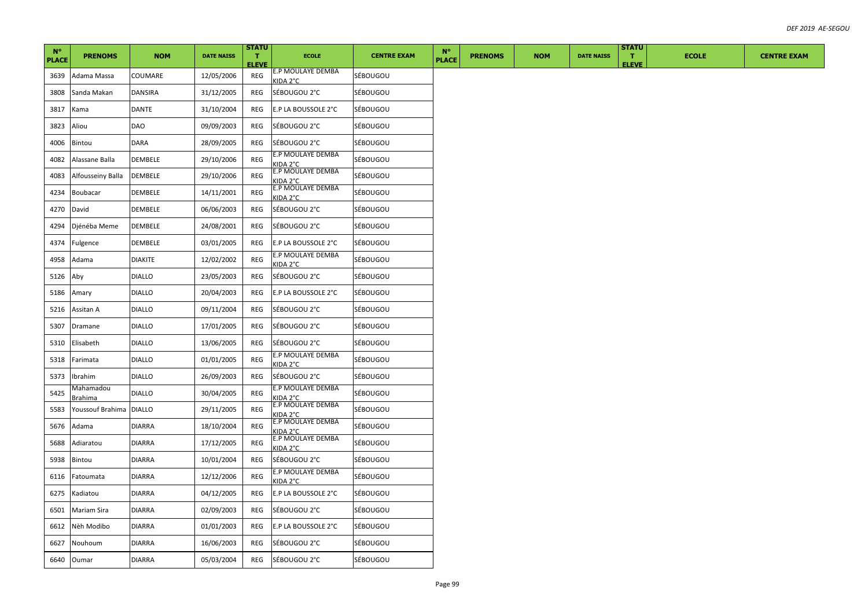| $N^{\circ}$<br><b>PLACE</b> | <b>PRENOMS</b>              | <b>NOM</b>     | <b>DATE NAISS</b> | <b>STATU</b><br>$\mathbf{T}$ | <b>ECOLE</b>                         | <b>CENTRE EXAM</b> | $N^{\circ}$<br><b>PLACE</b> | <b>PRENOMS</b> | <b>NOM</b> | <b>DATE NAISS</b> | <b>STATU</b><br>$\mathbf{T}$ | <b>ECOLE</b> | <b>CENTRE EXAM</b> |
|-----------------------------|-----------------------------|----------------|-------------------|------------------------------|--------------------------------------|--------------------|-----------------------------|----------------|------------|-------------------|------------------------------|--------------|--------------------|
|                             |                             |                |                   | <b>ELEVE</b>                 | E.P MOULAYE DEMBA                    | SÉBOUGOU           |                             |                |            |                   | <b>ELEVE</b>                 |              |                    |
| 3639                        | Adama Massa                 | COUMARE        | 12/05/2006        | REG                          | KIDA 2°C                             |                    |                             |                |            |                   |                              |              |                    |
| 3808                        | Sanda Makan                 | DANSIRA        | 31/12/2005        | REG                          | SÉBOUGOU 2°C                         | SÉBOUGOU           |                             |                |            |                   |                              |              |                    |
| 3817                        | Kama                        | DANTE          | 31/10/2004        | REG                          | E.P LA BOUSSOLE 2°C                  | SÉBOUGOU           |                             |                |            |                   |                              |              |                    |
| 3823                        | Aliou                       | DAO            | 09/09/2003        | REG                          | SÉBOUGOU 2°C                         | SÉBOUGOU           |                             |                |            |                   |                              |              |                    |
| 4006                        | Bintou                      | DARA           | 28/09/2005        | REG                          | SÉBOUGOU 2°C                         | SÉBOUGOU           |                             |                |            |                   |                              |              |                    |
| 4082                        | Alassane Balla              | DEMBELE        | 29/10/2006        | REG                          | E.P MOULAYE DEMBA<br>KIDA 2°C        | SÉBOUGOU           |                             |                |            |                   |                              |              |                    |
| 4083                        | Alfousseiny Balla           | DEMBELE        | 29/10/2006        | REG                          | E.P MOULAYE DEMBA<br>KIDA 2°C        | SÉBOUGOU           |                             |                |            |                   |                              |              |                    |
| 4234                        | Boubacar                    | DEMBELE        | 14/11/2001        | REG                          | E.P MOULAYE DEMBA<br>KIDA 2°C        | SÉBOUGOU           |                             |                |            |                   |                              |              |                    |
| 4270                        | David                       | DEMBELE        | 06/06/2003        | REG                          | SÉBOUGOU 2°C                         | SÉBOUGOU           |                             |                |            |                   |                              |              |                    |
| 4294                        | Djénéba Meme                | DEMBELE        | 24/08/2001        | REG                          | SÉBOUGOU 2°C                         | SÉBOUGOU           |                             |                |            |                   |                              |              |                    |
| 4374                        | Fulgence                    | DEMBELE        | 03/01/2005        | REG                          | E.P LA BOUSSOLE 2°C                  | SÉBOUGOU           |                             |                |            |                   |                              |              |                    |
| 4958                        | Adama                       | <b>DIAKITE</b> | 12/02/2002        | <b>REG</b>                   | E.P MOULAYE DEMBA<br>KIDA 2°C        | SÉBOUGOU           |                             |                |            |                   |                              |              |                    |
| 5126                        | Aby                         | <b>DIALLO</b>  | 23/05/2003        | REG                          | SÉBOUGOU 2°C                         | SÉBOUGOU           |                             |                |            |                   |                              |              |                    |
| 5186                        | Amary                       | <b>DIALLO</b>  | 20/04/2003        | REG                          | E.P LA BOUSSOLE 2°C                  | SÉBOUGOU           |                             |                |            |                   |                              |              |                    |
| 5216                        | Assitan A                   | <b>DIALLO</b>  | 09/11/2004        | REG                          | SÉBOUGOU 2°C                         | SÉBOUGOU           |                             |                |            |                   |                              |              |                    |
| 5307                        | Dramane                     | <b>DIALLO</b>  | 17/01/2005        | REG                          | SÉBOUGOU 2°C                         | SÉBOUGOU           |                             |                |            |                   |                              |              |                    |
| 5310                        | Elisabeth                   | <b>DIALLO</b>  | 13/06/2005        | REG                          | SÉBOUGOU 2°C                         | SÉBOUGOU           |                             |                |            |                   |                              |              |                    |
| 5318                        | Farimata                    | <b>DIALLO</b>  | 01/01/2005        | REG                          | E.P MOULAYE DEMBA<br>KIDA 2°C        | SÉBOUGOU           |                             |                |            |                   |                              |              |                    |
| 5373                        | Ibrahim                     | <b>DIALLO</b>  | 26/09/2003        | REG                          | SÉBOUGOU 2°C                         | SÉBOUGOU           |                             |                |            |                   |                              |              |                    |
| 5425                        | Mahamadou<br><u>Brahima</u> | <b>DIALLO</b>  | 30/04/2005        | REG                          | E.P MOULAYE DEMBA<br>KIDA 2°C        | SÉBOUGOU           |                             |                |            |                   |                              |              |                    |
| 5583                        | Youssouf Brahima            | <b>DIALLO</b>  | 29/11/2005        | REG                          | E.P MOULAYE DEMBA<br>KIDA 2°C        | SÉBOUGOU           |                             |                |            |                   |                              |              |                    |
| 5676                        | Adama                       | <b>DIARRA</b>  | 18/10/2004        | REG                          | E.P MOULAYE DEMBA<br>KIDA 2°C        | SÉBOUGOU           |                             |                |            |                   |                              |              |                    |
| 5688                        | Adiaratou                   | <b>DIARRA</b>  | 17/12/2005        | REG                          | E.P MOULAYE DEMBA<br><b>KIDA 2°C</b> | SÉBOUGOU           |                             |                |            |                   |                              |              |                    |
| 5938                        | <b>Bintou</b>               | DIARRA         | 10/01/2004        | REG                          | SÉBOUGOU 2°C                         | <b>SÉBOUGOU</b>    |                             |                |            |                   |                              |              |                    |
| 6116                        | Fatoumata                   | <b>DIARRA</b>  | 12/12/2006        | <b>REG</b>                   | E.P MOULAYE DEMBA<br>KIDA 2°C        | SÉBOUGOU           |                             |                |            |                   |                              |              |                    |
| 6275                        | Kadiatou                    | DIARRA         | 04/12/2005        | REG                          | E.P LA BOUSSOLE 2°C                  | SÉBOUGOU           |                             |                |            |                   |                              |              |                    |
| 6501                        | Mariam Sira                 | DIARRA         | 02/09/2003        | REG                          | SÉBOUGOU 2°C                         | SÉBOUGOU           |                             |                |            |                   |                              |              |                    |
| 6612                        | Nèh Modibo                  | <b>DIARRA</b>  | 01/01/2003        | REG                          | E.P LA BOUSSOLE 2°C                  | SÉBOUGOU           |                             |                |            |                   |                              |              |                    |
| 6627                        | Nouhoum                     | <b>DIARRA</b>  | 16/06/2003        | REG                          | SÉBOUGOU 2°C                         | SÉBOUGOU           |                             |                |            |                   |                              |              |                    |
| 6640                        | Oumar                       | <b>DIARRA</b>  | 05/03/2004        | REG                          | SÉBOUGOU 2°C                         | <b>SÉBOUGOU</b>    |                             |                |            |                   |                              |              |                    |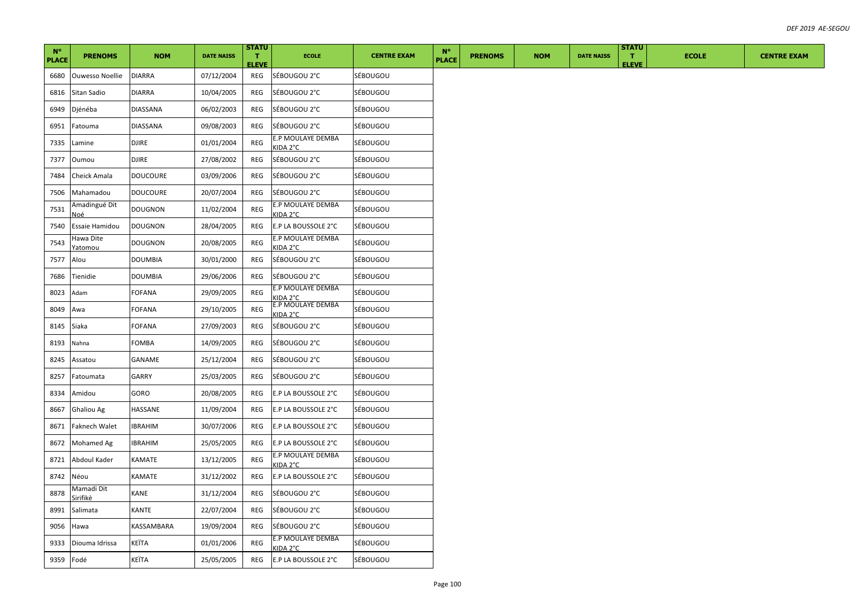| $N^{\circ}$<br><b>PLACE</b> | <b>PRENOMS</b>         | <b>NOM</b>                                                                                                                                                                  | <b>DATE NAISS</b> | <b>STATU</b><br>T.<br><b>ELEVE</b> | <b>ECOLE</b>                  | <b>CENTRE EXAM</b> | $N^{\circ}$<br><b>PLACE</b> | <b>PRENOMS</b> | <b>NOM</b> | <b>DATE NAISS</b> | <b>STATU</b><br>$\mathbf{T}$<br><b>ELEVE</b> | <b>ECOLE</b> | <b>CENTRE EXAM</b> |
|-----------------------------|------------------------|-----------------------------------------------------------------------------------------------------------------------------------------------------------------------------|-------------------|------------------------------------|-------------------------------|--------------------|-----------------------------|----------------|------------|-------------------|----------------------------------------------|--------------|--------------------|
| 6680                        | <b>Ouwesso Noellie</b> | <b>DIARRA</b>                                                                                                                                                               | 07/12/2004        | REG                                | SÉBOUGOU 2°C                  | SÉBOUGOU           |                             |                |            |                   |                                              |              |                    |
| 6816                        | Sitan Sadio            | <b>DIARRA</b>                                                                                                                                                               | 10/04/2005        | REG                                | SÉBOUGOU 2°C                  | SÉBOUGOU           |                             |                |            |                   |                                              |              |                    |
| 6949                        | Djénéba                | DIASSANA                                                                                                                                                                    | 06/02/2003        | REG                                | SÉBOUGOU 2°C                  | SÉBOUGOU           |                             |                |            |                   |                                              |              |                    |
| 6951                        | Fatouma                | <b>DIASSANA</b>                                                                                                                                                             | 09/08/2003        | REG                                | SÉBOUGOU 2°C                  | SÉBOUGOU           |                             |                |            |                   |                                              |              |                    |
| 7335                        | Lamine                 | DJIRE                                                                                                                                                                       | 01/01/2004        | REG                                | E.P MOULAYE DEMBA<br>KIDA 2°C | SÉBOUGOU           |                             |                |            |                   |                                              |              |                    |
| 7377                        | Oumou                  | <b>DJIRE</b>                                                                                                                                                                | 27/08/2002        | REG                                | SÉBOUGOU 2°C                  | SÉBOUGOU           |                             |                |            |                   |                                              |              |                    |
| 7484                        | Cheick Amala           | <b>DOUCOURE</b>                                                                                                                                                             | 03/09/2006        | REG                                | SÉBOUGOU 2°C                  | SÉBOUGOU           |                             |                |            |                   |                                              |              |                    |
| 7506                        | Mahamadou              | DOUCOURE                                                                                                                                                                    | 20/07/2004        | REG                                | SÉBOUGOU 2°C                  | SÉBOUGOU           |                             |                |            |                   |                                              |              |                    |
| 7531                        | Amadingué Dit<br>٧oé   | <b>DOUGNON</b>                                                                                                                                                              | 11/02/2004        | REG                                | E.P MOULAYE DEMBA<br>KIDA 2°C | SÉBOUGOU           |                             |                |            |                   |                                              |              |                    |
| 7540                        | Essaie Hamidou         | <b>DOUGNON</b>                                                                                                                                                              | 28/04/2005        | REG                                | E.P LA BOUSSOLE 2°C           | SÉBOUGOU           |                             |                |            |                   |                                              |              |                    |
| 7543                        | Hawa Dite<br>Yatomou   | <b>DOUGNON</b>                                                                                                                                                              | 20/08/2005        | REG                                | E.P MOULAYE DEMBA<br>KIDA 2°C | SÉBOUGOU           |                             |                |            |                   |                                              |              |                    |
| 7577                        | Alou                   | <b>DOUMBIA</b>                                                                                                                                                              | 30/01/2000        | REG                                | SÉBOUGOU 2°C                  | SÉBOUGOU           |                             |                |            |                   |                                              |              |                    |
| 7686                        | Tienidie               | <b>DOUMBIA</b>                                                                                                                                                              | 29/06/2006        | REG                                | SÉBOUGOU 2°C                  | SÉBOUGOU           |                             |                |            |                   |                                              |              |                    |
| 8023                        | Adam                   | <b>FOFANA</b>                                                                                                                                                               | 29/09/2005        | REG                                | E.P MOULAYE DEMBA<br>KIDA 2°C | SÉBOUGOU           |                             |                |            |                   |                                              |              |                    |
| 8049                        | Awa                    | FOFANA                                                                                                                                                                      | 29/10/2005        | REG                                | E.P MOULAYE DEMBA<br>KIDA 2°C | SÉBOUGOU           |                             |                |            |                   |                                              |              |                    |
| 8145                        | Siaka                  | FOFANA                                                                                                                                                                      | 27/09/2003        | REG                                | SÉBOUGOU 2°C                  | SÉBOUGOU           |                             |                |            |                   |                                              |              |                    |
| 8193                        | Nahna                  | <b>FOMBA</b>                                                                                                                                                                | 14/09/2005        | REG                                | SÉBOUGOU 2°C                  | SÉBOUGOU           |                             |                |            |                   |                                              |              |                    |
| 8245                        | Assatou                | GANAME                                                                                                                                                                      | 25/12/2004        | REG                                | SÉBOUGOU 2°C                  | SÉBOUGOU           |                             |                |            |                   |                                              |              |                    |
| 8257                        | Fatoumata              | <b>GARRY</b>                                                                                                                                                                | 25/03/2005        | REG                                | SÉBOUGOU 2°C                  | SÉBOUGOU           |                             |                |            |                   |                                              |              |                    |
| 8334                        | Amidou                 | GORO                                                                                                                                                                        | 20/08/2005        | REG                                | E.P LA BOUSSOLE 2°C           | SÉBOUGOU           |                             |                |            |                   |                                              |              |                    |
| 8667                        | <b>Ghaliou Ag</b>      | HASSANE                                                                                                                                                                     | 11/09/2004        | REG                                | E.P LA BOUSSOLE 2°C           | SÉBOUGOU           |                             |                |            |                   |                                              |              |                    |
| 8671                        | <b>Faknech Walet</b>   | <b>IBRAHIM</b>                                                                                                                                                              | 30/07/2006        | REG                                | E.P LA BOUSSOLE 2°C           | SÉBOUGOU           |                             |                |            |                   |                                              |              |                    |
| 8672                        | <b>Mohamed Ag</b>      | IBRAHIM                                                                                                                                                                     | 25/05/2005        | REG                                | E.P LA BOUSSOLE 2°C           | SÉBOUGOU           |                             |                |            |                   |                                              |              |                    |
| 8721                        | Abdoul Kader           | KAMATE                                                                                                                                                                      | 13/12/2005        | REG                                | E.P MOULAYE DEMBA<br>KIDA 2°C | SÉBOUGOU           |                             |                |            |                   |                                              |              |                    |
| 8742                        | Néou                   | KAMATE                                                                                                                                                                      | 31/12/2002        | REG                                | E.P LA BOUSSOLE 2°C           | SÉBOUGOU           |                             |                |            |                   |                                              |              |                    |
| 8878                        | Mamadi Dit<br>Sirifikè | KANE                                                                                                                                                                        | 31/12/2004        | REG                                | SÉBOUGOU 2°C                  | SÉBOUGOU           |                             |                |            |                   |                                              |              |                    |
| 8991                        | Salimata               | KANTE                                                                                                                                                                       | 22/07/2004        | REG                                | SÉBOUGOU 2°C                  | SÉBOUGOU           |                             |                |            |                   |                                              |              |                    |
| 9056                        | Hawa                   | KASSAMBARA                                                                                                                                                                  | 19/09/2004        | REG                                | SÉBOUGOU 2°C                  | SÉBOUGOU           |                             |                |            |                   |                                              |              |                    |
| 9333                        | Diouma Idrissa         | <eïta< td=""><td>01/01/2006</td><td>REG</td><td>E.P MOULAYE DEMBA<br/>KIDA 2°C</td><td>SÉBOUGOU</td><td></td><td></td><td></td><td></td><td></td><td></td><td></td></eïta<> | 01/01/2006        | REG                                | E.P MOULAYE DEMBA<br>KIDA 2°C | SÉBOUGOU           |                             |                |            |                   |                                              |              |                    |
| 9359                        | Fodé                   | KEÏTA                                                                                                                                                                       | 25/05/2005        | REG                                | E.P LA BOUSSOLE 2°C           | SÉBOUGOU           |                             |                |            |                   |                                              |              |                    |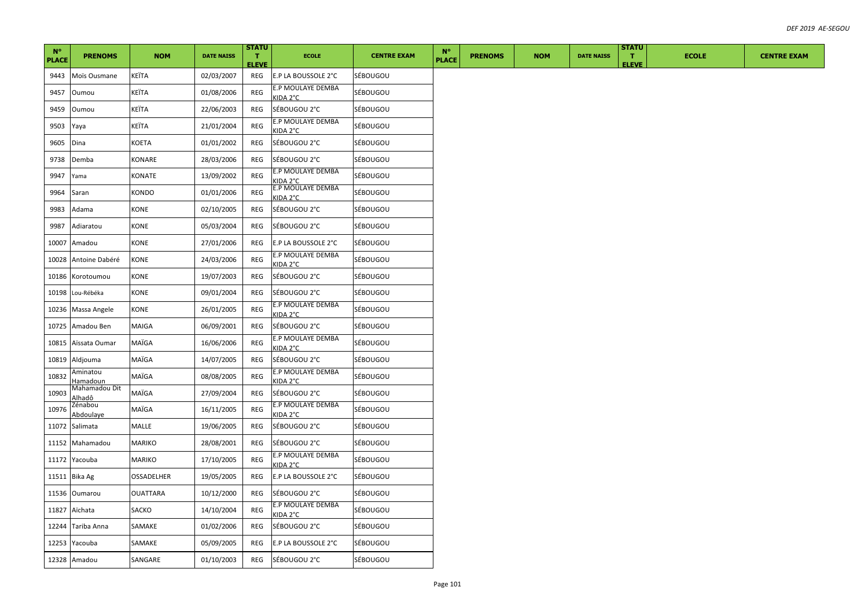| $N^{\circ}$<br><b>PLACE</b> | <b>PRENOMS</b>              | <b>NOM</b>      | <b>DATE NAISS</b> | <b>STATU</b><br>T.<br><b>ELEVE</b> | <b>ECOLE</b>                  | <b>CENTRE EXAM</b> | $N^{\circ}$<br><b>PLACE</b> | <b>PRENOMS</b> | <b>NOM</b> | <b>DATE NAISS</b> | <b>STATU</b><br>$\mathbf{T}$<br><b>ELEVE</b> | <b>ECOLE</b> | <b>CENTRE EXAM</b> |
|-----------------------------|-----------------------------|-----------------|-------------------|------------------------------------|-------------------------------|--------------------|-----------------------------|----------------|------------|-------------------|----------------------------------------------|--------------|--------------------|
| 9443                        | Moïs Ousmane                | KEÏTA           | 02/03/2007        | REG                                | E.P LA BOUSSOLE 2°C           | SÉBOUGOU           |                             |                |            |                   |                                              |              |                    |
| 9457                        | Oumou                       | KEÏTA           | 01/08/2006        | REG                                | E.P MOULAYE DEMBA<br>KIDA 2°C | SÉBOUGOU           |                             |                |            |                   |                                              |              |                    |
| 9459                        | Oumou                       | KEÏTA           | 22/06/2003        | REG                                | SÉBOUGOU 2°C                  | SÉBOUGOU           |                             |                |            |                   |                                              |              |                    |
| 9503                        | Yaya                        | KEÏTA           | 21/01/2004        | REG                                | E.P MOULAYE DEMBA<br>KIDA 2°C | SÉBOUGOU           |                             |                |            |                   |                                              |              |                    |
| 9605                        | Dina                        | KOETA           | 01/01/2002        | REG                                | SÉBOUGOU 2°C                  | SÉBOUGOU           |                             |                |            |                   |                                              |              |                    |
| 9738                        | Demba                       | KONARE          | 28/03/2006        | REG                                | SÉBOUGOU 2°C                  | SÉBOUGOU           |                             |                |            |                   |                                              |              |                    |
| 9947                        | Yama                        | KONATE          | 13/09/2002        | REG                                | E.P MOULAYE DEMBA<br>KIDA 2°C | SÉBOUGOU           |                             |                |            |                   |                                              |              |                    |
| 9964                        | Saran                       | KONDO           | 01/01/2006        | REG                                | E.P MOULAYE DEMBA<br>KIDA 2°C | SÉBOUGOU           |                             |                |            |                   |                                              |              |                    |
| 9983                        | Adama                       | KONE            | 02/10/2005        | REG                                | SÉBOUGOU 2°C                  | SÉBOUGOU           |                             |                |            |                   |                                              |              |                    |
| 9987                        | Adiaratou                   | KONE            | 05/03/2004        | REG                                | SÉBOUGOU 2°C                  | SÉBOUGOU           |                             |                |            |                   |                                              |              |                    |
| 10007                       | Amadou                      | KONE            | 27/01/2006        | REG                                | E.P LA BOUSSOLE 2°C           | SÉBOUGOU           |                             |                |            |                   |                                              |              |                    |
| 10028                       | Antoine Dabéré              | <b>CONE</b>     | 24/03/2006        | REG                                | E.P MOULAYE DEMBA<br>KIDA 2°C | SÉBOUGOU           |                             |                |            |                   |                                              |              |                    |
| 10186                       | Korotoumou                  | KONE            | 19/07/2003        | REG                                | SÉBOUGOU 2°C                  | SÉBOUGOU           |                             |                |            |                   |                                              |              |                    |
| 10198                       | Lou-Rébéka                  | KONE            | 09/01/2004        | REG                                | SÉBOUGOU 2°C                  | <b>SÉBOUGOU</b>    |                             |                |            |                   |                                              |              |                    |
| 10236                       | Massa Angele                | KONE            | 26/01/2005        | REG                                | E.P MOULAYE DEMBA<br>KIDA 2°C | SÉBOUGOU           |                             |                |            |                   |                                              |              |                    |
| 10725                       | Amadou Ben                  | MAIGA           | 06/09/2001        | REG                                | SÉBOUGOU 2°C                  | SÉBOUGOU           |                             |                |            |                   |                                              |              |                    |
| 10815                       | Aïssata Oumar               | MAÏGA           | 16/06/2006        | <b>REG</b>                         | E.P MOULAYE DEMBA<br>KIDA 2°C | SÉBOUGOU           |                             |                |            |                   |                                              |              |                    |
| 10819                       | Aldjouma                    | MAÏGA           | 14/07/2005        | REG                                | SÉBOUGOU 2°C                  | SÉBOUGOU           |                             |                |            |                   |                                              |              |                    |
| 10832                       | Aminatou<br><u>Iamadoun</u> | MAÏGA           | 08/08/2005        | REG                                | E.P MOULAYE DEMBA<br>KIDA 2°C | SÉBOUGOU           |                             |                |            |                   |                                              |              |                    |
| 10903                       | Mahamadou Dit<br>lhadô      | MAÏGA           | 27/09/2004        | REG                                | SÉBOUGOU 2°C                  | SÉBOUGOU           |                             |                |            |                   |                                              |              |                    |
| 10976                       | Zénabou<br>Abdoulaye        | MAÏGA           | 16/11/2005        | REG                                | E.P MOULAYE DEMBA<br>KIDA 2°C | SÉBOUGOU           |                             |                |            |                   |                                              |              |                    |
| 11072                       | Salimata                    | MALLE           | 19/06/2005        | REG                                | SÉBOUGOU 2°C                  | SÉBOUGOU           |                             |                |            |                   |                                              |              |                    |
| 11152                       | Mahamadou                   | MARIKO          | 28/08/2001        | REG                                | SÉBOUGOU 2°C                  | SÉBOUGOU           |                             |                |            |                   |                                              |              |                    |
|                             | 11172 Yacouba               | MARIKO          | 17/10/2005        | REG                                | E.P MOULAYE DEMBA<br>KIDA 2°C | SÉBOUGOU           |                             |                |            |                   |                                              |              |                    |
| 11511                       | Bika Ag                     | OSSADELHER      | 19/05/2005        | REG                                | E.P LA BOUSSOLE 2°C           | SÉBOUGOU           |                             |                |            |                   |                                              |              |                    |
| 11536                       | Oumarou                     | <b>OUATTARA</b> | 10/12/2000        | REG                                | SÉBOUGOU 2°C                  | SÉBOUGOU           |                             |                |            |                   |                                              |              |                    |
| 11827                       | Aïchata                     | SACKO           | 14/10/2004        | REG                                | E.P MOULAYE DEMBA<br>KIDA 2°C | SÉBOUGOU           |                             |                |            |                   |                                              |              |                    |
|                             | 12244 Tariba Anna           | SAMAKE          | 01/02/2006        | REG                                | SÉBOUGOU 2°C                  | SÉBOUGOU           |                             |                |            |                   |                                              |              |                    |
|                             | 12253 Yacouba               | SAMAKE          | 05/09/2005        | REG                                | E.P LA BOUSSOLE 2°C           | SÉBOUGOU           |                             |                |            |                   |                                              |              |                    |
|                             | 12328 Amadou                | SANGARE         | 01/10/2003        | REG                                | SÉBOUGOU 2°C                  | SÉBOUGOU           |                             |                |            |                   |                                              |              |                    |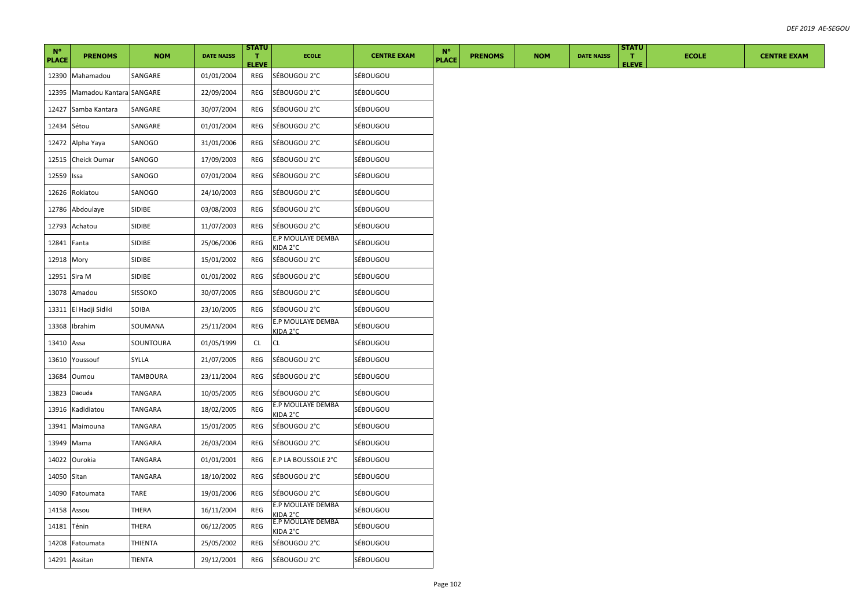| $N^{\circ}$<br><b>PLACE</b> | <b>PRENOMS</b>          | <b>NOM</b>     | <b>DATE NAISS</b> | <b>STATU</b><br>T.<br><b>ELEVE</b> | <b>ECOLE</b>                         | <b>CENTRE EXAM</b> | $N^{\circ}$<br><b>PLACE</b> | <b>PRENOMS</b> | <b>NOM</b> | <b>DATE NAISS</b> | <b>STATU</b><br>T.<br><b>ELEVE</b> | <b>ECOLE</b> | <b>CENTRE EXAM</b> |
|-----------------------------|-------------------------|----------------|-------------------|------------------------------------|--------------------------------------|--------------------|-----------------------------|----------------|------------|-------------------|------------------------------------|--------------|--------------------|
| 12390                       | Mahamadou               | SANGARE        | 01/01/2004        | REG                                | SÉBOUGOU 2°C                         | SÉBOUGOU           |                             |                |            |                   |                                    |              |                    |
| 12395                       | Mamadou Kantara SANGARE |                | 22/09/2004        | REG                                | SÉBOUGOU 2°C                         | SÉBOUGOU           |                             |                |            |                   |                                    |              |                    |
| 12427                       | Samba Kantara           | SANGARE        | 30/07/2004        | REG                                | SÉBOUGOU 2°C                         | SÉBOUGOU           |                             |                |            |                   |                                    |              |                    |
| 12434 Sétou                 |                         | SANGARE        | 01/01/2004        | REG                                | SÉBOUGOU 2°C                         | SÉBOUGOU           |                             |                |            |                   |                                    |              |                    |
| 12472                       | Alpha Yaya              | SANOGO         | 31/01/2006        | REG                                | SÉBOUGOU 2°C                         | SÉBOUGOU           |                             |                |            |                   |                                    |              |                    |
| 12515                       | Cheick Oumar            | SANOGO         | 17/09/2003        | REG                                | SÉBOUGOU 2°C                         | SÉBOUGOU           |                             |                |            |                   |                                    |              |                    |
| 12559                       | Issa                    | SANOGO         | 07/01/2004        | REG                                | SÉBOUGOU 2°C                         | SÉBOUGOU           |                             |                |            |                   |                                    |              |                    |
| 12626                       | Rokiatou                | SANOGO         | 24/10/2003        | REG                                | SÉBOUGOU 2°C                         | SÉBOUGOU           |                             |                |            |                   |                                    |              |                    |
| 12786                       | Abdoulaye               | SIDIBE         | 03/08/2003        | REG                                | SÉBOUGOU 2°C                         | SÉBOUGOU           |                             |                |            |                   |                                    |              |                    |
| 12793                       | Achatou                 | SIDIBE         | 11/07/2003        | REG                                | SÉBOUGOU 2°C                         | SÉBOUGOU           |                             |                |            |                   |                                    |              |                    |
| 12841                       | Fanta                   | SIDIBE         | 25/06/2006        | REG                                | E.P MOULAYE DEMBA<br>KIDA 2°C        | SÉBOUGOU           |                             |                |            |                   |                                    |              |                    |
| 12918                       | Mory                    | SIDIBE         | 15/01/2002        | REG                                | SÉBOUGOU 2°C                         | SÉBOUGOU           |                             |                |            |                   |                                    |              |                    |
|                             | 12951 Sira M            | SIDIBE         | 01/01/2002        | REG                                | SÉBOUGOU 2°C                         | SÉBOUGOU           |                             |                |            |                   |                                    |              |                    |
| 13078                       | Amadou                  | <b>SISSOKO</b> | 30/07/2005        | REG                                | SÉBOUGOU 2°C                         | SÉBOUGOU           |                             |                |            |                   |                                    |              |                    |
| 13311                       | El Hadji Sidiki         | SOIBA          | 23/10/2005        | REG                                | SÉBOUGOU 2°C                         | SÉBOUGOU           |                             |                |            |                   |                                    |              |                    |
| 13368                       | Ibrahim                 | SOUMANA        | 25/11/2004        | REG                                | E.P MOULAYE DEMBA<br>KIDA 2°C        | SÉBOUGOU           |                             |                |            |                   |                                    |              |                    |
| 13410                       | Assa                    | SOUNTOURA      | 01/05/1999        | CL                                 | CL                                   | SÉBOUGOU           |                             |                |            |                   |                                    |              |                    |
| 13610                       | Youssouf                | SYLLA          | 21/07/2005        | REG                                | SÉBOUGOU 2°C                         | SÉBOUGOU           |                             |                |            |                   |                                    |              |                    |
| 13684                       | Oumou                   | TAMBOURA       | 23/11/2004        | REG                                | SÉBOUGOU 2°C                         | SÉBOUGOU           |                             |                |            |                   |                                    |              |                    |
| 13823                       | Daouda                  | TANGARA        | 10/05/2005        | REG                                | SÉBOUGOU 2°C                         | SÉBOUGOU           |                             |                |            |                   |                                    |              |                    |
| 13916                       | Kadidiatou              | TANGARA        | 18/02/2005        | REG                                | E.P MOULAYE DEMBA<br>KIDA 2°C        | SÉBOUGOU           |                             |                |            |                   |                                    |              |                    |
| 13941                       | Maimouna                | TANGARA        | 15/01/2005        | REG                                | SÉBOUGOU 2°C                         | SÉBOUGOU           |                             |                |            |                   |                                    |              |                    |
| 13949                       | Mama                    | TANGARA        | 26/03/2004        | REG                                | SÉBOUGOU 2°C                         | SÉBOUGOU           |                             |                |            |                   |                                    |              |                    |
| 14022                       | Ourokia                 | TANGARA        | 01/01/2001        | REG                                | E.P LA BOUSSOLE 2°C                  | SÉBOUGOU           |                             |                |            |                   |                                    |              |                    |
| 14050 Sitan                 |                         | TANGARA        | 18/10/2002        | REG                                | SÉBOUGOU 2°C                         | SÉBOUGOU           |                             |                |            |                   |                                    |              |                    |
| 14090                       | Fatoumata               | TARE           | 19/01/2006        | REG                                | SÉBOUGOU 2°C                         | SÉBOUGOU           |                             |                |            |                   |                                    |              |                    |
| 14158                       | Assou                   | THERA          | 16/11/2004        | REG                                | E.P MOULAYE DEMBA<br>KIDA 2°C        | SÉBOUGOU           |                             |                |            |                   |                                    |              |                    |
| 14181                       | Ténin                   | THERA          | 06/12/2005        | REG                                | E.P MOULAYE DEMBA<br><b>KIDA 2°C</b> | SÉBOUGOU           |                             |                |            |                   |                                    |              |                    |
| 14208                       | Fatoumata               | THIENTA        | 25/05/2002        | REG                                | SÉBOUGOU 2°C                         | SÉBOUGOU           |                             |                |            |                   |                                    |              |                    |
|                             | 14291 Assitan           | TIENTA         | 29/12/2001        | REG                                | SÉBOUGOU 2°C                         | SÉBOUGOU           |                             |                |            |                   |                                    |              |                    |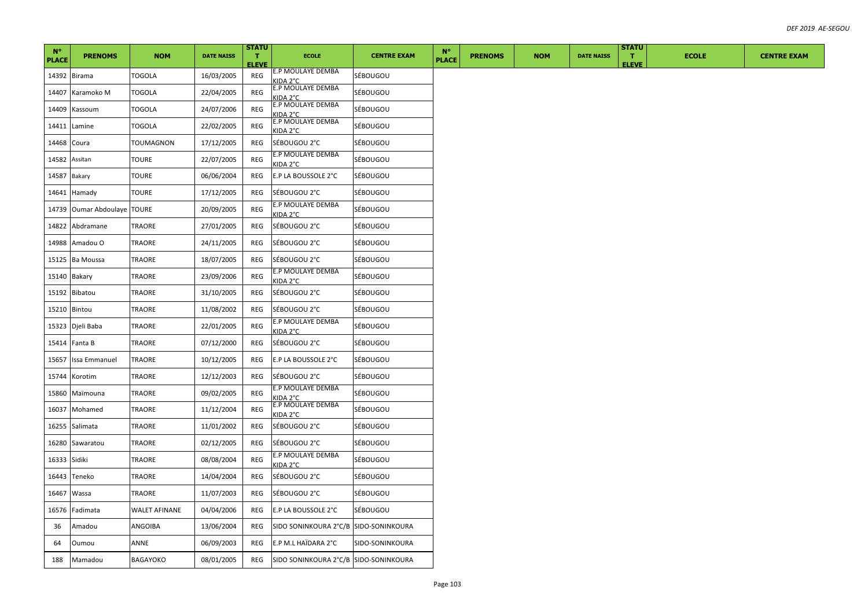| $N^{\circ}$<br><b>PLACE</b> | <b>PRENOMS</b>        | <b>NOM</b>           | <b>DATE NAISS</b> | <b>STATU</b><br>T.<br><b>ELEVE</b> | <b>ECOLE</b>                          | <b>CENTRE EXAM</b> | $N^{\circ}$<br><b>PLACE</b> | <b>PRENOMS</b> | <b>NOM</b> | <b>DATE NAISS</b> | <b>STATU</b><br>T.<br><b>ELEVE</b> | <b>ECOLE</b> | <b>CENTRE EXAM</b> |
|-----------------------------|-----------------------|----------------------|-------------------|------------------------------------|---------------------------------------|--------------------|-----------------------------|----------------|------------|-------------------|------------------------------------|--------------|--------------------|
|                             | 14392 Birama          | TOGOLA               | 16/03/2005        | REG                                | E.P MOULAYE DEMBA<br><b>KIDA 2°C</b>  | SÉBOUGOU           |                             |                |            |                   |                                    |              |                    |
| 14407                       | Karamoko M            | TOGOLA               | 22/04/2005        | REG                                | E.P MOULAYE DEMBA<br>KIDA 2°C         | SÉBOUGOU           |                             |                |            |                   |                                    |              |                    |
| 14409                       | Kassoum               | TOGOLA               | 24/07/2006        | REG                                | E.P MOULAYE DEMBA<br><b>KIDA 2°C</b>  | SÉBOUGOU           |                             |                |            |                   |                                    |              |                    |
| 14411                       | Lamine                | TOGOLA               | 22/02/2005        | REG                                | E.P MOULAYE DEMBA<br>KIDA 2°C         | SÉBOUGOU           |                             |                |            |                   |                                    |              |                    |
| 14468                       | Coura                 | TOUMAGNON            | 17/12/2005        | REG                                | SÉBOUGOU 2°C                          | SÉBOUGOU           |                             |                |            |                   |                                    |              |                    |
| 14582                       | Assitan               | TOURE                | 22/07/2005        | REG                                | E.P MOULAYE DEMBA<br>KIDA 2°C         | SÉBOUGOU           |                             |                |            |                   |                                    |              |                    |
| 14587                       | Bakary                | TOURE                | 06/06/2004        | REG                                | E.P LA BOUSSOLE 2°C                   | SÉBOUGOU           |                             |                |            |                   |                                    |              |                    |
| 14641                       | Hamady                | TOURE                | 17/12/2005        | REG                                | SÉBOUGOU 2°C                          | SÉBOUGOU           |                             |                |            |                   |                                    |              |                    |
| 14739                       | Oumar Abdoulaye TOURE |                      | 20/09/2005        | REG                                | E.P MOULAYE DEMBA<br>KIDA 2°C         | SÉBOUGOU           |                             |                |            |                   |                                    |              |                    |
| 14822                       | Abdramane             | TRAORE               | 27/01/2005        | REG                                | SÉBOUGOU 2°C                          | SÉBOUGOU           |                             |                |            |                   |                                    |              |                    |
| 14988                       | Amadou O              | TRAORE               | 24/11/2005        | REG                                | SÉBOUGOU 2°C                          | SÉBOUGOU           |                             |                |            |                   |                                    |              |                    |
| 15125                       | <b>Ba Moussa</b>      | TRAORE               | 18/07/2005        | REG                                | SÉBOUGOU 2°C                          | SÉBOUGOU           |                             |                |            |                   |                                    |              |                    |
| 15140                       | <b>Bakary</b>         | TRAORE               | 23/09/2006        | REG                                | E.P MOULAYE DEMBA<br><b>KIDA 2°C</b>  | SÉBOUGOU           |                             |                |            |                   |                                    |              |                    |
| 15192                       | Bibatou               | TRAORE               | 31/10/2005        | REG                                | SÉBOUGOU 2°C                          | SÉBOUGOU           |                             |                |            |                   |                                    |              |                    |
| 15210                       | Bintou                | TRAORE               | 11/08/2002        | REG                                | SÉBOUGOU 2°C                          | SÉBOUGOU           |                             |                |            |                   |                                    |              |                    |
| 15323                       | Djeli Baba            | TRAORE               | 22/01/2005        | REG                                | E.P MOULAYE DEMBA<br>KIDA 2°C         | SÉBOUGOU           |                             |                |            |                   |                                    |              |                    |
| 15414                       | Fanta B               | TRAORE               | 07/12/2000        | REG                                | SÉBOUGOU 2°C                          | SÉBOUGOU           |                             |                |            |                   |                                    |              |                    |
| 15657                       | Issa Emmanuel         | TRAORE               | 10/12/2005        | REG                                | E.P LA BOUSSOLE 2°C                   | SÉBOUGOU           |                             |                |            |                   |                                    |              |                    |
| 15744                       | Korotim               | TRAORE               | 12/12/2003        | REG                                | SÉBOUGOU 2°C                          | SÉBOUGOU           |                             |                |            |                   |                                    |              |                    |
| 15860                       | Maïmouna              | TRAORE               | 09/02/2005        | REG                                | E.P MOULAYE DEMBA<br><b>KIDA 2°C</b>  | SÉBOUGOU           |                             |                |            |                   |                                    |              |                    |
| 16037                       | Mohamed               | TRAORE               | 11/12/2004        | REG                                | E.P MOULAYE DEMBA<br>KIDA 2°C         | SÉBOUGOU           |                             |                |            |                   |                                    |              |                    |
| 16255                       | Salimata              | TRAORE               | 11/01/2002        | REG                                | SÉBOUGOU 2°C                          | SÉBOUGOU           |                             |                |            |                   |                                    |              |                    |
| 16280                       | Sawaratou             | TRAORE               | 02/12/2005        | REG                                | SÉBOUGOU 2°C                          | SÉBOUGOU           |                             |                |            |                   |                                    |              |                    |
| 16333                       | Sidiki                | TRAORE               | 08/08/2004        | REG                                | E.P MOULAYE DEMBA<br>KIDA 2°C         | SÉBOUGOU           |                             |                |            |                   |                                    |              |                    |
| 16443                       | Teneko                | TRAORE               | 14/04/2004        | REG                                | SÉBOUGOU 2°C                          | SÉBOUGOU           |                             |                |            |                   |                                    |              |                    |
| 16467                       | Wassa                 | TRAORE               | 11/07/2003        | REG                                | SÉBOUGOU 2°C                          | SÉBOUGOU           |                             |                |            |                   |                                    |              |                    |
| 16576                       | Fadimata              | <b>WALET AFINANE</b> | 04/04/2006        | REG                                | E.P LA BOUSSOLE 2°C                   | SÉBOUGOU           |                             |                |            |                   |                                    |              |                    |
| 36                          | Amadou                | ANGOIBA              | 13/06/2004        | REG                                | SIDO SONINKOURA 2°C/B SIDO-SONINKOURA |                    |                             |                |            |                   |                                    |              |                    |
| 64                          | Oumou                 | ANNE                 | 06/09/2003        | REG                                | E.P M.L HAÏDARA 2°C                   | SIDO-SONINKOURA    |                             |                |            |                   |                                    |              |                    |
| 188                         | Mamadou               | BAGAYOKO             | 08/01/2005        | REG                                | SIDO SONINKOURA 2°C/B SIDO-SONINKOURA |                    |                             |                |            |                   |                                    |              |                    |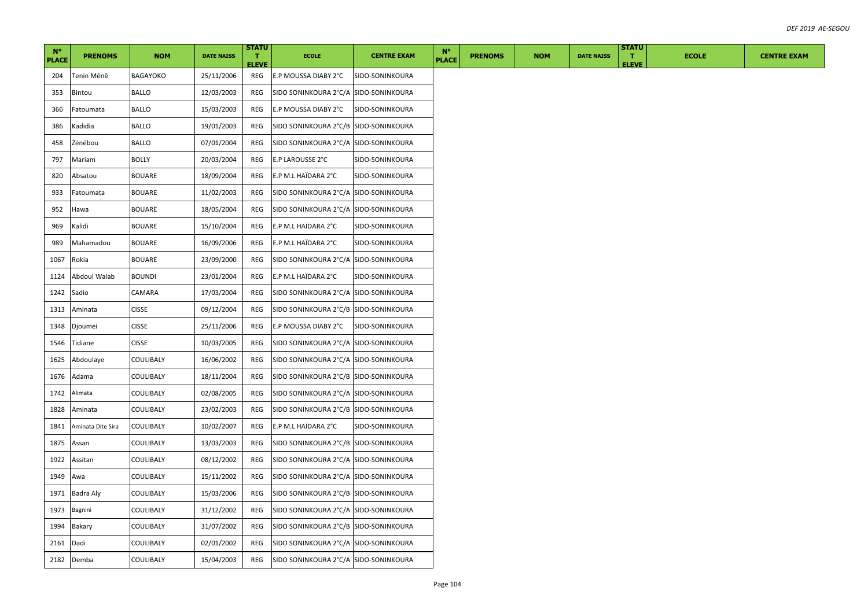| $N^{\circ}$<br><b>PLACE</b> | <b>PRENOMS</b>    | <b>NOM</b>    | <b>DATE NAISS</b> | <b>STATU</b><br>т.  | <b>ECOLE</b>                           | <b>CENTRE EXAM</b> | $N^{\circ}$<br><b>PLACE</b> | <b>PRENOMS</b> | <b>NOM</b> | <b>DATE NAISS</b> | <b>STATU</b><br>т. | <b>ECOLE</b> | <b>CENTRE EXAM</b> |
|-----------------------------|-------------------|---------------|-------------------|---------------------|----------------------------------------|--------------------|-----------------------------|----------------|------------|-------------------|--------------------|--------------|--------------------|
| 204                         | Tenin Mênê        | BAGAYOKO      | 25/11/2006        | <b>ELEVE</b><br>REG | E.P MOUSSA DIABY 2°C                   | SIDO-SONINKOURA    |                             |                |            |                   | <b>ELEVE</b>       |              |                    |
| 353                         | Bintou            | BALLO         | 12/03/2003        | REG                 | SIDO SONINKOURA 2°C/A  SIDO-SONINKOURA |                    |                             |                |            |                   |                    |              |                    |
| 366                         | Fatoumata         | <b>BALLO</b>  | 15/03/2003        | REG                 | E.P MOUSSA DIABY 2°C                   | SIDO-SONINKOURA    |                             |                |            |                   |                    |              |                    |
| 386                         | Kadidia           | <b>BALLO</b>  | 19/01/2003        | REG                 | SIDO SONINKOURA 2°C/B SIDO-SONINKOURA  |                    |                             |                |            |                   |                    |              |                    |
| 458                         | Zénébou           | <b>BALLO</b>  | 07/01/2004        | REG                 | SIDO SONINKOURA 2°C/A SIDO-SONINKOURA  |                    |                             |                |            |                   |                    |              |                    |
| 797                         | Mariam            | <b>BOLLY</b>  | 20/03/2004        | REG                 | E.P LAROUSSE 2°C                       | SIDO-SONINKOURA    |                             |                |            |                   |                    |              |                    |
| 820                         | Absatou           | BOUARE        | 18/09/2004        | REG                 | E.P M.L HAÏDARA 2°C                    | SIDO-SONINKOURA    |                             |                |            |                   |                    |              |                    |
| 933                         | Fatoumata         | <b>BOUARE</b> | 11/02/2003        | REG                 | SIDO SONINKOURA 2°C/A SIDO-SONINKOURA  |                    |                             |                |            |                   |                    |              |                    |
| 952                         | Hawa              | <b>BOUARE</b> | 18/05/2004        | REG                 | SIDO SONINKOURA 2°C/A SIDO-SONINKOURA  |                    |                             |                |            |                   |                    |              |                    |
| 969                         | Kalidi            | <b>BOUARE</b> | 15/10/2004        | REG                 | E.P M.L HAÏDARA 2°C                    | SIDO-SONINKOURA    |                             |                |            |                   |                    |              |                    |
| 989                         | Mahamadou         | <b>BOUARE</b> | 16/09/2006        | REG                 | E.P M.L HAÏDARA 2°C                    | SIDO-SONINKOURA    |                             |                |            |                   |                    |              |                    |
| 1067                        | Rokia             | <b>BOUARE</b> | 23/09/2000        | REG                 | SIDO SONINKOURA 2°C/A SIDO-SONINKOURA  |                    |                             |                |            |                   |                    |              |                    |
| 1124                        | Abdoul Walab      | <b>BOUNDI</b> | 23/01/2004        | REG                 | E.P M.L HAÏDARA 2°C                    | SIDO-SONINKOURA    |                             |                |            |                   |                    |              |                    |
| 1242                        | Sadio             | CAMARA        | 17/03/2004        | REG                 | SIDO SONINKOURA 2°C/A SIDO-SONINKOURA  |                    |                             |                |            |                   |                    |              |                    |
| 1313                        | Aminata           | <b>CISSE</b>  | 09/12/2004        | REG                 | SIDO SONINKOURA 2°C/B  SIDO-SONINKOURA |                    |                             |                |            |                   |                    |              |                    |
| 1348                        | Djoumei           | <b>CISSE</b>  | 25/11/2006        | REG                 | E.P MOUSSA DIABY 2°C                   | SIDO-SONINKOURA    |                             |                |            |                   |                    |              |                    |
| 1546                        | Tidiane           | <b>CISSE</b>  | 10/03/2005        | REG                 | SIDO SONINKOURA 2°C/A SIDO-SONINKOURA  |                    |                             |                |            |                   |                    |              |                    |
| 1625                        | Abdoulaye         | COULIBALY     | 16/06/2002        | REG                 | SIDO SONINKOURA 2°C/A SIDO-SONINKOURA  |                    |                             |                |            |                   |                    |              |                    |
| 1676                        | Adama             | COULIBALY     | 18/11/2004        | REG                 | SIDO SONINKOURA 2°C/B SIDO-SONINKOURA  |                    |                             |                |            |                   |                    |              |                    |
| 1742                        | Alimata           | COULIBALY     | 02/08/2005        | REG                 | SIDO SONINKOURA 2°C/A  SIDO-SONINKOURA |                    |                             |                |            |                   |                    |              |                    |
| 1828                        | Aminata           | COULIBALY     | 23/02/2003        | REG                 | SIDO SONINKOURA 2°C/B SIDO-SONINKOURA  |                    |                             |                |            |                   |                    |              |                    |
| 1841                        | Aminata Dite Sira | COULIBALY     | 10/02/2007        | REG                 | E.P M.L HAÏDARA 2°C                    | SIDO-SONINKOURA    |                             |                |            |                   |                    |              |                    |
| 1875                        | Assan             | COULIBALY     | 13/03/2003        | REG                 | SIDO SONINKOURA 2°C/B SIDO-SONINKOURA  |                    |                             |                |            |                   |                    |              |                    |
| 1922                        | Assitan           | COULIBALY     | 08/12/2002        | REG                 | SIDO SONINKOURA 2°C/A SIDO-SONINKOURA  |                    |                             |                |            |                   |                    |              |                    |
| 1949                        | Awa               | COULIBALY     | 15/11/2002        | REG                 | SIDO SONINKOURA 2°C/A SIDO-SONINKOURA  |                    |                             |                |            |                   |                    |              |                    |
| 1971                        | Badra Aly         | COULIBALY     | 15/03/2006        | REG                 | SIDO SONINKOURA 2°C/B SIDO-SONINKOURA  |                    |                             |                |            |                   |                    |              |                    |
| 1973                        | Bagnini           | COULIBALY     | 31/12/2002        | REG                 | SIDO SONINKOURA 2°C/A SIDO-SONINKOURA  |                    |                             |                |            |                   |                    |              |                    |
| 1994                        | Bakary            | COULIBALY     | 31/07/2002        | REG                 | SIDO SONINKOURA 2°C/B SIDO-SONINKOURA  |                    |                             |                |            |                   |                    |              |                    |
| 2161                        | Dadi              | COULIBALY     | 02/01/2002        | REG                 | SIDO SONINKOURA 2°C/A SIDO-SONINKOURA  |                    |                             |                |            |                   |                    |              |                    |
| 2182                        | Demba             | COULIBALY     | 15/04/2003        | REG                 | SIDO SONINKOURA 2°C/A SIDO-SONINKOURA  |                    |                             |                |            |                   |                    |              |                    |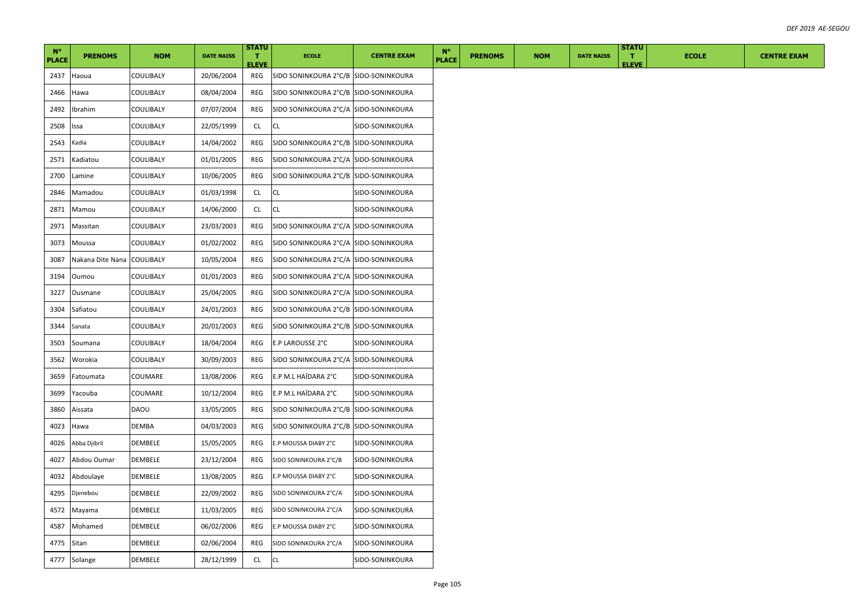| $N^{\circ}$<br><b>PLACE</b> | <b>PRENOMS</b>             | <b>NOM</b>     | <b>DATE NAISS</b> | <b>STATU</b><br>т.<br><b>ELEVE</b> | <b>ECOLE</b>                          | <b>CENTRE EXAM</b> | $N^{\circ}$<br><b>PLACE</b> | <b>PRENOMS</b> | <b>NOM</b> | <b>DATE NAISS</b> | <b>STATU</b><br>т.<br><b>ELEVE</b> | <b>ECOLE</b> | <b>CENTRE EXAM</b> |
|-----------------------------|----------------------------|----------------|-------------------|------------------------------------|---------------------------------------|--------------------|-----------------------------|----------------|------------|-------------------|------------------------------------|--------------|--------------------|
| 2437                        | Haoua                      | COULIBALY      | 20/06/2004        | REG                                | SIDO SONINKOURA 2°C/B SIDO-SONINKOURA |                    |                             |                |            |                   |                                    |              |                    |
| 2466                        | Hawa                       | COULIBALY      | 08/04/2004        | REG                                | SIDO SONINKOURA 2°C/B SIDO-SONINKOURA |                    |                             |                |            |                   |                                    |              |                    |
| 2492                        | Ibrahim                    | COULIBALY      | 07/07/2004        | REG                                | SIDO SONINKOURA 2°C/A SIDO-SONINKOURA |                    |                             |                |            |                   |                                    |              |                    |
| 2508                        | ssa                        | COULIBALY      | 22/05/1999        | CL                                 | CL                                    | SIDO-SONINKOURA    |                             |                |            |                   |                                    |              |                    |
| 2543                        | Kadia                      | COULIBALY      | 14/04/2002        | REG                                | SIDO SONINKOURA 2°C/B SIDO-SONINKOURA |                    |                             |                |            |                   |                                    |              |                    |
| 2571                        | Kadiatou                   | COULIBALY      | 01/01/2005        | REG                                | SIDO SONINKOURA 2°C/A SIDO-SONINKOURA |                    |                             |                |            |                   |                                    |              |                    |
| 2700                        | Lamine                     | COULIBALY      | 10/06/2005        | REG                                | SIDO SONINKOURA 2°C/B SIDO-SONINKOURA |                    |                             |                |            |                   |                                    |              |                    |
| 2846                        | Mamadou                    | COULIBALY      | 01/03/1998        | CL                                 | CL.                                   | SIDO-SONINKOURA    |                             |                |            |                   |                                    |              |                    |
| 2871                        | Mamou                      | COULIBALY      | 14/06/2000        | CL                                 | <b>CL</b>                             | SIDO-SONINKOURA    |                             |                |            |                   |                                    |              |                    |
| 2971                        | Massitan                   | COULIBALY      | 23/03/2003        | REG                                | SIDO SONINKOURA 2°C/A SIDO-SONINKOURA |                    |                             |                |            |                   |                                    |              |                    |
| 3073                        | Moussa                     | COULIBALY      | 01/02/2002        | REG                                | SIDO SONINKOURA 2°C/A SIDO-SONINKOURA |                    |                             |                |            |                   |                                    |              |                    |
| 3087                        | Nakana Dite Nana COULIBALY |                | 10/05/2004        | REG                                | SIDO SONINKOURA 2°C/A SIDO-SONINKOURA |                    |                             |                |            |                   |                                    |              |                    |
| 3194                        | Oumou                      | COULIBALY      | 01/01/2003        | REG                                | SIDO SONINKOURA 2°C/A SIDO-SONINKOURA |                    |                             |                |            |                   |                                    |              |                    |
| 3227                        | Ousmane                    | COULIBALY      | 25/04/2005        | REG                                | SIDO SONINKOURA 2°C/A SIDO-SONINKOURA |                    |                             |                |            |                   |                                    |              |                    |
| 3304                        | Safiatou                   | COULIBALY      | 24/01/2003        | REG                                | SIDO SONINKOURA 2°C/B SIDO-SONINKOURA |                    |                             |                |            |                   |                                    |              |                    |
| 3344                        | Sanata                     | COULIBALY      | 20/01/2003        | REG                                | SIDO SONINKOURA 2°C/B SIDO-SONINKOURA |                    |                             |                |            |                   |                                    |              |                    |
| 3503                        | Soumana                    | COULIBALY      | 18/04/2004        | REG                                | E.P LAROUSSE 2°C                      | SIDO-SONINKOURA    |                             |                |            |                   |                                    |              |                    |
| 3562                        | Worokia                    | COULIBALY      | 30/09/2003        | REG                                | SIDO SONINKOURA 2°C/A SIDO-SONINKOURA |                    |                             |                |            |                   |                                    |              |                    |
| 3659                        | Fatoumata                  | COUMARE        | 13/08/2006        | REG                                | E.P M.L HAÏDARA 2°C                   | SIDO-SONINKOURA    |                             |                |            |                   |                                    |              |                    |
| 3699                        | Yacouba                    | COUMARE        | 10/12/2004        | REG                                | E.P M.L HAÏDARA 2°C                   | SIDO-SONINKOURA    |                             |                |            |                   |                                    |              |                    |
| 3860                        | Aissata                    | DAOU           | 13/05/2005        | REG                                | SIDO SONINKOURA 2°C/B SIDO-SONINKOURA |                    |                             |                |            |                   |                                    |              |                    |
| 4023                        | Hawa                       | DEMBA          | 04/03/2003        | REG                                | SIDO SONINKOURA 2°C/B SIDO-SONINKOURA |                    |                             |                |            |                   |                                    |              |                    |
| 4026                        | Abba Djibril               | DEMBELE        | 15/05/2005        | REG                                | E.P MOUSSA DIABY 2°C                  | SIDO-SONINKOURA    |                             |                |            |                   |                                    |              |                    |
| 4027                        | Abdou Oumar                | DEMBELE        | 23/12/2004        | REG                                | SIDO SONINKOURA 2°C/B                 | SIDO-SONINKOURA    |                             |                |            |                   |                                    |              |                    |
| 4032                        | Abdoulaye                  | DEMBELE        | 13/08/2005        | REG                                | E.P MOUSSA DIABY 2°C                  | SIDO-SONINKOURA    |                             |                |            |                   |                                    |              |                    |
| 4295                        | Djenebou                   | DEMBELE        | 22/09/2002        | REG                                | SIDO SONINKOURA 2°C/A                 | SIDO-SONINKOURA    |                             |                |            |                   |                                    |              |                    |
| 4572                        | Mayama                     | DEMBELE        | 11/03/2005        | REG                                | SIDO SONINKOURA 2°C/A                 | SIDO-SONINKOURA    |                             |                |            |                   |                                    |              |                    |
| 4587                        | Mohamed                    | DEMBELE        | 06/02/2006        | REG                                | E.P MOUSSA DIABY 2°C                  | SIDO-SONINKOURA    |                             |                |            |                   |                                    |              |                    |
| 4775                        | Sitan                      | DEMBELE        | 02/06/2004        | REG                                | SIDO SONINKOURA 2°C/A                 | SIDO-SONINKOURA    |                             |                |            |                   |                                    |              |                    |
|                             | 4777 Solange               | <b>DEMBELE</b> | 28/12/1999        | <b>CL</b>                          | <b>CL</b>                             | SIDO-SONINKOURA    |                             |                |            |                   |                                    |              |                    |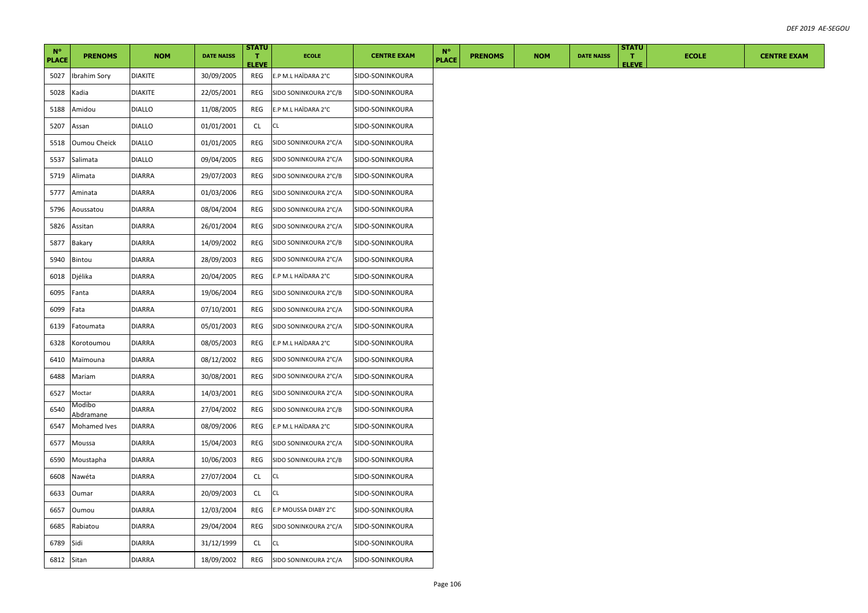| $N^{\circ}$  | <b>PRENOMS</b>      | <b>NOM</b>     | <b>DATE NAISS</b> | <b>STATU</b><br>т. | <b>ECOLE</b>          | <b>CENTRE EXAM</b> | $N^{\circ}$  | <b>PRENOMS</b> | <b>NOM</b> | <b>DATE NAISS</b> | <b>STATU</b><br>т. | <b>ECOLE</b> |  |  | <b>CENTRE EXAM</b> |  |  |
|--------------|---------------------|----------------|-------------------|--------------------|-----------------------|--------------------|--------------|----------------|------------|-------------------|--------------------|--------------|--|--|--------------------|--|--|
| <b>PLACE</b> |                     |                |                   | <b>ELEVE</b>       |                       |                    | <b>PLACE</b> |                |            |                   | <b>ELEVE</b>       |              |  |  |                    |  |  |
| 5027         | Ibrahim Sory        | <b>DIAKITE</b> | 30/09/2005        | REG                | E.P M.L HAÏDARA 2°C   | SIDO-SONINKOURA    |              |                |            |                   |                    |              |  |  |                    |  |  |
| 5028         | Kadia               | DIAKITE        | 22/05/2001        | REG                | SIDO SONINKOURA 2°C/B | SIDO-SONINKOURA    |              |                |            |                   |                    |              |  |  |                    |  |  |
| 5188         | Amidou              | <b>DIALLO</b>  | 11/08/2005        | REG                | E.P M.L HAÏDARA 2°C   | SIDO-SONINKOURA    |              |                |            |                   |                    |              |  |  |                    |  |  |
| 5207         | Assan               | <b>DIALLO</b>  | 01/01/2001        | CL                 | CL                    | SIDO-SONINKOURA    |              |                |            |                   |                    |              |  |  |                    |  |  |
| 5518         | <b>Oumou Cheick</b> | <b>DIALLO</b>  | 01/01/2005        | REG                | SIDO SONINKOURA 2°C/A | SIDO-SONINKOURA    |              |                |            |                   |                    |              |  |  |                    |  |  |
| 5537         | Salimata            | <b>DIALLO</b>  | 09/04/2005        | REG                | SIDO SONINKOURA 2°C/A | SIDO-SONINKOURA    |              |                |            |                   |                    |              |  |  |                    |  |  |
| 5719         | Alimata             | DIARRA         | 29/07/2003        | REG                | SIDO SONINKOURA 2°C/B | SIDO-SONINKOURA    |              |                |            |                   |                    |              |  |  |                    |  |  |
| 5777         | Aminata             | <b>DIARRA</b>  | 01/03/2006        | REG                | SIDO SONINKOURA 2°C/A | SIDO-SONINKOURA    |              |                |            |                   |                    |              |  |  |                    |  |  |
| 5796         | Aoussatou           | DIARRA         | 08/04/2004        | REG                | SIDO SONINKOURA 2°C/A | SIDO-SONINKOURA    |              |                |            |                   |                    |              |  |  |                    |  |  |
| 5826         | Assitan             | DIARRA         | 26/01/2004        | REG                | SIDO SONINKOURA 2°C/A | SIDO-SONINKOURA    |              |                |            |                   |                    |              |  |  |                    |  |  |
| 5877         | <b>Bakary</b>       | DIARRA         | 14/09/2002        | REG                | SIDO SONINKOURA 2°C/B | SIDO-SONINKOURA    |              |                |            |                   |                    |              |  |  |                    |  |  |
| 5940         | Bintou              | DIARRA         | 28/09/2003        | REG                | SIDO SONINKOURA 2°C/A | SIDO-SONINKOURA    |              |                |            |                   |                    |              |  |  |                    |  |  |
| 6018         | Djélika             | DIARRA         | 20/04/2005        | REG                | E.P M.L HAÏDARA 2°C   | SIDO-SONINKOURA    |              |                |            |                   |                    |              |  |  |                    |  |  |
| 6095         | Fanta               | <b>DIARRA</b>  | 19/06/2004        | REG                | SIDO SONINKOURA 2°C/B | SIDO-SONINKOURA    |              |                |            |                   |                    |              |  |  |                    |  |  |
| 6099         | Fata                | DIARRA         | 07/10/2001        | REG                | SIDO SONINKOURA 2°C/A | SIDO-SONINKOURA    |              |                |            |                   |                    |              |  |  |                    |  |  |
| 6139         | Fatoumata           | DIARRA         | 05/01/2003        | REG                | SIDO SONINKOURA 2°C/A | SIDO-SONINKOURA    |              |                |            |                   |                    |              |  |  |                    |  |  |
| 6328         | Korotoumou          | DIARRA         | 08/05/2003        | REG                | E.P M.L HAÏDARA 2°C   | SIDO-SONINKOURA    |              |                |            |                   |                    |              |  |  |                    |  |  |
| 6410         | Maïmouna            | DIARRA         | 08/12/2002        | REG                | SIDO SONINKOURA 2°C/A | SIDO-SONINKOURA    |              |                |            |                   |                    |              |  |  |                    |  |  |
| 6488         | Mariam              | <b>DIARRA</b>  | 30/08/2001        | REG                | SIDO SONINKOURA 2°C/A | SIDO-SONINKOURA    |              |                |            |                   |                    |              |  |  |                    |  |  |
| 6527         | Moctar              | DIARRA         | 14/03/2001        | REG                | SIDO SONINKOURA 2°C/A | SIDO-SONINKOURA    |              |                |            |                   |                    |              |  |  |                    |  |  |
| 6540         | Modibo<br>Abdramane | DIARRA         | 27/04/2002        | REG                | SIDO SONINKOURA 2°C/B | SIDO-SONINKOURA    |              |                |            |                   |                    |              |  |  |                    |  |  |
| 6547         | Mohamed Ives        | <b>DIARRA</b>  | 08/09/2006        | REG                | E.P M.L HAÏDARA 2°C   | SIDO-SONINKOURA    |              |                |            |                   |                    |              |  |  |                    |  |  |
| 6577         | Moussa              | DIARRA         | 15/04/2003        | REG                | SIDO SONINKOURA 2°C/A | SIDO-SONINKOURA    |              |                |            |                   |                    |              |  |  |                    |  |  |
| 6590         | Moustapha           | <b>DIARRA</b>  | 10/06/2003        | REG                | SIDO SONINKOURA 2°C/B | SIDO-SONINKOURA    |              |                |            |                   |                    |              |  |  |                    |  |  |
| 6608         | Nawéta              | DIARRA         | 27/07/2004        | CL.                | CL                    | SIDO-SONINKOURA    |              |                |            |                   |                    |              |  |  |                    |  |  |
| 6633         | Oumar               | <b>DIARRA</b>  | 20/09/2003        | <b>CL</b>          | CL                    | SIDO-SONINKOURA    |              |                |            |                   |                    |              |  |  |                    |  |  |
| 6657         | Oumou               | DIARRA         | 12/03/2004        | REG                | E.P MOUSSA DIABY 2°C  | SIDO-SONINKOURA    |              |                |            |                   |                    |              |  |  |                    |  |  |
| 6685         | Rabiatou            | <b>DIARRA</b>  | 29/04/2004        | REG                | SIDO SONINKOURA 2°C/A | SIDO-SONINKOURA    |              |                |            |                   |                    |              |  |  |                    |  |  |
| 6789         | Sidi                | DIARRA         | 31/12/1999        | CL.                | CL.                   | SIDO-SONINKOURA    |              |                |            |                   |                    |              |  |  |                    |  |  |
| 6812 Sitan   |                     | <b>DIARRA</b>  | 18/09/2002        | REG                | SIDO SONINKOURA 2°C/A | SIDO-SONINKOURA    |              |                |            |                   |                    |              |  |  |                    |  |  |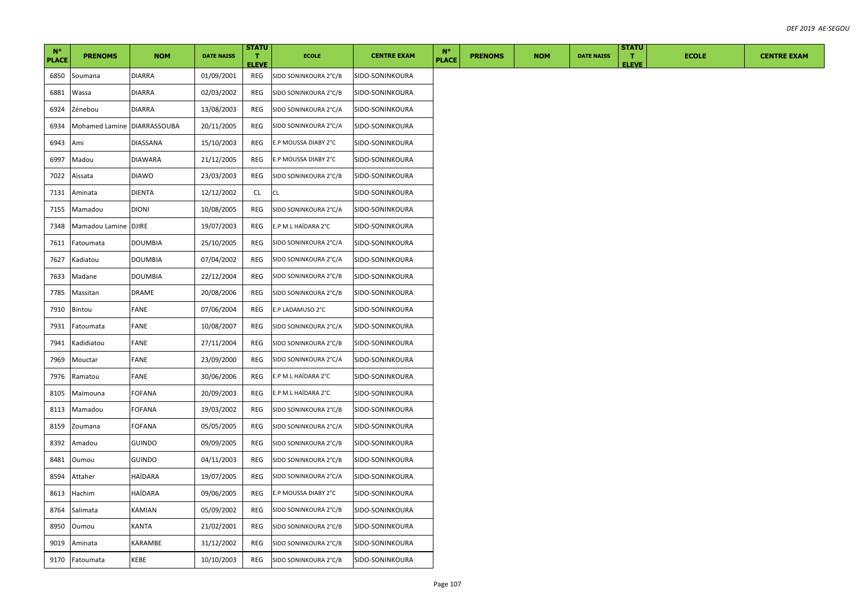| $N^{\circ}$<br><b>PLACE</b> | <b>PRENOMS</b>              | <b>NOM</b>     | <b>DATE NAISS</b> | <b>STATU</b><br>T.  | <b>ECOLE</b>          | <b>CENTRE EXAM</b> | $N^{\circ}$<br><b>PLACE</b> | <b>PRENOMS</b> | <b>NOM</b> | <b>DATE NAISS</b> | <b>STATU</b><br>$\mathbf{T}$<br><b>ELEVE</b> | <b>ECOLE</b> | <b>CENTRE EXAM</b> |
|-----------------------------|-----------------------------|----------------|-------------------|---------------------|-----------------------|--------------------|-----------------------------|----------------|------------|-------------------|----------------------------------------------|--------------|--------------------|
| 6850                        | Soumana                     | <b>DIARRA</b>  | 01/09/2001        | <b>ELEVE</b><br>REG | SIDO SONINKOURA 2°C/B | SIDO-SONINKOURA    |                             |                |            |                   |                                              |              |                    |
| 6881                        | Wassa                       | DIARRA         | 02/03/2002        | REG                 | SIDO SONINKOURA 2°C/B | SIDO-SONINKOURA    |                             |                |            |                   |                                              |              |                    |
| 6924                        | Zénebou                     | <b>DIARRA</b>  | 13/08/2003        | REG                 | SIDO SONINKOURA 2°C/A | SIDO-SONINKOURA    |                             |                |            |                   |                                              |              |                    |
| 6934                        | Mohamed Lamine DIARRASSOUBA |                | 20/11/2005        | REG                 | SIDO SONINKOURA 2°C/A | SIDO-SONINKOURA    |                             |                |            |                   |                                              |              |                    |
| 6943                        | Ami                         | DIASSANA       | 15/10/2003        | REG                 | E.P MOUSSA DIABY 2°C  | SIDO-SONINKOURA    |                             |                |            |                   |                                              |              |                    |
| 6997                        | Madou                       | DIAWARA        | 21/12/2005        | REG                 | E.P MOUSSA DIABY 2°C  | SIDO-SONINKOURA    |                             |                |            |                   |                                              |              |                    |
| 7022                        | Aïssata                     | <b>DIAWO</b>   | 23/03/2003        | REG                 | SIDO SONINKOURA 2°C/B | SIDO-SONINKOURA    |                             |                |            |                   |                                              |              |                    |
| 7131                        | Aminata                     | DIENTA         | 12/12/2002        | <b>CL</b>           | CL                    | SIDO-SONINKOURA    |                             |                |            |                   |                                              |              |                    |
| 7155                        | Mamadou                     | <b>DIONI</b>   | 10/08/2005        | REG                 | SIDO SONINKOURA 2°C/A | SIDO-SONINKOURA    |                             |                |            |                   |                                              |              |                    |
| 7348                        | Mamadou Lamine DJIRE        |                | 19/07/2003        | REG                 | E.P M.L HAÏDARA 2°C   | SIDO-SONINKOURA    |                             |                |            |                   |                                              |              |                    |
| 7611                        | Fatoumata                   | <b>DOUMBIA</b> | 25/10/2005        | REG                 | SIDO SONINKOURA 2°C/A | SIDO-SONINKOURA    |                             |                |            |                   |                                              |              |                    |
| 7627                        | Kadiatou                    | <b>DOUMBIA</b> | 07/04/2002        | REG                 | SIDO SONINKOURA 2°C/A | SIDO-SONINKOURA    |                             |                |            |                   |                                              |              |                    |
| 7633                        | Madane                      | <b>DOUMBIA</b> | 22/12/2004        | REG                 | SIDO SONINKOURA 2°C/B | SIDO-SONINKOURA    |                             |                |            |                   |                                              |              |                    |
| 7785                        | Massitan                    | <b>DRAME</b>   | 20/08/2006        | REG                 | SIDO SONINKOURA 2°C/B | SIDO-SONINKOURA    |                             |                |            |                   |                                              |              |                    |
| 7910                        | Bintou                      | FANE           | 07/06/2004        | REG                 | E.P LADAMUSO 2°C      | SIDO-SONINKOURA    |                             |                |            |                   |                                              |              |                    |
| 7931                        | Fatoumata                   | FANE           | 10/08/2007        | REG                 | SIDO SONINKOURA 2°C/A | SIDO-SONINKOURA    |                             |                |            |                   |                                              |              |                    |
| 7941                        | Kadidiatou                  | FANE           | 27/11/2004        | REG                 | SIDO SONINKOURA 2°C/B | SIDO-SONINKOURA    |                             |                |            |                   |                                              |              |                    |
| 7969                        | Mouctar                     | FANE           | 23/09/2000        | REG                 | SIDO SONINKOURA 2°C/A | SIDO-SONINKOURA    |                             |                |            |                   |                                              |              |                    |
| 7976                        | Ramatou                     | FANE           | 30/06/2006        | REG                 | E.P M.L HAÏDARA 2°C   | SIDO-SONINKOURA    |                             |                |            |                   |                                              |              |                    |
| 8105                        | Maïmouna                    | FOFANA         | 20/09/2003        | REG                 | E.P M.L HAÏDARA 2°C   | SIDO-SONINKOURA    |                             |                |            |                   |                                              |              |                    |
| 8113                        | Mamadou                     | FOFANA         | 19/03/2002        | REG                 | SIDO SONINKOURA 2°C/B | SIDO-SONINKOURA    |                             |                |            |                   |                                              |              |                    |
| 8159                        | Zoumana                     | FOFANA         | 05/05/2005        | REG                 | SIDO SONINKOURA 2°C/A | SIDO-SONINKOURA    |                             |                |            |                   |                                              |              |                    |
| 8392                        | Amadou                      | <b>GUINDO</b>  | 09/09/2005        | REG                 | SIDO SONINKOURA 2°C/B | SIDO-SONINKOURA    |                             |                |            |                   |                                              |              |                    |
| 8481                        | Oumou                       | <b>GUINDO</b>  | 04/11/2003        | REG                 | SIDO SONINKOURA 2°C/B | SIDO-SONINKOURA    |                             |                |            |                   |                                              |              |                    |
| 8594                        | Attaher                     | HAÏDARA        | 19/07/2005        | REG                 | SIDO SONINKOURA 2°C/A | SIDO-SONINKOURA    |                             |                |            |                   |                                              |              |                    |
| 8613                        | Hachim                      | HAÏDARA        | 09/06/2005        | REG                 | E.P MOUSSA DIABY 2°C  | SIDO-SONINKOURA    |                             |                |            |                   |                                              |              |                    |
| 8764                        | Salimata                    | KAMIAN         | 05/09/2002        | REG                 | SIDO SONINKOURA 2°C/B | SIDO-SONINKOURA    |                             |                |            |                   |                                              |              |                    |
| 8950                        | Oumou                       | KANTA          | 21/02/2001        | REG                 | SIDO SONINKOURA 2°C/B | SIDO-SONINKOURA    |                             |                |            |                   |                                              |              |                    |
| 9019                        | Aminata                     | KARAMBE        | 31/12/2002        | REG                 | SIDO SONINKOURA 2°C/B | SIDO-SONINKOURA    |                             |                |            |                   |                                              |              |                    |
| 9170                        | Fatoumata                   | KEBE           | 10/10/2003        | REG                 | SIDO SONINKOURA 2°C/B | SIDO-SONINKOURA    |                             |                |            |                   |                                              |              |                    |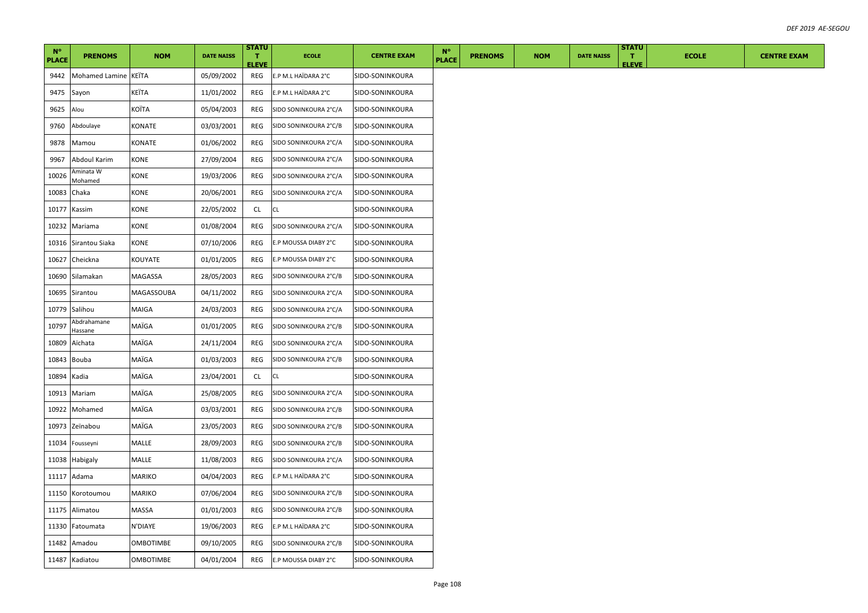| $N^{\circ}$<br><b>PLACE</b> | <b>PRENOMS</b>         | <b>NOM</b>       | <b>DATE NAISS</b> | <b>STATU</b><br>T.  | <b>ECOLE</b>          | <b>CENTRE EXAM</b> | $N^{\circ}$<br><b>PLACE</b> | <b>PRENOMS</b> | <b>NOM</b> | <b>DATE NAISS</b> | <b>STATU</b><br>$\mathbf{T}$ | <b>ECOLE</b> | <b>CENTRE EXAM</b> |
|-----------------------------|------------------------|------------------|-------------------|---------------------|-----------------------|--------------------|-----------------------------|----------------|------------|-------------------|------------------------------|--------------|--------------------|
| 9442                        | Mohamed Lamine KEITA   |                  | 05/09/2002        | <b>ELEVE</b><br>REG | E.P M.L HAÏDARA 2°C   | SIDO-SONINKOURA    |                             |                |            |                   | <b>ELEVE</b>                 |              |                    |
| 9475                        | Sayon                  | KEÏTA            | 11/01/2002        | REG                 | E.P M.L HAÏDARA 2°C   | SIDO-SONINKOURA    |                             |                |            |                   |                              |              |                    |
| 9625                        | Alou                   | KOÏTA            | 05/04/2003        | REG                 | SIDO SONINKOURA 2°C/A | SIDO-SONINKOURA    |                             |                |            |                   |                              |              |                    |
| 9760                        | Abdoulaye              | KONATE           | 03/03/2001        | REG                 | SIDO SONINKOURA 2°C/B | SIDO-SONINKOURA    |                             |                |            |                   |                              |              |                    |
| 9878                        | Mamou                  | KONATE           | 01/06/2002        | REG                 | SIDO SONINKOURA 2°C/A | SIDO-SONINKOURA    |                             |                |            |                   |                              |              |                    |
| 9967                        | Abdoul Karim           | KONE             | 27/09/2004        | REG                 | SIDO SONINKOURA 2°C/A | SIDO-SONINKOURA    |                             |                |            |                   |                              |              |                    |
| 10026                       | Aminata W<br>Mohamed   | KONE             | 19/03/2006        | REG                 | SIDO SONINKOURA 2°C/A | SIDO-SONINKOURA    |                             |                |            |                   |                              |              |                    |
| 10083                       | Chaka                  | KONE             | 20/06/2001        | REG                 | SIDO SONINKOURA 2°C/A | SIDO-SONINKOURA    |                             |                |            |                   |                              |              |                    |
| 10177                       | Kassim                 | KONE             | 22/05/2002        | CL                  | CL                    | SIDO-SONINKOURA    |                             |                |            |                   |                              |              |                    |
| 10232                       | Mariama                | KONE             | 01/08/2004        | REG                 | SIDO SONINKOURA 2°C/A | SIDO-SONINKOURA    |                             |                |            |                   |                              |              |                    |
| 10316                       | Sirantou Siaka         | KONE             | 07/10/2006        | REG                 | E.P MOUSSA DIABY 2°C  | SIDO-SONINKOURA    |                             |                |            |                   |                              |              |                    |
| 10627                       | Cheickna               | KOUYATE          | 01/01/2005        | REG                 | E.P MOUSSA DIABY 2°C  | SIDO-SONINKOURA    |                             |                |            |                   |                              |              |                    |
| 10690                       | Silamakan              | MAGASSA          | 28/05/2003        | REG                 | SIDO SONINKOURA 2°C/B | SIDO-SONINKOURA    |                             |                |            |                   |                              |              |                    |
| 10695                       | Sirantou               | MAGASSOUBA       | 04/11/2002        | REG                 | SIDO SONINKOURA 2°C/A | SIDO-SONINKOURA    |                             |                |            |                   |                              |              |                    |
| 10779                       | Salihou                | MAIGA            | 24/03/2003        | REG                 | SIDO SONINKOURA 2°C/A | SIDO-SONINKOURA    |                             |                |            |                   |                              |              |                    |
| 10797                       | Abdrahamane<br>Hassane | MAÏGA            | 01/01/2005        | REG                 | SIDO SONINKOURA 2°C/B | SIDO-SONINKOURA    |                             |                |            |                   |                              |              |                    |
| 10809                       | Aïchata                | MAÏGA            | 24/11/2004        | REG                 | SIDO SONINKOURA 2°C/A | SIDO-SONINKOURA    |                             |                |            |                   |                              |              |                    |
| 10843                       | Bouba                  | MAÏGA            | 01/03/2003        | REG                 | SIDO SONINKOURA 2°C/B | SIDO-SONINKOURA    |                             |                |            |                   |                              |              |                    |
| 10894                       | Kadia                  | MAÏGA            | 23/04/2001        | CL                  | CL                    | SIDO-SONINKOURA    |                             |                |            |                   |                              |              |                    |
| 10913                       | Mariam                 | MAÏGA            | 25/08/2005        | REG                 | SIDO SONINKOURA 2°C/A | SIDO-SONINKOURA    |                             |                |            |                   |                              |              |                    |
| 10922                       | Mohamed                | MAÏGA            | 03/03/2001        | REG                 | SIDO SONINKOURA 2°C/B | SIDO-SONINKOURA    |                             |                |            |                   |                              |              |                    |
| 10973                       | Zeïnabou               | MAÏGA            | 23/05/2003        | REG                 | SIDO SONINKOURA 2°C/B | SIDO-SONINKOURA    |                             |                |            |                   |                              |              |                    |
| 11034                       | Fousseyni              | MALLE            | 28/09/2003        | REG                 | SIDO SONINKOURA 2°C/B | SIDO-SONINKOURA    |                             |                |            |                   |                              |              |                    |
| 11038                       | Habigaly               | MALLE            | 11/08/2003        | REG                 | SIDO SONINKOURA 2°C/A | SIDO-SONINKOURA    |                             |                |            |                   |                              |              |                    |
| 11117                       | Adama                  | MARIKO           | 04/04/2003        | REG                 | E.P M.L HAÏDARA 2°C   | SIDO-SONINKOURA    |                             |                |            |                   |                              |              |                    |
| 11150                       | Korotoumou             | MARIKO           | 07/06/2004        | REG                 | SIDO SONINKOURA 2°C/B | SIDO-SONINKOURA    |                             |                |            |                   |                              |              |                    |
| 11175                       | Alimatou               | <b>MASSA</b>     | 01/01/2003        | REG                 | SIDO SONINKOURA 2°C/B | SIDO-SONINKOURA    |                             |                |            |                   |                              |              |                    |
| 11330                       | Fatoumata              | N'DIAYE          | 19/06/2003        | REG                 | E.P M.L HAÏDARA 2°C   | SIDO-SONINKOURA    |                             |                |            |                   |                              |              |                    |
|                             | 11482 Amadou           | <b>OMBOTIMBE</b> | 09/10/2005        | REG                 | SIDO SONINKOURA 2°C/B | SIDO-SONINKOURA    |                             |                |            |                   |                              |              |                    |
|                             | 11487 Kadiatou         | <b>OMBOTIMBE</b> | 04/01/2004        | REG                 | E.P MOUSSA DIABY 2°C  | SIDO-SONINKOURA    |                             |                |            |                   |                              |              |                    |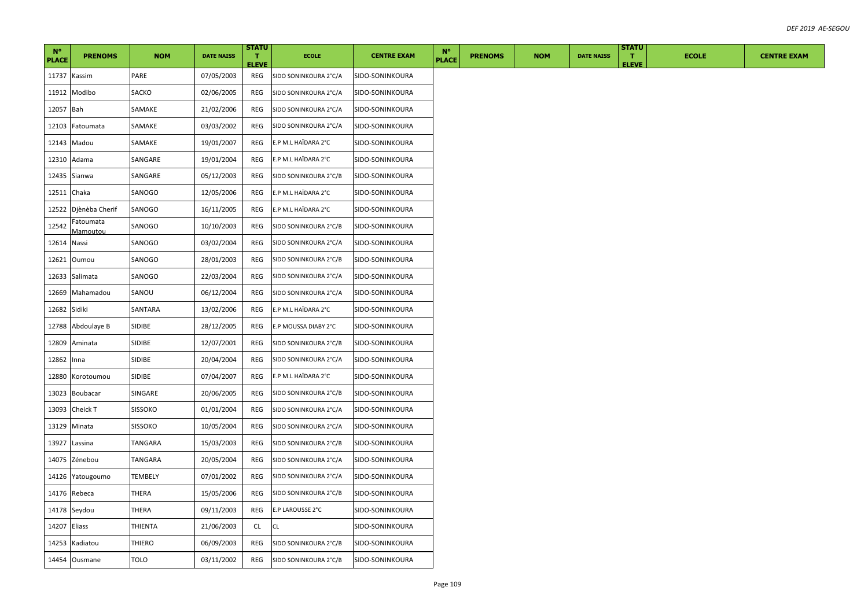| $N^{\circ}$<br><b>PLACE</b> | <b>PRENOMS</b>        | <b>NOM</b>     | <b>DATE NAISS</b> | <b>STATU</b><br>T.<br><b>ELEVE</b> | <b>ECOLE</b>          | <b>CENTRE EXAM</b> | $N^{\circ}$<br><b>PLACE</b> | <b>PRENOMS</b> | <b>NOM</b> | <b>DATE NAISS</b> | <b>STATU</b><br>T.<br><b>ELEVE</b> | <b>ECOLE</b> | <b>CENTRE EXAM</b> |
|-----------------------------|-----------------------|----------------|-------------------|------------------------------------|-----------------------|--------------------|-----------------------------|----------------|------------|-------------------|------------------------------------|--------------|--------------------|
| 11737                       | Kassim                | PARE           | 07/05/2003        | REG                                | SIDO SONINKOURA 2°C/A | SIDO-SONINKOURA    |                             |                |            |                   |                                    |              |                    |
| 11912                       | Modibo                | SACKO          | 02/06/2005        | REG                                | SIDO SONINKOURA 2°C/A | SIDO-SONINKOURA    |                             |                |            |                   |                                    |              |                    |
| 12057                       | Bah                   | SAMAKE         | 21/02/2006        | REG                                | SIDO SONINKOURA 2°C/A | SIDO-SONINKOURA    |                             |                |            |                   |                                    |              |                    |
| 12103                       | Fatoumata             | SAMAKE         | 03/03/2002        | REG                                | SIDO SONINKOURA 2°C/A | SIDO-SONINKOURA    |                             |                |            |                   |                                    |              |                    |
| 12143                       | Madou                 | SAMAKE         | 19/01/2007        | REG                                | E.P M.L HAÏDARA 2°C   | SIDO-SONINKOURA    |                             |                |            |                   |                                    |              |                    |
| 12310                       | Adama                 | SANGARE        | 19/01/2004        | REG                                | E.P M.L HAÏDARA 2°C   | SIDO-SONINKOURA    |                             |                |            |                   |                                    |              |                    |
| 12435                       | Sianwa                | SANGARE        | 05/12/2003        | REG                                | SIDO SONINKOURA 2°C/B | SIDO-SONINKOURA    |                             |                |            |                   |                                    |              |                    |
| 12511                       | Chaka                 | SANOGO         | 12/05/2006        | REG                                | E.P M.L HAÏDARA 2°C   | SIDO-SONINKOURA    |                             |                |            |                   |                                    |              |                    |
|                             | 12522 Djènèba Cherif  | SANOGO         | 16/11/2005        | REG                                | E.P M.L HAÏDARA 2°C   | SIDO-SONINKOURA    |                             |                |            |                   |                                    |              |                    |
| 12542                       | Fatoumata<br>Mamoutou | SANOGO         | 10/10/2003        | REG                                | SIDO SONINKOURA 2°C/B | SIDO-SONINKOURA    |                             |                |            |                   |                                    |              |                    |
| 12614                       | Nassi                 | SANOGO         | 03/02/2004        | REG                                | SIDO SONINKOURA 2°C/A | SIDO-SONINKOURA    |                             |                |            |                   |                                    |              |                    |
| 12621                       | Oumou                 | SANOGO         | 28/01/2003        | REG                                | SIDO SONINKOURA 2°C/B | SIDO-SONINKOURA    |                             |                |            |                   |                                    |              |                    |
| 12633                       | Salimata              | SANOGO         | 22/03/2004        | REG                                | SIDO SONINKOURA 2°C/A | SIDO-SONINKOURA    |                             |                |            |                   |                                    |              |                    |
| 12669                       | Mahamadou             | SANOU          | 06/12/2004        | REG                                | SIDO SONINKOURA 2°C/A | SIDO-SONINKOURA    |                             |                |            |                   |                                    |              |                    |
| 12682                       | Sidiki                | SANTARA        | 13/02/2006        | REG                                | E.P M.L HAÏDARA 2°C   | SIDO-SONINKOURA    |                             |                |            |                   |                                    |              |                    |
| 12788                       | Abdoulaye B           | SIDIBE         | 28/12/2005        | REG                                | E.P MOUSSA DIABY 2°C  | SIDO-SONINKOURA    |                             |                |            |                   |                                    |              |                    |
| 12809                       | Aminata               | SIDIBE         | 12/07/2001        | REG                                | SIDO SONINKOURA 2°C/B | SIDO-SONINKOURA    |                             |                |            |                   |                                    |              |                    |
| 12862                       | Inna                  | SIDIBE         | 20/04/2004        | REG                                | SIDO SONINKOURA 2°C/A | SIDO-SONINKOURA    |                             |                |            |                   |                                    |              |                    |
| 12880                       | Korotoumou            | SIDIBE         | 07/04/2007        | REG                                | E.P M.L HAÏDARA 2°C   | SIDO-SONINKOURA    |                             |                |            |                   |                                    |              |                    |
| 13023                       | <b>Boubacar</b>       | SINGARE        | 20/06/2005        | REG                                | SIDO SONINKOURA 2°C/B | SIDO-SONINKOURA    |                             |                |            |                   |                                    |              |                    |
| 13093                       | Cheick T              | <b>SISSOKO</b> | 01/01/2004        | REG                                | SIDO SONINKOURA 2°C/A | SIDO-SONINKOURA    |                             |                |            |                   |                                    |              |                    |
| 13129                       | Minata                | <b>SISSOKO</b> | 10/05/2004        | REG                                | SIDO SONINKOURA 2°C/A | SIDO-SONINKOURA    |                             |                |            |                   |                                    |              |                    |
| 13927                       | Lassina               | TANGARA        | 15/03/2003        | REG                                | SIDO SONINKOURA 2°C/B | SIDO-SONINKOURA    |                             |                |            |                   |                                    |              |                    |
| 14075                       | Zénebou               | TANGARA        | 20/05/2004        | REG                                | SIDO SONINKOURA 2°C/A | SIDO-SONINKOURA    |                             |                |            |                   |                                    |              |                    |
| 14126                       | Yatougoumo            | <b>TEMBELY</b> | 07/01/2002        | REG                                | SIDO SONINKOURA 2°C/A | SIDO-SONINKOURA    |                             |                |            |                   |                                    |              |                    |
| 14176                       | Rebeca                | THERA          | 15/05/2006        | REG                                | SIDO SONINKOURA 2°C/B | SIDO-SONINKOURA    |                             |                |            |                   |                                    |              |                    |
|                             | 14178 Seydou          | THERA          | 09/11/2003        | REG                                | E.P LAROUSSE 2°C      | SIDO-SONINKOURA    |                             |                |            |                   |                                    |              |                    |
| 14207 Eliass                |                       | THIENTA        | 21/06/2003        | CL                                 | <b>CL</b>             | SIDO-SONINKOURA    |                             |                |            |                   |                                    |              |                    |
| 14253                       | Kadiatou              | THIERO         | 06/09/2003        | REG                                | SIDO SONINKOURA 2°C/B | SIDO-SONINKOURA    |                             |                |            |                   |                                    |              |                    |
|                             | 14454 Ousmane         | TOLO           | 03/11/2002        | REG                                | SIDO SONINKOURA 2°C/B | SIDO-SONINKOURA    |                             |                |            |                   |                                    |              |                    |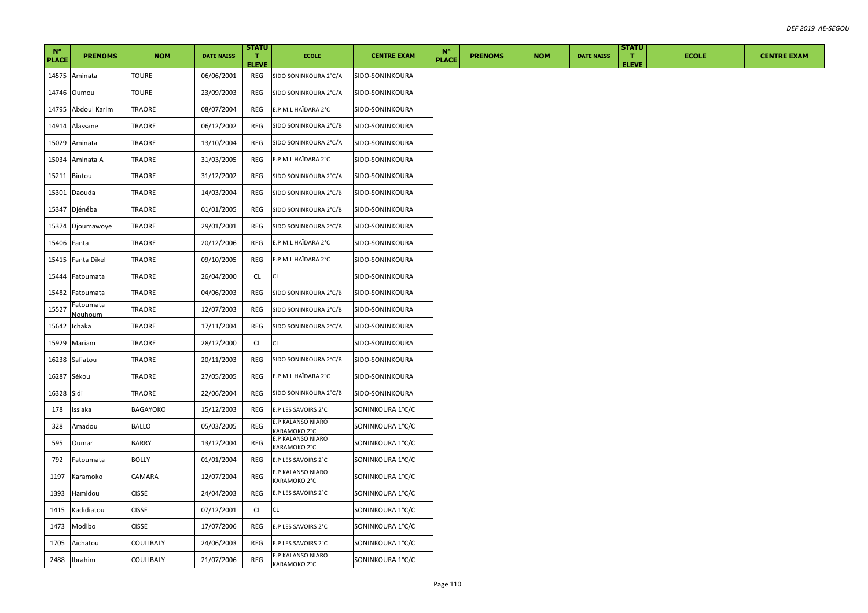| $N^{\circ}$<br><b>PLACE</b> | <b>PRENOMS</b>       | <b>NOM</b>       | <b>DATE NAISS</b> | <b>STATU</b><br>T.<br><b>ELEVE</b> | <b>ECOLE</b>                      | <b>CENTRE EXAM</b> | $N^{\circ}$<br><b>PLACE</b> | <b>PRENOMS</b> | <b>NOM</b> | <b>DATE NAISS</b> | <b>STATU</b><br>$\mathbf{T}$<br><b>ELEVE</b> | <b>ECOLE</b> | <b>CENTRE EXAM</b> |
|-----------------------------|----------------------|------------------|-------------------|------------------------------------|-----------------------------------|--------------------|-----------------------------|----------------|------------|-------------------|----------------------------------------------|--------------|--------------------|
|                             | 14575 Aminata        | <b>TOURE</b>     | 06/06/2001        | REG                                | SIDO SONINKOURA 2°C/A             | SIDO-SONINKOURA    |                             |                |            |                   |                                              |              |                    |
| 14746                       | Oumou                | TOURE            | 23/09/2003        | REG                                | SIDO SONINKOURA 2°C/A             | SIDO-SONINKOURA    |                             |                |            |                   |                                              |              |                    |
| 14795                       | Abdoul Karim         | TRAORE           | 08/07/2004        | REG                                | E.P M.L HAÏDARA 2°C               | SIDO-SONINKOURA    |                             |                |            |                   |                                              |              |                    |
| 14914                       | Alassane             | TRAORE           | 06/12/2002        | REG                                | SIDO SONINKOURA 2°C/B             | SIDO-SONINKOURA    |                             |                |            |                   |                                              |              |                    |
|                             | 15029 Aminata        | TRAORE           | 13/10/2004        | REG                                | SIDO SONINKOURA 2°C/A             | SIDO-SONINKOURA    |                             |                |            |                   |                                              |              |                    |
| 15034                       | Aminata A            | TRAORE           | 31/03/2005        | REG                                | E.P M.L HAÏDARA 2°C               | SIDO-SONINKOURA    |                             |                |            |                   |                                              |              |                    |
|                             | 15211 Bintou         | TRAORE           | 31/12/2002        | REG                                | SIDO SONINKOURA 2°C/A             | SIDO-SONINKOURA    |                             |                |            |                   |                                              |              |                    |
| 15301                       | Daouda               | TRAORE           | 14/03/2004        | REG                                | SIDO SONINKOURA 2°C/B             | SIDO-SONINKOURA    |                             |                |            |                   |                                              |              |                    |
|                             | 15347 Djénéba        | TRAORE           | 01/01/2005        | REG                                | SIDO SONINKOURA 2°C/B             | SIDO-SONINKOURA    |                             |                |            |                   |                                              |              |                    |
|                             | 15374 Djoumawoye     | TRAORE           | 29/01/2001        | REG                                | SIDO SONINKOURA 2°C/B             | SIDO-SONINKOURA    |                             |                |            |                   |                                              |              |                    |
| 15406                       | Fanta                | TRAORE           | 20/12/2006        | REG                                | E.P M.L HAÏDARA 2°C               | SIDO-SONINKOURA    |                             |                |            |                   |                                              |              |                    |
| 15415                       | Fanta Dikel          | TRAORE           | 09/10/2005        | REG                                | E.P M.L HAÏDARA 2°C               | SIDO-SONINKOURA    |                             |                |            |                   |                                              |              |                    |
| 15444                       | Fatoumata            | TRAORE           | 26/04/2000        | <b>CL</b>                          | CL.                               | SIDO-SONINKOURA    |                             |                |            |                   |                                              |              |                    |
| 15482                       | Fatoumata            | TRAORE           | 04/06/2003        | REG                                | SIDO SONINKOURA 2°C/B             | SIDO-SONINKOURA    |                             |                |            |                   |                                              |              |                    |
| 15527                       | Fatoumata<br>Nouhoum | TRAORE           | 12/07/2003        | REG                                | SIDO SONINKOURA 2°C/B             | SIDO-SONINKOURA    |                             |                |            |                   |                                              |              |                    |
| 15642                       | Ichaka               | TRAORE           | 17/11/2004        | REG                                | SIDO SONINKOURA 2°C/A             | SIDO-SONINKOURA    |                             |                |            |                   |                                              |              |                    |
| 15929                       | Mariam               | TRAORE           | 28/12/2000        | <b>CL</b>                          | CL                                | SIDO-SONINKOURA    |                             |                |            |                   |                                              |              |                    |
|                             | 16238 Safiatou       | TRAORE           | 20/11/2003        | REG                                | SIDO SONINKOURA 2°C/B             | SIDO-SONINKOURA    |                             |                |            |                   |                                              |              |                    |
| 16287                       | Sékou                | TRAORE           | 27/05/2005        | REG                                | E.P M.L HAÏDARA 2°C               | SIDO-SONINKOURA    |                             |                |            |                   |                                              |              |                    |
| 16328                       | Sidi                 | TRAORE           | 22/06/2004        | REG                                | SIDO SONINKOURA 2°C/B             | SIDO-SONINKOURA    |                             |                |            |                   |                                              |              |                    |
| 178                         | Issiaka              | <b>BAGAYOKO</b>  | 15/12/2003        | REG                                | E.P LES SAVOIRS 2°C               | SONINKOURA 1°C/C   |                             |                |            |                   |                                              |              |                    |
| 328                         | Amadou               | <b>BALLO</b>     | 05/03/2005        | REG                                | E.P KALANSO NIARO<br>KARAMOKO 2°C | SONINKOURA 1°C/C   |                             |                |            |                   |                                              |              |                    |
| 595                         | Oumar                | <b>BARRY</b>     | 13/12/2004        | REG                                | E.P KALANSO NIARO<br>KARAMOKO 2°C | SONINKOURA 1°C/C   |                             |                |            |                   |                                              |              |                    |
| 792                         | Fatoumata            | <b>BOLLY</b>     | 01/01/2004        | REG                                | E.P LES SAVOIRS 2°C               | SONINKOURA 1°C/C   |                             |                |            |                   |                                              |              |                    |
| 1197                        | Karamoko             | CAMARA           | 12/07/2004        | REG                                | E.P KALANSO NIARO<br>KARAMOKO 2°C | SONINKOURA 1°C/C   |                             |                |            |                   |                                              |              |                    |
| 1393                        | Hamidou              | <b>CISSE</b>     | 24/04/2003        | REG                                | E.P LES SAVOIRS 2°C               | SONINKOURA 1°C/C   |                             |                |            |                   |                                              |              |                    |
| 1415                        | Kadidiatou           | <b>CISSE</b>     | 07/12/2001        | <b>CL</b>                          | CL                                | SONINKOURA 1°C/C   |                             |                |            |                   |                                              |              |                    |
| 1473                        | Modibo               | <b>CISSE</b>     | 17/07/2006        | REG                                | E.P LES SAVOIRS 2°C               | SONINKOURA 1°C/C   |                             |                |            |                   |                                              |              |                    |
| 1705                        | Aïchatou             | COULIBALY        | 24/06/2003        | REG                                | E.P LES SAVOIRS 2°C               | SONINKOURA 1°C/C   |                             |                |            |                   |                                              |              |                    |
| 2488                        | Ibrahim              | <b>COULIBALY</b> | 21/07/2006        | REG                                | E.P KALANSO NIARO<br>KARAMOKO 2°C | SONINKOURA 1°C/C   |                             |                |            |                   |                                              |              |                    |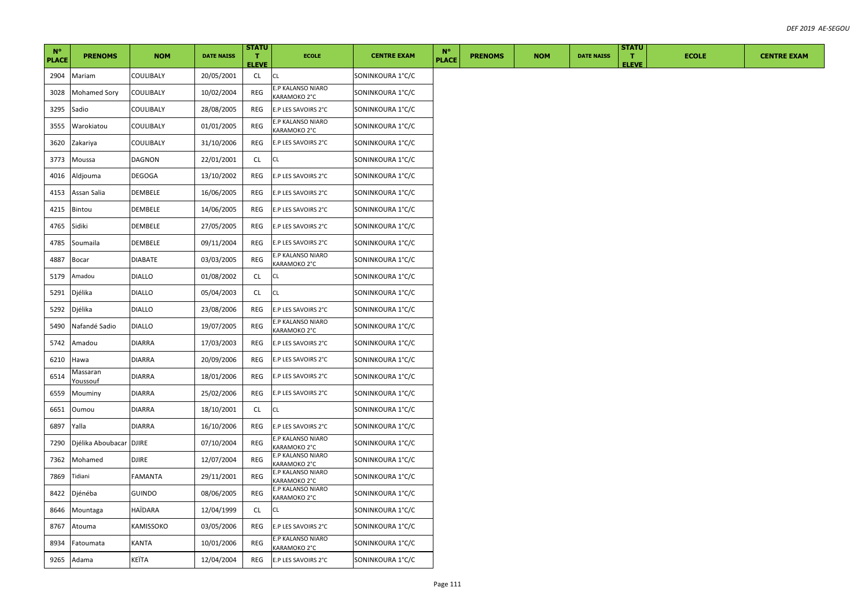|                             |                             |               |                   | <b>STATU</b>                 |                                                              |                    |                             |                |            |                   | <b>STATU</b>       |              |                    |
|-----------------------------|-----------------------------|---------------|-------------------|------------------------------|--------------------------------------------------------------|--------------------|-----------------------------|----------------|------------|-------------------|--------------------|--------------|--------------------|
| $N^{\circ}$<br><b>PLACE</b> | <b>PRENOMS</b>              | <b>NOM</b>    | <b>DATE NAISS</b> | $\mathbf{T}$<br><b>ELEVE</b> | <b>ECOLE</b>                                                 | <b>CENTRE EXAM</b> | $N^{\circ}$<br><b>PLACE</b> | <b>PRENOMS</b> | <b>NOM</b> | <b>DATE NAISS</b> | п.<br><b>ELEVE</b> | <b>ECOLE</b> | <b>CENTRE EXAM</b> |
| 2904                        | Mariam                      | COULIBALY     | 20/05/2001        | CL                           | CL.                                                          | SONINKOURA 1°C/C   |                             |                |            |                   |                    |              |                    |
| 3028                        | <b>Mohamed Sory</b>         | COULIBALY     | 10/02/2004        | REG                          | E.P KALANSO NIARO<br>KARAMOKO 2°C                            | SONINKOURA 1°C/C   |                             |                |            |                   |                    |              |                    |
| 3295                        | Sadio                       | COULIBALY     | 28/08/2005        | REG                          | E.P LES SAVOIRS 2°C                                          | SONINKOURA 1°C/C   |                             |                |            |                   |                    |              |                    |
| 3555                        | Warokiatou                  | COULIBALY     | 01/01/2005        | REG                          | E.P KALANSO NIARO<br>KARAMOKO 2°C                            | SONINKOURA 1°C/C   |                             |                |            |                   |                    |              |                    |
| 3620                        | Zakariya                    | COULIBALY     | 31/10/2006        | REG                          | E.P LES SAVOIRS 2°C                                          | SONINKOURA 1°C/C   |                             |                |            |                   |                    |              |                    |
| 3773                        | Moussa                      | DAGNON        | 22/01/2001        | CL                           | СL                                                           | SONINKOURA 1°C/C   |                             |                |            |                   |                    |              |                    |
| 4016                        | Aldjouma                    | DEGOGA        | 13/10/2002        | REG                          | E.P LES SAVOIRS 2°C                                          | SONINKOURA 1°C/C   |                             |                |            |                   |                    |              |                    |
| 4153                        | Assan Salia                 | DEMBELE       | 16/06/2005        | REG                          | E.P LES SAVOIRS 2°C                                          | SONINKOURA 1°C/C   |                             |                |            |                   |                    |              |                    |
| 4215                        | Bintou                      | DEMBELE       | 14/06/2005        | REG                          | E.P LES SAVOIRS 2°C                                          | SONINKOURA 1°C/C   |                             |                |            |                   |                    |              |                    |
| 4765                        | Sidiki                      | DEMBELE       | 27/05/2005        | REG                          | E.P LES SAVOIRS 2°C                                          | SONINKOURA 1°C/C   |                             |                |            |                   |                    |              |                    |
| 4785                        | Soumaila                    | DEMBELE       | 09/11/2004        | REG                          | E.P LES SAVOIRS 2°C                                          | SONINKOURA 1°C/C   |                             |                |            |                   |                    |              |                    |
| 4887                        | Bocar                       | DIABATE       | 03/03/2005        | REG                          | E.P KALANSO NIARO<br>KARAMOKO 2°C                            | SONINKOURA 1°C/C   |                             |                |            |                   |                    |              |                    |
| 5179                        | Amadou                      | <b>DIALLO</b> | 01/08/2002        | CL                           | CL                                                           | SONINKOURA 1°C/C   |                             |                |            |                   |                    |              |                    |
| 5291                        | Djélika                     | <b>DIALLO</b> | 05/04/2003        | CL                           | CL                                                           | SONINKOURA 1°C/C   |                             |                |            |                   |                    |              |                    |
| 5292                        | Djélika                     | <b>DIALLO</b> | 23/08/2006        | REG                          | E.P LES SAVOIRS 2°C                                          | SONINKOURA 1°C/C   |                             |                |            |                   |                    |              |                    |
| 5490                        | Nafandé Sadio               | <b>DIALLO</b> | 19/07/2005        | REG                          | E.P KALANSO NIARO<br>KARAMOKO 2°C                            | SONINKOURA 1°C/C   |                             |                |            |                   |                    |              |                    |
| 5742                        | Amadou                      | <b>DIARRA</b> | 17/03/2003        | REG                          | E.P LES SAVOIRS 2°C                                          | SONINKOURA 1°C/C   |                             |                |            |                   |                    |              |                    |
| 6210                        | Hawa                        | DIARRA        | 20/09/2006        | REG                          | E.P LES SAVOIRS 2°C                                          | SONINKOURA 1°C/C   |                             |                |            |                   |                    |              |                    |
| 6514                        | Massaran<br><u>Youssouf</u> | <b>DIARRA</b> | 18/01/2006        | REG                          | E.P LES SAVOIRS 2°C                                          | SONINKOURA 1°C/C   |                             |                |            |                   |                    |              |                    |
| 6559                        | Mouminy                     | DIARRA        | 25/02/2006        | REG                          | E.P LES SAVOIRS 2°C                                          | SONINKOURA 1°C/C   |                             |                |            |                   |                    |              |                    |
| 6651                        | Oumou                       | DIARRA        | 18/10/2001        | CL                           | СL                                                           | SONINKOURA 1°C/C   |                             |                |            |                   |                    |              |                    |
| 6897                        | Yalla                       | <b>DIARRA</b> | 16/10/2006        | REG                          | E.P LES SAVOIRS 2°C                                          | SONINKOURA 1°C/C   |                             |                |            |                   |                    |              |                    |
| 7290                        | Djélika Aboubacar           | <b>DJIRE</b>  | 07/10/2004        | REG                          | E.P KALANSO NIARO<br><b><aramoko 2°c<="" b=""></aramoko></b> | SONINKOURA 1°C/C   |                             |                |            |                   |                    |              |                    |
| 7362                        | Mohamed                     | <b>DJIRE</b>  | 12/07/2004        | REG                          | E.P KALANSO NIARO<br>KARAMOKO 2°C                            | SONINKOURA 1°C/C   |                             |                |            |                   |                    |              |                    |
| 7869                        | Tidiani                     | FAMANTA       | 29/11/2001        | REG                          | E.P KALANSO NIARO<br>KARAMOKO 2°C                            | SONINKOURA 1°C/C   |                             |                |            |                   |                    |              |                    |
| 8422                        | Djénéba                     | <b>GUINDO</b> | 08/06/2005        | REG                          | E.P KALANSO NIARO<br>KARAMOKO 2°C                            | SONINKOURA 1°C/C   |                             |                |            |                   |                    |              |                    |
| 8646                        | Mountaga                    | HAÏDARA       | 12/04/1999        | CL                           | СL                                                           | SONINKOURA 1°C/C   |                             |                |            |                   |                    |              |                    |
| 8767                        | Atouma                      | KAMISSOKO     | 03/05/2006        | REG                          | E.P LES SAVOIRS 2°C                                          | SONINKOURA 1°C/C   |                             |                |            |                   |                    |              |                    |
| 8934                        | Fatoumata                   | KANTA         | 10/01/2006        | REG                          | E.P KALANSO NIARO<br>KARAMOKO 2°C                            | SONINKOURA 1°C/C   |                             |                |            |                   |                    |              |                    |
| 9265                        | Adama                       | KEÏTA         | 12/04/2004        | REG                          | E.P LES SAVOIRS 2°C                                          | SONINKOURA 1°C/C   |                             |                |            |                   |                    |              |                    |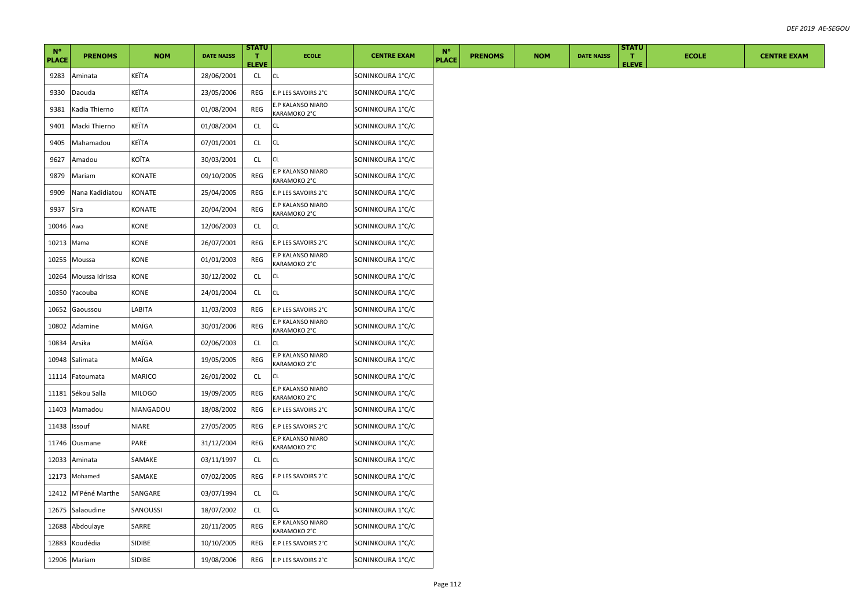| $N^{\circ}$  |                 |              |                   | <b>STATU</b>       |                                   |                    | $N^{\circ}$  |                |            |                   | <b>STATU</b>       |              |                    |
|--------------|-----------------|--------------|-------------------|--------------------|-----------------------------------|--------------------|--------------|----------------|------------|-------------------|--------------------|--------------|--------------------|
| <b>PLACE</b> | <b>PRENOMS</b>  | <b>NOM</b>   | <b>DATE NAISS</b> | т.<br><b>ELEVE</b> | <b>ECOLE</b>                      | <b>CENTRE EXAM</b> | <b>PLACE</b> | <b>PRENOMS</b> | <b>NOM</b> | <b>DATE NAISS</b> | т.<br><b>ELEVE</b> | <b>ECOLE</b> | <b>CENTRE EXAM</b> |
| 9283         | Aminata         | KEÏTA        | 28/06/2001        | CL                 | CL                                | SONINKOURA 1°C/C   |              |                |            |                   |                    |              |                    |
| 9330         | Daouda          | KEÏTA        | 23/05/2006        | REG                | E.P LES SAVOIRS 2°C               | SONINKOURA 1°C/C   |              |                |            |                   |                    |              |                    |
| 9381         | Kadia Thierno   | KEÏTA        | 01/08/2004        | REG                | E.P KALANSO NIARO<br>KARAMOKO 2°C | SONINKOURA 1°C/C   |              |                |            |                   |                    |              |                    |
| 9401         | Macki Thierno   | KEÏTA        | 01/08/2004        | CL                 | CL                                | SONINKOURA 1°C/C   |              |                |            |                   |                    |              |                    |
| 9405         | Mahamadou       | KEÏTA        | 07/01/2001        | CL                 | CL                                | SONINKOURA 1°C/C   |              |                |            |                   |                    |              |                    |
| 9627         | Amadou          | KOÏTA        | 30/03/2001        | CL                 | СL                                | SONINKOURA 1°C/C   |              |                |            |                   |                    |              |                    |
| 9879         | Mariam          | KONATE       | 09/10/2005        | REG                | E.P KALANSO NIARO<br>KARAMOKO 2°C | SONINKOURA 1°C/C   |              |                |            |                   |                    |              |                    |
| 9909         | Nana Kadidiatou | KONATE       | 25/04/2005        | REG                | E.P LES SAVOIRS 2°C               | SONINKOURA 1°C/C   |              |                |            |                   |                    |              |                    |
| 9937         | Sira            | KONATE       | 20/04/2004        | REG                | E.P KALANSO NIARO<br>KARAMOKO 2°C | SONINKOURA 1°C/C   |              |                |            |                   |                    |              |                    |
| 10046 Awa    |                 | KONE         | 12/06/2003        | CL.                | СL                                | SONINKOURA 1°C/C   |              |                |            |                   |                    |              |                    |
| 10213        | Mama            | KONE         | 26/07/2001        | REG                | E.P LES SAVOIRS 2°C               | SONINKOURA 1°C/C   |              |                |            |                   |                    |              |                    |
| 10255        | Moussa          | KONE         | 01/01/2003        | REG                | E.P KALANSO NIARO<br>KARAMOKO 2°C | SONINKOURA 1°C/C   |              |                |            |                   |                    |              |                    |
| 10264        | Moussa Idrissa  | KONE         | 30/12/2002        | CL.                | СL                                | SONINKOURA 1°C/C   |              |                |            |                   |                    |              |                    |
| 10350        | Yacouba         | KONE         | 24/01/2004        | CL                 | CL                                | SONINKOURA 1°C/C   |              |                |            |                   |                    |              |                    |
| 10652        | Gaoussou        | LABITA       | 11/03/2003        | REG                | E.P LES SAVOIRS 2°C               | SONINKOURA 1°C/C   |              |                |            |                   |                    |              |                    |
| 10802        | Adamine         | MAÏGA        | 30/01/2006        | REG                | E.P KALANSO NIARO<br>KARAMOKO 2°C | SONINKOURA 1°C/C   |              |                |            |                   |                    |              |                    |
| 10834        | Arsika          | MAÏGA        | 02/06/2003        | CL.                | СL                                | SONINKOURA 1°C/C   |              |                |            |                   |                    |              |                    |
| 10948        | Salimata        | MAÏGA        | 19/05/2005        | REG                | E.P KALANSO NIARO<br>KARAMOKO 2°C | SONINKOURA 1°C/C   |              |                |            |                   |                    |              |                    |
| 11114        | Fatoumata       | MARICO       | 26/01/2002        | <b>CL</b>          | СL                                | SONINKOURA 1°C/C   |              |                |            |                   |                    |              |                    |
| 11181        | Sékou Salla     | MILOGO       | 19/09/2005        | REG                | E.P KALANSO NIARO<br>KARAMOKO 2°C | SONINKOURA 1°C/C   |              |                |            |                   |                    |              |                    |
| 11403        | Mamadou         | NIANGADOU    | 18/08/2002        | REG                | E.P LES SAVOIRS 2°C               | SONINKOURA 1°C/C   |              |                |            |                   |                    |              |                    |
| 11438        | Issouf          | <b>NIARE</b> | 27/05/2005        | REG                | E.P LES SAVOIRS 2°C               | SONINKOURA 1°C/C   |              |                |            |                   |                    |              |                    |
| 11746        | Ousmane         | PARE         | 31/12/2004        | REG                | E.P KALANSO NIARO<br>KARAMOKO 2°C | SONINKOURA 1°C/C   |              |                |            |                   |                    |              |                    |
| 12033        | Aminata         | SAMAKE       | 03/11/1997        | CL                 | СL                                | SONINKOURA 1°C/C   |              |                |            |                   |                    |              |                    |
| 12173        | Mohamed         | SAMAKE       | 07/02/2005        | REG                | E.P LES SAVOIRS 2°C               | SONINKOURA 1°C/C   |              |                |            |                   |                    |              |                    |
| 12412        | M'Péné Marthe   | SANGARE      | 03/07/1994        | CL                 | CL                                | SONINKOURA 1°C/C   |              |                |            |                   |                    |              |                    |
| 12675        | Salaoudine      | SANOUSSI     | 18/07/2002        | CL                 | СL                                | SONINKOURA 1°C/C   |              |                |            |                   |                    |              |                    |
| 12688        | Abdoulaye       | SARRE        | 20/11/2005        | REG                | E.P KALANSO NIARO<br>KARAMOKO 2°C | SONINKOURA 1°C/C   |              |                |            |                   |                    |              |                    |
| 12883        | Koudédia        | SIDIBE       | 10/10/2005        | REG                | E.P LES SAVOIRS 2°C               | SONINKOURA 1°C/C   |              |                |            |                   |                    |              |                    |
|              | 12906 Mariam    | SIDIBE       | 19/08/2006        | REG                | E.P LES SAVOIRS 2°C               | SONINKOURA 1°C/C   |              |                |            |                   |                    |              |                    |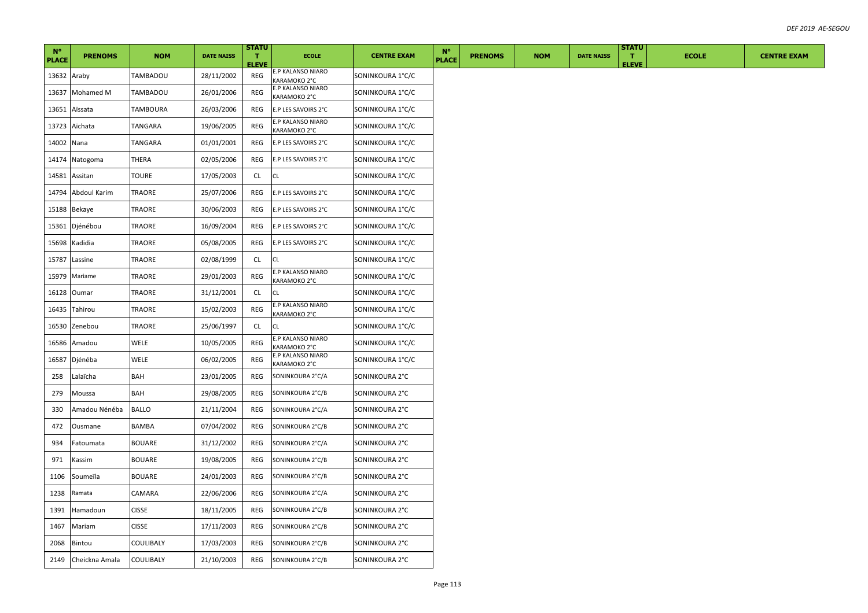| $N^{\circ}$  | <b>PRENOMS</b> | <b>NOM</b>    | <b>DATE NAISS</b> | <b>STATU</b><br>л. | <b>ECOLE</b>                                                 | <b>CENTRE EXAM</b> | $N^{\circ}$  | <b>PRENOMS</b> | <b>NOM</b> | <b>DATE NAISS</b> | <b>STATU</b><br>т. | <b>ECOLE</b> | <b>CENTRE EXAM</b> |
|--------------|----------------|---------------|-------------------|--------------------|--------------------------------------------------------------|--------------------|--------------|----------------|------------|-------------------|--------------------|--------------|--------------------|
| <b>PLACE</b> |                |               |                   | <b>ELEVE</b>       | E.P KALANSO NIARO                                            |                    | <b>PLACE</b> |                |            |                   | <b>ELEVE</b>       |              |                    |
| 13632 Araby  |                | TAMBADOU      | 28/11/2002        | REG                | KARAMOKO 2°C                                                 | SONINKOURA 1°C/C   |              |                |            |                   |                    |              |                    |
| 13637        | Mohamed M      | TAMBADOU      | 26/01/2006        | REG                | E.P KALANSO NIARO<br>KARAMOKO 2°C                            | SONINKOURA 1°C/C   |              |                |            |                   |                    |              |                    |
| 13651        | Aïssata        | TAMBOURA      | 26/03/2006        | REG                | E.P LES SAVOIRS 2°C                                          | SONINKOURA 1°C/C   |              |                |            |                   |                    |              |                    |
| 13723        | Aïchata        | TANGARA       | 19/06/2005        | REG                | E.P KALANSO NIARO<br>KARAMOKO 2°C                            | SONINKOURA 1°C/C   |              |                |            |                   |                    |              |                    |
| 14002 Nana   |                | TANGARA       | 01/01/2001        | REG                | E.P LES SAVOIRS 2°C                                          | SONINKOURA 1°C/C   |              |                |            |                   |                    |              |                    |
|              | 14174 Natogoma | THERA         | 02/05/2006        | REG                | E.P LES SAVOIRS 2°C                                          | SONINKOURA 1°C/C   |              |                |            |                   |                    |              |                    |
| 14581        | Assitan        | TOURE         | 17/05/2003        | CL.                | CL                                                           | SONINKOURA 1°C/C   |              |                |            |                   |                    |              |                    |
| 14794        | Abdoul Karim   | TRAORE        | 25/07/2006        | REG                | E.P LES SAVOIRS 2°C                                          | SONINKOURA 1°C/C   |              |                |            |                   |                    |              |                    |
| 15188        | Bekaye         | TRAORE        | 30/06/2003        | REG                | E.P LES SAVOIRS 2°C                                          | SONINKOURA 1°C/C   |              |                |            |                   |                    |              |                    |
| 15361        | Djénébou       | TRAORE        | 16/09/2004        | REG                | E.P LES SAVOIRS 2°C                                          | SONINKOURA 1°C/C   |              |                |            |                   |                    |              |                    |
| 15698        | Kadidia        | TRAORE        | 05/08/2005        | REG                | E.P LES SAVOIRS 2°C                                          | SONINKOURA 1°C/C   |              |                |            |                   |                    |              |                    |
| 15787        | Lassine        | TRAORE        | 02/08/1999        | CL                 | CL                                                           | SONINKOURA 1°C/C   |              |                |            |                   |                    |              |                    |
| 15979        | Mariame        | TRAORE        | 29/01/2003        | REG                | E.P KALANSO NIARO<br>KARAMOKO 2°C                            | SONINKOURA 1°C/C   |              |                |            |                   |                    |              |                    |
| 16128        | Oumar          | TRAORE        | 31/12/2001        | CL                 | СL                                                           | SONINKOURA 1°C/C   |              |                |            |                   |                    |              |                    |
| 16435        | Tahirou        | TRAORE        | 15/02/2003        | REG                | E.P KALANSO NIARO<br>KARAMOKO 2°C                            | SONINKOURA 1°C/C   |              |                |            |                   |                    |              |                    |
| 16530        | Zenebou        | TRAORE        | 25/06/1997        | CL                 | CL.                                                          | SONINKOURA 1°C/C   |              |                |            |                   |                    |              |                    |
| 16586        | Amadou         | WELE          | 10/05/2005        | REG                | E.P KALANSO NIARO<br>KARAMOKO 2°C                            | SONINKOURA 1°C/C   |              |                |            |                   |                    |              |                    |
| 16587        | Djénéba        | WELE          | 06/02/2005        | REG                | E.P KALANSO NIARO<br><b><aramoko 2°c<="" b=""></aramoko></b> | SONINKOURA 1°C/C   |              |                |            |                   |                    |              |                    |
| 258          | Lalaïcha       | BAH           | 23/01/2005        | REG                | SONINKOURA 2°C/A                                             | SONINKOURA 2°C     |              |                |            |                   |                    |              |                    |
| 279          | Moussa         | BAH           | 29/08/2005        | REG                | SONINKOURA 2°C/B                                             | SONINKOURA 2°C     |              |                |            |                   |                    |              |                    |
| 330          | Amadou Nénéba  | <b>BALLO</b>  | 21/11/2004        | REG                | SONINKOURA 2°C/A                                             | SONINKOURA 2°C     |              |                |            |                   |                    |              |                    |
| 472          | Ousmane        | BAMBA         | 07/04/2002        | REG                | SONINKOURA 2°C/B                                             | SONINKOURA 2°C     |              |                |            |                   |                    |              |                    |
| 934          | Fatoumata      | BOUARE        | 31/12/2002        | REG                | SONINKOURA 2°C/A                                             | SONINKOURA 2°C     |              |                |            |                   |                    |              |                    |
| 971          | Kassim         | <b>BOUARE</b> | 19/08/2005        | REG                | SONINKOURA 2°C/B                                             | SONINKOURA 2°C     |              |                |            |                   |                    |              |                    |
| 1106         | Soumeïla       | <b>BOUARE</b> | 24/01/2003        | REG                | SONINKOURA 2°C/B                                             | SONINKOURA 2°C     |              |                |            |                   |                    |              |                    |
| 1238         | Ramata         | CAMARA        | 22/06/2006        | REG                | SONINKOURA 2°C/A                                             | SONINKOURA 2°C     |              |                |            |                   |                    |              |                    |
| 1391         | Hamadoun       | <b>CISSE</b>  | 18/11/2005        | REG                | SONINKOURA 2°C/B                                             | SONINKOURA 2°C     |              |                |            |                   |                    |              |                    |
| 1467         | Mariam         | <b>CISSE</b>  | 17/11/2003        | REG                | SONINKOURA 2°C/B                                             | SONINKOURA 2°C     |              |                |            |                   |                    |              |                    |
| 2068         | Bintou         | COULIBALY     | 17/03/2003        | REG                | SONINKOURA 2°C/B                                             | SONINKOURA 2°C     |              |                |            |                   |                    |              |                    |
| 2149         | Cheickna Amala | COULIBALY     | 21/10/2003        | REG                | SONINKOURA 2°C/B                                             | SONINKOURA 2°C     |              |                |            |                   |                    |              |                    |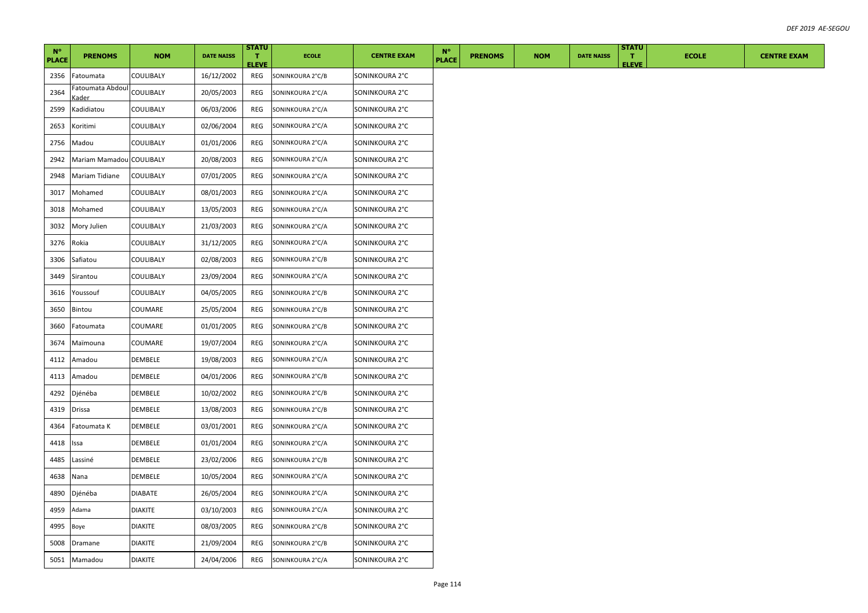| <b>PRENOMS</b><br><b>PRENOMS</b><br><b>NOM</b><br><b>DATE NAISS</b><br>$\mathbf{T}$<br><b>ECOLE</b><br><b>CENTRE EXAM</b><br><b>PLACE</b><br><b>PLACE</b><br><b>ELEVE</b><br>16/12/2002<br>2356<br>COULIBALY<br>SONINKOURA 2°C<br>Fatoumata<br>REG<br>SONINKOURA 2°C/B<br>Fatoumata Abdoul<br>2364<br>COULIBALY<br>20/05/2003<br>REG<br>SONINKOURA 2°C/A<br>SONINKOURA 2°C<br>Kader<br>06/03/2006<br><b>REG</b><br>SONINKOURA 2°C/A<br>SONINKOURA 2°C<br>2599<br>Kadidiatou<br>COULIBALY<br>02/06/2004<br>2653<br>Koritimi<br>COULIBALY<br>REG<br>SONINKOURA 2°C/A<br>SONINKOURA 2°C<br>2756<br>01/01/2006<br>COULIBALY<br>REG<br>SONINKOURA 2°C/A<br>SONINKOURA 2°C<br>Madou<br>2942<br>Mariam Mamadou COULIBALY<br>20/08/2003<br>REG<br>SONINKOURA 2°C<br>SONINKOURA 2°C/A<br>07/01/2005<br>2948<br>Mariam Tidiane<br>COULIBALY<br>REG<br>SONINKOURA 2°C<br>SONINKOURA 2°C/A<br>08/01/2003<br>SONINKOURA 2°C/A<br>SONINKOURA 2°C<br>3017<br>Mohamed<br>COULIBALY<br>REG<br>3018<br>Mohamed<br>COULIBALY<br>13/05/2003<br>REG<br>SONINKOURA 2°C/A<br>SONINKOURA 2°C<br>21/03/2003<br>SONINKOURA 2°C/A<br>3032<br>Mory Julien<br>COULIBALY<br>REG<br>SONINKOURA 2°C<br>COULIBALY<br>31/12/2005<br>3276<br>Rokia<br>REG<br>SONINKOURA 2°C<br>SONINKOURA 2°C/A<br>COULIBALY<br>02/08/2003<br>SONINKOURA 2°C/B<br>SONINKOURA 2°C<br>3306<br>Safiatou<br>REG<br>COULIBALY<br>23/09/2004<br>3449<br>Sirantou<br>REG<br>SONINKOURA 2°C/A<br>SONINKOURA 2°C<br>3616<br>COULIBALY<br>04/05/2005<br>SONINKOURA 2°C/B<br>SONINKOURA 2°C<br>Youssouf<br>REG<br>3650<br>Bintou<br>COUMARE<br>25/05/2004<br>REG<br>SONINKOURA 2°C/B<br>SONINKOURA 2°C<br>COUMARE<br>01/01/2005<br>REG<br>SONINKOURA 2°C<br>3660<br>SONINKOURA 2°C/B<br>Fatoumata<br>3674<br>COUMARE<br>19/07/2004<br>REG<br>SONINKOURA 2°C/A<br>SONINKOURA 2°C<br>Maïmouna |
|-------------------------------------------------------------------------------------------------------------------------------------------------------------------------------------------------------------------------------------------------------------------------------------------------------------------------------------------------------------------------------------------------------------------------------------------------------------------------------------------------------------------------------------------------------------------------------------------------------------------------------------------------------------------------------------------------------------------------------------------------------------------------------------------------------------------------------------------------------------------------------------------------------------------------------------------------------------------------------------------------------------------------------------------------------------------------------------------------------------------------------------------------------------------------------------------------------------------------------------------------------------------------------------------------------------------------------------------------------------------------------------------------------------------------------------------------------------------------------------------------------------------------------------------------------------------------------------------------------------------------------------------------------------------------------------------------------------------------------------------------------------------------------------------------------------------------------|
|                                                                                                                                                                                                                                                                                                                                                                                                                                                                                                                                                                                                                                                                                                                                                                                                                                                                                                                                                                                                                                                                                                                                                                                                                                                                                                                                                                                                                                                                                                                                                                                                                                                                                                                                                                                                                               |
|                                                                                                                                                                                                                                                                                                                                                                                                                                                                                                                                                                                                                                                                                                                                                                                                                                                                                                                                                                                                                                                                                                                                                                                                                                                                                                                                                                                                                                                                                                                                                                                                                                                                                                                                                                                                                               |
|                                                                                                                                                                                                                                                                                                                                                                                                                                                                                                                                                                                                                                                                                                                                                                                                                                                                                                                                                                                                                                                                                                                                                                                                                                                                                                                                                                                                                                                                                                                                                                                                                                                                                                                                                                                                                               |
|                                                                                                                                                                                                                                                                                                                                                                                                                                                                                                                                                                                                                                                                                                                                                                                                                                                                                                                                                                                                                                                                                                                                                                                                                                                                                                                                                                                                                                                                                                                                                                                                                                                                                                                                                                                                                               |
|                                                                                                                                                                                                                                                                                                                                                                                                                                                                                                                                                                                                                                                                                                                                                                                                                                                                                                                                                                                                                                                                                                                                                                                                                                                                                                                                                                                                                                                                                                                                                                                                                                                                                                                                                                                                                               |
|                                                                                                                                                                                                                                                                                                                                                                                                                                                                                                                                                                                                                                                                                                                                                                                                                                                                                                                                                                                                                                                                                                                                                                                                                                                                                                                                                                                                                                                                                                                                                                                                                                                                                                                                                                                                                               |
|                                                                                                                                                                                                                                                                                                                                                                                                                                                                                                                                                                                                                                                                                                                                                                                                                                                                                                                                                                                                                                                                                                                                                                                                                                                                                                                                                                                                                                                                                                                                                                                                                                                                                                                                                                                                                               |
|                                                                                                                                                                                                                                                                                                                                                                                                                                                                                                                                                                                                                                                                                                                                                                                                                                                                                                                                                                                                                                                                                                                                                                                                                                                                                                                                                                                                                                                                                                                                                                                                                                                                                                                                                                                                                               |
|                                                                                                                                                                                                                                                                                                                                                                                                                                                                                                                                                                                                                                                                                                                                                                                                                                                                                                                                                                                                                                                                                                                                                                                                                                                                                                                                                                                                                                                                                                                                                                                                                                                                                                                                                                                                                               |
|                                                                                                                                                                                                                                                                                                                                                                                                                                                                                                                                                                                                                                                                                                                                                                                                                                                                                                                                                                                                                                                                                                                                                                                                                                                                                                                                                                                                                                                                                                                                                                                                                                                                                                                                                                                                                               |
|                                                                                                                                                                                                                                                                                                                                                                                                                                                                                                                                                                                                                                                                                                                                                                                                                                                                                                                                                                                                                                                                                                                                                                                                                                                                                                                                                                                                                                                                                                                                                                                                                                                                                                                                                                                                                               |
|                                                                                                                                                                                                                                                                                                                                                                                                                                                                                                                                                                                                                                                                                                                                                                                                                                                                                                                                                                                                                                                                                                                                                                                                                                                                                                                                                                                                                                                                                                                                                                                                                                                                                                                                                                                                                               |
|                                                                                                                                                                                                                                                                                                                                                                                                                                                                                                                                                                                                                                                                                                                                                                                                                                                                                                                                                                                                                                                                                                                                                                                                                                                                                                                                                                                                                                                                                                                                                                                                                                                                                                                                                                                                                               |
|                                                                                                                                                                                                                                                                                                                                                                                                                                                                                                                                                                                                                                                                                                                                                                                                                                                                                                                                                                                                                                                                                                                                                                                                                                                                                                                                                                                                                                                                                                                                                                                                                                                                                                                                                                                                                               |
|                                                                                                                                                                                                                                                                                                                                                                                                                                                                                                                                                                                                                                                                                                                                                                                                                                                                                                                                                                                                                                                                                                                                                                                                                                                                                                                                                                                                                                                                                                                                                                                                                                                                                                                                                                                                                               |
|                                                                                                                                                                                                                                                                                                                                                                                                                                                                                                                                                                                                                                                                                                                                                                                                                                                                                                                                                                                                                                                                                                                                                                                                                                                                                                                                                                                                                                                                                                                                                                                                                                                                                                                                                                                                                               |
|                                                                                                                                                                                                                                                                                                                                                                                                                                                                                                                                                                                                                                                                                                                                                                                                                                                                                                                                                                                                                                                                                                                                                                                                                                                                                                                                                                                                                                                                                                                                                                                                                                                                                                                                                                                                                               |
|                                                                                                                                                                                                                                                                                                                                                                                                                                                                                                                                                                                                                                                                                                                                                                                                                                                                                                                                                                                                                                                                                                                                                                                                                                                                                                                                                                                                                                                                                                                                                                                                                                                                                                                                                                                                                               |
| 4112<br>DEMBELE<br>19/08/2003<br>REG<br>SONINKOURA 2°C/A<br>SONINKOURA 2°C<br>Amadou                                                                                                                                                                                                                                                                                                                                                                                                                                                                                                                                                                                                                                                                                                                                                                                                                                                                                                                                                                                                                                                                                                                                                                                                                                                                                                                                                                                                                                                                                                                                                                                                                                                                                                                                          |
| 4113<br>DEMBELE<br>04/01/2006<br>REG<br>SONINKOURA 2°C/B<br>SONINKOURA 2°C<br>Amadou                                                                                                                                                                                                                                                                                                                                                                                                                                                                                                                                                                                                                                                                                                                                                                                                                                                                                                                                                                                                                                                                                                                                                                                                                                                                                                                                                                                                                                                                                                                                                                                                                                                                                                                                          |
| 10/02/2002<br>4292<br>Djénéba<br>DEMBELE<br>REG<br>SONINKOURA 2°C<br>SONINKOURA 2°C/B                                                                                                                                                                                                                                                                                                                                                                                                                                                                                                                                                                                                                                                                                                                                                                                                                                                                                                                                                                                                                                                                                                                                                                                                                                                                                                                                                                                                                                                                                                                                                                                                                                                                                                                                         |
| 4319<br><b>Drissa</b><br>DEMBELE<br>13/08/2003<br>REG<br>SONINKOURA 2°C/B<br>SONINKOURA 2°C                                                                                                                                                                                                                                                                                                                                                                                                                                                                                                                                                                                                                                                                                                                                                                                                                                                                                                                                                                                                                                                                                                                                                                                                                                                                                                                                                                                                                                                                                                                                                                                                                                                                                                                                   |
| 03/01/2001<br>DEMBELE<br>REG<br>SONINKOURA 2°C/A<br>SONINKOURA 2°C<br>4364<br>Fatoumata K                                                                                                                                                                                                                                                                                                                                                                                                                                                                                                                                                                                                                                                                                                                                                                                                                                                                                                                                                                                                                                                                                                                                                                                                                                                                                                                                                                                                                                                                                                                                                                                                                                                                                                                                     |
| 01/01/2004<br>4418<br>DEMBELE<br>REG<br>SONINKOURA 2°C/A<br>SONINKOURA 2°C<br>Issa                                                                                                                                                                                                                                                                                                                                                                                                                                                                                                                                                                                                                                                                                                                                                                                                                                                                                                                                                                                                                                                                                                                                                                                                                                                                                                                                                                                                                                                                                                                                                                                                                                                                                                                                            |
| DEMBELE<br>23/02/2006<br>4485<br>REG<br>SONINKOURA 2°C/B<br>SONINKOURA 2°C<br>Lassiné                                                                                                                                                                                                                                                                                                                                                                                                                                                                                                                                                                                                                                                                                                                                                                                                                                                                                                                                                                                                                                                                                                                                                                                                                                                                                                                                                                                                                                                                                                                                                                                                                                                                                                                                         |
| 10/05/2004<br>4638<br>Nana<br>DEMBELE<br>REG<br>SONINKOURA 2°C/A<br>SONINKOURA 2°C                                                                                                                                                                                                                                                                                                                                                                                                                                                                                                                                                                                                                                                                                                                                                                                                                                                                                                                                                                                                                                                                                                                                                                                                                                                                                                                                                                                                                                                                                                                                                                                                                                                                                                                                            |
| 4890<br>Djénéba<br>DIABATE<br>26/05/2004<br>REG<br>SONINKOURA 2°C<br>SONINKOURA 2°C/A                                                                                                                                                                                                                                                                                                                                                                                                                                                                                                                                                                                                                                                                                                                                                                                                                                                                                                                                                                                                                                                                                                                                                                                                                                                                                                                                                                                                                                                                                                                                                                                                                                                                                                                                         |
| Adama<br><b>DIAKITE</b><br>03/10/2003<br>SONINKOURA 2°C<br>4959<br>REG<br>SONINKOURA 2°C/A                                                                                                                                                                                                                                                                                                                                                                                                                                                                                                                                                                                                                                                                                                                                                                                                                                                                                                                                                                                                                                                                                                                                                                                                                                                                                                                                                                                                                                                                                                                                                                                                                                                                                                                                    |
| 4995<br>Boye<br>DIAKITE<br>08/03/2005<br>REG<br>SONINKOURA 2°C/B<br>SONINKOURA 2°C                                                                                                                                                                                                                                                                                                                                                                                                                                                                                                                                                                                                                                                                                                                                                                                                                                                                                                                                                                                                                                                                                                                                                                                                                                                                                                                                                                                                                                                                                                                                                                                                                                                                                                                                            |
| <b>DIAKITE</b><br>21/09/2004<br>SONINKOURA 2°C/B<br>SONINKOURA 2°C<br>5008<br>REG<br>Dramane                                                                                                                                                                                                                                                                                                                                                                                                                                                                                                                                                                                                                                                                                                                                                                                                                                                                                                                                                                                                                                                                                                                                                                                                                                                                                                                                                                                                                                                                                                                                                                                                                                                                                                                                  |
| 24/04/2006<br>SONINKOURA 2°C<br>5051 Mamadou<br><b>DIAKITE</b><br>REG<br>SONINKOURA 2°C/A                                                                                                                                                                                                                                                                                                                                                                                                                                                                                                                                                                                                                                                                                                                                                                                                                                                                                                                                                                                                                                                                                                                                                                                                                                                                                                                                                                                                                                                                                                                                                                                                                                                                                                                                     |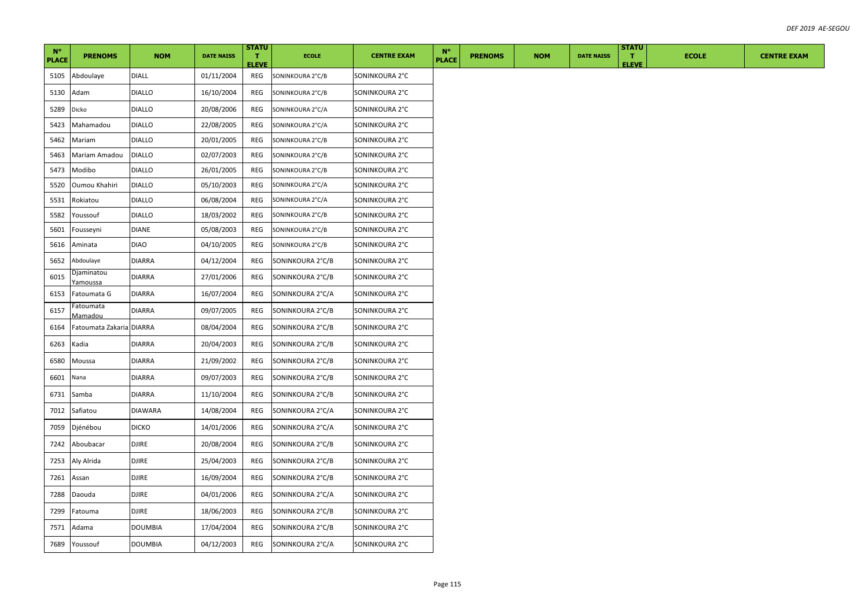| $N^{\circ}$  |                          |                |                   | <b>STATU</b>       |                  |                    | $N^{\circ}$ |              |                |            |                   | <b>STATU</b>                |              |
|--------------|--------------------------|----------------|-------------------|--------------------|------------------|--------------------|-------------|--------------|----------------|------------|-------------------|-----------------------------|--------------|
| <b>PLACE</b> | <b>PRENOMS</b>           | <b>NOM</b>     | <b>DATE NAISS</b> | л.<br><b>ELEVE</b> | <b>ECOLE</b>     | <b>CENTRE EXAM</b> |             | <b>PLACE</b> | <b>PRENOMS</b> | <b>NOM</b> | <b>DATE NAISS</b> | $\mathbf T$<br><b>ELEVE</b> | <b>ECOLE</b> |
| 5105         | Abdoulaye                | <b>DIALL</b>   | 01/11/2004        | REG                | SONINKOURA 2°C/B | SONINKOURA 2°C     |             |              |                |            |                   |                             |              |
| 5130         | Adam                     | DIALLO         | 16/10/2004        | REG                | SONINKOURA 2°C/B | SONINKOURA 2°C     |             |              |                |            |                   |                             |              |
| 5289         | Dicko                    | DIALLO         | 20/08/2006        | REG                | SONINKOURA 2°C/A | SONINKOURA 2°C     |             |              |                |            |                   |                             |              |
| 5423         | Mahamadou                | <b>DIALLO</b>  | 22/08/2005        | REG                | SONINKOURA 2°C/A | SONINKOURA 2°C     |             |              |                |            |                   |                             |              |
| 5462         | Mariam                   | <b>DIALLO</b>  | 20/01/2005        | REG                | SONINKOURA 2°C/B | SONINKOURA 2°C     |             |              |                |            |                   |                             |              |
| 5463         | Mariam Amadou            | <b>DIALLO</b>  | 02/07/2003        | REG                | SONINKOURA 2°C/B | SONINKOURA 2°C     |             |              |                |            |                   |                             |              |
| 5473         | Modibo                   | <b>DIALLO</b>  | 26/01/2005        | REG                | SONINKOURA 2°C/B | SONINKOURA 2°C     |             |              |                |            |                   |                             |              |
| 5520         | Oumou Khahiri            | <b>DIALLO</b>  | 05/10/2003        | REG                | SONINKOURA 2°C/A | SONINKOURA 2°C     |             |              |                |            |                   |                             |              |
| 5531         | Rokiatou                 | <b>DIALLO</b>  | 06/08/2004        | REG                | SONINKOURA 2°C/A | SONINKOURA 2°C     |             |              |                |            |                   |                             |              |
| 5582         | Youssouf                 | <b>DIALLO</b>  | 18/03/2002        | REG                | SONINKOURA 2°C/B | SONINKOURA 2°C     |             |              |                |            |                   |                             |              |
| 5601         | Fousseyni                | DIANE          | 05/08/2003        | REG                | SONINKOURA 2°C/B | SONINKOURA 2°C     |             |              |                |            |                   |                             |              |
| 5616         | Aminata                  | <b>DIAO</b>    | 04/10/2005        | REG                | SONINKOURA 2°C/B | SONINKOURA 2°C     |             |              |                |            |                   |                             |              |
| 5652         | Abdoulaye                | DIARRA         | 04/12/2004        | REG                | SONINKOURA 2°C/B | SONINKOURA 2°C     |             |              |                |            |                   |                             |              |
| 6015         | Djaminatou<br>Yamoussa   | <b>DIARRA</b>  | 27/01/2006        | REG                | SONINKOURA 2°C/B | SONINKOURA 2°C     |             |              |                |            |                   |                             |              |
| 6153         | Fatoumata G              | DIARRA         | 16/07/2004        | REG                | SONINKOURA 2°C/A | SONINKOURA 2°C     |             |              |                |            |                   |                             |              |
| 6157         | Fatoumata<br>Mamadou     | DIARRA         | 09/07/2005        | REG                | SONINKOURA 2°C/B | SONINKOURA 2°C     |             |              |                |            |                   |                             |              |
| 6164         | Fatoumata Zakaria DIARRA |                | 08/04/2004        | REG                | SONINKOURA 2°C/B | SONINKOURA 2°C     |             |              |                |            |                   |                             |              |
| 6263         | Kadia                    | DIARRA         | 20/04/2003        | REG                | SONINKOURA 2°C/B | SONINKOURA 2°C     |             |              |                |            |                   |                             |              |
| 6580         | Moussa                   | <b>DIARRA</b>  | 21/09/2002        | REG                | SONINKOURA 2°C/B | SONINKOURA 2°C     |             |              |                |            |                   |                             |              |
| 6601         | Nana                     | DIARRA         | 09/07/2003        | REG                | SONINKOURA 2°C/B | SONINKOURA 2°C     |             |              |                |            |                   |                             |              |
| 6731         | Samba                    | <b>DIARRA</b>  | 11/10/2004        | REG                | SONINKOURA 2°C/B | SONINKOURA 2°C     |             |              |                |            |                   |                             |              |
| 7012         | Safiatou                 | <b>DIAWARA</b> | 14/08/2004        | REG                | SONINKOURA 2°C/A | SONINKOURA 2°C     |             |              |                |            |                   |                             |              |
| 7059         | Djénébou                 | <b>DICKO</b>   | 14/01/2006        | REG                | SONINKOURA 2°C/A | SONINKOURA 2°C     |             |              |                |            |                   |                             |              |
| 7242         | Aboubacar                | DJIRE          | 20/08/2004        | REG                | SONINKOURA 2°C/B | SONINKOURA 2°C     |             |              |                |            |                   |                             |              |
|              |                          |                |                   |                    |                  |                    |             |              |                |            |                   |                             |              |
| 7253         | Aly Alrida               | DJIRE          | 25/04/2003        | REG                | SONINKOURA 2°C/B | SONINKOURA 2°C     |             |              |                |            |                   |                             |              |
| 7261         | Assan                    | DJIRE          | 16/09/2004        | REG                | SONINKOURA 2°C/B | SONINKOURA 2°C     |             |              |                |            |                   |                             |              |
| 7288         | Daouda                   | DJIRE          | 04/01/2006        | REG                | SONINKOURA 2°C/A | SONINKOURA 2°C     |             |              |                |            |                   |                             |              |
| 7299         | Fatouma                  | DJIRE          | 18/06/2003        | REG                | SONINKOURA 2°C/B | SONINKOURA 2°C     |             |              |                |            |                   |                             |              |
| 7571         | Adama                    | <b>DOUMBIA</b> | 17/04/2004        | REG                | SONINKOURA 2°C/B | SONINKOURA 2°C     |             |              |                |            |                   |                             |              |
| 7689         | Youssouf                 | <b>DOUMBIA</b> | 04/12/2003        | REG                | SONINKOURA 2°C/A | SONINKOURA 2°C     |             |              |                |            |                   |                             |              |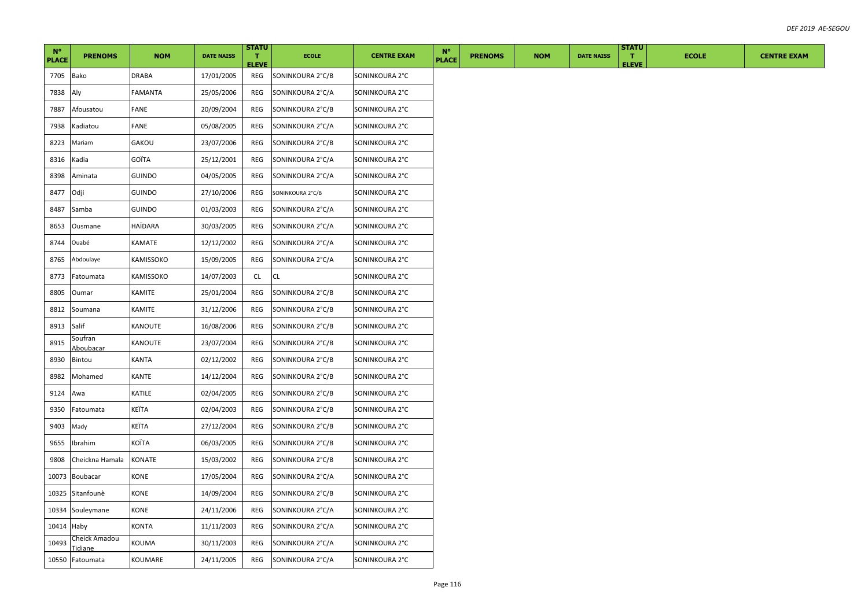| $N^{\circ}$<br><b>PLACE</b> | <b>PRENOMS</b>                  | <b>NOM</b>     | <b>DATE NAISS</b> | <b>STATU</b><br>T.<br><b>ELEVE</b> | <b>ECOLE</b>     | <b>CENTRE EXAM</b> | $N^{\circ}$<br><b>PLACE</b> | <b>PRENOMS</b> | <b>NOM</b> | <b>DATE NAISS</b> | <b>STATU</b><br>т.<br><b>ELEVE</b> | <b>ECOLE</b> | <b>CENTRE EXAM</b> |
|-----------------------------|---------------------------------|----------------|-------------------|------------------------------------|------------------|--------------------|-----------------------------|----------------|------------|-------------------|------------------------------------|--------------|--------------------|
| 7705                        | Bako                            | <b>DRABA</b>   | 17/01/2005        | REG                                | SONINKOURA 2°C/B | SONINKOURA 2°C     |                             |                |            |                   |                                    |              |                    |
| 7838                        | Aly                             | <b>FAMANTA</b> | 25/05/2006        | REG                                | SONINKOURA 2°C/A | SONINKOURA 2°C     |                             |                |            |                   |                                    |              |                    |
| 7887                        | Afousatou                       | FANE           | 20/09/2004        | REG                                | SONINKOURA 2°C/B | SONINKOURA 2°C     |                             |                |            |                   |                                    |              |                    |
| 7938                        | Kadiatou                        | FANE           | 05/08/2005        | REG                                | SONINKOURA 2°C/A | SONINKOURA 2°C     |                             |                |            |                   |                                    |              |                    |
| 8223                        | Mariam                          | GAKOU          | 23/07/2006        | REG                                | SONINKOURA 2°C/B | SONINKOURA 2°C     |                             |                |            |                   |                                    |              |                    |
| 8316                        | Kadia                           | GOÏTA          | 25/12/2001        | REG                                | SONINKOURA 2°C/A | SONINKOURA 2°C     |                             |                |            |                   |                                    |              |                    |
| 8398                        | Aminata                         | <b>GUINDO</b>  | 04/05/2005        | REG                                | SONINKOURA 2°C/A | SONINKOURA 2°C     |                             |                |            |                   |                                    |              |                    |
| 8477                        | Odji                            | <b>GUINDO</b>  | 27/10/2006        | REG                                | SONINKOURA 2°C/B | SONINKOURA 2°C     |                             |                |            |                   |                                    |              |                    |
| 8487                        | Samba                           | <b>GUINDO</b>  | 01/03/2003        | REG                                | SONINKOURA 2°C/A | SONINKOURA 2°C     |                             |                |            |                   |                                    |              |                    |
| 8653                        | Ousmane                         | HAÏDARA        | 30/03/2005        | REG                                | SONINKOURA 2°C/A | SONINKOURA 2°C     |                             |                |            |                   |                                    |              |                    |
| 8744                        | Ouabé                           | KAMATE         | 12/12/2002        | REG                                | SONINKOURA 2°C/A | SONINKOURA 2°C     |                             |                |            |                   |                                    |              |                    |
| 8765                        | Abdoulaye                       | KAMISSOKO      | 15/09/2005        | REG                                | SONINKOURA 2°C/A | SONINKOURA 2°C     |                             |                |            |                   |                                    |              |                    |
| 8773                        | Fatoumata                       | KAMISSOKO      | 14/07/2003        | <b>CL</b>                          | <b>CL</b>        | SONINKOURA 2°C     |                             |                |            |                   |                                    |              |                    |
| 8805                        | Oumar                           | KAMITE         | 25/01/2004        | REG                                | SONINKOURA 2°C/B | SONINKOURA 2°C     |                             |                |            |                   |                                    |              |                    |
| 8812                        | Soumana                         | KAMITE         | 31/12/2006        | REG                                | SONINKOURA 2°C/B | SONINKOURA 2°C     |                             |                |            |                   |                                    |              |                    |
| 8913                        | Salif                           | KANOUTE        | 16/08/2006        | REG                                | SONINKOURA 2°C/B | SONINKOURA 2°C     |                             |                |            |                   |                                    |              |                    |
| 8915                        | Soufran<br>Aboubacar            | KANOUTE        | 23/07/2004        | REG                                | SONINKOURA 2°C/B | SONINKOURA 2°C     |                             |                |            |                   |                                    |              |                    |
| 8930                        | Bintou                          | KANTA          | 02/12/2002        | REG                                | SONINKOURA 2°C/B | SONINKOURA 2°C     |                             |                |            |                   |                                    |              |                    |
| 8982                        | Mohamed                         | KANTE          | 14/12/2004        | REG                                | SONINKOURA 2°C/B | SONINKOURA 2°C     |                             |                |            |                   |                                    |              |                    |
| 9124                        | Awa                             | KATILE         | 02/04/2005        | REG                                | SONINKOURA 2°C/B | SONINKOURA 2°C     |                             |                |            |                   |                                    |              |                    |
| 9350                        | Fatoumata                       | KEÏTA          | 02/04/2003        | REG                                | SONINKOURA 2°C/B | SONINKOURA 2°C     |                             |                |            |                   |                                    |              |                    |
| 9403                        | Mady                            | KEÏTA          | 27/12/2004        | REG                                | SONINKOURA 2°C/B | SONINKOURA 2°C     |                             |                |            |                   |                                    |              |                    |
| 9655                        | Ibrahim                         | KOÏTA          | 06/03/2005        | REG                                | SONINKOURA 2°C/B | SONINKOURA 2°C     |                             |                |            |                   |                                    |              |                    |
| 9808                        | Cheickna Hamala                 | KONATE         | 15/03/2002        | REG                                | SONINKOURA 2°C/B | SONINKOURA 2°C     |                             |                |            |                   |                                    |              |                    |
| 10073                       | Boubacar                        | <b>CONE</b>    | 17/05/2004        | REG                                | SONINKOURA 2°C/A | SONINKOURA 2°C     |                             |                |            |                   |                                    |              |                    |
| 10325                       | Sitanfounè                      | KONE           | 14/09/2004        | REG                                | SONINKOURA 2°C/B | SONINKOURA 2°C     |                             |                |            |                   |                                    |              |                    |
|                             | 10334 Souleymane                | KONE           | 24/11/2006        | REG                                | SONINKOURA 2°C/A | SONINKOURA 2°C     |                             |                |            |                   |                                    |              |                    |
| 10414                       | Haby                            | KONTA          | 11/11/2003        | REG                                | SONINKOURA 2°C/A | SONINKOURA 2°C     |                             |                |            |                   |                                    |              |                    |
| 10493                       | Cheick Amadou<br><u>Tidiane</u> | KOUMA          | 30/11/2003        | REG                                | SONINKOURA 2°C/A | SONINKOURA 2°C     |                             |                |            |                   |                                    |              |                    |
|                             | 10550 Fatoumata                 | KOUMARE        | 24/11/2005        | REG                                | SONINKOURA 2°C/A | SONINKOURA 2°C     |                             |                |            |                   |                                    |              |                    |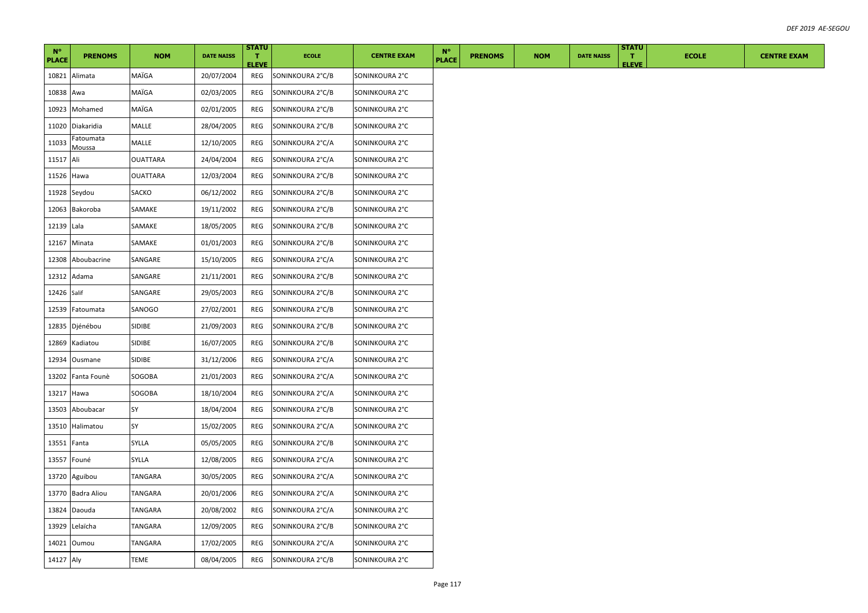| $N^{\circ}$<br><b>PLACE</b> | <b>PRENOMS</b>             | <b>NOM</b>      | <b>DATE NAISS</b> | <b>STATU</b><br>T.<br><b>ELEVE</b> | <b>ECOLE</b>     | <b>CENTRE EXAM</b> | $N^{\circ}$<br><b>PLACE</b> | <b>PRENOMS</b> | <b>NOM</b> | <b>DATE NAISS</b> | <b>STATU</b><br>$\mathbf{T}$<br><b>ELEVE</b> | <b>ECOLE</b> | <b>CENTRE EXAM</b> |
|-----------------------------|----------------------------|-----------------|-------------------|------------------------------------|------------------|--------------------|-----------------------------|----------------|------------|-------------------|----------------------------------------------|--------------|--------------------|
| 10821                       | Alimata                    | MAÏGA           | 20/07/2004        | REG                                | SONINKOURA 2°C/B | SONINKOURA 2°C     |                             |                |            |                   |                                              |              |                    |
| 10838                       | Awa                        | MAÏGA           | 02/03/2005        | REG                                | SONINKOURA 2°C/B | SONINKOURA 2°C     |                             |                |            |                   |                                              |              |                    |
| 10923                       | Mohamed                    | MAÏGA           | 02/01/2005        | REG                                | SONINKOURA 2°C/B | SONINKOURA 2°C     |                             |                |            |                   |                                              |              |                    |
| 11020                       | Diakaridia                 | MALLE           | 28/04/2005        | REG                                | SONINKOURA 2°C/B | SONINKOURA 2°C     |                             |                |            |                   |                                              |              |                    |
| 11033                       | Fatoumata<br><u>Moussa</u> | MALLE           | 12/10/2005        | REG                                | SONINKOURA 2°C/A | SONINKOURA 2°C     |                             |                |            |                   |                                              |              |                    |
| 11517                       | Ali                        | <b>OUATTARA</b> | 24/04/2004        | REG                                | SONINKOURA 2°C/A | SONINKOURA 2°C     |                             |                |            |                   |                                              |              |                    |
| 11526                       | Hawa                       | <b>OUATTARA</b> | 12/03/2004        | REG                                | SONINKOURA 2°C/B | SONINKOURA 2°C     |                             |                |            |                   |                                              |              |                    |
|                             | 11928 Seydou               | SACKO           | 06/12/2002        | REG                                | SONINKOURA 2°C/B | SONINKOURA 2°C     |                             |                |            |                   |                                              |              |                    |
| 12063                       | Bakoroba                   | SAMAKE          | 19/11/2002        | REG                                | SONINKOURA 2°C/B | SONINKOURA 2°C     |                             |                |            |                   |                                              |              |                    |
| 12139                       | Lala                       | SAMAKE          | 18/05/2005        | REG                                | SONINKOURA 2°C/B | SONINKOURA 2°C     |                             |                |            |                   |                                              |              |                    |
| 12167                       | Minata                     | SAMAKE          | 01/01/2003        | REG                                | SONINKOURA 2°C/B | SONINKOURA 2°C     |                             |                |            |                   |                                              |              |                    |
| 12308                       | Aboubacrine                | SANGARE         | 15/10/2005        | REG                                | SONINKOURA 2°C/A | SONINKOURA 2°C     |                             |                |            |                   |                                              |              |                    |
| 12312                       | Adama                      | SANGARE         | 21/11/2001        | REG                                | SONINKOURA 2°C/B | SONINKOURA 2°C     |                             |                |            |                   |                                              |              |                    |
| 12426 Salif                 |                            | SANGARE         | 29/05/2003        | REG                                | SONINKOURA 2°C/B | SONINKOURA 2°C     |                             |                |            |                   |                                              |              |                    |
| 12539                       | Fatoumata                  | SANOGO          | 27/02/2001        | REG                                | SONINKOURA 2°C/B | SONINKOURA 2°C     |                             |                |            |                   |                                              |              |                    |
| 12835                       | Djénébou                   | SIDIBE          | 21/09/2003        | REG                                | SONINKOURA 2°C/B | SONINKOURA 2°C     |                             |                |            |                   |                                              |              |                    |
| 12869                       | Kadiatou                   | SIDIBE          | 16/07/2005        | REG                                | SONINKOURA 2°C/B | SONINKOURA 2°C     |                             |                |            |                   |                                              |              |                    |
| 12934                       | Ousmane                    | SIDIBE          | 31/12/2006        | REG                                | SONINKOURA 2°C/A | SONINKOURA 2°C     |                             |                |            |                   |                                              |              |                    |
| 13202                       | Fanta Founè                | SOGOBA          | 21/01/2003        | REG                                | SONINKOURA 2°C/A | SONINKOURA 2°C     |                             |                |            |                   |                                              |              |                    |
| 13217                       | Hawa                       | SOGOBA          | 18/10/2004        | REG                                | SONINKOURA 2°C/A | SONINKOURA 2°C     |                             |                |            |                   |                                              |              |                    |
| 13503                       | Aboubacar                  | SY              | 18/04/2004        | REG                                | SONINKOURA 2°C/B | SONINKOURA 2°C     |                             |                |            |                   |                                              |              |                    |
| 13510                       | Halimatou                  | SY              | 15/02/2005        | REG                                | SONINKOURA 2°C/A | SONINKOURA 2°C     |                             |                |            |                   |                                              |              |                    |
| 13551                       | Fanta                      | SYLLA           | 05/05/2005        | REG                                | SONINKOURA 2°C/B | SONINKOURA 2°C     |                             |                |            |                   |                                              |              |                    |
| 13557                       | Founé                      | <b>SYLLA</b>    | 12/08/2005        | REG                                | SONINKOURA 2°C/A | SONINKOURA 2°C     |                             |                |            |                   |                                              |              |                    |
| 13720                       | Aguibou                    | TANGARA         | 30/05/2005        | REG                                | SONINKOURA 2°C/A | SONINKOURA 2°C     |                             |                |            |                   |                                              |              |                    |
| 13770                       | Badra Aliou                | TANGARA         | 20/01/2006        | REG                                | SONINKOURA 2°C/A | SONINKOURA 2°C     |                             |                |            |                   |                                              |              |                    |
| 13824                       | Daouda                     | TANGARA         | 20/08/2002        | REG                                | SONINKOURA 2°C/A | SONINKOURA 2°C     |                             |                |            |                   |                                              |              |                    |
| 13929                       | Lelaïcha                   | TANGARA         | 12/09/2005        | REG                                | SONINKOURA 2°C/B | SONINKOURA 2°C     |                             |                |            |                   |                                              |              |                    |
|                             | 14021 Oumou                | TANGARA         | 17/02/2005        | REG                                | SONINKOURA 2°C/A | SONINKOURA 2°C     |                             |                |            |                   |                                              |              |                    |
| 14127 Aly                   |                            | TEME            | 08/04/2005        | REG                                | SONINKOURA 2°C/B | SONINKOURA 2°C     |                             |                |            |                   |                                              |              |                    |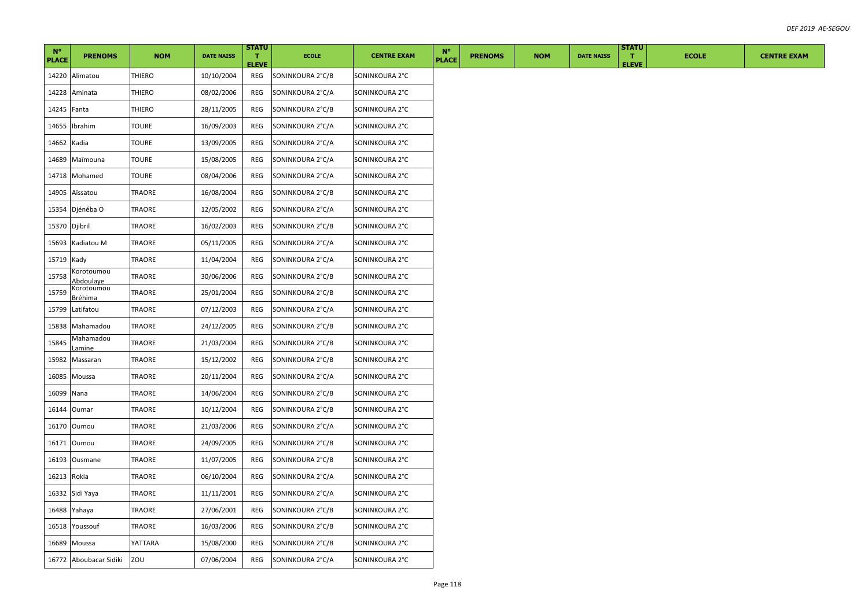| $N^{\circ}$<br><b>PLACE</b> | <b>PRENOMS</b>                                   | <b>NOM</b>    | <b>DATE NAISS</b> | <b>STATU</b><br>т.  | <b>ECOLE</b>     | <b>CENTRE EXAM</b> | $N^{\circ}$<br><b>PLACE</b> | <b>PRENOMS</b> | <b>NOM</b> | <b>DATE NAISS</b> | <b>STATU</b><br>т. | <b>ECOLE</b> | <b>CENTRE EXAM</b> |
|-----------------------------|--------------------------------------------------|---------------|-------------------|---------------------|------------------|--------------------|-----------------------------|----------------|------------|-------------------|--------------------|--------------|--------------------|
| 14220                       | Alimatou                                         | <b>THIERO</b> | 10/10/2004        | <b>ELEVE</b><br>REG | SONINKOURA 2°C/B | SONINKOURA 2°C     |                             |                |            |                   | <b>ELEVE</b>       |              |                    |
| 14228                       | Aminata                                          | <b>THIERO</b> | 08/02/2006        | REG                 | SONINKOURA 2°C/A | SONINKOURA 2°C     |                             |                |            |                   |                    |              |                    |
| 14245 Fanta                 |                                                  | <b>THIERO</b> | 28/11/2005        | REG                 | SONINKOURA 2°C/B | SONINKOURA 2°C     |                             |                |            |                   |                    |              |                    |
| 14655                       | Ibrahim                                          | <b>TOURE</b>  | 16/09/2003        | REG                 | SONINKOURA 2°C/A | SONINKOURA 2°C     |                             |                |            |                   |                    |              |                    |
| 14662                       | Kadia                                            | <b>TOURE</b>  | 13/09/2005        | REG                 | SONINKOURA 2°C/A | SONINKOURA 2°C     |                             |                |            |                   |                    |              |                    |
| 14689                       | Maïmouna                                         | TOURE         | 15/08/2005        | REG                 | SONINKOURA 2°C/A | SONINKOURA 2°C     |                             |                |            |                   |                    |              |                    |
| 14718                       | Mohamed                                          | TOURE         | 08/04/2006        | REG                 | SONINKOURA 2°C/A | SONINKOURA 2°C     |                             |                |            |                   |                    |              |                    |
| 14905                       | Aïssatou                                         | TRAORE        | 16/08/2004        | REG                 | SONINKOURA 2°C/B | SONINKOURA 2°C     |                             |                |            |                   |                    |              |                    |
| 15354                       | Djénéba O                                        | TRAORE        | 12/05/2002        | REG                 | SONINKOURA 2°C/A | SONINKOURA 2°C     |                             |                |            |                   |                    |              |                    |
| 15370 Djibril               |                                                  | TRAORE        | 16/02/2003        | REG                 | SONINKOURA 2°C/B | SONINKOURA 2°C     |                             |                |            |                   |                    |              |                    |
| 15693                       | Kadiatou M                                       | TRAORE        | 05/11/2005        | REG                 | SONINKOURA 2°C/A | SONINKOURA 2°C     |                             |                |            |                   |                    |              |                    |
| 15719                       | Kady                                             | TRAORE        | 11/04/2004        | REG                 | SONINKOURA 2°C/A | SONINKOURA 2°C     |                             |                |            |                   |                    |              |                    |
| 15758                       | Korotoumou                                       | TRAORE        | 30/06/2006        | REG                 | SONINKOURA 2°C/B | SONINKOURA 2°C     |                             |                |            |                   |                    |              |                    |
| 15759                       | <u>Abdoulaye</u><br>Korotoumou<br><u>Bréhima</u> | TRAORE        | 25/01/2004        | REG                 | SONINKOURA 2°C/B | SONINKOURA 2°C     |                             |                |            |                   |                    |              |                    |
| 15799                       | Latifatou                                        | TRAORE        | 07/12/2003        | REG                 | SONINKOURA 2°C/A | SONINKOURA 2°C     |                             |                |            |                   |                    |              |                    |
| 15838                       | Mahamadou                                        | TRAORE        | 24/12/2005        | REG                 | SONINKOURA 2°C/B | SONINKOURA 2°C     |                             |                |            |                   |                    |              |                    |
| 15845                       | Mahamadou<br>.amine                              | TRAORE        | 21/03/2004        | REG                 | SONINKOURA 2°C/B | SONINKOURA 2°C     |                             |                |            |                   |                    |              |                    |
| 15982                       | Massaran                                         | TRAORE        | 15/12/2002        | REG                 | SONINKOURA 2°C/B | SONINKOURA 2°C     |                             |                |            |                   |                    |              |                    |
| 16085                       | Moussa                                           | TRAORE        | 20/11/2004        | REG                 | SONINKOURA 2°C/A | SONINKOURA 2°C     |                             |                |            |                   |                    |              |                    |
| 16099                       | Nana                                             | TRAORE        | 14/06/2004        | REG                 | SONINKOURA 2°C/B | SONINKOURA 2°C     |                             |                |            |                   |                    |              |                    |
| 16144                       | Oumar                                            | TRAORE        | 10/12/2004        | REG                 | SONINKOURA 2°C/B | SONINKOURA 2°C     |                             |                |            |                   |                    |              |                    |
|                             | 16170 Oumou                                      | TRAORE        | 21/03/2006        | REG                 | SONINKOURA 2°C/A | SONINKOURA 2°C     |                             |                |            |                   |                    |              |                    |
| 16171                       | Oumou                                            | TRAORE        | 24/09/2005        | REG                 | SONINKOURA 2°C/B | SONINKOURA 2°C     |                             |                |            |                   |                    |              |                    |
| 16193                       | Ousmane                                          | TRAORE        | 11/07/2005        | REG                 | SONINKOURA 2°C/B | SONINKOURA 2°C     |                             |                |            |                   |                    |              |                    |
| 16213                       | Rokia                                            | TRAORE        | 06/10/2004        | REG                 | SONINKOURA 2°C/A | SONINKOURA 2°C     |                             |                |            |                   |                    |              |                    |
| 16332                       | Sidi Yaya                                        | TRAORE        | 11/11/2001        | REG                 | SONINKOURA 2°C/A | SONINKOURA 2°C     |                             |                |            |                   |                    |              |                    |
|                             | 16488 Yahaya                                     | TRAORE        | 27/06/2001        | REG                 | SONINKOURA 2°C/B | SONINKOURA 2°C     |                             |                |            |                   |                    |              |                    |
| 16518                       | Youssouf                                         | TRAORE        | 16/03/2006        | REG                 | SONINKOURA 2°C/B | SONINKOURA 2°C     |                             |                |            |                   |                    |              |                    |
|                             | 16689 Moussa                                     | YATTARA       | 15/08/2000        | REG                 | SONINKOURA 2°C/B | SONINKOURA 2°C     |                             |                |            |                   |                    |              |                    |
|                             | 16772 Aboubacar Sidiki                           | ZOU           | 07/06/2004        | REG                 | SONINKOURA 2°C/A | SONINKOURA 2°C     |                             |                |            |                   |                    |              |                    |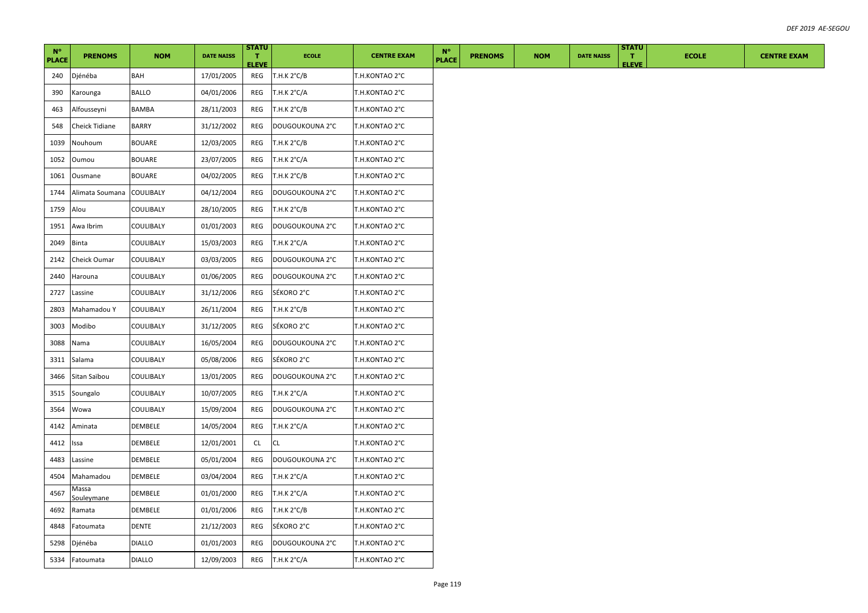| $N^{\circ}$<br><b>PLACE</b> | <b>PRENOMS</b>       | <b>NOM</b>       | <b>DATE NAISS</b> | <b>STATU</b><br>T.<br><b>ELEVE</b> | <b>ECOLE</b>          | <b>CENTRE EXAM</b> | $N^{\circ}$<br><b>PLACE</b> | <b>PRENOMS</b> | <b>NOM</b> | <b>DATE NAISS</b> | <b>STATU</b><br>л.<br><b>ELEVE</b> | <b>ECOLE</b> | <b>CENTRE EXAM</b> |
|-----------------------------|----------------------|------------------|-------------------|------------------------------------|-----------------------|--------------------|-----------------------------|----------------|------------|-------------------|------------------------------------|--------------|--------------------|
| 240                         | Djénéba              | BAH              | 17/01/2005        | REG                                | T.H.K 2°C/B           | T.H.KONTAO 2°C     |                             |                |            |                   |                                    |              |                    |
| 390                         | Karounga             | <b>BALLO</b>     | 04/01/2006        | REG                                | T.H.K $2^{\circ}$ C/A | T.H.KONTAO 2°C     |                             |                |            |                   |                                    |              |                    |
| 463                         | Alfousseyni          | BAMBA            | 28/11/2003        | REG                                | T.H.K 2°C/B           | T.H.KONTAO 2°C     |                             |                |            |                   |                                    |              |                    |
| 548                         | Cheick Tidiane       | <b>BARRY</b>     | 31/12/2002        | REG                                | DOUGOUKOUNA 2°C       | T.H.KONTAO 2°C     |                             |                |            |                   |                                    |              |                    |
| 1039                        | Nouhoum              | <b>BOUARE</b>    | 12/03/2005        | REG                                | T.H.K 2°C/B           | T.H.KONTAO 2°C     |                             |                |            |                   |                                    |              |                    |
| 1052                        | Oumou                | <b>BOUARE</b>    | 23/07/2005        | REG                                | T.H.K $2^{\circ}C/A$  | T.H.KONTAO 2°C     |                             |                |            |                   |                                    |              |                    |
| 1061                        | Ousmane              | <b>BOUARE</b>    | 04/02/2005        | REG                                | T.H.K $2^{\circ}C/B$  | T.H.KONTAO 2°C     |                             |                |            |                   |                                    |              |                    |
| 1744                        | Alimata Soumana      | COULIBALY        | 04/12/2004        | REG                                | DOUGOUKOUNA 2°C       | T.H.KONTAO 2°C     |                             |                |            |                   |                                    |              |                    |
| 1759                        | Alou                 | COULIBALY        | 28/10/2005        | REG                                | T.H.K 2°C/B           | T.H.KONTAO 2°C     |                             |                |            |                   |                                    |              |                    |
| 1951                        | Awa Ibrim            | COULIBALY        | 01/01/2003        | REG                                | DOUGOUKOUNA 2°C       | T.H.KONTAO 2°C     |                             |                |            |                   |                                    |              |                    |
| 2049                        | <b>Binta</b>         | COULIBALY        | 15/03/2003        | REG                                | T.H.K 2°C/A           | T.H.KONTAO 2°C     |                             |                |            |                   |                                    |              |                    |
| 2142                        | Cheick Oumar         | COULIBALY        | 03/03/2005        | REG                                | DOUGOUKOUNA 2°C       | T.H.KONTAO 2°C     |                             |                |            |                   |                                    |              |                    |
| 2440                        | Harouna              | COULIBALY        | 01/06/2005        | REG                                | DOUGOUKOUNA 2°C       | T.H.KONTAO 2°C     |                             |                |            |                   |                                    |              |                    |
| 2727                        | Lassine              | COULIBALY        | 31/12/2006        | REG                                | SÉKORO 2°C            | T.H.KONTAO 2°C     |                             |                |            |                   |                                    |              |                    |
| 2803                        | Mahamadou Y          | COULIBALY        | 26/11/2004        | REG                                | T.H.K $2^{\circ}$ C/B | T.H.KONTAO 2°C     |                             |                |            |                   |                                    |              |                    |
| 3003                        | Modibo               | COULIBALY        | 31/12/2005        | REG                                | SÉKORO 2°C            | T.H.KONTAO 2°C     |                             |                |            |                   |                                    |              |                    |
| 3088                        | Nama                 | COULIBALY        | 16/05/2004        | REG                                | DOUGOUKOUNA 2°C       | T.H.KONTAO 2°C     |                             |                |            |                   |                                    |              |                    |
| 3311                        | Salama               | COULIBALY        | 05/08/2006        | REG                                | SÉKORO 2°C            | T.H.KONTAO 2°C     |                             |                |            |                   |                                    |              |                    |
| 3466                        | Sitan Saïbou         | <b>COULIBALY</b> | 13/01/2005        | REG                                | DOUGOUKOUNA 2°C       | T.H.KONTAO 2°C     |                             |                |            |                   |                                    |              |                    |
| 3515                        | Soungalo             | COULIBALY        | 10/07/2005        | REG                                | T.H.K 2°C/A           | T.H.KONTAO 2°C     |                             |                |            |                   |                                    |              |                    |
| 3564                        | Wowa                 | COULIBALY        | 15/09/2004        | REG                                | DOUGOUKOUNA 2°C       | T.H.KONTAO 2°C     |                             |                |            |                   |                                    |              |                    |
| 4142                        | Aminata              | DEMBELE          | 14/05/2004        | REG                                | T.H.K 2°C/A           | T.H.KONTAO 2°C     |                             |                |            |                   |                                    |              |                    |
| 4412                        | lssa                 | DEMBELE          | 12/01/2001        | CL                                 | <b>CL</b>             | T.H.KONTAO 2°C     |                             |                |            |                   |                                    |              |                    |
| 4483                        | Lassine              | DEMBELE          | 05/01/2004        | REG                                | DOUGOUKOUNA 2°C       | T.H.KONTAO 2°C     |                             |                |            |                   |                                    |              |                    |
| 4504                        | Mahamadou            | DEMBELE          | 03/04/2004        | REG                                | T.H.K $2^{\circ}C/A$  | T.H.KONTAO 2°C     |                             |                |            |                   |                                    |              |                    |
| 4567                        | Vlassa<br>Souleymane | DEMBELE          | 01/01/2000        | REG                                | T.H.K $2^{\circ}C/A$  | T.H.KONTAO 2°C     |                             |                |            |                   |                                    |              |                    |
| 4692                        | Ramata               | DEMBELE          | 01/01/2006        | REG                                | T.H.K $2^{\circ}C/B$  | T.H.KONTAO 2°C     |                             |                |            |                   |                                    |              |                    |
| 4848                        | Fatoumata            | DENTE            | 21/12/2003        | REG                                | SÉKORO 2°C            | T.H.KONTAO 2°C     |                             |                |            |                   |                                    |              |                    |
| 5298                        | Djénéba              | <b>DIALLO</b>    | 01/01/2003        | REG                                | DOUGOUKOUNA 2°C       | T.H.KONTAO 2°C     |                             |                |            |                   |                                    |              |                    |
| 5334                        | Fatoumata            | <b>DIALLO</b>    | 12/09/2003        | REG                                | T.H.K 2°C/A           | T.H.KONTAO 2°C     |                             |                |            |                   |                                    |              |                    |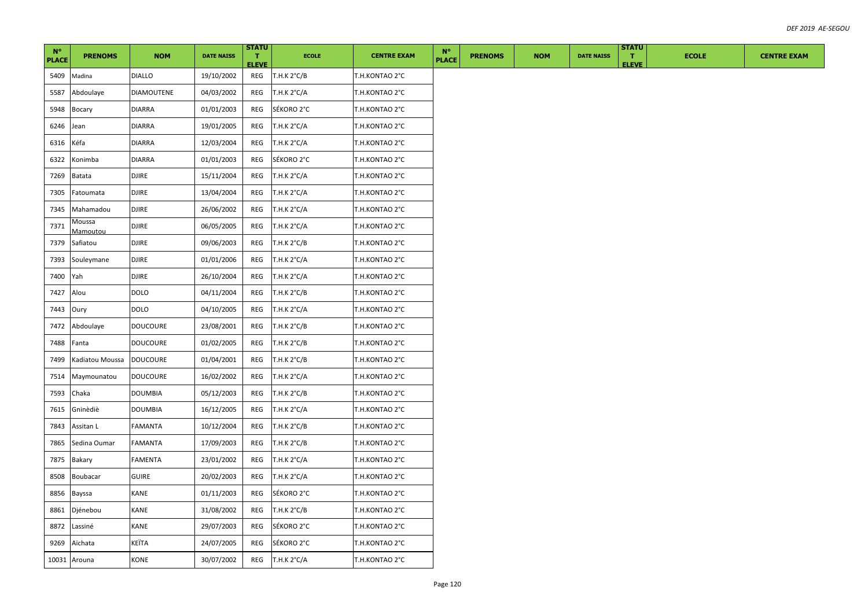| $N^{\circ}$<br><b>PLACE</b> | <b>PRENOMS</b>     | <b>NOM</b>        | <b>DATE NAISS</b> | <b>STATU</b><br>T.<br><b>ELEVE</b> | <b>ECOLE</b>          | <b>CENTRE EXAM</b> | $N^{\circ}$<br><b>PLACE</b> | <b>PRENOMS</b> | <b>NOM</b> | <b>DATE NAISS</b> | <b>STATU</b><br>л.<br><b>ELEVE</b> | <b>ECOLE</b> | <b>CENTRE EXAM</b> |
|-----------------------------|--------------------|-------------------|-------------------|------------------------------------|-----------------------|--------------------|-----------------------------|----------------|------------|-------------------|------------------------------------|--------------|--------------------|
| 5409                        | Madina             | <b>DIALLO</b>     | 19/10/2002        | REG                                | T.H.K 2°C/B           | T.H.KONTAO 2°C     |                             |                |            |                   |                                    |              |                    |
| 5587                        | Abdoulaye          | <b>DIAMOUTENE</b> | 04/03/2002        | REG                                | T.H.K $2^{\circ}$ C/A | T.H.KONTAO 2°C     |                             |                |            |                   |                                    |              |                    |
| 5948                        | Bocary             | <b>DIARRA</b>     | 01/01/2003        | REG                                | SÉKORO 2°C            | T.H.KONTAO 2°C     |                             |                |            |                   |                                    |              |                    |
| 6246                        | Jean               | <b>DIARRA</b>     | 19/01/2005        | REG                                | T.H.K 2°C/A           | T.H.KONTAO 2°C     |                             |                |            |                   |                                    |              |                    |
| 6316                        | Kéfa               | <b>DIARRA</b>     | 12/03/2004        | REG                                | T.H.K $2^{\circ}$ C/A | T.H.KONTAO 2°C     |                             |                |            |                   |                                    |              |                    |
| 6322                        | Konimba            | <b>DIARRA</b>     | 01/01/2003        | REG                                | SÉKORO 2°C            | T.H.KONTAO 2°C     |                             |                |            |                   |                                    |              |                    |
| 7269                        | <b>Batata</b>      | <b>DJIRE</b>      | 15/11/2004        | REG                                | T.H.K $2^{\circ}C/A$  | T.H.KONTAO 2°C     |                             |                |            |                   |                                    |              |                    |
| 7305                        | Fatoumata          | <b>DJIRE</b>      | 13/04/2004        | REG                                | T.H.K $2^{\circ}C/A$  | T.H.KONTAO 2°C     |                             |                |            |                   |                                    |              |                    |
| 7345                        | Mahamadou          | <b>DJIRE</b>      | 26/06/2002        | REG                                | T.H.K $2^{\circ}C/A$  | T.H.KONTAO 2°C     |                             |                |            |                   |                                    |              |                    |
| 7371                        | Moussa<br>Mamoutou | <b>DJIRE</b>      | 06/05/2005        | REG                                | T.H.K $2^{\circ}C/A$  | T.H.KONTAO 2°C     |                             |                |            |                   |                                    |              |                    |
| 7379                        | Safiatou           | DJIRE             | 09/06/2003        | REG                                | T.H.K 2°C/B           | T.H.KONTAO 2°C     |                             |                |            |                   |                                    |              |                    |
| 7393                        | Souleymane         | <b>DJIRE</b>      | 01/01/2006        | REG                                | T.H.K $2^{\circ}C/A$  | T.H.KONTAO 2°C     |                             |                |            |                   |                                    |              |                    |
| 7400                        | Yah                | DJIRE             | 26/10/2004        | REG                                | T.H.K $2^{\circ}C/A$  | T.H.KONTAO 2°C     |                             |                |            |                   |                                    |              |                    |
| 7427                        | Alou               | <b>DOLO</b>       | 04/11/2004        | REG                                | T.H.K 2°C/B           | T.H.KONTAO 2°C     |                             |                |            |                   |                                    |              |                    |
| 7443                        | Oury               | DOLO              | 04/10/2005        | REG                                | T.H.K $2^{\circ}C/A$  | T.H.KONTAO 2°C     |                             |                |            |                   |                                    |              |                    |
| 7472                        | Abdoulaye          | <b>DOUCOURE</b>   | 23/08/2001        | REG                                | T.H.K 2°C/B           | T.H.KONTAO 2°C     |                             |                |            |                   |                                    |              |                    |
| 7488                        | Fanta              | <b>DOUCOURE</b>   | 01/02/2005        | REG                                | T.H.K 2°C/B           | T.H.KONTAO 2°C     |                             |                |            |                   |                                    |              |                    |
| 7499                        | Kadiatou Moussa    | <b>DOUCOURE</b>   | 01/04/2001        | REG                                | T.H.K 2°C/B           | T.H.KONTAO 2°C     |                             |                |            |                   |                                    |              |                    |
| 7514                        | Maymounatou        | <b>DOUCOURE</b>   | 16/02/2002        | REG                                | T.H.K 2°C/A           | T.H.KONTAO 2°C     |                             |                |            |                   |                                    |              |                    |
| 7593                        | Chaka              | <b>DOUMBIA</b>    | 05/12/2003        | REG                                | T.H.K 2°C/B           | T.H.KONTAO 2°C     |                             |                |            |                   |                                    |              |                    |
| 7615                        | Gninèdiè           | <b>DOUMBIA</b>    | 16/12/2005        | REG                                | T.H.K $2^{\circ}C/A$  | T.H.KONTAO 2°C     |                             |                |            |                   |                                    |              |                    |
| 7843                        | Assitan L          | FAMANTA           | 10/12/2004        | REG                                | T.H.K 2°C/B           | T.H.KONTAO 2°C     |                             |                |            |                   |                                    |              |                    |
| 7865                        | Sedina Oumar       | FAMANTA           | 17/09/2003        | REG                                | T.H.K 2°C/B           | T.H.KONTAO 2°C     |                             |                |            |                   |                                    |              |                    |
| 7875                        | Bakary             | FAMENTA           | 23/01/2002        | REG                                | T.H.K $2^{\circ}C/A$  | T.H.KONTAO 2°C     |                             |                |            |                   |                                    |              |                    |
| 8508                        | Boubacar           | <b>GUIRE</b>      | 20/02/2003        | REG                                | T.H.K $2^{\circ}C/A$  | T.H.KONTAO 2°C     |                             |                |            |                   |                                    |              |                    |
| 8856                        | Bayssa             | KANE              | 01/11/2003        | REG                                | SÉKORO 2°C            | T.H.KONTAO 2°C     |                             |                |            |                   |                                    |              |                    |
| 8861                        | Djénebou           | KANE              | 31/08/2002        | REG                                | T.H.K 2°C/B           | T.H.KONTAO 2°C     |                             |                |            |                   |                                    |              |                    |
| 8872                        | Lassiné            | KANE              | 29/07/2003        | REG                                | SÉKORO 2°C            | T.H.KONTAO 2°C     |                             |                |            |                   |                                    |              |                    |
| 9269                        | Aïchata            | KEÏTA             | 24/07/2005        | REG                                | SÉKORO 2°C            | T.H.KONTAO 2°C     |                             |                |            |                   |                                    |              |                    |
|                             | 10031 Arouna       | KONE              | 30/07/2002        | REG                                | T.H.K 2°C/A           | T.H.KONTAO 2°C     |                             |                |            |                   |                                    |              |                    |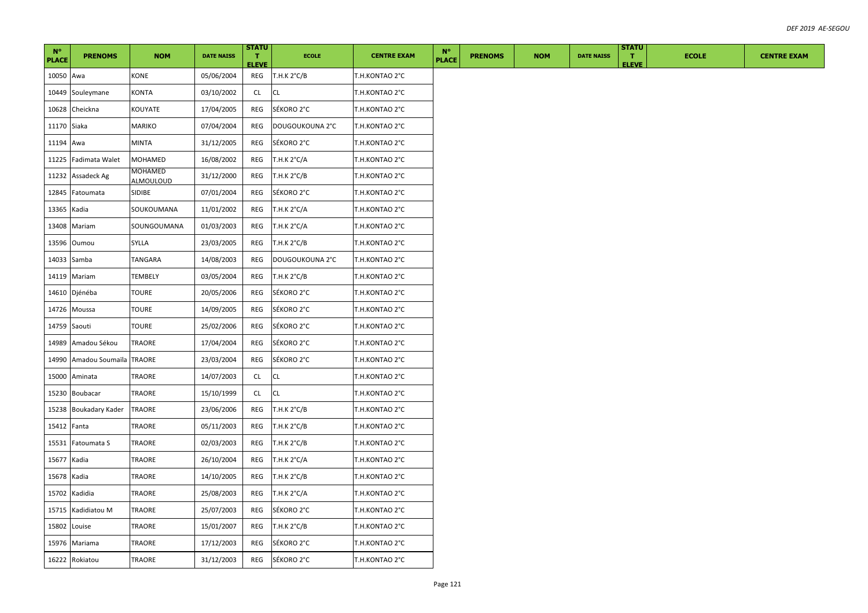| $N^{\circ}$<br><b>PLACE</b> | <b>PRENOMS</b>         | <b>NOM</b>                  | <b>DATE NAISS</b> | <b>STATU</b><br>т.<br><b>ELEVE</b> | <b>ECOLE</b>          | <b>CENTRE EXAM</b> | $N^{\circ}$<br><b>PLACE</b> | <b>PRENOMS</b> | <b>NOM</b> | <b>DATE NAISS</b> | <b>STATU</b><br>$\mathbf{T}$<br><b>ELEVE</b> | <b>ECOLE</b> | <b>CENTRE EXAM</b> |
|-----------------------------|------------------------|-----------------------------|-------------------|------------------------------------|-----------------------|--------------------|-----------------------------|----------------|------------|-------------------|----------------------------------------------|--------------|--------------------|
| 10050 Awa                   |                        | KONE                        | 05/06/2004        | REG                                | T.H.K 2°C/B           | T.H.KONTAO 2°C     |                             |                |            |                   |                                              |              |                    |
| 10449                       | Souleymane             | KONTA                       | 03/10/2002        | <b>CL</b>                          | <b>CL</b>             | T.H.KONTAO 2°C     |                             |                |            |                   |                                              |              |                    |
| 10628                       | Cheickna               | KOUYATE                     | 17/04/2005        | REG                                | SÉKORO 2°C            | T.H.KONTAO 2°C     |                             |                |            |                   |                                              |              |                    |
| 11170 Siaka                 |                        | MARIKO                      | 07/04/2004        | REG                                | DOUGOUKOUNA 2°C       | T.H.KONTAO 2°C     |                             |                |            |                   |                                              |              |                    |
| 11194 Awa                   |                        | <b>MINTA</b>                | 31/12/2005        | REG                                | SÉKORO 2°C            | T.H.KONTAO 2°C     |                             |                |            |                   |                                              |              |                    |
| 11225                       | Fadimata Walet         | <b>MOHAMED</b>              | 16/08/2002        | REG                                | T.H.K 2°C/A           | T.H.KONTAO 2°C     |                             |                |            |                   |                                              |              |                    |
| 11232                       | Assadeck Ag            | MOHAMED<br><b>ALMOULOUD</b> | 31/12/2000        | REG                                | T.H.K 2°C/B           | T.H.KONTAO 2°C     |                             |                |            |                   |                                              |              |                    |
| 12845                       | Fatoumata              | <b>SIDIBE</b>               | 07/01/2004        | REG                                | SÉKORO 2°C            | T.H.KONTAO 2°C     |                             |                |            |                   |                                              |              |                    |
| 13365                       | Kadia                  | SOUKOUMANA                  | 11/01/2002        | REG                                | T.H.K 2°C/A           | T.H.KONTAO 2°C     |                             |                |            |                   |                                              |              |                    |
| 13408                       | Mariam                 | SOUNGOUMANA                 | 01/03/2003        | REG                                | T.H.K 2°C/A           | T.H.KONTAO 2°C     |                             |                |            |                   |                                              |              |                    |
| 13596                       | Oumou                  | SYLLA                       | 23/03/2005        | REG                                | T.H.K 2°C/B           | T.H.KONTAO 2°C     |                             |                |            |                   |                                              |              |                    |
| 14033                       | Samba                  | TANGARA                     | 14/08/2003        | REG                                | DOUGOUKOUNA 2°C       | T.H.KONTAO 2°C     |                             |                |            |                   |                                              |              |                    |
|                             | 14119 Mariam           | TEMBELY                     | 03/05/2004        | REG                                | T.H.K 2°C/B           | T.H.KONTAO 2°C     |                             |                |            |                   |                                              |              |                    |
|                             | 14610 Djénéba          | <b>TOURE</b>                | 20/05/2006        | REG                                | SÉKORO 2°C            | T.H.KONTAO 2°C     |                             |                |            |                   |                                              |              |                    |
| 14726                       | Moussa                 | TOURE                       | 14/09/2005        | REG                                | SÉKORO 2°C            | T.H.KONTAO 2°C     |                             |                |            |                   |                                              |              |                    |
| 14759 Saouti                |                        | <b>TOURE</b>                | 25/02/2006        | REG                                | SÉKORO 2°C            | T.H.KONTAO 2°C     |                             |                |            |                   |                                              |              |                    |
| 14989                       | Amadou Sékou           | TRAORE                      | 17/04/2004        | REG                                | SÉKORO 2°C            | T.H.KONTAO 2°C     |                             |                |            |                   |                                              |              |                    |
| 14990                       | Amadou Soumaïla TRAORE |                             | 23/03/2004        | REG                                | SÉKORO 2°C            | T.H.KONTAO 2°C     |                             |                |            |                   |                                              |              |                    |
| 15000                       | Aminata                | TRAORE                      | 14/07/2003        | CL                                 | <b>CL</b>             | T.H.KONTAO 2°C     |                             |                |            |                   |                                              |              |                    |
| 15230                       | Boubacar               | TRAORE                      | 15/10/1999        | CL                                 | <b>CL</b>             | T.H.KONTAO 2°C     |                             |                |            |                   |                                              |              |                    |
| 15238                       | Boukadary Kader        | <b>TRAORE</b>               | 23/06/2006        | REG                                | T.H.K 2°C/B           | T.H.KONTAO 2°C     |                             |                |            |                   |                                              |              |                    |
| 15412                       | Fanta                  | TRAORE                      | 05/11/2003        | REG                                | T.H.K 2°C/B           | T.H.KONTAO 2°C     |                             |                |            |                   |                                              |              |                    |
| 15531                       | Fatoumata S            | TRAORE                      | 02/03/2003        | REG                                | T.H.K 2°C/B           | T.H.KONTAO 2°C     |                             |                |            |                   |                                              |              |                    |
| 15677                       | Kadia                  | TRAORE                      | 26/10/2004        | REG                                | T.H.K $2^{\circ}C/A$  | T.H.KONTAO 2°C     |                             |                |            |                   |                                              |              |                    |
| 15678                       | Kadia                  | TRAORE                      | 14/10/2005        | REG                                | T.H.K 2°C/B           | T.H.KONTAO 2°C     |                             |                |            |                   |                                              |              |                    |
| 15702                       | Kadidia                | TRAORE                      | 25/08/2003        | REG                                | T.H.K $2^{\circ}$ C/A | T.H.KONTAO 2°C     |                             |                |            |                   |                                              |              |                    |
| 15715                       | Kadidiatou M           | TRAORE                      | 25/07/2003        | REG                                | SÉKORO 2°C            | T.H.KONTAO 2°C     |                             |                |            |                   |                                              |              |                    |
| 15802                       | Louise                 | TRAORE                      | 15/01/2007        | REG                                | T.H.K 2°C/B           | T.H.KONTAO 2°C     |                             |                |            |                   |                                              |              |                    |
|                             | 15976 Mariama          | TRAORE                      | 17/12/2003        | REG                                | SÉKORO 2°C            | T.H.KONTAO 2°C     |                             |                |            |                   |                                              |              |                    |
|                             | 16222 Rokiatou         | TRAORE                      | 31/12/2003        | REG                                | SÉKORO 2°C            | T.H.KONTAO 2°C     |                             |                |            |                   |                                              |              |                    |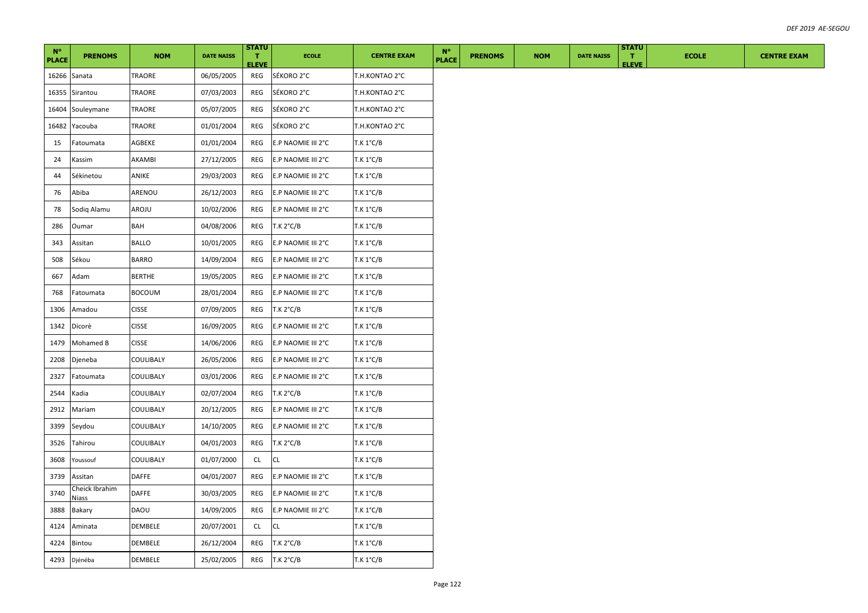| $N^{\circ}$<br><b>PLACE</b> | <b>PRENOMS</b>                 | <b>NOM</b>    | <b>DATE NAISS</b> | <b>STATU</b><br>п.<br><b>ELEVE</b> | <b>ECOLE</b>       | <b>CENTRE EXAM</b> | $N^{\circ}$<br><b>PLACE</b> | <b>PRENOMS</b> | <b>NOM</b> | <b>DATE NAISS</b> | <b>STATU</b><br>л.<br><b>ELEVE</b> | <b>ECOLE</b> | <b>CENTRE EXAM</b> |
|-----------------------------|--------------------------------|---------------|-------------------|------------------------------------|--------------------|--------------------|-----------------------------|----------------|------------|-------------------|------------------------------------|--------------|--------------------|
| 16266 Sanata                |                                | TRAORE        | 06/05/2005        | REG                                | SÉKORO 2°C         | T.H.KONTAO 2°C     |                             |                |            |                   |                                    |              |                    |
|                             | 16355 Sirantou                 | TRAORE        | 07/03/2003        | REG                                | SÉKORO 2°C         | T.H.KONTAO 2°C     |                             |                |            |                   |                                    |              |                    |
|                             | 16404 Souleymane               | TRAORE        | 05/07/2005        | REG                                | SÉKORO 2°C         | T.H.KONTAO 2°C     |                             |                |            |                   |                                    |              |                    |
|                             | 16482 Yacouba                  | TRAORE        | 01/01/2004        | REG                                | SÉKORO 2°C         | T.H.KONTAO 2°C     |                             |                |            |                   |                                    |              |                    |
| 15                          | Fatoumata                      | AGBEKE        | 01/01/2004        | REG                                | E.P NAOMIE III 2°C | T.K 1°C/B          |                             |                |            |                   |                                    |              |                    |
| 24                          | Kassim                         | AKAMBI        | 27/12/2005        | REG                                | E.P NAOMIE III 2°C | T.K 1°C/B          |                             |                |            |                   |                                    |              |                    |
| 44                          | Sékinetou                      | ANIKE         | 29/03/2003        | REG                                | E.P NAOMIE III 2°C | T.K 1°C/B          |                             |                |            |                   |                                    |              |                    |
| 76                          | Abiba                          | ARENOU        | 26/12/2003        | REG                                | E.P NAOMIE III 2°C | T.K 1°C/B          |                             |                |            |                   |                                    |              |                    |
| 78                          | Sodiq Alamu                    | AROJU         | 10/02/2006        | REG                                | E.P NAOMIE III 2°C | T.K 1°C/B          |                             |                |            |                   |                                    |              |                    |
| 286                         | Oumar                          | BAH           | 04/08/2006        | REG                                | T.K 2°C/B          | T.K 1°C/B          |                             |                |            |                   |                                    |              |                    |
| 343                         | Assitan                        | <b>BALLO</b>  | 10/01/2005        | REG                                | E.P NAOMIE III 2°C | T.K 1°C/B          |                             |                |            |                   |                                    |              |                    |
| 508                         | Sékou                          | <b>BARRO</b>  | 14/09/2004        | REG                                | E.P NAOMIE III 2°C | T.K 1°C/B          |                             |                |            |                   |                                    |              |                    |
| 667                         | Adam                           | BERTHE        | 19/05/2005        | REG                                | E.P NAOMIE III 2°C | T.K 1°C/B          |                             |                |            |                   |                                    |              |                    |
| 768                         | Fatoumata                      | <b>BOCOUM</b> | 28/01/2004        | REG                                | E.P NAOMIE III 2°C | $T.K 1^{\circ}C/B$ |                             |                |            |                   |                                    |              |                    |
| 1306                        | Amadou                         | <b>CISSE</b>  | 07/09/2005        | REG                                | T.K 2°C/B          | T.K 1°C/B          |                             |                |            |                   |                                    |              |                    |
| 1342                        | Dicorè                         | <b>CISSE</b>  | 16/09/2005        | REG                                | E.P NAOMIE III 2°C | T.K 1°C/B          |                             |                |            |                   |                                    |              |                    |
| 1479                        | Mohamed B                      | <b>CISSE</b>  | 14/06/2006        | REG                                | E.P NAOMIE III 2°C | T.K 1°C/B          |                             |                |            |                   |                                    |              |                    |
| 2208                        | Djeneba                        | COULIBALY     | 26/05/2006        | REG                                | E.P NAOMIE III 2°C | T.K 1°C/B          |                             |                |            |                   |                                    |              |                    |
| 2327                        | Fatoumata                      | COULIBALY     | 03/01/2006        | REG                                | E.P NAOMIE III 2°C | $T.K 1^{\circ}C/B$ |                             |                |            |                   |                                    |              |                    |
| 2544                        | Kadia                          | COULIBALY     | 02/07/2004        | REG                                | T.K 2°C/B          | T.K 1°C/B          |                             |                |            |                   |                                    |              |                    |
| 2912                        | Mariam                         | COULIBALY     | 20/12/2005        | REG                                | E.P NAOMIE III 2°C | T.K 1°C/B          |                             |                |            |                   |                                    |              |                    |
| 3399                        | Seydou                         | COULIBALY     | 14/10/2005        | REG                                | E.P NAOMIE III 2°C | T.K 1°C/B          |                             |                |            |                   |                                    |              |                    |
| 3526                        | Tahirou                        | COULIBALY     | 04/01/2003        | REG                                | T.K 2°C/B          | T.K 1°C/B          |                             |                |            |                   |                                    |              |                    |
| 3608                        | Youssouf                       | COULIBALY     | 01/07/2000        | CL                                 | СL                 | $T.K 1^{\circ}C/B$ |                             |                |            |                   |                                    |              |                    |
| 3739                        | Assitan                        | DAFFE         | 04/01/2007        | REG                                | E.P NAOMIE III 2°C | T.K 1°C/B          |                             |                |            |                   |                                    |              |                    |
| 3740                        | Cheick Ibrahim<br><b>Niass</b> | DAFFE         | 30/03/2005        | REG                                | E.P NAOMIE III 2°C | T.K 1°C/B          |                             |                |            |                   |                                    |              |                    |
| 3888                        | Bakary                         | DAOU          | 14/09/2005        | REG                                | E.P NAOMIE III 2°C | $T.K 1^{\circ}C/B$ |                             |                |            |                   |                                    |              |                    |
| 4124                        | Aminata                        | DEMBELE       | 20/07/2001        | <b>CL</b>                          | <b>CL</b>          | T.K 1°C/B          |                             |                |            |                   |                                    |              |                    |
| 4224                        | Bintou                         | DEMBELE       | 26/12/2004        | REG                                | T.K 2°C/B          | T.K 1°C/B          |                             |                |            |                   |                                    |              |                    |
|                             | 4293 Djénéba                   | DEMBELE       | 25/02/2005        | REG                                | T.K 2°C/B          | T.K 1°C/B          |                             |                |            |                   |                                    |              |                    |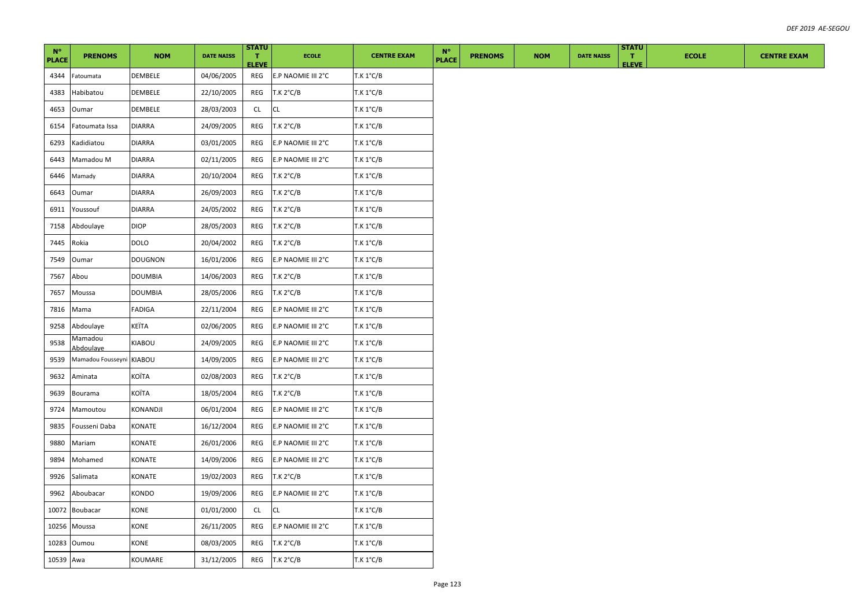| $N^{\circ}$<br><b>PLACE</b> | <b>PRENOMS</b>        | <b>NOM</b>     | <b>DATE NAISS</b> | <b>STATU</b><br>т.<br><b>ELEVE</b> | <b>ECOLE</b>       | <b>CENTRE EXAM</b> | $N^{\circ}$<br><b>PLACE</b> | <b>PRENOMS</b> | <b>NOM</b> | <b>DATE NAISS</b> | <b>STATU</b><br>$\mathbf{T}$<br><b>ELEVE</b> | <b>ECOLE</b> | <b>CENTRE EXAM</b> |
|-----------------------------|-----------------------|----------------|-------------------|------------------------------------|--------------------|--------------------|-----------------------------|----------------|------------|-------------------|----------------------------------------------|--------------|--------------------|
| 4344                        | Fatoumata             | DEMBELE        | 04/06/2005        | REG                                | E.P NAOMIE III 2°C | $T.K 1^{\circ}C/B$ |                             |                |            |                   |                                              |              |                    |
| 4383                        | Habibatou             | DEMBELE        | 22/10/2005        | REG                                | T.K 2°C/B          | T.K 1°C/B          |                             |                |            |                   |                                              |              |                    |
| 4653                        | Oumar                 | <b>DEMBELE</b> | 28/03/2003        | CL                                 | <b>CL</b>          | $T.K 1^{\circ}C/B$ |                             |                |            |                   |                                              |              |                    |
| 6154                        | Fatoumata Issa        | <b>DIARRA</b>  | 24/09/2005        | REG                                | T.K 2°C/B          | T.K 1°C/B          |                             |                |            |                   |                                              |              |                    |
| 6293                        | Kadidiatou            | <b>DIARRA</b>  | 03/01/2005        | REG                                | E.P NAOMIE III 2°C | T.K 1°C/B          |                             |                |            |                   |                                              |              |                    |
| 6443                        | Mamadou M             | <b>DIARRA</b>  | 02/11/2005        | REG                                | E.P NAOMIE III 2°C | T.K 1°C/B          |                             |                |            |                   |                                              |              |                    |
| 6446                        | Mamady                | <b>DIARRA</b>  | 20/10/2004        | REG                                | T.K 2°C/B          | T.K 1°C/B          |                             |                |            |                   |                                              |              |                    |
| 6643                        | Oumar                 | <b>DIARRA</b>  | 26/09/2003        | REG                                | T.K 2°C/B          | T.K 1°C/B          |                             |                |            |                   |                                              |              |                    |
| 6911                        | Youssouf              | <b>DIARRA</b>  | 24/05/2002        | REG                                | T.K 2°C/B          | $T.K 1^{\circ}C/B$ |                             |                |            |                   |                                              |              |                    |
| 7158                        | Abdoulaye             | <b>DIOP</b>    | 28/05/2003        | REG                                | T.K 2°C/B          | T.K 1°C/B          |                             |                |            |                   |                                              |              |                    |
| 7445                        | Rokia                 | <b>DOLO</b>    | 20/04/2002        | REG                                | T.K 2°C/B          | T.K 1°C/B          |                             |                |            |                   |                                              |              |                    |
| 7549                        | Oumar                 | <b>DOUGNON</b> | 16/01/2006        | REG                                | E.P NAOMIE III 2°C | T.K 1°C/B          |                             |                |            |                   |                                              |              |                    |
| 7567                        | Abou                  | <b>DOUMBIA</b> | 14/06/2003        | REG                                | T.K 2°C/B          | T.K 1°C/B          |                             |                |            |                   |                                              |              |                    |
| 7657                        | Moussa                | <b>DOUMBIA</b> | 28/05/2006        | REG                                | T.K 2°C/B          | T.K 1°C/B          |                             |                |            |                   |                                              |              |                    |
| 7816                        | Mama                  | <b>FADIGA</b>  | 22/11/2004        | REG                                | E.P NAOMIE III 2°C | $T.K 1^{\circ}C/B$ |                             |                |            |                   |                                              |              |                    |
| 9258                        | Abdoulaye             | KEÏTA          | 02/06/2005        | REG                                | E.P NAOMIE III 2°C | T.K 1°C/B          |                             |                |            |                   |                                              |              |                    |
| 9538                        | Vlamadou<br>Abdoulaye | KIABOU         | 24/09/2005        | REG                                | E.P NAOMIE III 2°C | T.K 1°C/B          |                             |                |            |                   |                                              |              |                    |
| 9539                        | Mamadou Fousseyni     | <b>KIABOU</b>  | 14/09/2005        | REG                                | E.P NAOMIE III 2°C | T.K 1°C/B          |                             |                |            |                   |                                              |              |                    |
| 9632                        | Aminata               | KOÏTA          | 02/08/2003        | REG                                | T.K 2°C/B          | $T.K 1^{\circ}C/B$ |                             |                |            |                   |                                              |              |                    |
| 9639                        | Bourama               | KOÏTA          | 18/05/2004        | REG                                | T.K 2°C/B          | $T.K 1^{\circ}C/B$ |                             |                |            |                   |                                              |              |                    |
| 9724                        | Mamoutou              | KONANDJI       | 06/01/2004        | REG                                | E.P NAOMIE III 2°C | $T.K 1^{\circ}C/B$ |                             |                |            |                   |                                              |              |                    |
| 9835                        | Fousseni Daba         | KONATE         | 16/12/2004        | REG                                | E.P NAOMIE III 2°C | T.K 1°C/B          |                             |                |            |                   |                                              |              |                    |
| 9880                        | Mariam                | KONATE         | 26/01/2006        | REG                                | E.P NAOMIE III 2°C | $T.K 1^{\circ}C/B$ |                             |                |            |                   |                                              |              |                    |
| 9894                        | Mohamed               | KONATE         | 14/09/2006        | REG                                | E.P NAOMIE III 2°C | $T.K 1^{\circ}C/B$ |                             |                |            |                   |                                              |              |                    |
| 9926                        | Salimata              | KONATE         | 19/02/2003        | REG                                | T.K 2°C/B          | $T.K 1^{\circ}C/B$ |                             |                |            |                   |                                              |              |                    |
| 9962                        | Aboubacar             | KONDO          | 19/09/2006        | REG                                | E.P NAOMIE III 2°C | $T.K 1^{\circ}C/B$ |                             |                |            |                   |                                              |              |                    |
| 10072                       | <b>Boubacar</b>       | KONE           | 01/01/2000        | CL                                 | <b>CL</b>          | $T.K 1^{\circ}C/B$ |                             |                |            |                   |                                              |              |                    |
| 10256                       | Moussa                | KONE           | 26/11/2005        | REG                                | E.P NAOMIE III 2°C | $T.K 1^{\circ}C/B$ |                             |                |            |                   |                                              |              |                    |
| 10283                       | Oumou                 | KONE           | 08/03/2005        | REG                                | T.K 2°C/B          | $T.K 1^{\circ}C/B$ |                             |                |            |                   |                                              |              |                    |
| 10539 Awa                   |                       | KOUMARE        | 31/12/2005        | REG                                | T.K 2°C/B          | $T.K 1^{\circ}C/B$ |                             |                |            |                   |                                              |              |                    |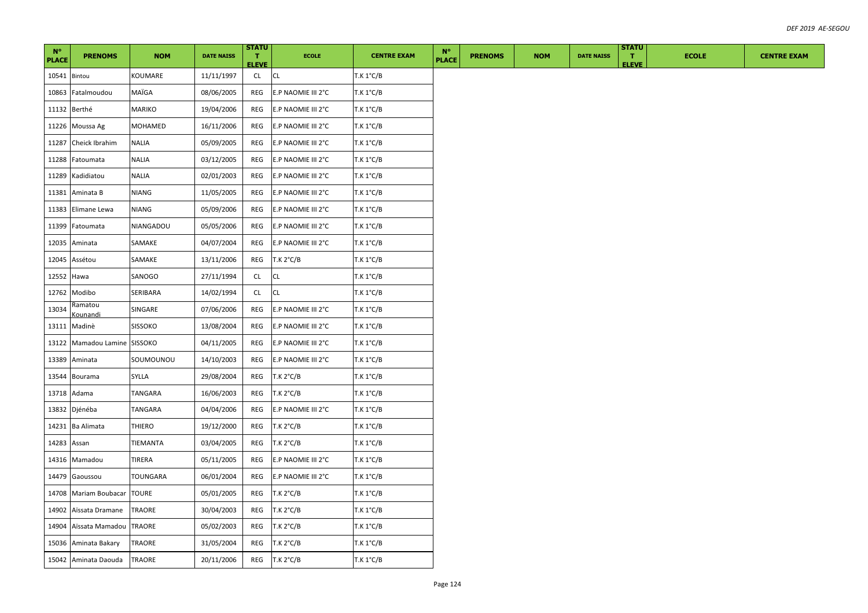| $N^{\circ}$<br><b>PLACE</b> | <b>PRENOMS</b>             | <b>NOM</b>     | <b>DATE NAISS</b> | <b>STATU</b><br>п.<br><b>ELEVE</b> | <b>ECOLE</b>       | <b>CENTRE EXAM</b> | $N^{\circ}$<br><b>PLACE</b> | <b>PRENOMS</b> | <b>NOM</b> | <b>DATE NAISS</b> | <b>STATU</b><br>$\mathbf{T}$<br><b>ELEVE</b> | <b>ECOLE</b> | <b>CENTRE EXAM</b> |
|-----------------------------|----------------------------|----------------|-------------------|------------------------------------|--------------------|--------------------|-----------------------------|----------------|------------|-------------------|----------------------------------------------|--------------|--------------------|
| 10541 Bintou                |                            | KOUMARE        | 11/11/1997        | CL                                 | CL.                | T.K 1°C/B          |                             |                |            |                   |                                              |              |                    |
| 10863                       | Fatalmoudou                | MAÏGA          | 08/06/2005        | REG                                | E.P NAOMIE III 2°C | $T.K 1^{\circ}C/B$ |                             |                |            |                   |                                              |              |                    |
|                             | 11132 Berthé               | MARIKO         | 19/04/2006        | REG                                | E.P NAOMIE III 2°C | $T.K 1^{\circ}C/B$ |                             |                |            |                   |                                              |              |                    |
| 11226                       | Moussa Ag                  | MOHAMED        | 16/11/2006        | REG                                | E.P NAOMIE III 2°C | T.K 1°C/B          |                             |                |            |                   |                                              |              |                    |
| 11287                       | Cheick Ibrahim             | <b>NALIA</b>   | 05/09/2005        | REG                                | E.P NAOMIE III 2°C | T.K 1°C/B          |                             |                |            |                   |                                              |              |                    |
| 11288                       | Fatoumata                  | NALIA          | 03/12/2005        | REG                                | E.P NAOMIE III 2°C | T.K 1°C/B          |                             |                |            |                   |                                              |              |                    |
| 11289                       | Kadidiatou                 | <b>NALIA</b>   | 02/01/2003        | REG                                | E.P NAOMIE III 2°C | T.K 1°C/B          |                             |                |            |                   |                                              |              |                    |
| 11381                       | Aminata B                  | NIANG          | 11/05/2005        | REG                                | E.P NAOMIE III 2°C | T.K 1°C/B          |                             |                |            |                   |                                              |              |                    |
| 11383                       | Elimane Lewa               | NIANG          | 05/09/2006        | REG                                | E.P NAOMIE III 2°C | T.K 1°C/B          |                             |                |            |                   |                                              |              |                    |
| 11399                       | Fatoumata                  | NIANGADOU      | 05/05/2006        | REG                                | E.P NAOMIE III 2°C | T.K 1°C/B          |                             |                |            |                   |                                              |              |                    |
| 12035                       | Aminata                    | SAMAKE         | 04/07/2004        | REG                                | E.P NAOMIE III 2°C | T.K 1°C/B          |                             |                |            |                   |                                              |              |                    |
| 12045                       | Assétou                    | SAMAKE         | 13/11/2006        | REG                                | T.K 2°C/B          | T.K 1°C/B          |                             |                |            |                   |                                              |              |                    |
| 12552                       | Hawa                       | SANOGO         | 27/11/1994        | CL                                 | СL                 | T.K 1°C/B          |                             |                |            |                   |                                              |              |                    |
| 12762                       | Modibo                     | SERIBARA       | 14/02/1994        | <b>CL</b>                          | <b>CL</b>          | T.K 1°C/B          |                             |                |            |                   |                                              |              |                    |
| 13034                       | Ramatou<br><u>Kounandi</u> | SINGARE        | 07/06/2006        | REG                                | E.P NAOMIE III 2°C | T.K 1°C/B          |                             |                |            |                   |                                              |              |                    |
| 13111                       | Madinè                     | <b>SISSOKO</b> | 13/08/2004        | REG                                | E.P NAOMIE III 2°C | T.K 1°C/B          |                             |                |            |                   |                                              |              |                    |
| 13122                       | Mamadou Lamine SISSOKO     |                | 04/11/2005        | REG                                | E.P NAOMIE III 2°C | T.K 1°C/B          |                             |                |            |                   |                                              |              |                    |
| 13389                       | Aminata                    | SOUMOUNOU      | 14/10/2003        | REG                                | E.P NAOMIE III 2°C | T.K 1°C/B          |                             |                |            |                   |                                              |              |                    |
| 13544                       | Bourama                    | SYLLA          | 29/08/2004        | REG                                | T.K 2°C/B          | T.K 1°C/B          |                             |                |            |                   |                                              |              |                    |
| 13718                       | Adama                      | TANGARA        | 16/06/2003        | REG                                | T.K 2°C/B          | T.K 1°C/B          |                             |                |            |                   |                                              |              |                    |
| 13832                       | Djénéba                    | TANGARA        | 04/04/2006        | REG                                | E.P NAOMIE III 2°C | T.K 1°C/B          |                             |                |            |                   |                                              |              |                    |
| 14231                       | Ba Alimata                 | THIERO         | 19/12/2000        | REG                                | T.K 2°C/B          | T.K 1°C/B          |                             |                |            |                   |                                              |              |                    |
| 14283                       | Assan                      | TIEMANTA       | 03/04/2005        | REG                                | T.K 2°C/B          | T.K 1°C/B          |                             |                |            |                   |                                              |              |                    |
|                             | 14316 Mamadou              | TIRERA         | 05/11/2005        | REG                                | E.P NAOMIE III 2°C | $T.K 1^{\circ}C/B$ |                             |                |            |                   |                                              |              |                    |
| 14479                       | Gaoussou                   | TOUNGARA       | 06/01/2004        | REG                                | E.P NAOMIE III 2°C | $T.K 1^{\circ}C/B$ |                             |                |            |                   |                                              |              |                    |
| 14708                       | Mariam Boubacar            | <b>TOURE</b>   | 05/01/2005        | REG                                | T.K 2°C/B          | T.K 1°C/B          |                             |                |            |                   |                                              |              |                    |
| 14902                       | Aïssata Dramane            | TRAORE         | 30/04/2003        | REG                                | T.K 2°C/B          | T.K 1°C/B          |                             |                |            |                   |                                              |              |                    |
| 14904                       | Aïssata Mamadou            | <b>TRAORE</b>  | 05/02/2003        | REG                                | T.K 2°C/B          | T.K 1°C/B          |                             |                |            |                   |                                              |              |                    |
|                             | 15036 Aminata Bakary       | TRAORE         | 31/05/2004        | REG                                | T.K 2°C/B          | $T.K 1^{\circ}C/B$ |                             |                |            |                   |                                              |              |                    |
|                             | 15042 Aminata Daouda       | <b>TRAORE</b>  | 20/11/2006        | REG                                | T.K 2°C/B          | T.K 1°C/B          |                             |                |            |                   |                                              |              |                    |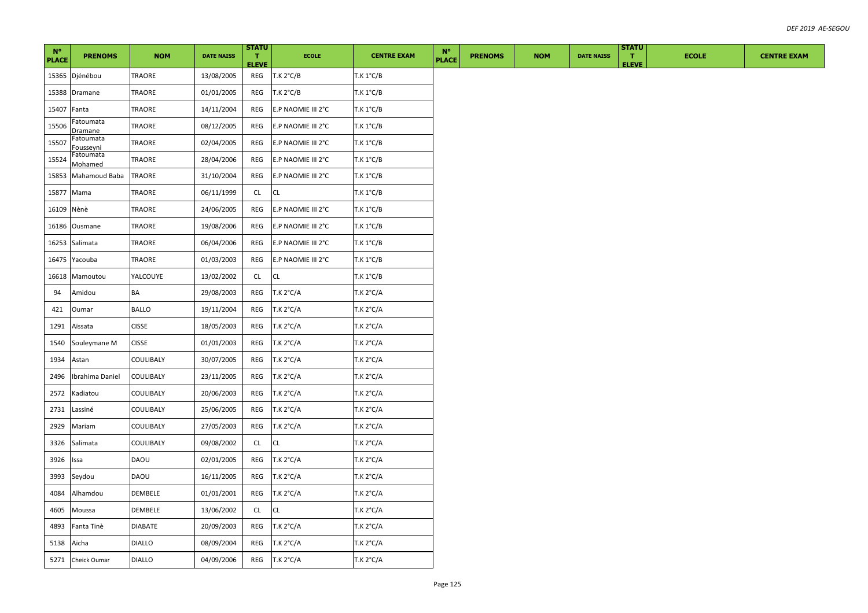| $N^{\circ}$<br><b>PLACE</b> | <b>PRENOMS</b>                | <b>NOM</b>    | <b>DATE NAISS</b> | <b>STATU</b><br>п.<br><b>ELEVE</b> | <b>ECOLE</b>       | <b>CENTRE EXAM</b> | $N^{\circ}$<br><b>PLACE</b> | <b>PRENOMS</b> | <b>NOM</b> | <b>DATE NAISS</b> | <b>STATU</b><br>$\mathbf{T}$<br><b>ELEVE</b> | <b>ECOLE</b> | <b>CENTRE EXAM</b> |
|-----------------------------|-------------------------------|---------------|-------------------|------------------------------------|--------------------|--------------------|-----------------------------|----------------|------------|-------------------|----------------------------------------------|--------------|--------------------|
|                             | 15365 Djénébou                | TRAORE        | 13/08/2005        | REG                                | T.K 2°C/B          | T.K 1°C/B          |                             |                |            |                   |                                              |              |                    |
| 15388                       | Dramane                       | TRAORE        | 01/01/2005        | REG                                | T.K 2°C/B          | T.K 1°C/B          |                             |                |            |                   |                                              |              |                    |
| 15407                       | Fanta                         | TRAORE        | 14/11/2004        | REG                                | E.P NAOMIE III 2°C | $T.K 1^{\circ}C/B$ |                             |                |            |                   |                                              |              |                    |
| 15506                       | Fatoumata<br><b>Dramane</b>   | TRAORE        | 08/12/2005        | REG                                | E.P NAOMIE III 2°C | $T.K 1^{\circ}C/B$ |                             |                |            |                   |                                              |              |                    |
| 15507                       | Fatoumata<br><u>Fousseyni</u> | TRAORE        | 02/04/2005        | REG                                | E.P NAOMIE III 2°C | T.K 1°C/B          |                             |                |            |                   |                                              |              |                    |
| 15524                       | Fatoumata<br><b>Mohamed</b>   | TRAORE        | 28/04/2006        | REG                                | E.P NAOMIE III 2°C | T.K 1°C/B          |                             |                |            |                   |                                              |              |                    |
| 15853                       | Mahamoud Baba                 | TRAORE        | 31/10/2004        | REG                                | E.P NAOMIE III 2°C | T.K 1°C/B          |                             |                |            |                   |                                              |              |                    |
| 15877                       | Mama                          | TRAORE        | 06/11/1999        | CL                                 | CL                 | T.K 1°C/B          |                             |                |            |                   |                                              |              |                    |
| 16109                       | Nènè                          | TRAORE        | 24/06/2005        | REG                                | E.P NAOMIE III 2°C | T.K 1°C/B          |                             |                |            |                   |                                              |              |                    |
| 16186                       | Ousmane                       | TRAORE        | 19/08/2006        | REG                                | E.P NAOMIE III 2°C | T.K 1°C/B          |                             |                |            |                   |                                              |              |                    |
| 16253                       | Salimata                      | TRAORE        | 06/04/2006        | REG                                | E.P NAOMIE III 2°C | T.K 1°C/B          |                             |                |            |                   |                                              |              |                    |
| 16475                       | Yacouba                       | TRAORE        | 01/03/2003        | REG                                | E.P NAOMIE III 2°C | T.K 1°C/B          |                             |                |            |                   |                                              |              |                    |
| 16618                       | Mamoutou                      | YALCOUYE      | 13/02/2002        | CL                                 | <b>CL</b>          | T.K 1°C/B          |                             |                |            |                   |                                              |              |                    |
| 94                          | Amidou                        | BA            | 29/08/2003        | REG                                | T.K 2°C/A          | T.K 2°C/A          |                             |                |            |                   |                                              |              |                    |
| 421                         | Oumar                         | <b>BALLO</b>  | 19/11/2004        | REG                                | T.K 2°C/A          | T.K 2°C/A          |                             |                |            |                   |                                              |              |                    |
| 1291                        | Aïssata                       | <b>CISSE</b>  | 18/05/2003        | REG                                | T.K 2°C/A          | T.K 2°C/A          |                             |                |            |                   |                                              |              |                    |
| 1540                        | Souleymane M                  | <b>CISSE</b>  | 01/01/2003        | REG                                | T.K 2°C/A          | T.K 2°C/A          |                             |                |            |                   |                                              |              |                    |
| 1934                        | Astan                         | COULIBALY     | 30/07/2005        | REG                                | T.K 2°C/A          | T.K 2°C/A          |                             |                |            |                   |                                              |              |                    |
| 2496                        | Ibrahima Daniel               | COULIBALY     | 23/11/2005        | REG                                | T.K 2°C/A          | T.K 2°C/A          |                             |                |            |                   |                                              |              |                    |
| 2572                        | Kadiatou                      | COULIBALY     | 20/06/2003        | REG                                | T.K 2°C/A          | T.K 2°C/A          |                             |                |            |                   |                                              |              |                    |
| 2731                        | Lassiné                       | COULIBALY     | 25/06/2005        | REG                                | T.K 2°C/A          | T.K 2°C/A          |                             |                |            |                   |                                              |              |                    |
| 2929                        | Mariam                        | COULIBALY     | 27/05/2003        | REG                                | T.K 2°C/A          | T.K 2°C/A          |                             |                |            |                   |                                              |              |                    |
| 3326                        | Salimata                      | COULIBALY     | 09/08/2002        | CL                                 | CL                 | T.K 2°C/A          |                             |                |            |                   |                                              |              |                    |
| 3926                        | Issa                          | DAOU          | 02/01/2005        | REG                                | T.K 2°C/A          | T.K 2°C/A          |                             |                |            |                   |                                              |              |                    |
| 3993                        | Seydou                        | DAOU          | 16/11/2005        | REG                                | T.K 2°C/A          | T.K 2°C/A          |                             |                |            |                   |                                              |              |                    |
| 4084                        | Alhamdou                      | DEMBELE       | 01/01/2001        | REG                                | T.K 2°C/A          | T.K 2°C/A          |                             |                |            |                   |                                              |              |                    |
| 4605                        | Moussa                        | DEMBELE       | 13/06/2002        | CL                                 | CL                 | T.K 2°C/A          |                             |                |            |                   |                                              |              |                    |
| 4893                        | Fanta Tinè                    | DIABATE       | 20/09/2003        | REG                                | T.K 2°C/A          | T.K 2°C/A          |                             |                |            |                   |                                              |              |                    |
| 5138                        | Aïcha                         | <b>DIALLO</b> | 08/09/2004        | REG                                | T.K 2°C/A          | T.K 2°C/A          |                             |                |            |                   |                                              |              |                    |
|                             | 5271 Cheick Oumar             | <b>DIALLO</b> | 04/09/2006        | REG                                | T.K 2°C/A          | T.K 2°C/A          |                             |                |            |                   |                                              |              |                    |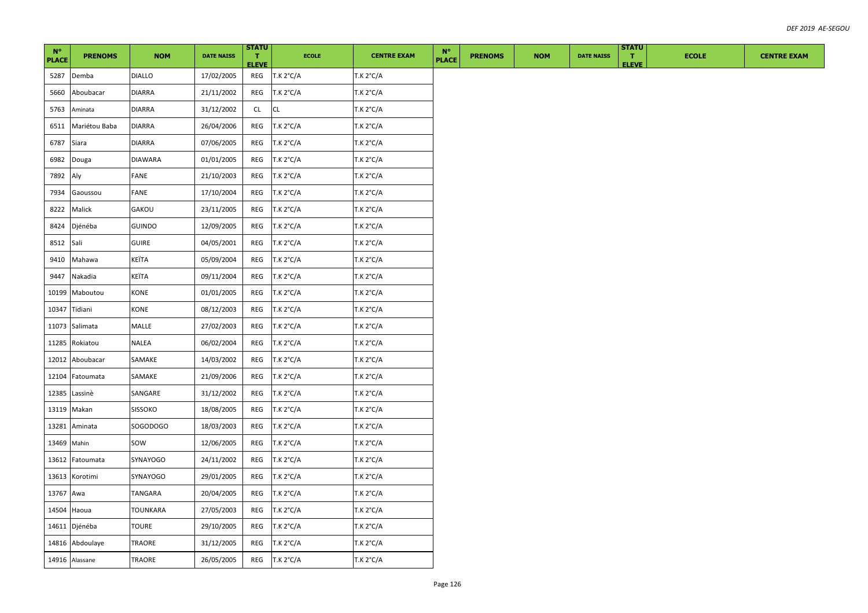| $N^{\circ}$<br><b>PLACE</b> | <b>PRENOMS</b>  | <b>NOM</b>      | <b>DATE NAISS</b> | <b>STATU</b><br>т.<br><b>ELEVE</b> | <b>ECOLE</b>       | <b>CENTRE EXAM</b> | $N^{\circ}$<br><b>PLACE</b> | <b>PRENOMS</b> | <b>NOM</b> | <b>DATE NAISS</b> | <b>STATU</b><br>$\mathbf{T}$<br><b>ELEVE</b> | <b>ECOLE</b> | <b>CENTRE EXAM</b> |
|-----------------------------|-----------------|-----------------|-------------------|------------------------------------|--------------------|--------------------|-----------------------------|----------------|------------|-------------------|----------------------------------------------|--------------|--------------------|
| 5287                        | Demba           | <b>DIALLO</b>   | 17/02/2005        | REG                                | T.K 2°C/A          | T.K 2°C/A          |                             |                |            |                   |                                              |              |                    |
| 5660                        | Aboubacar       | <b>DIARRA</b>   | 21/11/2002        | REG                                | T.K 2°C/A          | T.K 2°C/A          |                             |                |            |                   |                                              |              |                    |
| 5763                        | Aminata         | <b>DIARRA</b>   | 31/12/2002        | CL                                 | <b>CL</b>          | T.K 2°C/A          |                             |                |            |                   |                                              |              |                    |
| 6511                        | Mariétou Baba   | <b>DIARRA</b>   | 26/04/2006        | REG                                | T.K 2°C/A          | T.K 2°C/A          |                             |                |            |                   |                                              |              |                    |
| 6787                        | Siara           | <b>DIARRA</b>   | 07/06/2005        | REG                                | T.K 2°C/A          | T.K 2°C/A          |                             |                |            |                   |                                              |              |                    |
| 6982                        | Douga           | <b>DIAWARA</b>  | 01/01/2005        | REG                                | T.K $2^{\circ}C/A$ | T.K 2°C/A          |                             |                |            |                   |                                              |              |                    |
| 7892                        | Aly             | FANE            | 21/10/2003        | REG                                | T.K 2°C/A          | T.K 2°C/A          |                             |                |            |                   |                                              |              |                    |
| 7934                        | Gaoussou        | FANE            | 17/10/2004        | REG                                | T.K 2°C/A          | T.K 2°C/A          |                             |                |            |                   |                                              |              |                    |
| 8222                        | Malick          | GAKOU           | 23/11/2005        | REG                                | T.K 2°C/A          | T.K 2°C/A          |                             |                |            |                   |                                              |              |                    |
| 8424                        | Djénéba         | <b>GUINDO</b>   | 12/09/2005        | REG                                | T.K 2°C/A          | T.K 2°C/A          |                             |                |            |                   |                                              |              |                    |
| 8512                        | Sali            | <b>GUIRE</b>    | 04/05/2001        | REG                                | T.K 2°C/A          | T.K 2°C/A          |                             |                |            |                   |                                              |              |                    |
| 9410                        | Mahawa          | KEÏTA           | 05/09/2004        | REG                                | T.K 2°C/A          | T.K 2°C/A          |                             |                |            |                   |                                              |              |                    |
| 9447                        | Nakadia         | KEÏTA           | 09/11/2004        | REG                                | T.K 2°C/A          | T.K 2°C/A          |                             |                |            |                   |                                              |              |                    |
| 10199                       | Maboutou        | KONE            | 01/01/2005        | REG                                | T.K 2°C/A          | T.K 2°C/A          |                             |                |            |                   |                                              |              |                    |
| 10347                       | Tidiani         | KONE            | 08/12/2003        | REG                                | T.K 2°C/A          | T.K 2°C/A          |                             |                |            |                   |                                              |              |                    |
| 11073                       | Salimata        | MALLE           | 27/02/2003        | REG                                | T.K 2°C/A          | T.K 2°C/A          |                             |                |            |                   |                                              |              |                    |
| 11285                       | Rokiatou        | <b>NALEA</b>    | 06/02/2004        | REG                                | T.K 2°C/A          | T.K 2°C/A          |                             |                |            |                   |                                              |              |                    |
| 12012                       | Aboubacar       | SAMAKE          | 14/03/2002        | REG                                | T.K 2°C/A          | T.K 2°C/A          |                             |                |            |                   |                                              |              |                    |
| 12104                       | Fatoumata       | SAMAKE          | 21/09/2006        | REG                                | T.K 2°C/A          | T.K 2°C/A          |                             |                |            |                   |                                              |              |                    |
| 12385                       | Lassinè         | SANGARE         | 31/12/2002        | REG                                | T.K 2°C/A          | T.K 2°C/A          |                             |                |            |                   |                                              |              |                    |
|                             | 13119 Makan     | <b>SISSOKO</b>  | 18/08/2005        | REG                                | T.K 2°C/A          | T.K 2°C/A          |                             |                |            |                   |                                              |              |                    |
| 13281                       | Aminata         | SOGODOGO        | 18/03/2003        | REG                                | T.K 2°C/A          | T.K 2°C/A          |                             |                |            |                   |                                              |              |                    |
| 13469 Mahin                 |                 | sow             | 12/06/2005        | REG                                | T.K 2°C/A          | T.K 2°C/A          |                             |                |            |                   |                                              |              |                    |
| 13612                       | Fatoumata       | <b>SYNAYOGO</b> | 24/11/2002        | REG                                | T.K 2°C/A          | T.K 2°C/A          |                             |                |            |                   |                                              |              |                    |
| 13613                       | Korotimi        | SYNAYOGO        | 29/01/2005        | REG                                | T.K 2°C/A          | T.K 2°C/A          |                             |                |            |                   |                                              |              |                    |
| 13767                       | Awa             | TANGARA         | 20/04/2005        | REG                                | T.K 2°C/A          | T.K 2°C/A          |                             |                |            |                   |                                              |              |                    |
| 14504                       | Haoua           | TOUNKARA        | 27/05/2003        | REG                                | T.K 2°C/A          | T.K 2°C/A          |                             |                |            |                   |                                              |              |                    |
|                             | 14611 Djénéba   | TOURE           | 29/10/2005        | REG                                | T.K 2°C/A          | T.K 2°C/A          |                             |                |            |                   |                                              |              |                    |
|                             | 14816 Abdoulaye | TRAORE          | 31/12/2005        | REG                                | T.K 2°C/A          | T.K 2°C/A          |                             |                |            |                   |                                              |              |                    |
|                             | 14916 Alassane  | <b>TRAORE</b>   | 26/05/2005        | REG                                | T.K 2°C/A          | T.K 2°C/A          |                             |                |            |                   |                                              |              |                    |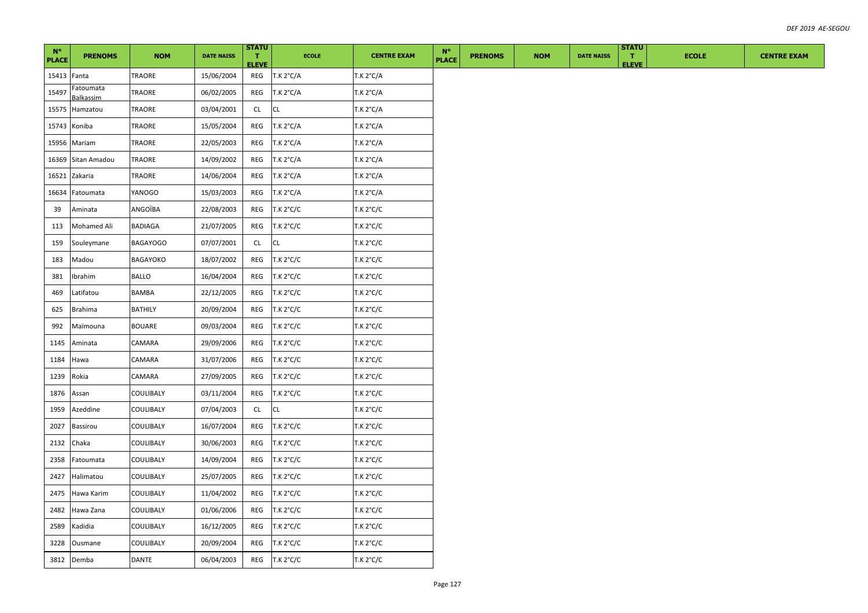| $N^{\circ}$<br><b>PLACE</b> | <b>PRENOMS</b>         | <b>NOM</b>      | <b>DATE NAISS</b> | <b>STATU</b><br>п.<br><b>ELEVE</b> | <b>ECOLE</b> | <b>CENTRE EXAM</b> | $N^{\circ}$<br><b>PLACE</b> | <b>PRENOMS</b> | <b>NOM</b> | <b>DATE NAISS</b> | <b>STATU</b><br>$\mathbf{T}$<br><b>ELEVE</b> | <b>ECOLE</b> | <b>CENTRE EXAM</b> |
|-----------------------------|------------------------|-----------------|-------------------|------------------------------------|--------------|--------------------|-----------------------------|----------------|------------|-------------------|----------------------------------------------|--------------|--------------------|
| 15413 Fanta                 |                        | TRAORE          | 15/06/2004        | REG                                | T.K 2°C/A    | <b>T.K 2°C/A</b>   |                             |                |            |                   |                                              |              |                    |
| 15497                       | Fatoumata<br>Balkassim | TRAORE          | 06/02/2005        | REG                                | T.K 2°C/A    | T.K 2°C/A          |                             |                |            |                   |                                              |              |                    |
| 15575                       | Hamzatou               | TRAORE          | 03/04/2001        | CL                                 | <b>CL</b>    | T.K 2°C/A          |                             |                |            |                   |                                              |              |                    |
| 15743                       | Koniba                 | TRAORE          | 15/05/2004        | REG                                | T.K 2°C/A    | <b>T.K 2°C/A</b>   |                             |                |            |                   |                                              |              |                    |
| 15956                       | Mariam                 | TRAORE          | 22/05/2003        | REG                                | T.K 2°C/A    | T.K 2°C/A          |                             |                |            |                   |                                              |              |                    |
| 16369                       | Sitan Amadou           | TRAORE          | 14/09/2002        | REG                                | T.K 2°C/A    | T.K 2°C/A          |                             |                |            |                   |                                              |              |                    |
| 16521                       | Zakaria                | TRAORE          | 14/06/2004        | REG                                | T.K 2°C/A    | T.K 2°C/A          |                             |                |            |                   |                                              |              |                    |
| 16634                       | Fatoumata              | YANOGO          | 15/03/2003        | REG                                | T.K 2°C/A    | T.K 2°C/A          |                             |                |            |                   |                                              |              |                    |
| 39                          | Aminata                | ANGOÏBA         | 22/08/2003        | REG                                | T.K 2°C/C    | <b>T.K 2°C/C</b>   |                             |                |            |                   |                                              |              |                    |
| 113                         | <b>Mohamed Ali</b>     | BADIAGA         | 21/07/2005        | REG                                | T.K 2°C/C    | T.K 2°C/C          |                             |                |            |                   |                                              |              |                    |
| 159                         | Souleymane             | <b>BAGAYOGO</b> | 07/07/2001        | CL                                 | <b>CL</b>    | T.K 2°C/C          |                             |                |            |                   |                                              |              |                    |
| 183                         | Madou                  | BAGAYOKO        | 18/07/2002        | REG                                | T.K 2°C/C    | T.K 2°C/C          |                             |                |            |                   |                                              |              |                    |
| 381                         | Ibrahim                | BALLO           | 16/04/2004        | REG                                | T.K 2°C/C    | T.K 2°C/C          |                             |                |            |                   |                                              |              |                    |
| 469                         | Latifatou              | BAMBA           | 22/12/2005        | REG                                | T.K 2°C/C    | <b>T.K 2°C/C</b>   |                             |                |            |                   |                                              |              |                    |
| 625                         | <b>Brahima</b>         | <b>BATHILY</b>  | 20/09/2004        | REG                                | T.K 2°C/C    | T.K 2°C/C          |                             |                |            |                   |                                              |              |                    |
| 992                         | Maïmouna               | <b>BOUARE</b>   | 09/03/2004        | REG                                | T.K 2°C/C    | T.K 2°C/C          |                             |                |            |                   |                                              |              |                    |
| 1145                        | Aminata                | CAMARA          | 29/09/2006        | REG                                | T.K 2°C/C    | T.K 2°C/C          |                             |                |            |                   |                                              |              |                    |
| 1184                        | Hawa                   | CAMARA          | 31/07/2006        | REG                                | T.K 2°C/C    | T.K 2°C/C          |                             |                |            |                   |                                              |              |                    |
| 1239                        | Rokia                  | CAMARA          | 27/09/2005        | REG                                | T.K 2°C/C    | T.K 2°C/C          |                             |                |            |                   |                                              |              |                    |
| 1876                        | Assan                  | COULIBALY       | 03/11/2004        | REG                                | T.K 2°C/C    | T.K 2°C/C          |                             |                |            |                   |                                              |              |                    |
| 1959                        | Azeddine               | COULIBALY       | 07/04/2003        | CL                                 | CL           | T.K 2°C/C          |                             |                |            |                   |                                              |              |                    |
| 2027                        | <b>Bassirou</b>        | COULIBALY       | 16/07/2004        | REG                                | T.K 2°C/C    | T.K 2°C/C          |                             |                |            |                   |                                              |              |                    |
| 2132                        | Chaka                  | COULIBALY       | 30/06/2003        | REG                                | T.K 2°C/C    | T.K 2°C/C          |                             |                |            |                   |                                              |              |                    |
| 2358                        | Fatoumata              | COULIBALY       | 14/09/2004        | REG                                | T.K 2°C/C    | T.K 2°C/C          |                             |                |            |                   |                                              |              |                    |
| 2427                        | Halimatou              | COULIBALY       | 25/07/2005        | REG                                | T.K 2°C/C    | T.K 2°C/C          |                             |                |            |                   |                                              |              |                    |
| 2475                        | Hawa Karim             | COULIBALY       | 11/04/2002        | REG                                | T.K 2°C/C    | T.K 2°C/C          |                             |                |            |                   |                                              |              |                    |
| 2482                        | Hawa Zana              | COULIBALY       | 01/06/2006        | REG                                | T.K 2°C/C    | T.K 2°C/C          |                             |                |            |                   |                                              |              |                    |
| 2589                        | Kadidia                | COULIBALY       | 16/12/2005        | REG                                | T.K 2°C/C    | T.K 2°C/C          |                             |                |            |                   |                                              |              |                    |
| 3228                        | Ousmane                | COULIBALY       | 20/09/2004        | REG                                | T.K 2°C/C    | T.K 2°C/C          |                             |                |            |                   |                                              |              |                    |
|                             | 3812 Demba             | DANTE           | 06/04/2003        | REG                                | T.K 2°C/C    | T.K 2°C/C          |                             |                |            |                   |                                              |              |                    |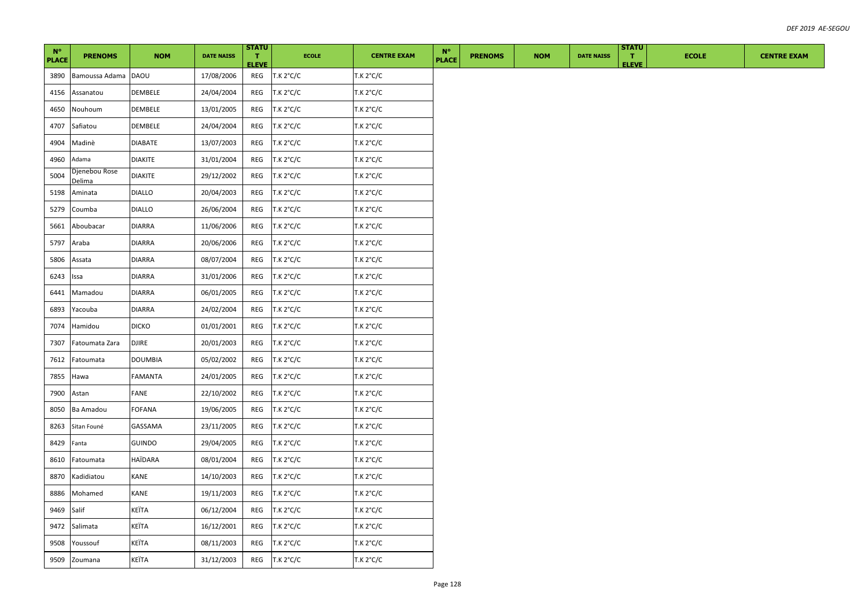| $N^{\circ}$<br><b>PLACE</b> | <b>PRENOMS</b>          | <b>NOM</b>     | <b>DATE NAISS</b> | <b>STATU</b><br>т.<br><b>ELEVE</b> | <b>ECOLE</b> | <b>CENTRE EXAM</b> | $N^{\circ}$<br><b>PLACE</b> | <b>PRENOMS</b> | <b>NOM</b> | <b>DATE NAISS</b> | <b>STATU</b><br>п.<br><b>ELEVE</b> | <b>ECOLE</b> | <b>CENTRE EXAM</b> |
|-----------------------------|-------------------------|----------------|-------------------|------------------------------------|--------------|--------------------|-----------------------------|----------------|------------|-------------------|------------------------------------|--------------|--------------------|
| 3890                        | Bamoussa Adama DAOU     |                | 17/08/2006        | REG                                | T.K 2°C/C    | T.K 2°C/C          |                             |                |            |                   |                                    |              |                    |
| 4156                        | Assanatou               | DEMBELE        | 24/04/2004        | REG                                | T.K 2°C/C    | T.K 2°C/C          |                             |                |            |                   |                                    |              |                    |
| 4650                        | Nouhoum                 | DEMBELE        | 13/01/2005        | REG                                | T.K 2°C/C    | T.K 2°C/C          |                             |                |            |                   |                                    |              |                    |
| 4707                        | Safiatou                | DEMBELE        | 24/04/2004        | REG                                | T.K 2°C/C    | T.K 2°C/C          |                             |                |            |                   |                                    |              |                    |
| 4904                        | Madinè                  | <b>DIABATE</b> | 13/07/2003        | REG                                | T.K 2°C/C    | T.K 2°C/C          |                             |                |            |                   |                                    |              |                    |
| 4960                        | Adama                   | <b>DIAKITE</b> | 31/01/2004        | REG                                | T.K 2°C/C    | T.K 2°C/C          |                             |                |            |                   |                                    |              |                    |
| 5004                        | Djenebou Rose<br>Delima | <b>DIAKITE</b> | 29/12/2002        | REG                                | T.K 2°C/C    | T.K 2°C/C          |                             |                |            |                   |                                    |              |                    |
| 5198                        | Aminata                 | <b>DIALLO</b>  | 20/04/2003        | REG                                | T.K 2°C/C    | T.K 2°C/C          |                             |                |            |                   |                                    |              |                    |
| 5279                        | Coumba                  | <b>DIALLO</b>  | 26/06/2004        | REG                                | T.K 2°C/C    | T.K 2°C/C          |                             |                |            |                   |                                    |              |                    |
| 5661                        | Aboubacar               | <b>DIARRA</b>  | 11/06/2006        | REG                                | T.K 2°C/C    | T.K 2°C/C          |                             |                |            |                   |                                    |              |                    |
| 5797                        | Araba                   | <b>DIARRA</b>  | 20/06/2006        | REG                                | T.K 2°C/C    | T.K 2°C/C          |                             |                |            |                   |                                    |              |                    |
| 5806                        | Assata                  | <b>DIARRA</b>  | 08/07/2004        | REG                                | T.K 2°C/C    | T.K 2°C/C          |                             |                |            |                   |                                    |              |                    |
| 6243                        | Issa                    | DIARRA         | 31/01/2006        | REG                                | T.K 2°C/C    | T.K 2°C/C          |                             |                |            |                   |                                    |              |                    |
| 6441                        | Mamadou                 | <b>DIARRA</b>  | 06/01/2005        | REG                                | T.K 2°C/C    | T.K 2°C/C          |                             |                |            |                   |                                    |              |                    |
| 6893                        | Yacouba                 | DIARRA         | 24/02/2004        | REG                                | T.K 2°C/C    | T.K 2°C/C          |                             |                |            |                   |                                    |              |                    |
| 7074                        | Hamidou                 | <b>DICKO</b>   | 01/01/2001        | REG                                | T.K 2°C/C    | T.K 2°C/C          |                             |                |            |                   |                                    |              |                    |
| 7307                        | Fatoumata Zara          | <b>DJIRE</b>   | 20/01/2003        | REG                                | T.K 2°C/C    | T.K 2°C/C          |                             |                |            |                   |                                    |              |                    |
| 7612                        | Fatoumata               | <b>DOUMBIA</b> | 05/02/2002        | REG                                | T.K 2°C/C    | T.K 2°C/C          |                             |                |            |                   |                                    |              |                    |
| 7855                        | Hawa                    | <b>FAMANTA</b> | 24/01/2005        | REG                                | T.K 2°C/C    | T.K 2°C/C          |                             |                |            |                   |                                    |              |                    |
| 7900                        | Astan                   | FANE           | 22/10/2002        | REG                                | T.K 2°C/C    | T.K 2°C/C          |                             |                |            |                   |                                    |              |                    |
| 8050                        | Ba Amadou               | FOFANA         | 19/06/2005        | REG                                | T.K 2°C/C    | T.K 2°C/C          |                             |                |            |                   |                                    |              |                    |
| 8263                        | Sitan Founé             | GASSAMA        | 23/11/2005        | REG                                | T.K 2°C/C    | T.K 2°C/C          |                             |                |            |                   |                                    |              |                    |
| 8429                        | Fanta                   | GUINDO         | 29/04/2005        | REG                                | T.K 2°C/C    | T.K 2°C/C          |                             |                |            |                   |                                    |              |                    |
| 8610                        | Fatoumata               | HAÏDARA        | 08/01/2004        | REG                                | T.K 2°C/C    | T.K 2°C/C          |                             |                |            |                   |                                    |              |                    |
| 8870                        | Kadidiatou              | <b>KANE</b>    | 14/10/2003        | REG                                | T.K 2°C/C    | T.K 2°C/C          |                             |                |            |                   |                                    |              |                    |
| 8886                        | Mohamed                 | KANE           | 19/11/2003        | REG                                | T.K 2°C/C    | T.K 2°C/C          |                             |                |            |                   |                                    |              |                    |
| 9469                        | Salif                   | KEÏTA          | 06/12/2004        | REG                                | T.K 2°C/C    | T.K 2°C/C          |                             |                |            |                   |                                    |              |                    |
| 9472                        | Salimata                | KEÏTA          | 16/12/2001        | REG                                | T.K 2°C/C    | T.K 2°C/C          |                             |                |            |                   |                                    |              |                    |
| 9508                        | Youssouf                | KEÏTA          | 08/11/2003        | REG                                | T.K 2°C/C    | T.K 2°C/C          |                             |                |            |                   |                                    |              |                    |
| 9509                        | Zoumana                 | KEÏTA          | 31/12/2003        | REG                                | T.K 2°C/C    | T.K 2°C/C          |                             |                |            |                   |                                    |              |                    |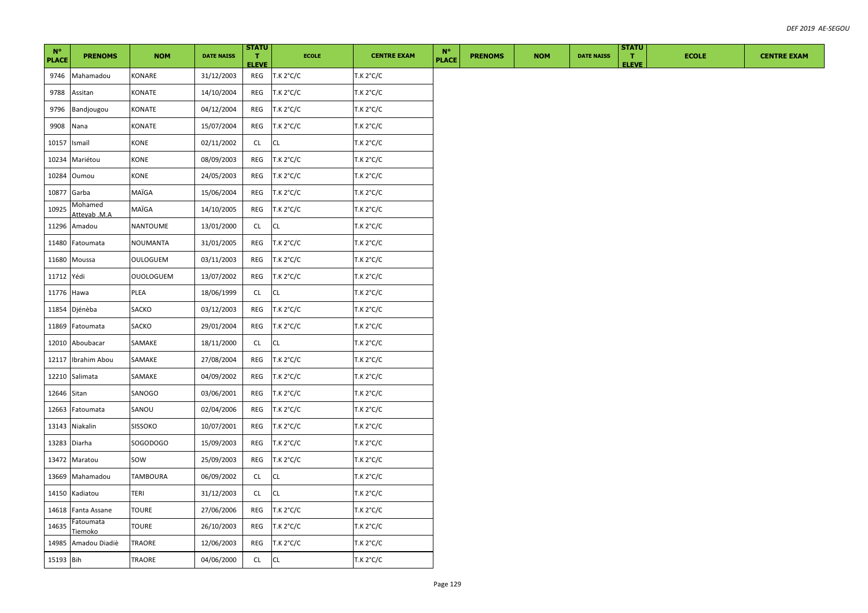| $N^{\circ}$<br><b>PLACE</b> | <b>PRENOMS</b>          | <b>NOM</b>       | <b>DATE NAISS</b> | <b>STATU</b><br>$\mathbf{T}$<br><b>ELEVE</b> | <b>ECOLE</b>  | <b>CENTRE EXAM</b> | $N^{\circ}$<br><b>PLACE</b> | <b>PRENOMS</b> | <b>NOM</b> | <b>DATE NAISS</b> | <b>STATU</b><br>$\mathbf{T}$<br><b>ELEVE</b> | <b>ECOLE</b> | <b>CENTRE EXAM</b> |
|-----------------------------|-------------------------|------------------|-------------------|----------------------------------------------|---------------|--------------------|-----------------------------|----------------|------------|-------------------|----------------------------------------------|--------------|--------------------|
| 9746                        | Mahamadou               | KONARE           | 31/12/2003        | REG                                          | T.K 2°C/C     | T.K 2°C/C          |                             |                |            |                   |                                              |              |                    |
| 9788                        | Assitan                 | KONATE           | 14/10/2004        | REG                                          | T.K 2°C/C     | T.K 2°C/C          |                             |                |            |                   |                                              |              |                    |
| 9796                        | Bandjougou              | KONATE           | 04/12/2004        | REG                                          | T.K 2°C/C     | T.K 2°C/C          |                             |                |            |                   |                                              |              |                    |
| 9908                        | Nana                    | KONATE           | 15/07/2004        | REG                                          | T.K 2°C/C     | T.K 2°C/C          |                             |                |            |                   |                                              |              |                    |
| 10157                       | Ismaïl                  | KONE             | 02/11/2002        | CL                                           | <b>CL</b>     | T.K 2°C/C          |                             |                |            |                   |                                              |              |                    |
| 10234                       | Mariétou                | KONE             | 08/09/2003        | REG                                          | T.K 2°C/C     | T.K 2°C/C          |                             |                |            |                   |                                              |              |                    |
| 10284                       | Oumou                   | KONE             | 24/05/2003        | REG                                          | T.K 2°C/C     | T.K 2°C/C          |                             |                |            |                   |                                              |              |                    |
| 10877                       | Garba                   | MAÏGA            | 15/06/2004        | REG                                          | T.K 2°C/C     | T.K 2°C/C          |                             |                |            |                   |                                              |              |                    |
| 10925                       | Mohamed<br>Atteyab .M.A | MAÏGA            | 14/10/2005        | REG                                          | T.K 2°C/C     | T.K 2°C/C          |                             |                |            |                   |                                              |              |                    |
| 11296                       | Amadou                  | NANTOUME         | 13/01/2000        | CL                                           | <b>CL</b>     | T.K 2°C/C          |                             |                |            |                   |                                              |              |                    |
| 11480                       | Fatoumata               | <b>NOUMANTA</b>  | 31/01/2005        | REG                                          | T.K 2°C/C     | T.K 2°C/C          |                             |                |            |                   |                                              |              |                    |
| 11680                       | Moussa                  | OULOGUEM         | 03/11/2003        | REG                                          | T.K 2°C/C     | T.K 2°C/C          |                             |                |            |                   |                                              |              |                    |
| 11712 Yédi                  |                         | <b>OUOLOGUEM</b> | 13/07/2002        | REG                                          | T.K 2°C/C     | T.K 2°C/C          |                             |                |            |                   |                                              |              |                    |
| 11776                       | Hawa                    | PLEA             | 18/06/1999        | CL                                           | CL            | T.K 2°C/C          |                             |                |            |                   |                                              |              |                    |
|                             | 11854 Djénèba           | SACKO            | 03/12/2003        | REG                                          | T.K 2°C/C     | T.K 2°C/C          |                             |                |            |                   |                                              |              |                    |
| 11869                       | Fatoumata               | SACKO            | 29/01/2004        | REG                                          | T.K 2°C/C     | T.K 2°C/C          |                             |                |            |                   |                                              |              |                    |
| 12010                       | Aboubacar               | SAMAKE           | 18/11/2000        | CL                                           | CL            | T.K 2°C/C          |                             |                |            |                   |                                              |              |                    |
| 12117                       | Ibrahim Abou            | SAMAKE           | 27/08/2004        | REG                                          | T.K 2°C/C     | T.K 2°C/C          |                             |                |            |                   |                                              |              |                    |
|                             | 12210 Salimata          | SAMAKE           | 04/09/2002        | REG                                          | T.K 2°C/C     | T.K 2°C/C          |                             |                |            |                   |                                              |              |                    |
| 12646 Sitan                 |                         | SANOGO           | 03/06/2001        | REG                                          | T.K 2°C/C     | T.K 2°C/C          |                             |                |            |                   |                                              |              |                    |
| 12663                       | Fatoumata               | SANOU            | 02/04/2006        | REG                                          | T.K 2°C/C     | T.K 2°C/C          |                             |                |            |                   |                                              |              |                    |
| 13143                       | Niakalin                | <b>SISSOKO</b>   | 10/07/2001        | REG                                          | T.K 2°C/C     | T.K 2°C/C          |                             |                |            |                   |                                              |              |                    |
| 13283                       | Diarha                  | SOGODOGO         | 15/09/2003        | REG                                          | T.K 2°C/C     | T.K 2°C/C          |                             |                |            |                   |                                              |              |                    |
| 13472                       | Maratou                 | SOW              | 25/09/2003        | REG                                          | T.K 2°C/C     | T.K 2°C/C          |                             |                |            |                   |                                              |              |                    |
| 13669                       | Mahamadou               | TAMBOURA         | 06/09/2002        | CL                                           | $\mathsf{CL}$ | T.K 2°C/C          |                             |                |            |                   |                                              |              |                    |
| 14150                       | Kadiatou                | TERI             | 31/12/2003        | CL                                           | <b>CL</b>     | T.K 2°C/C          |                             |                |            |                   |                                              |              |                    |
| 14618                       | Fanta Assane            | <b>TOURE</b>     | 27/06/2006        | REG                                          | T.K 2°C/C     | T.K 2°C/C          |                             |                |            |                   |                                              |              |                    |
| 14635                       | Fatoumata<br>Tiemoko    | <b>TOURE</b>     | 26/10/2003        | REG                                          | T.K 2°C/C     | T.K 2°C/C          |                             |                |            |                   |                                              |              |                    |
| 14985                       | Amadou Diadiè           | TRAORE           | 12/06/2003        | REG                                          | T.K 2°C/C     | T.K 2°C/C          |                             |                |            |                   |                                              |              |                    |
| 15193 Bih                   |                         | <b>TRAORE</b>    | 04/06/2000        | CL                                           | <b>CL</b>     | T.K 2°C/C          |                             |                |            |                   |                                              |              |                    |